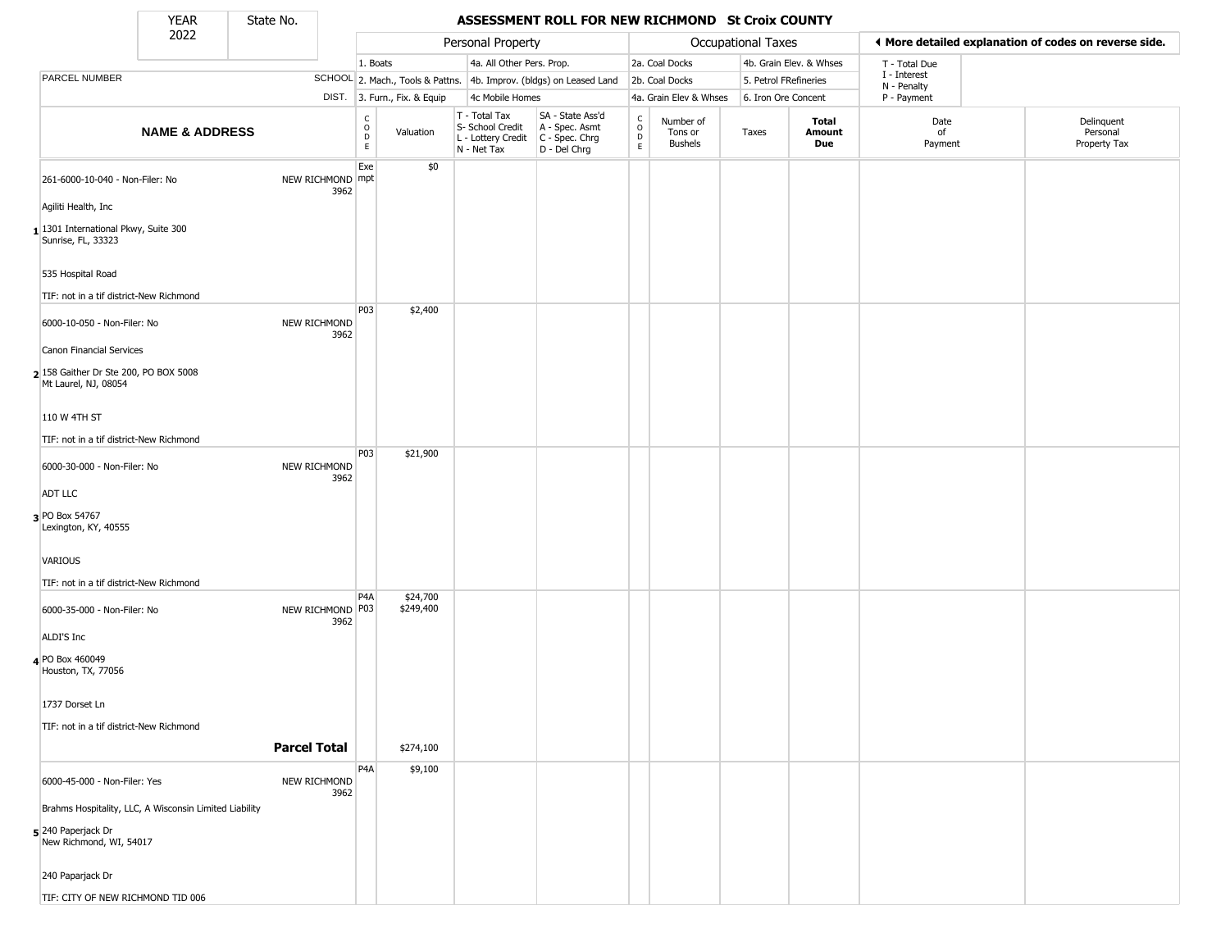State No.

 $\Box$ 

## YEAR State No. **ASSESSMENT ROLL FOR NEW RICHMOND St Croix COUNTY**

|                                                               | 2022                                                   |                          |                  |                              | Personal Property                                                      |                                                                      |                                                 |                                        | Occupational Taxes    |                         |                             | ♦ More detailed explanation of codes on reverse side. |
|---------------------------------------------------------------|--------------------------------------------------------|--------------------------|------------------|------------------------------|------------------------------------------------------------------------|----------------------------------------------------------------------|-------------------------------------------------|----------------------------------------|-----------------------|-------------------------|-----------------------------|-------------------------------------------------------|
|                                                               |                                                        |                          | 1. Boats         |                              | 4a. All Other Pers. Prop.                                              |                                                                      |                                                 | 2a. Coal Docks                         |                       | 4b. Grain Elev. & Whses | T - Total Due               |                                                       |
| PARCEL NUMBER                                                 |                                                        |                          |                  |                              |                                                                        | SCHOOL 2. Mach., Tools & Pattns. 4b. Improv. (bldgs) on Leased Land  |                                                 | 2b. Coal Docks                         | 5. Petrol FRefineries |                         | I - Interest<br>N - Penalty |                                                       |
|                                                               |                                                        |                          |                  | DIST. 3. Furn., Fix. & Equip | 4c Mobile Homes                                                        |                                                                      |                                                 | 4a. Grain Elev & Whses                 | 6. Iron Ore Concent   |                         | P - Payment                 |                                                       |
|                                                               | <b>NAME &amp; ADDRESS</b>                              |                          | C<br>D<br>D<br>E | Valuation                    | T - Total Tax<br>S- School Credit<br>L - Lottery Credit<br>N - Net Tax | SA - State Ass'd<br>A - Spec. Asmt<br>C - Spec. Chrg<br>D - Del Chrg | $\begin{array}{c} C \\ O \\ D \\ E \end{array}$ | Number of<br>Tons or<br><b>Bushels</b> | Taxes                 | Total<br>Amount<br>Due  | Date<br>of<br>Payment       | Delinquent<br>Personal<br>Property Tax                |
| 261-6000-10-040 - Non-Filer: No                               |                                                        | NEW RICHMOND mpt         | Exe              | \$0                          |                                                                        |                                                                      |                                                 |                                        |                       |                         |                             |                                                       |
| Agiliti Health, Inc                                           |                                                        | 3962                     |                  |                              |                                                                        |                                                                      |                                                 |                                        |                       |                         |                             |                                                       |
| 1301 International Pkwy, Suite 300<br>Sunrise, FL, 33323      |                                                        |                          |                  |                              |                                                                        |                                                                      |                                                 |                                        |                       |                         |                             |                                                       |
| 535 Hospital Road                                             |                                                        |                          |                  |                              |                                                                        |                                                                      |                                                 |                                        |                       |                         |                             |                                                       |
| TIF: not in a tif district-New Richmond                       |                                                        |                          |                  |                              |                                                                        |                                                                      |                                                 |                                        |                       |                         |                             |                                                       |
| 6000-10-050 - Non-Filer: No                                   |                                                        | NEW RICHMOND<br>3962     | P03              | \$2,400                      |                                                                        |                                                                      |                                                 |                                        |                       |                         |                             |                                                       |
| Canon Financial Services                                      |                                                        |                          |                  |                              |                                                                        |                                                                      |                                                 |                                        |                       |                         |                             |                                                       |
| 2 158 Gaither Dr Ste 200, PO BOX 5008<br>Mt Laurel, NJ, 08054 |                                                        |                          |                  |                              |                                                                        |                                                                      |                                                 |                                        |                       |                         |                             |                                                       |
| 110 W 4TH ST                                                  |                                                        |                          |                  |                              |                                                                        |                                                                      |                                                 |                                        |                       |                         |                             |                                                       |
| TIF: not in a tif district-New Richmond                       |                                                        |                          |                  |                              |                                                                        |                                                                      |                                                 |                                        |                       |                         |                             |                                                       |
| 6000-30-000 - Non-Filer: No                                   |                                                        | NEW RICHMOND<br>3962     | P03              | \$21,900                     |                                                                        |                                                                      |                                                 |                                        |                       |                         |                             |                                                       |
| ADT LLC                                                       |                                                        |                          |                  |                              |                                                                        |                                                                      |                                                 |                                        |                       |                         |                             |                                                       |
| 3 PO Box 54767<br>Lexington, KY, 40555                        |                                                        |                          |                  |                              |                                                                        |                                                                      |                                                 |                                        |                       |                         |                             |                                                       |
| VARIOUS                                                       |                                                        |                          |                  |                              |                                                                        |                                                                      |                                                 |                                        |                       |                         |                             |                                                       |
| TIF: not in a tif district-New Richmond                       |                                                        |                          |                  |                              |                                                                        |                                                                      |                                                 |                                        |                       |                         |                             |                                                       |
| 6000-35-000 - Non-Filer: No                                   |                                                        | NEW RICHMOND P03<br>3962 | P4A              | \$24,700<br>\$249,400        |                                                                        |                                                                      |                                                 |                                        |                       |                         |                             |                                                       |
| ALDI'S Inc                                                    |                                                        |                          |                  |                              |                                                                        |                                                                      |                                                 |                                        |                       |                         |                             |                                                       |
| 4 PO Box 460049<br>Houston, TX, 77056                         |                                                        |                          |                  |                              |                                                                        |                                                                      |                                                 |                                        |                       |                         |                             |                                                       |
| 1737 Dorset Ln                                                |                                                        |                          |                  |                              |                                                                        |                                                                      |                                                 |                                        |                       |                         |                             |                                                       |
| TIF: not in a tif district-New Richmond                       |                                                        | <b>Parcel Total</b>      |                  | \$274,100                    |                                                                        |                                                                      |                                                 |                                        |                       |                         |                             |                                                       |
|                                                               |                                                        |                          | P4A              | \$9,100                      |                                                                        |                                                                      |                                                 |                                        |                       |                         |                             |                                                       |
| 6000-45-000 - Non-Filer: Yes                                  |                                                        | NEW RICHMOND<br>3962     |                  |                              |                                                                        |                                                                      |                                                 |                                        |                       |                         |                             |                                                       |
|                                                               | Brahms Hospitality, LLC, A Wisconsin Limited Liability |                          |                  |                              |                                                                        |                                                                      |                                                 |                                        |                       |                         |                             |                                                       |
| 5 240 Paperjack Dr<br>New Richmond, WI, 54017                 |                                                        |                          |                  |                              |                                                                        |                                                                      |                                                 |                                        |                       |                         |                             |                                                       |
| 240 Paparjack Dr                                              |                                                        |                          |                  |                              |                                                                        |                                                                      |                                                 |                                        |                       |                         |                             |                                                       |
| TIF: CITY OF NEW RICHMOND TID 006                             |                                                        |                          |                  |                              |                                                                        |                                                                      |                                                 |                                        |                       |                         |                             |                                                       |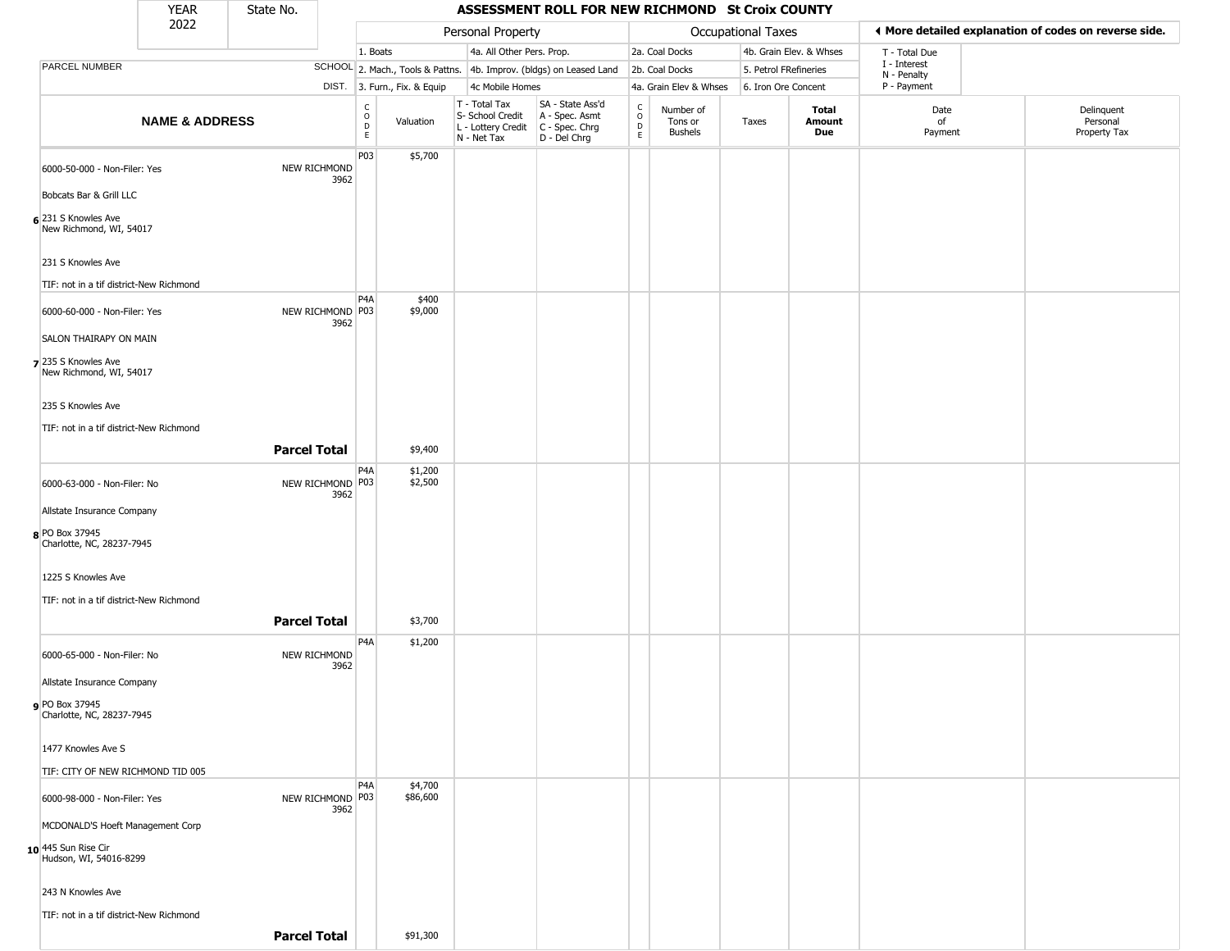YEAR **ASSESSMENT ROLL FOR NEW RICHMOND St Croix COUNTY** 2022 DIST. 3. Furn., Fix. & Equip PARCEL NUMBER **NAME & ADDRESS** State No. C O D E Valuation T - Total Tax S- School Credit A - Spec. Asmt L - Lottery Credit C - Spec. Chrg N - Net Tax SA - State Ass'd D - Del Chrg C O D E Number of Tons or Bushels Taxes **Total Amount Due** Date of Payment Delinquent Personal Property Tax Personal Property **Department Controller Service Controller** Occupational Taxes 1. Boats **4a. All Other Pers. Prop.** 2a. Coal Docks 4b. Grain Elev. & Whses SCHOOL 2. Mach., Tools & Pattns. 4b. Improv. (bldgs) on Leased Land 2b. Coal Docks 5. Petrol FRefineries 4c Mobile Homes 4a. Grain Elev & Whses 6. Iron Ore Concent T - Total Due I - Interest N - Penalty P - Payment 3**More detailed explanation of codes on reverse side. 6** 231 S Knowles Ave 6000-50-000 - Non-Filer: Yes NEW RICHMOND 3962 Bobcats Bar & Grill LLC New Richmond, WI, 54017 231 S Knowles Ave TIF: not in a tif district-New Richmond P03 \$5,700 **7** 235 S Knowles Ave 6000-60-000 - Non-Filer: Yes 3962 SALON THAIRAPY ON MAIN New Richmond, WI, 54017 235 S Knowles Ave TIF: not in a tif district-New Richmond P4A NEW RICHMOND P03 \$400 \$9,000 **Parcel Total 1** \$9,400 **8** PO Box 37945 6000-63-000 - Non-Filer: No 3962 Allstate Insurance Company Charlotte, NC, 28237-7945 1225 S Knowles Ave TIF: not in a tif district-New Richmond P4A NEW RICHMOND P03 \$1,200 \$2,500 **Parcel Total** \$3,700 **9** PO Box 37945 6000-65-000 - Non-Filer: No NEW RICHMOND 3962 Allstate Insurance Company Charlotte, NC, 28237-7945 1477 Knowles Ave S TIF: CITY OF NEW RICHMOND TID 005 P4A \$1,200 **10** 445 Sun Rise Cir 6000-98-000 - Non-Filer: Yes 3962 MCDONALD'S Hoeft Management Corp Hudson, WI, 54016-8299 243 N Knowles Ave TIF: not in a tif district-New Richmond P4A NEW RICHMOND P03 \$4,700 \$86,600 **Parcel Total** | \$91,300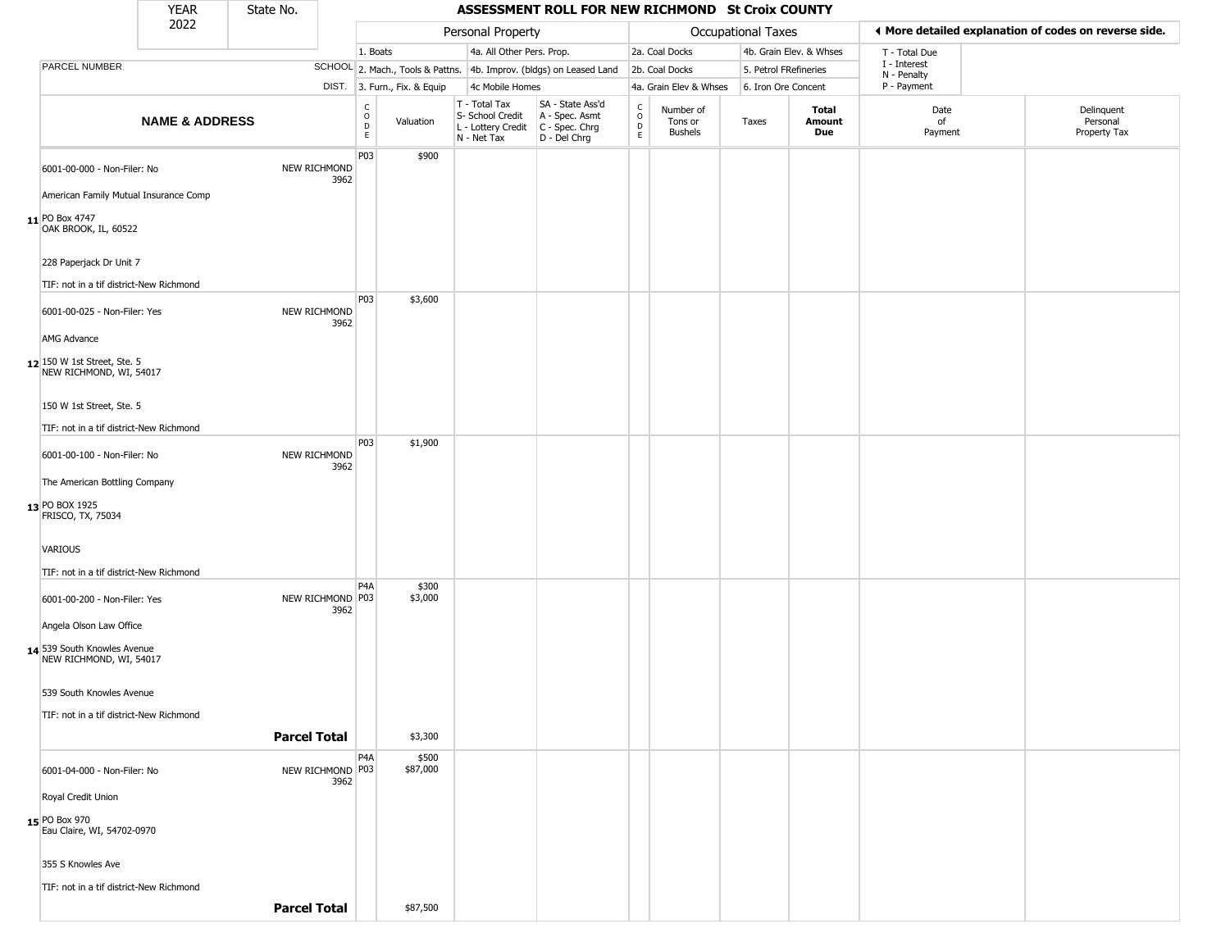|                                                          | <b>YEAR</b>               | State No.           |                             |                        |                              |                                                                        | ASSESSMENT ROLL FOR NEW RICHMOND St Croix COUNTY                     |                                            |                                 |                    |                         |                             |                                                       |
|----------------------------------------------------------|---------------------------|---------------------|-----------------------------|------------------------|------------------------------|------------------------------------------------------------------------|----------------------------------------------------------------------|--------------------------------------------|---------------------------------|--------------------|-------------------------|-----------------------------|-------------------------------------------------------|
|                                                          | 2022                      |                     |                             |                        |                              | Personal Property                                                      |                                                                      |                                            |                                 | Occupational Taxes |                         |                             | ♦ More detailed explanation of codes on reverse side. |
|                                                          |                           |                     |                             | 1. Boats               |                              | 4a. All Other Pers. Prop.                                              |                                                                      |                                            | 2a. Coal Docks                  |                    | 4b. Grain Elev. & Whses | T - Total Due               |                                                       |
| PARCEL NUMBER                                            |                           |                     |                             |                        |                              |                                                                        | SCHOOL 2. Mach., Tools & Pattns. 4b. Improv. (bldgs) on Leased Land  |                                            | 2b. Coal Docks                  |                    | 5. Petrol FRefineries   | I - Interest<br>N - Penalty |                                                       |
|                                                          |                           |                     |                             |                        | DIST. 3. Furn., Fix. & Equip | 4c Mobile Homes                                                        |                                                                      |                                            | 4a. Grain Elev & Whses          |                    | 6. Iron Ore Concent     | P - Payment                 |                                                       |
|                                                          | <b>NAME &amp; ADDRESS</b> |                     |                             | C<br>$\circ$<br>D<br>E | Valuation                    | T - Total Tax<br>S- School Credit<br>L - Lottery Credit<br>N - Net Tax | SA - State Ass'd<br>A - Spec. Asmt<br>C - Spec. Chrg<br>D - Del Chrg | $\begin{array}{c} C \\ 0 \\ E \end{array}$ | Number of<br>Tons or<br>Bushels | Taxes              | Total<br>Amount<br>Due  | Date<br>of<br>Payment       | Delinquent<br>Personal<br>Property Tax                |
| 6001-00-000 - Non-Filer: No                              |                           |                     | <b>NEW RICHMOND</b><br>3962 | P03                    | \$900                        |                                                                        |                                                                      |                                            |                                 |                    |                         |                             |                                                       |
| American Family Mutual Insurance Comp                    |                           |                     |                             |                        |                              |                                                                        |                                                                      |                                            |                                 |                    |                         |                             |                                                       |
| 11 PO Box 4747<br>OAK BROOK, IL, 60522                   |                           |                     |                             |                        |                              |                                                                        |                                                                      |                                            |                                 |                    |                         |                             |                                                       |
| 228 Paperjack Dr Unit 7                                  |                           |                     |                             |                        |                              |                                                                        |                                                                      |                                            |                                 |                    |                         |                             |                                                       |
| TIF: not in a tif district-New Richmond                  |                           |                     |                             |                        |                              |                                                                        |                                                                      |                                            |                                 |                    |                         |                             |                                                       |
| 6001-00-025 - Non-Filer: Yes                             |                           |                     | NEW RICHMOND<br>3962        | P03                    | \$3,600                      |                                                                        |                                                                      |                                            |                                 |                    |                         |                             |                                                       |
| AMG Advance                                              |                           |                     |                             |                        |                              |                                                                        |                                                                      |                                            |                                 |                    |                         |                             |                                                       |
| $12$ 150 W 1st Street, Ste. 5<br>NEW RICHMOND, WI, 54017 |                           |                     |                             |                        |                              |                                                                        |                                                                      |                                            |                                 |                    |                         |                             |                                                       |
| 150 W 1st Street, Ste. 5                                 |                           |                     |                             |                        |                              |                                                                        |                                                                      |                                            |                                 |                    |                         |                             |                                                       |
| TIF: not in a tif district-New Richmond                  |                           |                     |                             |                        |                              |                                                                        |                                                                      |                                            |                                 |                    |                         |                             |                                                       |
| 6001-00-100 - Non-Filer: No                              |                           |                     | <b>NEW RICHMOND</b><br>3962 | P03                    | \$1,900                      |                                                                        |                                                                      |                                            |                                 |                    |                         |                             |                                                       |
| The American Bottling Company                            |                           |                     |                             |                        |                              |                                                                        |                                                                      |                                            |                                 |                    |                         |                             |                                                       |
| 13 PO BOX 1925<br>FRISCO, TX, 75034                      |                           |                     |                             |                        |                              |                                                                        |                                                                      |                                            |                                 |                    |                         |                             |                                                       |
| <b>VARIOUS</b>                                           |                           |                     |                             |                        |                              |                                                                        |                                                                      |                                            |                                 |                    |                         |                             |                                                       |
| TIF: not in a tif district-New Richmond                  |                           |                     |                             |                        |                              |                                                                        |                                                                      |                                            |                                 |                    |                         |                             |                                                       |
| 6001-00-200 - Non-Filer: Yes                             |                           |                     | NEW RICHMOND P03<br>3962    | P4A                    | \$300<br>\$3,000             |                                                                        |                                                                      |                                            |                                 |                    |                         |                             |                                                       |
| Angela Olson Law Office                                  |                           |                     |                             |                        |                              |                                                                        |                                                                      |                                            |                                 |                    |                         |                             |                                                       |
| 14 539 South Knowles Avenue<br>NEW RICHMOND, WI, 54017   |                           |                     |                             |                        |                              |                                                                        |                                                                      |                                            |                                 |                    |                         |                             |                                                       |
| 539 South Knowles Avenue                                 |                           |                     |                             |                        |                              |                                                                        |                                                                      |                                            |                                 |                    |                         |                             |                                                       |
| TIF: not in a tif district-New Richmond                  |                           |                     |                             |                        |                              |                                                                        |                                                                      |                                            |                                 |                    |                         |                             |                                                       |
|                                                          |                           | <b>Parcel Total</b> |                             |                        | \$3,300                      |                                                                        |                                                                      |                                            |                                 |                    |                         |                             |                                                       |
|                                                          |                           |                     |                             | P4A                    | \$500                        |                                                                        |                                                                      |                                            |                                 |                    |                         |                             |                                                       |
| 6001-04-000 - Non-Filer: No                              |                           |                     | NEW RICHMOND P03<br>3962    |                        | \$87,000                     |                                                                        |                                                                      |                                            |                                 |                    |                         |                             |                                                       |
| Royal Credit Union                                       |                           |                     |                             |                        |                              |                                                                        |                                                                      |                                            |                                 |                    |                         |                             |                                                       |
| 15 PO Box 970<br>Eau Claire, WI, 54702-0970              |                           |                     |                             |                        |                              |                                                                        |                                                                      |                                            |                                 |                    |                         |                             |                                                       |
| 355 S Knowles Ave                                        |                           |                     |                             |                        |                              |                                                                        |                                                                      |                                            |                                 |                    |                         |                             |                                                       |
| TIF: not in a tif district-New Richmond                  |                           |                     |                             |                        |                              |                                                                        |                                                                      |                                            |                                 |                    |                         |                             |                                                       |
|                                                          |                           | <b>Parcel Total</b> |                             |                        | \$87,500                     |                                                                        |                                                                      |                                            |                                 |                    |                         |                             |                                                       |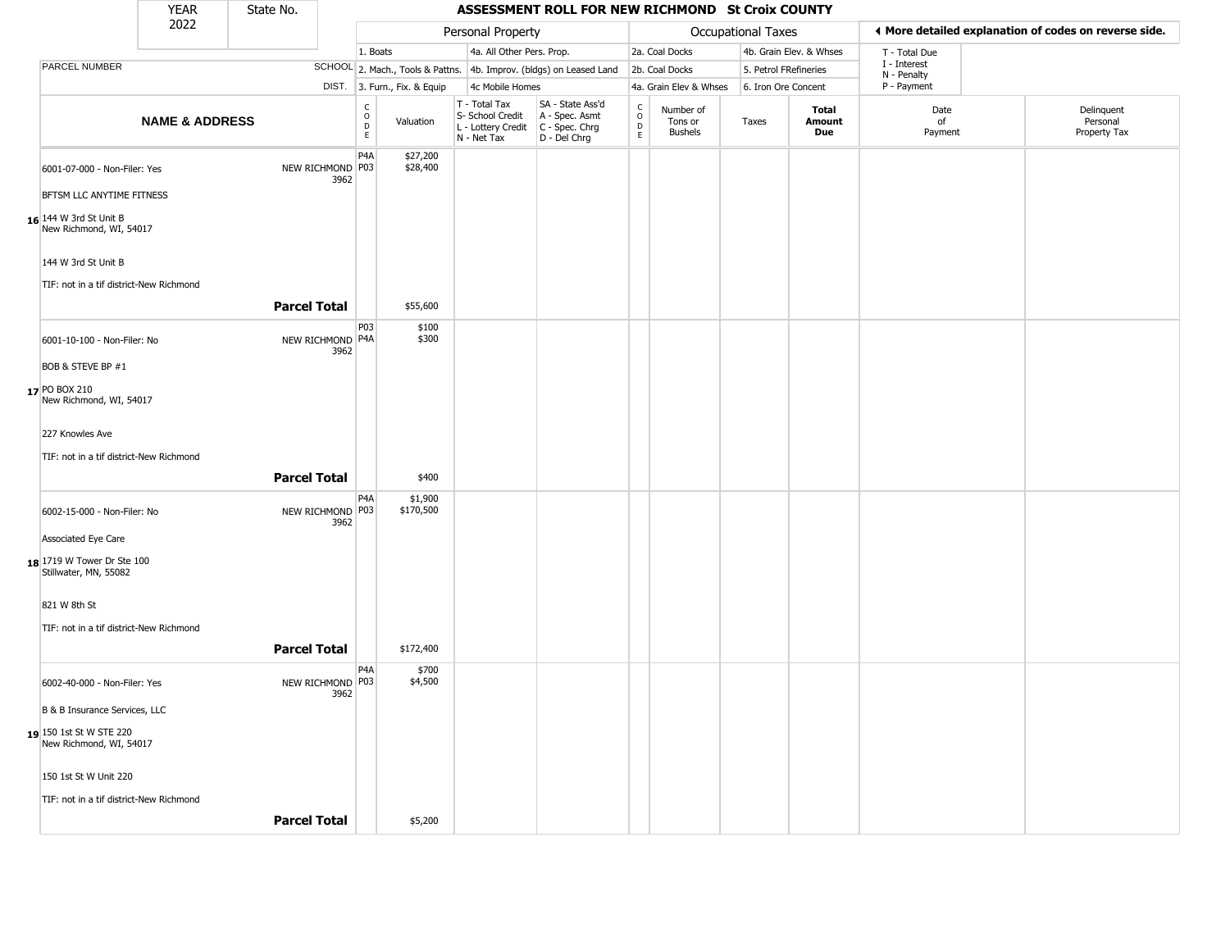|                                                     | <b>YEAR</b>               | State No.           |                          |                  |                                  |                                                                                         | ASSESSMENT ROLL FOR NEW RICHMOND St Croix COUNTY   |                        |                                 |                       |                         |                             |                                                       |
|-----------------------------------------------------|---------------------------|---------------------|--------------------------|------------------|----------------------------------|-----------------------------------------------------------------------------------------|----------------------------------------------------|------------------------|---------------------------------|-----------------------|-------------------------|-----------------------------|-------------------------------------------------------|
|                                                     | 2022                      |                     |                          |                  |                                  | Personal Property                                                                       |                                                    |                        |                                 | Occupational Taxes    |                         |                             | ♦ More detailed explanation of codes on reverse side. |
|                                                     |                           |                     |                          | 1. Boats         |                                  | 4a. All Other Pers. Prop.                                                               |                                                    |                        | 2a. Coal Docks                  |                       | 4b. Grain Elev. & Whses | T - Total Due               |                                                       |
| PARCEL NUMBER                                       |                           |                     |                          |                  | SCHOOL 2. Mach., Tools & Pattns. |                                                                                         | 4b. Improv. (bldgs) on Leased Land                 |                        | 2b. Coal Docks                  | 5. Petrol FRefineries |                         | I - Interest<br>N - Penalty |                                                       |
|                                                     |                           |                     |                          |                  | DIST. 3. Furn., Fix. & Equip     | 4c Mobile Homes                                                                         |                                                    |                        | 4a. Grain Elev & Whses          | 6. Iron Ore Concent   |                         | P - Payment                 |                                                       |
|                                                     | <b>NAME &amp; ADDRESS</b> |                     |                          | C<br>D<br>D<br>E | Valuation                        | T - Total Tax<br>S- School Credit<br>L - Lottery Credit   C - Spec. Chrg<br>N - Net Tax | SA - State Ass'd<br>A - Spec. Asmt<br>D - Del Chrg | C<br>$\circ$<br>D<br>E | Number of<br>Tons or<br>Bushels | Taxes                 | Total<br>Amount<br>Due  | Date<br>of<br>Payment       | Delinquent<br>Personal<br>Property Tax                |
| 6001-07-000 - Non-Filer: Yes                        |                           |                     | NEW RICHMOND P03<br>3962 | P4A              | \$27,200<br>\$28,400             |                                                                                         |                                                    |                        |                                 |                       |                         |                             |                                                       |
| BFTSM LLC ANYTIME FITNESS                           |                           |                     |                          |                  |                                  |                                                                                         |                                                    |                        |                                 |                       |                         |                             |                                                       |
| $16$ 144 W 3rd St Unit B<br>New Richmond, WI, 54017 |                           |                     |                          |                  |                                  |                                                                                         |                                                    |                        |                                 |                       |                         |                             |                                                       |
| 144 W 3rd St Unit B                                 |                           |                     |                          |                  |                                  |                                                                                         |                                                    |                        |                                 |                       |                         |                             |                                                       |
| TIF: not in a tif district-New Richmond             |                           | <b>Parcel Total</b> |                          |                  | \$55,600                         |                                                                                         |                                                    |                        |                                 |                       |                         |                             |                                                       |
| 6001-10-100 - Non-Filer: No                         |                           |                     | NEW RICHMOND P4A<br>3962 | P <sub>0</sub> 3 | \$100<br>\$300                   |                                                                                         |                                                    |                        |                                 |                       |                         |                             |                                                       |
| BOB & STEVE BP #1                                   |                           |                     |                          |                  |                                  |                                                                                         |                                                    |                        |                                 |                       |                         |                             |                                                       |
| 17 PO BOX 210<br>New Richmond, WI, 54017            |                           |                     |                          |                  |                                  |                                                                                         |                                                    |                        |                                 |                       |                         |                             |                                                       |
| 227 Knowles Ave                                     |                           |                     |                          |                  |                                  |                                                                                         |                                                    |                        |                                 |                       |                         |                             |                                                       |
| TIF: not in a tif district-New Richmond             |                           |                     |                          |                  |                                  |                                                                                         |                                                    |                        |                                 |                       |                         |                             |                                                       |
|                                                     |                           | <b>Parcel Total</b> |                          |                  | \$400                            |                                                                                         |                                                    |                        |                                 |                       |                         |                             |                                                       |
| 6002-15-000 - Non-Filer: No                         |                           |                     | NEW RICHMOND P03<br>3962 | P4A              | \$1,900<br>\$170,500             |                                                                                         |                                                    |                        |                                 |                       |                         |                             |                                                       |
| Associated Eye Care                                 |                           |                     |                          |                  |                                  |                                                                                         |                                                    |                        |                                 |                       |                         |                             |                                                       |
| 18 1719 W Tower Dr Ste 100<br>Stillwater, MN, 55082 |                           |                     |                          |                  |                                  |                                                                                         |                                                    |                        |                                 |                       |                         |                             |                                                       |
| 821 W 8th St                                        |                           |                     |                          |                  |                                  |                                                                                         |                                                    |                        |                                 |                       |                         |                             |                                                       |
| TIF: not in a tif district-New Richmond             |                           | <b>Parcel Total</b> |                          |                  | \$172,400                        |                                                                                         |                                                    |                        |                                 |                       |                         |                             |                                                       |
|                                                     |                           |                     |                          | P <sub>4</sub> A | \$700                            |                                                                                         |                                                    |                        |                                 |                       |                         |                             |                                                       |
| 6002-40-000 - Non-Filer: Yes                        |                           |                     | NEW RICHMOND P03<br>3962 |                  | \$4,500                          |                                                                                         |                                                    |                        |                                 |                       |                         |                             |                                                       |
| B & B Insurance Services, LLC                       |                           |                     |                          |                  |                                  |                                                                                         |                                                    |                        |                                 |                       |                         |                             |                                                       |
| 19 150 1st St W STE 220<br>New Richmond, WI, 54017  |                           |                     |                          |                  |                                  |                                                                                         |                                                    |                        |                                 |                       |                         |                             |                                                       |
| 150 1st St W Unit 220                               |                           |                     |                          |                  |                                  |                                                                                         |                                                    |                        |                                 |                       |                         |                             |                                                       |
| TIF: not in a tif district-New Richmond             |                           |                     |                          |                  |                                  |                                                                                         |                                                    |                        |                                 |                       |                         |                             |                                                       |
|                                                     |                           | <b>Parcel Total</b> |                          |                  | \$5,200                          |                                                                                         |                                                    |                        |                                 |                       |                         |                             |                                                       |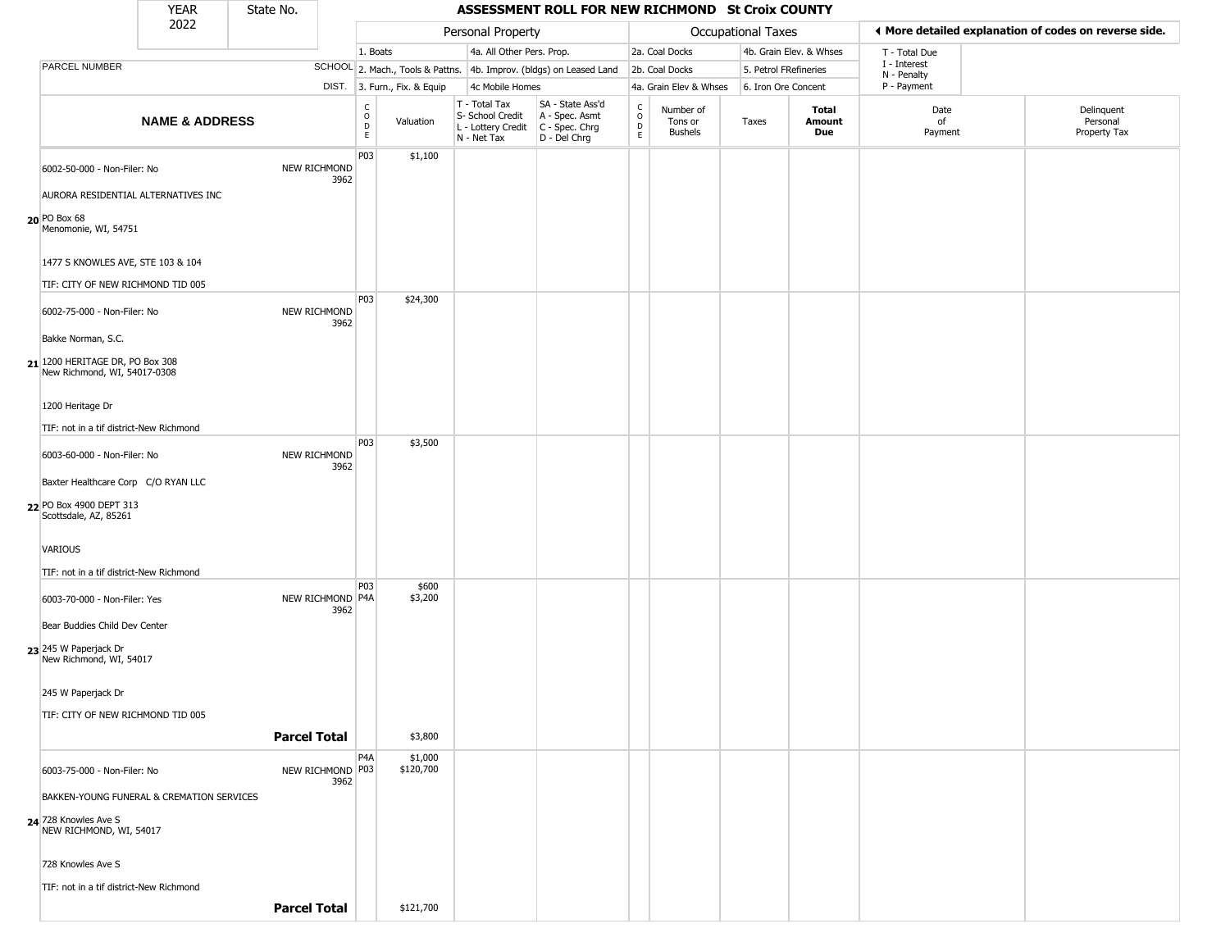|                                                                                                    | <b>YEAR</b>                                                            | State No.           |                          |                         |                              |                                                                                         | ASSESSMENT ROLL FOR NEW RICHMOND St Croix COUNTY                    |                                                |                                 |                           |                         |                             |                                                       |
|----------------------------------------------------------------------------------------------------|------------------------------------------------------------------------|---------------------|--------------------------|-------------------------|------------------------------|-----------------------------------------------------------------------------------------|---------------------------------------------------------------------|------------------------------------------------|---------------------------------|---------------------------|-------------------------|-----------------------------|-------------------------------------------------------|
|                                                                                                    | 2022                                                                   |                     |                          |                         |                              | Personal Property                                                                       |                                                                     |                                                |                                 | <b>Occupational Taxes</b> |                         |                             | ♦ More detailed explanation of codes on reverse side. |
|                                                                                                    |                                                                        |                     |                          | 1. Boats                |                              | 4a. All Other Pers. Prop.                                                               |                                                                     |                                                | 2a. Coal Docks                  |                           | 4b. Grain Elev. & Whses | T - Total Due               |                                                       |
| PARCEL NUMBER                                                                                      |                                                                        |                     |                          |                         |                              |                                                                                         | SCHOOL 2. Mach., Tools & Pattns. 4b. Improv. (bldgs) on Leased Land |                                                | 2b. Coal Docks                  |                           | 5. Petrol FRefineries   | I - Interest<br>N - Penalty |                                                       |
|                                                                                                    |                                                                        |                     |                          |                         | DIST. 3. Furn., Fix. & Equip | 4c Mobile Homes                                                                         |                                                                     |                                                | 4a. Grain Elev & Whses          |                           | 6. Iron Ore Concent     | P - Payment                 |                                                       |
|                                                                                                    | <b>NAME &amp; ADDRESS</b>                                              |                     |                          | $\frac{c}{0}$<br>D<br>E | Valuation                    | T - Total Tax<br>S- School Credit<br>L - Lottery Credit   C - Spec. Chrg<br>N - Net Tax | SA - State Ass'd<br>A - Spec. Asmt<br>D - Del Chrg                  | $\begin{matrix} 0 \\ 0 \\ D \end{matrix}$<br>E | Number of<br>Tons or<br>Bushels | Taxes                     | Total<br>Amount<br>Due  | Date<br>of<br>Payment       | Delinquent<br>Personal<br>Property Tax                |
| 6002-50-000 - Non-Filer: No                                                                        | AURORA RESIDENTIAL ALTERNATIVES INC                                    |                     | NEW RICHMOND<br>3962     | P03                     | \$1,100                      |                                                                                         |                                                                     |                                                |                                 |                           |                         |                             |                                                       |
| $20$ PO Box 68<br>Menomonie, WI, 54751                                                             |                                                                        |                     |                          |                         |                              |                                                                                         |                                                                     |                                                |                                 |                           |                         |                             |                                                       |
|                                                                                                    | 1477 S KNOWLES AVE, STE 103 & 104<br>TIF: CITY OF NEW RICHMOND TID 005 |                     |                          |                         |                              |                                                                                         |                                                                     |                                                |                                 |                           |                         |                             |                                                       |
| 6002-75-000 - Non-Filer: No                                                                        |                                                                        |                     | NEW RICHMOND<br>3962     | <b>P03</b>              | \$24,300                     |                                                                                         |                                                                     |                                                |                                 |                           |                         |                             |                                                       |
| Bakke Norman, S.C.<br>$21$ <sup>1200</sup> HERITAGE DR, PO Box 308<br>New Richmond, WI, 54017-0308 |                                                                        |                     |                          |                         |                              |                                                                                         |                                                                     |                                                |                                 |                           |                         |                             |                                                       |
| 1200 Heritage Dr                                                                                   |                                                                        |                     |                          |                         |                              |                                                                                         |                                                                     |                                                |                                 |                           |                         |                             |                                                       |
| 6003-60-000 - Non-Filer: No                                                                        | TIF: not in a tif district-New Richmond                                |                     | NEW RICHMOND             | <b>P03</b>              | \$3,500                      |                                                                                         |                                                                     |                                                |                                 |                           |                         |                             |                                                       |
|                                                                                                    | Baxter Healthcare Corp C/O RYAN LLC                                    |                     | 3962                     |                         |                              |                                                                                         |                                                                     |                                                |                                 |                           |                         |                             |                                                       |
| 22 PO Box 4900 DEPT 313<br>Scottsdale, AZ, 85261                                                   |                                                                        |                     |                          |                         |                              |                                                                                         |                                                                     |                                                |                                 |                           |                         |                             |                                                       |
| <b>VARIOUS</b>                                                                                     |                                                                        |                     |                          |                         |                              |                                                                                         |                                                                     |                                                |                                 |                           |                         |                             |                                                       |
| 6003-70-000 - Non-Filer: Yes                                                                       | TIF: not in a tif district-New Richmond                                |                     | NEW RICHMOND P4A         | P03                     | \$600<br>\$3,200             |                                                                                         |                                                                     |                                                |                                 |                           |                         |                             |                                                       |
| Bear Buddies Child Dev Center                                                                      |                                                                        |                     | 3962                     |                         |                              |                                                                                         |                                                                     |                                                |                                 |                           |                         |                             |                                                       |
| 23 245 W Paperjack Dr<br>New Richmond, WI, 54017                                                   |                                                                        |                     |                          |                         |                              |                                                                                         |                                                                     |                                                |                                 |                           |                         |                             |                                                       |
| 245 W Paperjack Dr                                                                                 | TIF: CITY OF NEW RICHMOND TID 005                                      |                     |                          |                         |                              |                                                                                         |                                                                     |                                                |                                 |                           |                         |                             |                                                       |
|                                                                                                    |                                                                        | <b>Parcel Total</b> |                          |                         | \$3,800                      |                                                                                         |                                                                     |                                                |                                 |                           |                         |                             |                                                       |
| 6003-75-000 - Non-Filer: No                                                                        |                                                                        |                     | NEW RICHMOND P03<br>3962 | P4A                     | \$1,000<br>\$120,700         |                                                                                         |                                                                     |                                                |                                 |                           |                         |                             |                                                       |
|                                                                                                    | BAKKEN-YOUNG FUNERAL & CREMATION SERVICES                              |                     |                          |                         |                              |                                                                                         |                                                                     |                                                |                                 |                           |                         |                             |                                                       |
| 24 728 Knowles Ave S<br>NEW RICHMOND, WI, 54017                                                    |                                                                        |                     |                          |                         |                              |                                                                                         |                                                                     |                                                |                                 |                           |                         |                             |                                                       |
| 728 Knowles Ave S                                                                                  |                                                                        |                     |                          |                         |                              |                                                                                         |                                                                     |                                                |                                 |                           |                         |                             |                                                       |
|                                                                                                    | TIF: not in a tif district-New Richmond                                | <b>Parcel Total</b> |                          |                         | \$121,700                    |                                                                                         |                                                                     |                                                |                                 |                           |                         |                             |                                                       |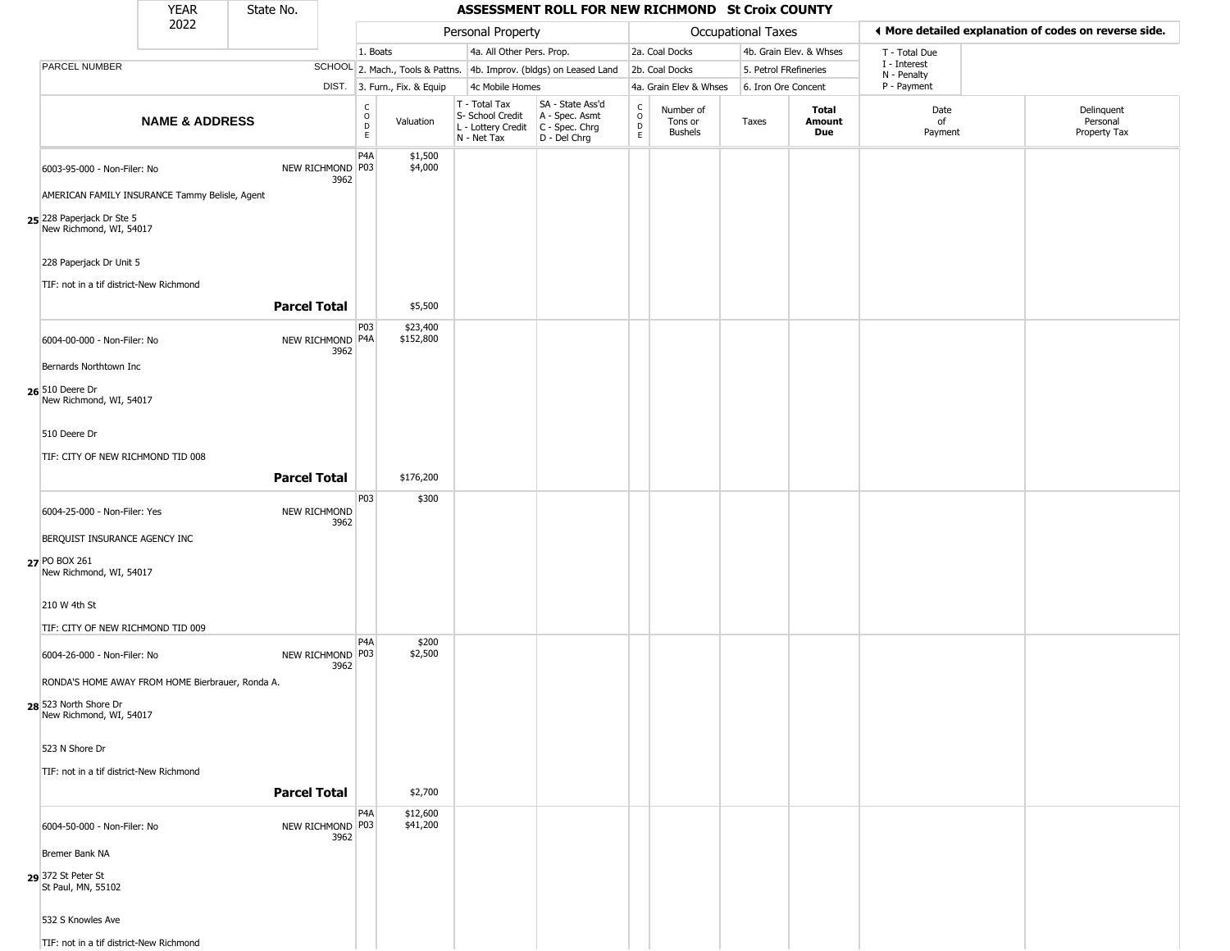|                                                                           | <b>YEAR</b>               | State No.           |                          |                         |                              |                                                                                                    | ASSESSMENT ROLL FOR NEW RICHMOND St Croix COUNTY                    |                                  |                                        |                           |                         |                             |                                                       |
|---------------------------------------------------------------------------|---------------------------|---------------------|--------------------------|-------------------------|------------------------------|----------------------------------------------------------------------------------------------------|---------------------------------------------------------------------|----------------------------------|----------------------------------------|---------------------------|-------------------------|-----------------------------|-------------------------------------------------------|
|                                                                           | 2022                      |                     |                          |                         |                              | Personal Property                                                                                  |                                                                     |                                  |                                        | <b>Occupational Taxes</b> |                         |                             | ♦ More detailed explanation of codes on reverse side. |
|                                                                           |                           |                     |                          | 1. Boats                |                              | 4a. All Other Pers. Prop.                                                                          |                                                                     |                                  | 2a. Coal Docks                         |                           | 4b. Grain Elev. & Whses | T - Total Due               |                                                       |
| PARCEL NUMBER                                                             |                           |                     |                          |                         |                              |                                                                                                    | SCHOOL 2. Mach., Tools & Pattns. 4b. Improv. (bldgs) on Leased Land |                                  | 2b. Coal Docks                         | 5. Petrol FRefineries     |                         | I - Interest<br>N - Penalty |                                                       |
|                                                                           |                           |                     |                          |                         | DIST. 3. Furn., Fix. & Equip | 4c Mobile Homes                                                                                    |                                                                     |                                  | 4a. Grain Elev & Whses                 | 6. Iron Ore Concent       |                         | P - Payment                 |                                                       |
|                                                                           | <b>NAME &amp; ADDRESS</b> |                     |                          | $\frac{c}{0}$<br>D<br>E | Valuation                    | T - Total Tax<br>S- School Credit<br>L - Lottery Credit C - Spec. Chrg<br>N - Net Tax D - Del Chrg | SA - State Ass'd<br>A - Spec. Asmt                                  | C<br>$\circ$<br>$\mathsf D$<br>E | Number of<br>Tons or<br><b>Bushels</b> | Taxes                     | Total<br>Amount<br>Due  | Date<br>of<br>Payment       | Delinquent<br>Personal<br>Property Tax                |
| 6003-95-000 - Non-Filer: No                                               |                           |                     | NEW RICHMOND P03<br>3962 | P <sub>4</sub> A        | \$1,500<br>\$4,000           |                                                                                                    |                                                                     |                                  |                                        |                           |                         |                             |                                                       |
| AMERICAN FAMILY INSURANCE Tammy Belisle, Agent                            |                           |                     |                          |                         |                              |                                                                                                    |                                                                     |                                  |                                        |                           |                         |                             |                                                       |
| 25 228 Paperjack Dr Ste 5<br>New Richmond, WI, 54017                      |                           |                     |                          |                         |                              |                                                                                                    |                                                                     |                                  |                                        |                           |                         |                             |                                                       |
| 228 Paperjack Dr Unit 5<br>TIF: not in a tif district-New Richmond        |                           |                     |                          |                         |                              |                                                                                                    |                                                                     |                                  |                                        |                           |                         |                             |                                                       |
|                                                                           |                           | <b>Parcel Total</b> |                          |                         | \$5,500                      |                                                                                                    |                                                                     |                                  |                                        |                           |                         |                             |                                                       |
| 6004-00-000 - Non-Filer: No                                               |                           |                     | NEW RICHMOND P4A<br>3962 | P <sub>0</sub> 3        | \$23,400<br>\$152,800        |                                                                                                    |                                                                     |                                  |                                        |                           |                         |                             |                                                       |
| Bernards Northtown Inc                                                    |                           |                     |                          |                         |                              |                                                                                                    |                                                                     |                                  |                                        |                           |                         |                             |                                                       |
| 26 510 Deere Dr<br>New Richmond, WI, 54017                                |                           |                     |                          |                         |                              |                                                                                                    |                                                                     |                                  |                                        |                           |                         |                             |                                                       |
| 510 Deere Dr                                                              |                           |                     |                          |                         |                              |                                                                                                    |                                                                     |                                  |                                        |                           |                         |                             |                                                       |
| TIF: CITY OF NEW RICHMOND TID 008                                         |                           | <b>Parcel Total</b> |                          |                         | \$176,200                    |                                                                                                    |                                                                     |                                  |                                        |                           |                         |                             |                                                       |
| 6004-25-000 - Non-Filer: Yes                                              |                           | NEW RICHMOND        |                          | P03                     | \$300                        |                                                                                                    |                                                                     |                                  |                                        |                           |                         |                             |                                                       |
| BERQUIST INSURANCE AGENCY INC                                             |                           |                     | 3962                     |                         |                              |                                                                                                    |                                                                     |                                  |                                        |                           |                         |                             |                                                       |
| 27 PO BOX 261<br>New Richmond, WI, 54017                                  |                           |                     |                          |                         |                              |                                                                                                    |                                                                     |                                  |                                        |                           |                         |                             |                                                       |
| 210 W 4th St                                                              |                           |                     |                          |                         |                              |                                                                                                    |                                                                     |                                  |                                        |                           |                         |                             |                                                       |
| TIF: CITY OF NEW RICHMOND TID 009                                         |                           |                     |                          |                         |                              |                                                                                                    |                                                                     |                                  |                                        |                           |                         |                             |                                                       |
| 6004-26-000 - Non-Filer: No                                               |                           |                     | NEW RICHMOND P03<br>3962 | P4A                     | \$200<br>\$2,500             |                                                                                                    |                                                                     |                                  |                                        |                           |                         |                             |                                                       |
| RONDA'S HOME AWAY FROM HOME Bierbrauer, Ronda A.<br>28 523 North Shore Dr |                           |                     |                          |                         |                              |                                                                                                    |                                                                     |                                  |                                        |                           |                         |                             |                                                       |
| New Richmond, WI, 54017                                                   |                           |                     |                          |                         |                              |                                                                                                    |                                                                     |                                  |                                        |                           |                         |                             |                                                       |
| 523 N Shore Dr                                                            |                           |                     |                          |                         |                              |                                                                                                    |                                                                     |                                  |                                        |                           |                         |                             |                                                       |
| TIF: not in a tif district-New Richmond                                   |                           | <b>Parcel Total</b> |                          |                         | \$2,700                      |                                                                                                    |                                                                     |                                  |                                        |                           |                         |                             |                                                       |
| 6004-50-000 - Non-Filer: No                                               |                           |                     | NEW RICHMOND P03<br>3962 | P4A                     | \$12,600<br>\$41,200         |                                                                                                    |                                                                     |                                  |                                        |                           |                         |                             |                                                       |
| Bremer Bank NA                                                            |                           |                     |                          |                         |                              |                                                                                                    |                                                                     |                                  |                                        |                           |                         |                             |                                                       |
| 29 372 St Peter St<br>St Paul, MN, 55102                                  |                           |                     |                          |                         |                              |                                                                                                    |                                                                     |                                  |                                        |                           |                         |                             |                                                       |
| 532 S Knowles Ave                                                         |                           |                     |                          |                         |                              |                                                                                                    |                                                                     |                                  |                                        |                           |                         |                             |                                                       |
| TIF: not in a tif district-New Richmond                                   |                           |                     |                          |                         |                              |                                                                                                    |                                                                     |                                  |                                        |                           |                         |                             |                                                       |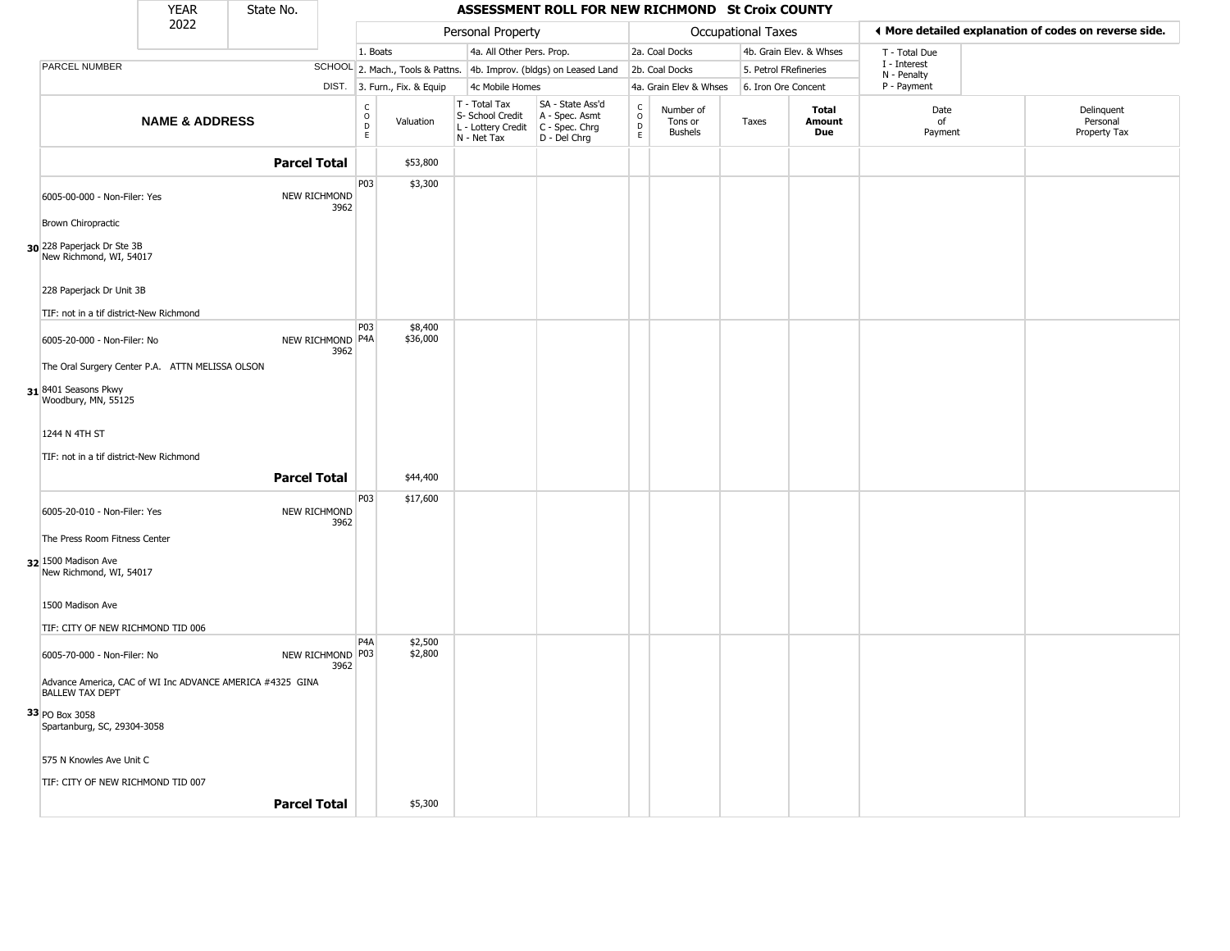|                                                                                     | <b>YEAR</b>               | State No.           |                          |                                                                    |                              |                                                                                         | ASSESSMENT ROLL FOR NEW RICHMOND St Croix COUNTY                    |                                                |                                        |                           |                         |                             |                                                       |
|-------------------------------------------------------------------------------------|---------------------------|---------------------|--------------------------|--------------------------------------------------------------------|------------------------------|-----------------------------------------------------------------------------------------|---------------------------------------------------------------------|------------------------------------------------|----------------------------------------|---------------------------|-------------------------|-----------------------------|-------------------------------------------------------|
|                                                                                     | 2022                      |                     |                          |                                                                    |                              | Personal Property                                                                       |                                                                     |                                                |                                        | <b>Occupational Taxes</b> |                         |                             | ◀ More detailed explanation of codes on reverse side. |
|                                                                                     |                           |                     |                          | 1. Boats                                                           |                              | 4a. All Other Pers. Prop.                                                               |                                                                     |                                                | 2a. Coal Docks                         |                           | 4b. Grain Elev. & Whses | T - Total Due               |                                                       |
| PARCEL NUMBER                                                                       |                           |                     |                          |                                                                    |                              |                                                                                         | SCHOOL 2. Mach., Tools & Pattns. 4b. Improv. (bldgs) on Leased Land |                                                | 2b. Coal Docks                         | 5. Petrol FRefineries     |                         | I - Interest<br>N - Penalty |                                                       |
|                                                                                     |                           |                     |                          |                                                                    | DIST. 3. Furn., Fix. & Equip | 4c Mobile Homes                                                                         |                                                                     |                                                | 4a. Grain Elev & Whses                 | 6. Iron Ore Concent       |                         | P - Payment                 |                                                       |
|                                                                                     | <b>NAME &amp; ADDRESS</b> |                     |                          | $\begin{smallmatrix} C \\ O \\ D \end{smallmatrix}$<br>$\mathsf E$ | Valuation                    | T - Total Tax<br>S- School Credit<br>L - Lottery Credit   C - Spec. Chrg<br>N - Net Tax | SA - State Ass'd<br>A - Spec. Asmt<br>D - Del Chrg                  | $\begin{matrix} 0 \\ 0 \\ D \end{matrix}$<br>E | Number of<br>Tons or<br><b>Bushels</b> | Taxes                     | Total<br>Amount<br>Due  | Date<br>of<br>Payment       | Delinquent<br>Personal<br>Property Tax                |
|                                                                                     |                           | <b>Parcel Total</b> |                          |                                                                    | \$53,800                     |                                                                                         |                                                                     |                                                |                                        |                           |                         |                             |                                                       |
| 6005-00-000 - Non-Filer: Yes                                                        |                           |                     | NEW RICHMOND<br>3962     | P03                                                                | \$3,300                      |                                                                                         |                                                                     |                                                |                                        |                           |                         |                             |                                                       |
| <b>Brown Chiropractic</b>                                                           |                           |                     |                          |                                                                    |                              |                                                                                         |                                                                     |                                                |                                        |                           |                         |                             |                                                       |
| 30 228 Paperjack Dr Ste 3B<br>New Richmond, WI, 54017                               |                           |                     |                          |                                                                    |                              |                                                                                         |                                                                     |                                                |                                        |                           |                         |                             |                                                       |
| 228 Paperjack Dr Unit 3B                                                            |                           |                     |                          |                                                                    |                              |                                                                                         |                                                                     |                                                |                                        |                           |                         |                             |                                                       |
| TIF: not in a tif district-New Richmond                                             |                           |                     |                          | <b>P03</b>                                                         | \$8,400                      |                                                                                         |                                                                     |                                                |                                        |                           |                         |                             |                                                       |
| 6005-20-000 - Non-Filer: No                                                         |                           |                     | NEW RICHMOND P4A<br>3962 |                                                                    | \$36,000                     |                                                                                         |                                                                     |                                                |                                        |                           |                         |                             |                                                       |
| The Oral Surgery Center P.A. ATTN MELISSA OLSON                                     |                           |                     |                          |                                                                    |                              |                                                                                         |                                                                     |                                                |                                        |                           |                         |                             |                                                       |
| 31 8401 Seasons Pkwy<br>Woodbury, MN, 55125                                         |                           |                     |                          |                                                                    |                              |                                                                                         |                                                                     |                                                |                                        |                           |                         |                             |                                                       |
| 1244 N 4TH ST                                                                       |                           |                     |                          |                                                                    |                              |                                                                                         |                                                                     |                                                |                                        |                           |                         |                             |                                                       |
| TIF: not in a tif district-New Richmond                                             |                           |                     |                          |                                                                    |                              |                                                                                         |                                                                     |                                                |                                        |                           |                         |                             |                                                       |
|                                                                                     |                           | <b>Parcel Total</b> |                          |                                                                    | \$44,400                     |                                                                                         |                                                                     |                                                |                                        |                           |                         |                             |                                                       |
| 6005-20-010 - Non-Filer: Yes                                                        |                           |                     | NEW RICHMOND<br>3962     | P03                                                                | \$17,600                     |                                                                                         |                                                                     |                                                |                                        |                           |                         |                             |                                                       |
| The Press Room Fitness Center                                                       |                           |                     |                          |                                                                    |                              |                                                                                         |                                                                     |                                                |                                        |                           |                         |                             |                                                       |
| 32 1500 Madison Ave<br>New Richmond, WI, 54017                                      |                           |                     |                          |                                                                    |                              |                                                                                         |                                                                     |                                                |                                        |                           |                         |                             |                                                       |
| 1500 Madison Ave                                                                    |                           |                     |                          |                                                                    |                              |                                                                                         |                                                                     |                                                |                                        |                           |                         |                             |                                                       |
| TIF: CITY OF NEW RICHMOND TID 006                                                   |                           |                     |                          |                                                                    |                              |                                                                                         |                                                                     |                                                |                                        |                           |                         |                             |                                                       |
| 6005-70-000 - Non-Filer: No                                                         |                           |                     | NEW RICHMOND P03<br>3962 | P <sub>4</sub> A                                                   | \$2,500<br>\$2,800           |                                                                                         |                                                                     |                                                |                                        |                           |                         |                             |                                                       |
| Advance America, CAC of WI Inc ADVANCE AMERICA #4325 GINA<br><b>BALLEW TAX DEPT</b> |                           |                     |                          |                                                                    |                              |                                                                                         |                                                                     |                                                |                                        |                           |                         |                             |                                                       |
| 33 PO Box 3058<br>Spartanburg, SC, 29304-3058                                       |                           |                     |                          |                                                                    |                              |                                                                                         |                                                                     |                                                |                                        |                           |                         |                             |                                                       |
| 575 N Knowles Ave Unit C                                                            |                           |                     |                          |                                                                    |                              |                                                                                         |                                                                     |                                                |                                        |                           |                         |                             |                                                       |
| TIF: CITY OF NEW RICHMOND TID 007                                                   |                           |                     |                          |                                                                    |                              |                                                                                         |                                                                     |                                                |                                        |                           |                         |                             |                                                       |
|                                                                                     |                           | <b>Parcel Total</b> |                          |                                                                    | \$5,300                      |                                                                                         |                                                                     |                                                |                                        |                           |                         |                             |                                                       |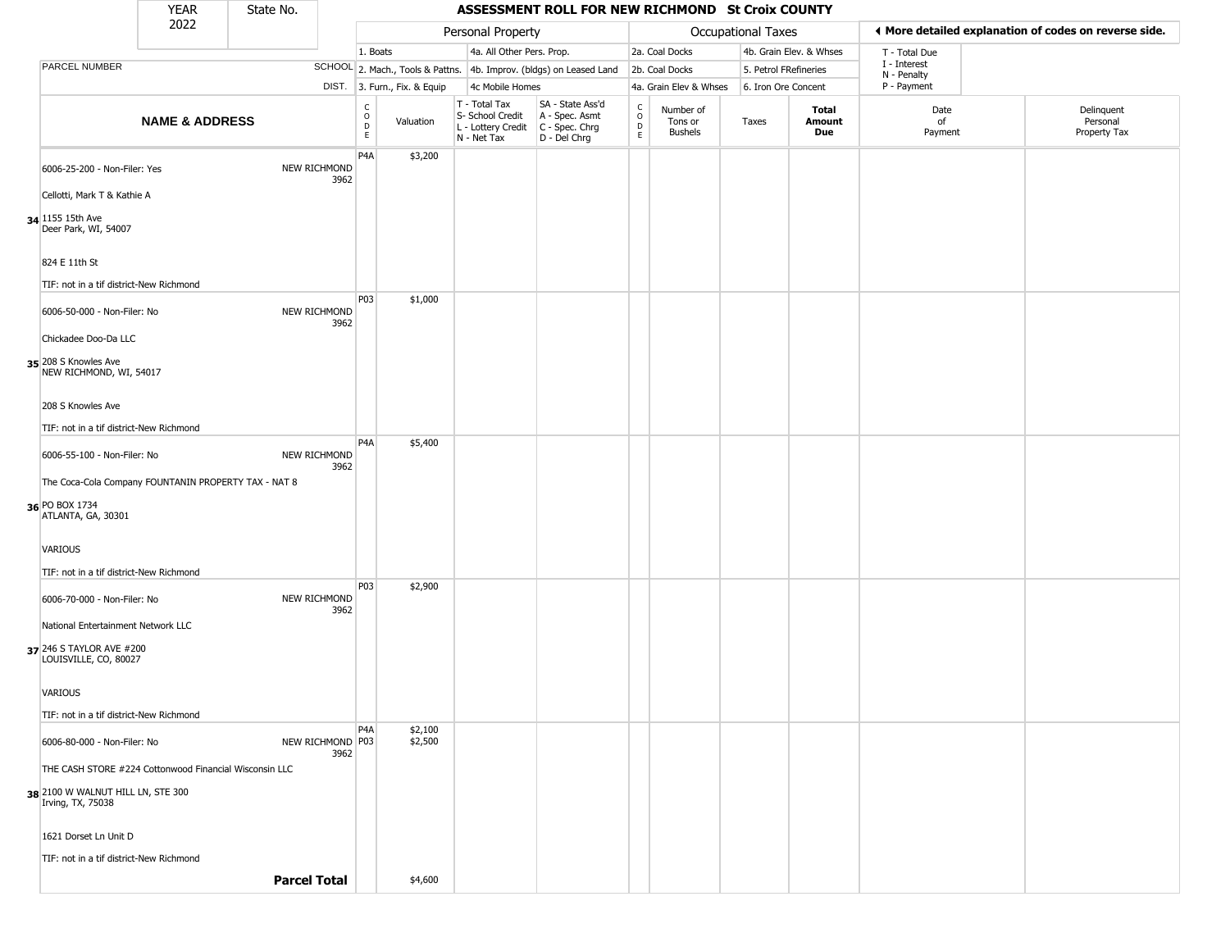|                                                        | <b>YEAR</b>               | State No.           |                          |                         |                              |                                                                        | ASSESSMENT ROLL FOR NEW RICHMOND St Croix COUNTY                       |                                |                                        |                    |                         |                             |                                                       |
|--------------------------------------------------------|---------------------------|---------------------|--------------------------|-------------------------|------------------------------|------------------------------------------------------------------------|------------------------------------------------------------------------|--------------------------------|----------------------------------------|--------------------|-------------------------|-----------------------------|-------------------------------------------------------|
|                                                        | 2022                      |                     |                          |                         |                              | Personal Property                                                      |                                                                        |                                |                                        | Occupational Taxes |                         |                             | I More detailed explanation of codes on reverse side. |
|                                                        |                           |                     |                          | 1. Boats                |                              | 4a. All Other Pers. Prop.                                              |                                                                        |                                | 2a. Coal Docks                         |                    | 4b. Grain Elev. & Whses | T - Total Due               |                                                       |
| PARCEL NUMBER                                          |                           |                     |                          |                         |                              |                                                                        | SCHOOL 2. Mach., Tools & Pattns. 4b. Improv. (bldgs) on Leased Land    |                                | 2b. Coal Docks                         |                    | 5. Petrol FRefineries   | I - Interest<br>N - Penalty |                                                       |
|                                                        |                           |                     |                          |                         | DIST. 3. Furn., Fix. & Equip | 4c Mobile Homes                                                        |                                                                        |                                | 4a. Grain Elev & Whses                 |                    | 6. Iron Ore Concent     | P - Payment                 |                                                       |
|                                                        | <b>NAME &amp; ADDRESS</b> |                     |                          | C<br>$\circ$<br>D<br>E. | Valuation                    | T - Total Tax<br>S- School Credit<br>L - Lottery Credit<br>N - Net Tax | SA - State Ass'd<br>A - Spec. Asmt<br>$C - Spec. Chrg$<br>D - Del Chrg | $\frac{c}{0}$<br>$\frac{D}{E}$ | Number of<br>Tons or<br><b>Bushels</b> | Taxes              | Total<br>Amount<br>Due  | Date<br>of<br>Payment       | Delinquent<br>Personal<br>Property Tax                |
| 6006-25-200 - Non-Filer: Yes                           |                           |                     | NEW RICHMOND<br>3962     | P4A                     | \$3,200                      |                                                                        |                                                                        |                                |                                        |                    |                         |                             |                                                       |
| Cellotti, Mark T & Kathie A                            |                           |                     |                          |                         |                              |                                                                        |                                                                        |                                |                                        |                    |                         |                             |                                                       |
| 34 1155 15th Ave<br>Deer Park, WI, 54007               |                           |                     |                          |                         |                              |                                                                        |                                                                        |                                |                                        |                    |                         |                             |                                                       |
| 824 E 11th St                                          |                           |                     |                          |                         |                              |                                                                        |                                                                        |                                |                                        |                    |                         |                             |                                                       |
| TIF: not in a tif district-New Richmond                |                           |                     |                          |                         |                              |                                                                        |                                                                        |                                |                                        |                    |                         |                             |                                                       |
| 6006-50-000 - Non-Filer: No                            |                           |                     | NEW RICHMOND<br>3962     | P03                     | \$1,000                      |                                                                        |                                                                        |                                |                                        |                    |                         |                             |                                                       |
| Chickadee Doo-Da LLC                                   |                           |                     |                          |                         |                              |                                                                        |                                                                        |                                |                                        |                    |                         |                             |                                                       |
| 35 208 S Knowles Ave<br>NEW RICHMOND, WI, 54017        |                           |                     |                          |                         |                              |                                                                        |                                                                        |                                |                                        |                    |                         |                             |                                                       |
| 208 S Knowles Ave                                      |                           |                     |                          |                         |                              |                                                                        |                                                                        |                                |                                        |                    |                         |                             |                                                       |
| TIF: not in a tif district-New Richmond                |                           |                     |                          |                         |                              |                                                                        |                                                                        |                                |                                        |                    |                         |                             |                                                       |
| 6006-55-100 - Non-Filer: No                            |                           |                     | NEW RICHMOND<br>3962     | P4A                     | \$5,400                      |                                                                        |                                                                        |                                |                                        |                    |                         |                             |                                                       |
| The Coca-Cola Company FOUNTANIN PROPERTY TAX - NAT 8   |                           |                     |                          |                         |                              |                                                                        |                                                                        |                                |                                        |                    |                         |                             |                                                       |
| 36 PO BOX 1734<br>ATLANTA, GA, 30301                   |                           |                     |                          |                         |                              |                                                                        |                                                                        |                                |                                        |                    |                         |                             |                                                       |
| <b>VARIOUS</b>                                         |                           |                     |                          |                         |                              |                                                                        |                                                                        |                                |                                        |                    |                         |                             |                                                       |
| TIF: not in a tif district-New Richmond                |                           |                     |                          |                         |                              |                                                                        |                                                                        |                                |                                        |                    |                         |                             |                                                       |
| 6006-70-000 - Non-Filer: No                            |                           |                     | NEW RICHMOND<br>3962     | P03                     | \$2,900                      |                                                                        |                                                                        |                                |                                        |                    |                         |                             |                                                       |
| National Entertainment Network LLC                     |                           |                     |                          |                         |                              |                                                                        |                                                                        |                                |                                        |                    |                         |                             |                                                       |
| 37 246 S TAYLOR AVE #200<br>LOUISVILLE, CO, 80027      |                           |                     |                          |                         |                              |                                                                        |                                                                        |                                |                                        |                    |                         |                             |                                                       |
| <b>VARIOUS</b>                                         |                           |                     |                          |                         |                              |                                                                        |                                                                        |                                |                                        |                    |                         |                             |                                                       |
| TIF: not in a tif district-New Richmond                |                           |                     |                          |                         |                              |                                                                        |                                                                        |                                |                                        |                    |                         |                             |                                                       |
| 6006-80-000 - Non-Filer: No                            |                           |                     | NEW RICHMOND P03<br>3962 | P <sub>4</sub> A        | \$2,100<br>\$2,500           |                                                                        |                                                                        |                                |                                        |                    |                         |                             |                                                       |
| THE CASH STORE #224 Cottonwood Financial Wisconsin LLC |                           |                     |                          |                         |                              |                                                                        |                                                                        |                                |                                        |                    |                         |                             |                                                       |
| 38 2100 W WALNUT HILL LN, STE 300<br>Irving, TX, 75038 |                           |                     |                          |                         |                              |                                                                        |                                                                        |                                |                                        |                    |                         |                             |                                                       |
| 1621 Dorset Ln Unit D                                  |                           |                     |                          |                         |                              |                                                                        |                                                                        |                                |                                        |                    |                         |                             |                                                       |
| TIF: not in a tif district-New Richmond                |                           |                     |                          |                         |                              |                                                                        |                                                                        |                                |                                        |                    |                         |                             |                                                       |
|                                                        |                           | <b>Parcel Total</b> |                          |                         | \$4,600                      |                                                                        |                                                                        |                                |                                        |                    |                         |                             |                                                       |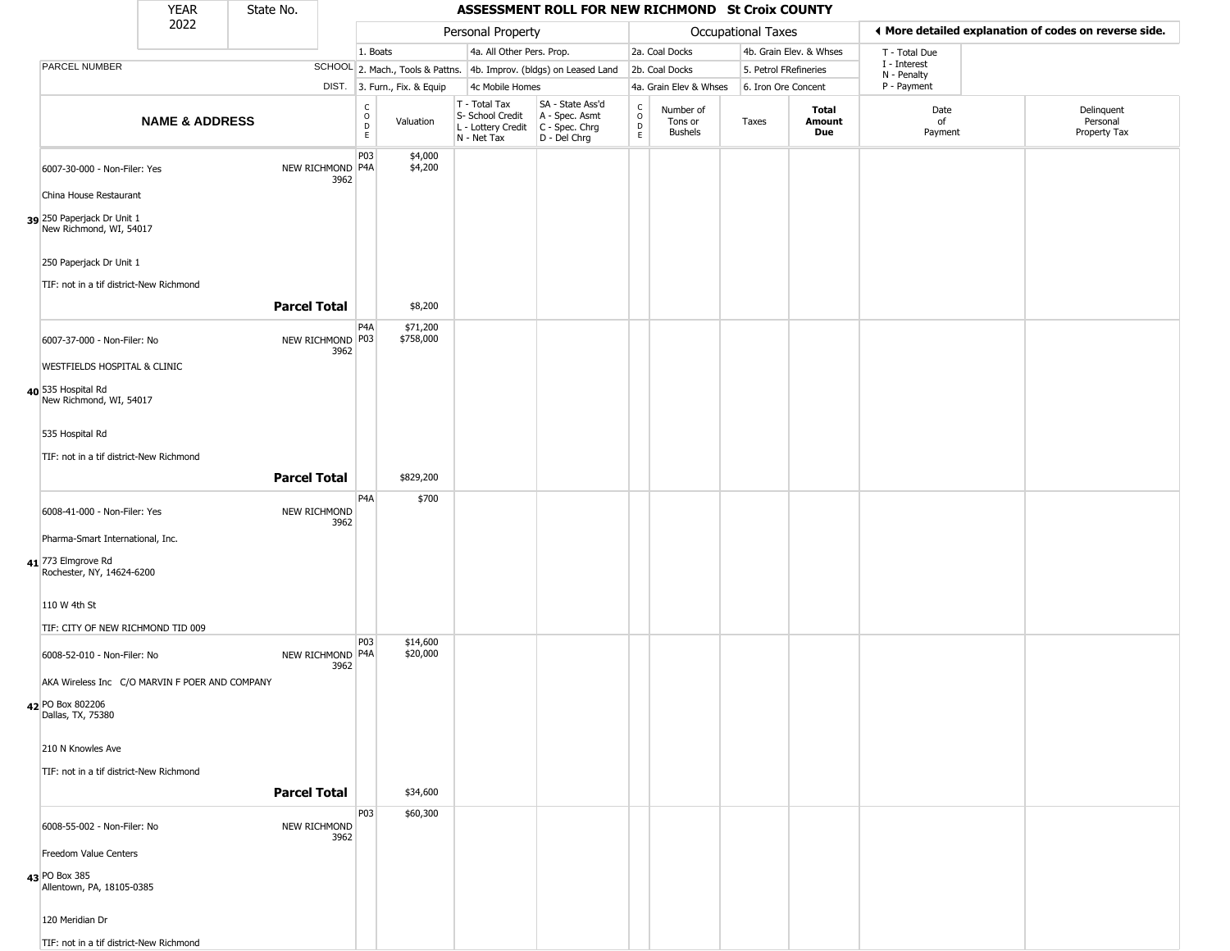|                                                                    | YEAR                      | State No.           |                          |                                             |                              |                                                                                       | ASSESSMENT ROLL FOR NEW RICHMOND St Croix COUNTY                    |                         |                                        |                       |                         |                             |                                                       |
|--------------------------------------------------------------------|---------------------------|---------------------|--------------------------|---------------------------------------------|------------------------------|---------------------------------------------------------------------------------------|---------------------------------------------------------------------|-------------------------|----------------------------------------|-----------------------|-------------------------|-----------------------------|-------------------------------------------------------|
|                                                                    | 2022                      |                     |                          |                                             |                              | Personal Property                                                                     |                                                                     |                         |                                        | Occupational Taxes    |                         |                             | ♦ More detailed explanation of codes on reverse side. |
|                                                                    |                           |                     |                          | 1. Boats                                    |                              | 4a. All Other Pers. Prop.                                                             |                                                                     |                         | 2a. Coal Docks                         |                       | 4b. Grain Elev. & Whses | T - Total Due               |                                                       |
| <b>PARCEL NUMBER</b>                                               |                           |                     |                          |                                             |                              |                                                                                       | SCHOOL 2. Mach., Tools & Pattns. 4b. Improv. (bldgs) on Leased Land |                         | 2b. Coal Docks                         | 5. Petrol FRefineries |                         | I - Interest<br>N - Penalty |                                                       |
|                                                                    |                           |                     |                          |                                             | DIST. 3. Furn., Fix. & Equip | 4c Mobile Homes                                                                       |                                                                     |                         | 4a. Grain Elev & Whses                 | 6. Iron Ore Concent   |                         | P - Payment                 |                                                       |
|                                                                    | <b>NAME &amp; ADDRESS</b> |                     |                          | $\frac{c}{0}$<br>$\mathsf D$<br>$\mathsf E$ | Valuation                    | T - Total Tax<br>S- School Credit<br>L - Lottery Credit C - Spec. Chrg<br>N - Net Tax | SA - State Ass'd<br>A - Spec. Asmt<br>D - Del Chrg                  | $\frac{c}{0}$<br>D<br>E | Number of<br>Tons or<br><b>Bushels</b> | Taxes                 | Total<br>Amount<br>Due  | Date<br>of<br>Payment       | Delinquent<br>Personal<br>Property Tax                |
| 6007-30-000 - Non-Filer: Yes                                       |                           |                     | NEW RICHMOND P4A<br>3962 | P03                                         | \$4,000<br>\$4,200           |                                                                                       |                                                                     |                         |                                        |                       |                         |                             |                                                       |
| China House Restaurant                                             |                           |                     |                          |                                             |                              |                                                                                       |                                                                     |                         |                                        |                       |                         |                             |                                                       |
| 39 250 Paperjack Dr Unit 1<br>New Richmond, WI, 54017              |                           |                     |                          |                                             |                              |                                                                                       |                                                                     |                         |                                        |                       |                         |                             |                                                       |
| 250 Paperjack Dr Unit 1<br>TIF: not in a tif district-New Richmond |                           |                     |                          |                                             |                              |                                                                                       |                                                                     |                         |                                        |                       |                         |                             |                                                       |
|                                                                    |                           | <b>Parcel Total</b> |                          |                                             | \$8,200                      |                                                                                       |                                                                     |                         |                                        |                       |                         |                             |                                                       |
| 6007-37-000 - Non-Filer: No                                        |                           |                     | NEW RICHMOND P03<br>3962 | P <sub>4</sub> A                            | \$71,200<br>\$758,000        |                                                                                       |                                                                     |                         |                                        |                       |                         |                             |                                                       |
| <b>WESTFIELDS HOSPITAL &amp; CLINIC</b>                            |                           |                     |                          |                                             |                              |                                                                                       |                                                                     |                         |                                        |                       |                         |                             |                                                       |
| 40 535 Hospital Rd<br>New Richmond, WI, 54017                      |                           |                     |                          |                                             |                              |                                                                                       |                                                                     |                         |                                        |                       |                         |                             |                                                       |
| 535 Hospital Rd                                                    |                           |                     |                          |                                             |                              |                                                                                       |                                                                     |                         |                                        |                       |                         |                             |                                                       |
| TIF: not in a tif district-New Richmond                            |                           |                     |                          |                                             |                              |                                                                                       |                                                                     |                         |                                        |                       |                         |                             |                                                       |
|                                                                    |                           | <b>Parcel Total</b> |                          |                                             | \$829,200                    |                                                                                       |                                                                     |                         |                                        |                       |                         |                             |                                                       |
|                                                                    |                           |                     |                          | P <sub>4</sub> A                            | \$700                        |                                                                                       |                                                                     |                         |                                        |                       |                         |                             |                                                       |
| 6008-41-000 - Non-Filer: Yes                                       |                           |                     | NEW RICHMOND<br>3962     |                                             |                              |                                                                                       |                                                                     |                         |                                        |                       |                         |                             |                                                       |
| Pharma-Smart International, Inc.                                   |                           |                     |                          |                                             |                              |                                                                                       |                                                                     |                         |                                        |                       |                         |                             |                                                       |
| 41 773 Elmgrove Rd<br>Rochester, NY, 14624-6200                    |                           |                     |                          |                                             |                              |                                                                                       |                                                                     |                         |                                        |                       |                         |                             |                                                       |
| 110 W 4th St                                                       |                           |                     |                          |                                             |                              |                                                                                       |                                                                     |                         |                                        |                       |                         |                             |                                                       |
| TIF: CITY OF NEW RICHMOND TID 009                                  |                           |                     |                          |                                             |                              |                                                                                       |                                                                     |                         |                                        |                       |                         |                             |                                                       |
| 6008-52-010 - Non-Filer: No                                        |                           |                     | NEW RICHMOND P4A<br>3962 | P03                                         | \$14,600<br>\$20,000         |                                                                                       |                                                                     |                         |                                        |                       |                         |                             |                                                       |
| AKA Wireless Inc C/O MARVIN F POER AND COMPANY                     |                           |                     |                          |                                             |                              |                                                                                       |                                                                     |                         |                                        |                       |                         |                             |                                                       |
| 42 PO Box 802206<br>Dallas, TX, 75380                              |                           |                     |                          |                                             |                              |                                                                                       |                                                                     |                         |                                        |                       |                         |                             |                                                       |
| 210 N Knowles Ave                                                  |                           |                     |                          |                                             |                              |                                                                                       |                                                                     |                         |                                        |                       |                         |                             |                                                       |
| TIF: not in a tif district-New Richmond                            |                           |                     |                          |                                             |                              |                                                                                       |                                                                     |                         |                                        |                       |                         |                             |                                                       |
|                                                                    |                           | <b>Parcel Total</b> |                          |                                             | \$34,600                     |                                                                                       |                                                                     |                         |                                        |                       |                         |                             |                                                       |
| 6008-55-002 - Non-Filer: No                                        |                           |                     | NEW RICHMOND<br>3962     | P03                                         | \$60,300                     |                                                                                       |                                                                     |                         |                                        |                       |                         |                             |                                                       |
| Freedom Value Centers                                              |                           |                     |                          |                                             |                              |                                                                                       |                                                                     |                         |                                        |                       |                         |                             |                                                       |
| 43 PO Box 385<br>Allentown, PA, 18105-0385                         |                           |                     |                          |                                             |                              |                                                                                       |                                                                     |                         |                                        |                       |                         |                             |                                                       |
| 120 Meridian Dr                                                    |                           |                     |                          |                                             |                              |                                                                                       |                                                                     |                         |                                        |                       |                         |                             |                                                       |
| TIF: not in a tif district-New Richmond                            |                           |                     |                          |                                             |                              |                                                                                       |                                                                     |                         |                                        |                       |                         |                             |                                                       |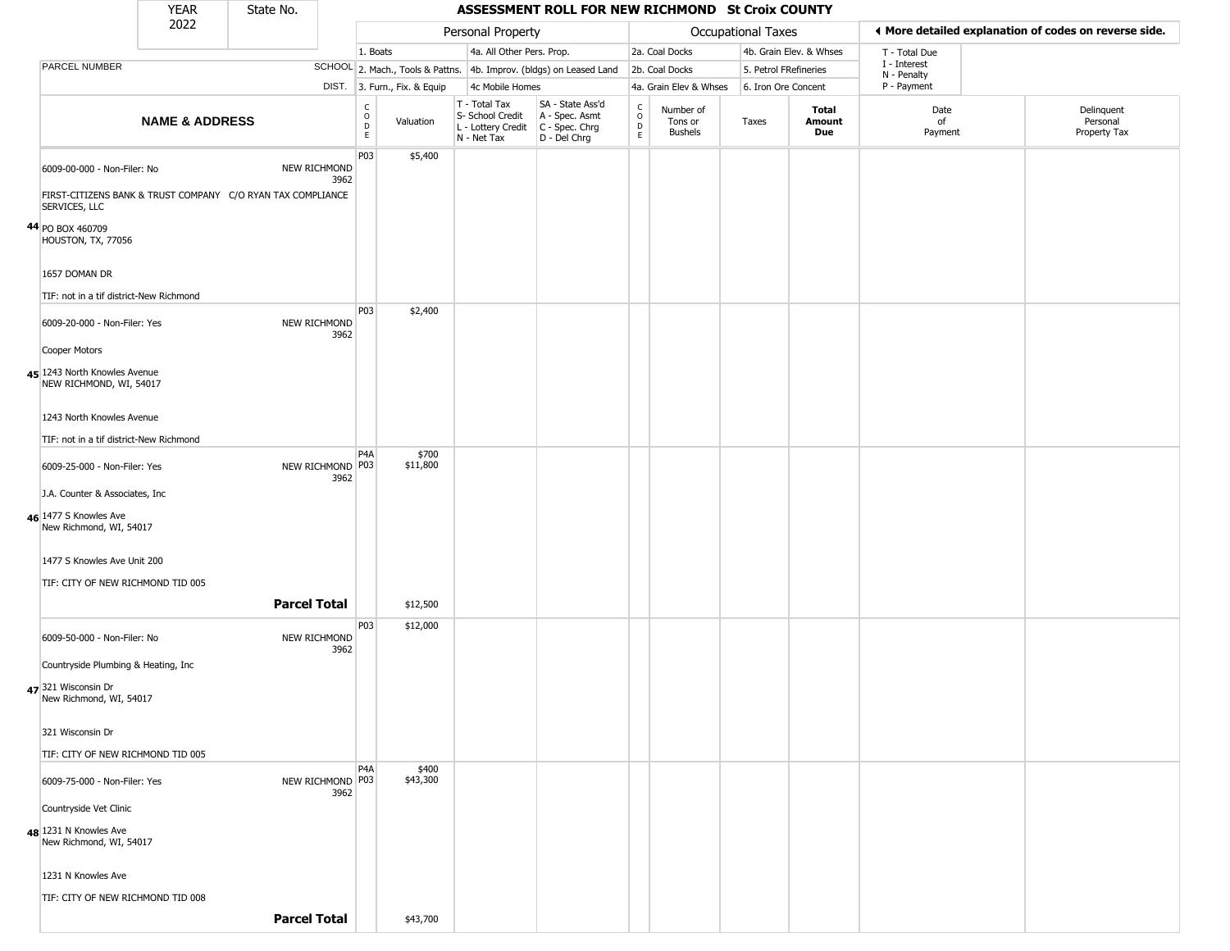|                                                                                                             | <b>YEAR</b>               | State No.           |                             |                                        |                              |                                                                        | ASSESSMENT ROLL FOR NEW RICHMOND St Croix COUNTY                     |                  |                                        |                       |                         |                             |                                                       |
|-------------------------------------------------------------------------------------------------------------|---------------------------|---------------------|-----------------------------|----------------------------------------|------------------------------|------------------------------------------------------------------------|----------------------------------------------------------------------|------------------|----------------------------------------|-----------------------|-------------------------|-----------------------------|-------------------------------------------------------|
|                                                                                                             | 2022                      |                     |                             |                                        |                              | Personal Property                                                      |                                                                      |                  |                                        | Occupational Taxes    |                         |                             | ♦ More detailed explanation of codes on reverse side. |
|                                                                                                             |                           |                     |                             | 1. Boats                               |                              | 4a. All Other Pers. Prop.                                              |                                                                      |                  | 2a. Coal Docks                         |                       | 4b. Grain Elev. & Whses | T - Total Due               |                                                       |
| PARCEL NUMBER                                                                                               |                           |                     |                             |                                        |                              |                                                                        | SCHOOL 2. Mach., Tools & Pattns. 4b. Improv. (bldgs) on Leased Land  |                  | 2b. Coal Docks                         | 5. Petrol FRefineries |                         | I - Interest<br>N - Penalty |                                                       |
|                                                                                                             |                           |                     |                             |                                        | DIST. 3. Furn., Fix. & Equip | 4c Mobile Homes                                                        |                                                                      |                  | 4a. Grain Elev & Whses                 | 6. Iron Ore Concent   |                         | P - Payment                 |                                                       |
|                                                                                                             | <b>NAME &amp; ADDRESS</b> |                     |                             | $_{\rm o}^{\rm c}$<br>D<br>$\mathsf E$ | Valuation                    | T - Total Tax<br>S- School Credit<br>L - Lottery Credit<br>N - Net Tax | SA - State Ass'd<br>A - Spec. Asmt<br>C - Spec. Chrg<br>D - Del Chrg | C<br>D<br>D<br>E | Number of<br>Tons or<br><b>Bushels</b> | Taxes                 | Total<br>Amount<br>Due  | Date<br>of<br>Payment       | Delinquent<br>Personal<br>Property Tax                |
| 6009-00-000 - Non-Filer: No<br>FIRST-CITIZENS BANK & TRUST COMPANY C/O RYAN TAX COMPLIANCE<br>SERVICES, LLC |                           |                     | NEW RICHMOND<br>3962        | P03                                    | \$5,400                      |                                                                        |                                                                      |                  |                                        |                       |                         |                             |                                                       |
| 44 PO BOX 460709<br>HOUSTON, TX, 77056                                                                      |                           |                     |                             |                                        |                              |                                                                        |                                                                      |                  |                                        |                       |                         |                             |                                                       |
| 1657 DOMAN DR                                                                                               |                           |                     |                             |                                        |                              |                                                                        |                                                                      |                  |                                        |                       |                         |                             |                                                       |
| TIF: not in a tif district-New Richmond                                                                     |                           |                     |                             | P03                                    | \$2,400                      |                                                                        |                                                                      |                  |                                        |                       |                         |                             |                                                       |
| 6009-20-000 - Non-Filer: Yes                                                                                |                           |                     | <b>NEW RICHMOND</b><br>3962 |                                        |                              |                                                                        |                                                                      |                  |                                        |                       |                         |                             |                                                       |
| Cooper Motors                                                                                               |                           |                     |                             |                                        |                              |                                                                        |                                                                      |                  |                                        |                       |                         |                             |                                                       |
| 45 1243 North Knowles Avenue<br>NEW RICHMOND, WI, 54017                                                     |                           |                     |                             |                                        |                              |                                                                        |                                                                      |                  |                                        |                       |                         |                             |                                                       |
| 1243 North Knowles Avenue                                                                                   |                           |                     |                             |                                        |                              |                                                                        |                                                                      |                  |                                        |                       |                         |                             |                                                       |
| TIF: not in a tif district-New Richmond                                                                     |                           |                     |                             | P <sub>4</sub> A                       | \$700                        |                                                                        |                                                                      |                  |                                        |                       |                         |                             |                                                       |
| 6009-25-000 - Non-Filer: Yes                                                                                |                           |                     | NEW RICHMOND P03<br>3962    |                                        | \$11,800                     |                                                                        |                                                                      |                  |                                        |                       |                         |                             |                                                       |
| J.A. Counter & Associates, Inc.                                                                             |                           |                     |                             |                                        |                              |                                                                        |                                                                      |                  |                                        |                       |                         |                             |                                                       |
| 46 1477 S Knowles Ave<br>New Richmond, WI, 54017                                                            |                           |                     |                             |                                        |                              |                                                                        |                                                                      |                  |                                        |                       |                         |                             |                                                       |
| 1477 S Knowles Ave Unit 200                                                                                 |                           |                     |                             |                                        |                              |                                                                        |                                                                      |                  |                                        |                       |                         |                             |                                                       |
| TIF: CITY OF NEW RICHMOND TID 005                                                                           |                           |                     |                             |                                        |                              |                                                                        |                                                                      |                  |                                        |                       |                         |                             |                                                       |
|                                                                                                             |                           | <b>Parcel Total</b> |                             |                                        | \$12,500                     |                                                                        |                                                                      |                  |                                        |                       |                         |                             |                                                       |
| 6009-50-000 - Non-Filer: No                                                                                 |                           |                     | NEW RICHMOND<br>3962        | P03                                    | \$12,000                     |                                                                        |                                                                      |                  |                                        |                       |                         |                             |                                                       |
| Countryside Plumbing & Heating, Inc.                                                                        |                           |                     |                             |                                        |                              |                                                                        |                                                                      |                  |                                        |                       |                         |                             |                                                       |
| 47 321 Wisconsin Dr<br>New Richmond, WI, 54017                                                              |                           |                     |                             |                                        |                              |                                                                        |                                                                      |                  |                                        |                       |                         |                             |                                                       |
| 321 Wisconsin Dr                                                                                            |                           |                     |                             |                                        |                              |                                                                        |                                                                      |                  |                                        |                       |                         |                             |                                                       |
| TIF: CITY OF NEW RICHMOND TID 005                                                                           |                           |                     |                             |                                        |                              |                                                                        |                                                                      |                  |                                        |                       |                         |                             |                                                       |
| 6009-75-000 - Non-Filer: Yes                                                                                |                           |                     | NEW RICHMOND P03<br>3962    | P <sub>4</sub> A                       | \$400<br>\$43,300            |                                                                        |                                                                      |                  |                                        |                       |                         |                             |                                                       |
| Countryside Vet Clinic                                                                                      |                           |                     |                             |                                        |                              |                                                                        |                                                                      |                  |                                        |                       |                         |                             |                                                       |
| 48 1231 N Knowles Ave<br>New Richmond, WI, 54017                                                            |                           |                     |                             |                                        |                              |                                                                        |                                                                      |                  |                                        |                       |                         |                             |                                                       |
| 1231 N Knowles Ave                                                                                          |                           |                     |                             |                                        |                              |                                                                        |                                                                      |                  |                                        |                       |                         |                             |                                                       |
| TIF: CITY OF NEW RICHMOND TID 008                                                                           |                           |                     |                             |                                        |                              |                                                                        |                                                                      |                  |                                        |                       |                         |                             |                                                       |
|                                                                                                             |                           | <b>Parcel Total</b> |                             |                                        | \$43,700                     |                                                                        |                                                                      |                  |                                        |                       |                         |                             |                                                       |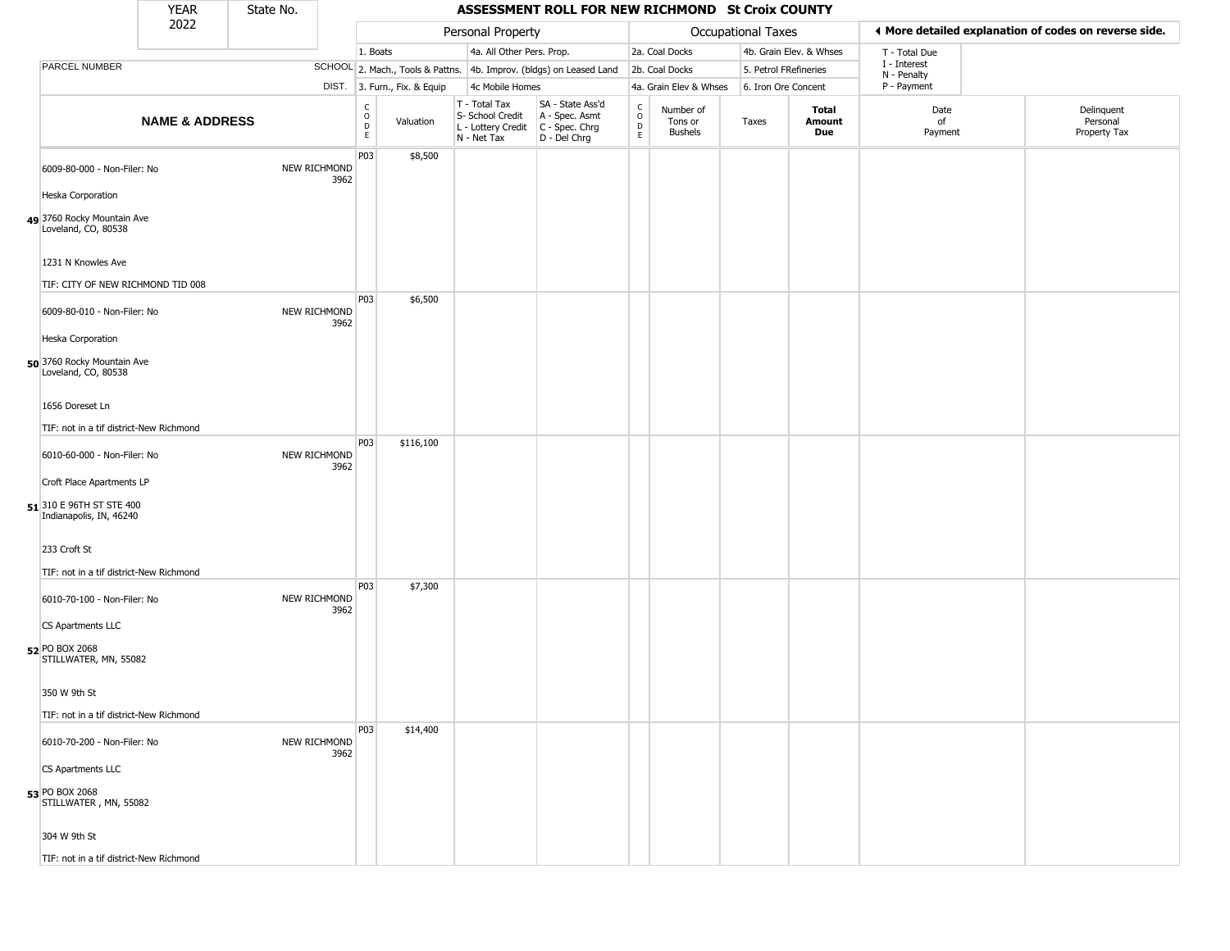| 2022<br>♦ More detailed explanation of codes on reverse side.<br>Personal Property<br>Occupational Taxes<br>4a. All Other Pers. Prop.<br>2a. Coal Docks<br>4b. Grain Elev. & Whses<br>1. Boats<br>T - Total Due<br>I - Interest<br>PARCEL NUMBER<br>SCHOOL 2. Mach., Tools & Pattns. 4b. Improv. (bldgs) on Leased Land<br>2b. Coal Docks<br>5. Petrol FRefineries<br>N - Penalty<br>P - Payment<br>DIST. 3. Furn., Fix. & Equip<br>4c Mobile Homes<br>4a. Grain Elev & Whses<br>6. Iron Ore Concent<br>T - Total Tax<br>SA - State Ass'd<br>$\rm _o^C$<br>$\begin{matrix} 0 \\ 0 \\ D \end{matrix}$<br>Delinquent<br>Total<br>Date<br>Number of<br>S- School Credit<br>A - Spec. Asmt<br><b>NAME &amp; ADDRESS</b><br>Personal<br>Valuation<br>Amount<br>of<br>Tons or<br>Taxes<br>$\mathsf D$<br>L - Lottery Credit<br>$C - Spec. Chrg$<br>Property Tax<br><b>Bushels</b><br>Due<br>Payment<br>$\mathsf E$<br>E<br>D - Del Chrg<br>N - Net Tax<br>P03<br>\$8,500<br>NEW RICHMOND<br>6009-80-000 - Non-Filer: No<br>3962<br>Heska Corporation<br>49 3760 Rocky Mountain Ave<br>Loveland, CO, 80538<br>1231 N Knowles Ave<br>TIF: CITY OF NEW RICHMOND TID 008<br>P03<br>\$6,500<br>6009-80-010 - Non-Filer: No<br>NEW RICHMOND<br>3962<br>Heska Corporation<br>50 3760 Rocky Mountain Ave<br>Loveland, CO, 80538<br>1656 Doreset Ln<br>TIF: not in a tif district-New Richmond<br>P03<br>\$116,100<br>6010-60-000 - Non-Filer: No<br>NEW RICHMOND<br>3962<br>Croft Place Apartments LP<br>51 310 E 96TH ST STE 400<br>Indianapolis, IN, 46240<br>233 Croft St<br>TIF: not in a tif district-New Richmond<br>P03<br>\$7,300<br>NEW RICHMOND<br>6010-70-100 - Non-Filer: No<br>3962<br>CS Apartments LLC<br>52 PO BOX 2068<br>STILLWATER, MN, 55082<br>350 W 9th St<br>TIF: not in a tif district-New Richmond<br>P03<br>\$14,400<br>6010-70-200 - Non-Filer: No<br>NEW RICHMOND<br>3962<br>CS Apartments LLC<br><b>53 PO BOX 2068</b><br>STILLWATER, MN, 55082<br>304 W 9th St |  | <b>YEAR</b> | State No. |  |  | ASSESSMENT ROLL FOR NEW RICHMOND St Croix COUNTY |  |  |  |
|--------------------------------------------------------------------------------------------------------------------------------------------------------------------------------------------------------------------------------------------------------------------------------------------------------------------------------------------------------------------------------------------------------------------------------------------------------------------------------------------------------------------------------------------------------------------------------------------------------------------------------------------------------------------------------------------------------------------------------------------------------------------------------------------------------------------------------------------------------------------------------------------------------------------------------------------------------------------------------------------------------------------------------------------------------------------------------------------------------------------------------------------------------------------------------------------------------------------------------------------------------------------------------------------------------------------------------------------------------------------------------------------------------------------------------------------------------------------------------------------------------------------------------------------------------------------------------------------------------------------------------------------------------------------------------------------------------------------------------------------------------------------------------------------------------------------------------------------------------------------------------------------------------------------------------------------------------------------------------|--|-------------|-----------|--|--|--------------------------------------------------|--|--|--|
|                                                                                                                                                                                                                                                                                                                                                                                                                                                                                                                                                                                                                                                                                                                                                                                                                                                                                                                                                                                                                                                                                                                                                                                                                                                                                                                                                                                                                                                                                                                                                                                                                                                                                                                                                                                                                                                                                                                                                                                |  |             |           |  |  |                                                  |  |  |  |
|                                                                                                                                                                                                                                                                                                                                                                                                                                                                                                                                                                                                                                                                                                                                                                                                                                                                                                                                                                                                                                                                                                                                                                                                                                                                                                                                                                                                                                                                                                                                                                                                                                                                                                                                                                                                                                                                                                                                                                                |  |             |           |  |  |                                                  |  |  |  |
|                                                                                                                                                                                                                                                                                                                                                                                                                                                                                                                                                                                                                                                                                                                                                                                                                                                                                                                                                                                                                                                                                                                                                                                                                                                                                                                                                                                                                                                                                                                                                                                                                                                                                                                                                                                                                                                                                                                                                                                |  |             |           |  |  |                                                  |  |  |  |
|                                                                                                                                                                                                                                                                                                                                                                                                                                                                                                                                                                                                                                                                                                                                                                                                                                                                                                                                                                                                                                                                                                                                                                                                                                                                                                                                                                                                                                                                                                                                                                                                                                                                                                                                                                                                                                                                                                                                                                                |  |             |           |  |  |                                                  |  |  |  |
|                                                                                                                                                                                                                                                                                                                                                                                                                                                                                                                                                                                                                                                                                                                                                                                                                                                                                                                                                                                                                                                                                                                                                                                                                                                                                                                                                                                                                                                                                                                                                                                                                                                                                                                                                                                                                                                                                                                                                                                |  |             |           |  |  |                                                  |  |  |  |
|                                                                                                                                                                                                                                                                                                                                                                                                                                                                                                                                                                                                                                                                                                                                                                                                                                                                                                                                                                                                                                                                                                                                                                                                                                                                                                                                                                                                                                                                                                                                                                                                                                                                                                                                                                                                                                                                                                                                                                                |  |             |           |  |  |                                                  |  |  |  |
|                                                                                                                                                                                                                                                                                                                                                                                                                                                                                                                                                                                                                                                                                                                                                                                                                                                                                                                                                                                                                                                                                                                                                                                                                                                                                                                                                                                                                                                                                                                                                                                                                                                                                                                                                                                                                                                                                                                                                                                |  |             |           |  |  |                                                  |  |  |  |
|                                                                                                                                                                                                                                                                                                                                                                                                                                                                                                                                                                                                                                                                                                                                                                                                                                                                                                                                                                                                                                                                                                                                                                                                                                                                                                                                                                                                                                                                                                                                                                                                                                                                                                                                                                                                                                                                                                                                                                                |  |             |           |  |  |                                                  |  |  |  |
|                                                                                                                                                                                                                                                                                                                                                                                                                                                                                                                                                                                                                                                                                                                                                                                                                                                                                                                                                                                                                                                                                                                                                                                                                                                                                                                                                                                                                                                                                                                                                                                                                                                                                                                                                                                                                                                                                                                                                                                |  |             |           |  |  |                                                  |  |  |  |
|                                                                                                                                                                                                                                                                                                                                                                                                                                                                                                                                                                                                                                                                                                                                                                                                                                                                                                                                                                                                                                                                                                                                                                                                                                                                                                                                                                                                                                                                                                                                                                                                                                                                                                                                                                                                                                                                                                                                                                                |  |             |           |  |  |                                                  |  |  |  |
|                                                                                                                                                                                                                                                                                                                                                                                                                                                                                                                                                                                                                                                                                                                                                                                                                                                                                                                                                                                                                                                                                                                                                                                                                                                                                                                                                                                                                                                                                                                                                                                                                                                                                                                                                                                                                                                                                                                                                                                |  |             |           |  |  |                                                  |  |  |  |
|                                                                                                                                                                                                                                                                                                                                                                                                                                                                                                                                                                                                                                                                                                                                                                                                                                                                                                                                                                                                                                                                                                                                                                                                                                                                                                                                                                                                                                                                                                                                                                                                                                                                                                                                                                                                                                                                                                                                                                                |  |             |           |  |  |                                                  |  |  |  |
|                                                                                                                                                                                                                                                                                                                                                                                                                                                                                                                                                                                                                                                                                                                                                                                                                                                                                                                                                                                                                                                                                                                                                                                                                                                                                                                                                                                                                                                                                                                                                                                                                                                                                                                                                                                                                                                                                                                                                                                |  |             |           |  |  |                                                  |  |  |  |
|                                                                                                                                                                                                                                                                                                                                                                                                                                                                                                                                                                                                                                                                                                                                                                                                                                                                                                                                                                                                                                                                                                                                                                                                                                                                                                                                                                                                                                                                                                                                                                                                                                                                                                                                                                                                                                                                                                                                                                                |  |             |           |  |  |                                                  |  |  |  |
|                                                                                                                                                                                                                                                                                                                                                                                                                                                                                                                                                                                                                                                                                                                                                                                                                                                                                                                                                                                                                                                                                                                                                                                                                                                                                                                                                                                                                                                                                                                                                                                                                                                                                                                                                                                                                                                                                                                                                                                |  |             |           |  |  |                                                  |  |  |  |
|                                                                                                                                                                                                                                                                                                                                                                                                                                                                                                                                                                                                                                                                                                                                                                                                                                                                                                                                                                                                                                                                                                                                                                                                                                                                                                                                                                                                                                                                                                                                                                                                                                                                                                                                                                                                                                                                                                                                                                                |  |             |           |  |  |                                                  |  |  |  |
|                                                                                                                                                                                                                                                                                                                                                                                                                                                                                                                                                                                                                                                                                                                                                                                                                                                                                                                                                                                                                                                                                                                                                                                                                                                                                                                                                                                                                                                                                                                                                                                                                                                                                                                                                                                                                                                                                                                                                                                |  |             |           |  |  |                                                  |  |  |  |
|                                                                                                                                                                                                                                                                                                                                                                                                                                                                                                                                                                                                                                                                                                                                                                                                                                                                                                                                                                                                                                                                                                                                                                                                                                                                                                                                                                                                                                                                                                                                                                                                                                                                                                                                                                                                                                                                                                                                                                                |  |             |           |  |  |                                                  |  |  |  |
|                                                                                                                                                                                                                                                                                                                                                                                                                                                                                                                                                                                                                                                                                                                                                                                                                                                                                                                                                                                                                                                                                                                                                                                                                                                                                                                                                                                                                                                                                                                                                                                                                                                                                                                                                                                                                                                                                                                                                                                |  |             |           |  |  |                                                  |  |  |  |
|                                                                                                                                                                                                                                                                                                                                                                                                                                                                                                                                                                                                                                                                                                                                                                                                                                                                                                                                                                                                                                                                                                                                                                                                                                                                                                                                                                                                                                                                                                                                                                                                                                                                                                                                                                                                                                                                                                                                                                                |  |             |           |  |  |                                                  |  |  |  |
|                                                                                                                                                                                                                                                                                                                                                                                                                                                                                                                                                                                                                                                                                                                                                                                                                                                                                                                                                                                                                                                                                                                                                                                                                                                                                                                                                                                                                                                                                                                                                                                                                                                                                                                                                                                                                                                                                                                                                                                |  |             |           |  |  |                                                  |  |  |  |
| TIF: not in a tif district-New Richmond                                                                                                                                                                                                                                                                                                                                                                                                                                                                                                                                                                                                                                                                                                                                                                                                                                                                                                                                                                                                                                                                                                                                                                                                                                                                                                                                                                                                                                                                                                                                                                                                                                                                                                                                                                                                                                                                                                                                        |  |             |           |  |  |                                                  |  |  |  |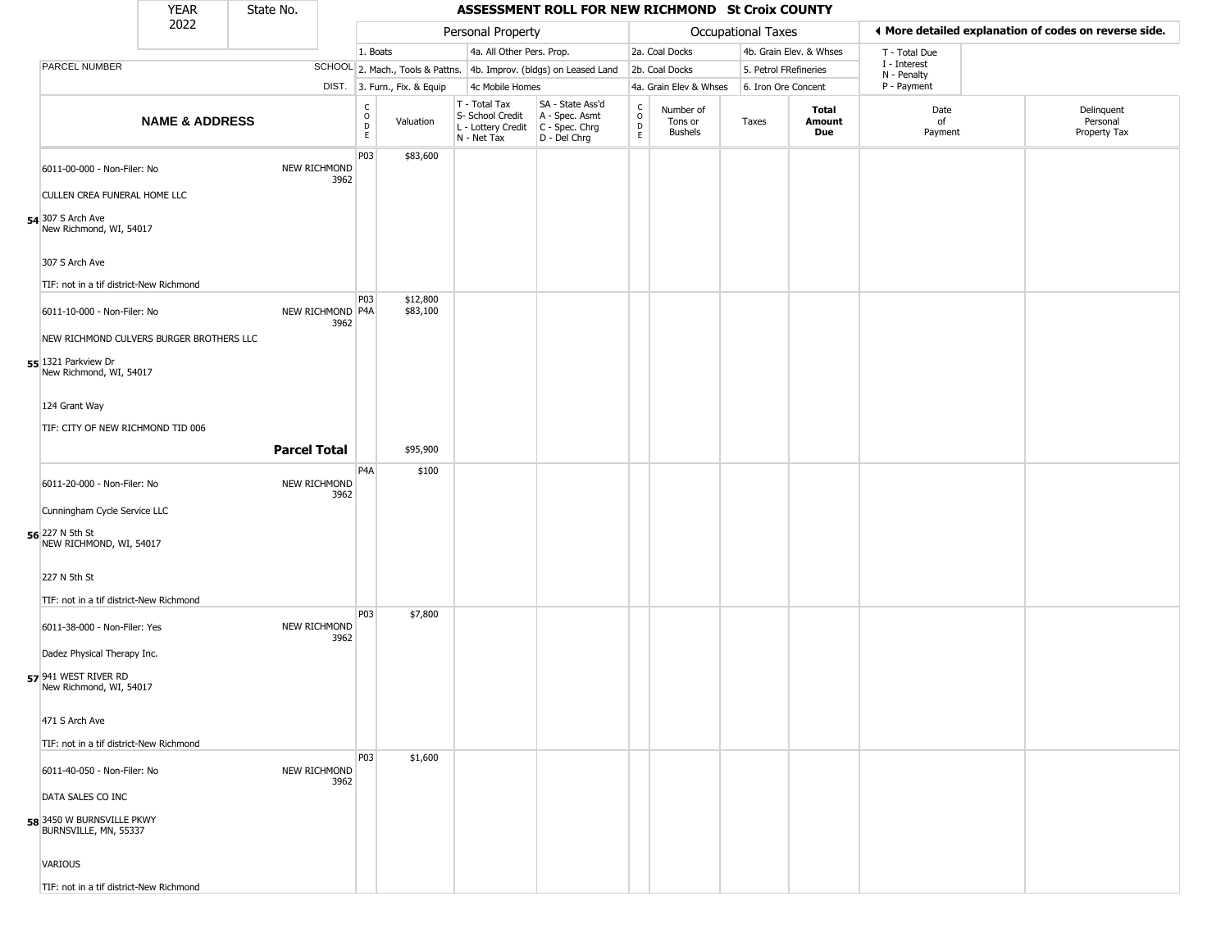|                                                             | <b>YEAR</b>               | State No.           |                          |                                                 |                              |                                                                        | ASSESSMENT ROLL FOR NEW RICHMOND St Croix COUNTY                     |                  |                                 |                       |                         |                             |                                                       |
|-------------------------------------------------------------|---------------------------|---------------------|--------------------------|-------------------------------------------------|------------------------------|------------------------------------------------------------------------|----------------------------------------------------------------------|------------------|---------------------------------|-----------------------|-------------------------|-----------------------------|-------------------------------------------------------|
|                                                             | 2022                      |                     |                          |                                                 |                              | Personal Property                                                      |                                                                      |                  |                                 | Occupational Taxes    |                         |                             | ♦ More detailed explanation of codes on reverse side. |
|                                                             |                           |                     |                          | 1. Boats                                        |                              | 4a. All Other Pers. Prop.                                              |                                                                      |                  | 2a. Coal Docks                  |                       | 4b. Grain Elev. & Whses | T - Total Due               |                                                       |
| PARCEL NUMBER                                               |                           |                     |                          |                                                 |                              |                                                                        | SCHOOL 2. Mach., Tools & Pattns. 4b. Improv. (bldgs) on Leased Land  |                  | 2b. Coal Docks                  | 5. Petrol FRefineries |                         | I - Interest<br>N - Penalty |                                                       |
|                                                             |                           |                     |                          |                                                 | DIST. 3. Furn., Fix. & Equip | 4c Mobile Homes                                                        |                                                                      |                  | 4a. Grain Elev & Whses          | 6. Iron Ore Concent   |                         | P - Payment                 |                                                       |
|                                                             | <b>NAME &amp; ADDRESS</b> |                     |                          | $\begin{array}{c} C \\ O \\ D \\ E \end{array}$ | Valuation                    | T - Total Tax<br>S- School Credit<br>L - Lottery Credit<br>N - Net Tax | SA - State Ass'd<br>A - Spec. Asmt<br>C - Spec. Chrg<br>D - Del Chrg | C<br>D<br>D<br>E | Number of<br>Tons or<br>Bushels | Taxes                 | Total<br>Amount<br>Due  | Date<br>of<br>Payment       | Delinquent<br>Personal<br>Property Tax                |
| 6011-00-000 - Non-Filer: No<br>CULLEN CREA FUNERAL HOME LLC |                           |                     | NEW RICHMOND<br>3962     | P03                                             | \$83,600                     |                                                                        |                                                                      |                  |                                 |                       |                         |                             |                                                       |
| 54 307 S Arch Ave                                           |                           |                     |                          |                                                 |                              |                                                                        |                                                                      |                  |                                 |                       |                         |                             |                                                       |
| New Richmond, WI, 54017                                     |                           |                     |                          |                                                 |                              |                                                                        |                                                                      |                  |                                 |                       |                         |                             |                                                       |
| 307 S Arch Ave                                              |                           |                     |                          |                                                 |                              |                                                                        |                                                                      |                  |                                 |                       |                         |                             |                                                       |
| TIF: not in a tif district-New Richmond                     |                           |                     |                          | P03                                             | \$12,800                     |                                                                        |                                                                      |                  |                                 |                       |                         |                             |                                                       |
| 6011-10-000 - Non-Filer: No                                 |                           |                     | NEW RICHMOND P4A<br>3962 |                                                 | \$83,100                     |                                                                        |                                                                      |                  |                                 |                       |                         |                             |                                                       |
| NEW RICHMOND CULVERS BURGER BROTHERS LLC                    |                           |                     |                          |                                                 |                              |                                                                        |                                                                      |                  |                                 |                       |                         |                             |                                                       |
| 55 1321 Parkview Dr<br>New Richmond, WI, 54017              |                           |                     |                          |                                                 |                              |                                                                        |                                                                      |                  |                                 |                       |                         |                             |                                                       |
| 124 Grant Way                                               |                           |                     |                          |                                                 |                              |                                                                        |                                                                      |                  |                                 |                       |                         |                             |                                                       |
| TIF: CITY OF NEW RICHMOND TID 006                           |                           |                     |                          |                                                 |                              |                                                                        |                                                                      |                  |                                 |                       |                         |                             |                                                       |
|                                                             |                           | <b>Parcel Total</b> |                          |                                                 | \$95,900                     |                                                                        |                                                                      |                  |                                 |                       |                         |                             |                                                       |
| 6011-20-000 - Non-Filer: No                                 |                           |                     | NEW RICHMOND             | P4A                                             | \$100                        |                                                                        |                                                                      |                  |                                 |                       |                         |                             |                                                       |
| Cunningham Cycle Service LLC                                |                           |                     | 3962                     |                                                 |                              |                                                                        |                                                                      |                  |                                 |                       |                         |                             |                                                       |
| 56 227 N 5th St<br>NEW RICHMOND, WI, 54017                  |                           |                     |                          |                                                 |                              |                                                                        |                                                                      |                  |                                 |                       |                         |                             |                                                       |
| 227 N 5th St                                                |                           |                     |                          |                                                 |                              |                                                                        |                                                                      |                  |                                 |                       |                         |                             |                                                       |
| TIF: not in a tif district-New Richmond                     |                           |                     |                          |                                                 |                              |                                                                        |                                                                      |                  |                                 |                       |                         |                             |                                                       |
| 6011-38-000 - Non-Filer: Yes                                |                           |                     | NEW RICHMOND<br>3962     | P03                                             | \$7,800                      |                                                                        |                                                                      |                  |                                 |                       |                         |                             |                                                       |
| Dadez Physical Therapy Inc.                                 |                           |                     |                          |                                                 |                              |                                                                        |                                                                      |                  |                                 |                       |                         |                             |                                                       |
| 57 941 WEST RIVER RD<br>New Richmond, WI, 54017             |                           |                     |                          |                                                 |                              |                                                                        |                                                                      |                  |                                 |                       |                         |                             |                                                       |
| 471 S Arch Ave                                              |                           |                     |                          |                                                 |                              |                                                                        |                                                                      |                  |                                 |                       |                         |                             |                                                       |
| TIF: not in a tif district-New Richmond                     |                           |                     |                          |                                                 |                              |                                                                        |                                                                      |                  |                                 |                       |                         |                             |                                                       |
| 6011-40-050 - Non-Filer: No                                 |                           |                     | NEW RICHMOND<br>3962     | P03                                             | \$1,600                      |                                                                        |                                                                      |                  |                                 |                       |                         |                             |                                                       |
| DATA SALES CO INC                                           |                           |                     |                          |                                                 |                              |                                                                        |                                                                      |                  |                                 |                       |                         |                             |                                                       |
| 58 3450 W BURNSVILLE PKWY<br>BURNSVILLE, MN, 55337          |                           |                     |                          |                                                 |                              |                                                                        |                                                                      |                  |                                 |                       |                         |                             |                                                       |
| VARIOUS                                                     |                           |                     |                          |                                                 |                              |                                                                        |                                                                      |                  |                                 |                       |                         |                             |                                                       |
| TIF: not in a tif district-New Richmond                     |                           |                     |                          |                                                 |                              |                                                                        |                                                                      |                  |                                 |                       |                         |                             |                                                       |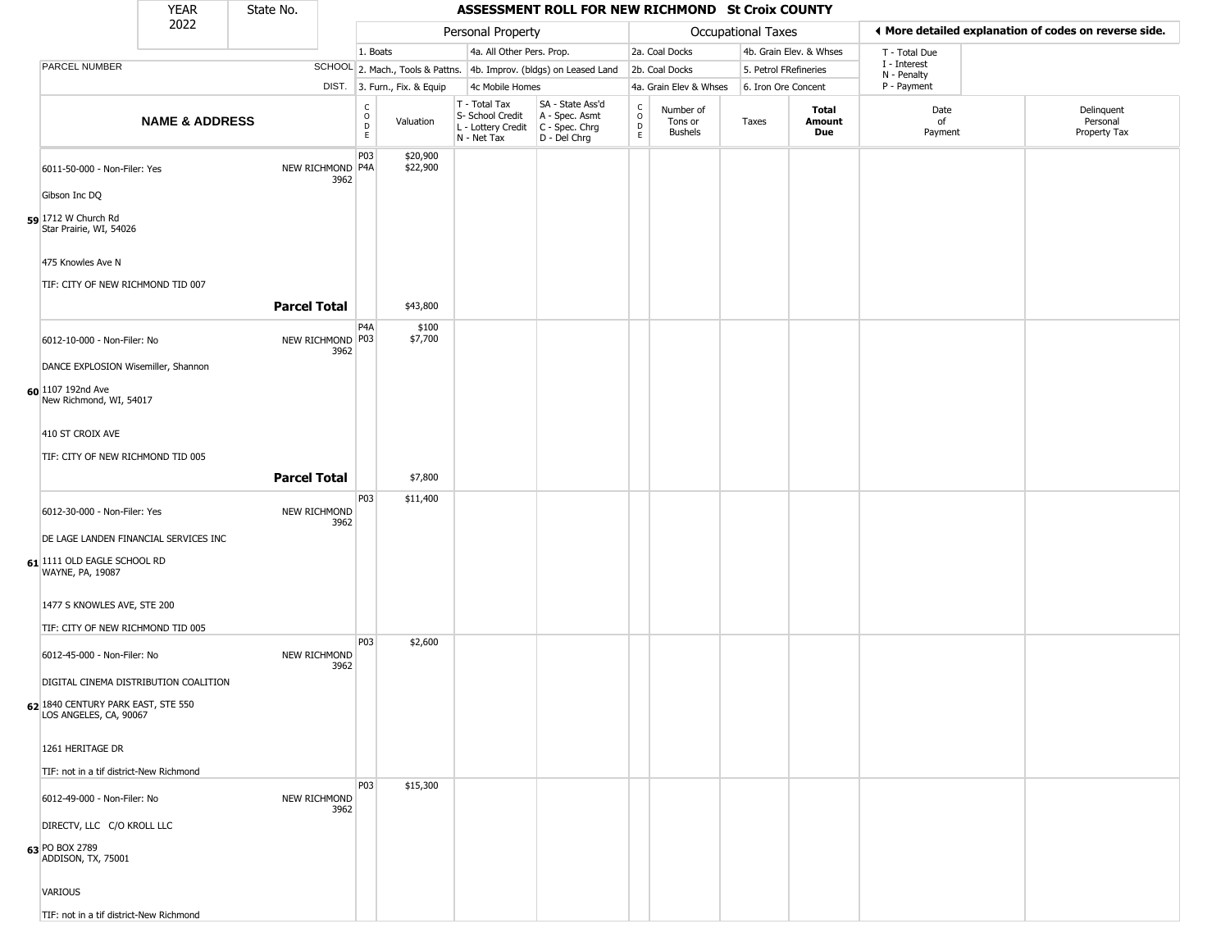|                                                                                          | <b>YEAR</b>               | State No.           |      |                                                          |                              |                                                                                         | ASSESSMENT ROLL FOR NEW RICHMOND St Croix COUNTY                    |                         |                                 |                       |                         |                             |                                                       |
|------------------------------------------------------------------------------------------|---------------------------|---------------------|------|----------------------------------------------------------|------------------------------|-----------------------------------------------------------------------------------------|---------------------------------------------------------------------|-------------------------|---------------------------------|-----------------------|-------------------------|-----------------------------|-------------------------------------------------------|
|                                                                                          | 2022                      |                     |      |                                                          |                              | Personal Property                                                                       |                                                                     |                         |                                 | Occupational Taxes    |                         |                             | ♦ More detailed explanation of codes on reverse side. |
|                                                                                          |                           |                     |      | 1. Boats                                                 |                              | 4a. All Other Pers. Prop.                                                               |                                                                     |                         | 2a. Coal Docks                  |                       | 4b. Grain Elev. & Whses | T - Total Due               |                                                       |
| PARCEL NUMBER                                                                            |                           |                     |      |                                                          |                              |                                                                                         | SCHOOL 2. Mach., Tools & Pattns. 4b. Improv. (bldgs) on Leased Land |                         | 2b. Coal Docks                  | 5. Petrol FRefineries |                         | I - Interest<br>N - Penalty |                                                       |
|                                                                                          |                           |                     |      |                                                          | DIST. 3. Furn., Fix. & Equip | 4c Mobile Homes                                                                         |                                                                     |                         | 4a. Grain Elev & Whses          | 6. Iron Ore Concent   |                         | P - Payment                 |                                                       |
|                                                                                          | <b>NAME &amp; ADDRESS</b> |                     |      | $\begin{smallmatrix} C \\ O \\ D \end{smallmatrix}$<br>E | Valuation                    | T - Total Tax<br>S- School Credit<br>L - Lottery Credit   C - Spec. Chrg<br>N - Net Tax | SA - State Ass'd<br>A - Spec. Asmt<br>D - Del Chrg                  | C<br>$\circ$<br>D<br>E. | Number of<br>Tons or<br>Bushels | Taxes                 | Total<br>Amount<br>Due  | Date<br>of<br>Payment       | Delinquent<br>Personal<br>Property Tax                |
| 6011-50-000 - Non-Filer: Yes<br>Gibson Inc DQ                                            |                           | NEW RICHMOND P4A    | 3962 | P03                                                      | \$20,900<br>\$22,900         |                                                                                         |                                                                     |                         |                                 |                       |                         |                             |                                                       |
| 59 1712 W Church Rd<br>Star Prairie, WI, 54026                                           |                           |                     |      |                                                          |                              |                                                                                         |                                                                     |                         |                                 |                       |                         |                             |                                                       |
| 475 Knowles Ave N<br>TIF: CITY OF NEW RICHMOND TID 007                                   |                           |                     |      |                                                          |                              |                                                                                         |                                                                     |                         |                                 |                       |                         |                             |                                                       |
|                                                                                          |                           | <b>Parcel Total</b> |      | P <sub>4</sub> A                                         | \$43,800                     |                                                                                         |                                                                     |                         |                                 |                       |                         |                             |                                                       |
| 6012-10-000 - Non-Filer: No<br>DANCE EXPLOSION Wisemiller, Shannon                       |                           | NEW RICHMOND P03    | 3962 |                                                          | \$100<br>\$7,700             |                                                                                         |                                                                     |                         |                                 |                       |                         |                             |                                                       |
| 60 1107 192nd Ave<br>New Richmond, WI, 54017                                             |                           |                     |      |                                                          |                              |                                                                                         |                                                                     |                         |                                 |                       |                         |                             |                                                       |
| 410 ST CROIX AVE                                                                         |                           |                     |      |                                                          |                              |                                                                                         |                                                                     |                         |                                 |                       |                         |                             |                                                       |
| TIF: CITY OF NEW RICHMOND TID 005                                                        |                           | <b>Parcel Total</b> |      |                                                          | \$7,800                      |                                                                                         |                                                                     |                         |                                 |                       |                         |                             |                                                       |
|                                                                                          |                           |                     |      | P03                                                      | \$11,400                     |                                                                                         |                                                                     |                         |                                 |                       |                         |                             |                                                       |
| 6012-30-000 - Non-Filer: Yes                                                             |                           | NEW RICHMOND        | 3962 |                                                          |                              |                                                                                         |                                                                     |                         |                                 |                       |                         |                             |                                                       |
| DE LAGE LANDEN FINANCIAL SERVICES INC<br>61 1111 OLD EAGLE SCHOOL RD<br>WAYNE, PA, 19087 |                           |                     |      |                                                          |                              |                                                                                         |                                                                     |                         |                                 |                       |                         |                             |                                                       |
| 1477 S KNOWLES AVE, STE 200                                                              |                           |                     |      |                                                          |                              |                                                                                         |                                                                     |                         |                                 |                       |                         |                             |                                                       |
|                                                                                          |                           |                     |      |                                                          |                              |                                                                                         |                                                                     |                         |                                 |                       |                         |                             |                                                       |
| TIF: CITY OF NEW RICHMOND TID 005<br>6012-45-000 - Non-Filer: No                         |                           | NEW RICHMOND        |      | P03                                                      | \$2,600                      |                                                                                         |                                                                     |                         |                                 |                       |                         |                             |                                                       |
| DIGITAL CINEMA DISTRIBUTION COALITION                                                    |                           |                     | 3962 |                                                          |                              |                                                                                         |                                                                     |                         |                                 |                       |                         |                             |                                                       |
| 62 1840 CENTURY PARK EAST, STE 550<br>LOS ANGELES, CA, 90067                             |                           |                     |      |                                                          |                              |                                                                                         |                                                                     |                         |                                 |                       |                         |                             |                                                       |
| 1261 HERITAGE DR                                                                         |                           |                     |      |                                                          |                              |                                                                                         |                                                                     |                         |                                 |                       |                         |                             |                                                       |
| TIF: not in a tif district-New Richmond                                                  |                           |                     |      |                                                          |                              |                                                                                         |                                                                     |                         |                                 |                       |                         |                             |                                                       |
| 6012-49-000 - Non-Filer: No                                                              |                           | <b>NEW RICHMOND</b> | 3962 | <b>P03</b>                                               | \$15,300                     |                                                                                         |                                                                     |                         |                                 |                       |                         |                             |                                                       |
| DIRECTV, LLC C/O KROLL LLC<br>63 PO BOX 2789                                             |                           |                     |      |                                                          |                              |                                                                                         |                                                                     |                         |                                 |                       |                         |                             |                                                       |
| ADDISON, TX, 75001                                                                       |                           |                     |      |                                                          |                              |                                                                                         |                                                                     |                         |                                 |                       |                         |                             |                                                       |
| VARIOUS                                                                                  |                           |                     |      |                                                          |                              |                                                                                         |                                                                     |                         |                                 |                       |                         |                             |                                                       |
| TIF: not in a tif district-New Richmond                                                  |                           |                     |      |                                                          |                              |                                                                                         |                                                                     |                         |                                 |                       |                         |                             |                                                       |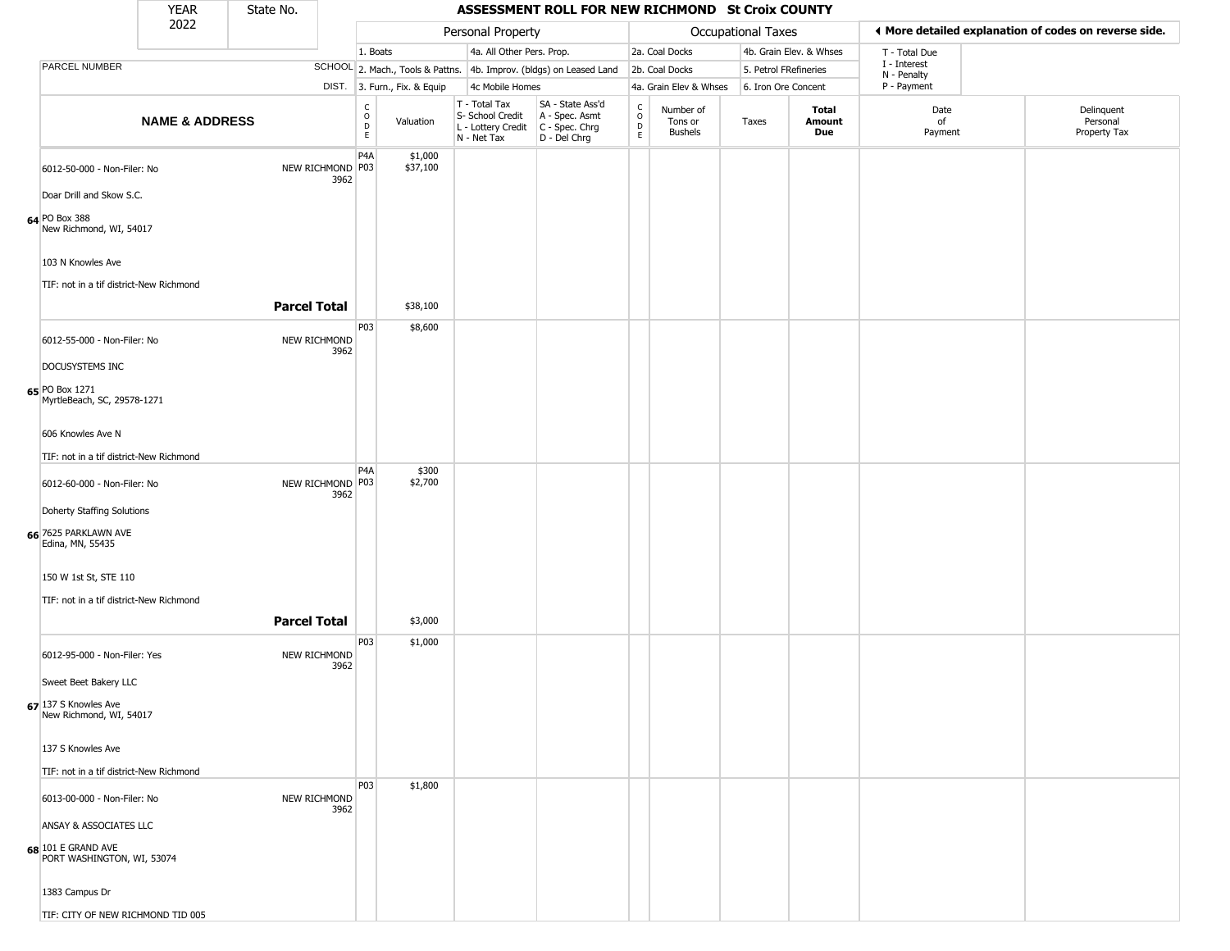|                                                              | <b>YEAR</b>               | State No.           |      |                                                           |                              |                                                                                         | ASSESSMENT ROLL FOR NEW RICHMOND St Croix COUNTY                    |                                                          |                                        |                       |                         |                             |                                                       |
|--------------------------------------------------------------|---------------------------|---------------------|------|-----------------------------------------------------------|------------------------------|-----------------------------------------------------------------------------------------|---------------------------------------------------------------------|----------------------------------------------------------|----------------------------------------|-----------------------|-------------------------|-----------------------------|-------------------------------------------------------|
|                                                              | 2022                      |                     |      |                                                           |                              | Personal Property                                                                       |                                                                     |                                                          |                                        | Occupational Taxes    |                         |                             | ♦ More detailed explanation of codes on reverse side. |
|                                                              |                           |                     |      | 1. Boats                                                  |                              | 4a. All Other Pers. Prop.                                                               |                                                                     |                                                          | 2a. Coal Docks                         |                       | 4b. Grain Elev. & Whses | T - Total Due               |                                                       |
| PARCEL NUMBER                                                |                           |                     |      |                                                           |                              |                                                                                         | SCHOOL 2. Mach., Tools & Pattns. 4b. Improv. (bldgs) on Leased Land |                                                          | 2b. Coal Docks                         | 5. Petrol FRefineries |                         | I - Interest<br>N - Penalty |                                                       |
|                                                              |                           |                     |      |                                                           | DIST. 3. Furn., Fix. & Equip | 4c Mobile Homes                                                                         |                                                                     |                                                          | 4a. Grain Elev & Whses                 | 6. Iron Ore Concent   |                         | P - Payment                 |                                                       |
|                                                              | <b>NAME &amp; ADDRESS</b> |                     |      | $\begin{matrix} 0 \\ 0 \\ D \end{matrix}$<br>$\mathsf{E}$ | Valuation                    | T - Total Tax<br>S- School Credit<br>L - Lottery Credit   C - Spec. Chrg<br>N - Net Tax | SA - State Ass'd<br>A - Spec. Asmt<br>D - Del Chrg                  | $\begin{smallmatrix} C \\ O \\ D \end{smallmatrix}$<br>E | Number of<br>Tons or<br><b>Bushels</b> | Taxes                 | Total<br>Amount<br>Due  | Date<br>of<br>Payment       | Delinquent<br>Personal<br>Property Tax                |
| 6012-50-000 - Non-Filer: No<br>Doar Drill and Skow S.C.      |                           | NEW RICHMOND P03    | 3962 | P <sub>4</sub> A                                          | \$1,000<br>\$37,100          |                                                                                         |                                                                     |                                                          |                                        |                       |                         |                             |                                                       |
| 64 PO Box 388<br>New Richmond, WI, 54017                     |                           |                     |      |                                                           |                              |                                                                                         |                                                                     |                                                          |                                        |                       |                         |                             |                                                       |
| 103 N Knowles Ave<br>TIF: not in a tif district-New Richmond |                           |                     |      |                                                           |                              |                                                                                         |                                                                     |                                                          |                                        |                       |                         |                             |                                                       |
|                                                              |                           | <b>Parcel Total</b> |      |                                                           | \$38,100                     |                                                                                         |                                                                     |                                                          |                                        |                       |                         |                             |                                                       |
| 6012-55-000 - Non-Filer: No<br>DOCUSYSTEMS INC               |                           | NEW RICHMOND        | 3962 | P03                                                       | \$8,600                      |                                                                                         |                                                                     |                                                          |                                        |                       |                         |                             |                                                       |
| 65 PO Box 1271<br>MyrtleBeach, SC, 29578-1271                |                           |                     |      |                                                           |                              |                                                                                         |                                                                     |                                                          |                                        |                       |                         |                             |                                                       |
| 606 Knowles Ave N                                            |                           |                     |      |                                                           |                              |                                                                                         |                                                                     |                                                          |                                        |                       |                         |                             |                                                       |
| TIF: not in a tif district-New Richmond                      |                           |                     |      | P <sub>4</sub> A                                          | \$300                        |                                                                                         |                                                                     |                                                          |                                        |                       |                         |                             |                                                       |
| 6012-60-000 - Non-Filer: No                                  |                           | NEW RICHMOND P03    | 3962 |                                                           | \$2,700                      |                                                                                         |                                                                     |                                                          |                                        |                       |                         |                             |                                                       |
| Doherty Staffing Solutions                                   |                           |                     |      |                                                           |                              |                                                                                         |                                                                     |                                                          |                                        |                       |                         |                             |                                                       |
| 66 7625 PARKLAWN AVE<br>Edina, MN, 55435                     |                           |                     |      |                                                           |                              |                                                                                         |                                                                     |                                                          |                                        |                       |                         |                             |                                                       |
| 150 W 1st St, STE 110                                        |                           |                     |      |                                                           |                              |                                                                                         |                                                                     |                                                          |                                        |                       |                         |                             |                                                       |
| TIF: not in a tif district-New Richmond                      |                           |                     |      |                                                           |                              |                                                                                         |                                                                     |                                                          |                                        |                       |                         |                             |                                                       |
|                                                              |                           | <b>Parcel Total</b> |      |                                                           | \$3,000                      |                                                                                         |                                                                     |                                                          |                                        |                       |                         |                             |                                                       |
| 6012-95-000 - Non-Filer: Yes                                 |                           | NEW RICHMOND        | 3962 | P03                                                       | \$1,000                      |                                                                                         |                                                                     |                                                          |                                        |                       |                         |                             |                                                       |
| Sweet Beet Bakery LLC                                        |                           |                     |      |                                                           |                              |                                                                                         |                                                                     |                                                          |                                        |                       |                         |                             |                                                       |
| 67 137 S Knowles Ave<br>New Richmond, WI, 54017              |                           |                     |      |                                                           |                              |                                                                                         |                                                                     |                                                          |                                        |                       |                         |                             |                                                       |
| 137 S Knowles Ave                                            |                           |                     |      |                                                           |                              |                                                                                         |                                                                     |                                                          |                                        |                       |                         |                             |                                                       |
| TIF: not in a tif district-New Richmond                      |                           |                     |      |                                                           |                              |                                                                                         |                                                                     |                                                          |                                        |                       |                         |                             |                                                       |
| 6013-00-000 - Non-Filer: No                                  |                           | <b>NEW RICHMOND</b> | 3962 | <b>P03</b>                                                | \$1,800                      |                                                                                         |                                                                     |                                                          |                                        |                       |                         |                             |                                                       |
| ANSAY & ASSOCIATES LLC                                       |                           |                     |      |                                                           |                              |                                                                                         |                                                                     |                                                          |                                        |                       |                         |                             |                                                       |
| $68$ 101 E GRAND AVE<br>PORT WASHINGTON, WI, 53074           |                           |                     |      |                                                           |                              |                                                                                         |                                                                     |                                                          |                                        |                       |                         |                             |                                                       |
| 1383 Campus Dr                                               |                           |                     |      |                                                           |                              |                                                                                         |                                                                     |                                                          |                                        |                       |                         |                             |                                                       |
| TIF: CITY OF NEW RICHMOND TID 005                            |                           |                     |      |                                                           |                              |                                                                                         |                                                                     |                                                          |                                        |                       |                         |                             |                                                       |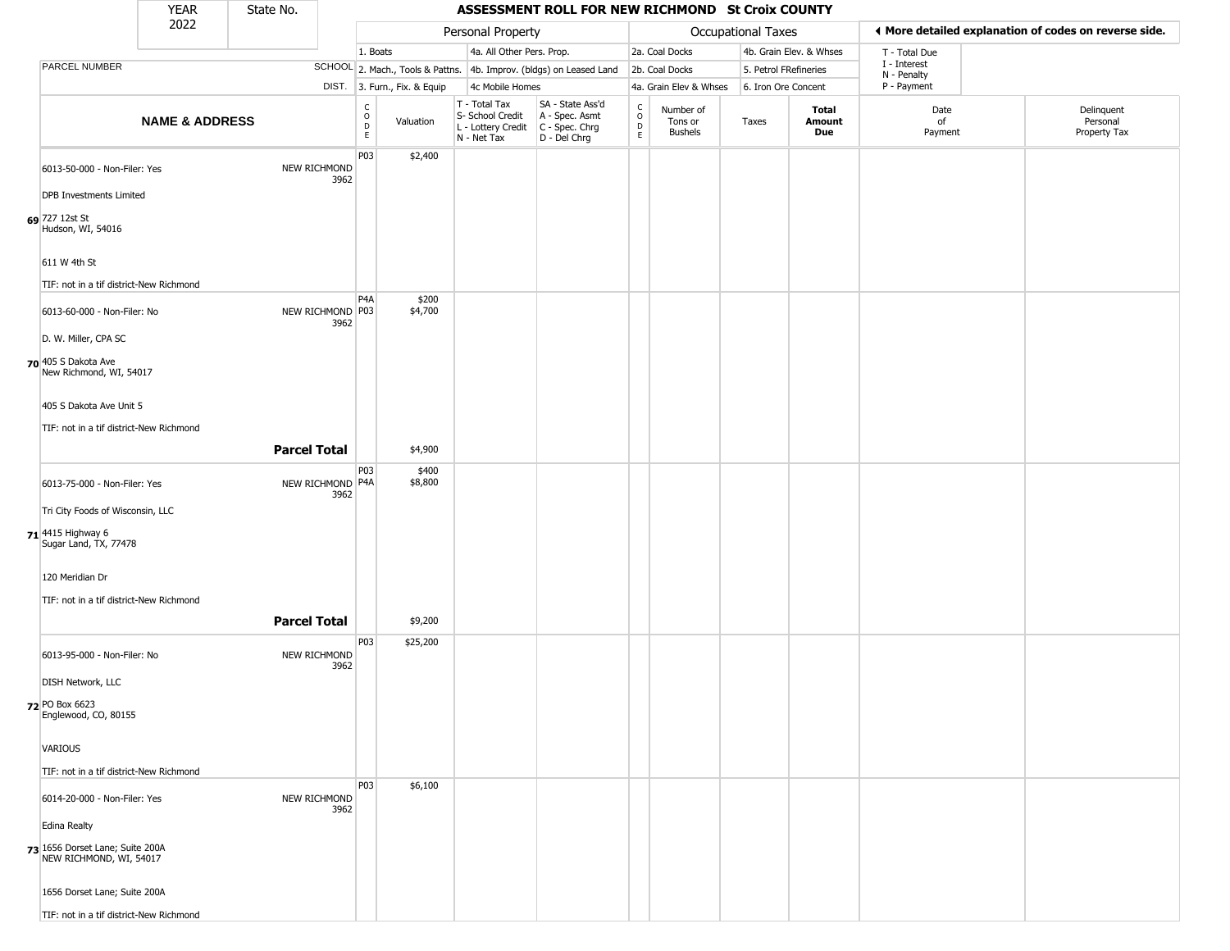|                                                            | <b>YEAR</b>               | State No.           |                          |                                       |                              |                                                                        | ASSESSMENT ROLL FOR NEW RICHMOND St Croix COUNTY                     |                             |                                        |                       |                         |                             |                                                       |
|------------------------------------------------------------|---------------------------|---------------------|--------------------------|---------------------------------------|------------------------------|------------------------------------------------------------------------|----------------------------------------------------------------------|-----------------------------|----------------------------------------|-----------------------|-------------------------|-----------------------------|-------------------------------------------------------|
|                                                            | 2022                      |                     |                          |                                       |                              | Personal Property                                                      |                                                                      |                             |                                        | Occupational Taxes    |                         |                             | ◀ More detailed explanation of codes on reverse side. |
|                                                            |                           |                     |                          | 1. Boats                              |                              | 4a. All Other Pers. Prop.                                              |                                                                      |                             | 2a. Coal Docks                         |                       | 4b. Grain Elev. & Whses | T - Total Due               |                                                       |
| PARCEL NUMBER                                              |                           |                     |                          |                                       |                              |                                                                        | SCHOOL 2. Mach., Tools & Pattns. 4b. Improv. (bldgs) on Leased Land  |                             | 2b. Coal Docks                         | 5. Petrol FRefineries |                         | I - Interest<br>N - Penalty |                                                       |
|                                                            |                           |                     |                          |                                       | DIST. 3. Furn., Fix. & Equip | 4c Mobile Homes                                                        |                                                                      |                             | 4a. Grain Elev & Whses                 | 6. Iron Ore Concent   |                         | P - Payment                 |                                                       |
|                                                            | <b>NAME &amp; ADDRESS</b> |                     |                          | $\rm ^c_{\rm o}$<br>$\mathsf{D}$<br>E | Valuation                    | T - Total Tax<br>S- School Credit<br>L - Lottery Credit<br>N - Net Tax | SA - State Ass'd<br>A - Spec. Asmt<br>C - Spec. Chrg<br>D - Del Chrg | $\rm _o^C$<br>$\frac{D}{E}$ | Number of<br>Tons or<br><b>Bushels</b> | Taxes                 | Total<br>Amount<br>Due  | Date<br>of<br>Payment       | Delinquent<br>Personal<br>Property Tax                |
| 6013-50-000 - Non-Filer: Yes                               |                           |                     | NEW RICHMOND<br>3962     | P03                                   | \$2,400                      |                                                                        |                                                                      |                             |                                        |                       |                         |                             |                                                       |
| <b>DPB Investments Limited</b>                             |                           |                     |                          |                                       |                              |                                                                        |                                                                      |                             |                                        |                       |                         |                             |                                                       |
| 69 727 12st St<br>Hudson, WI, 54016                        |                           |                     |                          |                                       |                              |                                                                        |                                                                      |                             |                                        |                       |                         |                             |                                                       |
| 611 W 4th St                                               |                           |                     |                          |                                       |                              |                                                                        |                                                                      |                             |                                        |                       |                         |                             |                                                       |
| TIF: not in a tif district-New Richmond                    |                           |                     |                          |                                       |                              |                                                                        |                                                                      |                             |                                        |                       |                         |                             |                                                       |
| 6013-60-000 - Non-Filer: No                                |                           |                     | NEW RICHMOND P03<br>3962 | P <sub>4</sub> A                      | \$200<br>\$4,700             |                                                                        |                                                                      |                             |                                        |                       |                         |                             |                                                       |
| D. W. Miller, CPA SC                                       |                           |                     |                          |                                       |                              |                                                                        |                                                                      |                             |                                        |                       |                         |                             |                                                       |
| 70 405 S Dakota Ave<br>New Richmond, WI, 54017             |                           |                     |                          |                                       |                              |                                                                        |                                                                      |                             |                                        |                       |                         |                             |                                                       |
| 405 S Dakota Ave Unit 5                                    |                           |                     |                          |                                       |                              |                                                                        |                                                                      |                             |                                        |                       |                         |                             |                                                       |
| TIF: not in a tif district-New Richmond                    |                           |                     |                          |                                       |                              |                                                                        |                                                                      |                             |                                        |                       |                         |                             |                                                       |
|                                                            |                           | <b>Parcel Total</b> |                          |                                       | \$4,900                      |                                                                        |                                                                      |                             |                                        |                       |                         |                             |                                                       |
| 6013-75-000 - Non-Filer: Yes                               |                           |                     | NEW RICHMOND P4A<br>3962 | P03                                   | \$400<br>\$8,800             |                                                                        |                                                                      |                             |                                        |                       |                         |                             |                                                       |
| Tri City Foods of Wisconsin, LLC                           |                           |                     |                          |                                       |                              |                                                                        |                                                                      |                             |                                        |                       |                         |                             |                                                       |
| 71 4415 Highway 6<br>Sugar Land, TX, 77478                 |                           |                     |                          |                                       |                              |                                                                        |                                                                      |                             |                                        |                       |                         |                             |                                                       |
| 120 Meridian Dr                                            |                           |                     |                          |                                       |                              |                                                                        |                                                                      |                             |                                        |                       |                         |                             |                                                       |
| TIF: not in a tif district-New Richmond                    |                           |                     |                          |                                       |                              |                                                                        |                                                                      |                             |                                        |                       |                         |                             |                                                       |
|                                                            |                           | <b>Parcel Total</b> |                          |                                       | \$9,200                      |                                                                        |                                                                      |                             |                                        |                       |                         |                             |                                                       |
| 6013-95-000 - Non-Filer: No                                |                           |                     | NEW RICHMOND<br>3962     | P03                                   | \$25,200                     |                                                                        |                                                                      |                             |                                        |                       |                         |                             |                                                       |
| <b>DISH Network, LLC</b>                                   |                           |                     |                          |                                       |                              |                                                                        |                                                                      |                             |                                        |                       |                         |                             |                                                       |
| 72 PO Box 6623<br>Englewood, CO, 80155                     |                           |                     |                          |                                       |                              |                                                                        |                                                                      |                             |                                        |                       |                         |                             |                                                       |
| <b>VARIOUS</b>                                             |                           |                     |                          |                                       |                              |                                                                        |                                                                      |                             |                                        |                       |                         |                             |                                                       |
| TIF: not in a tif district-New Richmond                    |                           |                     |                          |                                       |                              |                                                                        |                                                                      |                             |                                        |                       |                         |                             |                                                       |
| 6014-20-000 - Non-Filer: Yes                               |                           |                     | NEW RICHMOND<br>3962     | P03                                   | \$6,100                      |                                                                        |                                                                      |                             |                                        |                       |                         |                             |                                                       |
| <b>Edina Realty</b>                                        |                           |                     |                          |                                       |                              |                                                                        |                                                                      |                             |                                        |                       |                         |                             |                                                       |
| 73 1656 Dorset Lane; Suite 200A<br>NEW RICHMOND, WI, 54017 |                           |                     |                          |                                       |                              |                                                                        |                                                                      |                             |                                        |                       |                         |                             |                                                       |
| 1656 Dorset Lane; Suite 200A                               |                           |                     |                          |                                       |                              |                                                                        |                                                                      |                             |                                        |                       |                         |                             |                                                       |
| TIF: not in a tif district-New Richmond                    |                           |                     |                          |                                       |                              |                                                                        |                                                                      |                             |                                        |                       |                         |                             |                                                       |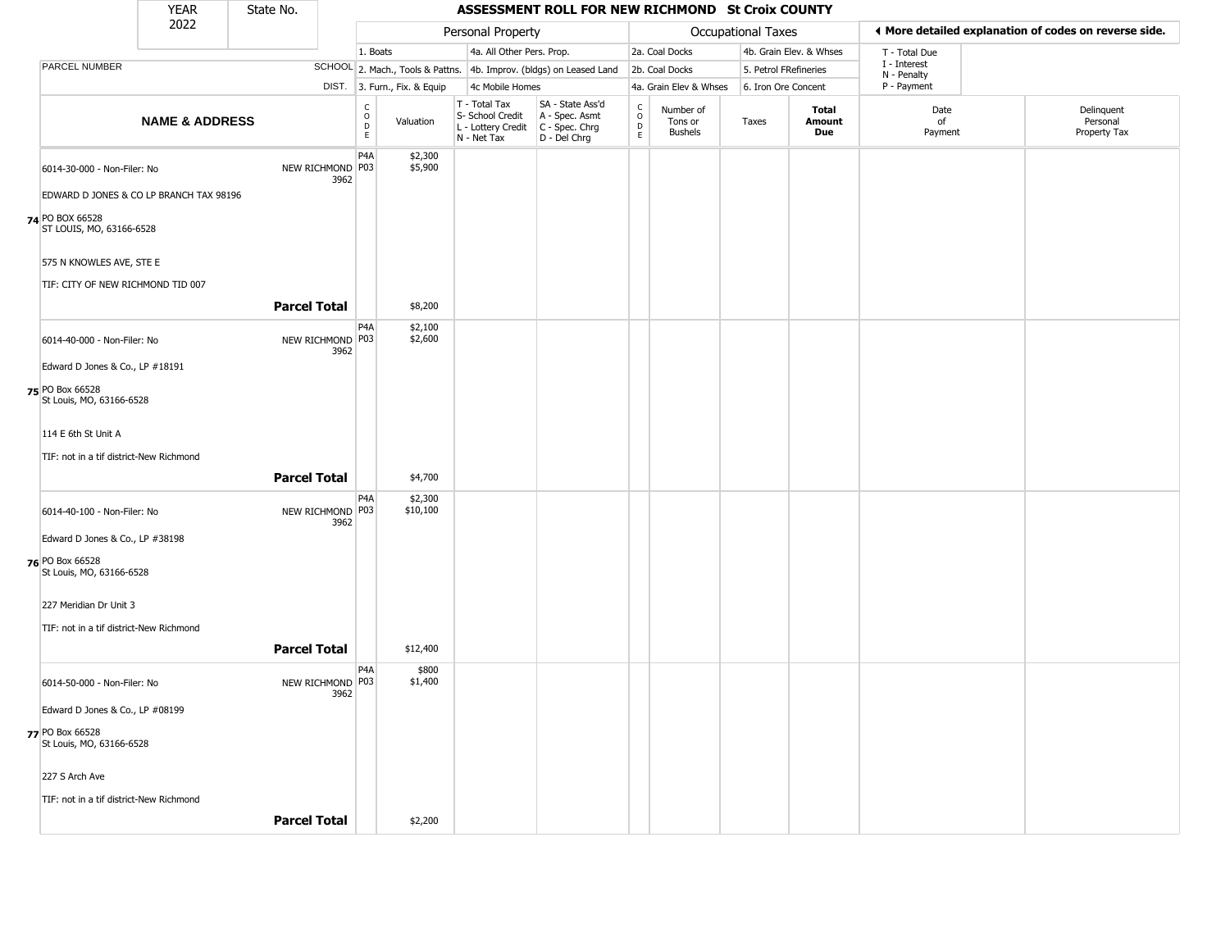|                                             | <b>YEAR</b>               | State No.           |                          |                         |                              |                                                  | ASSESSMENT ROLL FOR NEW RICHMOND St Croix COUNTY                                            |                                                 |                                        |                    |                         |                             |                                                       |
|---------------------------------------------|---------------------------|---------------------|--------------------------|-------------------------|------------------------------|--------------------------------------------------|---------------------------------------------------------------------------------------------|-------------------------------------------------|----------------------------------------|--------------------|-------------------------|-----------------------------|-------------------------------------------------------|
|                                             | 2022                      |                     |                          |                         |                              | Personal Property                                |                                                                                             |                                                 |                                        | Occupational Taxes |                         |                             | ♦ More detailed explanation of codes on reverse side. |
|                                             |                           |                     |                          | 1. Boats                |                              | 4a. All Other Pers. Prop.                        |                                                                                             |                                                 | 2a. Coal Docks                         |                    | 4b. Grain Elev. & Whses | T - Total Due               |                                                       |
| PARCEL NUMBER                               |                           |                     |                          |                         |                              |                                                  | SCHOOL 2. Mach., Tools & Pattns. 4b. Improv. (bldgs) on Leased Land                         |                                                 | 2b. Coal Docks                         |                    | 5. Petrol FRefineries   | I - Interest<br>N - Penalty |                                                       |
|                                             |                           |                     |                          |                         | DIST. 3. Furn., Fix. & Equip | 4c Mobile Homes                                  |                                                                                             |                                                 | 4a. Grain Elev & Whses                 |                    | 6. Iron Ore Concent     | P - Payment                 |                                                       |
|                                             | <b>NAME &amp; ADDRESS</b> |                     |                          | $\frac{c}{0}$<br>D<br>E | Valuation                    | T - Total Tax<br>S- School Credit<br>N - Net Tax | SA - State Ass'd<br>A - Spec. Asmt<br>$L$ - Lottery Credit $C$ - Spec. Chrg<br>D - Del Chrg | $\begin{array}{c} C \\ O \\ D \\ E \end{array}$ | Number of<br>Tons or<br><b>Bushels</b> | Taxes              | Total<br>Amount<br>Due  | Date<br>of<br>Payment       | Delinquent<br>Personal<br>Property Tax                |
| 6014-30-000 - Non-Filer: No                 |                           |                     | NEW RICHMOND P03<br>3962 | P <sub>4</sub> A        | \$2,300<br>\$5,900           |                                                  |                                                                                             |                                                 |                                        |                    |                         |                             |                                                       |
| EDWARD D JONES & CO LP BRANCH TAX 98196     |                           |                     |                          |                         |                              |                                                  |                                                                                             |                                                 |                                        |                    |                         |                             |                                                       |
| 74 PO BOX 66528<br>ST LOUIS, MO, 63166-6528 |                           |                     |                          |                         |                              |                                                  |                                                                                             |                                                 |                                        |                    |                         |                             |                                                       |
| 575 N KNOWLES AVE, STE E                    |                           |                     |                          |                         |                              |                                                  |                                                                                             |                                                 |                                        |                    |                         |                             |                                                       |
| TIF: CITY OF NEW RICHMOND TID 007           |                           |                     |                          |                         |                              |                                                  |                                                                                             |                                                 |                                        |                    |                         |                             |                                                       |
|                                             |                           | <b>Parcel Total</b> |                          |                         | \$8,200                      |                                                  |                                                                                             |                                                 |                                        |                    |                         |                             |                                                       |
| 6014-40-000 - Non-Filer: No                 |                           |                     | NEW RICHMOND P03<br>3962 | P4A                     | \$2,100<br>\$2,600           |                                                  |                                                                                             |                                                 |                                        |                    |                         |                             |                                                       |
| Edward D Jones & Co., LP #18191             |                           |                     |                          |                         |                              |                                                  |                                                                                             |                                                 |                                        |                    |                         |                             |                                                       |
| 75 PO Box 66528<br>St Louis, MO, 63166-6528 |                           |                     |                          |                         |                              |                                                  |                                                                                             |                                                 |                                        |                    |                         |                             |                                                       |
| 114 E 6th St Unit A                         |                           |                     |                          |                         |                              |                                                  |                                                                                             |                                                 |                                        |                    |                         |                             |                                                       |
| TIF: not in a tif district-New Richmond     |                           |                     |                          |                         |                              |                                                  |                                                                                             |                                                 |                                        |                    |                         |                             |                                                       |
|                                             |                           | <b>Parcel Total</b> |                          |                         | \$4,700                      |                                                  |                                                                                             |                                                 |                                        |                    |                         |                             |                                                       |
| 6014-40-100 - Non-Filer: No                 |                           |                     | NEW RICHMOND P03<br>3962 | P <sub>4</sub> A        | \$2,300<br>\$10,100          |                                                  |                                                                                             |                                                 |                                        |                    |                         |                             |                                                       |
| Edward D Jones & Co., LP #38198             |                           |                     |                          |                         |                              |                                                  |                                                                                             |                                                 |                                        |                    |                         |                             |                                                       |
| 76 PO Box 66528<br>St Louis, MO, 63166-6528 |                           |                     |                          |                         |                              |                                                  |                                                                                             |                                                 |                                        |                    |                         |                             |                                                       |
| 227 Meridian Dr Unit 3                      |                           |                     |                          |                         |                              |                                                  |                                                                                             |                                                 |                                        |                    |                         |                             |                                                       |
| TIF: not in a tif district-New Richmond     |                           |                     |                          |                         |                              |                                                  |                                                                                             |                                                 |                                        |                    |                         |                             |                                                       |
|                                             |                           | <b>Parcel Total</b> |                          |                         | \$12,400                     |                                                  |                                                                                             |                                                 |                                        |                    |                         |                             |                                                       |
|                                             |                           |                     |                          | P <sub>4</sub> A        | \$800                        |                                                  |                                                                                             |                                                 |                                        |                    |                         |                             |                                                       |
| 6014-50-000 - Non-Filer: No                 |                           |                     | NEW RICHMOND P03<br>3962 |                         | \$1,400                      |                                                  |                                                                                             |                                                 |                                        |                    |                         |                             |                                                       |
| Edward D Jones & Co., LP #08199             |                           |                     |                          |                         |                              |                                                  |                                                                                             |                                                 |                                        |                    |                         |                             |                                                       |
| 77 PO Box 66528<br>St Louis, MO, 63166-6528 |                           |                     |                          |                         |                              |                                                  |                                                                                             |                                                 |                                        |                    |                         |                             |                                                       |
| 227 S Arch Ave                              |                           |                     |                          |                         |                              |                                                  |                                                                                             |                                                 |                                        |                    |                         |                             |                                                       |
| TIF: not in a tif district-New Richmond     |                           |                     |                          |                         |                              |                                                  |                                                                                             |                                                 |                                        |                    |                         |                             |                                                       |
|                                             |                           | <b>Parcel Total</b> |                          |                         | \$2,200                      |                                                  |                                                                                             |                                                 |                                        |                    |                         |                             |                                                       |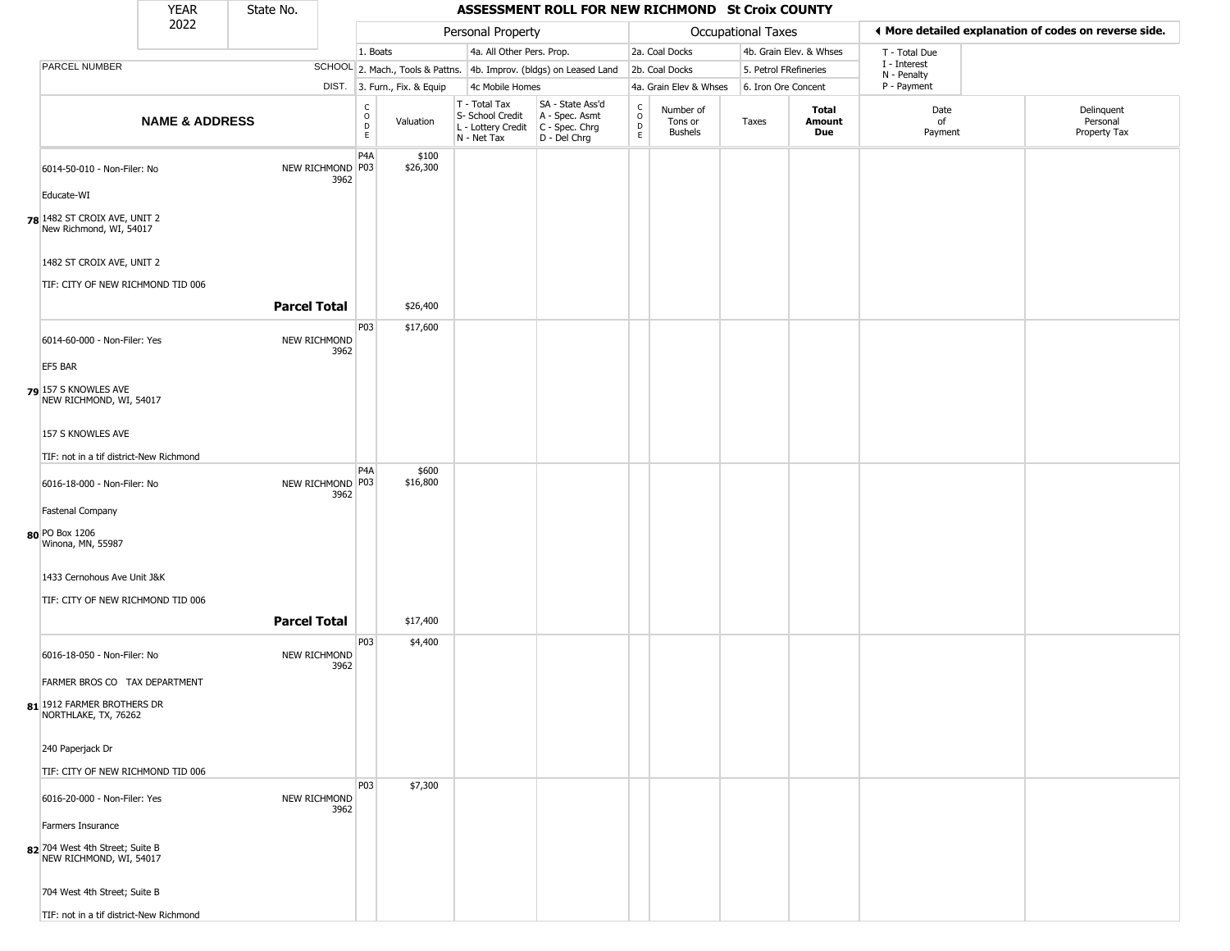|                                                            | <b>YEAR</b>                             | State No.           |      |                          |                              |                                                  | ASSESSMENT ROLL FOR NEW RICHMOND St Croix COUNTY                                          |                        |                                        |                           |                         |                             |                                                       |
|------------------------------------------------------------|-----------------------------------------|---------------------|------|--------------------------|------------------------------|--------------------------------------------------|-------------------------------------------------------------------------------------------|------------------------|----------------------------------------|---------------------------|-------------------------|-----------------------------|-------------------------------------------------------|
|                                                            | 2022                                    |                     |      |                          |                              | Personal Property                                |                                                                                           |                        |                                        | <b>Occupational Taxes</b> |                         |                             | ♦ More detailed explanation of codes on reverse side. |
|                                                            |                                         |                     |      | 1. Boats                 |                              | 4a. All Other Pers. Prop.                        |                                                                                           |                        | 2a. Coal Docks                         |                           | 4b. Grain Elev. & Whses | T - Total Due               |                                                       |
| <b>PARCEL NUMBER</b>                                       |                                         |                     |      |                          |                              |                                                  | SCHOOL 2. Mach., Tools & Pattns. 4b. Improv. (bldgs) on Leased Land                       |                        | 2b. Coal Docks                         | 5. Petrol FRefineries     |                         | I - Interest<br>N - Penalty |                                                       |
|                                                            |                                         |                     |      |                          | DIST. 3. Furn., Fix. & Equip | 4c Mobile Homes                                  |                                                                                           |                        | 4a. Grain Elev & Whses                 | 6. Iron Ore Concent       |                         | P - Payment                 |                                                       |
|                                                            | <b>NAME &amp; ADDRESS</b>               |                     |      | $\frac{c}{0}$<br>D<br>E. | Valuation                    | T - Total Tax<br>S- School Credit<br>N - Net Tax | SA - State Ass'd<br>A - Spec. Asmt<br>L - Lottery Credit   C - Spec. Chrg<br>D - Del Chrg | C<br>$\circ$<br>D<br>E | Number of<br>Tons or<br><b>Bushels</b> | Taxes                     | Total<br>Amount<br>Due  | Date<br>of<br>Payment       | Delinquent<br>Personal<br>Property Tax                |
| 6014-50-010 - Non-Filer: No<br>Educate-WI                  |                                         | NEW RICHMOND P03    | 3962 | P <sub>4</sub> A         | \$100<br>\$26,300            |                                                  |                                                                                           |                        |                                        |                           |                         |                             |                                                       |
| 78 1482 ST CROIX AVE, UNIT 2<br>New Richmond, WI, 54017    |                                         |                     |      |                          |                              |                                                  |                                                                                           |                        |                                        |                           |                         |                             |                                                       |
| 1482 ST CROIX AVE, UNIT 2                                  | TIF: CITY OF NEW RICHMOND TID 006       |                     |      |                          |                              |                                                  |                                                                                           |                        |                                        |                           |                         |                             |                                                       |
|                                                            |                                         | <b>Parcel Total</b> |      |                          | \$26,400                     |                                                  |                                                                                           |                        |                                        |                           |                         |                             |                                                       |
| 6014-60-000 - Non-Filer: Yes<br>EF5 BAR                    |                                         | NEW RICHMOND        | 3962 | P03                      | \$17,600                     |                                                  |                                                                                           |                        |                                        |                           |                         |                             |                                                       |
| 79 157 S KNOWLES AVE<br>NEW RICHMOND, WI, 54017            |                                         |                     |      |                          |                              |                                                  |                                                                                           |                        |                                        |                           |                         |                             |                                                       |
| 157 S KNOWLES AVE                                          |                                         |                     |      |                          |                              |                                                  |                                                                                           |                        |                                        |                           |                         |                             |                                                       |
|                                                            | TIF: not in a tif district-New Richmond |                     |      | P <sub>4</sub> A         | \$600                        |                                                  |                                                                                           |                        |                                        |                           |                         |                             |                                                       |
| 6016-18-000 - Non-Filer: No                                |                                         | NEW RICHMOND P03    | 3962 |                          | \$16,800                     |                                                  |                                                                                           |                        |                                        |                           |                         |                             |                                                       |
| <b>Fastenal Company</b>                                    |                                         |                     |      |                          |                              |                                                  |                                                                                           |                        |                                        |                           |                         |                             |                                                       |
| 80 PO Box 1206<br>Winona, MN, 55987                        |                                         |                     |      |                          |                              |                                                  |                                                                                           |                        |                                        |                           |                         |                             |                                                       |
| 1433 Cernohous Ave Unit J&K                                |                                         |                     |      |                          |                              |                                                  |                                                                                           |                        |                                        |                           |                         |                             |                                                       |
|                                                            | TIF: CITY OF NEW RICHMOND TID 006       |                     |      |                          |                              |                                                  |                                                                                           |                        |                                        |                           |                         |                             |                                                       |
|                                                            |                                         | <b>Parcel Total</b> |      |                          | \$17,400                     |                                                  |                                                                                           |                        |                                        |                           |                         |                             |                                                       |
| 6016-18-050 - Non-Filer: No                                |                                         | NEW RICHMOND        | 3962 | P03                      | \$4,400                      |                                                  |                                                                                           |                        |                                        |                           |                         |                             |                                                       |
|                                                            | FARMER BROS CO TAX DEPARTMENT           |                     |      |                          |                              |                                                  |                                                                                           |                        |                                        |                           |                         |                             |                                                       |
| 81 1912 FARMER BROTHERS DR<br>NORTHLAKE, TX, 76262         |                                         |                     |      |                          |                              |                                                  |                                                                                           |                        |                                        |                           |                         |                             |                                                       |
| 240 Paperjack Dr                                           |                                         |                     |      |                          |                              |                                                  |                                                                                           |                        |                                        |                           |                         |                             |                                                       |
|                                                            | TIF: CITY OF NEW RICHMOND TID 006       |                     |      |                          |                              |                                                  |                                                                                           |                        |                                        |                           |                         |                             |                                                       |
| 6016-20-000 - Non-Filer: Yes                               |                                         | <b>NEW RICHMOND</b> | 3962 | <b>P03</b>               | \$7,300                      |                                                  |                                                                                           |                        |                                        |                           |                         |                             |                                                       |
| Farmers Insurance                                          |                                         |                     |      |                          |                              |                                                  |                                                                                           |                        |                                        |                           |                         |                             |                                                       |
| 82 704 West 4th Street; Suite B<br>NEW RICHMOND, WI, 54017 |                                         |                     |      |                          |                              |                                                  |                                                                                           |                        |                                        |                           |                         |                             |                                                       |
| 704 West 4th Street; Suite B                               |                                         |                     |      |                          |                              |                                                  |                                                                                           |                        |                                        |                           |                         |                             |                                                       |
|                                                            | TIF: not in a tif district-New Richmond |                     |      |                          |                              |                                                  |                                                                                           |                        |                                        |                           |                         |                             |                                                       |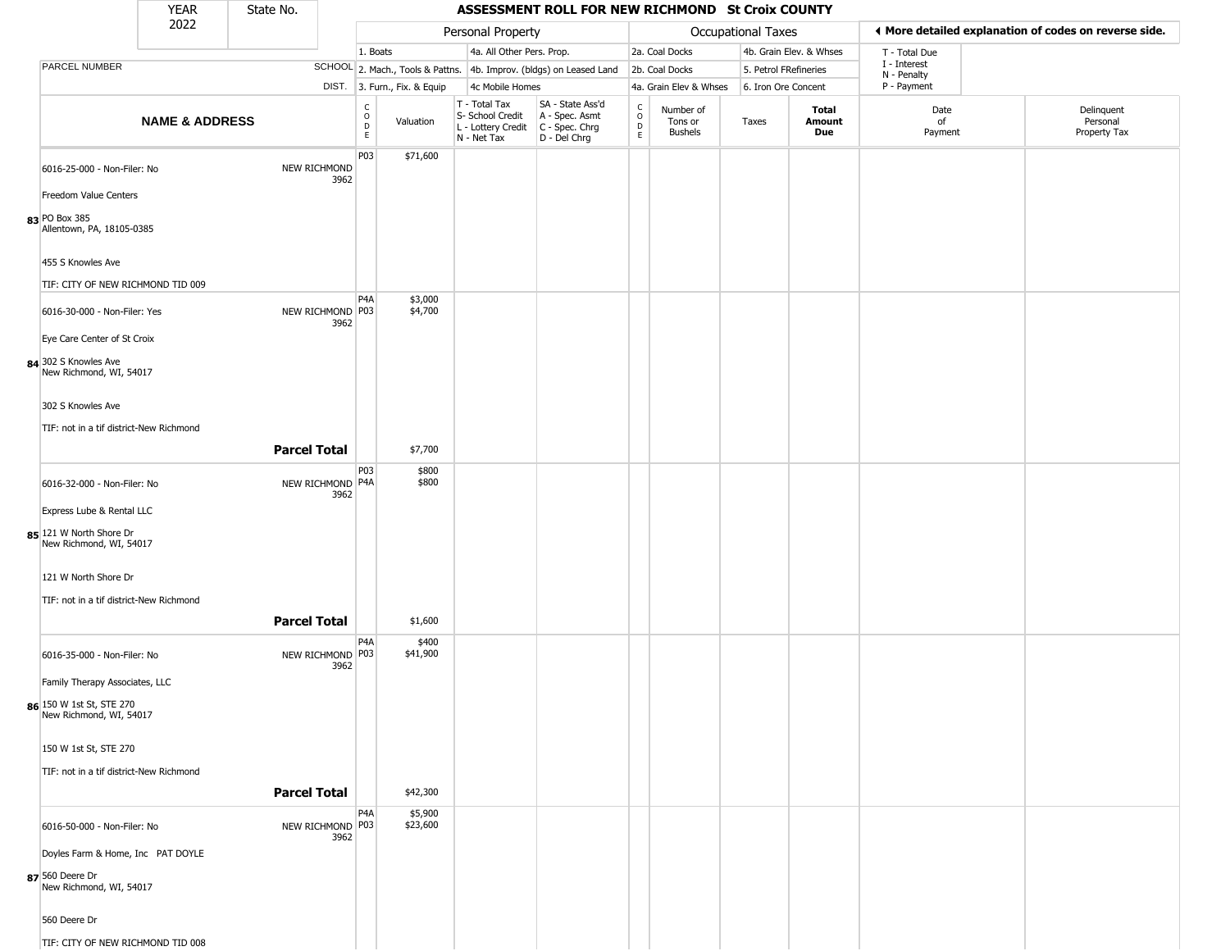|                                                     | <b>YEAR</b>               | State No.           |                                                 |                              |                                                                        | ASSESSMENT ROLL FOR NEW RICHMOND St Croix COUNTY                     |                                            |                                        |                       |                         |                            |                                                       |
|-----------------------------------------------------|---------------------------|---------------------|-------------------------------------------------|------------------------------|------------------------------------------------------------------------|----------------------------------------------------------------------|--------------------------------------------|----------------------------------------|-----------------------|-------------------------|----------------------------|-------------------------------------------------------|
|                                                     | 2022                      |                     |                                                 |                              | Personal Property                                                      |                                                                      |                                            |                                        | Occupational Taxes    |                         |                            | ♦ More detailed explanation of codes on reverse side. |
|                                                     |                           |                     |                                                 | 1. Boats                     | 4a. All Other Pers. Prop.                                              |                                                                      |                                            | 2a. Coal Docks                         |                       | 4b. Grain Elev. & Whses | T - Total Due              |                                                       |
| PARCEL NUMBER                                       |                           |                     |                                                 |                              |                                                                        | SCHOOL 2. Mach., Tools & Pattns. 4b. Improv. (bldgs) on Leased Land  |                                            | 2b. Coal Docks                         | 5. Petrol FRefineries |                         | I - Interest               |                                                       |
|                                                     |                           |                     |                                                 | DIST. 3. Furn., Fix. & Equip | 4c Mobile Homes                                                        |                                                                      |                                            | 4a. Grain Elev & Whses                 | 6. Iron Ore Concent   |                         | N - Penalty<br>P - Payment |                                                       |
|                                                     | <b>NAME &amp; ADDRESS</b> |                     | $\begin{array}{c} C \\ O \\ D \\ E \end{array}$ | Valuation                    | T - Total Tax<br>S- School Credit<br>L - Lottery Credit<br>N - Net Tax | SA - State Ass'd<br>A - Spec. Asmt<br>C - Spec. Chrg<br>D - Del Chrg | $\begin{array}{c} C \\ O \\ E \end{array}$ | Number of<br>Tons or<br><b>Bushels</b> | Taxes                 | Total<br>Amount<br>Due  | Date<br>of<br>Payment      | Delinquent<br>Personal<br>Property Tax                |
| 6016-25-000 - Non-Filer: No                         |                           |                     | P03<br>NEW RICHMOND<br>3962                     | \$71,600                     |                                                                        |                                                                      |                                            |                                        |                       |                         |                            |                                                       |
| Freedom Value Centers                               |                           |                     |                                                 |                              |                                                                        |                                                                      |                                            |                                        |                       |                         |                            |                                                       |
| 83 PO Box 385<br>Allentown, PA, 18105-0385          |                           |                     |                                                 |                              |                                                                        |                                                                      |                                            |                                        |                       |                         |                            |                                                       |
| 455 S Knowles Ave                                   |                           |                     |                                                 |                              |                                                                        |                                                                      |                                            |                                        |                       |                         |                            |                                                       |
| TIF: CITY OF NEW RICHMOND TID 009                   |                           |                     |                                                 |                              |                                                                        |                                                                      |                                            |                                        |                       |                         |                            |                                                       |
| 6016-30-000 - Non-Filer: Yes                        |                           |                     | P <sub>4</sub> A<br>NEW RICHMOND P03<br>3962    | \$3,000<br>\$4,700           |                                                                        |                                                                      |                                            |                                        |                       |                         |                            |                                                       |
| Eye Care Center of St Croix                         |                           |                     |                                                 |                              |                                                                        |                                                                      |                                            |                                        |                       |                         |                            |                                                       |
| 84 302 S Knowles Ave<br>New Richmond, WI, 54017     |                           |                     |                                                 |                              |                                                                        |                                                                      |                                            |                                        |                       |                         |                            |                                                       |
| 302 S Knowles Ave                                   |                           |                     |                                                 |                              |                                                                        |                                                                      |                                            |                                        |                       |                         |                            |                                                       |
| TIF: not in a tif district-New Richmond             |                           |                     |                                                 |                              |                                                                        |                                                                      |                                            |                                        |                       |                         |                            |                                                       |
|                                                     |                           | <b>Parcel Total</b> |                                                 | \$7,700                      |                                                                        |                                                                      |                                            |                                        |                       |                         |                            |                                                       |
| 6016-32-000 - Non-Filer: No                         |                           |                     | P03<br>NEW RICHMOND P4A<br>3962                 | \$800<br>\$800               |                                                                        |                                                                      |                                            |                                        |                       |                         |                            |                                                       |
| Express Lube & Rental LLC                           |                           |                     |                                                 |                              |                                                                        |                                                                      |                                            |                                        |                       |                         |                            |                                                       |
| 85 121 W North Shore Dr<br>New Richmond, WI, 54017  |                           |                     |                                                 |                              |                                                                        |                                                                      |                                            |                                        |                       |                         |                            |                                                       |
| 121 W North Shore Dr                                |                           |                     |                                                 |                              |                                                                        |                                                                      |                                            |                                        |                       |                         |                            |                                                       |
| TIF: not in a tif district-New Richmond             |                           |                     |                                                 |                              |                                                                        |                                                                      |                                            |                                        |                       |                         |                            |                                                       |
|                                                     |                           | <b>Parcel Total</b> |                                                 | \$1,600                      |                                                                        |                                                                      |                                            |                                        |                       |                         |                            |                                                       |
| 6016-35-000 - Non-Filer: No                         |                           |                     | P4A<br>NEW RICHMOND P03<br>3962                 | \$400<br>\$41,900            |                                                                        |                                                                      |                                            |                                        |                       |                         |                            |                                                       |
| Family Therapy Associates, LLC                      |                           |                     |                                                 |                              |                                                                        |                                                                      |                                            |                                        |                       |                         |                            |                                                       |
| 86 150 W 1st St, STE 270<br>New Richmond, WI, 54017 |                           |                     |                                                 |                              |                                                                        |                                                                      |                                            |                                        |                       |                         |                            |                                                       |
| 150 W 1st St, STE 270                               |                           |                     |                                                 |                              |                                                                        |                                                                      |                                            |                                        |                       |                         |                            |                                                       |
| TIF: not in a tif district-New Richmond             |                           |                     |                                                 |                              |                                                                        |                                                                      |                                            |                                        |                       |                         |                            |                                                       |
|                                                     |                           | <b>Parcel Total</b> |                                                 | \$42,300                     |                                                                        |                                                                      |                                            |                                        |                       |                         |                            |                                                       |
| 6016-50-000 - Non-Filer: No                         |                           |                     | P <sub>4</sub> A<br>NEW RICHMOND P03<br>3962    | \$5,900<br>\$23,600          |                                                                        |                                                                      |                                            |                                        |                       |                         |                            |                                                       |
| Doyles Farm & Home, Inc PAT DOYLE                   |                           |                     |                                                 |                              |                                                                        |                                                                      |                                            |                                        |                       |                         |                            |                                                       |
| 87 560 Deere Dr<br>New Richmond, WI, 54017          |                           |                     |                                                 |                              |                                                                        |                                                                      |                                            |                                        |                       |                         |                            |                                                       |
| 560 Deere Dr                                        |                           |                     |                                                 |                              |                                                                        |                                                                      |                                            |                                        |                       |                         |                            |                                                       |
| TIF: CITY OF NEW RICHMOND TID 008                   |                           |                     |                                                 |                              |                                                                        |                                                                      |                                            |                                        |                       |                         |                            |                                                       |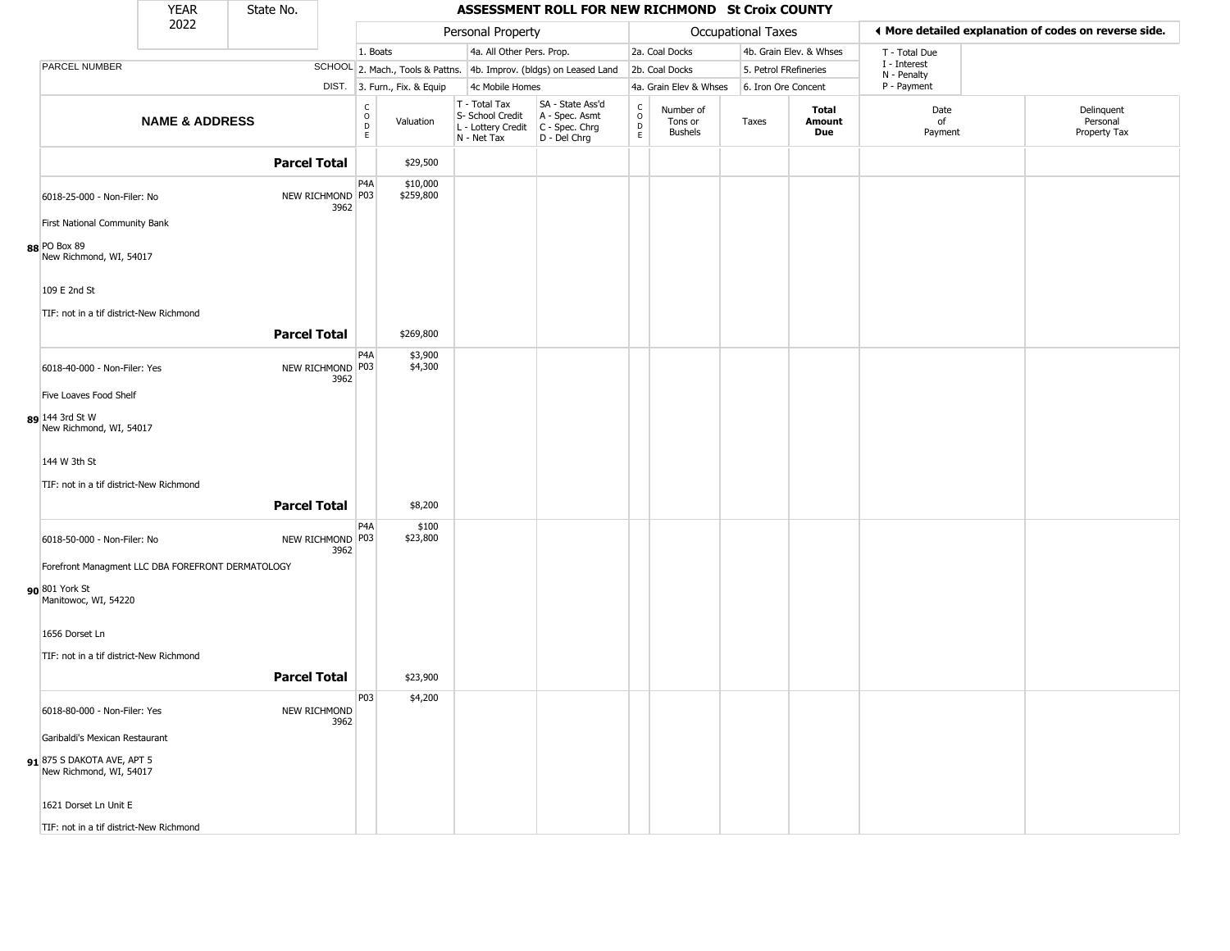|                                                                          | <b>YEAR</b>               | State No.           |                              |                                  |                                                                        | ASSESSMENT ROLL FOR NEW RICHMOND St Croix COUNTY                     |                                                   |                                        |                    |                         |                             |                                                       |
|--------------------------------------------------------------------------|---------------------------|---------------------|------------------------------|----------------------------------|------------------------------------------------------------------------|----------------------------------------------------------------------|---------------------------------------------------|----------------------------------------|--------------------|-------------------------|-----------------------------|-------------------------------------------------------|
|                                                                          | 2022                      |                     |                              |                                  | Personal Property                                                      |                                                                      |                                                   |                                        | Occupational Taxes |                         |                             | ♦ More detailed explanation of codes on reverse side. |
|                                                                          |                           |                     |                              | 1. Boats                         | 4a. All Other Pers. Prop.                                              |                                                                      |                                                   | 2a. Coal Docks                         |                    | 4b. Grain Elev. & Whses | T - Total Due               |                                                       |
| PARCEL NUMBER                                                            |                           |                     |                              | SCHOOL 2. Mach., Tools & Pattns. |                                                                        | 4b. Improv. (bldgs) on Leased Land                                   |                                                   | 2b. Coal Docks                         |                    | 5. Petrol FRefineries   | I - Interest<br>N - Penalty |                                                       |
|                                                                          |                           |                     |                              | DIST. 3. Furn., Fix. & Equip     | 4c Mobile Homes                                                        |                                                                      |                                                   | 4a. Grain Elev & Whses                 |                    | 6. Iron Ore Concent     | P - Payment                 |                                                       |
|                                                                          | <b>NAME &amp; ADDRESS</b> |                     | C<br>$_{\rm D}^{\rm O}$<br>E | Valuation                        | T - Total Tax<br>S- School Credit<br>L - Lottery Credit<br>N - Net Tax | SA - State Ass'd<br>A - Spec. Asmt<br>C - Spec. Chrg<br>D - Del Chrg | $\begin{array}{c}\nC \\ O \\ D \\ E\n\end{array}$ | Number of<br>Tons or<br><b>Bushels</b> | Taxes              | Total<br>Amount<br>Due  | Date<br>of<br>Payment       | Delinquent<br>Personal<br>Property Tax                |
|                                                                          |                           | <b>Parcel Total</b> |                              | \$29,500                         |                                                                        |                                                                      |                                                   |                                        |                    |                         |                             |                                                       |
| 6018-25-000 - Non-Filer: No                                              |                           | NEW RICHMOND P03    | P4A<br>3962                  | \$10,000<br>\$259,800            |                                                                        |                                                                      |                                                   |                                        |                    |                         |                             |                                                       |
| First National Community Bank<br>88 PO Box 89<br>New Richmond, WI, 54017 |                           |                     |                              |                                  |                                                                        |                                                                      |                                                   |                                        |                    |                         |                             |                                                       |
| 109 E 2nd St                                                             |                           |                     |                              |                                  |                                                                        |                                                                      |                                                   |                                        |                    |                         |                             |                                                       |
| TIF: not in a tif district-New Richmond                                  |                           | <b>Parcel Total</b> |                              | \$269,800                        |                                                                        |                                                                      |                                                   |                                        |                    |                         |                             |                                                       |
| 6018-40-000 - Non-Filer: Yes                                             |                           | NEW RICHMOND P03    | P4A                          | \$3,900<br>\$4,300               |                                                                        |                                                                      |                                                   |                                        |                    |                         |                             |                                                       |
| Five Loaves Food Shelf                                                   |                           |                     | 3962                         |                                  |                                                                        |                                                                      |                                                   |                                        |                    |                         |                             |                                                       |
| 89 144 3rd St W<br>New Richmond, WI, 54017                               |                           |                     |                              |                                  |                                                                        |                                                                      |                                                   |                                        |                    |                         |                             |                                                       |
| 144 W 3th St                                                             |                           |                     |                              |                                  |                                                                        |                                                                      |                                                   |                                        |                    |                         |                             |                                                       |
| TIF: not in a tif district-New Richmond                                  |                           | <b>Parcel Total</b> |                              | \$8,200                          |                                                                        |                                                                      |                                                   |                                        |                    |                         |                             |                                                       |
| 6018-50-000 - Non-Filer: No                                              |                           | NEW RICHMOND P03    | P4A                          | \$100<br>\$23,800                |                                                                        |                                                                      |                                                   |                                        |                    |                         |                             |                                                       |
| Forefront Managment LLC DBA FOREFRONT DERMATOLOGY                        |                           |                     | 3962                         |                                  |                                                                        |                                                                      |                                                   |                                        |                    |                         |                             |                                                       |
| 90 801 York St<br>Manitowoc, WI, 54220                                   |                           |                     |                              |                                  |                                                                        |                                                                      |                                                   |                                        |                    |                         |                             |                                                       |
| 1656 Dorset Ln                                                           |                           |                     |                              |                                  |                                                                        |                                                                      |                                                   |                                        |                    |                         |                             |                                                       |
| TIF: not in a tif district-New Richmond                                  |                           |                     |                              |                                  |                                                                        |                                                                      |                                                   |                                        |                    |                         |                             |                                                       |
|                                                                          |                           | <b>Parcel Total</b> |                              | \$23,900                         |                                                                        |                                                                      |                                                   |                                        |                    |                         |                             |                                                       |
| 6018-80-000 - Non-Filer: Yes                                             |                           | NEW RICHMOND        | P <sub>0</sub> 3<br>3962     | \$4,200                          |                                                                        |                                                                      |                                                   |                                        |                    |                         |                             |                                                       |
| Garibaldi's Mexican Restaurant                                           |                           |                     |                              |                                  |                                                                        |                                                                      |                                                   |                                        |                    |                         |                             |                                                       |
| 91875 S DAKOTA AVE, APT 5<br>New Richmond, WI, 54017                     |                           |                     |                              |                                  |                                                                        |                                                                      |                                                   |                                        |                    |                         |                             |                                                       |
| 1621 Dorset Ln Unit E                                                    |                           |                     |                              |                                  |                                                                        |                                                                      |                                                   |                                        |                    |                         |                             |                                                       |
| TIF: not in a tif district-New Richmond                                  |                           |                     |                              |                                  |                                                                        |                                                                      |                                                   |                                        |                    |                         |                             |                                                       |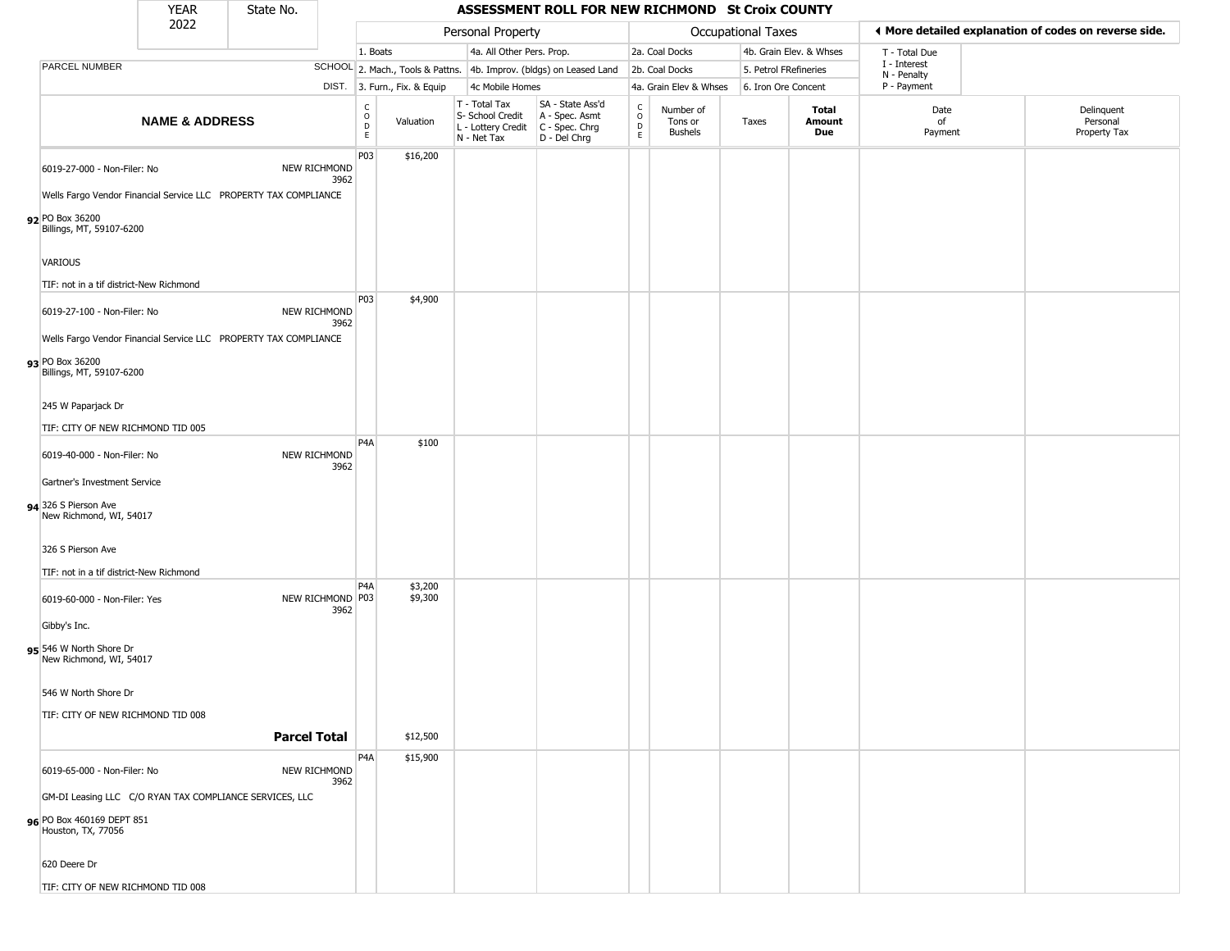|                                                    | <b>YEAR</b>               | State No.                                                                                |                                                 |                              |                                                  | ASSESSMENT ROLL FOR NEW RICHMOND St Croix COUNTY                                          |                                                          |                                        |                       |                         |                             |                                                        |
|----------------------------------------------------|---------------------------|------------------------------------------------------------------------------------------|-------------------------------------------------|------------------------------|--------------------------------------------------|-------------------------------------------------------------------------------------------|----------------------------------------------------------|----------------------------------------|-----------------------|-------------------------|-----------------------------|--------------------------------------------------------|
|                                                    | 2022                      |                                                                                          |                                                 |                              | Personal Property                                |                                                                                           |                                                          |                                        | Occupational Taxes    |                         |                             | If More detailed explanation of codes on reverse side. |
|                                                    |                           |                                                                                          | 1. Boats                                        |                              | 4a. All Other Pers. Prop.                        |                                                                                           |                                                          | 2a. Coal Docks                         |                       | 4b. Grain Elev. & Whses | T - Total Due               |                                                        |
| PARCEL NUMBER                                      |                           |                                                                                          |                                                 |                              |                                                  | SCHOOL 2. Mach., Tools & Pattns. 4b. Improv. (bldgs) on Leased Land                       |                                                          | 2b. Coal Docks                         | 5. Petrol FRefineries |                         | I - Interest<br>N - Penalty |                                                        |
|                                                    |                           |                                                                                          |                                                 | DIST. 3. Furn., Fix. & Equip | 4c Mobile Homes                                  |                                                                                           |                                                          | 4a. Grain Elev & Whses                 | 6. Iron Ore Concent   |                         | P - Payment                 |                                                        |
|                                                    | <b>NAME &amp; ADDRESS</b> |                                                                                          | $\begin{array}{c} C \\ O \\ D \\ E \end{array}$ | Valuation                    | T - Total Tax<br>S- School Credit<br>N - Net Tax | SA - State Ass'd<br>A - Spec. Asmt<br>L - Lottery Credit   C - Spec. Chrg<br>D - Del Chrg | $\begin{smallmatrix} C \\ O \\ D \end{smallmatrix}$<br>E | Number of<br>Tons or<br><b>Bushels</b> | Taxes                 | Total<br>Amount<br>Due  | Date<br>of<br>Payment       | Delinquent<br>Personal<br>Property Tax                 |
| 6019-27-000 - Non-Filer: No                        |                           | NEW RICHMOND<br>3962<br>Wells Fargo Vendor Financial Service LLC PROPERTY TAX COMPLIANCE | P03                                             | \$16,200                     |                                                  |                                                                                           |                                                          |                                        |                       |                         |                             |                                                        |
| 92 PO Box 36200<br>Billings, MT, 59107-6200        |                           |                                                                                          |                                                 |                              |                                                  |                                                                                           |                                                          |                                        |                       |                         |                             |                                                        |
| VARIOUS                                            |                           |                                                                                          |                                                 |                              |                                                  |                                                                                           |                                                          |                                        |                       |                         |                             |                                                        |
| TIF: not in a tif district-New Richmond            |                           |                                                                                          | P03                                             | \$4,900                      |                                                  |                                                                                           |                                                          |                                        |                       |                         |                             |                                                        |
| 6019-27-100 - Non-Filer: No                        |                           | NEW RICHMOND<br>3962<br>Wells Fargo Vendor Financial Service LLC PROPERTY TAX COMPLIANCE |                                                 |                              |                                                  |                                                                                           |                                                          |                                        |                       |                         |                             |                                                        |
| 93 PO Box 36200<br>Billings, MT, 59107-6200        |                           |                                                                                          |                                                 |                              |                                                  |                                                                                           |                                                          |                                        |                       |                         |                             |                                                        |
| 245 W Paparjack Dr                                 |                           |                                                                                          |                                                 |                              |                                                  |                                                                                           |                                                          |                                        |                       |                         |                             |                                                        |
| TIF: CITY OF NEW RICHMOND TID 005                  |                           |                                                                                          |                                                 |                              |                                                  |                                                                                           |                                                          |                                        |                       |                         |                             |                                                        |
| 6019-40-000 - Non-Filer: No                        |                           | NEW RICHMOND<br>3962                                                                     | P <sub>4</sub> A                                | \$100                        |                                                  |                                                                                           |                                                          |                                        |                       |                         |                             |                                                        |
| Gartner's Investment Service                       |                           |                                                                                          |                                                 |                              |                                                  |                                                                                           |                                                          |                                        |                       |                         |                             |                                                        |
| 94 326 S Pierson Ave<br>New Richmond, WI, 54017    |                           |                                                                                          |                                                 |                              |                                                  |                                                                                           |                                                          |                                        |                       |                         |                             |                                                        |
| 326 S Pierson Ave                                  |                           |                                                                                          |                                                 |                              |                                                  |                                                                                           |                                                          |                                        |                       |                         |                             |                                                        |
| TIF: not in a tif district-New Richmond            |                           |                                                                                          | P <sub>4</sub> A                                | \$3,200                      |                                                  |                                                                                           |                                                          |                                        |                       |                         |                             |                                                        |
| 6019-60-000 - Non-Filer: Yes                       |                           | NEW RICHMOND P03<br>3962                                                                 |                                                 | \$9,300                      |                                                  |                                                                                           |                                                          |                                        |                       |                         |                             |                                                        |
| Gibby's Inc.                                       |                           |                                                                                          |                                                 |                              |                                                  |                                                                                           |                                                          |                                        |                       |                         |                             |                                                        |
| 95 546 W North Shore Dr<br>New Richmond, WI, 54017 |                           |                                                                                          |                                                 |                              |                                                  |                                                                                           |                                                          |                                        |                       |                         |                             |                                                        |
| 546 W North Shore Dr                               |                           |                                                                                          |                                                 |                              |                                                  |                                                                                           |                                                          |                                        |                       |                         |                             |                                                        |
| TIF: CITY OF NEW RICHMOND TID 008                  |                           | <b>Parcel Total</b>                                                                      |                                                 | \$12,500                     |                                                  |                                                                                           |                                                          |                                        |                       |                         |                             |                                                        |
|                                                    |                           |                                                                                          |                                                 |                              |                                                  |                                                                                           |                                                          |                                        |                       |                         |                             |                                                        |
| 6019-65-000 - Non-Filer: No                        |                           | NEW RICHMOND<br>3962                                                                     | P4A                                             | \$15,900                     |                                                  |                                                                                           |                                                          |                                        |                       |                         |                             |                                                        |
|                                                    |                           | GM-DI Leasing LLC C/O RYAN TAX COMPLIANCE SERVICES, LLC                                  |                                                 |                              |                                                  |                                                                                           |                                                          |                                        |                       |                         |                             |                                                        |
| 96 PO Box 460169 DEPT 851<br>Houston, TX, 77056    |                           |                                                                                          |                                                 |                              |                                                  |                                                                                           |                                                          |                                        |                       |                         |                             |                                                        |
| 620 Deere Dr                                       |                           |                                                                                          |                                                 |                              |                                                  |                                                                                           |                                                          |                                        |                       |                         |                             |                                                        |
| TIF: CITY OF NEW RICHMOND TID 008                  |                           |                                                                                          |                                                 |                              |                                                  |                                                                                           |                                                          |                                        |                       |                         |                             |                                                        |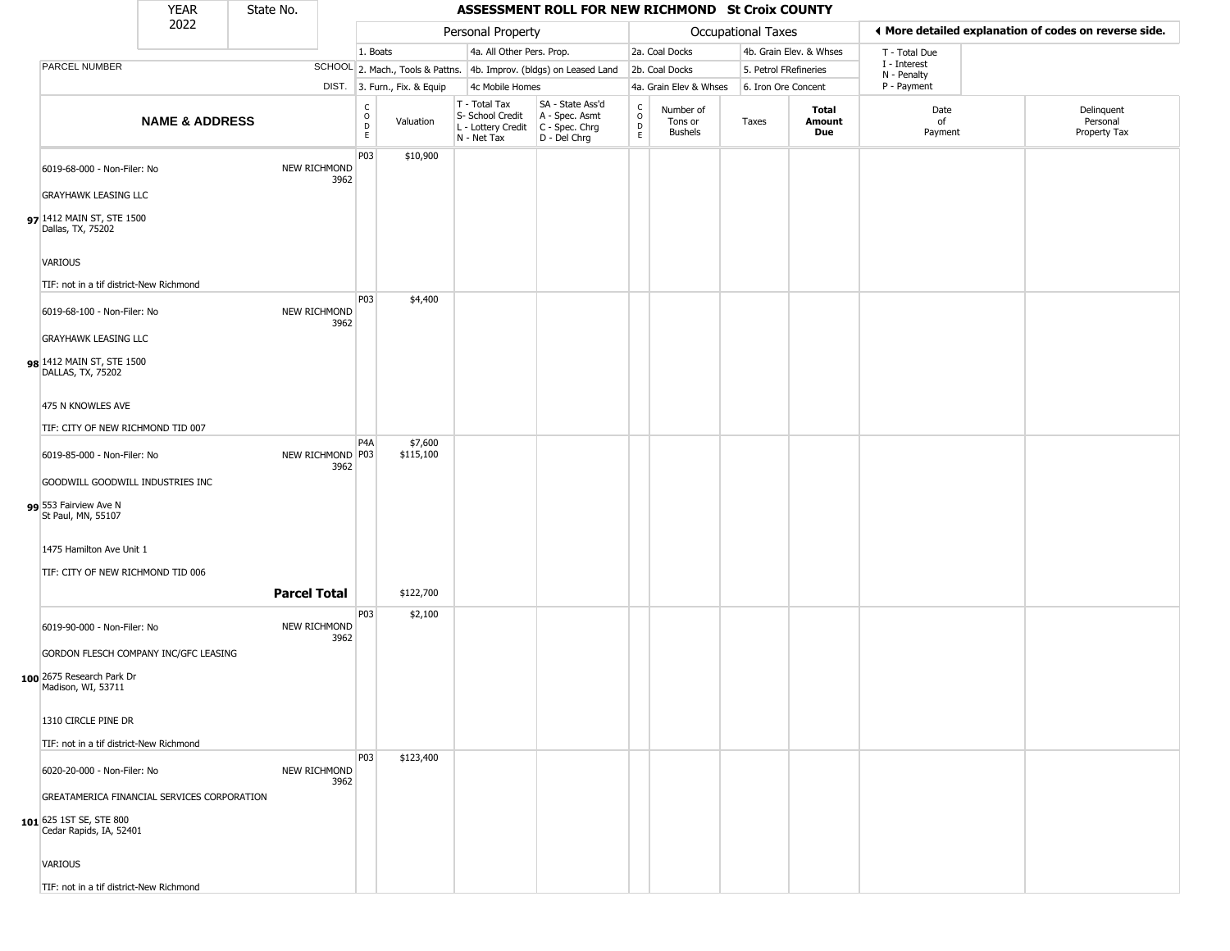|                                                            | <b>YEAR</b>               | State No.           |                          |                              |                              |                                                                        | ASSESSMENT ROLL FOR NEW RICHMOND St Croix COUNTY                     |                                                 |                                 |                       |                         |                             |                                                       |
|------------------------------------------------------------|---------------------------|---------------------|--------------------------|------------------------------|------------------------------|------------------------------------------------------------------------|----------------------------------------------------------------------|-------------------------------------------------|---------------------------------|-----------------------|-------------------------|-----------------------------|-------------------------------------------------------|
|                                                            | 2022                      |                     |                          |                              |                              | Personal Property                                                      |                                                                      |                                                 |                                 | Occupational Taxes    |                         |                             | ♦ More detailed explanation of codes on reverse side. |
|                                                            |                           |                     |                          | 1. Boats                     |                              | 4a. All Other Pers. Prop.                                              |                                                                      |                                                 | 2a. Coal Docks                  |                       | 4b. Grain Elev. & Whses | T - Total Due               |                                                       |
| PARCEL NUMBER                                              |                           |                     |                          |                              |                              |                                                                        | SCHOOL 2. Mach., Tools & Pattns. 4b. Improv. (bldgs) on Leased Land  |                                                 | 2b. Coal Docks                  | 5. Petrol FRefineries |                         | I - Interest<br>N - Penalty |                                                       |
|                                                            |                           |                     |                          |                              | DIST. 3. Furn., Fix. & Equip | 4c Mobile Homes                                                        |                                                                      |                                                 | 4a. Grain Elev & Whses          | 6. Iron Ore Concent   |                         | P - Payment                 |                                                       |
|                                                            | <b>NAME &amp; ADDRESS</b> |                     |                          | $_{\rm o}^{\rm c}$<br>D<br>E | Valuation                    | T - Total Tax<br>S- School Credit<br>L - Lottery Credit<br>N - Net Tax | SA - State Ass'd<br>A - Spec. Asmt<br>C - Spec. Chrg<br>D - Del Chrg | $\begin{array}{c} C \\ O \\ D \\ E \end{array}$ | Number of<br>Tons or<br>Bushels | Taxes                 | Total<br>Amount<br>Due  | Date<br>of<br>Payment       | Delinquent<br>Personal<br>Property Tax                |
| 6019-68-000 - Non-Filer: No                                |                           |                     | NEW RICHMOND<br>3962     | P03                          | \$10,900                     |                                                                        |                                                                      |                                                 |                                 |                       |                         |                             |                                                       |
| <b>GRAYHAWK LEASING LLC</b>                                |                           |                     |                          |                              |                              |                                                                        |                                                                      |                                                 |                                 |                       |                         |                             |                                                       |
| 97 1412 MAIN ST, STE 1500<br>Dallas, TX, 75202             |                           |                     |                          |                              |                              |                                                                        |                                                                      |                                                 |                                 |                       |                         |                             |                                                       |
| <b>VARIOUS</b>                                             |                           |                     |                          |                              |                              |                                                                        |                                                                      |                                                 |                                 |                       |                         |                             |                                                       |
| TIF: not in a tif district-New Richmond                    |                           |                     |                          |                              |                              |                                                                        |                                                                      |                                                 |                                 |                       |                         |                             |                                                       |
| 6019-68-100 - Non-Filer: No<br><b>GRAYHAWK LEASING LLC</b> |                           |                     | NEW RICHMOND<br>3962     | P03                          | \$4,400                      |                                                                        |                                                                      |                                                 |                                 |                       |                         |                             |                                                       |
| 98 1412 MAIN ST, STE 1500<br>DALLAS, TX, 75202             |                           |                     |                          |                              |                              |                                                                        |                                                                      |                                                 |                                 |                       |                         |                             |                                                       |
| 475 N KNOWLES AVE                                          |                           |                     |                          |                              |                              |                                                                        |                                                                      |                                                 |                                 |                       |                         |                             |                                                       |
| TIF: CITY OF NEW RICHMOND TID 007                          |                           |                     |                          |                              |                              |                                                                        |                                                                      |                                                 |                                 |                       |                         |                             |                                                       |
| 6019-85-000 - Non-Filer: No                                |                           |                     | NEW RICHMOND P03<br>3962 | P <sub>4</sub> A             | \$7,600<br>\$115,100         |                                                                        |                                                                      |                                                 |                                 |                       |                         |                             |                                                       |
| GOODWILL GOODWILL INDUSTRIES INC<br>99 553 Fairview Ave N  |                           |                     |                          |                              |                              |                                                                        |                                                                      |                                                 |                                 |                       |                         |                             |                                                       |
| St Paul, MN, 55107                                         |                           |                     |                          |                              |                              |                                                                        |                                                                      |                                                 |                                 |                       |                         |                             |                                                       |
| 1475 Hamilton Ave Unit 1                                   |                           |                     |                          |                              |                              |                                                                        |                                                                      |                                                 |                                 |                       |                         |                             |                                                       |
| TIF: CITY OF NEW RICHMOND TID 006                          |                           |                     |                          |                              |                              |                                                                        |                                                                      |                                                 |                                 |                       |                         |                             |                                                       |
|                                                            |                           | <b>Parcel Total</b> |                          |                              | \$122,700                    |                                                                        |                                                                      |                                                 |                                 |                       |                         |                             |                                                       |
| 6019-90-000 - Non-Filer: No                                |                           |                     | NEW RICHMOND<br>3962     | P03                          | \$2,100                      |                                                                        |                                                                      |                                                 |                                 |                       |                         |                             |                                                       |
| GORDON FLESCH COMPANY INC/GFC LEASING                      |                           |                     |                          |                              |                              |                                                                        |                                                                      |                                                 |                                 |                       |                         |                             |                                                       |
| 100 2675 Research Park Dr<br>Madison, WI, 53711            |                           |                     |                          |                              |                              |                                                                        |                                                                      |                                                 |                                 |                       |                         |                             |                                                       |
| 1310 CIRCLE PINE DR                                        |                           |                     |                          |                              |                              |                                                                        |                                                                      |                                                 |                                 |                       |                         |                             |                                                       |
| TIF: not in a tif district-New Richmond                    |                           |                     |                          |                              |                              |                                                                        |                                                                      |                                                 |                                 |                       |                         |                             |                                                       |
| 6020-20-000 - Non-Filer: No                                |                           |                     | NEW RICHMOND<br>3962     | <b>P03</b>                   | \$123,400                    |                                                                        |                                                                      |                                                 |                                 |                       |                         |                             |                                                       |
| GREATAMERICA FINANCIAL SERVICES CORPORATION                |                           |                     |                          |                              |                              |                                                                        |                                                                      |                                                 |                                 |                       |                         |                             |                                                       |
| 101 625 1ST SE, STE 800<br>Cedar Rapids, IA, 52401         |                           |                     |                          |                              |                              |                                                                        |                                                                      |                                                 |                                 |                       |                         |                             |                                                       |
| <b>VARIOUS</b>                                             |                           |                     |                          |                              |                              |                                                                        |                                                                      |                                                 |                                 |                       |                         |                             |                                                       |
| TIF: not in a tif district-New Richmond                    |                           |                     |                          |                              |                              |                                                                        |                                                                      |                                                 |                                 |                       |                         |                             |                                                       |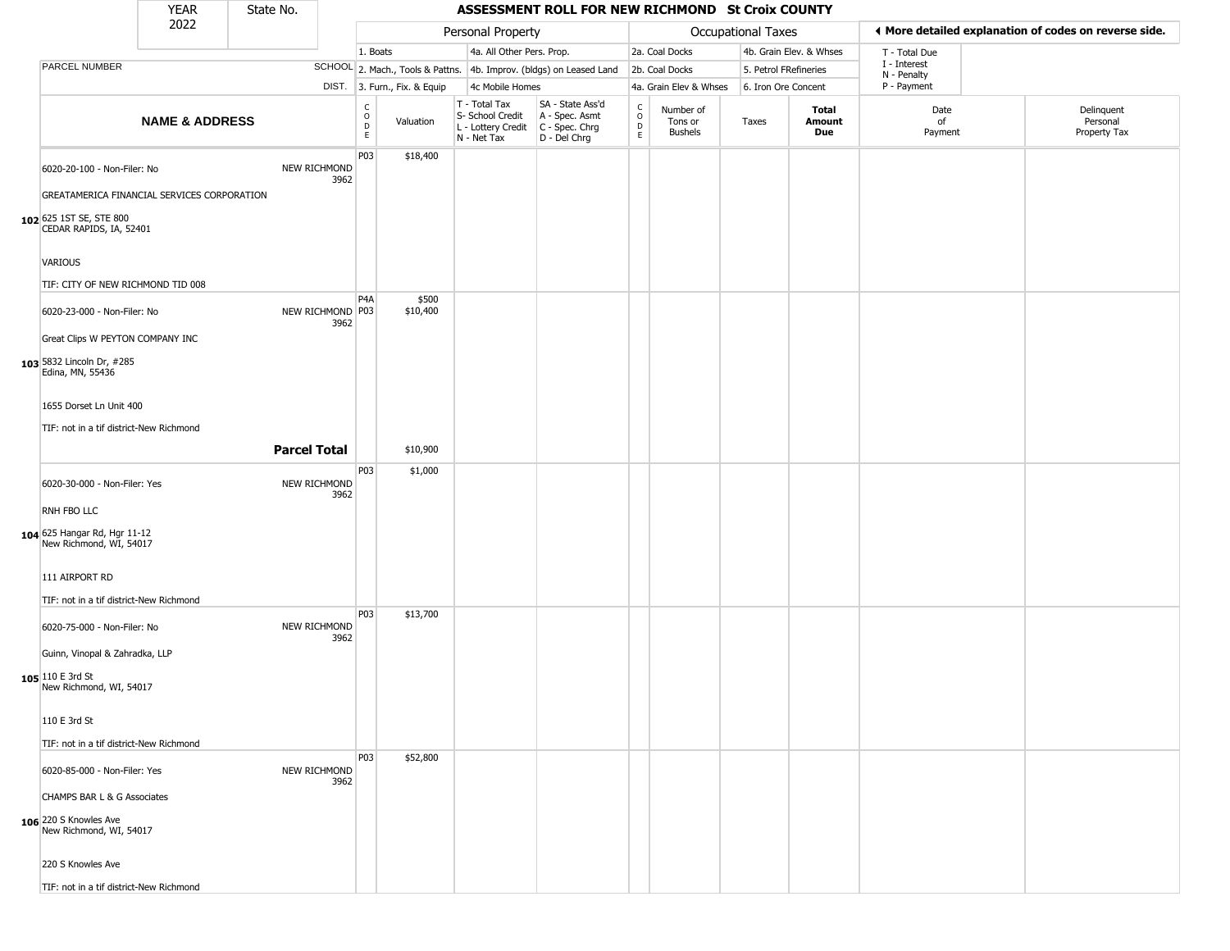|                                                                                                                                      | <b>YEAR</b>               | State No. |                          |                         |                              |                                                                        | ASSESSMENT ROLL FOR NEW RICHMOND St Croix COUNTY                     |                                              |                                        |                       |                         |                                                       |                                        |
|--------------------------------------------------------------------------------------------------------------------------------------|---------------------------|-----------|--------------------------|-------------------------|------------------------------|------------------------------------------------------------------------|----------------------------------------------------------------------|----------------------------------------------|----------------------------------------|-----------------------|-------------------------|-------------------------------------------------------|----------------------------------------|
|                                                                                                                                      | 2022                      |           |                          |                         |                              | Personal Property                                                      |                                                                      |                                              |                                        | Occupational Taxes    |                         | ◀ More detailed explanation of codes on reverse side. |                                        |
|                                                                                                                                      |                           |           |                          | 1. Boats                |                              | 4a. All Other Pers. Prop.                                              |                                                                      |                                              | 2a. Coal Docks                         |                       | 4b. Grain Elev. & Whses | T - Total Due                                         |                                        |
| PARCEL NUMBER                                                                                                                        |                           |           |                          |                         |                              |                                                                        | SCHOOL 2. Mach., Tools & Pattns. 4b. Improv. (bldgs) on Leased Land  |                                              | 2b. Coal Docks                         | 5. Petrol FRefineries |                         | I - Interest<br>N - Penalty                           |                                        |
|                                                                                                                                      |                           |           |                          |                         | DIST. 3. Furn., Fix. & Equip | 4c Mobile Homes                                                        |                                                                      |                                              | 4a. Grain Elev & Whses                 | 6. Iron Ore Concent   |                         | P - Payment                                           |                                        |
|                                                                                                                                      | <b>NAME &amp; ADDRESS</b> |           |                          | C<br>$\circ$<br>D<br>E. | Valuation                    | T - Total Tax<br>S- School Credit<br>L - Lottery Credit<br>N - Net Tax | SA - State Ass'd<br>A - Spec. Asmt<br>C - Spec. Chrg<br>D - Del Chrg | $\mathsf{C}$<br>$\circ$<br>$\mathsf{D}$<br>E | Number of<br>Tons or<br><b>Bushels</b> | Taxes                 | Total<br>Amount<br>Due  | Date<br>of<br>Payment                                 | Delinquent<br>Personal<br>Property Tax |
| 6020-20-100 - Non-Filer: No<br>GREATAMERICA FINANCIAL SERVICES CORPORATION<br>102 625 1ST SE, STE 800                                |                           |           | NEW RICHMOND<br>3962     | P03                     | \$18,400                     |                                                                        |                                                                      |                                              |                                        |                       |                         |                                                       |                                        |
| CEDAR RAPIDS, IA, 52401<br>VARIOUS<br>TIF: CITY OF NEW RICHMOND TID 008                                                              |                           |           |                          |                         |                              |                                                                        |                                                                      |                                              |                                        |                       |                         |                                                       |                                        |
| 6020-23-000 - Non-Filer: No<br>Great Clips W PEYTON COMPANY INC<br>103 5832 Lincoln Dr, #285<br>Edina, MN, 55436                     |                           |           | NEW RICHMOND P03<br>3962 | P <sub>4</sub> A        | \$500<br>\$10,400            |                                                                        |                                                                      |                                              |                                        |                       |                         |                                                       |                                        |
| 1655 Dorset Ln Unit 400<br>TIF: not in a tif district-New Richmond                                                                   |                           |           | <b>Parcel Total</b>      | P03                     | \$10,900<br>\$1,000          |                                                                        |                                                                      |                                              |                                        |                       |                         |                                                       |                                        |
| 6020-30-000 - Non-Filer: Yes<br>RNH FBO LLC<br>104 625 Hangar Rd, Hgr 11-12<br>New Richmond, WI, 54017                               |                           |           | NEW RICHMOND<br>3962     |                         |                              |                                                                        |                                                                      |                                              |                                        |                       |                         |                                                       |                                        |
| 111 AIRPORT RD<br>TIF: not in a tif district-New Richmond                                                                            |                           |           |                          | P03                     | \$13,700                     |                                                                        |                                                                      |                                              |                                        |                       |                         |                                                       |                                        |
| 6020-75-000 - Non-Filer: No<br>Guinn, Vinopal & Zahradka, LLP<br>105 110 E 3rd St<br>New Richmond, WI, 54017                         |                           |           | NEW RICHMOND<br>3962     |                         |                              |                                                                        |                                                                      |                                              |                                        |                       |                         |                                                       |                                        |
| 110 E 3rd St<br>TIF: not in a tif district-New Richmond                                                                              |                           |           |                          |                         |                              |                                                                        |                                                                      |                                              |                                        |                       |                         |                                                       |                                        |
| 6020-85-000 - Non-Filer: Yes<br>CHAMPS BAR L & G Associates<br>106 220 S Knowles Ave<br>New Richmond, WI, 54017<br>220 S Knowles Ave |                           |           | NEW RICHMOND<br>3962     | P03                     | \$52,800                     |                                                                        |                                                                      |                                              |                                        |                       |                         |                                                       |                                        |
| TIF: not in a tif district-New Richmond                                                                                              |                           |           |                          |                         |                              |                                                                        |                                                                      |                                              |                                        |                       |                         |                                                       |                                        |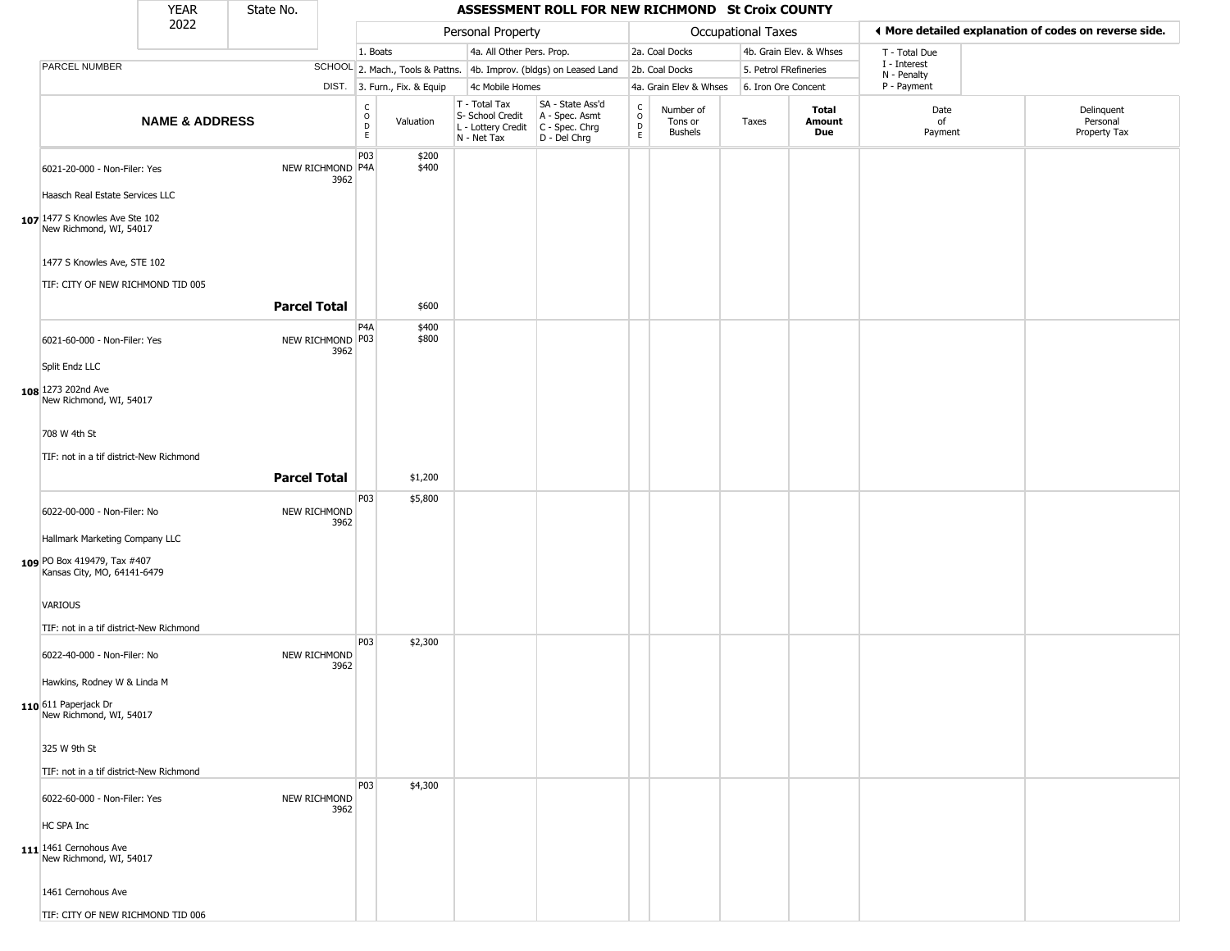|                                                                                              | <b>YEAR</b>               | State No.           |      |                                                  |                              |                                                                                                          | ASSESSMENT ROLL FOR NEW RICHMOND St Croix COUNTY                    |                                    |                                        |                       |                         |                             |                                                       |
|----------------------------------------------------------------------------------------------|---------------------------|---------------------|------|--------------------------------------------------|------------------------------|----------------------------------------------------------------------------------------------------------|---------------------------------------------------------------------|------------------------------------|----------------------------------------|-----------------------|-------------------------|-----------------------------|-------------------------------------------------------|
|                                                                                              | 2022                      |                     |      |                                                  |                              | Personal Property                                                                                        |                                                                     |                                    |                                        | Occupational Taxes    |                         |                             | ♦ More detailed explanation of codes on reverse side. |
|                                                                                              |                           |                     |      | 1. Boats                                         |                              | 4a. All Other Pers. Prop.                                                                                |                                                                     |                                    | 2a. Coal Docks                         |                       | 4b. Grain Elev. & Whses | T - Total Due               |                                                       |
| PARCEL NUMBER                                                                                |                           |                     |      |                                                  |                              |                                                                                                          | SCHOOL 2. Mach., Tools & Pattns. 4b. Improv. (bldgs) on Leased Land |                                    | 2b. Coal Docks                         | 5. Petrol FRefineries |                         | I - Interest<br>N - Penalty |                                                       |
|                                                                                              |                           |                     |      |                                                  | DIST. 3. Furn., Fix. & Equip | 4c Mobile Homes                                                                                          |                                                                     |                                    | 4a. Grain Elev & Whses                 | 6. Iron Ore Concent   |                         | P - Payment                 |                                                       |
|                                                                                              | <b>NAME &amp; ADDRESS</b> |                     |      | $_{\rm o}^{\rm c}$<br>$\mathsf D$<br>$\mathsf E$ | Valuation                    | T - Total Tax<br>S- School Credit   A - Spec. Asmt<br>L - Lottery Credit   C - Spec. Chrg<br>N - Net Tax | SA - State Ass'd<br>D - Del Chrg                                    | $\int_{0}^{c}$<br>$\mathsf D$<br>E | Number of<br>Tons or<br><b>Bushels</b> | Taxes                 | Total<br>Amount<br>Due  | Date<br>of<br>Payment       | Delinquent<br>Personal<br>Property Tax                |
| 6021-20-000 - Non-Filer: Yes<br>Haasch Real Estate Services LLC                              |                           | NEW RICHMOND P4A    | 3962 | P03                                              | \$200<br>\$400               |                                                                                                          |                                                                     |                                    |                                        |                       |                         |                             |                                                       |
| 107 1477 S Knowles Ave Ste 102<br>New Richmond, WI, 54017                                    |                           |                     |      |                                                  |                              |                                                                                                          |                                                                     |                                    |                                        |                       |                         |                             |                                                       |
| 1477 S Knowles Ave, STE 102<br>TIF: CITY OF NEW RICHMOND TID 005                             |                           |                     |      |                                                  |                              |                                                                                                          |                                                                     |                                    |                                        |                       |                         |                             |                                                       |
|                                                                                              |                           | <b>Parcel Total</b> |      |                                                  | \$600                        |                                                                                                          |                                                                     |                                    |                                        |                       |                         |                             |                                                       |
| 6021-60-000 - Non-Filer: Yes                                                                 |                           | NEW RICHMOND P03    | 3962 | P4A                                              | \$400<br>\$800               |                                                                                                          |                                                                     |                                    |                                        |                       |                         |                             |                                                       |
| Split Endz LLC<br>108 1273 202nd Ave<br>New Richmond, WI, 54017                              |                           |                     |      |                                                  |                              |                                                                                                          |                                                                     |                                    |                                        |                       |                         |                             |                                                       |
| 708 W 4th St                                                                                 |                           |                     |      |                                                  |                              |                                                                                                          |                                                                     |                                    |                                        |                       |                         |                             |                                                       |
| TIF: not in a tif district-New Richmond                                                      |                           |                     |      |                                                  |                              |                                                                                                          |                                                                     |                                    |                                        |                       |                         |                             |                                                       |
|                                                                                              |                           | <b>Parcel Total</b> |      |                                                  | \$1,200                      |                                                                                                          |                                                                     |                                    |                                        |                       |                         |                             |                                                       |
| 6022-00-000 - Non-Filer: No                                                                  |                           | NEW RICHMOND        | 3962 | P03                                              | \$5,800                      |                                                                                                          |                                                                     |                                    |                                        |                       |                         |                             |                                                       |
| Hallmark Marketing Company LLC<br>109 PO Box 419479, Tax #407<br>Kansas City, MO, 64141-6479 |                           |                     |      |                                                  |                              |                                                                                                          |                                                                     |                                    |                                        |                       |                         |                             |                                                       |
| <b>VARIOUS</b><br>TIF: not in a tif district-New Richmond                                    |                           |                     |      |                                                  |                              |                                                                                                          |                                                                     |                                    |                                        |                       |                         |                             |                                                       |
| 6022-40-000 - Non-Filer: No                                                                  |                           | NEW RICHMOND        | 3962 | P03                                              | \$2,300                      |                                                                                                          |                                                                     |                                    |                                        |                       |                         |                             |                                                       |
| Hawkins, Rodney W & Linda M                                                                  |                           |                     |      |                                                  |                              |                                                                                                          |                                                                     |                                    |                                        |                       |                         |                             |                                                       |
| 110 611 Paperjack Dr<br>New Richmond, WI, 54017                                              |                           |                     |      |                                                  |                              |                                                                                                          |                                                                     |                                    |                                        |                       |                         |                             |                                                       |
| 325 W 9th St                                                                                 |                           |                     |      |                                                  |                              |                                                                                                          |                                                                     |                                    |                                        |                       |                         |                             |                                                       |
| TIF: not in a tif district-New Richmond                                                      |                           |                     |      | P03                                              | \$4,300                      |                                                                                                          |                                                                     |                                    |                                        |                       |                         |                             |                                                       |
| 6022-60-000 - Non-Filer: Yes                                                                 |                           | NEW RICHMOND        | 3962 |                                                  |                              |                                                                                                          |                                                                     |                                    |                                        |                       |                         |                             |                                                       |
| HC SPA Inc<br>111 1461 Cernohous Ave<br>New Richmond, WI, 54017                              |                           |                     |      |                                                  |                              |                                                                                                          |                                                                     |                                    |                                        |                       |                         |                             |                                                       |
| 1461 Cernohous Ave                                                                           |                           |                     |      |                                                  |                              |                                                                                                          |                                                                     |                                    |                                        |                       |                         |                             |                                                       |
| TIF: CITY OF NEW RICHMOND TID 006                                                            |                           |                     |      |                                                  |                              |                                                                                                          |                                                                     |                                    |                                        |                       |                         |                             |                                                       |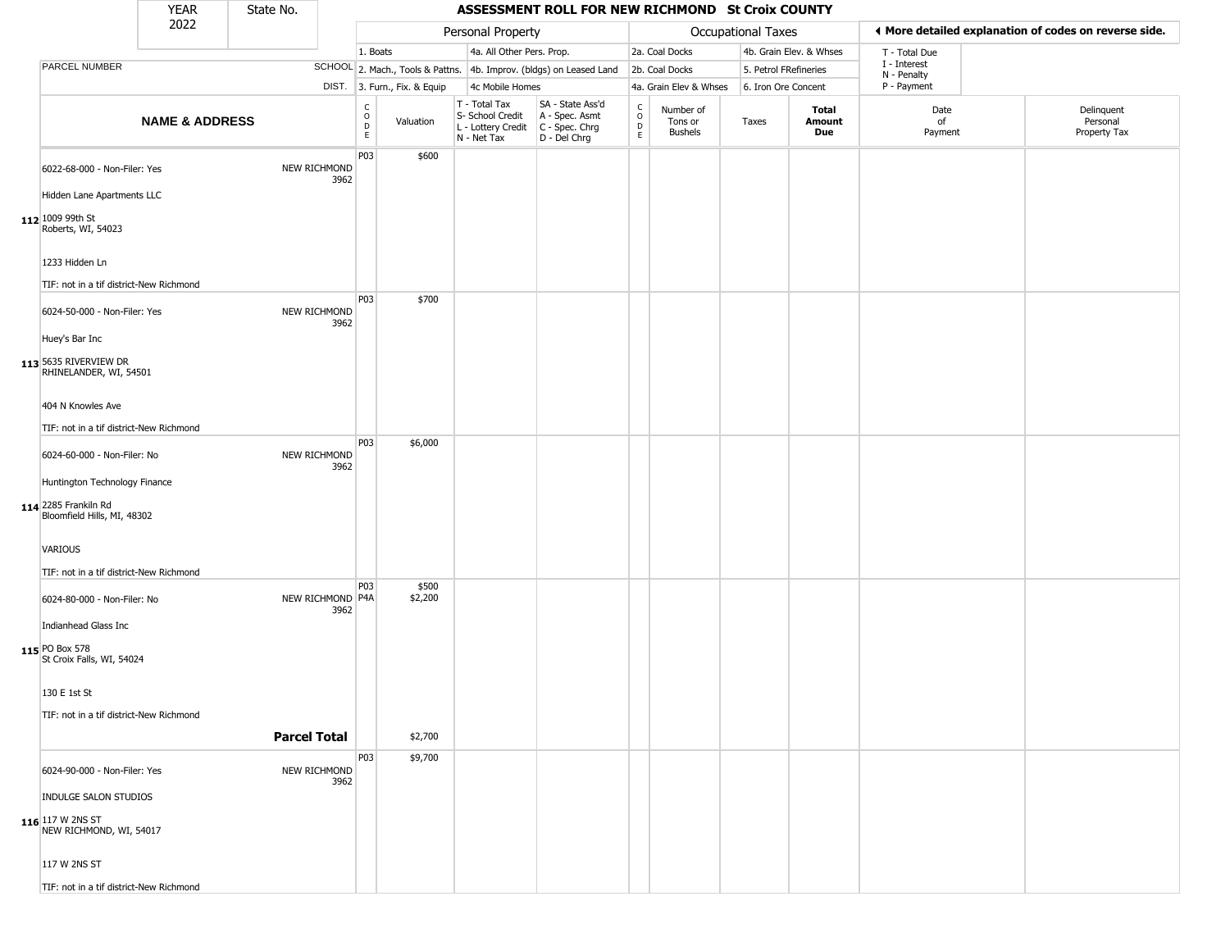|                                                           | YEAR                      | State No.           |                          |                                          |                              |                                                                        | ASSESSMENT ROLL FOR NEW RICHMOND St Croix COUNTY                     |                                   |                                        |                           |                         |                             |                                                       |
|-----------------------------------------------------------|---------------------------|---------------------|--------------------------|------------------------------------------|------------------------------|------------------------------------------------------------------------|----------------------------------------------------------------------|-----------------------------------|----------------------------------------|---------------------------|-------------------------|-----------------------------|-------------------------------------------------------|
|                                                           | 2022                      |                     |                          |                                          |                              | Personal Property                                                      |                                                                      |                                   |                                        | <b>Occupational Taxes</b> |                         |                             | ◀ More detailed explanation of codes on reverse side. |
|                                                           |                           |                     |                          | 1. Boats                                 |                              | 4a. All Other Pers. Prop.                                              |                                                                      |                                   | 2a. Coal Docks                         |                           | 4b. Grain Elev. & Whses | T - Total Due               |                                                       |
| PARCEL NUMBER                                             |                           |                     |                          |                                          |                              |                                                                        | SCHOOL 2. Mach., Tools & Pattns. 4b. Improv. (bldgs) on Leased Land  |                                   | 2b. Coal Docks                         | 5. Petrol FRefineries     |                         | I - Interest<br>N - Penalty |                                                       |
|                                                           |                           |                     |                          |                                          | DIST. 3. Furn., Fix. & Equip | 4c Mobile Homes                                                        |                                                                      |                                   | 4a. Grain Elev & Whses                 | 6. Iron Ore Concent       |                         | P - Payment                 |                                                       |
|                                                           | <b>NAME &amp; ADDRESS</b> |                     |                          | $\rm _o^C$<br>$\mathsf D$<br>$\mathsf E$ | Valuation                    | T - Total Tax<br>S- School Credit<br>L - Lottery Credit<br>N - Net Tax | SA - State Ass'd<br>A - Spec. Asmt<br>C - Spec. Chrg<br>D - Del Chrg | $\frac{c}{0}$<br>$\mathsf D$<br>E | Number of<br>Tons or<br><b>Bushels</b> | Taxes                     | Total<br>Amount<br>Due  | Date<br>of<br>Payment       | Delinquent<br>Personal<br>Property Tax                |
| 6022-68-000 - Non-Filer: Yes                              |                           |                     | NEW RICHMOND<br>3962     | P03                                      | \$600                        |                                                                        |                                                                      |                                   |                                        |                           |                         |                             |                                                       |
| Hidden Lane Apartments LLC                                |                           |                     |                          |                                          |                              |                                                                        |                                                                      |                                   |                                        |                           |                         |                             |                                                       |
| 112 1009 99th St<br>Roberts, WI, 54023                    |                           |                     |                          |                                          |                              |                                                                        |                                                                      |                                   |                                        |                           |                         |                             |                                                       |
| 1233 Hidden Ln<br>TIF: not in a tif district-New Richmond |                           |                     |                          |                                          |                              |                                                                        |                                                                      |                                   |                                        |                           |                         |                             |                                                       |
|                                                           |                           |                     |                          | P03                                      | \$700                        |                                                                        |                                                                      |                                   |                                        |                           |                         |                             |                                                       |
| 6024-50-000 - Non-Filer: Yes<br>Huey's Bar Inc            |                           |                     | NEW RICHMOND<br>3962     |                                          |                              |                                                                        |                                                                      |                                   |                                        |                           |                         |                             |                                                       |
| 113 5635 RIVERVIEW DR<br>RHINELANDER, WI, 54501           |                           |                     |                          |                                          |                              |                                                                        |                                                                      |                                   |                                        |                           |                         |                             |                                                       |
| 404 N Knowles Ave                                         |                           |                     |                          |                                          |                              |                                                                        |                                                                      |                                   |                                        |                           |                         |                             |                                                       |
| TIF: not in a tif district-New Richmond                   |                           |                     |                          | P03                                      | \$6,000                      |                                                                        |                                                                      |                                   |                                        |                           |                         |                             |                                                       |
| 6024-60-000 - Non-Filer: No                               |                           |                     | NEW RICHMOND<br>3962     |                                          |                              |                                                                        |                                                                      |                                   |                                        |                           |                         |                             |                                                       |
| Huntington Technology Finance                             |                           |                     |                          |                                          |                              |                                                                        |                                                                      |                                   |                                        |                           |                         |                             |                                                       |
| 114 2285 Frankiln Rd<br>Bloomfield Hills, MI, 48302       |                           |                     |                          |                                          |                              |                                                                        |                                                                      |                                   |                                        |                           |                         |                             |                                                       |
| VARIOUS                                                   |                           |                     |                          |                                          |                              |                                                                        |                                                                      |                                   |                                        |                           |                         |                             |                                                       |
| TIF: not in a tif district-New Richmond                   |                           |                     |                          |                                          |                              |                                                                        |                                                                      |                                   |                                        |                           |                         |                             |                                                       |
| 6024-80-000 - Non-Filer: No                               |                           |                     | NEW RICHMOND P4A<br>3962 | P03                                      | \$500<br>\$2,200             |                                                                        |                                                                      |                                   |                                        |                           |                         |                             |                                                       |
| Indianhead Glass Inc                                      |                           |                     |                          |                                          |                              |                                                                        |                                                                      |                                   |                                        |                           |                         |                             |                                                       |
| 115 PO Box 578<br>St Croix Falls, WI, 54024               |                           |                     |                          |                                          |                              |                                                                        |                                                                      |                                   |                                        |                           |                         |                             |                                                       |
| 130 E 1st St                                              |                           |                     |                          |                                          |                              |                                                                        |                                                                      |                                   |                                        |                           |                         |                             |                                                       |
| TIF: not in a tif district-New Richmond                   |                           |                     |                          |                                          |                              |                                                                        |                                                                      |                                   |                                        |                           |                         |                             |                                                       |
|                                                           |                           | <b>Parcel Total</b> |                          |                                          | \$2,700                      |                                                                        |                                                                      |                                   |                                        |                           |                         |                             |                                                       |
| 6024-90-000 - Non-Filer: Yes                              |                           |                     | NEW RICHMOND<br>3962     | P03                                      | \$9,700                      |                                                                        |                                                                      |                                   |                                        |                           |                         |                             |                                                       |
| <b>INDULGE SALON STUDIOS</b>                              |                           |                     |                          |                                          |                              |                                                                        |                                                                      |                                   |                                        |                           |                         |                             |                                                       |
| <b>116</b> 117 W 2NS ST<br>NEW RICHMOND, WI, 54017        |                           |                     |                          |                                          |                              |                                                                        |                                                                      |                                   |                                        |                           |                         |                             |                                                       |
| 117 W 2NS ST                                              |                           |                     |                          |                                          |                              |                                                                        |                                                                      |                                   |                                        |                           |                         |                             |                                                       |
| TIF: not in a tif district-New Richmond                   |                           |                     |                          |                                          |                              |                                                                        |                                                                      |                                   |                                        |                           |                         |                             |                                                       |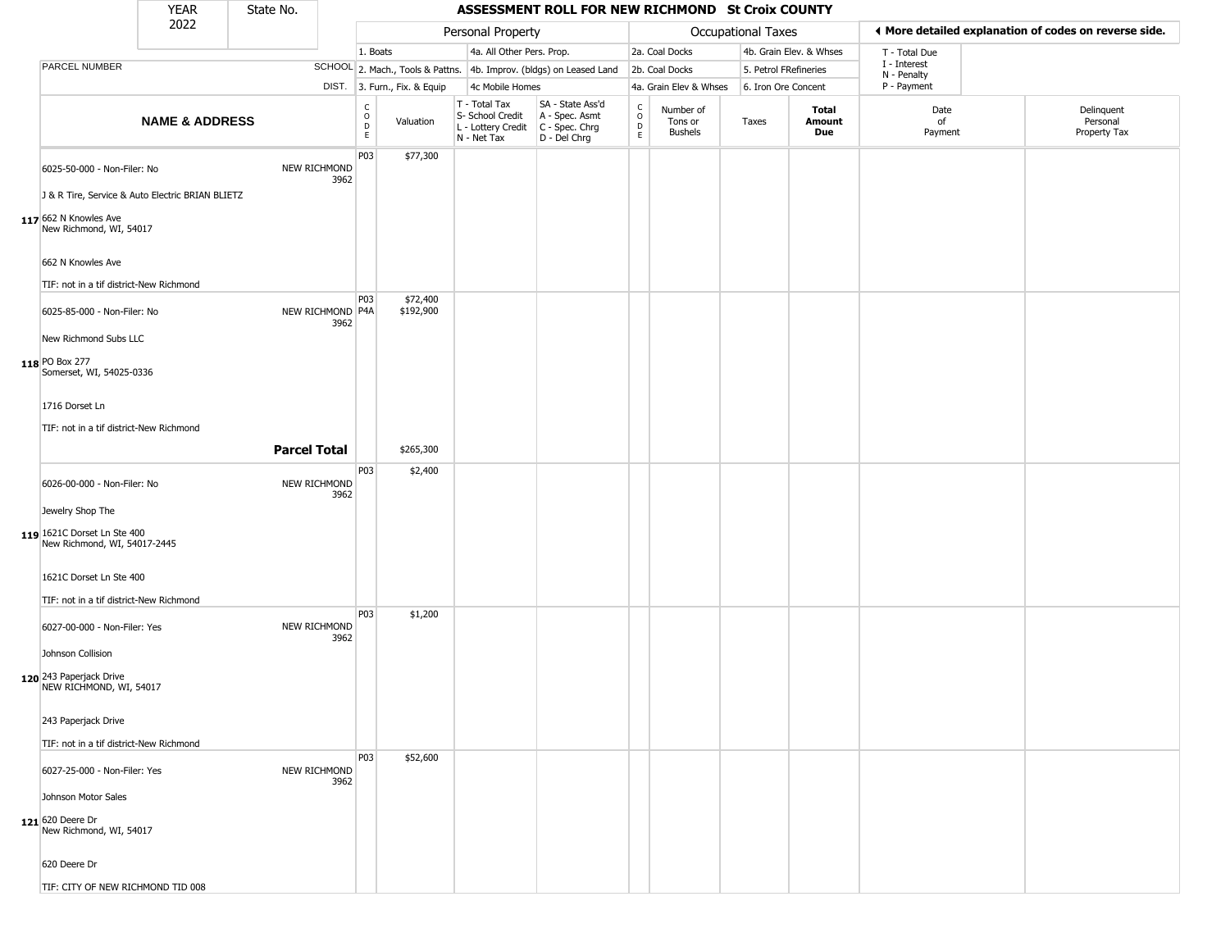|                                                             | <b>YEAR</b>               | State No.           |                          |                                    |                              |                                                                        | ASSESSMENT ROLL FOR NEW RICHMOND St Croix COUNTY                     |                                 |                                        |                       |                               |                             |                                                       |
|-------------------------------------------------------------|---------------------------|---------------------|--------------------------|------------------------------------|------------------------------|------------------------------------------------------------------------|----------------------------------------------------------------------|---------------------------------|----------------------------------------|-----------------------|-------------------------------|-----------------------------|-------------------------------------------------------|
|                                                             | 2022                      |                     |                          |                                    |                              | Personal Property                                                      |                                                                      |                                 |                                        | Occupational Taxes    |                               |                             | ◀ More detailed explanation of codes on reverse side. |
|                                                             |                           |                     |                          | 1. Boats                           |                              | 4a. All Other Pers. Prop.                                              |                                                                      |                                 | 2a. Coal Docks                         |                       | 4b. Grain Elev. & Whses       | T - Total Due               |                                                       |
| <b>PARCEL NUMBER</b>                                        |                           |                     |                          |                                    |                              |                                                                        | SCHOOL 2. Mach., Tools & Pattns. 4b. Improv. (bldgs) on Leased Land  |                                 | 2b. Coal Docks                         | 5. Petrol FRefineries |                               | I - Interest<br>N - Penalty |                                                       |
|                                                             |                           |                     |                          |                                    | DIST. 3. Furn., Fix. & Equip | 4c Mobile Homes                                                        |                                                                      |                                 | 4a. Grain Elev & Whses                 | 6. Iron Ore Concent   |                               | P - Payment                 |                                                       |
|                                                             | <b>NAME &amp; ADDRESS</b> |                     |                          | $\frac{c}{0}$<br>$\mathsf{D}$<br>E | Valuation                    | T - Total Tax<br>S- School Credit<br>L - Lottery Credit<br>N - Net Tax | SA - State Ass'd<br>A - Spec. Asmt<br>C - Spec. Chrg<br>D - Del Chrg | $\rm ^c_o$<br>$\mathsf{D}$<br>E | Number of<br>Tons or<br><b>Bushels</b> | Taxes                 | <b>Total</b><br>Amount<br>Due | Date<br>of<br>Payment       | Delinquent<br>Personal<br>Property Tax                |
| 6025-50-000 - Non-Filer: No                                 |                           |                     | NEW RICHMOND<br>3962     | P03                                | \$77,300                     |                                                                        |                                                                      |                                 |                                        |                       |                               |                             |                                                       |
| J & R Tire, Service & Auto Electric BRIAN BLIETZ            |                           |                     |                          |                                    |                              |                                                                        |                                                                      |                                 |                                        |                       |                               |                             |                                                       |
| 117 662 N Knowles Ave<br>New Richmond, WI, 54017            |                           |                     |                          |                                    |                              |                                                                        |                                                                      |                                 |                                        |                       |                               |                             |                                                       |
| 662 N Knowles Ave                                           |                           |                     |                          |                                    |                              |                                                                        |                                                                      |                                 |                                        |                       |                               |                             |                                                       |
| TIF: not in a tif district-New Richmond                     |                           |                     |                          |                                    |                              |                                                                        |                                                                      |                                 |                                        |                       |                               |                             |                                                       |
| 6025-85-000 - Non-Filer: No                                 |                           |                     | NEW RICHMOND P4A<br>3962 | P03                                | \$72,400<br>\$192,900        |                                                                        |                                                                      |                                 |                                        |                       |                               |                             |                                                       |
| New Richmond Subs LLC                                       |                           |                     |                          |                                    |                              |                                                                        |                                                                      |                                 |                                        |                       |                               |                             |                                                       |
| 118 PO Box 277<br>Somerset, WI, 54025-0336                  |                           |                     |                          |                                    |                              |                                                                        |                                                                      |                                 |                                        |                       |                               |                             |                                                       |
| 1716 Dorset Ln                                              |                           |                     |                          |                                    |                              |                                                                        |                                                                      |                                 |                                        |                       |                               |                             |                                                       |
| TIF: not in a tif district-New Richmond                     |                           |                     |                          |                                    |                              |                                                                        |                                                                      |                                 |                                        |                       |                               |                             |                                                       |
|                                                             |                           | <b>Parcel Total</b> |                          |                                    | \$265,300                    |                                                                        |                                                                      |                                 |                                        |                       |                               |                             |                                                       |
| 6026-00-000 - Non-Filer: No                                 |                           |                     | NEW RICHMOND<br>3962     | P03                                | \$2,400                      |                                                                        |                                                                      |                                 |                                        |                       |                               |                             |                                                       |
| Jewelry Shop The                                            |                           |                     |                          |                                    |                              |                                                                        |                                                                      |                                 |                                        |                       |                               |                             |                                                       |
| 119 1621C Dorset Ln Ste 400<br>New Richmond, WI, 54017-2445 |                           |                     |                          |                                    |                              |                                                                        |                                                                      |                                 |                                        |                       |                               |                             |                                                       |
| 1621C Dorset Ln Ste 400                                     |                           |                     |                          |                                    |                              |                                                                        |                                                                      |                                 |                                        |                       |                               |                             |                                                       |
| TIF: not in a tif district-New Richmond                     |                           |                     |                          |                                    |                              |                                                                        |                                                                      |                                 |                                        |                       |                               |                             |                                                       |
| 6027-00-000 - Non-Filer: Yes                                |                           |                     | NEW RICHMOND<br>3962     | P03                                | \$1,200                      |                                                                        |                                                                      |                                 |                                        |                       |                               |                             |                                                       |
| Johnson Collision                                           |                           |                     |                          |                                    |                              |                                                                        |                                                                      |                                 |                                        |                       |                               |                             |                                                       |
| 120 243 Paperjack Drive<br>NEW RICHMOND, WI, 54017          |                           |                     |                          |                                    |                              |                                                                        |                                                                      |                                 |                                        |                       |                               |                             |                                                       |
| 243 Paperjack Drive                                         |                           |                     |                          |                                    |                              |                                                                        |                                                                      |                                 |                                        |                       |                               |                             |                                                       |
| TIF: not in a tif district-New Richmond                     |                           |                     |                          |                                    |                              |                                                                        |                                                                      |                                 |                                        |                       |                               |                             |                                                       |
| 6027-25-000 - Non-Filer: Yes                                |                           |                     | NEW RICHMOND<br>3962     | P03                                | \$52,600                     |                                                                        |                                                                      |                                 |                                        |                       |                               |                             |                                                       |
| Johnson Motor Sales                                         |                           |                     |                          |                                    |                              |                                                                        |                                                                      |                                 |                                        |                       |                               |                             |                                                       |
| 121 620 Deere Dr<br>New Richmond, WI, 54017                 |                           |                     |                          |                                    |                              |                                                                        |                                                                      |                                 |                                        |                       |                               |                             |                                                       |
| 620 Deere Dr                                                |                           |                     |                          |                                    |                              |                                                                        |                                                                      |                                 |                                        |                       |                               |                             |                                                       |
| TIF: CITY OF NEW RICHMOND TID 008                           |                           |                     |                          |                                    |                              |                                                                        |                                                                      |                                 |                                        |                       |                               |                             |                                                       |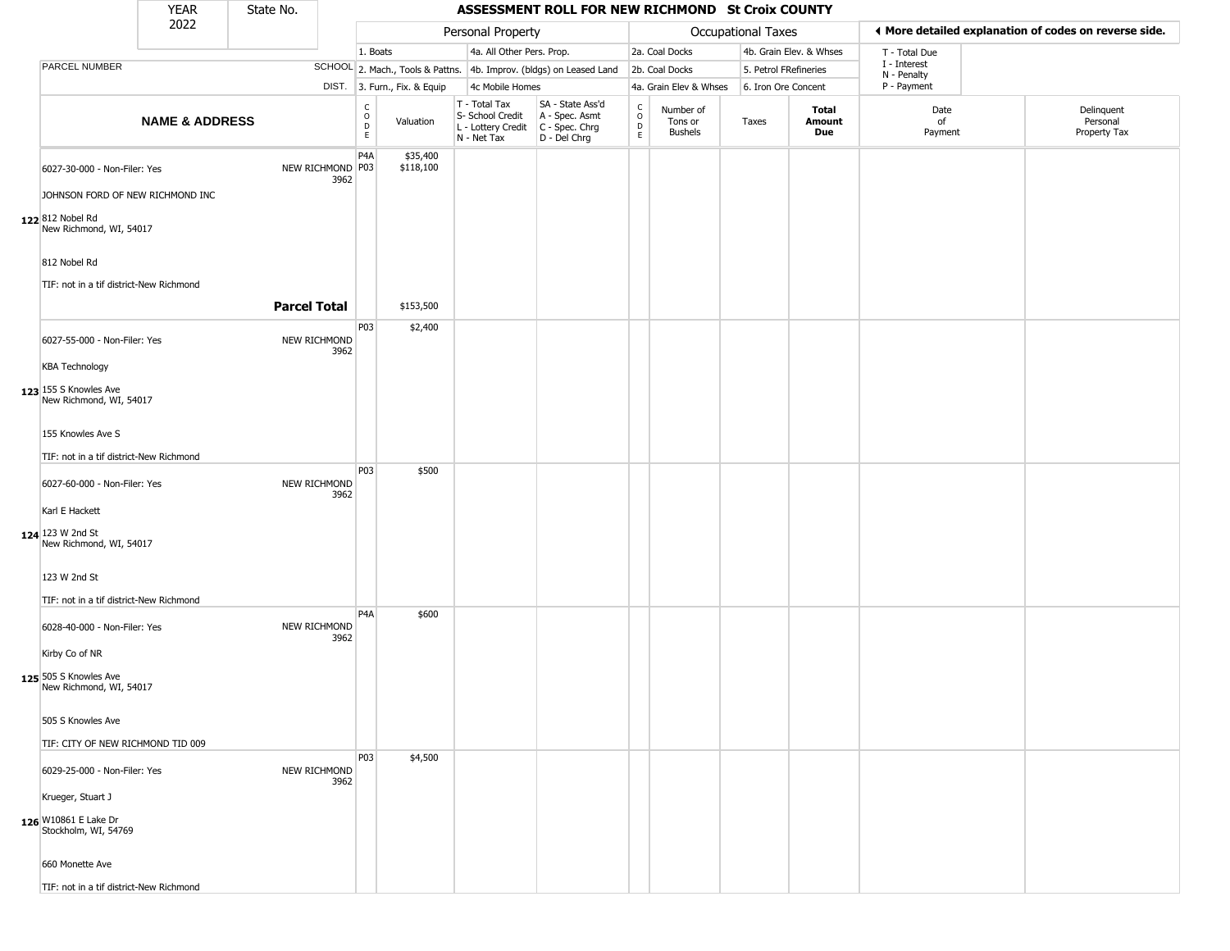|                                                  | <b>YEAR</b>               | State No.           |                          |                         |                              |                                                                        | ASSESSMENT ROLL FOR NEW RICHMOND St Croix COUNTY                       |                         |                                        |                    |                         |                             |                                                       |
|--------------------------------------------------|---------------------------|---------------------|--------------------------|-------------------------|------------------------------|------------------------------------------------------------------------|------------------------------------------------------------------------|-------------------------|----------------------------------------|--------------------|-------------------------|-----------------------------|-------------------------------------------------------|
|                                                  | 2022                      |                     |                          |                         |                              | Personal Property                                                      |                                                                        |                         |                                        | Occupational Taxes |                         |                             | ◀ More detailed explanation of codes on reverse side. |
|                                                  |                           |                     |                          | 1. Boats                |                              | 4a. All Other Pers. Prop.                                              |                                                                        |                         | 2a. Coal Docks                         |                    | 4b. Grain Elev. & Whses | T - Total Due               |                                                       |
| PARCEL NUMBER                                    |                           |                     |                          |                         |                              |                                                                        | SCHOOL 2. Mach., Tools & Pattns. 4b. Improv. (bldgs) on Leased Land    |                         | 2b. Coal Docks                         |                    | 5. Petrol FRefineries   | I - Interest<br>N - Penalty |                                                       |
|                                                  |                           |                     |                          |                         | DIST. 3. Furn., Fix. & Equip | 4c Mobile Homes                                                        |                                                                        |                         | 4a. Grain Elev & Whses                 |                    | 6. Iron Ore Concent     | P - Payment                 |                                                       |
|                                                  | <b>NAME &amp; ADDRESS</b> |                     |                          | $\frac{c}{0}$<br>D<br>E | Valuation                    | T - Total Tax<br>S- School Credit<br>L - Lottery Credit<br>N - Net Tax | SA - State Ass'd<br>A - Spec. Asmt<br>C - Spec. Chrg<br>$D - Del Chrg$ | $\frac{c}{0}$<br>D<br>E | Number of<br>Tons or<br><b>Bushels</b> | Taxes              | Total<br>Amount<br>Due  | Date<br>of<br>Payment       | Delinquent<br>Personal<br>Property Tax                |
| 6027-30-000 - Non-Filer: Yes                     |                           |                     | NEW RICHMOND P03<br>3962 | P <sub>4</sub> A        | \$35,400<br>\$118,100        |                                                                        |                                                                        |                         |                                        |                    |                         |                             |                                                       |
| JOHNSON FORD OF NEW RICHMOND INC                 |                           |                     |                          |                         |                              |                                                                        |                                                                        |                         |                                        |                    |                         |                             |                                                       |
| 122 812 Nobel Rd<br>New Richmond, WI, 54017      |                           |                     |                          |                         |                              |                                                                        |                                                                        |                         |                                        |                    |                         |                             |                                                       |
| 812 Nobel Rd                                     |                           |                     |                          |                         |                              |                                                                        |                                                                        |                         |                                        |                    |                         |                             |                                                       |
| TIF: not in a tif district-New Richmond          |                           |                     |                          |                         |                              |                                                                        |                                                                        |                         |                                        |                    |                         |                             |                                                       |
|                                                  |                           | <b>Parcel Total</b> |                          |                         | \$153,500                    |                                                                        |                                                                        |                         |                                        |                    |                         |                             |                                                       |
| 6027-55-000 - Non-Filer: Yes                     |                           |                     | NEW RICHMOND<br>3962     | P03                     | \$2,400                      |                                                                        |                                                                        |                         |                                        |                    |                         |                             |                                                       |
| <b>KBA Technology</b>                            |                           |                     |                          |                         |                              |                                                                        |                                                                        |                         |                                        |                    |                         |                             |                                                       |
| 123 155 S Knowles Ave<br>New Richmond, WI, 54017 |                           |                     |                          |                         |                              |                                                                        |                                                                        |                         |                                        |                    |                         |                             |                                                       |
| 155 Knowles Ave S                                |                           |                     |                          |                         |                              |                                                                        |                                                                        |                         |                                        |                    |                         |                             |                                                       |
| TIF: not in a tif district-New Richmond          |                           |                     |                          |                         |                              |                                                                        |                                                                        |                         |                                        |                    |                         |                             |                                                       |
| 6027-60-000 - Non-Filer: Yes                     |                           |                     | NEW RICHMOND<br>3962     | P03                     | \$500                        |                                                                        |                                                                        |                         |                                        |                    |                         |                             |                                                       |
| Karl E Hackett                                   |                           |                     |                          |                         |                              |                                                                        |                                                                        |                         |                                        |                    |                         |                             |                                                       |
| 124 123 W 2nd St<br>New Richmond, WI, 54017      |                           |                     |                          |                         |                              |                                                                        |                                                                        |                         |                                        |                    |                         |                             |                                                       |
| 123 W 2nd St                                     |                           |                     |                          |                         |                              |                                                                        |                                                                        |                         |                                        |                    |                         |                             |                                                       |
| TIF: not in a tif district-New Richmond          |                           |                     |                          |                         |                              |                                                                        |                                                                        |                         |                                        |                    |                         |                             |                                                       |
| 6028-40-000 - Non-Filer: Yes                     |                           |                     | NEW RICHMOND<br>3962     | P <sub>4</sub> A        | \$600                        |                                                                        |                                                                        |                         |                                        |                    |                         |                             |                                                       |
| Kirby Co of NR                                   |                           |                     |                          |                         |                              |                                                                        |                                                                        |                         |                                        |                    |                         |                             |                                                       |
| 125 505 S Knowles Ave<br>New Richmond, WI, 54017 |                           |                     |                          |                         |                              |                                                                        |                                                                        |                         |                                        |                    |                         |                             |                                                       |
| 505 S Knowles Ave                                |                           |                     |                          |                         |                              |                                                                        |                                                                        |                         |                                        |                    |                         |                             |                                                       |
| TIF: CITY OF NEW RICHMOND TID 009                |                           |                     |                          |                         |                              |                                                                        |                                                                        |                         |                                        |                    |                         |                             |                                                       |
| 6029-25-000 - Non-Filer: Yes                     |                           |                     | NEW RICHMOND<br>3962     | <b>P03</b>              | \$4,500                      |                                                                        |                                                                        |                         |                                        |                    |                         |                             |                                                       |
| Krueger, Stuart J                                |                           |                     |                          |                         |                              |                                                                        |                                                                        |                         |                                        |                    |                         |                             |                                                       |
| 126 W10861 E Lake Dr<br>Stockholm, WI, 54769     |                           |                     |                          |                         |                              |                                                                        |                                                                        |                         |                                        |                    |                         |                             |                                                       |
| 660 Monette Ave                                  |                           |                     |                          |                         |                              |                                                                        |                                                                        |                         |                                        |                    |                         |                             |                                                       |
| TIF: not in a tif district-New Richmond          |                           |                     |                          |                         |                              |                                                                        |                                                                        |                         |                                        |                    |                         |                             |                                                       |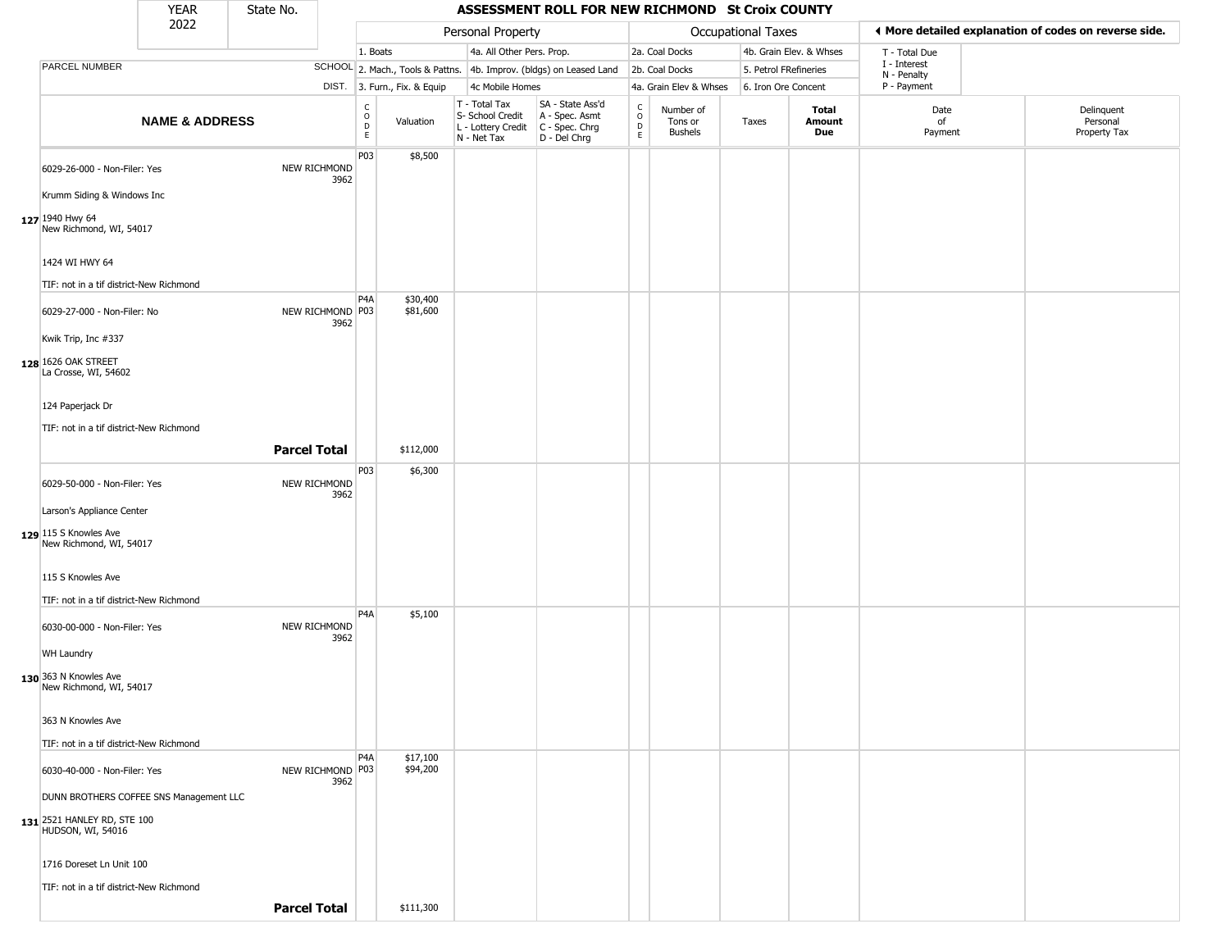|                                                  | <b>YEAR</b>               | State No.           |      |                         |                              |                                                                                                          | ASSESSMENT ROLL FOR NEW RICHMOND St Croix COUNTY                    |                                               |                                 |                    |                         |                             |                                                       |
|--------------------------------------------------|---------------------------|---------------------|------|-------------------------|------------------------------|----------------------------------------------------------------------------------------------------------|---------------------------------------------------------------------|-----------------------------------------------|---------------------------------|--------------------|-------------------------|-----------------------------|-------------------------------------------------------|
|                                                  | 2022                      |                     |      |                         |                              | Personal Property                                                                                        |                                                                     |                                               |                                 | Occupational Taxes |                         |                             | ◀ More detailed explanation of codes on reverse side. |
|                                                  |                           |                     |      | 1. Boats                |                              | 4a. All Other Pers. Prop.                                                                                |                                                                     |                                               | 2a. Coal Docks                  |                    | 4b. Grain Elev. & Whses | T - Total Due               |                                                       |
| PARCEL NUMBER                                    |                           |                     |      |                         |                              |                                                                                                          | SCHOOL 2. Mach., Tools & Pattns. 4b. Improv. (bldgs) on Leased Land |                                               | 2b. Coal Docks                  |                    | 5. Petrol FRefineries   | I - Interest<br>N - Penalty |                                                       |
|                                                  |                           |                     |      |                         | DIST. 3. Furn., Fix. & Equip | 4c Mobile Homes                                                                                          |                                                                     |                                               | 4a. Grain Elev & Whses          |                    | 6. Iron Ore Concent     | P - Payment                 |                                                       |
|                                                  | <b>NAME &amp; ADDRESS</b> |                     |      | C<br>$\circ$<br>D<br>E. | Valuation                    | T - Total Tax<br>S- School Credit   A - Spec. Asmt<br>L - Lottery Credit   C - Spec. Chrg<br>N - Net Tax | SA - State Ass'd<br>D - Del Chrg                                    | $\int_{0}^{c}$<br>$\mathsf{D}$<br>$\mathsf E$ | Number of<br>Tons or<br>Bushels | Taxes              | Total<br>Amount<br>Due  | Date<br>of<br>Payment       | Delinquent<br>Personal<br>Property Tax                |
| 6029-26-000 - Non-Filer: Yes                     |                           | NEW RICHMOND        | 3962 | P03                     | \$8,500                      |                                                                                                          |                                                                     |                                               |                                 |                    |                         |                             |                                                       |
| Krumm Siding & Windows Inc                       |                           |                     |      |                         |                              |                                                                                                          |                                                                     |                                               |                                 |                    |                         |                             |                                                       |
| 127 1940 Hwy 64<br>New Richmond, WI, 54017       |                           |                     |      |                         |                              |                                                                                                          |                                                                     |                                               |                                 |                    |                         |                             |                                                       |
| 1424 WI HWY 64                                   |                           |                     |      |                         |                              |                                                                                                          |                                                                     |                                               |                                 |                    |                         |                             |                                                       |
| TIF: not in a tif district-New Richmond          |                           |                     |      | P4A                     | \$30,400                     |                                                                                                          |                                                                     |                                               |                                 |                    |                         |                             |                                                       |
| 6029-27-000 - Non-Filer: No                      |                           | NEW RICHMOND P03    | 3962 |                         | \$81,600                     |                                                                                                          |                                                                     |                                               |                                 |                    |                         |                             |                                                       |
| Kwik Trip, Inc #337                              |                           |                     |      |                         |                              |                                                                                                          |                                                                     |                                               |                                 |                    |                         |                             |                                                       |
| 128 1626 OAK STREET<br>La Crosse, WI, 54602      |                           |                     |      |                         |                              |                                                                                                          |                                                                     |                                               |                                 |                    |                         |                             |                                                       |
| 124 Paperjack Dr                                 |                           |                     |      |                         |                              |                                                                                                          |                                                                     |                                               |                                 |                    |                         |                             |                                                       |
| TIF: not in a tif district-New Richmond          |                           |                     |      |                         |                              |                                                                                                          |                                                                     |                                               |                                 |                    |                         |                             |                                                       |
|                                                  |                           | <b>Parcel Total</b> |      |                         | \$112,000                    |                                                                                                          |                                                                     |                                               |                                 |                    |                         |                             |                                                       |
| 6029-50-000 - Non-Filer: Yes                     |                           | NEW RICHMOND        | 3962 | P03                     | \$6,300                      |                                                                                                          |                                                                     |                                               |                                 |                    |                         |                             |                                                       |
| Larson's Appliance Center                        |                           |                     |      |                         |                              |                                                                                                          |                                                                     |                                               |                                 |                    |                         |                             |                                                       |
| 129 115 S Knowles Ave<br>New Richmond, WI, 54017 |                           |                     |      |                         |                              |                                                                                                          |                                                                     |                                               |                                 |                    |                         |                             |                                                       |
| 115 S Knowles Ave                                |                           |                     |      |                         |                              |                                                                                                          |                                                                     |                                               |                                 |                    |                         |                             |                                                       |
| TIF: not in a tif district-New Richmond          |                           |                     |      | P <sub>4</sub> A        | \$5,100                      |                                                                                                          |                                                                     |                                               |                                 |                    |                         |                             |                                                       |
| 6030-00-000 - Non-Filer: Yes<br>WH Laundry       |                           | NEW RICHMOND        | 3962 |                         |                              |                                                                                                          |                                                                     |                                               |                                 |                    |                         |                             |                                                       |
|                                                  |                           |                     |      |                         |                              |                                                                                                          |                                                                     |                                               |                                 |                    |                         |                             |                                                       |
| 130 363 N Knowles Ave<br>New Richmond, WI, 54017 |                           |                     |      |                         |                              |                                                                                                          |                                                                     |                                               |                                 |                    |                         |                             |                                                       |
| 363 N Knowles Ave                                |                           |                     |      |                         |                              |                                                                                                          |                                                                     |                                               |                                 |                    |                         |                             |                                                       |
| TIF: not in a tif district-New Richmond          |                           |                     |      |                         |                              |                                                                                                          |                                                                     |                                               |                                 |                    |                         |                             |                                                       |
| 6030-40-000 - Non-Filer: Yes                     |                           | NEW RICHMOND P03    | 3962 | P <sub>4</sub> A        | \$17,100<br>\$94,200         |                                                                                                          |                                                                     |                                               |                                 |                    |                         |                             |                                                       |
| DUNN BROTHERS COFFEE SNS Management LLC          |                           |                     |      |                         |                              |                                                                                                          |                                                                     |                                               |                                 |                    |                         |                             |                                                       |
| 131 2521 HANLEY RD, STE 100<br>HUDSON, WI, 54016 |                           |                     |      |                         |                              |                                                                                                          |                                                                     |                                               |                                 |                    |                         |                             |                                                       |
| 1716 Doreset Ln Unit 100                         |                           |                     |      |                         |                              |                                                                                                          |                                                                     |                                               |                                 |                    |                         |                             |                                                       |
| TIF: not in a tif district-New Richmond          |                           |                     |      |                         |                              |                                                                                                          |                                                                     |                                               |                                 |                    |                         |                             |                                                       |
|                                                  |                           | <b>Parcel Total</b> |      |                         | \$111,300                    |                                                                                                          |                                                                     |                                               |                                 |                    |                         |                             |                                                       |
|                                                  |                           |                     |      |                         |                              |                                                                                                          |                                                                     |                                               |                                 |                    |                         |                             |                                                       |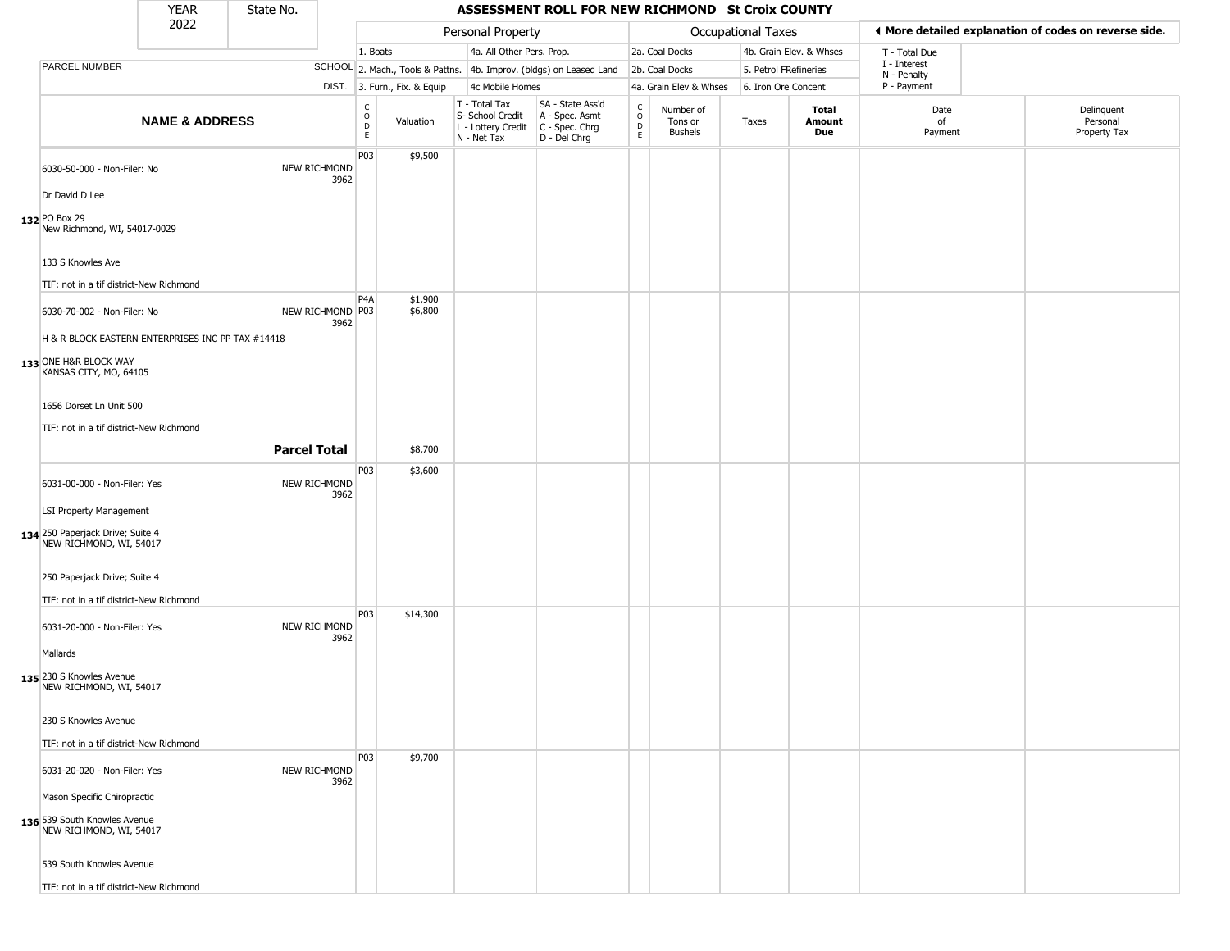|                                                                         | <b>YEAR</b>               | State No.           |                      |                                              |                              |                                                                        | ASSESSMENT ROLL FOR NEW RICHMOND St Croix COUNTY                     |                                        |                                        |                    |                         |                             |                                                       |
|-------------------------------------------------------------------------|---------------------------|---------------------|----------------------|----------------------------------------------|------------------------------|------------------------------------------------------------------------|----------------------------------------------------------------------|----------------------------------------|----------------------------------------|--------------------|-------------------------|-----------------------------|-------------------------------------------------------|
|                                                                         | 2022                      |                     |                      |                                              |                              | Personal Property                                                      |                                                                      |                                        |                                        | Occupational Taxes |                         |                             | I More detailed explanation of codes on reverse side. |
|                                                                         |                           |                     |                      | 1. Boats                                     |                              | 4a. All Other Pers. Prop.                                              |                                                                      |                                        | 2a. Coal Docks                         |                    | 4b. Grain Elev. & Whses | T - Total Due               |                                                       |
| PARCEL NUMBER                                                           |                           |                     |                      |                                              |                              |                                                                        | SCHOOL 2. Mach., Tools & Pattns. 4b. Improv. (bldgs) on Leased Land  |                                        | 2b. Coal Docks                         |                    | 5. Petrol FRefineries   | I - Interest<br>N - Penalty |                                                       |
|                                                                         |                           |                     |                      |                                              | DIST. 3. Furn., Fix. & Equip | 4c Mobile Homes                                                        |                                                                      |                                        | 4a. Grain Elev & Whses                 |                    | 6. Iron Ore Concent     | P - Payment                 |                                                       |
|                                                                         | <b>NAME &amp; ADDRESS</b> |                     |                      | $\int_{0}^{c}$<br>$\mathsf D$<br>$\mathsf E$ | Valuation                    | T - Total Tax<br>S- School Credit<br>L - Lottery Credit<br>N - Net Tax | SA - State Ass'd<br>A - Spec. Asmt<br>C - Spec. Chrg<br>D - Del Chrg | $_{\rm o}^{\rm c}$<br>$\mathsf D$<br>E | Number of<br>Tons or<br><b>Bushels</b> | Taxes              | Total<br>Amount<br>Due  | Date<br>of<br>Payment       | Delinquent<br>Personal<br>Property Tax                |
| 6030-50-000 - Non-Filer: No                                             |                           |                     | NEW RICHMOND<br>3962 | P03                                          | \$9,500                      |                                                                        |                                                                      |                                        |                                        |                    |                         |                             |                                                       |
| Dr David D Lee                                                          |                           |                     |                      |                                              |                              |                                                                        |                                                                      |                                        |                                        |                    |                         |                             |                                                       |
| 132 PO Box 29<br>New Richmond, WI, 54017-0029                           |                           |                     |                      |                                              |                              |                                                                        |                                                                      |                                        |                                        |                    |                         |                             |                                                       |
| 133 S Knowles Ave                                                       |                           |                     |                      |                                              |                              |                                                                        |                                                                      |                                        |                                        |                    |                         |                             |                                                       |
| TIF: not in a tif district-New Richmond<br>6030-70-002 - Non-Filer: No  |                           |                     | NEW RICHMOND P03     | P <sub>4</sub> A                             | \$1,900<br>\$6,800           |                                                                        |                                                                      |                                        |                                        |                    |                         |                             |                                                       |
| H & R BLOCK EASTERN ENTERPRISES INC PP TAX #14418                       |                           |                     | 3962                 |                                              |                              |                                                                        |                                                                      |                                        |                                        |                    |                         |                             |                                                       |
| 133 ONE H&R BLOCK WAY<br>KANSAS CITY, MO, 64105                         |                           |                     |                      |                                              |                              |                                                                        |                                                                      |                                        |                                        |                    |                         |                             |                                                       |
| 1656 Dorset Ln Unit 500                                                 |                           |                     |                      |                                              |                              |                                                                        |                                                                      |                                        |                                        |                    |                         |                             |                                                       |
| TIF: not in a tif district-New Richmond                                 |                           | <b>Parcel Total</b> |                      |                                              | \$8,700                      |                                                                        |                                                                      |                                        |                                        |                    |                         |                             |                                                       |
|                                                                         |                           |                     |                      | P03                                          | \$3,600                      |                                                                        |                                                                      |                                        |                                        |                    |                         |                             |                                                       |
| 6031-00-000 - Non-Filer: Yes                                            |                           |                     | NEW RICHMOND<br>3962 |                                              |                              |                                                                        |                                                                      |                                        |                                        |                    |                         |                             |                                                       |
| <b>LSI Property Management</b><br>134 250 Paperjack Drive; Suite 4      |                           |                     |                      |                                              |                              |                                                                        |                                                                      |                                        |                                        |                    |                         |                             |                                                       |
| NEW RICHMOND, WI, 54017                                                 |                           |                     |                      |                                              |                              |                                                                        |                                                                      |                                        |                                        |                    |                         |                             |                                                       |
| 250 Paperjack Drive; Suite 4<br>TIF: not in a tif district-New Richmond |                           |                     |                      |                                              |                              |                                                                        |                                                                      |                                        |                                        |                    |                         |                             |                                                       |
|                                                                         |                           |                     |                      | P03                                          | \$14,300                     |                                                                        |                                                                      |                                        |                                        |                    |                         |                             |                                                       |
| 6031-20-000 - Non-Filer: Yes<br>Mallards                                |                           |                     | NEW RICHMOND<br>3962 |                                              |                              |                                                                        |                                                                      |                                        |                                        |                    |                         |                             |                                                       |
| 135 230 S Knowles Avenue<br>NEW RICHMOND, WI, 54017                     |                           |                     |                      |                                              |                              |                                                                        |                                                                      |                                        |                                        |                    |                         |                             |                                                       |
| 230 S Knowles Avenue                                                    |                           |                     |                      |                                              |                              |                                                                        |                                                                      |                                        |                                        |                    |                         |                             |                                                       |
| TIF: not in a tif district-New Richmond                                 |                           |                     |                      | P03                                          | \$9,700                      |                                                                        |                                                                      |                                        |                                        |                    |                         |                             |                                                       |
| 6031-20-020 - Non-Filer: Yes                                            |                           |                     | NEW RICHMOND<br>3962 |                                              |                              |                                                                        |                                                                      |                                        |                                        |                    |                         |                             |                                                       |
| Mason Specific Chiropractic                                             |                           |                     |                      |                                              |                              |                                                                        |                                                                      |                                        |                                        |                    |                         |                             |                                                       |
| 136 539 South Knowles Avenue<br>NEW RICHMOND, WI, 54017                 |                           |                     |                      |                                              |                              |                                                                        |                                                                      |                                        |                                        |                    |                         |                             |                                                       |
| 539 South Knowles Avenue                                                |                           |                     |                      |                                              |                              |                                                                        |                                                                      |                                        |                                        |                    |                         |                             |                                                       |
|                                                                         |                           |                     |                      |                                              |                              |                                                                        |                                                                      |                                        |                                        |                    |                         |                             |                                                       |

TIF: not in a tif district-New Richmond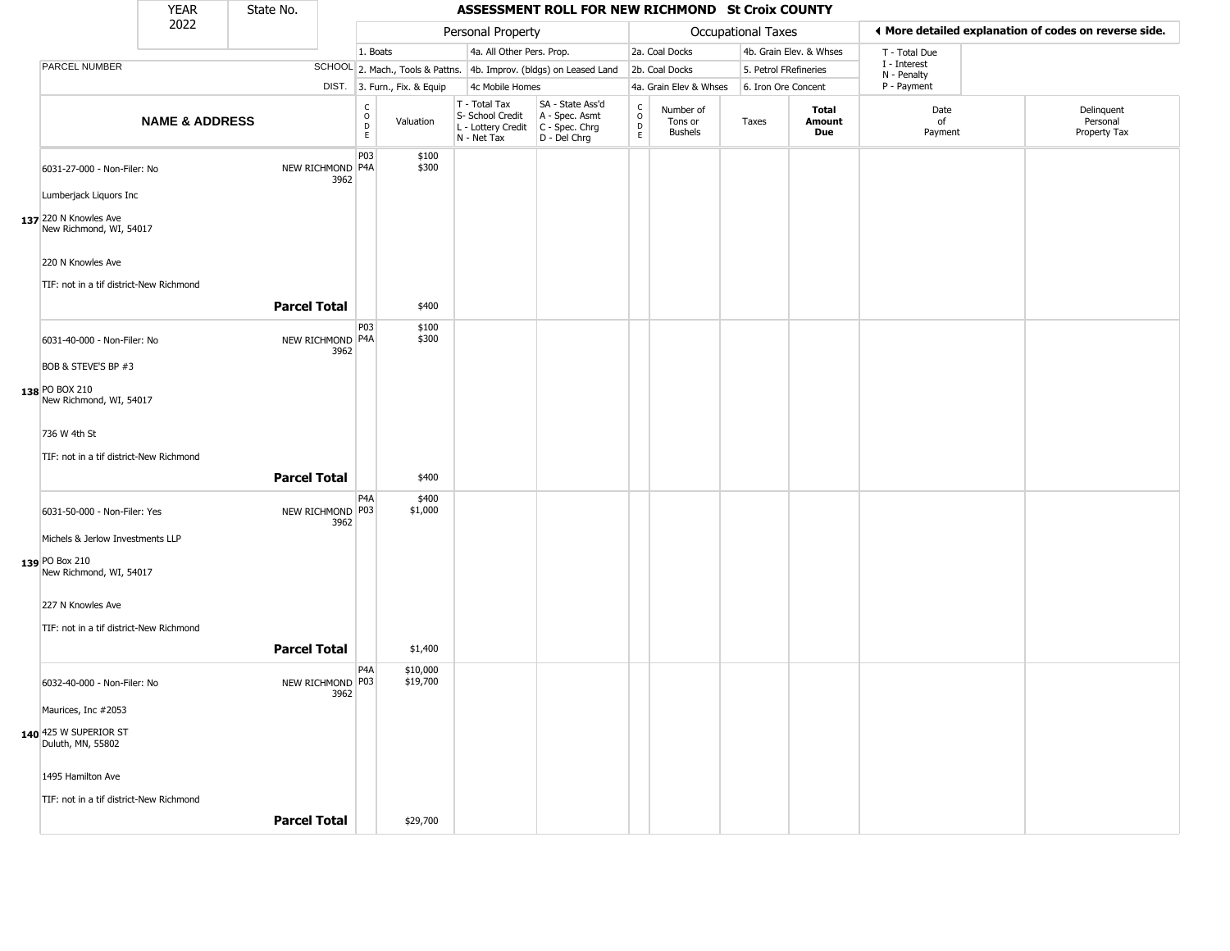|                                                                               | <b>YEAR</b>               | State No.           |                          |                                                              |                                                                                         | ASSESSMENT ROLL FOR NEW RICHMOND St Croix COUNTY                    |                                            |                                        |                       |                         |                             |                                                       |
|-------------------------------------------------------------------------------|---------------------------|---------------------|--------------------------|--------------------------------------------------------------|-----------------------------------------------------------------------------------------|---------------------------------------------------------------------|--------------------------------------------|----------------------------------------|-----------------------|-------------------------|-----------------------------|-------------------------------------------------------|
|                                                                               | 2022                      |                     |                          |                                                              | Personal Property                                                                       |                                                                     |                                            |                                        | Occupational Taxes    |                         |                             | ♦ More detailed explanation of codes on reverse side. |
|                                                                               |                           |                     |                          | 1. Boats                                                     | 4a. All Other Pers. Prop.                                                               |                                                                     |                                            | 2a. Coal Docks                         |                       | 4b. Grain Elev. & Whses | T - Total Due               |                                                       |
| PARCEL NUMBER                                                                 |                           |                     |                          |                                                              |                                                                                         | SCHOOL 2. Mach., Tools & Pattns. 4b. Improv. (bldgs) on Leased Land |                                            | 2b. Coal Docks                         | 5. Petrol FRefineries |                         | I - Interest<br>N - Penalty |                                                       |
|                                                                               |                           |                     |                          | DIST. 3. Furn., Fix. & Equip                                 | 4c Mobile Homes                                                                         |                                                                     |                                            | 4a. Grain Elev & Whses                 | 6. Iron Ore Concent   |                         | P - Payment                 |                                                       |
|                                                                               | <b>NAME &amp; ADDRESS</b> |                     |                          | $\begin{array}{c} C \\ O \\ D \\ E \end{array}$<br>Valuation | T - Total Tax<br>S- School Credit<br>L - Lottery Credit   C - Spec. Chrg<br>N - Net Tax | SA - State Ass'd<br>A - Spec. Asmt<br>D - Del Chrg                  | $\begin{array}{c} C \\ O \\ E \end{array}$ | Number of<br>Tons or<br><b>Bushels</b> | Taxes                 | Total<br>Amount<br>Due  | Date<br>of<br>Payment       | Delinquent<br>Personal<br>Property Tax                |
| 6031-27-000 - Non-Filer: No                                                   |                           |                     | NEW RICHMOND P4A<br>3962 | P03<br>\$100<br>\$300                                        |                                                                                         |                                                                     |                                            |                                        |                       |                         |                             |                                                       |
| Lumberjack Liquors Inc                                                        |                           |                     |                          |                                                              |                                                                                         |                                                                     |                                            |                                        |                       |                         |                             |                                                       |
| 137 220 N Knowles Ave<br>New Richmond, WI, 54017                              |                           |                     |                          |                                                              |                                                                                         |                                                                     |                                            |                                        |                       |                         |                             |                                                       |
| 220 N Knowles Ave                                                             |                           |                     |                          |                                                              |                                                                                         |                                                                     |                                            |                                        |                       |                         |                             |                                                       |
| TIF: not in a tif district-New Richmond                                       |                           |                     |                          |                                                              |                                                                                         |                                                                     |                                            |                                        |                       |                         |                             |                                                       |
|                                                                               |                           | <b>Parcel Total</b> |                          | \$400                                                        |                                                                                         |                                                                     |                                            |                                        |                       |                         |                             |                                                       |
| 6031-40-000 - Non-Filer: No                                                   |                           |                     | NEW RICHMOND P4A<br>3962 | P03<br>\$100<br>\$300                                        |                                                                                         |                                                                     |                                            |                                        |                       |                         |                             |                                                       |
| BOB & STEVE'S BP #3                                                           |                           |                     |                          |                                                              |                                                                                         |                                                                     |                                            |                                        |                       |                         |                             |                                                       |
| 138 PO BOX 210<br>New Richmond, WI, 54017                                     |                           |                     |                          |                                                              |                                                                                         |                                                                     |                                            |                                        |                       |                         |                             |                                                       |
| 736 W 4th St                                                                  |                           |                     |                          |                                                              |                                                                                         |                                                                     |                                            |                                        |                       |                         |                             |                                                       |
| TIF: not in a tif district-New Richmond                                       |                           |                     |                          |                                                              |                                                                                         |                                                                     |                                            |                                        |                       |                         |                             |                                                       |
|                                                                               |                           | <b>Parcel Total</b> |                          | \$400                                                        |                                                                                         |                                                                     |                                            |                                        |                       |                         |                             |                                                       |
| 6031-50-000 - Non-Filer: Yes                                                  |                           |                     | NEW RICHMOND P03<br>3962 | P4A<br>\$400<br>\$1,000                                      |                                                                                         |                                                                     |                                            |                                        |                       |                         |                             |                                                       |
| Michels & Jerlow Investments LLP<br>139 PO Box 210<br>New Richmond, WI, 54017 |                           |                     |                          |                                                              |                                                                                         |                                                                     |                                            |                                        |                       |                         |                             |                                                       |
| 227 N Knowles Ave<br>TIF: not in a tif district-New Richmond                  |                           |                     |                          |                                                              |                                                                                         |                                                                     |                                            |                                        |                       |                         |                             |                                                       |
|                                                                               |                           | <b>Parcel Total</b> |                          | \$1,400                                                      |                                                                                         |                                                                     |                                            |                                        |                       |                         |                             |                                                       |
| 6032-40-000 - Non-Filer: No                                                   |                           |                     | NEW RICHMOND P03<br>3962 | P4A<br>\$10,000<br>\$19,700                                  |                                                                                         |                                                                     |                                            |                                        |                       |                         |                             |                                                       |
| Maurices, Inc #2053                                                           |                           |                     |                          |                                                              |                                                                                         |                                                                     |                                            |                                        |                       |                         |                             |                                                       |
| 140 425 W SUPERIOR ST<br>Duluth, MN, 55802                                    |                           |                     |                          |                                                              |                                                                                         |                                                                     |                                            |                                        |                       |                         |                             |                                                       |
| 1495 Hamilton Ave                                                             |                           |                     |                          |                                                              |                                                                                         |                                                                     |                                            |                                        |                       |                         |                             |                                                       |
| TIF: not in a tif district-New Richmond                                       |                           |                     |                          |                                                              |                                                                                         |                                                                     |                                            |                                        |                       |                         |                             |                                                       |
|                                                                               |                           | <b>Parcel Total</b> |                          | \$29,700                                                     |                                                                                         |                                                                     |                                            |                                        |                       |                         |                             |                                                       |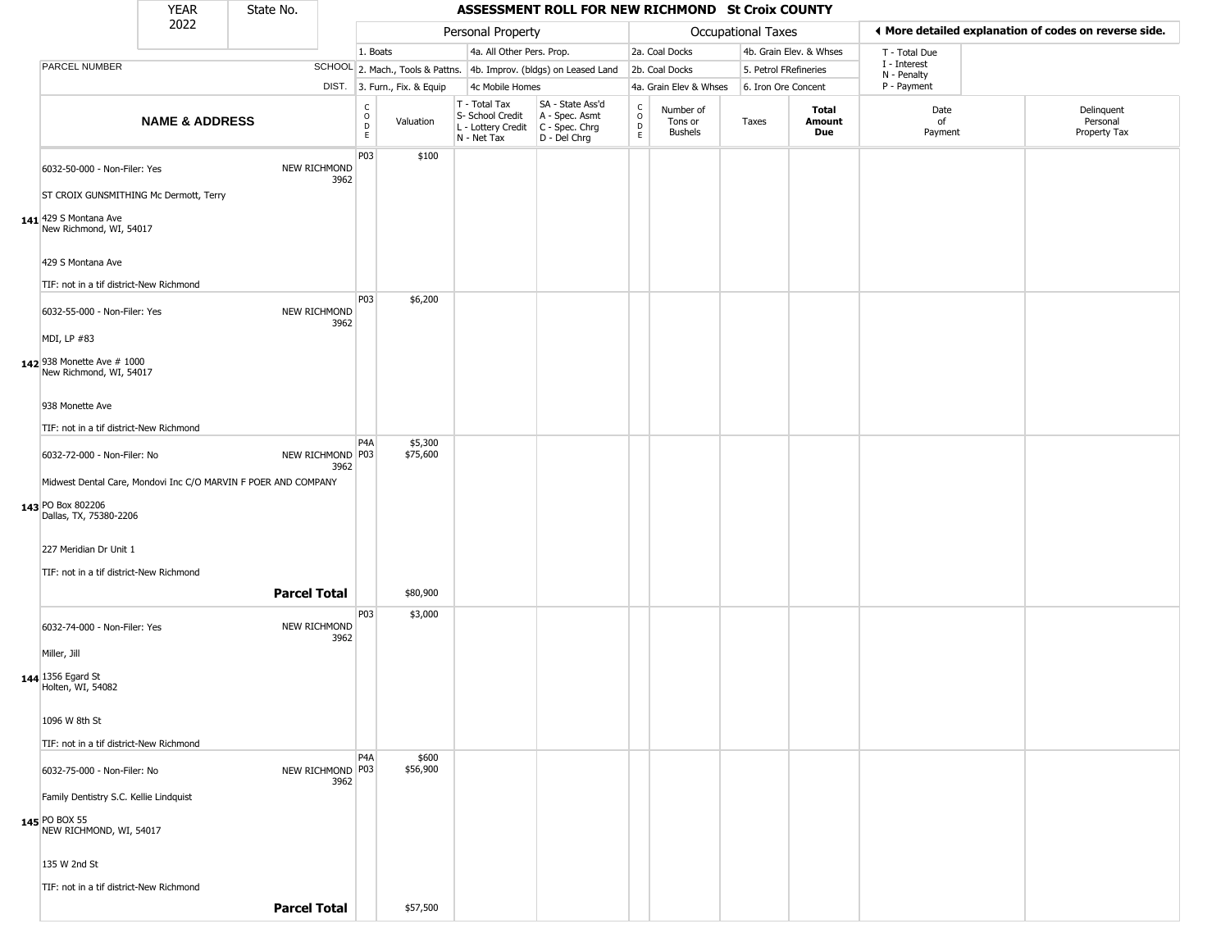|                                                                        | <b>YEAR</b>               | State No.           |                            |                                    |                              |                                                                        | ASSESSMENT ROLL FOR NEW RICHMOND St Croix COUNTY                     |                                   |                                 |                       |                         |                             |                                                       |
|------------------------------------------------------------------------|---------------------------|---------------------|----------------------------|------------------------------------|------------------------------|------------------------------------------------------------------------|----------------------------------------------------------------------|-----------------------------------|---------------------------------|-----------------------|-------------------------|-----------------------------|-------------------------------------------------------|
|                                                                        | 2022                      |                     |                            |                                    |                              | Personal Property                                                      |                                                                      |                                   |                                 | Occupational Taxes    |                         |                             | ◀ More detailed explanation of codes on reverse side. |
|                                                                        |                           |                     |                            | 1. Boats                           |                              | 4a. All Other Pers. Prop.                                              |                                                                      |                                   | 2a. Coal Docks                  |                       | 4b. Grain Elev. & Whses | T - Total Due               |                                                       |
| PARCEL NUMBER                                                          |                           |                     |                            |                                    |                              |                                                                        | SCHOOL 2. Mach., Tools & Pattns. 4b. Improv. (bldgs) on Leased Land  |                                   | 2b. Coal Docks                  | 5. Petrol FRefineries |                         | I - Interest<br>N - Penalty |                                                       |
|                                                                        |                           |                     |                            |                                    | DIST. 3. Furn., Fix. & Equip | 4c Mobile Homes                                                        |                                                                      |                                   | 4a. Grain Elev & Whses          | 6. Iron Ore Concent   |                         | P - Payment                 |                                                       |
|                                                                        | <b>NAME &amp; ADDRESS</b> |                     |                            | $\int_{0}^{c}$<br>D<br>$\mathsf E$ | Valuation                    | T - Total Tax<br>S- School Credit<br>L - Lottery Credit<br>N - Net Tax | SA - State Ass'd<br>A - Spec. Asmt<br>C - Spec. Chrg<br>D - Del Chrg | $\mathsf{C}$<br>$\circ$<br>D<br>E | Number of<br>Tons or<br>Bushels | Taxes                 | Total<br>Amount<br>Due  | Date<br>of<br>Payment       | Delinquent<br>Personal<br>Property Tax                |
| 6032-50-000 - Non-Filer: Yes<br>ST CROIX GUNSMITHING Mc Dermott, Terry |                           |                     | NEW RICHMOND<br>3962       | P03                                | \$100                        |                                                                        |                                                                      |                                   |                                 |                       |                         |                             |                                                       |
| 141 429 S Montana Ave<br>New Richmond, WI, 54017                       |                           |                     |                            |                                    |                              |                                                                        |                                                                      |                                   |                                 |                       |                         |                             |                                                       |
| 429 S Montana Ave                                                      |                           |                     |                            |                                    |                              |                                                                        |                                                                      |                                   |                                 |                       |                         |                             |                                                       |
| TIF: not in a tif district-New Richmond                                |                           |                     |                            |                                    |                              |                                                                        |                                                                      |                                   |                                 |                       |                         |                             |                                                       |
| 6032-55-000 - Non-Filer: Yes<br>MDI, LP #83                            |                           |                     | NEW RICHMOND<br>3962       | P03                                | \$6,200                      |                                                                        |                                                                      |                                   |                                 |                       |                         |                             |                                                       |
| 142 938 Monette Ave # 1000<br>New Richmond, WI, 54017                  |                           |                     |                            |                                    |                              |                                                                        |                                                                      |                                   |                                 |                       |                         |                             |                                                       |
| 938 Monette Ave                                                        |                           |                     |                            |                                    |                              |                                                                        |                                                                      |                                   |                                 |                       |                         |                             |                                                       |
| TIF: not in a tif district-New Richmond                                |                           |                     |                            | P <sub>4</sub> A                   |                              |                                                                        |                                                                      |                                   |                                 |                       |                         |                             |                                                       |
| 6032-72-000 - Non-Filer: No                                            |                           |                     | NEW RICHMOND   P03<br>3962 |                                    | \$5,300<br>\$75,600          |                                                                        |                                                                      |                                   |                                 |                       |                         |                             |                                                       |
| Midwest Dental Care, Mondovi Inc C/O MARVIN F POER AND COMPANY         |                           |                     |                            |                                    |                              |                                                                        |                                                                      |                                   |                                 |                       |                         |                             |                                                       |
| 143 PO Box 802206<br>Dallas, TX, 75380-2206                            |                           |                     |                            |                                    |                              |                                                                        |                                                                      |                                   |                                 |                       |                         |                             |                                                       |
| 227 Meridian Dr Unit 1                                                 |                           |                     |                            |                                    |                              |                                                                        |                                                                      |                                   |                                 |                       |                         |                             |                                                       |
| TIF: not in a tif district-New Richmond                                |                           | <b>Parcel Total</b> |                            |                                    | \$80,900                     |                                                                        |                                                                      |                                   |                                 |                       |                         |                             |                                                       |
| 6032-74-000 - Non-Filer: Yes                                           |                           |                     | NEW RICHMOND               | P03                                | \$3,000                      |                                                                        |                                                                      |                                   |                                 |                       |                         |                             |                                                       |
| Miller, Jill                                                           |                           |                     | 3962                       |                                    |                              |                                                                        |                                                                      |                                   |                                 |                       |                         |                             |                                                       |
| 144 1356 Egard St<br>Holten, WI, 54082                                 |                           |                     |                            |                                    |                              |                                                                        |                                                                      |                                   |                                 |                       |                         |                             |                                                       |
| 1096 W 8th St                                                          |                           |                     |                            |                                    |                              |                                                                        |                                                                      |                                   |                                 |                       |                         |                             |                                                       |
| TIF: not in a tif district-New Richmond                                |                           |                     |                            |                                    |                              |                                                                        |                                                                      |                                   |                                 |                       |                         |                             |                                                       |
| 6032-75-000 - Non-Filer: No                                            |                           |                     | NEW RICHMOND P03<br>3962   | P <sub>4</sub> A                   | \$600<br>\$56,900            |                                                                        |                                                                      |                                   |                                 |                       |                         |                             |                                                       |
| Family Dentistry S.C. Kellie Lindquist                                 |                           |                     |                            |                                    |                              |                                                                        |                                                                      |                                   |                                 |                       |                         |                             |                                                       |
| 145 PO BOX 55<br>NEW RICHMOND, WI, 54017                               |                           |                     |                            |                                    |                              |                                                                        |                                                                      |                                   |                                 |                       |                         |                             |                                                       |
| 135 W 2nd St                                                           |                           |                     |                            |                                    |                              |                                                                        |                                                                      |                                   |                                 |                       |                         |                             |                                                       |
| TIF: not in a tif district-New Richmond                                |                           |                     |                            |                                    |                              |                                                                        |                                                                      |                                   |                                 |                       |                         |                             |                                                       |
|                                                                        |                           | <b>Parcel Total</b> |                            |                                    | \$57,500                     |                                                                        |                                                                      |                                   |                                 |                       |                         |                             |                                                       |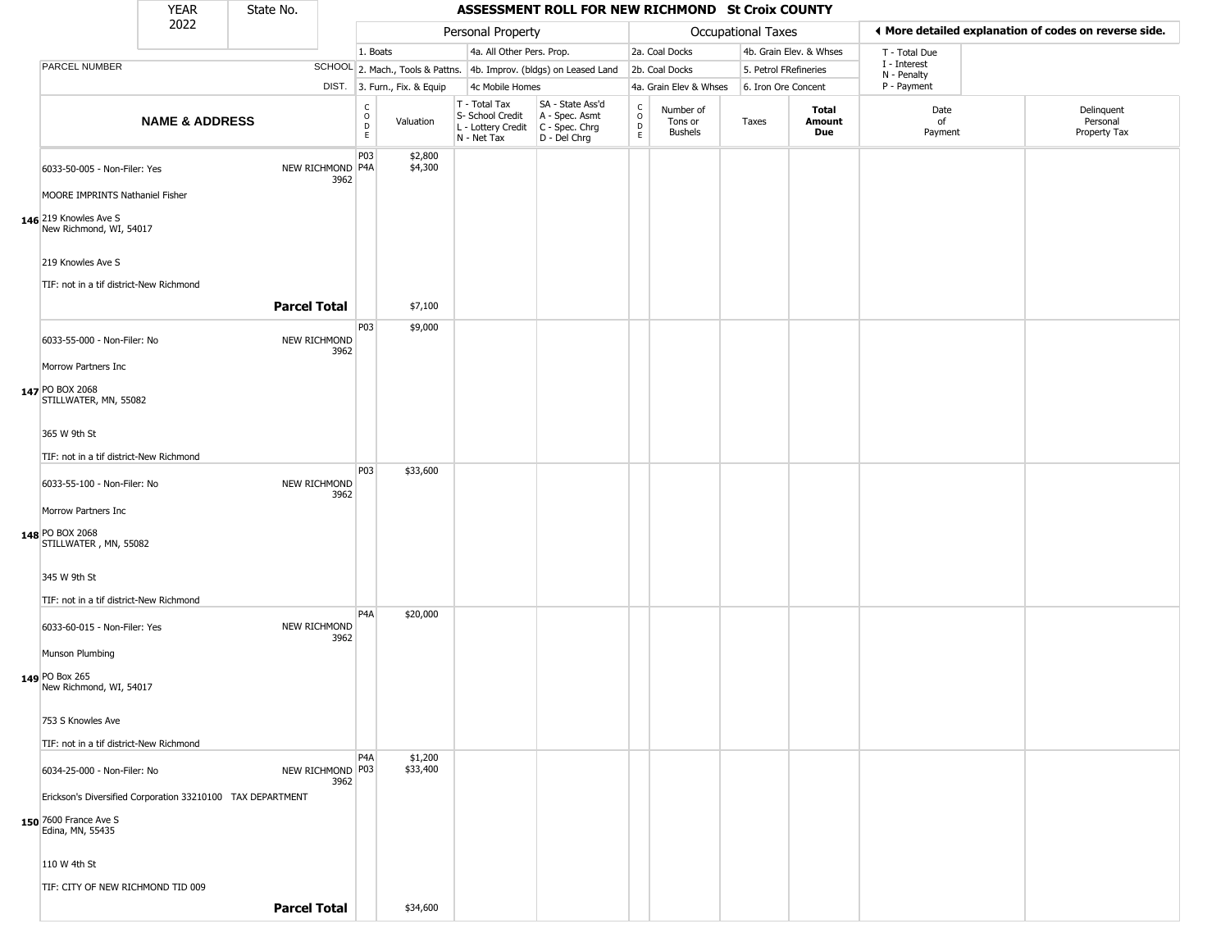|                                                                        | <b>YEAR</b>               | State No.                |                                  |                              |                                                                                                       | ASSESSMENT ROLL FOR NEW RICHMOND St Croix COUNTY                    |                        |                                        |                       |                         |                             |                                                       |
|------------------------------------------------------------------------|---------------------------|--------------------------|----------------------------------|------------------------------|-------------------------------------------------------------------------------------------------------|---------------------------------------------------------------------|------------------------|----------------------------------------|-----------------------|-------------------------|-----------------------------|-------------------------------------------------------|
|                                                                        | 2022                      |                          |                                  |                              | Personal Property                                                                                     |                                                                     |                        |                                        | Occupational Taxes    |                         |                             | ◀ More detailed explanation of codes on reverse side. |
|                                                                        |                           |                          |                                  | 1. Boats                     | 4a. All Other Pers. Prop.                                                                             |                                                                     |                        | 2a. Coal Docks                         |                       | 4b. Grain Elev. & Whses | T - Total Due               |                                                       |
| PARCEL NUMBER                                                          |                           |                          |                                  |                              |                                                                                                       | SCHOOL 2. Mach., Tools & Pattns. 4b. Improv. (bldgs) on Leased Land |                        | 2b. Coal Docks                         | 5. Petrol FRefineries |                         | I - Interest<br>N - Penalty |                                                       |
|                                                                        |                           |                          |                                  | DIST. 3. Furn., Fix. & Equip | 4c Mobile Homes                                                                                       |                                                                     |                        | 4a. Grain Elev & Whses                 | 6. Iron Ore Concent   |                         | P - Payment                 |                                                       |
|                                                                        | <b>NAME &amp; ADDRESS</b> |                          | C<br>$\circ$<br>$\mathsf D$<br>E | Valuation                    | T - Total Tax<br>S- School Credit<br>$\vert$ L - Lottery Credit $\vert$ C - Spec. Chrg<br>N - Net Tax | SA - State Ass'd<br>A - Spec. Asmt<br>D - Del Chrg                  | C<br>$\circ$<br>D<br>E | Number of<br>Tons or<br><b>Bushels</b> | Taxes                 | Total<br>Amount<br>Due  | Date<br>of<br>Payment       | Delinquent<br>Personal<br>Property Tax                |
| 6033-50-005 - Non-Filer: Yes<br>MOORE IMPRINTS Nathaniel Fisher        |                           | NEW RICHMOND P4A<br>3962 | P03                              | \$2,800<br>\$4,300           |                                                                                                       |                                                                     |                        |                                        |                       |                         |                             |                                                       |
| 146 219 Knowles Ave S<br>New Richmond, WI, 54017                       |                           |                          |                                  |                              |                                                                                                       |                                                                     |                        |                                        |                       |                         |                             |                                                       |
| 219 Knowles Ave S<br>TIF: not in a tif district-New Richmond           |                           |                          |                                  |                              |                                                                                                       |                                                                     |                        |                                        |                       |                         |                             |                                                       |
|                                                                        |                           | <b>Parcel Total</b>      |                                  | \$7,100                      |                                                                                                       |                                                                     |                        |                                        |                       |                         |                             |                                                       |
| 6033-55-000 - Non-Filer: No                                            |                           | NEW RICHMOND<br>3962     | P03                              | \$9,000                      |                                                                                                       |                                                                     |                        |                                        |                       |                         |                             |                                                       |
| Morrow Partners Inc<br>147 PO BOX 2068<br>STILLWATER, MN, 55082        |                           |                          |                                  |                              |                                                                                                       |                                                                     |                        |                                        |                       |                         |                             |                                                       |
| 365 W 9th St                                                           |                           |                          |                                  |                              |                                                                                                       |                                                                     |                        |                                        |                       |                         |                             |                                                       |
| TIF: not in a tif district-New Richmond                                |                           |                          |                                  |                              |                                                                                                       |                                                                     |                        |                                        |                       |                         |                             |                                                       |
| 6033-55-100 - Non-Filer: No                                            |                           | NEW RICHMOND<br>3962     | P03                              | \$33,600                     |                                                                                                       |                                                                     |                        |                                        |                       |                         |                             |                                                       |
| Morrow Partners Inc<br>148 PO BOX 2068<br>STILLWATER, MN, 55082        |                           |                          |                                  |                              |                                                                                                       |                                                                     |                        |                                        |                       |                         |                             |                                                       |
| 345 W 9th St                                                           |                           |                          |                                  |                              |                                                                                                       |                                                                     |                        |                                        |                       |                         |                             |                                                       |
| TIF: not in a tif district-New Richmond                                |                           |                          |                                  |                              |                                                                                                       |                                                                     |                        |                                        |                       |                         |                             |                                                       |
| 6033-60-015 - Non-Filer: Yes                                           |                           | NEW RICHMOND<br>3962     | P4A                              | \$20,000                     |                                                                                                       |                                                                     |                        |                                        |                       |                         |                             |                                                       |
| Munson Plumbing                                                        |                           |                          |                                  |                              |                                                                                                       |                                                                     |                        |                                        |                       |                         |                             |                                                       |
| 149 PO Box 265<br>New Richmond, WI, 54017                              |                           |                          |                                  |                              |                                                                                                       |                                                                     |                        |                                        |                       |                         |                             |                                                       |
| 753 S Knowles Ave                                                      |                           |                          |                                  |                              |                                                                                                       |                                                                     |                        |                                        |                       |                         |                             |                                                       |
| TIF: not in a tif district-New Richmond<br>6034-25-000 - Non-Filer: No |                           | NEW RICHMOND P03         | P4A                              | \$1,200<br>\$33,400          |                                                                                                       |                                                                     |                        |                                        |                       |                         |                             |                                                       |
| Erickson's Diversified Corporation 33210100 TAX DEPARTMENT             |                           | 3962                     |                                  |                              |                                                                                                       |                                                                     |                        |                                        |                       |                         |                             |                                                       |
| 150 7600 France Ave S<br>Edina, MN, 55435                              |                           |                          |                                  |                              |                                                                                                       |                                                                     |                        |                                        |                       |                         |                             |                                                       |
| 110 W 4th St                                                           |                           |                          |                                  |                              |                                                                                                       |                                                                     |                        |                                        |                       |                         |                             |                                                       |
| TIF: CITY OF NEW RICHMOND TID 009                                      |                           | <b>Parcel Total</b>      |                                  | \$34,600                     |                                                                                                       |                                                                     |                        |                                        |                       |                         |                             |                                                       |
|                                                                        |                           |                          |                                  |                              |                                                                                                       |                                                                     |                        |                                        |                       |                         |                             |                                                       |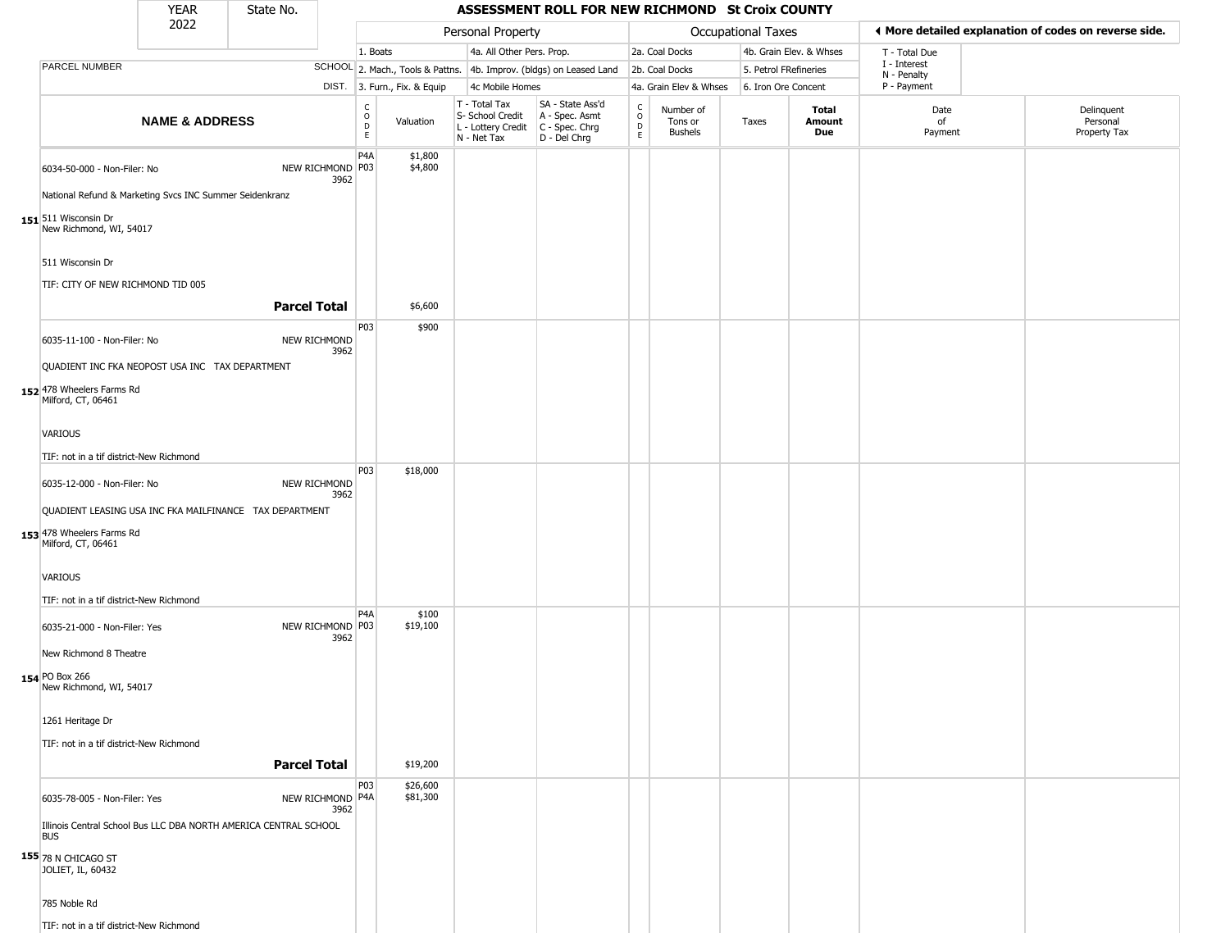|            |                                                                                        | <b>YEAR</b>               | State No.                                                        |                          |                                        |                              |                                                                                       | ASSESSMENT ROLL FOR NEW RICHMOND St Croix COUNTY                    |                        |                                        |                       |                         |                             |                                                       |
|------------|----------------------------------------------------------------------------------------|---------------------------|------------------------------------------------------------------|--------------------------|----------------------------------------|------------------------------|---------------------------------------------------------------------------------------|---------------------------------------------------------------------|------------------------|----------------------------------------|-----------------------|-------------------------|-----------------------------|-------------------------------------------------------|
|            |                                                                                        | 2022                      |                                                                  |                          |                                        |                              | Personal Property                                                                     |                                                                     |                        |                                        | Occupational Taxes    |                         |                             | I More detailed explanation of codes on reverse side. |
|            |                                                                                        |                           |                                                                  |                          | 1. Boats                               |                              | 4a. All Other Pers. Prop.                                                             |                                                                     |                        | 2a. Coal Docks                         |                       | 4b. Grain Elev. & Whses | T - Total Due               |                                                       |
|            | PARCEL NUMBER                                                                          |                           |                                                                  |                          |                                        |                              |                                                                                       | SCHOOL 2. Mach., Tools & Pattns. 4b. Improv. (bldgs) on Leased Land |                        | 2b. Coal Docks                         | 5. Petrol FRefineries |                         | I - Interest<br>N - Penalty |                                                       |
|            |                                                                                        |                           |                                                                  |                          |                                        | DIST. 3. Furn., Fix. & Equip | 4c Mobile Homes                                                                       |                                                                     |                        | 4a. Grain Elev & Whses                 | 6. Iron Ore Concent   |                         | P - Payment                 |                                                       |
|            |                                                                                        | <b>NAME &amp; ADDRESS</b> |                                                                  |                          | $_{\rm o}^{\rm c}$<br>$\mathsf D$<br>E | Valuation                    | T - Total Tax<br>S- School Credit<br>L - Lottery Credit C - Spec. Chrg<br>N - Net Tax | SA - State Ass'd<br>A - Spec. Asmt<br>D - Del Chrg                  | C<br>$\circ$<br>D<br>E | Number of<br>Tons or<br><b>Bushels</b> | Taxes                 | Total<br>Amount<br>Due  | Date<br>of<br>Payment       | Delinquent<br>Personal<br>Property Tax                |
|            | 6034-50-000 - Non-Filer: No<br>National Refund & Marketing Svcs INC Summer Seidenkranz |                           |                                                                  | NEW RICHMOND P03<br>3962 | P4A                                    | \$1,800<br>\$4,800           |                                                                                       |                                                                     |                        |                                        |                       |                         |                             |                                                       |
|            | 151 511 Wisconsin Dr<br>New Richmond, WI, 54017                                        |                           |                                                                  |                          |                                        |                              |                                                                                       |                                                                     |                        |                                        |                       |                         |                             |                                                       |
|            | 511 Wisconsin Dr                                                                       |                           |                                                                  |                          |                                        |                              |                                                                                       |                                                                     |                        |                                        |                       |                         |                             |                                                       |
|            | TIF: CITY OF NEW RICHMOND TID 005                                                      |                           | <b>Parcel Total</b>                                              |                          |                                        | \$6,600                      |                                                                                       |                                                                     |                        |                                        |                       |                         |                             |                                                       |
|            | 6035-11-100 - Non-Filer: No                                                            |                           |                                                                  | NEW RICHMOND             | P03                                    | \$900                        |                                                                                       |                                                                     |                        |                                        |                       |                         |                             |                                                       |
|            | QUADIENT INC FKA NEOPOST USA INC TAX DEPARTMENT                                        |                           |                                                                  | 3962                     |                                        |                              |                                                                                       |                                                                     |                        |                                        |                       |                         |                             |                                                       |
|            | 152 478 Wheelers Farms Rd<br>Milford, CT, 06461                                        |                           |                                                                  |                          |                                        |                              |                                                                                       |                                                                     |                        |                                        |                       |                         |                             |                                                       |
|            | VARIOUS                                                                                |                           |                                                                  |                          |                                        |                              |                                                                                       |                                                                     |                        |                                        |                       |                         |                             |                                                       |
|            | TIF: not in a tif district-New Richmond                                                |                           |                                                                  |                          |                                        |                              |                                                                                       |                                                                     |                        |                                        |                       |                         |                             |                                                       |
|            | 6035-12-000 - Non-Filer: No                                                            |                           |                                                                  | NEW RICHMOND<br>3962     | P03                                    | \$18,000                     |                                                                                       |                                                                     |                        |                                        |                       |                         |                             |                                                       |
|            | 153 478 Wheelers Farms Rd<br>Milford, CT, 06461                                        |                           | QUADIENT LEASING USA INC FKA MAILFINANCE TAX DEPARTMENT          |                          |                                        |                              |                                                                                       |                                                                     |                        |                                        |                       |                         |                             |                                                       |
|            |                                                                                        |                           |                                                                  |                          |                                        |                              |                                                                                       |                                                                     |                        |                                        |                       |                         |                             |                                                       |
|            | VARIOUS                                                                                |                           |                                                                  |                          |                                        |                              |                                                                                       |                                                                     |                        |                                        |                       |                         |                             |                                                       |
|            | TIF: not in a tif district-New Richmond                                                |                           |                                                                  |                          | P <sub>4</sub> A                       | \$100                        |                                                                                       |                                                                     |                        |                                        |                       |                         |                             |                                                       |
|            | 6035-21-000 - Non-Filer: Yes                                                           |                           |                                                                  | NEW RICHMOND P03<br>3962 |                                        | \$19,100                     |                                                                                       |                                                                     |                        |                                        |                       |                         |                             |                                                       |
|            | New Richmond 8 Theatre                                                                 |                           |                                                                  |                          |                                        |                              |                                                                                       |                                                                     |                        |                                        |                       |                         |                             |                                                       |
|            | 154 PO Box 266<br>New Richmond, WI, 54017                                              |                           |                                                                  |                          |                                        |                              |                                                                                       |                                                                     |                        |                                        |                       |                         |                             |                                                       |
|            | 1261 Heritage Dr                                                                       |                           |                                                                  |                          |                                        |                              |                                                                                       |                                                                     |                        |                                        |                       |                         |                             |                                                       |
|            | TIF: not in a tif district-New Richmond                                                |                           | <b>Parcel Total</b>                                              |                          |                                        | \$19,200                     |                                                                                       |                                                                     |                        |                                        |                       |                         |                             |                                                       |
|            | 6035-78-005 - Non-Filer: Yes                                                           |                           |                                                                  | NEW RICHMOND P4A<br>3962 | P03                                    | \$26,600<br>\$81,300         |                                                                                       |                                                                     |                        |                                        |                       |                         |                             |                                                       |
| <b>BUS</b> |                                                                                        |                           | Illinois Central School Bus LLC DBA NORTH AMERICA CENTRAL SCHOOL |                          |                                        |                              |                                                                                       |                                                                     |                        |                                        |                       |                         |                             |                                                       |
|            | 155 78 N CHICAGO ST<br>JOLIET, IL, 60432                                               |                           |                                                                  |                          |                                        |                              |                                                                                       |                                                                     |                        |                                        |                       |                         |                             |                                                       |
|            | 785 Noble Rd                                                                           |                           |                                                                  |                          |                                        |                              |                                                                                       |                                                                     |                        |                                        |                       |                         |                             |                                                       |
|            | TIF: not in a tif district-New Richmond                                                |                           |                                                                  |                          |                                        |                              |                                                                                       |                                                                     |                        |                                        |                       |                         |                             |                                                       |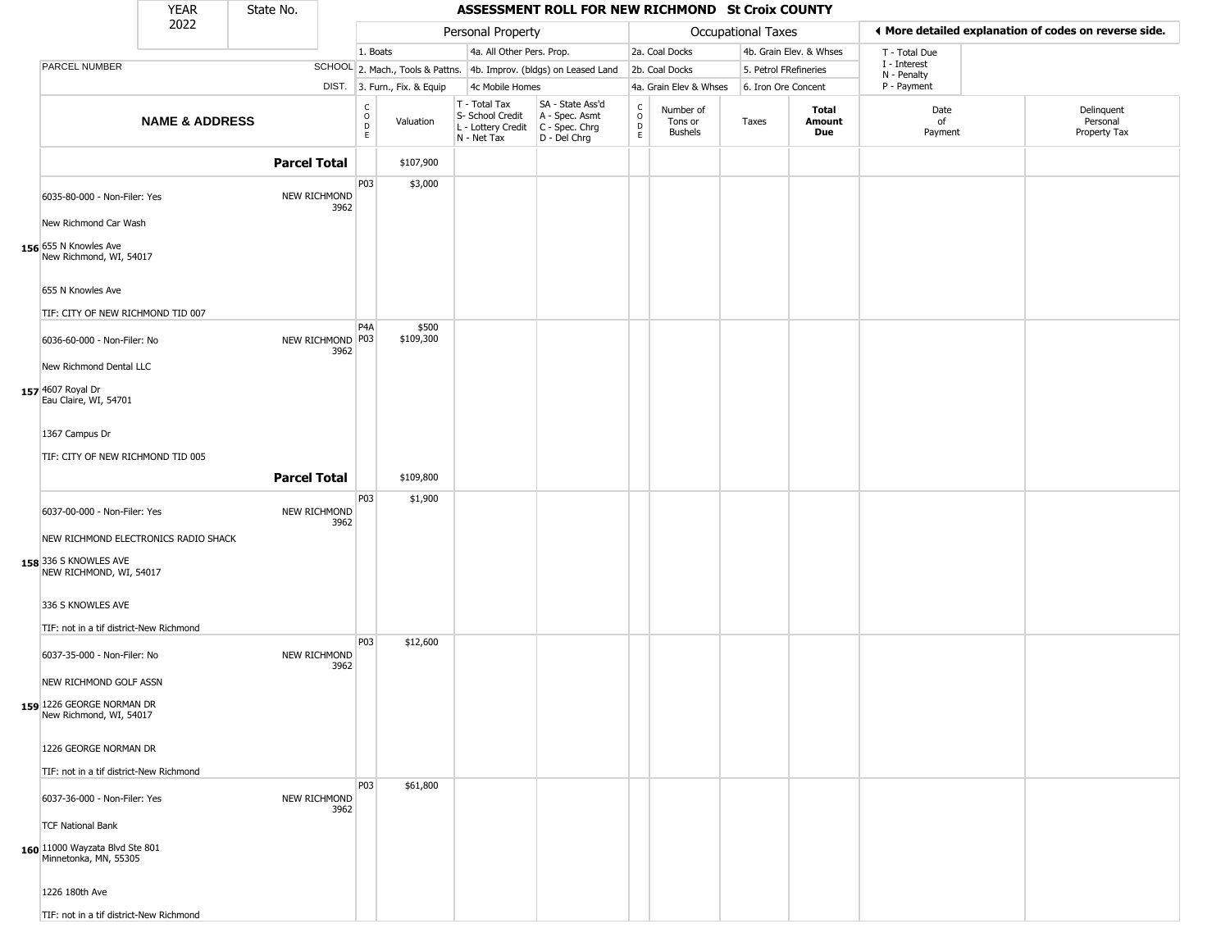|                                                                                          | <b>YEAR</b>               | State No.           |      |                                                  |                              |                                                                                       | ASSESSMENT ROLL FOR NEW RICHMOND St Croix COUNTY                    |                        |                                        |                           |                         |                             |                                                       |
|------------------------------------------------------------------------------------------|---------------------------|---------------------|------|--------------------------------------------------|------------------------------|---------------------------------------------------------------------------------------|---------------------------------------------------------------------|------------------------|----------------------------------------|---------------------------|-------------------------|-----------------------------|-------------------------------------------------------|
|                                                                                          | 2022                      |                     |      |                                                  |                              | Personal Property                                                                     |                                                                     |                        |                                        | <b>Occupational Taxes</b> |                         |                             | ◀ More detailed explanation of codes on reverse side. |
|                                                                                          |                           |                     |      | 1. Boats                                         |                              | 4a. All Other Pers. Prop.                                                             |                                                                     |                        | 2a. Coal Docks                         |                           | 4b. Grain Elev. & Whses | T - Total Due               |                                                       |
| PARCEL NUMBER                                                                            |                           |                     |      |                                                  |                              |                                                                                       | SCHOOL 2. Mach., Tools & Pattns. 4b. Improv. (bldgs) on Leased Land |                        | 2b. Coal Docks                         | 5. Petrol FRefineries     |                         | I - Interest<br>N - Penalty |                                                       |
|                                                                                          |                           |                     |      |                                                  | DIST. 3. Furn., Fix. & Equip | 4c Mobile Homes                                                                       |                                                                     |                        | 4a. Grain Elev & Whses                 | 6. Iron Ore Concent       |                         | P - Payment                 |                                                       |
|                                                                                          | <b>NAME &amp; ADDRESS</b> |                     |      | $_{\rm o}^{\rm c}$<br>$\mathsf D$<br>$\mathsf E$ | Valuation                    | T - Total Tax<br>S- School Credit<br>L - Lottery Credit C - Spec. Chrg<br>N - Net Tax | SA - State Ass'd<br>$A - Spec.$ Asmt<br>D - Del Chrg                | C<br>$\circ$<br>D<br>E | Number of<br>Tons or<br><b>Bushels</b> | Taxes                     | Total<br>Amount<br>Due  | Date<br>of<br>Payment       | Delinquent<br>Personal<br>Property Tax                |
|                                                                                          |                           | <b>Parcel Total</b> |      |                                                  | \$107,900                    |                                                                                       |                                                                     |                        |                                        |                           |                         |                             |                                                       |
| 6035-80-000 - Non-Filer: Yes                                                             |                           | NEW RICHMOND        | 3962 | P03                                              | \$3,000                      |                                                                                       |                                                                     |                        |                                        |                           |                         |                             |                                                       |
| New Richmond Car Wash                                                                    |                           |                     |      |                                                  |                              |                                                                                       |                                                                     |                        |                                        |                           |                         |                             |                                                       |
| 156 655 N Knowles Ave<br>New Richmond, WI, 54017                                         |                           |                     |      |                                                  |                              |                                                                                       |                                                                     |                        |                                        |                           |                         |                             |                                                       |
| 655 N Knowles Ave<br>TIF: CITY OF NEW RICHMOND TID 007                                   |                           |                     |      |                                                  |                              |                                                                                       |                                                                     |                        |                                        |                           |                         |                             |                                                       |
| 6036-60-000 - Non-Filer: No                                                              |                           | NEW RICHMOND P03    | 3962 | P <sub>4</sub> A                                 | \$500<br>\$109,300           |                                                                                       |                                                                     |                        |                                        |                           |                         |                             |                                                       |
| New Richmond Dental LLC<br>157 4607 Royal Dr<br>Eau Claire, WI, 54701                    |                           |                     |      |                                                  |                              |                                                                                       |                                                                     |                        |                                        |                           |                         |                             |                                                       |
| 1367 Campus Dr<br>TIF: CITY OF NEW RICHMOND TID 005                                      |                           |                     |      |                                                  |                              |                                                                                       |                                                                     |                        |                                        |                           |                         |                             |                                                       |
|                                                                                          |                           | <b>Parcel Total</b> |      |                                                  | \$109,800                    |                                                                                       |                                                                     |                        |                                        |                           |                         |                             |                                                       |
| 6037-00-000 - Non-Filer: Yes                                                             |                           | NEW RICHMOND        | 3962 | P03                                              | \$1,900                      |                                                                                       |                                                                     |                        |                                        |                           |                         |                             |                                                       |
| NEW RICHMOND ELECTRONICS RADIO SHACK<br>158 336 S KNOWLES AVE<br>NEW RICHMOND, WI, 54017 |                           |                     |      |                                                  |                              |                                                                                       |                                                                     |                        |                                        |                           |                         |                             |                                                       |
| 336 S KNOWLES AVE                                                                        |                           |                     |      |                                                  |                              |                                                                                       |                                                                     |                        |                                        |                           |                         |                             |                                                       |
| TIF: not in a tif district-New Richmond<br>6037-35-000 - Non-Filer: No                   |                           | NEW RICHMOND        | 3962 | P03                                              | \$12,600                     |                                                                                       |                                                                     |                        |                                        |                           |                         |                             |                                                       |
| NEW RICHMOND GOLF ASSN                                                                   |                           |                     |      |                                                  |                              |                                                                                       |                                                                     |                        |                                        |                           |                         |                             |                                                       |
| 159 1226 GEORGE NORMAN DR<br>New Richmond, WI, 54017                                     |                           |                     |      |                                                  |                              |                                                                                       |                                                                     |                        |                                        |                           |                         |                             |                                                       |
| 1226 GEORGE NORMAN DR                                                                    |                           |                     |      |                                                  |                              |                                                                                       |                                                                     |                        |                                        |                           |                         |                             |                                                       |
| TIF: not in a tif district-New Richmond                                                  |                           |                     |      |                                                  |                              |                                                                                       |                                                                     |                        |                                        |                           |                         |                             |                                                       |
| 6037-36-000 - Non-Filer: Yes                                                             |                           | NEW RICHMOND        | 3962 | <b>P03</b>                                       | \$61,800                     |                                                                                       |                                                                     |                        |                                        |                           |                         |                             |                                                       |
| <b>TCF National Bank</b><br>160 11000 Wayzata Blvd Ste 801<br>Minnetonka, MN, 55305      |                           |                     |      |                                                  |                              |                                                                                       |                                                                     |                        |                                        |                           |                         |                             |                                                       |
| 1226 180th Ave                                                                           |                           |                     |      |                                                  |                              |                                                                                       |                                                                     |                        |                                        |                           |                         |                             |                                                       |
| TIF: not in a tif district-New Richmond                                                  |                           |                     |      |                                                  |                              |                                                                                       |                                                                     |                        |                                        |                           |                         |                             |                                                       |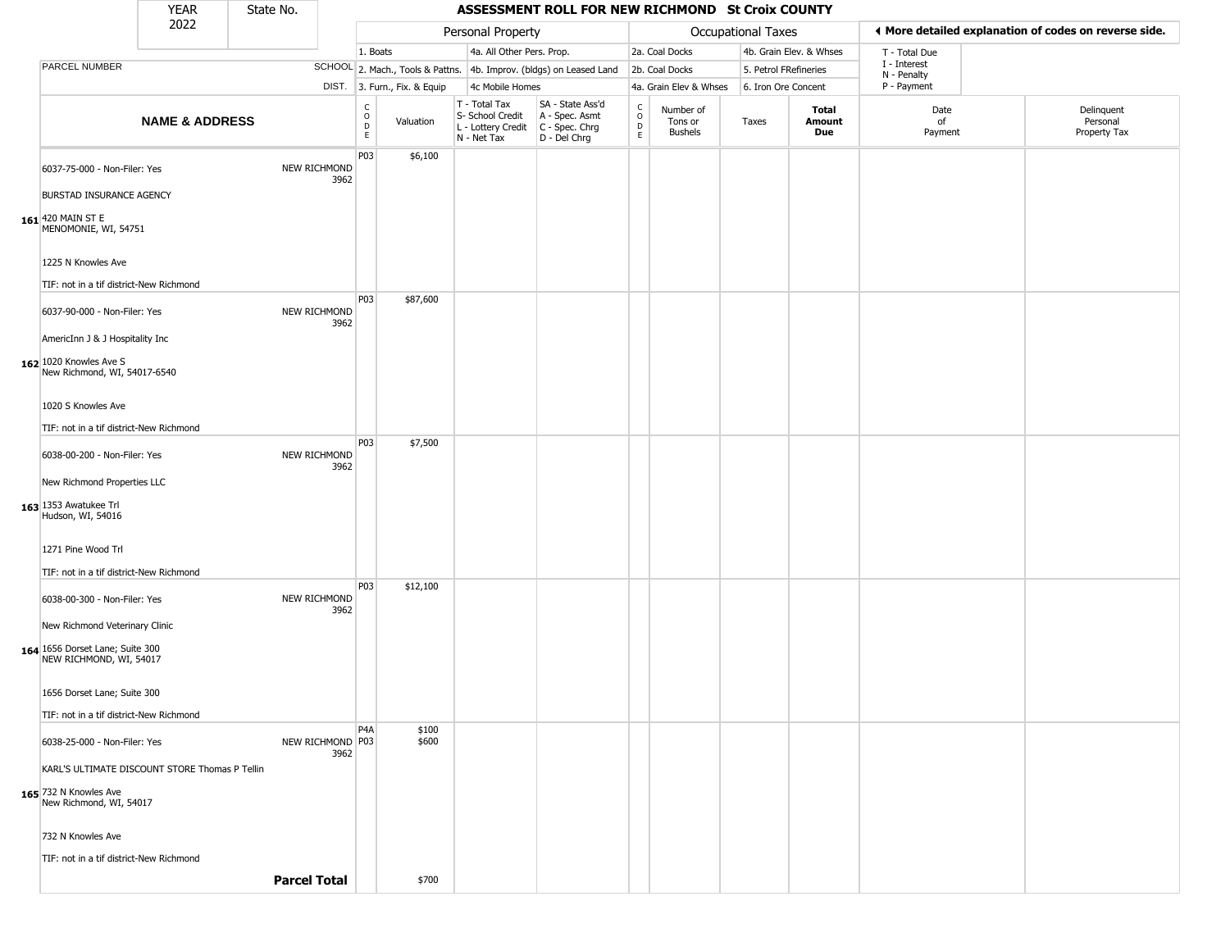|                                                                                                    | <b>YEAR</b>               | State No. |                             |                                                  |                              |                                                                        | ASSESSMENT ROLL FOR NEW RICHMOND St Croix COUNTY                       |                             |                                        |                    |                         |                             |                                                       |
|----------------------------------------------------------------------------------------------------|---------------------------|-----------|-----------------------------|--------------------------------------------------|------------------------------|------------------------------------------------------------------------|------------------------------------------------------------------------|-----------------------------|----------------------------------------|--------------------|-------------------------|-----------------------------|-------------------------------------------------------|
|                                                                                                    | 2022                      |           |                             |                                                  |                              | Personal Property                                                      |                                                                        |                             |                                        | Occupational Taxes |                         |                             | ◀ More detailed explanation of codes on reverse side. |
|                                                                                                    |                           |           |                             | 1. Boats                                         |                              | 4a. All Other Pers. Prop.                                              |                                                                        |                             | 2a. Coal Docks                         |                    | 4b. Grain Elev. & Whses | T - Total Due               |                                                       |
| PARCEL NUMBER                                                                                      |                           |           |                             |                                                  |                              |                                                                        | SCHOOL 2. Mach., Tools & Pattns. 4b. Improv. (bldgs) on Leased Land    |                             | 2b. Coal Docks                         |                    | 5. Petrol FRefineries   | I - Interest<br>N - Penalty |                                                       |
|                                                                                                    |                           |           |                             |                                                  | DIST. 3. Furn., Fix. & Equip | 4c Mobile Homes                                                        |                                                                        |                             | 4a. Grain Elev & Whses                 |                    | 6. Iron Ore Concent     | P - Payment                 |                                                       |
|                                                                                                    | <b>NAME &amp; ADDRESS</b> |           |                             | $_{\rm o}^{\rm c}$<br>$\mathsf D$<br>$\mathsf E$ | Valuation                    | T - Total Tax<br>S- School Credit<br>L - Lottery Credit<br>N - Net Tax | SA - State Ass'd<br>A - Spec. Asmt<br>C - Spec. Chrg<br>$D - Del Chrg$ | $\rm _o^C$<br>$\frac{D}{E}$ | Number of<br>Tons or<br><b>Bushels</b> | Taxes              | Total<br>Amount<br>Due  | Date<br>of<br>Payment       | Delinquent<br>Personal<br>Property Tax                |
| 6037-75-000 - Non-Filer: Yes<br>BURSTAD INSURANCE AGENCY                                           |                           |           | NEW RICHMOND<br>3962        | P03                                              | \$6,100                      |                                                                        |                                                                        |                             |                                        |                    |                         |                             |                                                       |
| 161 420 MAIN ST E<br>MENOMONIE, WI, 54751                                                          |                           |           |                             |                                                  |                              |                                                                        |                                                                        |                             |                                        |                    |                         |                             |                                                       |
| 1225 N Knowles Ave<br>TIF: not in a tif district-New Richmond                                      |                           |           |                             |                                                  |                              |                                                                        |                                                                        |                             |                                        |                    |                         |                             |                                                       |
| 6037-90-000 - Non-Filer: Yes<br>AmericInn J & J Hospitality Inc                                    |                           |           | NEW RICHMOND<br>3962        | P03                                              | \$87,600                     |                                                                        |                                                                        |                             |                                        |                    |                         |                             |                                                       |
| 162 1020 Knowles Ave S<br>New Richmond, WI, 54017-6540                                             |                           |           |                             |                                                  |                              |                                                                        |                                                                        |                             |                                        |                    |                         |                             |                                                       |
| 1020 S Knowles Ave                                                                                 |                           |           |                             |                                                  |                              |                                                                        |                                                                        |                             |                                        |                    |                         |                             |                                                       |
| TIF: not in a tif district-New Richmond                                                            |                           |           |                             |                                                  |                              |                                                                        |                                                                        |                             |                                        |                    |                         |                             |                                                       |
| 6038-00-200 - Non-Filer: Yes                                                                       |                           |           | NEW RICHMOND<br>3962        | P03                                              | \$7,500                      |                                                                        |                                                                        |                             |                                        |                    |                         |                             |                                                       |
| New Richmond Properties LLC<br>163 1353 Awatukee Trl<br>Hudson, WI, 54016                          |                           |           |                             |                                                  |                              |                                                                        |                                                                        |                             |                                        |                    |                         |                             |                                                       |
| 1271 Pine Wood Trl<br>TIF: not in a tif district-New Richmond                                      |                           |           |                             |                                                  |                              |                                                                        |                                                                        |                             |                                        |                    |                         |                             |                                                       |
| 6038-00-300 - Non-Filer: Yes                                                                       |                           |           | <b>NEW RICHMOND</b><br>3962 | P03                                              | \$12,100                     |                                                                        |                                                                        |                             |                                        |                    |                         |                             |                                                       |
| New Richmond Veterinary Clinic<br>164 1656 Dorset Lane; Suite 300<br>NEW RICHMOND, WI, 54017       |                           |           |                             |                                                  |                              |                                                                        |                                                                        |                             |                                        |                    |                         |                             |                                                       |
| 1656 Dorset Lane; Suite 300<br>TIF: not in a tif district-New Richmond                             |                           |           |                             |                                                  |                              |                                                                        |                                                                        |                             |                                        |                    |                         |                             |                                                       |
| 6038-25-000 - Non-Filer: Yes                                                                       |                           |           | NEW RICHMOND P03<br>3962    | P <sub>4</sub> A                                 | \$100<br>\$600               |                                                                        |                                                                        |                             |                                        |                    |                         |                             |                                                       |
| KARL'S ULTIMATE DISCOUNT STORE Thomas P Tellin<br>165 732 N Knowles Ave<br>New Richmond, WI, 54017 |                           |           |                             |                                                  |                              |                                                                        |                                                                        |                             |                                        |                    |                         |                             |                                                       |
| 732 N Knowles Ave<br>TIF: not in a tif district-New Richmond                                       |                           |           |                             |                                                  |                              |                                                                        |                                                                        |                             |                                        |                    |                         |                             |                                                       |
|                                                                                                    |                           |           | <b>Parcel Total</b>         |                                                  | \$700                        |                                                                        |                                                                        |                             |                                        |                    |                         |                             |                                                       |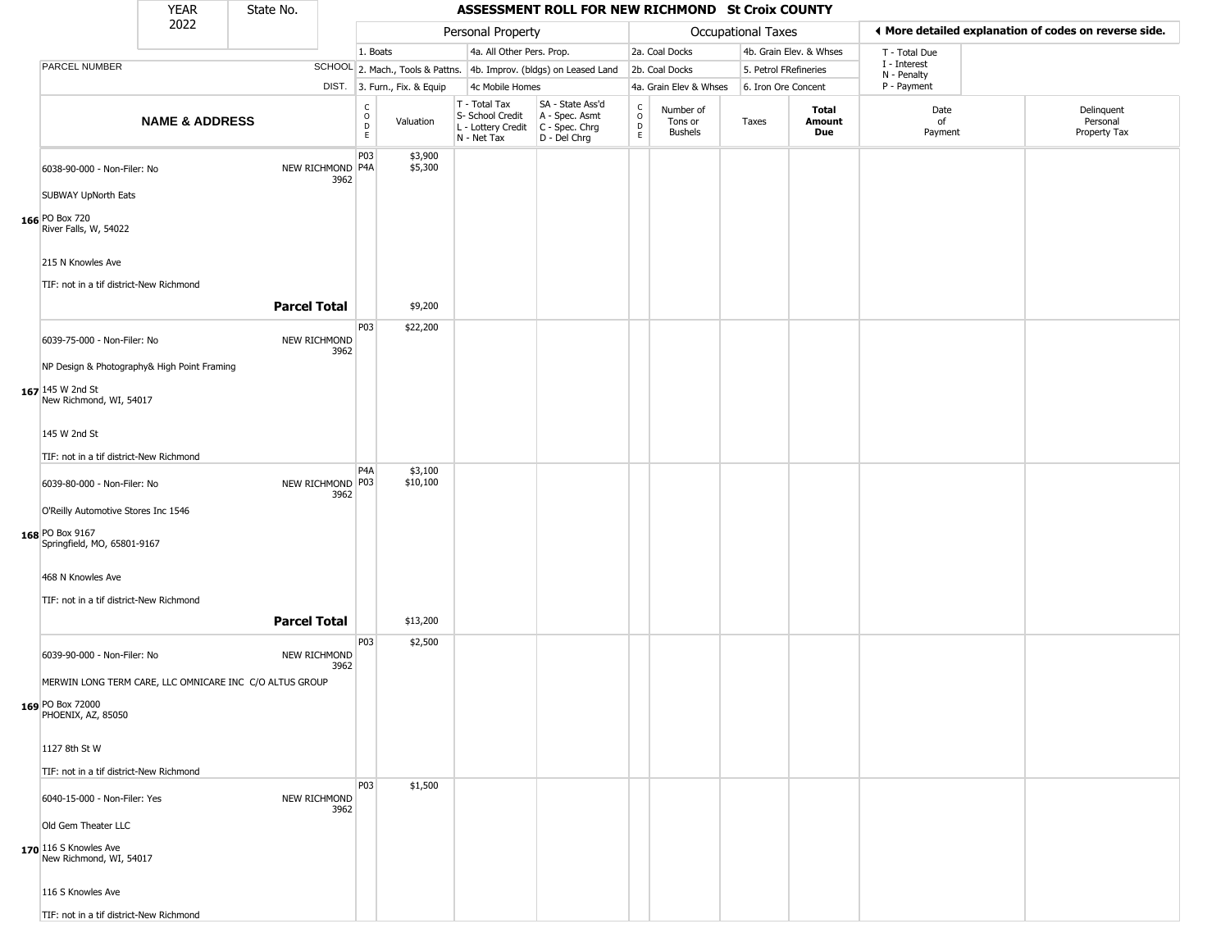|                                                                                            | <b>YEAR</b>               | State No.           |                          |                                        |                              |                                                                        | ASSESSMENT ROLL FOR NEW RICHMOND St Croix COUNTY                     |                                   |                                        |                       |                               |                             |                                                       |
|--------------------------------------------------------------------------------------------|---------------------------|---------------------|--------------------------|----------------------------------------|------------------------------|------------------------------------------------------------------------|----------------------------------------------------------------------|-----------------------------------|----------------------------------------|-----------------------|-------------------------------|-----------------------------|-------------------------------------------------------|
|                                                                                            | 2022                      |                     |                          |                                        |                              | Personal Property                                                      |                                                                      |                                   |                                        | Occupational Taxes    |                               |                             | ♦ More detailed explanation of codes on reverse side. |
|                                                                                            |                           |                     |                          | 1. Boats                               |                              | 4a. All Other Pers. Prop.                                              |                                                                      |                                   | 2a. Coal Docks                         |                       | 4b. Grain Elev. & Whses       | T - Total Due               |                                                       |
| PARCEL NUMBER                                                                              |                           |                     |                          |                                        |                              |                                                                        | SCHOOL 2. Mach., Tools & Pattns. 4b. Improv. (bldgs) on Leased Land  |                                   | 2b. Coal Docks                         | 5. Petrol FRefineries |                               | I - Interest<br>N - Penalty |                                                       |
|                                                                                            |                           |                     |                          |                                        | DIST. 3. Furn., Fix. & Equip | 4c Mobile Homes                                                        |                                                                      |                                   | 4a. Grain Elev & Whses                 | 6. Iron Ore Concent   |                               | P - Payment                 |                                                       |
|                                                                                            | <b>NAME &amp; ADDRESS</b> |                     |                          | $_{\rm o}^{\rm c}$<br>$\mathsf D$<br>E | Valuation                    | T - Total Tax<br>S- School Credit<br>L - Lottery Credit<br>N - Net Tax | SA - State Ass'd<br>A - Spec. Asmt<br>C - Spec. Chrg<br>D - Del Chrg | $\frac{c}{0}$<br>D<br>$\mathsf E$ | Number of<br>Tons or<br><b>Bushels</b> | Taxes                 | <b>Total</b><br>Amount<br>Due | Date<br>of<br>Payment       | Delinquent<br>Personal<br>Property Tax                |
| 6038-90-000 - Non-Filer: No                                                                |                           |                     | NEW RICHMOND P4A<br>3962 | <b>P03</b>                             | \$3,900<br>\$5,300           |                                                                        |                                                                      |                                   |                                        |                       |                               |                             |                                                       |
| <b>SUBWAY UpNorth Eats</b><br>166 PO Box 720<br>River Falls, W, 54022                      |                           |                     |                          |                                        |                              |                                                                        |                                                                      |                                   |                                        |                       |                               |                             |                                                       |
| 215 N Knowles Ave<br>TIF: not in a tif district-New Richmond                               |                           |                     |                          |                                        |                              |                                                                        |                                                                      |                                   |                                        |                       |                               |                             |                                                       |
|                                                                                            |                           | <b>Parcel Total</b> |                          |                                        | \$9,200                      |                                                                        |                                                                      |                                   |                                        |                       |                               |                             |                                                       |
| 6039-75-000 - Non-Filer: No                                                                |                           |                     | NEW RICHMOND<br>3962     | P03                                    | \$22,200                     |                                                                        |                                                                      |                                   |                                        |                       |                               |                             |                                                       |
| NP Design & Photography& High Point Framing<br>167 145 W 2nd St<br>New Richmond, WI, 54017 |                           |                     |                          |                                        |                              |                                                                        |                                                                      |                                   |                                        |                       |                               |                             |                                                       |
| 145 W 2nd St                                                                               |                           |                     |                          |                                        |                              |                                                                        |                                                                      |                                   |                                        |                       |                               |                             |                                                       |
| TIF: not in a tif district-New Richmond                                                    |                           |                     |                          |                                        |                              |                                                                        |                                                                      |                                   |                                        |                       |                               |                             |                                                       |
| 6039-80-000 - Non-Filer: No                                                                |                           |                     | NEW RICHMOND P03<br>3962 | P <sub>4</sub> A                       | \$3,100<br>\$10,100          |                                                                        |                                                                      |                                   |                                        |                       |                               |                             |                                                       |
| O'Reilly Automotive Stores Inc 1546<br>168 PO Box 9167<br>Springfield, MO, 65801-9167      |                           |                     |                          |                                        |                              |                                                                        |                                                                      |                                   |                                        |                       |                               |                             |                                                       |
| 468 N Knowles Ave                                                                          |                           |                     |                          |                                        |                              |                                                                        |                                                                      |                                   |                                        |                       |                               |                             |                                                       |
| TIF: not in a tif district-New Richmond                                                    |                           |                     |                          |                                        |                              |                                                                        |                                                                      |                                   |                                        |                       |                               |                             |                                                       |
|                                                                                            |                           | <b>Parcel Total</b> |                          |                                        | \$13,200                     |                                                                        |                                                                      |                                   |                                        |                       |                               |                             |                                                       |
| 6039-90-000 - Non-Filer: No                                                                |                           |                     | NEW RICHMOND<br>3962     | P03                                    | \$2,500                      |                                                                        |                                                                      |                                   |                                        |                       |                               |                             |                                                       |
| MERWIN LONG TERM CARE, LLC OMNICARE INC C/O ALTUS GROUP                                    |                           |                     |                          |                                        |                              |                                                                        |                                                                      |                                   |                                        |                       |                               |                             |                                                       |
| 169 PO Box 72000<br>PHOENIX, AZ, 85050                                                     |                           |                     |                          |                                        |                              |                                                                        |                                                                      |                                   |                                        |                       |                               |                             |                                                       |
| 1127 8th St W                                                                              |                           |                     |                          |                                        |                              |                                                                        |                                                                      |                                   |                                        |                       |                               |                             |                                                       |
| TIF: not in a tif district-New Richmond                                                    |                           |                     |                          |                                        |                              |                                                                        |                                                                      |                                   |                                        |                       |                               |                             |                                                       |
| 6040-15-000 - Non-Filer: Yes                                                               |                           |                     | NEW RICHMOND<br>3962     | <b>P03</b>                             | \$1,500                      |                                                                        |                                                                      |                                   |                                        |                       |                               |                             |                                                       |
| Old Gem Theater LLC                                                                        |                           |                     |                          |                                        |                              |                                                                        |                                                                      |                                   |                                        |                       |                               |                             |                                                       |
| 170 116 S Knowles Ave<br>New Richmond, WI, 54017                                           |                           |                     |                          |                                        |                              |                                                                        |                                                                      |                                   |                                        |                       |                               |                             |                                                       |
| 116 S Knowles Ave                                                                          |                           |                     |                          |                                        |                              |                                                                        |                                                                      |                                   |                                        |                       |                               |                             |                                                       |
| TIF: not in a tif district-New Richmond                                                    |                           |                     |                          |                                        |                              |                                                                        |                                                                      |                                   |                                        |                       |                               |                             |                                                       |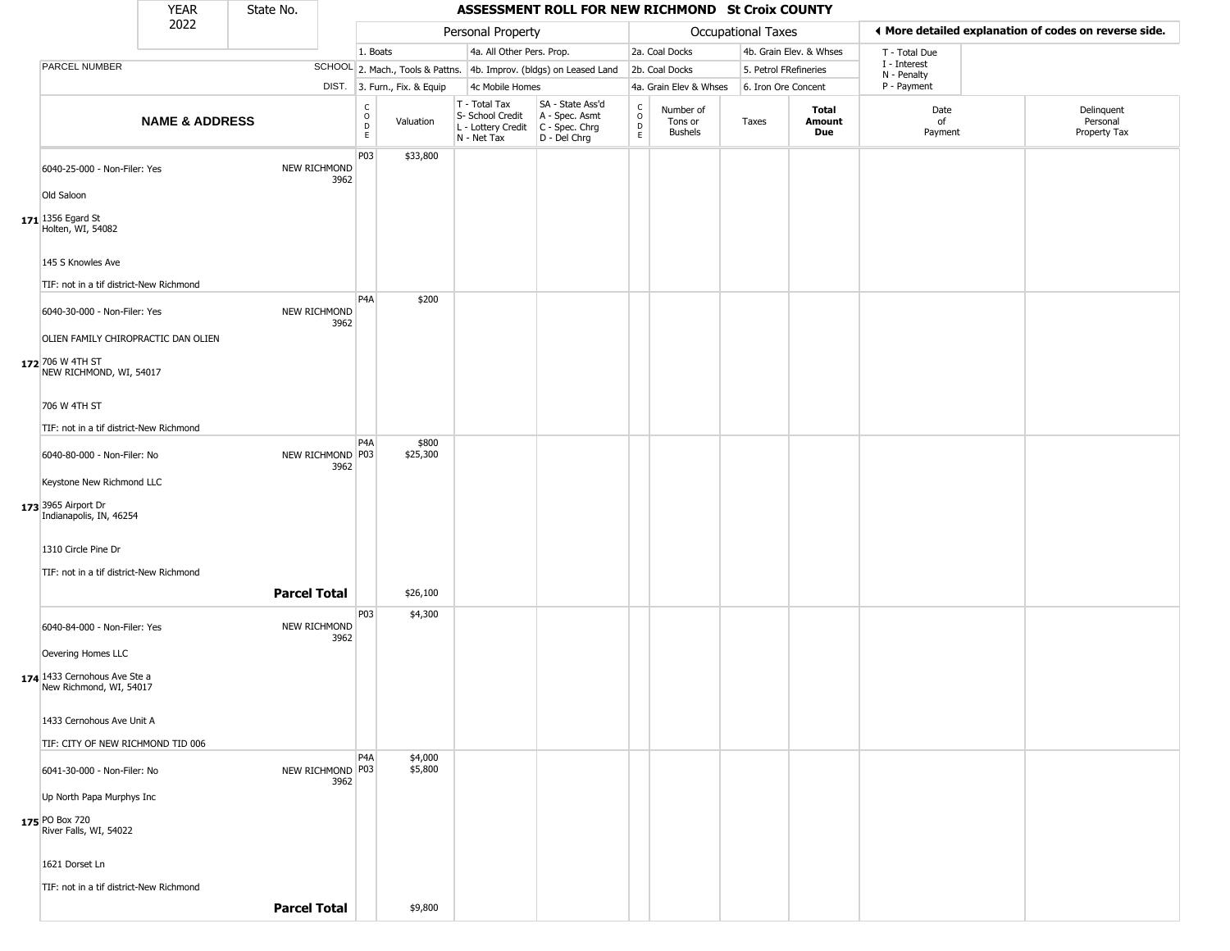|                                                         | <b>YEAR</b>               | State No.           |                             |                         |                              |                                                                        | ASSESSMENT ROLL FOR NEW RICHMOND St Croix COUNTY                     |                         |                                        |                       |                         |                             |                                                       |
|---------------------------------------------------------|---------------------------|---------------------|-----------------------------|-------------------------|------------------------------|------------------------------------------------------------------------|----------------------------------------------------------------------|-------------------------|----------------------------------------|-----------------------|-------------------------|-----------------------------|-------------------------------------------------------|
|                                                         | 2022                      |                     |                             |                         |                              | Personal Property                                                      |                                                                      |                         |                                        | Occupational Taxes    |                         |                             | ◀ More detailed explanation of codes on reverse side. |
|                                                         |                           |                     |                             | 1. Boats                |                              | 4a. All Other Pers. Prop.                                              |                                                                      |                         | 2a. Coal Docks                         |                       | 4b. Grain Elev. & Whses | T - Total Due               |                                                       |
| PARCEL NUMBER                                           |                           |                     |                             |                         |                              |                                                                        | SCHOOL 2. Mach., Tools & Pattns. 4b. Improv. (bldgs) on Leased Land  |                         | 2b. Coal Docks                         | 5. Petrol FRefineries |                         | I - Interest<br>N - Penalty |                                                       |
|                                                         |                           |                     |                             |                         | DIST. 3. Furn., Fix. & Equip | 4c Mobile Homes                                                        |                                                                      |                         | 4a. Grain Elev & Whses                 | 6. Iron Ore Concent   |                         | P - Payment                 |                                                       |
|                                                         | <b>NAME &amp; ADDRESS</b> |                     |                             | C<br>$\circ$<br>D<br>E. | Valuation                    | T - Total Tax<br>S- School Credit<br>L - Lottery Credit<br>N - Net Tax | SA - State Ass'd<br>A - Spec. Asmt<br>C - Spec. Chrg<br>D - Del Chrg | $\frac{c}{0}$<br>D<br>E | Number of<br>Tons or<br><b>Bushels</b> | Taxes                 | Total<br>Amount<br>Due  | Date<br>of<br>Payment       | Delinquent<br>Personal<br>Property Tax                |
| 6040-25-000 - Non-Filer: Yes<br>Old Saloon              |                           |                     | <b>NEW RICHMOND</b><br>3962 | P03                     | \$33,800                     |                                                                        |                                                                      |                         |                                        |                       |                         |                             |                                                       |
| 171 1356 Egard St<br>Holten, WI, 54082                  |                           |                     |                             |                         |                              |                                                                        |                                                                      |                         |                                        |                       |                         |                             |                                                       |
| 145 S Knowles Ave                                       |                           |                     |                             |                         |                              |                                                                        |                                                                      |                         |                                        |                       |                         |                             |                                                       |
| TIF: not in a tif district-New Richmond                 |                           |                     |                             | P4A                     | \$200                        |                                                                        |                                                                      |                         |                                        |                       |                         |                             |                                                       |
| 6040-30-000 - Non-Filer: Yes                            |                           |                     | NEW RICHMOND<br>3962        |                         |                              |                                                                        |                                                                      |                         |                                        |                       |                         |                             |                                                       |
| OLIEN FAMILY CHIROPRACTIC DAN OLIEN                     |                           |                     |                             |                         |                              |                                                                        |                                                                      |                         |                                        |                       |                         |                             |                                                       |
| 172 706 W 4TH ST<br>NEW RICHMOND, WI, 54017             |                           |                     |                             |                         |                              |                                                                        |                                                                      |                         |                                        |                       |                         |                             |                                                       |
| 706 W 4TH ST                                            |                           |                     |                             |                         |                              |                                                                        |                                                                      |                         |                                        |                       |                         |                             |                                                       |
| TIF: not in a tif district-New Richmond                 |                           |                     |                             |                         |                              |                                                                        |                                                                      |                         |                                        |                       |                         |                             |                                                       |
| 6040-80-000 - Non-Filer: No                             |                           |                     | NEW RICHMOND P03<br>3962    | P4A                     | \$800<br>\$25,300            |                                                                        |                                                                      |                         |                                        |                       |                         |                             |                                                       |
| Keystone New Richmond LLC                               |                           |                     |                             |                         |                              |                                                                        |                                                                      |                         |                                        |                       |                         |                             |                                                       |
| 173 3965 Airport Dr<br>Indianapolis, IN, 46254          |                           |                     |                             |                         |                              |                                                                        |                                                                      |                         |                                        |                       |                         |                             |                                                       |
| 1310 Circle Pine Dr                                     |                           |                     |                             |                         |                              |                                                                        |                                                                      |                         |                                        |                       |                         |                             |                                                       |
| TIF: not in a tif district-New Richmond                 |                           |                     |                             |                         |                              |                                                                        |                                                                      |                         |                                        |                       |                         |                             |                                                       |
|                                                         |                           | <b>Parcel Total</b> |                             |                         | \$26,100                     |                                                                        |                                                                      |                         |                                        |                       |                         |                             |                                                       |
| 6040-84-000 - Non-Filer: Yes                            |                           |                     | NEW RICHMOND<br>3962        | P03                     | \$4,300                      |                                                                        |                                                                      |                         |                                        |                       |                         |                             |                                                       |
| Oevering Homes LLC                                      |                           |                     |                             |                         |                              |                                                                        |                                                                      |                         |                                        |                       |                         |                             |                                                       |
| 174 1433 Cernohous Ave Ste a<br>New Richmond, WI, 54017 |                           |                     |                             |                         |                              |                                                                        |                                                                      |                         |                                        |                       |                         |                             |                                                       |
| 1433 Cernohous Ave Unit A                               |                           |                     |                             |                         |                              |                                                                        |                                                                      |                         |                                        |                       |                         |                             |                                                       |
| TIF: CITY OF NEW RICHMOND TID 006                       |                           |                     |                             | P <sub>4</sub> A        | \$4,000                      |                                                                        |                                                                      |                         |                                        |                       |                         |                             |                                                       |
| 6041-30-000 - Non-Filer: No                             |                           |                     | NEW RICHMOND P03<br>3962    |                         | \$5,800                      |                                                                        |                                                                      |                         |                                        |                       |                         |                             |                                                       |
| Up North Papa Murphys Inc                               |                           |                     |                             |                         |                              |                                                                        |                                                                      |                         |                                        |                       |                         |                             |                                                       |
| 175 PO Box 720<br>River Falls, WI, 54022                |                           |                     |                             |                         |                              |                                                                        |                                                                      |                         |                                        |                       |                         |                             |                                                       |
| 1621 Dorset Ln                                          |                           |                     |                             |                         |                              |                                                                        |                                                                      |                         |                                        |                       |                         |                             |                                                       |
| TIF: not in a tif district-New Richmond                 |                           |                     |                             |                         |                              |                                                                        |                                                                      |                         |                                        |                       |                         |                             |                                                       |
|                                                         |                           | <b>Parcel Total</b> |                             |                         | \$9,800                      |                                                                        |                                                                      |                         |                                        |                       |                         |                             |                                                       |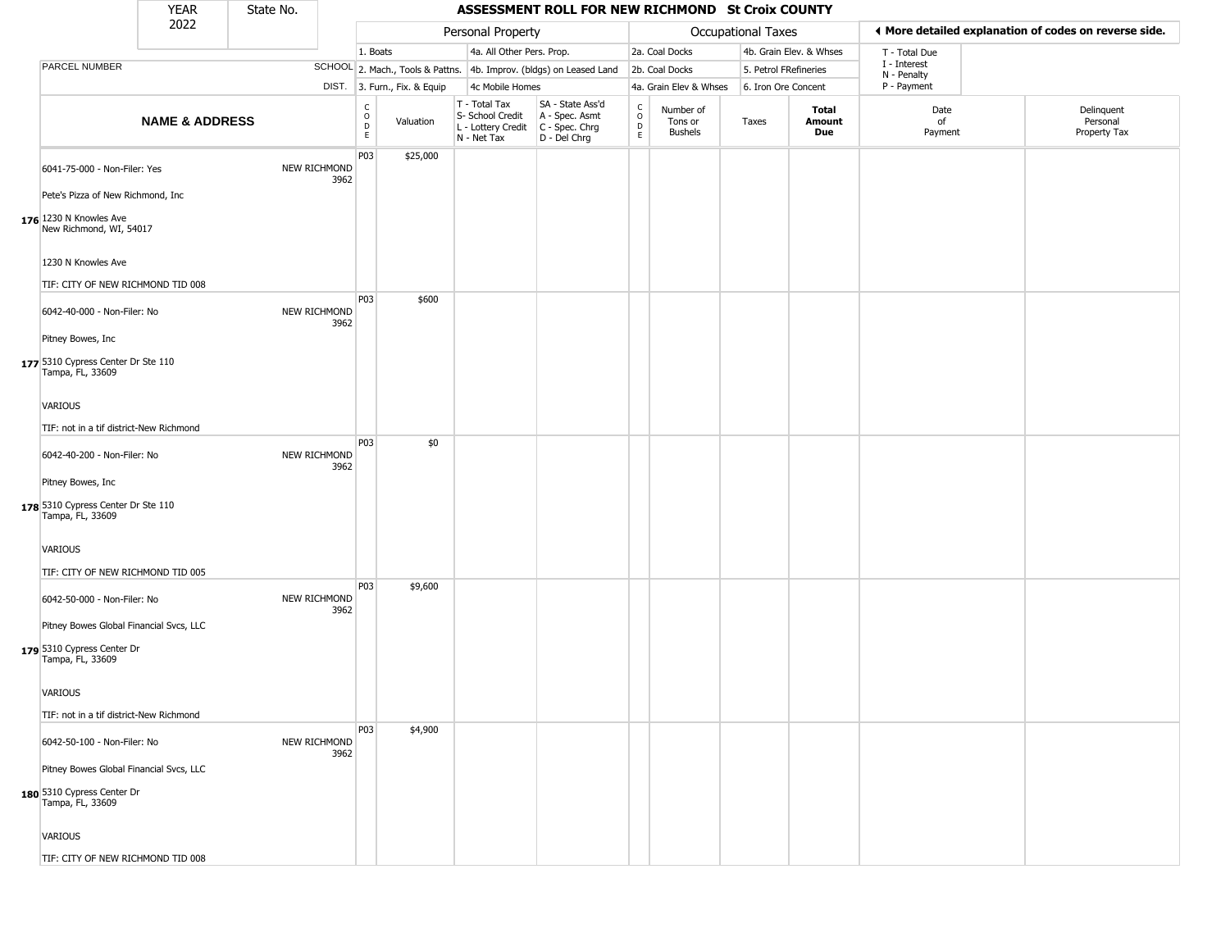|                                                                   | <b>YEAR</b>               | State No. |                      |                         |                              |                                                                        | ASSESSMENT ROLL FOR NEW RICHMOND St Croix COUNTY                     |                                   |                                 |                       |                         |                             |                                                       |
|-------------------------------------------------------------------|---------------------------|-----------|----------------------|-------------------------|------------------------------|------------------------------------------------------------------------|----------------------------------------------------------------------|-----------------------------------|---------------------------------|-----------------------|-------------------------|-----------------------------|-------------------------------------------------------|
|                                                                   | 2022                      |           |                      |                         |                              | Personal Property                                                      |                                                                      |                                   |                                 | Occupational Taxes    |                         |                             | ◀ More detailed explanation of codes on reverse side. |
|                                                                   |                           |           |                      | 1. Boats                |                              | 4a. All Other Pers. Prop.                                              |                                                                      |                                   | 2a. Coal Docks                  |                       | 4b. Grain Elev. & Whses | T - Total Due               |                                                       |
| PARCEL NUMBER                                                     |                           |           |                      |                         |                              |                                                                        | SCHOOL 2. Mach., Tools & Pattns. 4b. Improv. (bldgs) on Leased Land  |                                   | 2b. Coal Docks                  | 5. Petrol FRefineries |                         | I - Interest<br>N - Penalty |                                                       |
|                                                                   |                           |           |                      |                         | DIST. 3. Furn., Fix. & Equip | 4c Mobile Homes                                                        |                                                                      |                                   | 4a. Grain Elev & Whses          | 6. Iron Ore Concent   |                         | P - Payment                 |                                                       |
|                                                                   | <b>NAME &amp; ADDRESS</b> |           |                      | C<br>$\circ$<br>D<br>E. | Valuation                    | T - Total Tax<br>S- School Credit<br>L - Lottery Credit<br>N - Net Tax | SA - State Ass'd<br>A - Spec. Asmt<br>C - Spec. Chrg<br>D - Del Chrg | $\mathsf{C}$<br>$\circ$<br>D<br>E | Number of<br>Tons or<br>Bushels | Taxes                 | Total<br>Amount<br>Due  | Date<br>of<br>Payment       | Delinquent<br>Personal<br>Property Tax                |
| 6041-75-000 - Non-Filer: Yes<br>Pete's Pizza of New Richmond, Inc |                           |           | NEW RICHMOND<br>3962 | P03                     | \$25,000                     |                                                                        |                                                                      |                                   |                                 |                       |                         |                             |                                                       |
| 176 1230 N Knowles Ave<br>New Richmond, WI, 54017                 |                           |           |                      |                         |                              |                                                                        |                                                                      |                                   |                                 |                       |                         |                             |                                                       |
| 1230 N Knowles Ave                                                |                           |           |                      |                         |                              |                                                                        |                                                                      |                                   |                                 |                       |                         |                             |                                                       |
| TIF: CITY OF NEW RICHMOND TID 008                                 |                           |           |                      | P03                     | \$600                        |                                                                        |                                                                      |                                   |                                 |                       |                         |                             |                                                       |
| 6042-40-000 - Non-Filer: No                                       |                           |           | NEW RICHMOND<br>3962 |                         |                              |                                                                        |                                                                      |                                   |                                 |                       |                         |                             |                                                       |
| Pitney Bowes, Inc.                                                |                           |           |                      |                         |                              |                                                                        |                                                                      |                                   |                                 |                       |                         |                             |                                                       |
| 177 5310 Cypress Center Dr Ste 110<br>Tampa, FL, 33609            |                           |           |                      |                         |                              |                                                                        |                                                                      |                                   |                                 |                       |                         |                             |                                                       |
| VARIOUS                                                           |                           |           |                      |                         |                              |                                                                        |                                                                      |                                   |                                 |                       |                         |                             |                                                       |
| TIF: not in a tif district-New Richmond                           |                           |           |                      |                         |                              |                                                                        |                                                                      |                                   |                                 |                       |                         |                             |                                                       |
| 6042-40-200 - Non-Filer: No                                       |                           |           | NEW RICHMOND<br>3962 | P03                     | \$0                          |                                                                        |                                                                      |                                   |                                 |                       |                         |                             |                                                       |
| Pitney Bowes, Inc.                                                |                           |           |                      |                         |                              |                                                                        |                                                                      |                                   |                                 |                       |                         |                             |                                                       |
| 178 5310 Cypress Center Dr Ste 110<br>Tampa, FL, 33609            |                           |           |                      |                         |                              |                                                                        |                                                                      |                                   |                                 |                       |                         |                             |                                                       |
| VARIOUS                                                           |                           |           |                      |                         |                              |                                                                        |                                                                      |                                   |                                 |                       |                         |                             |                                                       |
| TIF: CITY OF NEW RICHMOND TID 005                                 |                           |           |                      |                         |                              |                                                                        |                                                                      |                                   |                                 |                       |                         |                             |                                                       |
| 6042-50-000 - Non-Filer: No                                       |                           |           | NEW RICHMOND<br>3962 | P03                     | \$9,600                      |                                                                        |                                                                      |                                   |                                 |                       |                         |                             |                                                       |
| Pitney Bowes Global Financial Svcs, LLC                           |                           |           |                      |                         |                              |                                                                        |                                                                      |                                   |                                 |                       |                         |                             |                                                       |
| 179 5310 Cypress Center Dr<br>Tampa, FL, 33609                    |                           |           |                      |                         |                              |                                                                        |                                                                      |                                   |                                 |                       |                         |                             |                                                       |
| <b>VARIOUS</b>                                                    |                           |           |                      |                         |                              |                                                                        |                                                                      |                                   |                                 |                       |                         |                             |                                                       |
| TIF: not in a tif district-New Richmond                           |                           |           |                      |                         |                              |                                                                        |                                                                      |                                   |                                 |                       |                         |                             |                                                       |
| 6042-50-100 - Non-Filer: No                                       |                           |           | NEW RICHMOND<br>3962 | P03                     | \$4,900                      |                                                                        |                                                                      |                                   |                                 |                       |                         |                             |                                                       |
| Pitney Bowes Global Financial Svcs, LLC                           |                           |           |                      |                         |                              |                                                                        |                                                                      |                                   |                                 |                       |                         |                             |                                                       |
| 180 5310 Cypress Center Dr<br>Tampa, FL, 33609                    |                           |           |                      |                         |                              |                                                                        |                                                                      |                                   |                                 |                       |                         |                             |                                                       |
| <b>VARIOUS</b>                                                    |                           |           |                      |                         |                              |                                                                        |                                                                      |                                   |                                 |                       |                         |                             |                                                       |
| TIF: CITY OF NEW RICHMOND TID 008                                 |                           |           |                      |                         |                              |                                                                        |                                                                      |                                   |                                 |                       |                         |                             |                                                       |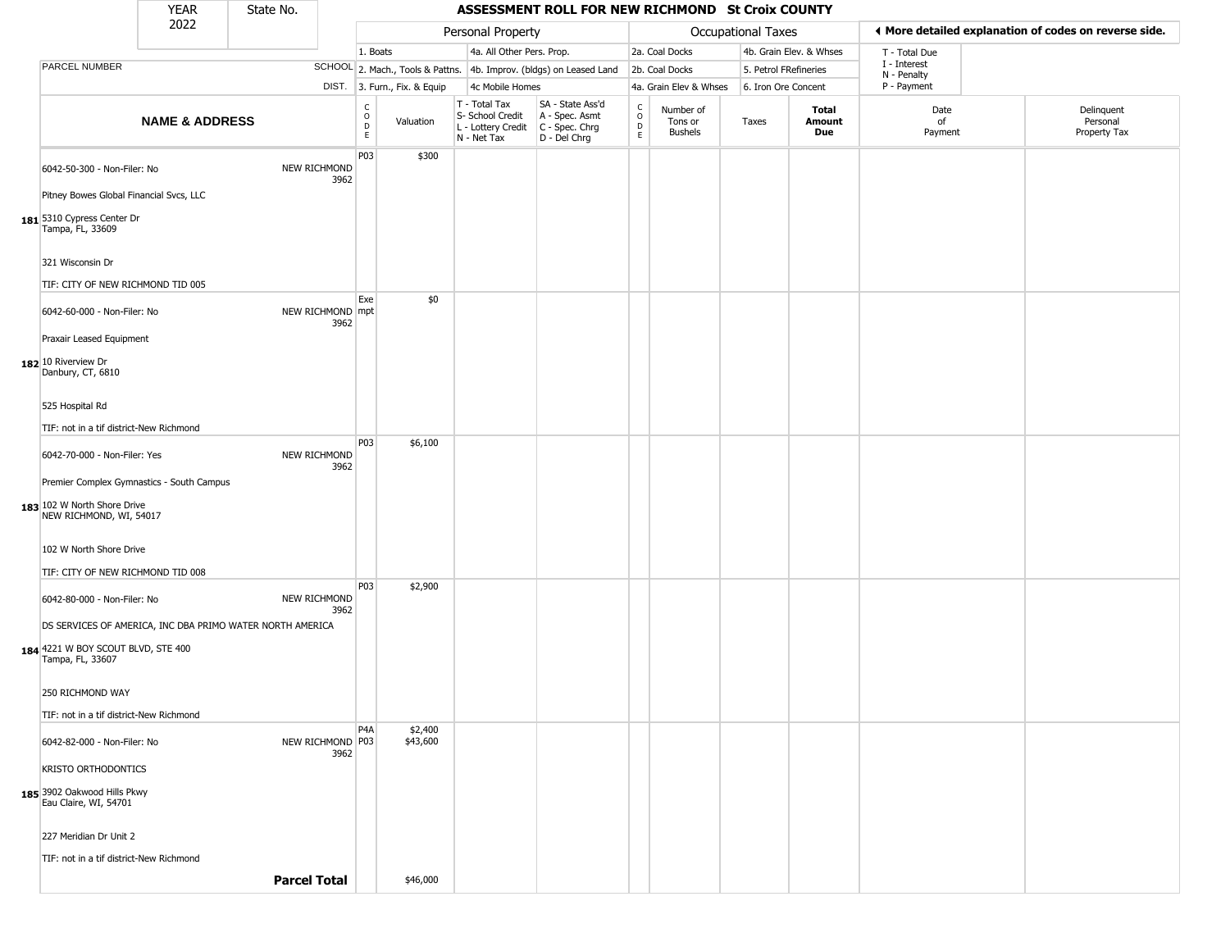|                                                           | <b>YEAR</b>               | State No.           |                          |                            |                              |                                                                                         | ASSESSMENT ROLL FOR NEW RICHMOND St Croix COUNTY                    |                                       |                                        |                       |                         |                             |                                                       |
|-----------------------------------------------------------|---------------------------|---------------------|--------------------------|----------------------------|------------------------------|-----------------------------------------------------------------------------------------|---------------------------------------------------------------------|---------------------------------------|----------------------------------------|-----------------------|-------------------------|-----------------------------|-------------------------------------------------------|
|                                                           | 2022                      |                     |                          |                            |                              | Personal Property                                                                       |                                                                     |                                       |                                        | Occupational Taxes    |                         |                             | ♦ More detailed explanation of codes on reverse side. |
|                                                           |                           |                     |                          | 1. Boats                   |                              | 4a. All Other Pers. Prop.                                                               |                                                                     |                                       | 2a. Coal Docks                         |                       | 4b. Grain Elev. & Whses | T - Total Due               |                                                       |
| PARCEL NUMBER                                             |                           |                     |                          |                            |                              |                                                                                         | SCHOOL 2. Mach., Tools & Pattns. 4b. Improv. (bldgs) on Leased Land |                                       | 2b. Coal Docks                         | 5. Petrol FRefineries |                         | I - Interest<br>N - Penalty |                                                       |
|                                                           |                           |                     |                          |                            | DIST. 3. Furn., Fix. & Equip | 4c Mobile Homes                                                                         |                                                                     |                                       | 4a. Grain Elev & Whses                 | 6. Iron Ore Concent   |                         | P - Payment                 |                                                       |
|                                                           | <b>NAME &amp; ADDRESS</b> |                     |                          | C<br>$\mathsf O$<br>D<br>E | Valuation                    | T - Total Tax<br>S- School Credit<br>L - Lottery Credit   C - Spec. Chrg<br>N - Net Tax | SA - State Ass'd<br>A - Spec. Asmt<br>D - Del Chrg                  | $\mathsf{C}$<br>$\mathsf O$<br>D<br>E | Number of<br>Tons or<br><b>Bushels</b> | Taxes                 | Total<br>Amount<br>Due  | Date<br>of<br>Payment       | Delinquent<br>Personal<br>Property Tax                |
| 6042-50-300 - Non-Filer: No                               |                           |                     | NEW RICHMOND<br>3962     | P03                        | \$300                        |                                                                                         |                                                                     |                                       |                                        |                       |                         |                             |                                                       |
| Pitney Bowes Global Financial Svcs, LLC                   |                           |                     |                          |                            |                              |                                                                                         |                                                                     |                                       |                                        |                       |                         |                             |                                                       |
| 181 5310 Cypress Center Dr<br>Tampa, FL, 33609            |                           |                     |                          |                            |                              |                                                                                         |                                                                     |                                       |                                        |                       |                         |                             |                                                       |
| 321 Wisconsin Dr                                          |                           |                     |                          |                            |                              |                                                                                         |                                                                     |                                       |                                        |                       |                         |                             |                                                       |
| TIF: CITY OF NEW RICHMOND TID 005                         |                           |                     |                          |                            |                              |                                                                                         |                                                                     |                                       |                                        |                       |                         |                             |                                                       |
| 6042-60-000 - Non-Filer: No                               |                           |                     | NEW RICHMOND mpt<br>3962 | Exe                        | \$0                          |                                                                                         |                                                                     |                                       |                                        |                       |                         |                             |                                                       |
| Praxair Leased Equipment                                  |                           |                     |                          |                            |                              |                                                                                         |                                                                     |                                       |                                        |                       |                         |                             |                                                       |
| 182 10 Riverview Dr<br>Danbury, CT, 6810                  |                           |                     |                          |                            |                              |                                                                                         |                                                                     |                                       |                                        |                       |                         |                             |                                                       |
| 525 Hospital Rd                                           |                           |                     |                          |                            |                              |                                                                                         |                                                                     |                                       |                                        |                       |                         |                             |                                                       |
| TIF: not in a tif district-New Richmond                   |                           |                     |                          |                            |                              |                                                                                         |                                                                     |                                       |                                        |                       |                         |                             |                                                       |
| 6042-70-000 - Non-Filer: Yes                              |                           |                     | NEW RICHMOND<br>3962     | P03                        | \$6,100                      |                                                                                         |                                                                     |                                       |                                        |                       |                         |                             |                                                       |
| Premier Complex Gymnastics - South Campus                 |                           |                     |                          |                            |                              |                                                                                         |                                                                     |                                       |                                        |                       |                         |                             |                                                       |
| 183 102 W North Shore Drive<br>NEW RICHMOND, WI, 54017    |                           |                     |                          |                            |                              |                                                                                         |                                                                     |                                       |                                        |                       |                         |                             |                                                       |
| 102 W North Shore Drive                                   |                           |                     |                          |                            |                              |                                                                                         |                                                                     |                                       |                                        |                       |                         |                             |                                                       |
| TIF: CITY OF NEW RICHMOND TID 008                         |                           |                     |                          |                            |                              |                                                                                         |                                                                     |                                       |                                        |                       |                         |                             |                                                       |
| 6042-80-000 - Non-Filer: No                               |                           |                     | NEW RICHMOND<br>3962     | P03                        | \$2,900                      |                                                                                         |                                                                     |                                       |                                        |                       |                         |                             |                                                       |
| DS SERVICES OF AMERICA, INC DBA PRIMO WATER NORTH AMERICA |                           |                     |                          |                            |                              |                                                                                         |                                                                     |                                       |                                        |                       |                         |                             |                                                       |
| 184 4221 W BOY SCOUT BLVD, STE 400<br>Tampa, FL, 33607    |                           |                     |                          |                            |                              |                                                                                         |                                                                     |                                       |                                        |                       |                         |                             |                                                       |
| 250 RICHMOND WAY                                          |                           |                     |                          |                            |                              |                                                                                         |                                                                     |                                       |                                        |                       |                         |                             |                                                       |
| TIF: not in a tif district-New Richmond                   |                           |                     |                          |                            |                              |                                                                                         |                                                                     |                                       |                                        |                       |                         |                             |                                                       |
| 6042-82-000 - Non-Filer: No                               |                           |                     | NEW RICHMOND P03<br>3962 | P4A                        | \$2,400<br>\$43,600          |                                                                                         |                                                                     |                                       |                                        |                       |                         |                             |                                                       |
| KRISTO ORTHODONTICS                                       |                           |                     |                          |                            |                              |                                                                                         |                                                                     |                                       |                                        |                       |                         |                             |                                                       |
| 185 3902 Oakwood Hills Pkwy<br>Eau Claire, WI, 54701      |                           |                     |                          |                            |                              |                                                                                         |                                                                     |                                       |                                        |                       |                         |                             |                                                       |
| 227 Meridian Dr Unit 2                                    |                           |                     |                          |                            |                              |                                                                                         |                                                                     |                                       |                                        |                       |                         |                             |                                                       |
| TIF: not in a tif district-New Richmond                   |                           |                     |                          |                            |                              |                                                                                         |                                                                     |                                       |                                        |                       |                         |                             |                                                       |
|                                                           |                           | <b>Parcel Total</b> |                          |                            | \$46,000                     |                                                                                         |                                                                     |                                       |                                        |                       |                         |                             |                                                       |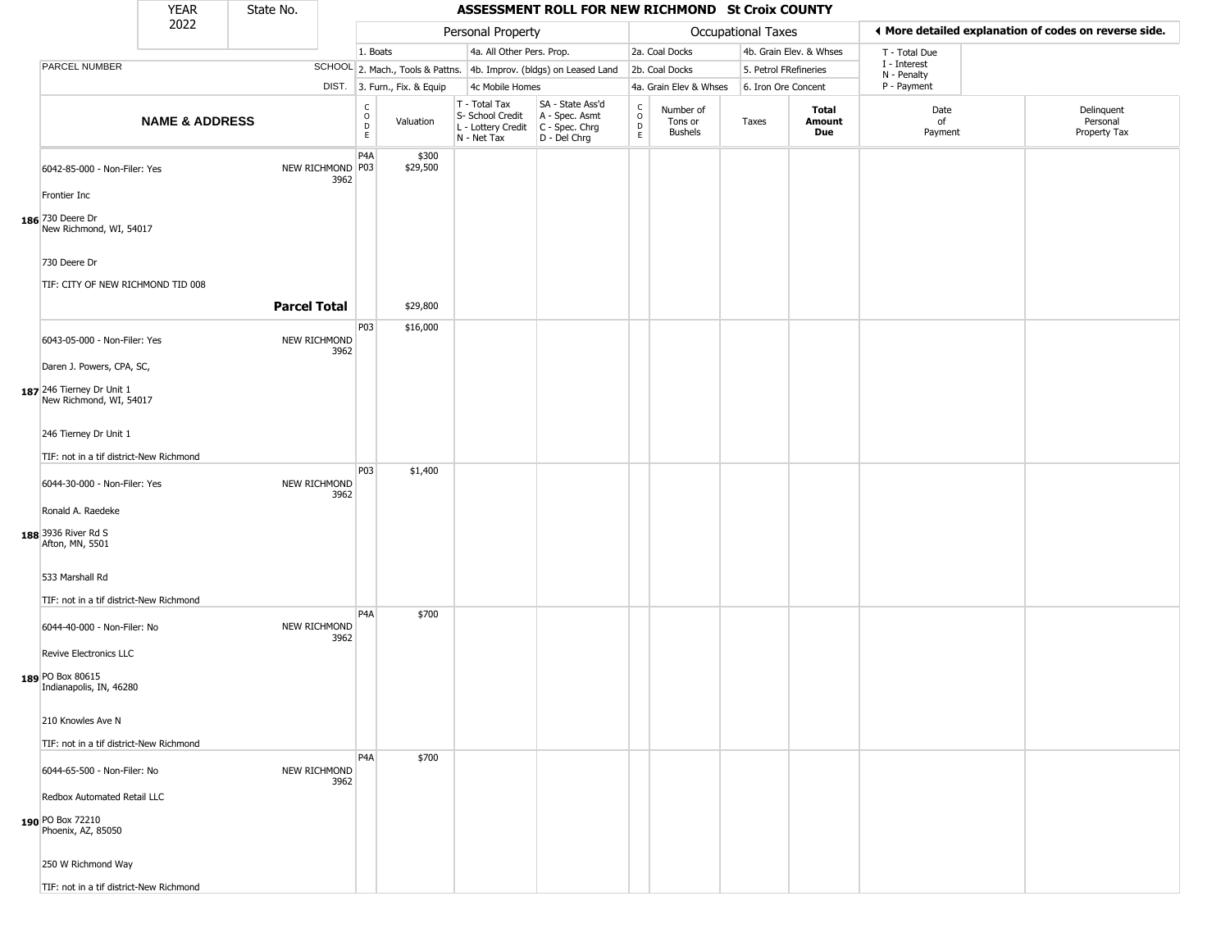|                                                                       | <b>YEAR</b>               | State No.           |                             |                         |                              |                                                                        | ASSESSMENT ROLL FOR NEW RICHMOND St Croix COUNTY                     |                                 |                                        |                    |                               |                             |                                                       |
|-----------------------------------------------------------------------|---------------------------|---------------------|-----------------------------|-------------------------|------------------------------|------------------------------------------------------------------------|----------------------------------------------------------------------|---------------------------------|----------------------------------------|--------------------|-------------------------------|-----------------------------|-------------------------------------------------------|
|                                                                       | 2022                      |                     |                             |                         |                              | Personal Property                                                      |                                                                      |                                 |                                        | Occupational Taxes |                               |                             | ♦ More detailed explanation of codes on reverse side. |
|                                                                       |                           |                     |                             | 1. Boats                |                              | 4a. All Other Pers. Prop.                                              |                                                                      |                                 | 2a. Coal Docks                         |                    | 4b. Grain Elev. & Whses       | T - Total Due               |                                                       |
| PARCEL NUMBER                                                         |                           |                     |                             |                         |                              |                                                                        | SCHOOL 2. Mach., Tools & Pattns. 4b. Improv. (bldgs) on Leased Land  |                                 | 2b. Coal Docks                         |                    | 5. Petrol FRefineries         | I - Interest<br>N - Penalty |                                                       |
|                                                                       |                           |                     |                             |                         | DIST. 3. Furn., Fix. & Equip | 4c Mobile Homes                                                        |                                                                      |                                 | 4a. Grain Elev & Whses                 |                    | 6. Iron Ore Concent           | P - Payment                 |                                                       |
|                                                                       | <b>NAME &amp; ADDRESS</b> |                     |                             | $\frac{c}{0}$<br>D<br>E | Valuation                    | T - Total Tax<br>S- School Credit<br>L - Lottery Credit<br>N - Net Tax | SA - State Ass'd<br>A - Spec. Asmt<br>C - Spec. Chrg<br>D - Del Chrg | $\rm ^c_o$<br>$\mathsf{D}$<br>E | Number of<br>Tons or<br><b>Bushels</b> | Taxes              | <b>Total</b><br>Amount<br>Due | Date<br>of<br>Payment       | Delinquent<br>Personal<br>Property Tax                |
| 6042-85-000 - Non-Filer: Yes                                          |                           |                     | NEW RICHMOND P03<br>3962    | P <sub>4</sub> A        | \$300<br>\$29,500            |                                                                        |                                                                      |                                 |                                        |                    |                               |                             |                                                       |
| Frontier Inc                                                          |                           |                     |                             |                         |                              |                                                                        |                                                                      |                                 |                                        |                    |                               |                             |                                                       |
| 186 730 Deere Dr<br>New Richmond, WI, 54017                           |                           |                     |                             |                         |                              |                                                                        |                                                                      |                                 |                                        |                    |                               |                             |                                                       |
| 730 Deere Dr                                                          |                           |                     |                             |                         |                              |                                                                        |                                                                      |                                 |                                        |                    |                               |                             |                                                       |
| TIF: CITY OF NEW RICHMOND TID 008                                     |                           |                     |                             |                         |                              |                                                                        |                                                                      |                                 |                                        |                    |                               |                             |                                                       |
|                                                                       |                           | <b>Parcel Total</b> |                             |                         | \$29,800                     |                                                                        |                                                                      |                                 |                                        |                    |                               |                             |                                                       |
| 6043-05-000 - Non-Filer: Yes                                          |                           |                     | NEW RICHMOND<br>3962        | P03                     | \$16,000                     |                                                                        |                                                                      |                                 |                                        |                    |                               |                             |                                                       |
| Daren J. Powers, CPA, SC,                                             |                           |                     |                             |                         |                              |                                                                        |                                                                      |                                 |                                        |                    |                               |                             |                                                       |
| 187 246 Tierney Dr Unit 1<br>New Richmond, WI, 54017                  |                           |                     |                             |                         |                              |                                                                        |                                                                      |                                 |                                        |                    |                               |                             |                                                       |
| 246 Tierney Dr Unit 1                                                 |                           |                     |                             |                         |                              |                                                                        |                                                                      |                                 |                                        |                    |                               |                             |                                                       |
| TIF: not in a tif district-New Richmond                               |                           |                     |                             |                         |                              |                                                                        |                                                                      |                                 |                                        |                    |                               |                             |                                                       |
| 6044-30-000 - Non-Filer: Yes                                          |                           |                     | NEW RICHMOND<br>3962        | P03                     | \$1,400                      |                                                                        |                                                                      |                                 |                                        |                    |                               |                             |                                                       |
| Ronald A. Raedeke                                                     |                           |                     |                             |                         |                              |                                                                        |                                                                      |                                 |                                        |                    |                               |                             |                                                       |
| 188 3936 River Rd S<br>Afton, MN, 5501                                |                           |                     |                             |                         |                              |                                                                        |                                                                      |                                 |                                        |                    |                               |                             |                                                       |
| 533 Marshall Rd                                                       |                           |                     |                             |                         |                              |                                                                        |                                                                      |                                 |                                        |                    |                               |                             |                                                       |
| TIF: not in a tif district-New Richmond                               |                           |                     |                             |                         |                              |                                                                        |                                                                      |                                 |                                        |                    |                               |                             |                                                       |
| 6044-40-000 - Non-Filer: No                                           |                           |                     | NEW RICHMOND<br>3962        | P <sub>4</sub> A        | \$700                        |                                                                        |                                                                      |                                 |                                        |                    |                               |                             |                                                       |
| Revive Electronics LLC<br>189 PO Box 80615<br>Indianapolis, IN, 46280 |                           |                     |                             |                         |                              |                                                                        |                                                                      |                                 |                                        |                    |                               |                             |                                                       |
| 210 Knowles Ave N                                                     |                           |                     |                             |                         |                              |                                                                        |                                                                      |                                 |                                        |                    |                               |                             |                                                       |
| TIF: not in a tif district-New Richmond                               |                           |                     |                             |                         |                              |                                                                        |                                                                      |                                 |                                        |                    |                               |                             |                                                       |
| 6044-65-500 - Non-Filer: No                                           |                           |                     | <b>NEW RICHMOND</b><br>3962 | P <sub>4</sub> A        | \$700                        |                                                                        |                                                                      |                                 |                                        |                    |                               |                             |                                                       |
| Redbox Automated Retail LLC                                           |                           |                     |                             |                         |                              |                                                                        |                                                                      |                                 |                                        |                    |                               |                             |                                                       |
| 190 PO Box 72210<br>Phoenix, AZ, 85050                                |                           |                     |                             |                         |                              |                                                                        |                                                                      |                                 |                                        |                    |                               |                             |                                                       |
| 250 W Richmond Way                                                    |                           |                     |                             |                         |                              |                                                                        |                                                                      |                                 |                                        |                    |                               |                             |                                                       |
| TIF: not in a tif district-New Richmond                               |                           |                     |                             |                         |                              |                                                                        |                                                                      |                                 |                                        |                    |                               |                             |                                                       |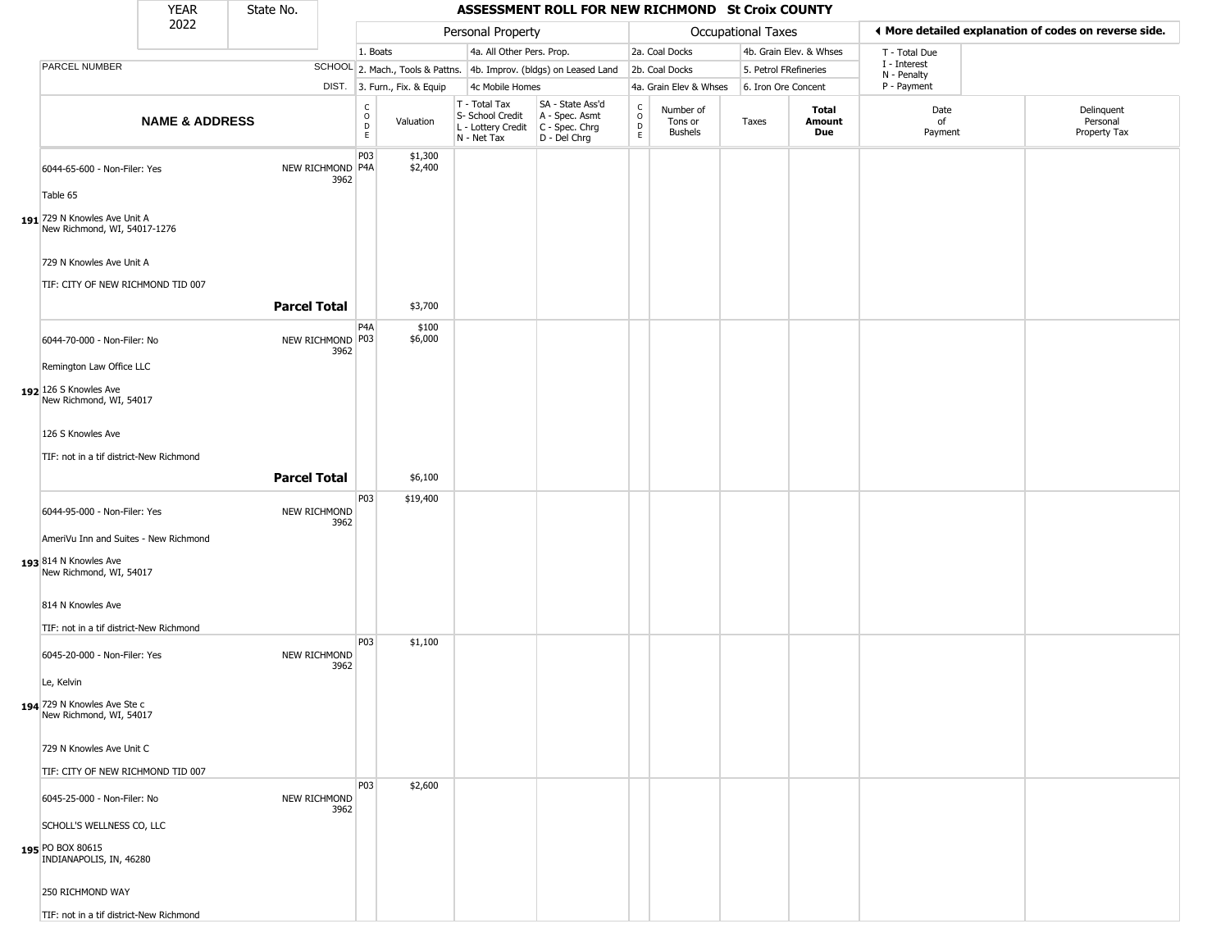|                                                                          | <b>YEAR</b>               | State No.           |      |                                                |                              |                                                                                       | ASSESSMENT ROLL FOR NEW RICHMOND St Croix COUNTY                    |                         |                                        |                           |                         |                             |                                                       |
|--------------------------------------------------------------------------|---------------------------|---------------------|------|------------------------------------------------|------------------------------|---------------------------------------------------------------------------------------|---------------------------------------------------------------------|-------------------------|----------------------------------------|---------------------------|-------------------------|-----------------------------|-------------------------------------------------------|
|                                                                          | 2022                      |                     |      |                                                |                              | Personal Property                                                                     |                                                                     |                         |                                        | <b>Occupational Taxes</b> |                         |                             | ◀ More detailed explanation of codes on reverse side. |
|                                                                          |                           |                     |      | 1. Boats                                       |                              | 4a. All Other Pers. Prop.                                                             |                                                                     |                         | 2a. Coal Docks                         |                           | 4b. Grain Elev. & Whses | T - Total Due               |                                                       |
| PARCEL NUMBER                                                            |                           |                     |      |                                                |                              |                                                                                       | SCHOOL 2. Mach., Tools & Pattns. 4b. Improv. (bldgs) on Leased Land |                         | 2b. Coal Docks                         | 5. Petrol FRefineries     |                         | I - Interest<br>N - Penalty |                                                       |
|                                                                          |                           |                     |      |                                                | DIST. 3. Furn., Fix. & Equip | 4c Mobile Homes                                                                       |                                                                     |                         | 4a. Grain Elev & Whses                 | 6. Iron Ore Concent       |                         | P - Payment                 |                                                       |
|                                                                          | <b>NAME &amp; ADDRESS</b> |                     |      | $\begin{matrix} 0 \\ 0 \\ D \end{matrix}$<br>E | Valuation                    | T - Total Tax<br>S- School Credit<br>L - Lottery Credit C - Spec. Chrg<br>N - Net Tax | SA - State Ass'd<br>A - Spec. Asmt<br>D - Del Chrg                  | $\frac{c}{0}$<br>D<br>E | Number of<br>Tons or<br><b>Bushels</b> | Taxes                     | Total<br>Amount<br>Due  | Date<br>of<br>Payment       | Delinquent<br>Personal<br>Property Tax                |
| 6044-65-600 - Non-Filer: Yes<br>Table 65                                 |                           | NEW RICHMOND P4A    | 3962 | P03                                            | \$1,300<br>\$2,400           |                                                                                       |                                                                     |                         |                                        |                           |                         |                             |                                                       |
| 191 729 N Knowles Ave Unit A<br>New Richmond, WI, 54017-1276             |                           |                     |      |                                                |                              |                                                                                       |                                                                     |                         |                                        |                           |                         |                             |                                                       |
| 729 N Knowles Ave Unit A<br>TIF: CITY OF NEW RICHMOND TID 007            |                           |                     |      |                                                |                              |                                                                                       |                                                                     |                         |                                        |                           |                         |                             |                                                       |
|                                                                          |                           | <b>Parcel Total</b> |      | P <sub>4</sub> A                               | \$3,700                      |                                                                                       |                                                                     |                         |                                        |                           |                         |                             |                                                       |
| 6044-70-000 - Non-Filer: No<br>Remington Law Office LLC                  |                           | NEW RICHMOND P03    | 3962 |                                                | \$100<br>\$6,000             |                                                                                       |                                                                     |                         |                                        |                           |                         |                             |                                                       |
| 192 126 S Knowles Ave<br>New Richmond, WI, 54017                         |                           |                     |      |                                                |                              |                                                                                       |                                                                     |                         |                                        |                           |                         |                             |                                                       |
| 126 S Knowles Ave                                                        |                           |                     |      |                                                |                              |                                                                                       |                                                                     |                         |                                        |                           |                         |                             |                                                       |
| TIF: not in a tif district-New Richmond                                  |                           |                     |      |                                                |                              |                                                                                       |                                                                     |                         |                                        |                           |                         |                             |                                                       |
|                                                                          |                           | <b>Parcel Total</b> |      |                                                | \$6,100                      |                                                                                       |                                                                     |                         |                                        |                           |                         |                             |                                                       |
|                                                                          |                           |                     |      |                                                |                              |                                                                                       |                                                                     |                         |                                        |                           |                         |                             |                                                       |
| 6044-95-000 - Non-Filer: Yes<br>AmeriVu Inn and Suites - New Richmond    |                           | NEW RICHMOND        | 3962 | P03                                            | \$19,400                     |                                                                                       |                                                                     |                         |                                        |                           |                         |                             |                                                       |
| 193 814 N Knowles Ave<br>New Richmond, WI, 54017                         |                           |                     |      |                                                |                              |                                                                                       |                                                                     |                         |                                        |                           |                         |                             |                                                       |
| 814 N Knowles Ave                                                        |                           |                     |      |                                                |                              |                                                                                       |                                                                     |                         |                                        |                           |                         |                             |                                                       |
| TIF: not in a tif district-New Richmond                                  |                           |                     |      | P03                                            | \$1,100                      |                                                                                       |                                                                     |                         |                                        |                           |                         |                             |                                                       |
| 6045-20-000 - Non-Filer: Yes<br>Le, Kelvin                               |                           | NEW RICHMOND        | 3962 |                                                |                              |                                                                                       |                                                                     |                         |                                        |                           |                         |                             |                                                       |
| 194 729 N Knowles Ave Ste c<br>New Richmond, WI, 54017                   |                           |                     |      |                                                |                              |                                                                                       |                                                                     |                         |                                        |                           |                         |                             |                                                       |
| 729 N Knowles Ave Unit C                                                 |                           |                     |      |                                                |                              |                                                                                       |                                                                     |                         |                                        |                           |                         |                             |                                                       |
| TIF: CITY OF NEW RICHMOND TID 007                                        |                           |                     |      | <b>P03</b>                                     | \$2,600                      |                                                                                       |                                                                     |                         |                                        |                           |                         |                             |                                                       |
| 6045-25-000 - Non-Filer: No                                              |                           | NEW RICHMOND        | 3962 |                                                |                              |                                                                                       |                                                                     |                         |                                        |                           |                         |                             |                                                       |
| SCHOLL'S WELLNESS CO, LLC<br>195 PO BOX 80615<br>INDIANAPOLIS, IN, 46280 |                           |                     |      |                                                |                              |                                                                                       |                                                                     |                         |                                        |                           |                         |                             |                                                       |
| 250 RICHMOND WAY                                                         |                           |                     |      |                                                |                              |                                                                                       |                                                                     |                         |                                        |                           |                         |                             |                                                       |
| TIF: not in a tif district-New Richmond                                  |                           |                     |      |                                                |                              |                                                                                       |                                                                     |                         |                                        |                           |                         |                             |                                                       |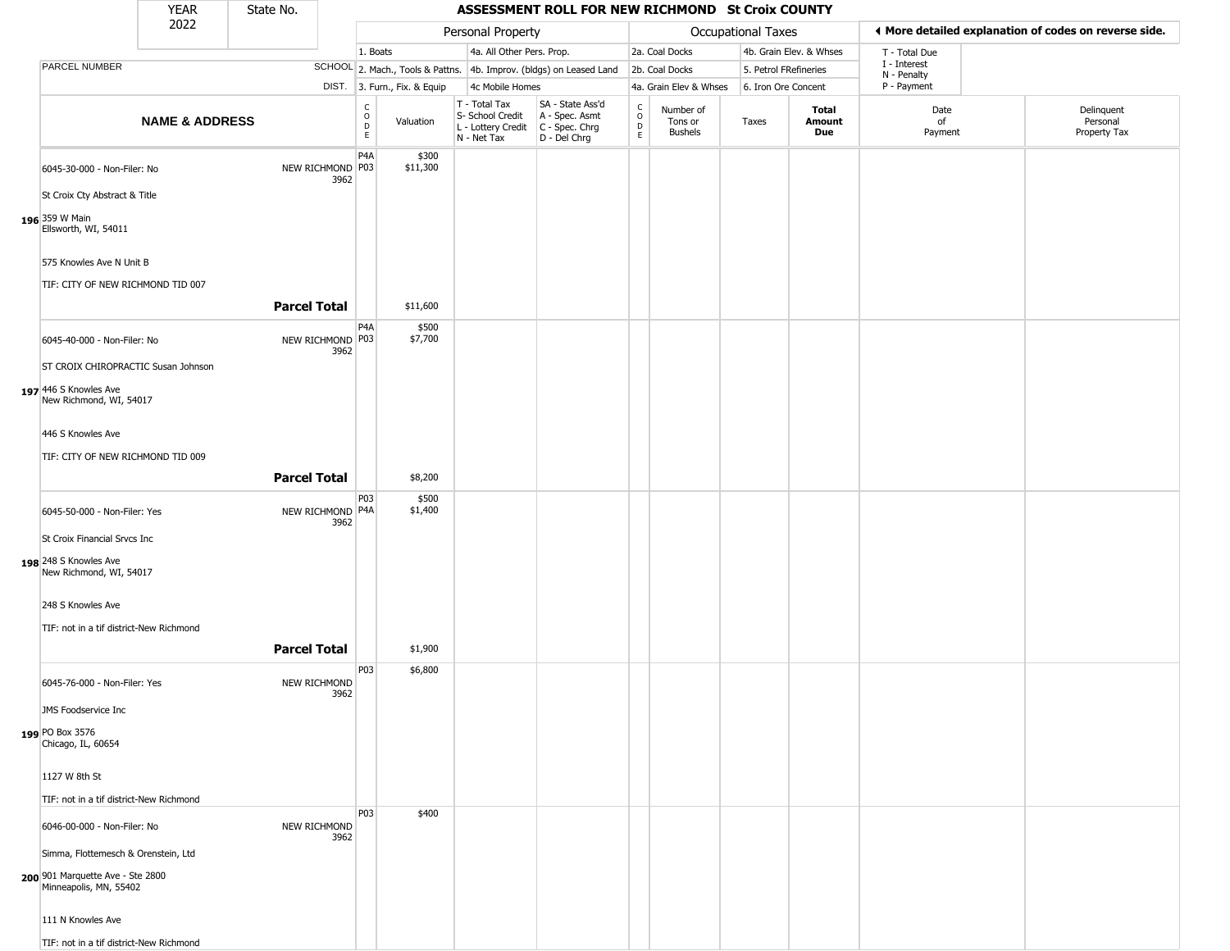|                                                               | YEAR                      | State No.           |                          |                                   |                              |                                                                                           | ASSESSMENT ROLL FOR NEW RICHMOND St Croix COUNTY                    |                                   |                                        |                           |                         |                             |                                                       |
|---------------------------------------------------------------|---------------------------|---------------------|--------------------------|-----------------------------------|------------------------------|-------------------------------------------------------------------------------------------|---------------------------------------------------------------------|-----------------------------------|----------------------------------------|---------------------------|-------------------------|-----------------------------|-------------------------------------------------------|
|                                                               | 2022                      |                     |                          |                                   |                              | Personal Property                                                                         |                                                                     |                                   |                                        | <b>Occupational Taxes</b> |                         |                             | ◀ More detailed explanation of codes on reverse side. |
|                                                               |                           |                     |                          | 1. Boats                          |                              | 4a. All Other Pers. Prop.                                                                 |                                                                     |                                   | 2a. Coal Docks                         |                           | 4b. Grain Elev. & Whses | T - Total Due               |                                                       |
| PARCEL NUMBER                                                 |                           |                     |                          |                                   |                              |                                                                                           | SCHOOL 2. Mach., Tools & Pattns. 4b. Improv. (bldgs) on Leased Land |                                   | 2b. Coal Docks                         | 5. Petrol FRefineries     |                         | I - Interest<br>N - Penalty |                                                       |
|                                                               |                           |                     |                          |                                   | DIST. 3. Furn., Fix. & Equip | 4c Mobile Homes                                                                           |                                                                     |                                   | 4a. Grain Elev & Whses                 | 6. Iron Ore Concent       |                         | P - Payment                 |                                                       |
|                                                               | <b>NAME &amp; ADDRESS</b> |                     |                          | C<br>$\circ$<br>$\mathsf{D}$<br>E | Valuation                    | T - Total Tax<br>S- School Credit<br>$L$ - Lottery Credit $C$ - Spec. Chrg<br>N - Net Tax | SA - State Ass'd<br>A - Spec. Asmt<br>D - Del Chrg                  | $\rm_{o}^{c}$<br>$\mathsf D$<br>E | Number of<br>Tons or<br><b>Bushels</b> | Taxes                     | Total<br>Amount<br>Due  | Date<br>of<br>Payment       | Delinquent<br>Personal<br>Property Tax                |
| 6045-30-000 - Non-Filer: No                                   |                           |                     | NEW RICHMOND P03<br>3962 | P <sub>4</sub> A                  | \$300<br>\$11,300            |                                                                                           |                                                                     |                                   |                                        |                           |                         |                             |                                                       |
| St Croix Cty Abstract & Title                                 |                           |                     |                          |                                   |                              |                                                                                           |                                                                     |                                   |                                        |                           |                         |                             |                                                       |
| 196 359 W Main<br>Ellsworth, WI, 54011                        |                           |                     |                          |                                   |                              |                                                                                           |                                                                     |                                   |                                        |                           |                         |                             |                                                       |
| 575 Knowles Ave N Unit B<br>TIF: CITY OF NEW RICHMOND TID 007 |                           |                     |                          |                                   |                              |                                                                                           |                                                                     |                                   |                                        |                           |                         |                             |                                                       |
|                                                               |                           | <b>Parcel Total</b> |                          |                                   | \$11,600                     |                                                                                           |                                                                     |                                   |                                        |                           |                         |                             |                                                       |
| 6045-40-000 - Non-Filer: No                                   |                           |                     | NEW RICHMOND P03<br>3962 | P <sub>4</sub> A                  | \$500<br>\$7,700             |                                                                                           |                                                                     |                                   |                                        |                           |                         |                             |                                                       |
| ST CROIX CHIROPRACTIC Susan Johnson                           |                           |                     |                          |                                   |                              |                                                                                           |                                                                     |                                   |                                        |                           |                         |                             |                                                       |
| 197 446 S Knowles Ave<br>New Richmond, WI, 54017              |                           |                     |                          |                                   |                              |                                                                                           |                                                                     |                                   |                                        |                           |                         |                             |                                                       |
| 446 S Knowles Ave                                             |                           |                     |                          |                                   |                              |                                                                                           |                                                                     |                                   |                                        |                           |                         |                             |                                                       |
| TIF: CITY OF NEW RICHMOND TID 009                             |                           |                     |                          |                                   |                              |                                                                                           |                                                                     |                                   |                                        |                           |                         |                             |                                                       |
|                                                               |                           | <b>Parcel Total</b> |                          |                                   | \$8,200                      |                                                                                           |                                                                     |                                   |                                        |                           |                         |                             |                                                       |
| 6045-50-000 - Non-Filer: Yes                                  |                           |                     | NEW RICHMOND P4A<br>3962 | P03                               | \$500<br>\$1,400             |                                                                                           |                                                                     |                                   |                                        |                           |                         |                             |                                                       |
| St Croix Financial Srvcs Inc                                  |                           |                     |                          |                                   |                              |                                                                                           |                                                                     |                                   |                                        |                           |                         |                             |                                                       |
| 198 248 S Knowles Ave<br>New Richmond, WI, 54017              |                           |                     |                          |                                   |                              |                                                                                           |                                                                     |                                   |                                        |                           |                         |                             |                                                       |
| 248 S Knowles Ave                                             |                           |                     |                          |                                   |                              |                                                                                           |                                                                     |                                   |                                        |                           |                         |                             |                                                       |
| TIF: not in a tif district-New Richmond                       |                           |                     |                          |                                   |                              |                                                                                           |                                                                     |                                   |                                        |                           |                         |                             |                                                       |
|                                                               |                           | <b>Parcel Total</b> |                          |                                   | \$1,900                      |                                                                                           |                                                                     |                                   |                                        |                           |                         |                             |                                                       |
|                                                               |                           |                     |                          | P03                               | \$6,800                      |                                                                                           |                                                                     |                                   |                                        |                           |                         |                             |                                                       |
| 6045-76-000 - Non-Filer: Yes                                  |                           |                     | NEW RICHMOND<br>3962     |                                   |                              |                                                                                           |                                                                     |                                   |                                        |                           |                         |                             |                                                       |
| JMS Foodservice Inc                                           |                           |                     |                          |                                   |                              |                                                                                           |                                                                     |                                   |                                        |                           |                         |                             |                                                       |
| 199 PO Box 3576<br>Chicago, IL, 60654                         |                           |                     |                          |                                   |                              |                                                                                           |                                                                     |                                   |                                        |                           |                         |                             |                                                       |
| 1127 W 8th St                                                 |                           |                     |                          |                                   |                              |                                                                                           |                                                                     |                                   |                                        |                           |                         |                             |                                                       |
| TIF: not in a tif district-New Richmond                       |                           |                     |                          |                                   |                              |                                                                                           |                                                                     |                                   |                                        |                           |                         |                             |                                                       |
| 6046-00-000 - Non-Filer: No                                   |                           |                     | NEW RICHMOND<br>3962     | P03                               | \$400                        |                                                                                           |                                                                     |                                   |                                        |                           |                         |                             |                                                       |
| Simma, Flottemesch & Orenstein, Ltd                           |                           |                     |                          |                                   |                              |                                                                                           |                                                                     |                                   |                                        |                           |                         |                             |                                                       |
| 200 901 Marquette Ave - Ste 2800<br>Minneapolis, MN, 55402    |                           |                     |                          |                                   |                              |                                                                                           |                                                                     |                                   |                                        |                           |                         |                             |                                                       |
| 111 N Knowles Ave                                             |                           |                     |                          |                                   |                              |                                                                                           |                                                                     |                                   |                                        |                           |                         |                             |                                                       |
| TIF: not in a tif district-New Richmond                       |                           |                     |                          |                                   |                              |                                                                                           |                                                                     |                                   |                                        |                           |                         |                             |                                                       |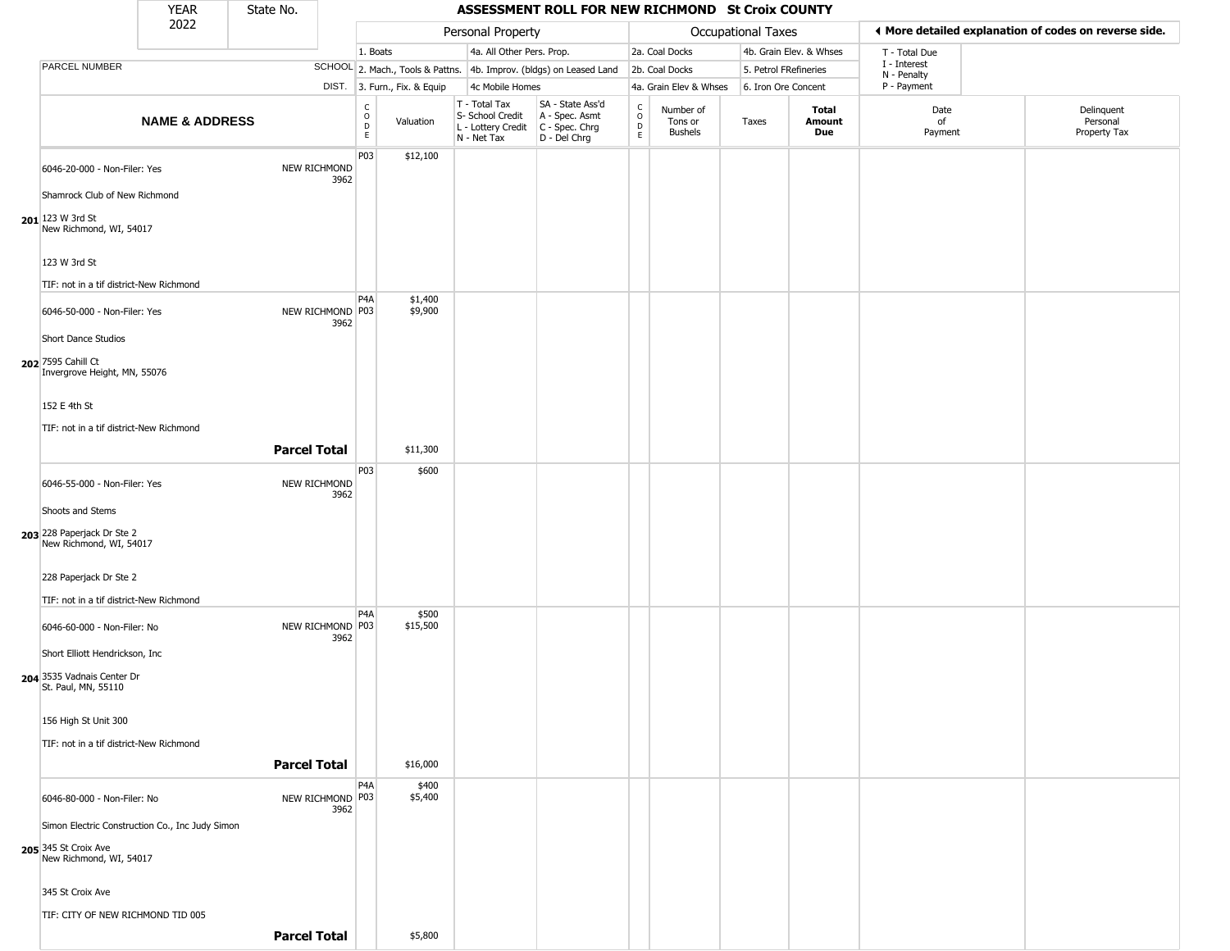|                                                                                                                | <b>YEAR</b>               | State No.           |                          |                                        |                              |                                                                        | ASSESSMENT ROLL FOR NEW RICHMOND St Croix COUNTY                     |                                   |                                        |                       |                         |                             |                                                       |
|----------------------------------------------------------------------------------------------------------------|---------------------------|---------------------|--------------------------|----------------------------------------|------------------------------|------------------------------------------------------------------------|----------------------------------------------------------------------|-----------------------------------|----------------------------------------|-----------------------|-------------------------|-----------------------------|-------------------------------------------------------|
|                                                                                                                | 2022                      |                     |                          |                                        |                              | Personal Property                                                      |                                                                      |                                   |                                        | Occupational Taxes    |                         |                             | ◀ More detailed explanation of codes on reverse side. |
|                                                                                                                |                           |                     |                          | 1. Boats                               |                              | 4a. All Other Pers. Prop.                                              |                                                                      |                                   | 2a. Coal Docks                         |                       | 4b. Grain Elev. & Whses | T - Total Due               |                                                       |
| PARCEL NUMBER                                                                                                  |                           |                     |                          |                                        |                              |                                                                        | SCHOOL 2. Mach., Tools & Pattns. 4b. Improv. (bldgs) on Leased Land  |                                   | 2b. Coal Docks                         | 5. Petrol FRefineries |                         | I - Interest<br>N - Penalty |                                                       |
|                                                                                                                |                           |                     |                          |                                        | DIST. 3. Furn., Fix. & Equip | 4c Mobile Homes                                                        |                                                                      |                                   | 4a. Grain Elev & Whses                 | 6. Iron Ore Concent   |                         | P - Payment                 |                                                       |
|                                                                                                                | <b>NAME &amp; ADDRESS</b> |                     |                          | $_{\rm o}^{\rm c}$<br>D<br>$\mathsf E$ | Valuation                    | T - Total Tax<br>S- School Credit<br>L - Lottery Credit<br>N - Net Tax | SA - State Ass'd<br>A - Spec. Asmt<br>C - Spec. Chrg<br>D - Del Chrg | $\mathsf{C}$<br>$\circ$<br>D<br>E | Number of<br>Tons or<br><b>Bushels</b> | Taxes                 | Total<br>Amount<br>Due  | Date<br>of<br>Payment       | Delinquent<br>Personal<br>Property Tax                |
| 6046-20-000 - Non-Filer: Yes<br>Shamrock Club of New Richmond<br>$201$ 123 W 3rd St<br>New Richmond, WI, 54017 |                           |                     | NEW RICHMOND<br>3962     | P03                                    | \$12,100                     |                                                                        |                                                                      |                                   |                                        |                       |                         |                             |                                                       |
| 123 W 3rd St<br>TIF: not in a tif district-New Richmond                                                        |                           |                     |                          |                                        |                              |                                                                        |                                                                      |                                   |                                        |                       |                         |                             |                                                       |
| 6046-50-000 - Non-Filer: Yes<br>Short Dance Studios                                                            |                           |                     | NEW RICHMOND P03<br>3962 | P <sub>4</sub> A                       | \$1,400<br>\$9,900           |                                                                        |                                                                      |                                   |                                        |                       |                         |                             |                                                       |
| 202 7595 Cahill Ct<br>Invergrove Height, MN, 55076<br>152 E 4th St<br>TIF: not in a tif district-New Richmond  |                           | <b>Parcel Total</b> |                          |                                        | \$11,300                     |                                                                        |                                                                      |                                   |                                        |                       |                         |                             |                                                       |
| 6046-55-000 - Non-Filer: Yes                                                                                   |                           |                     | NEW RICHMOND             | P <sub>03</sub>                        | \$600                        |                                                                        |                                                                      |                                   |                                        |                       |                         |                             |                                                       |
| Shoots and Stems                                                                                               |                           |                     | 3962                     |                                        |                              |                                                                        |                                                                      |                                   |                                        |                       |                         |                             |                                                       |
| 203 228 Paperjack Dr Ste 2<br>New Richmond, WI, 54017                                                          |                           |                     |                          |                                        |                              |                                                                        |                                                                      |                                   |                                        |                       |                         |                             |                                                       |
| 228 Paperjack Dr Ste 2                                                                                         |                           |                     |                          |                                        |                              |                                                                        |                                                                      |                                   |                                        |                       |                         |                             |                                                       |
| TIF: not in a tif district-New Richmond                                                                        |                           |                     |                          |                                        |                              |                                                                        |                                                                      |                                   |                                        |                       |                         |                             |                                                       |
| 6046-60-000 - Non-Filer: No<br>Short Elliott Hendrickson, Inc.                                                 |                           |                     | NEW RICHMOND P03<br>3962 | P <sub>4</sub> A                       | \$500<br>\$15,500            |                                                                        |                                                                      |                                   |                                        |                       |                         |                             |                                                       |
| 204 3535 Vadnais Center Dr<br>St. Paul, MN, 55110                                                              |                           |                     |                          |                                        |                              |                                                                        |                                                                      |                                   |                                        |                       |                         |                             |                                                       |
| 156 High St Unit 300<br>TIF: not in a tif district-New Richmond                                                |                           |                     |                          |                                        |                              |                                                                        |                                                                      |                                   |                                        |                       |                         |                             |                                                       |
|                                                                                                                |                           | <b>Parcel Total</b> |                          |                                        | \$16,000                     |                                                                        |                                                                      |                                   |                                        |                       |                         |                             |                                                       |
| 6046-80-000 - Non-Filer: No<br>Simon Electric Construction Co., Inc Judy Simon                                 |                           |                     | NEW RICHMOND P03<br>3962 | P4A                                    | \$400<br>\$5,400             |                                                                        |                                                                      |                                   |                                        |                       |                         |                             |                                                       |
| 205 345 St Croix Ave<br>New Richmond, WI, 54017                                                                |                           |                     |                          |                                        |                              |                                                                        |                                                                      |                                   |                                        |                       |                         |                             |                                                       |
| 345 St Croix Ave                                                                                               |                           |                     |                          |                                        |                              |                                                                        |                                                                      |                                   |                                        |                       |                         |                             |                                                       |
| TIF: CITY OF NEW RICHMOND TID 005                                                                              |                           |                     |                          |                                        |                              |                                                                        |                                                                      |                                   |                                        |                       |                         |                             |                                                       |
|                                                                                                                |                           | <b>Parcel Total</b> |                          |                                        | \$5,800                      |                                                                        |                                                                      |                                   |                                        |                       |                         |                             |                                                       |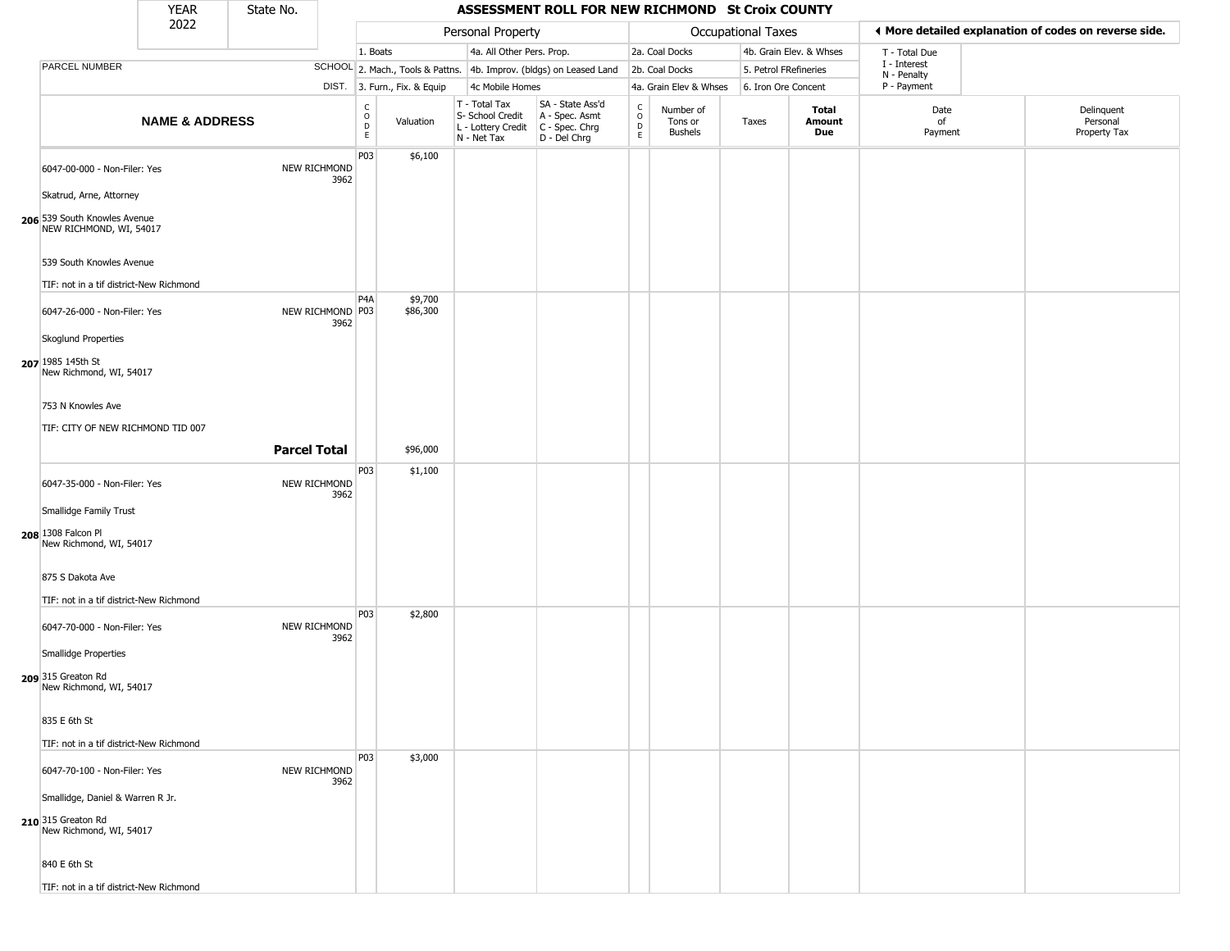|                                                                                   | <b>YEAR</b>               | State No.           |                          |                                    |                              |                                                                        | ASSESSMENT ROLL FOR NEW RICHMOND St Croix COUNTY                     |                         |                                        |                       |                         |                                                       |                                        |
|-----------------------------------------------------------------------------------|---------------------------|---------------------|--------------------------|------------------------------------|------------------------------|------------------------------------------------------------------------|----------------------------------------------------------------------|-------------------------|----------------------------------------|-----------------------|-------------------------|-------------------------------------------------------|----------------------------------------|
|                                                                                   | 2022                      |                     |                          |                                    |                              | Personal Property                                                      |                                                                      |                         |                                        | Occupational Taxes    |                         | ◀ More detailed explanation of codes on reverse side. |                                        |
|                                                                                   |                           |                     |                          | 1. Boats                           |                              | 4a. All Other Pers. Prop.                                              |                                                                      |                         | 2a. Coal Docks                         |                       | 4b. Grain Elev. & Whses | T - Total Due                                         |                                        |
| PARCEL NUMBER                                                                     |                           |                     |                          |                                    |                              |                                                                        | SCHOOL 2. Mach., Tools & Pattns. 4b. Improv. (bldgs) on Leased Land  |                         | 2b. Coal Docks                         | 5. Petrol FRefineries |                         | I - Interest<br>N - Penalty                           |                                        |
|                                                                                   |                           |                     |                          |                                    | DIST. 3. Furn., Fix. & Equip | 4c Mobile Homes                                                        |                                                                      |                         | 4a. Grain Elev & Whses                 | 6. Iron Ore Concent   |                         | P - Payment                                           |                                        |
|                                                                                   | <b>NAME &amp; ADDRESS</b> |                     |                          | $\int_{0}^{c}$<br>$\mathsf D$<br>E | Valuation                    | T - Total Tax<br>S- School Credit<br>L - Lottery Credit<br>N - Net Tax | SA - State Ass'd<br>A - Spec. Asmt<br>C - Spec. Chrg<br>D - Del Chrg | $\frac{C}{O}$<br>D<br>E | Number of<br>Tons or<br><b>Bushels</b> | Taxes                 | Total<br>Amount<br>Due  | Date<br>of<br>Payment                                 | Delinquent<br>Personal<br>Property Tax |
| 6047-00-000 - Non-Filer: Yes                                                      |                           |                     | NEW RICHMOND<br>3962     | P03                                | \$6,100                      |                                                                        |                                                                      |                         |                                        |                       |                         |                                                       |                                        |
| Skatrud, Arne, Attorney                                                           |                           |                     |                          |                                    |                              |                                                                        |                                                                      |                         |                                        |                       |                         |                                                       |                                        |
| 206 539 South Knowles Avenue<br>NEW RICHMOND, WI, 54017                           |                           |                     |                          |                                    |                              |                                                                        |                                                                      |                         |                                        |                       |                         |                                                       |                                        |
| 539 South Knowles Avenue                                                          |                           |                     |                          |                                    |                              |                                                                        |                                                                      |                         |                                        |                       |                         |                                                       |                                        |
| TIF: not in a tif district-New Richmond                                           |                           |                     |                          | P <sub>4</sub> A                   |                              |                                                                        |                                                                      |                         |                                        |                       |                         |                                                       |                                        |
| 6047-26-000 - Non-Filer: Yes                                                      |                           |                     | NEW RICHMOND P03<br>3962 |                                    | \$9,700<br>\$86,300          |                                                                        |                                                                      |                         |                                        |                       |                         |                                                       |                                        |
| <b>Skoglund Properties</b><br>207 1985 145th St<br>New Richmond, WI, 54017        |                           |                     |                          |                                    |                              |                                                                        |                                                                      |                         |                                        |                       |                         |                                                       |                                        |
| 753 N Knowles Ave                                                                 |                           |                     |                          |                                    |                              |                                                                        |                                                                      |                         |                                        |                       |                         |                                                       |                                        |
| TIF: CITY OF NEW RICHMOND TID 007                                                 |                           | <b>Parcel Total</b> |                          |                                    | \$96,000                     |                                                                        |                                                                      |                         |                                        |                       |                         |                                                       |                                        |
| 6047-35-000 - Non-Filer: Yes                                                      |                           |                     | NEW RICHMOND<br>3962     | P03                                | \$1,100                      |                                                                        |                                                                      |                         |                                        |                       |                         |                                                       |                                        |
| Smallidge Family Trust                                                            |                           |                     |                          |                                    |                              |                                                                        |                                                                      |                         |                                        |                       |                         |                                                       |                                        |
| 208 1308 Falcon Pl<br>New Richmond, WI, 54017                                     |                           |                     |                          |                                    |                              |                                                                        |                                                                      |                         |                                        |                       |                         |                                                       |                                        |
| 875 S Dakota Ave                                                                  |                           |                     |                          |                                    |                              |                                                                        |                                                                      |                         |                                        |                       |                         |                                                       |                                        |
| TIF: not in a tif district-New Richmond                                           |                           |                     |                          |                                    |                              |                                                                        |                                                                      |                         |                                        |                       |                         |                                                       |                                        |
| 6047-70-000 - Non-Filer: Yes                                                      |                           |                     | NEW RICHMOND<br>3962     | P03                                | \$2,800                      |                                                                        |                                                                      |                         |                                        |                       |                         |                                                       |                                        |
| <b>Smallidge Properties</b><br>209 315 Greaton Rd<br>New Richmond, WI, 54017      |                           |                     |                          |                                    |                              |                                                                        |                                                                      |                         |                                        |                       |                         |                                                       |                                        |
| 835 E 6th St                                                                      |                           |                     |                          |                                    |                              |                                                                        |                                                                      |                         |                                        |                       |                         |                                                       |                                        |
| TIF: not in a tif district-New Richmond                                           |                           |                     |                          | <b>P03</b>                         | \$3,000                      |                                                                        |                                                                      |                         |                                        |                       |                         |                                                       |                                        |
| 6047-70-100 - Non-Filer: Yes                                                      |                           |                     | NEW RICHMOND<br>3962     |                                    |                              |                                                                        |                                                                      |                         |                                        |                       |                         |                                                       |                                        |
| Smallidge, Daniel & Warren R Jr.<br>210 315 Greaton Rd<br>New Richmond, WI, 54017 |                           |                     |                          |                                    |                              |                                                                        |                                                                      |                         |                                        |                       |                         |                                                       |                                        |
| 840 E 6th St                                                                      |                           |                     |                          |                                    |                              |                                                                        |                                                                      |                         |                                        |                       |                         |                                                       |                                        |
| TIF: not in a tif district-New Richmond                                           |                           |                     |                          |                                    |                              |                                                                        |                                                                      |                         |                                        |                       |                         |                                                       |                                        |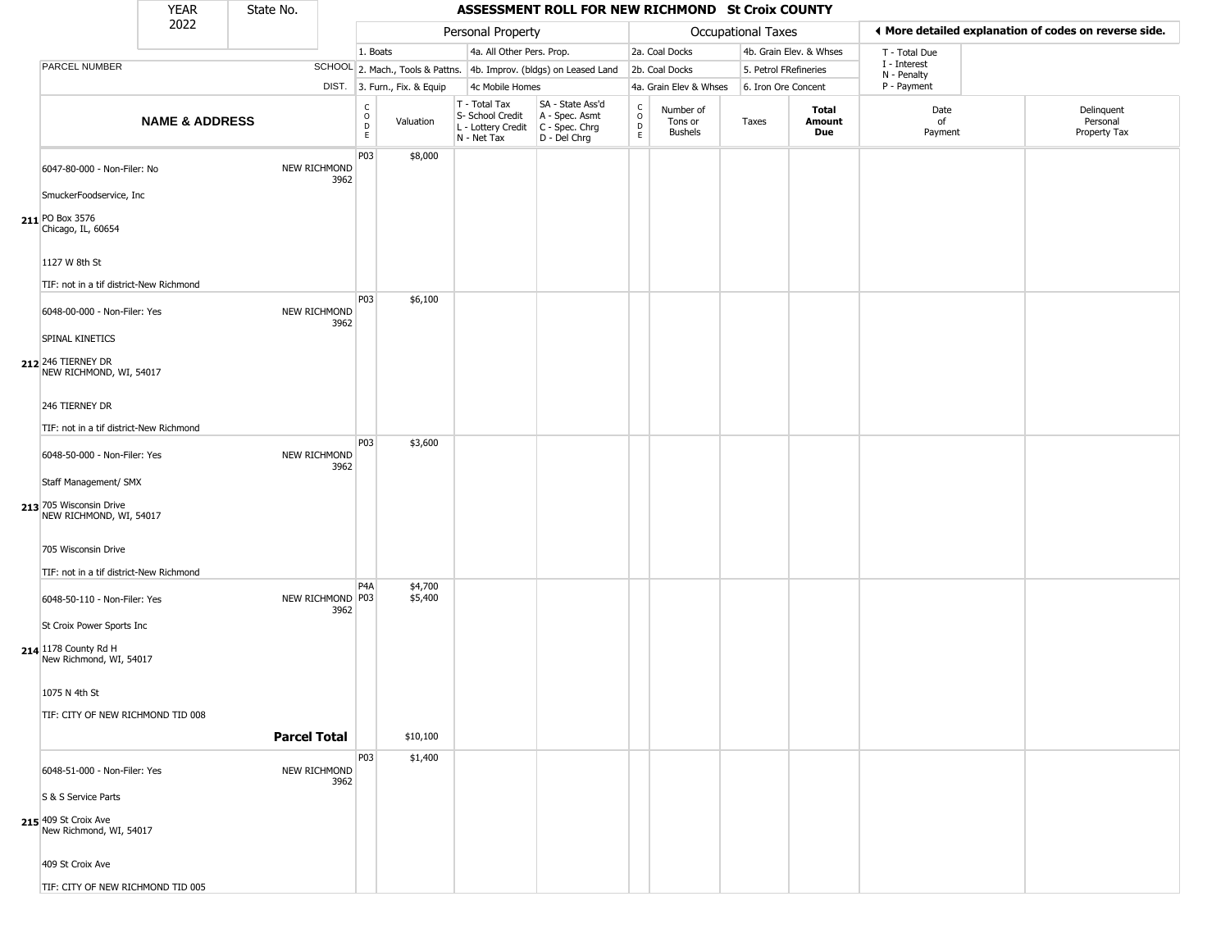|                                                    | <b>YEAR</b>               | State No.           |                          |                                                  |                              |                                                                        | ASSESSMENT ROLL FOR NEW RICHMOND St Croix COUNTY                     |                                        |                                 |                       |                         |                             |                                                       |
|----------------------------------------------------|---------------------------|---------------------|--------------------------|--------------------------------------------------|------------------------------|------------------------------------------------------------------------|----------------------------------------------------------------------|----------------------------------------|---------------------------------|-----------------------|-------------------------|-----------------------------|-------------------------------------------------------|
|                                                    | 2022                      |                     |                          |                                                  |                              | Personal Property                                                      |                                                                      |                                        |                                 | Occupational Taxes    |                         |                             | ◀ More detailed explanation of codes on reverse side. |
|                                                    |                           |                     |                          | 1. Boats                                         |                              | 4a. All Other Pers. Prop.                                              |                                                                      |                                        | 2a. Coal Docks                  |                       | 4b. Grain Elev. & Whses | T - Total Due               |                                                       |
| PARCEL NUMBER                                      |                           |                     |                          |                                                  |                              |                                                                        | SCHOOL 2. Mach., Tools & Pattns. 4b. Improv. (bldgs) on Leased Land  |                                        | 2b. Coal Docks                  | 5. Petrol FRefineries |                         | I - Interest<br>N - Penalty |                                                       |
|                                                    |                           |                     |                          |                                                  | DIST. 3. Furn., Fix. & Equip | 4c Mobile Homes                                                        |                                                                      |                                        | 4a. Grain Elev & Whses          | 6. Iron Ore Concent   |                         | P - Payment                 |                                                       |
|                                                    | <b>NAME &amp; ADDRESS</b> |                     |                          | $_{\rm o}^{\rm c}$<br>$\mathsf D$<br>$\mathsf E$ | Valuation                    | T - Total Tax<br>S- School Credit<br>L - Lottery Credit<br>N - Net Tax | SA - State Ass'd<br>A - Spec. Asmt<br>C - Spec. Chrg<br>D - Del Chrg | $\frac{c}{0}$<br>$\mathsf D$<br>$\,$ E | Number of<br>Tons or<br>Bushels | Taxes                 | Total<br>Amount<br>Due  | Date<br>of<br>Payment       | Delinquent<br>Personal<br>Property Tax                |
| 6047-80-000 - Non-Filer: No                        |                           | NEW RICHMOND        | 3962                     | P03                                              | \$8,000                      |                                                                        |                                                                      |                                        |                                 |                       |                         |                             |                                                       |
| SmuckerFoodservice, Inc                            |                           |                     |                          |                                                  |                              |                                                                        |                                                                      |                                        |                                 |                       |                         |                             |                                                       |
| 211 PO Box 3576<br>Chicago, IL, 60654              |                           |                     |                          |                                                  |                              |                                                                        |                                                                      |                                        |                                 |                       |                         |                             |                                                       |
| 1127 W 8th St                                      |                           |                     |                          |                                                  |                              |                                                                        |                                                                      |                                        |                                 |                       |                         |                             |                                                       |
| TIF: not in a tif district-New Richmond            |                           |                     |                          |                                                  |                              |                                                                        |                                                                      |                                        |                                 |                       |                         |                             |                                                       |
| 6048-00-000 - Non-Filer: Yes<br>SPINAL KINETICS    |                           |                     | NEW RICHMOND<br>3962     | P03                                              | \$6,100                      |                                                                        |                                                                      |                                        |                                 |                       |                         |                             |                                                       |
| 212 246 TIERNEY DR<br>NEW RICHMOND, WI, 54017      |                           |                     |                          |                                                  |                              |                                                                        |                                                                      |                                        |                                 |                       |                         |                             |                                                       |
| 246 TIERNEY DR                                     |                           |                     |                          |                                                  |                              |                                                                        |                                                                      |                                        |                                 |                       |                         |                             |                                                       |
| TIF: not in a tif district-New Richmond            |                           |                     |                          | P03                                              | \$3,600                      |                                                                        |                                                                      |                                        |                                 |                       |                         |                             |                                                       |
| 6048-50-000 - Non-Filer: Yes                       |                           |                     | NEW RICHMOND<br>3962     |                                                  |                              |                                                                        |                                                                      |                                        |                                 |                       |                         |                             |                                                       |
| Staff Management/ SMX                              |                           |                     |                          |                                                  |                              |                                                                        |                                                                      |                                        |                                 |                       |                         |                             |                                                       |
| 213 705 Wisconsin Drive<br>NEW RICHMOND, WI, 54017 |                           |                     |                          |                                                  |                              |                                                                        |                                                                      |                                        |                                 |                       |                         |                             |                                                       |
| 705 Wisconsin Drive                                |                           |                     |                          |                                                  |                              |                                                                        |                                                                      |                                        |                                 |                       |                         |                             |                                                       |
| TIF: not in a tif district-New Richmond            |                           |                     |                          |                                                  |                              |                                                                        |                                                                      |                                        |                                 |                       |                         |                             |                                                       |
| 6048-50-110 - Non-Filer: Yes                       |                           |                     | NEW RICHMOND P03<br>3962 | P <sub>4</sub> A                                 | \$4,700<br>\$5,400           |                                                                        |                                                                      |                                        |                                 |                       |                         |                             |                                                       |
| St Croix Power Sports Inc                          |                           |                     |                          |                                                  |                              |                                                                        |                                                                      |                                        |                                 |                       |                         |                             |                                                       |
| 214 1178 County Rd H<br>New Richmond, WI, 54017    |                           |                     |                          |                                                  |                              |                                                                        |                                                                      |                                        |                                 |                       |                         |                             |                                                       |
| 1075 N 4th St                                      |                           |                     |                          |                                                  |                              |                                                                        |                                                                      |                                        |                                 |                       |                         |                             |                                                       |
| TIF: CITY OF NEW RICHMOND TID 008                  |                           |                     |                          |                                                  |                              |                                                                        |                                                                      |                                        |                                 |                       |                         |                             |                                                       |
|                                                    |                           | <b>Parcel Total</b> |                          |                                                  | \$10,100                     |                                                                        |                                                                      |                                        |                                 |                       |                         |                             |                                                       |
| 6048-51-000 - Non-Filer: Yes                       |                           |                     | NEW RICHMOND<br>3962     | P03                                              | \$1,400                      |                                                                        |                                                                      |                                        |                                 |                       |                         |                             |                                                       |
| S & S Service Parts                                |                           |                     |                          |                                                  |                              |                                                                        |                                                                      |                                        |                                 |                       |                         |                             |                                                       |
| 215 409 St Croix Ave<br>New Richmond, WI, 54017    |                           |                     |                          |                                                  |                              |                                                                        |                                                                      |                                        |                                 |                       |                         |                             |                                                       |
| 409 St Croix Ave                                   |                           |                     |                          |                                                  |                              |                                                                        |                                                                      |                                        |                                 |                       |                         |                             |                                                       |
| TIF: CITY OF NEW RICHMOND TID 005                  |                           |                     |                          |                                                  |                              |                                                                        |                                                                      |                                        |                                 |                       |                         |                             |                                                       |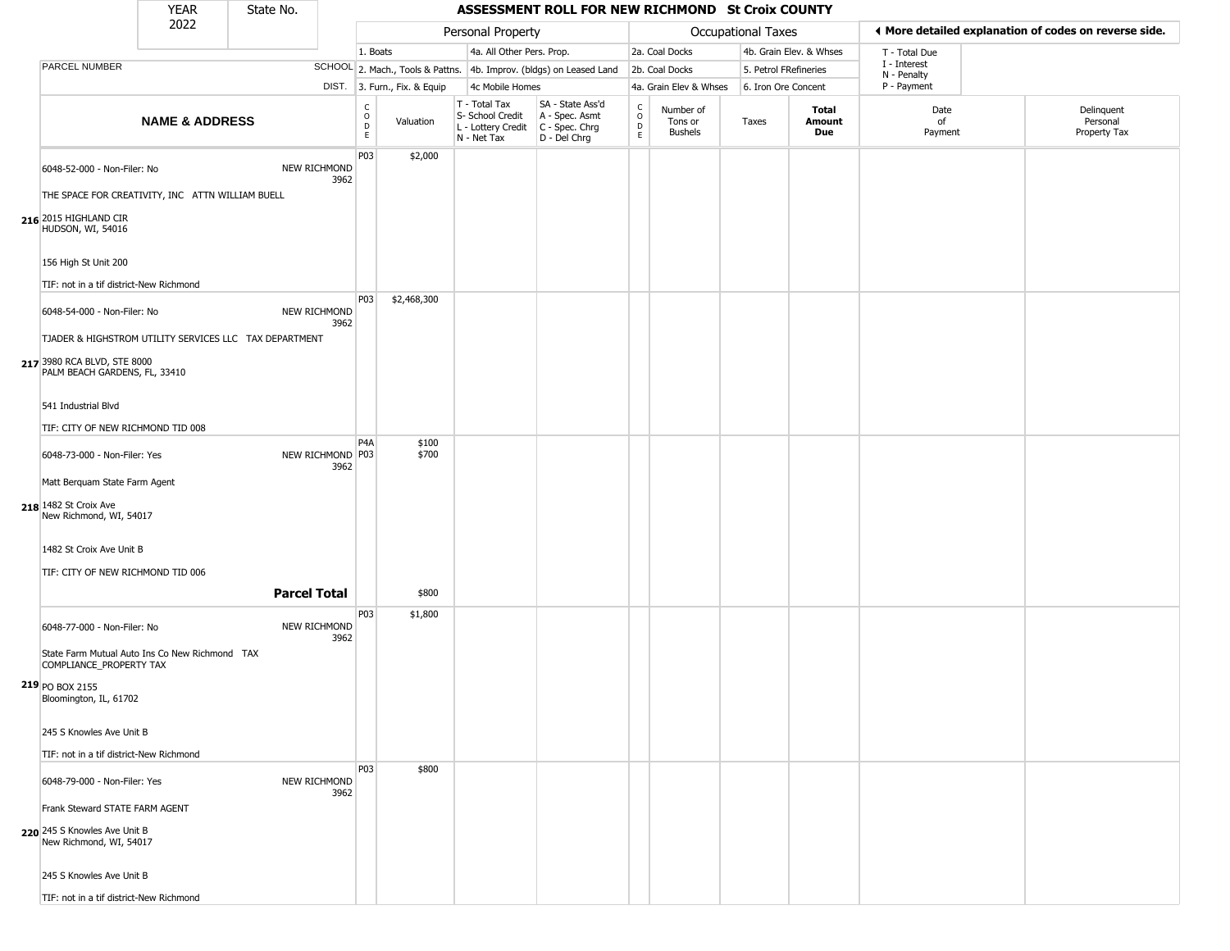|                                                                                           | <b>YEAR</b>               | State No.           |                          |                                                          |                              |                                                                                         | ASSESSMENT ROLL FOR NEW RICHMOND St Croix COUNTY                    |                   |                                 |                       |                         |                             |                                                       |
|-------------------------------------------------------------------------------------------|---------------------------|---------------------|--------------------------|----------------------------------------------------------|------------------------------|-----------------------------------------------------------------------------------------|---------------------------------------------------------------------|-------------------|---------------------------------|-----------------------|-------------------------|-----------------------------|-------------------------------------------------------|
|                                                                                           | 2022                      |                     |                          |                                                          |                              | Personal Property                                                                       |                                                                     |                   |                                 | Occupational Taxes    |                         |                             | ◀ More detailed explanation of codes on reverse side. |
|                                                                                           |                           |                     |                          | 1. Boats                                                 |                              | 4a. All Other Pers. Prop.                                                               |                                                                     |                   | 2a. Coal Docks                  |                       | 4b. Grain Elev. & Whses | T - Total Due               |                                                       |
| PARCEL NUMBER                                                                             |                           |                     |                          |                                                          |                              |                                                                                         | SCHOOL 2. Mach., Tools & Pattns. 4b. Improv. (bldgs) on Leased Land |                   | 2b. Coal Docks                  | 5. Petrol FRefineries |                         | I - Interest<br>N - Penalty |                                                       |
|                                                                                           |                           |                     |                          |                                                          | DIST. 3. Furn., Fix. & Equip | 4c Mobile Homes                                                                         |                                                                     |                   | 4a. Grain Elev & Whses          | 6. Iron Ore Concent   |                         | P - Payment                 |                                                       |
|                                                                                           | <b>NAME &amp; ADDRESS</b> |                     |                          | $\begin{matrix} 0 \\ 0 \\ D \end{matrix}$<br>$\mathsf E$ | Valuation                    | T - Total Tax<br>S- School Credit<br>L - Lottery Credit   C - Spec. Chrg<br>N - Net Tax | SA - State Ass'd<br>A - Spec. Asmt<br>D - Del Chrg                  | C<br>0<br>D<br>E. | Number of<br>Tons or<br>Bushels | Taxes                 | Total<br>Amount<br>Due  | Date<br>of<br>Payment       | Delinquent<br>Personal<br>Property Tax                |
| 6048-52-000 - Non-Filer: No<br>THE SPACE FOR CREATIVITY, INC ATTN WILLIAM BUELL           |                           |                     | NEW RICHMOND<br>3962     | P03                                                      | \$2,000                      |                                                                                         |                                                                     |                   |                                 |                       |                         |                             |                                                       |
| 216 2015 HIGHLAND CIR<br>HUDSON, WI, 54016                                                |                           |                     |                          |                                                          |                              |                                                                                         |                                                                     |                   |                                 |                       |                         |                             |                                                       |
| 156 High St Unit 200                                                                      |                           |                     |                          |                                                          |                              |                                                                                         |                                                                     |                   |                                 |                       |                         |                             |                                                       |
| TIF: not in a tif district-New Richmond                                                   |                           |                     |                          | <b>P03</b>                                               | \$2,468,300                  |                                                                                         |                                                                     |                   |                                 |                       |                         |                             |                                                       |
| 6048-54-000 - Non-Filer: No<br>TJADER & HIGHSTROM UTILITY SERVICES LLC TAX DEPARTMENT     |                           |                     | NEW RICHMOND<br>3962     |                                                          |                              |                                                                                         |                                                                     |                   |                                 |                       |                         |                             |                                                       |
| 217 3980 RCA BLVD, STE 8000<br>PALM BEACH GARDENS, FL, 33410                              |                           |                     |                          |                                                          |                              |                                                                                         |                                                                     |                   |                                 |                       |                         |                             |                                                       |
| 541 Industrial Blvd                                                                       |                           |                     |                          |                                                          |                              |                                                                                         |                                                                     |                   |                                 |                       |                         |                             |                                                       |
| TIF: CITY OF NEW RICHMOND TID 008                                                         |                           |                     |                          |                                                          |                              |                                                                                         |                                                                     |                   |                                 |                       |                         |                             |                                                       |
| 6048-73-000 - Non-Filer: Yes                                                              |                           |                     | NEW RICHMOND P03<br>3962 | P <sub>4</sub> A                                         | \$100<br>\$700               |                                                                                         |                                                                     |                   |                                 |                       |                         |                             |                                                       |
| Matt Berquam State Farm Agent                                                             |                           |                     |                          |                                                          |                              |                                                                                         |                                                                     |                   |                                 |                       |                         |                             |                                                       |
| 218 1482 St Croix Ave<br>New Richmond, WI, 54017                                          |                           |                     |                          |                                                          |                              |                                                                                         |                                                                     |                   |                                 |                       |                         |                             |                                                       |
| 1482 St Croix Ave Unit B<br>TIF: CITY OF NEW RICHMOND TID 006                             |                           |                     |                          |                                                          |                              |                                                                                         |                                                                     |                   |                                 |                       |                         |                             |                                                       |
|                                                                                           |                           | <b>Parcel Total</b> |                          |                                                          | \$800                        |                                                                                         |                                                                     |                   |                                 |                       |                         |                             |                                                       |
| 6048-77-000 - Non-Filer: No                                                               |                           |                     | NEW RICHMOND<br>3962     | P03                                                      | \$1,800                      |                                                                                         |                                                                     |                   |                                 |                       |                         |                             |                                                       |
| State Farm Mutual Auto Ins Co New Richmond TAX<br>COMPLIANCE_PROPERTY TAX                 |                           |                     |                          |                                                          |                              |                                                                                         |                                                                     |                   |                                 |                       |                         |                             |                                                       |
| 219 PO BOX 2155<br>Bloomington, IL, 61702                                                 |                           |                     |                          |                                                          |                              |                                                                                         |                                                                     |                   |                                 |                       |                         |                             |                                                       |
| 245 S Knowles Ave Unit B                                                                  |                           |                     |                          |                                                          |                              |                                                                                         |                                                                     |                   |                                 |                       |                         |                             |                                                       |
| TIF: not in a tif district-New Richmond                                                   |                           |                     |                          | P03                                                      | \$800                        |                                                                                         |                                                                     |                   |                                 |                       |                         |                             |                                                       |
| 6048-79-000 - Non-Filer: Yes                                                              |                           |                     | NEW RICHMOND<br>3962     |                                                          |                              |                                                                                         |                                                                     |                   |                                 |                       |                         |                             |                                                       |
| Frank Steward STATE FARM AGENT<br>220 245 S Knowles Ave Unit B<br>New Richmond, WI, 54017 |                           |                     |                          |                                                          |                              |                                                                                         |                                                                     |                   |                                 |                       |                         |                             |                                                       |
| 245 S Knowles Ave Unit B                                                                  |                           |                     |                          |                                                          |                              |                                                                                         |                                                                     |                   |                                 |                       |                         |                             |                                                       |
| TIF: not in a tif district-New Richmond                                                   |                           |                     |                          |                                                          |                              |                                                                                         |                                                                     |                   |                                 |                       |                         |                             |                                                       |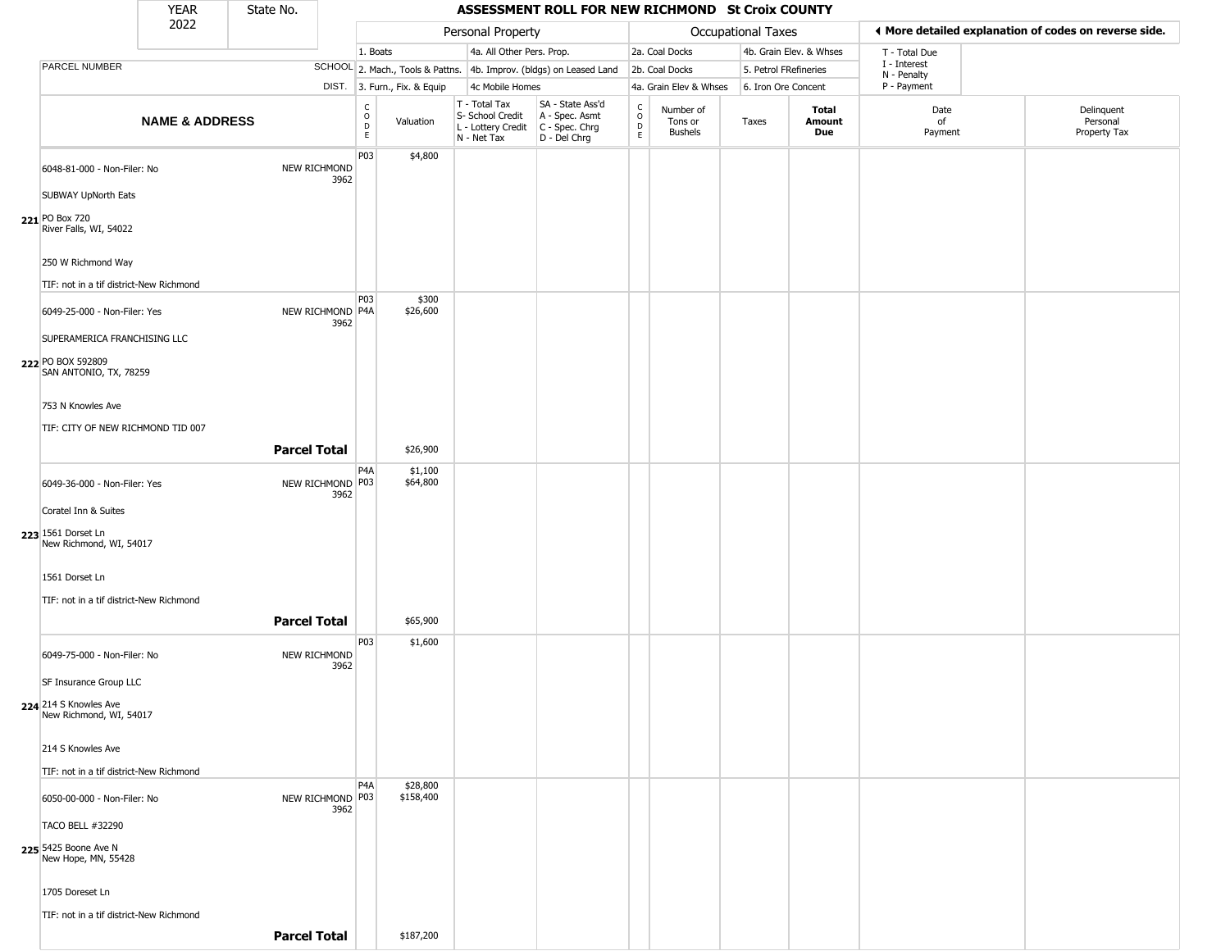YEAR **ASSESSMENT ROLL FOR NEW RICHMOND St Croix COUNTY** 2022 DIST. 3. Furn., Fix. & Equip PARCEL NUMBER **NAME & ADDRESS** State No. C O D E Valuation T - Total Tax S- School Credit A - Spec. Asmt L - Lottery Credit C - Spec. Chrg N - Net Tax SA - State Ass'd D - Del Chrg C O D E Number of Tons or Bushels Taxes **Total Amount Due** Date of Payment Delinquent Personal Property Tax Personal Property **Calculational Taxes** 1. Boats **4a. All Other Pers. Prop.** 2a. Coal Docks 4b. Grain Elev. & Whses SCHOOL 2. Mach., Tools & Pattns. 4b. Improv. (bldgs) on Leased Land 2b. Coal Docks 5. Petrol FRefineries 4c Mobile Homes 4a. Grain Elev & Whses 6. Iron Ore Concent T - Total Due I - Interest N - Penalty P - Payment 3**More detailed explanation of codes on reverse side. 221** PO Box 720 6048-81-000 - Non-Filer: No NEW RICHMOND 3962 SUBWAY UpNorth Eats River Falls, WI, 54022 250 W Richmond Way TIF: not in a tif district-New Richmond P03 \$4,800 **222** PO BOX 592809 6049-25-000 - Non-Filer: Yes 3962 SUPERAMERICA FRANCHISING LLC SAN ANTONIO, TX, 78259 753 N Knowles Ave TIF: CITY OF NEW RICHMOND TID 007 P03 NEW RICHMOND P4A \$300 \$26,600 **Parcel Total** | \$26,900 **223** 1561 Dorset Ln 6049-36-000 - Non-Filer: Yes 3962 Coratel Inn & Suites New Richmond, WI, 54017 1561 Dorset Ln TIF: not in a tif district-New Richmond P4A NEW RICHMOND P03 \$1,100 \$64,800 **Parcel Total 1 \$65,900 224** 214 S Knowles Ave 6049-75-000 - Non-Filer: No NEW RICHMOND 3962 SF Insurance Group LLC New Richmond, WI, 54017 214 S Knowles Ave TIF: not in a tif district-New Richmond P03 \$1,600 **225** 5425 Boone Ave N 6050-00-000 - Non-Filer: No 3962 TACO BELL #32290 New Hope, MN, 55428 1705 Doreset Ln TIF: not in a tif district-New Richmond P4A NEW RICHMOND P03 \$28,800 \$158,400

**Parcel Total** \$187,200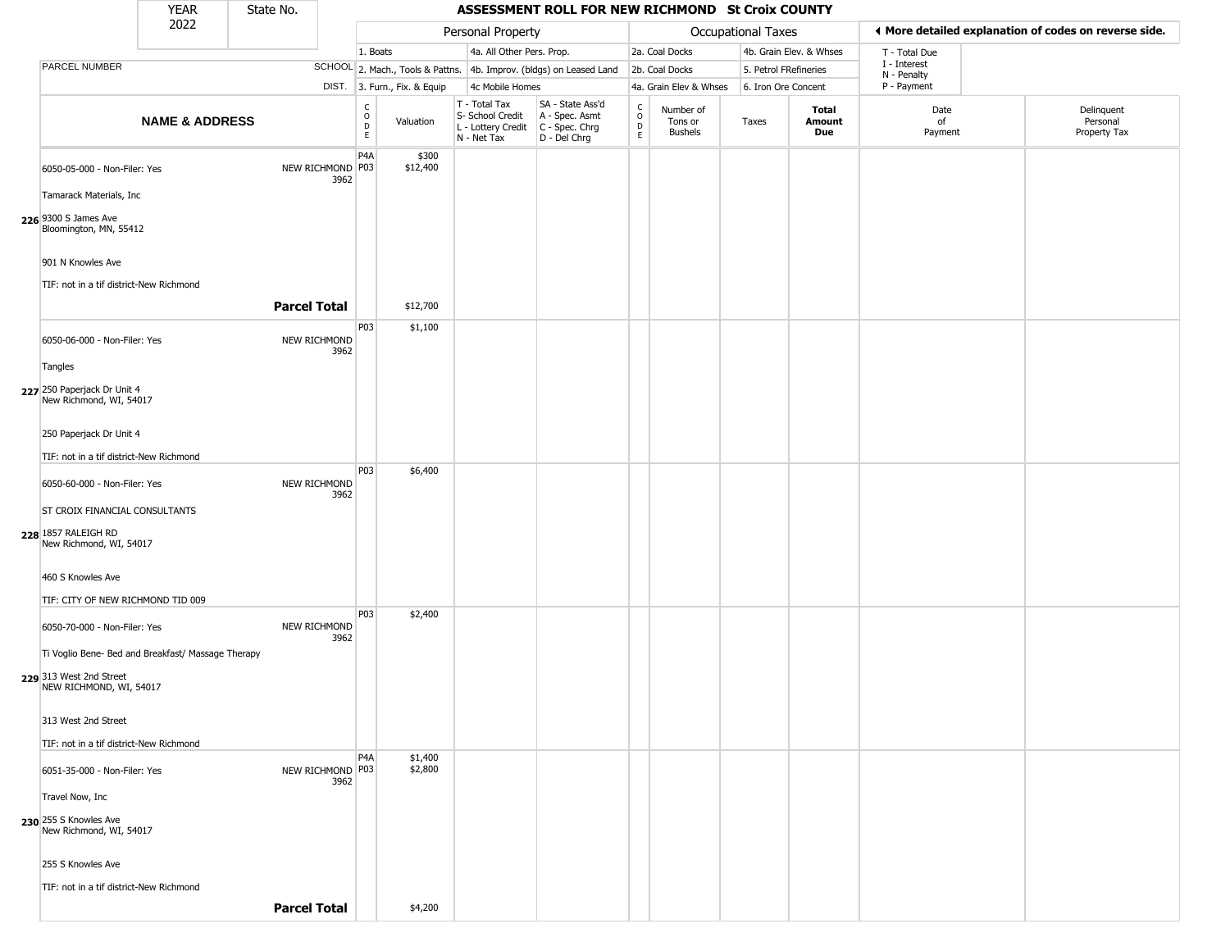|                                                                                                          | <b>YEAR</b>               | State No.           |      |                                                |                              |                                                                        | ASSESSMENT ROLL FOR NEW RICHMOND St Croix COUNTY                     |                         |                                        |                       |                         |                             |                                                       |
|----------------------------------------------------------------------------------------------------------|---------------------------|---------------------|------|------------------------------------------------|------------------------------|------------------------------------------------------------------------|----------------------------------------------------------------------|-------------------------|----------------------------------------|-----------------------|-------------------------|-----------------------------|-------------------------------------------------------|
|                                                                                                          | 2022                      |                     |      |                                                |                              | Personal Property                                                      |                                                                      |                         |                                        | Occupational Taxes    |                         |                             | ◀ More detailed explanation of codes on reverse side. |
|                                                                                                          |                           |                     |      | 1. Boats                                       |                              | 4a. All Other Pers. Prop.                                              |                                                                      |                         | 2a. Coal Docks                         |                       | 4b. Grain Elev. & Whses | T - Total Due               |                                                       |
| PARCEL NUMBER                                                                                            |                           |                     |      |                                                |                              |                                                                        | SCHOOL 2. Mach., Tools & Pattns. 4b. Improv. (bldgs) on Leased Land  |                         | 2b. Coal Docks                         | 5. Petrol FRefineries |                         | I - Interest<br>N - Penalty |                                                       |
|                                                                                                          |                           |                     |      |                                                | DIST. 3. Furn., Fix. & Equip | 4c Mobile Homes                                                        |                                                                      |                         | 4a. Grain Elev & Whses                 | 6. Iron Ore Concent   |                         | P - Payment                 |                                                       |
|                                                                                                          | <b>NAME &amp; ADDRESS</b> |                     |      | $\begin{matrix} 0 \\ 0 \\ 0 \end{matrix}$<br>E | Valuation                    | T - Total Tax<br>S- School Credit<br>L - Lottery Credit<br>N - Net Tax | SA - State Ass'd<br>A - Spec. Asmt<br>C - Spec. Chrg<br>D - Del Chrg | C<br>$\circ$<br>D<br>E. | Number of<br>Tons or<br><b>Bushels</b> | Taxes                 | Total<br>Amount<br>Due  | Date<br>of<br>Payment       | Delinquent<br>Personal<br>Property Tax                |
| 6050-05-000 - Non-Filer: Yes<br>Tamarack Materials, Inc                                                  |                           | NEW RICHMOND P03    | 3962 | P4A                                            | \$300<br>\$12,400            |                                                                        |                                                                      |                         |                                        |                       |                         |                             |                                                       |
| 226 9300 S James Ave<br>Bloomington, MN, 55412                                                           |                           |                     |      |                                                |                              |                                                                        |                                                                      |                         |                                        |                       |                         |                             |                                                       |
| 901 N Knowles Ave                                                                                        |                           |                     |      |                                                |                              |                                                                        |                                                                      |                         |                                        |                       |                         |                             |                                                       |
| TIF: not in a tif district-New Richmond                                                                  |                           | <b>Parcel Total</b> |      |                                                | \$12,700                     |                                                                        |                                                                      |                         |                                        |                       |                         |                             |                                                       |
| 6050-06-000 - Non-Filer: Yes                                                                             |                           | NEW RICHMOND        | 3962 | P03                                            | \$1,100                      |                                                                        |                                                                      |                         |                                        |                       |                         |                             |                                                       |
| Tangles<br>227 250 Paperjack Dr Unit 4<br>New Richmond, WI, 54017                                        |                           |                     |      |                                                |                              |                                                                        |                                                                      |                         |                                        |                       |                         |                             |                                                       |
| 250 Paperjack Dr Unit 4                                                                                  |                           |                     |      |                                                |                              |                                                                        |                                                                      |                         |                                        |                       |                         |                             |                                                       |
| TIF: not in a tif district-New Richmond                                                                  |                           |                     |      |                                                |                              |                                                                        |                                                                      |                         |                                        |                       |                         |                             |                                                       |
| 6050-60-000 - Non-Filer: Yes                                                                             |                           | NEW RICHMOND        | 3962 | P03                                            | \$6,400                      |                                                                        |                                                                      |                         |                                        |                       |                         |                             |                                                       |
| <b>ST CROIX FINANCIAL CONSULTANTS</b>                                                                    |                           |                     |      |                                                |                              |                                                                        |                                                                      |                         |                                        |                       |                         |                             |                                                       |
| 228 1857 RALEIGH RD<br>New Richmond, WI, 54017                                                           |                           |                     |      |                                                |                              |                                                                        |                                                                      |                         |                                        |                       |                         |                             |                                                       |
| 460 S Knowles Ave                                                                                        |                           |                     |      |                                                |                              |                                                                        |                                                                      |                         |                                        |                       |                         |                             |                                                       |
| TIF: CITY OF NEW RICHMOND TID 009                                                                        |                           |                     |      |                                                |                              |                                                                        |                                                                      |                         |                                        |                       |                         |                             |                                                       |
| 6050-70-000 - Non-Filer: Yes                                                                             |                           | NEW RICHMOND        | 3962 | P03                                            | \$2,400                      |                                                                        |                                                                      |                         |                                        |                       |                         |                             |                                                       |
| Ti Voglio Bene- Bed and Breakfast/ Massage Therapy<br>229 313 West 2nd Street<br>NEW RICHMOND, WI, 54017 |                           |                     |      |                                                |                              |                                                                        |                                                                      |                         |                                        |                       |                         |                             |                                                       |
| 313 West 2nd Street                                                                                      |                           |                     |      |                                                |                              |                                                                        |                                                                      |                         |                                        |                       |                         |                             |                                                       |
| TIF: not in a tif district-New Richmond                                                                  |                           |                     |      | P4A                                            |                              |                                                                        |                                                                      |                         |                                        |                       |                         |                             |                                                       |
| 6051-35-000 - Non-Filer: Yes                                                                             |                           | NEW RICHMOND P03    | 3962 |                                                | \$1,400<br>\$2,800           |                                                                        |                                                                      |                         |                                        |                       |                         |                             |                                                       |
| Travel Now, Inc                                                                                          |                           |                     |      |                                                |                              |                                                                        |                                                                      |                         |                                        |                       |                         |                             |                                                       |
| 230 255 S Knowles Ave<br>New Richmond, WI, 54017                                                         |                           |                     |      |                                                |                              |                                                                        |                                                                      |                         |                                        |                       |                         |                             |                                                       |
| 255 S Knowles Ave                                                                                        |                           |                     |      |                                                |                              |                                                                        |                                                                      |                         |                                        |                       |                         |                             |                                                       |
| TIF: not in a tif district-New Richmond                                                                  |                           | <b>Parcel Total</b> |      |                                                | \$4,200                      |                                                                        |                                                                      |                         |                                        |                       |                         |                             |                                                       |
|                                                                                                          |                           |                     |      |                                                |                              |                                                                        |                                                                      |                         |                                        |                       |                         |                             |                                                       |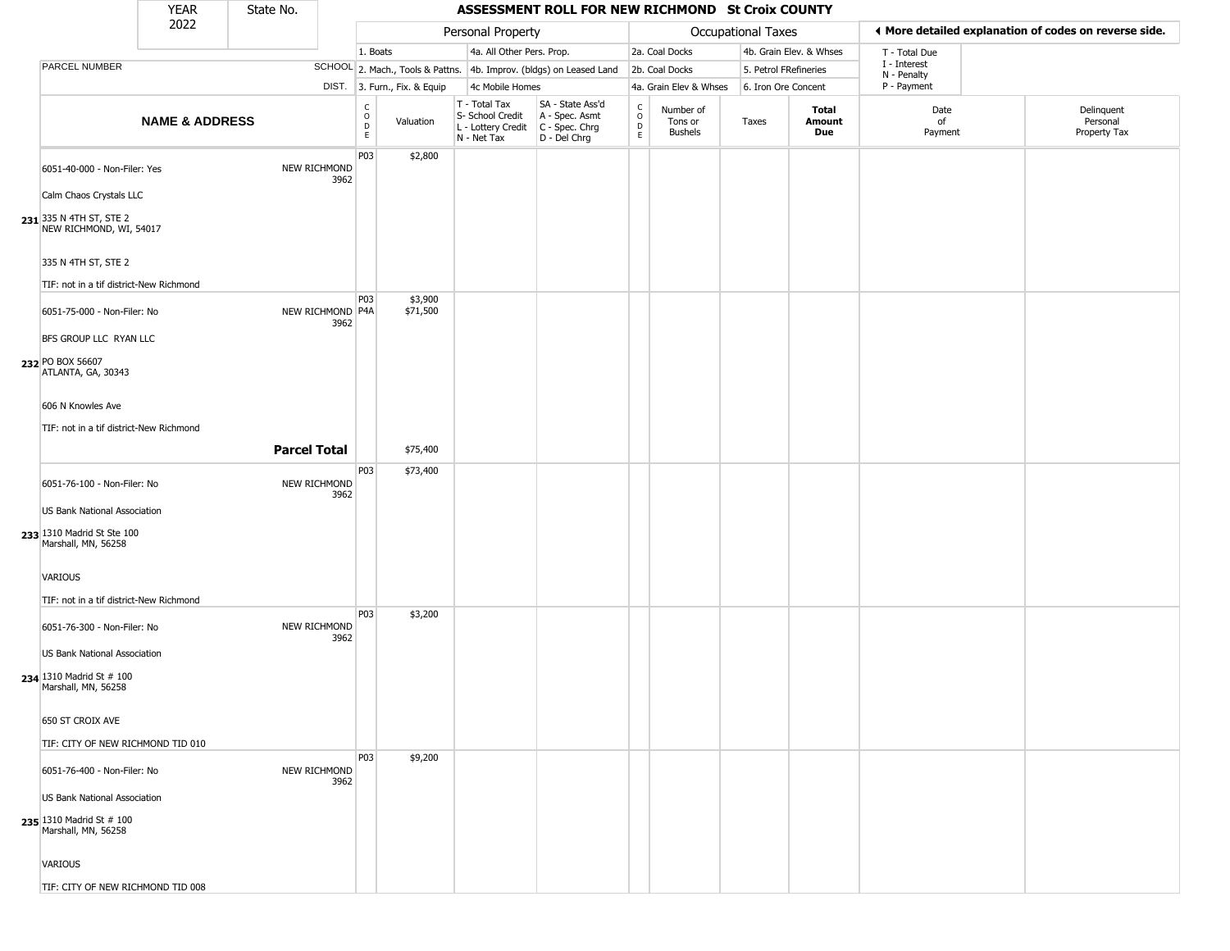|                                                                                        | <b>YEAR</b>               | State No.           |                          |                         |                              |                                                                        | ASSESSMENT ROLL FOR NEW RICHMOND St Croix COUNTY                     |                                              |                                        |                       |                         |                             |                                                       |
|----------------------------------------------------------------------------------------|---------------------------|---------------------|--------------------------|-------------------------|------------------------------|------------------------------------------------------------------------|----------------------------------------------------------------------|----------------------------------------------|----------------------------------------|-----------------------|-------------------------|-----------------------------|-------------------------------------------------------|
|                                                                                        | 2022                      |                     |                          |                         |                              | Personal Property                                                      |                                                                      |                                              |                                        | Occupational Taxes    |                         |                             | 4 More detailed explanation of codes on reverse side. |
|                                                                                        |                           |                     |                          | 1. Boats                |                              | 4a. All Other Pers. Prop.                                              |                                                                      |                                              | 2a. Coal Docks                         |                       | 4b. Grain Elev. & Whses | T - Total Due               |                                                       |
| PARCEL NUMBER                                                                          |                           |                     |                          |                         |                              |                                                                        | SCHOOL 2. Mach., Tools & Pattns. 4b. Improv. (bldgs) on Leased Land  |                                              | 2b. Coal Docks                         | 5. Petrol FRefineries |                         | I - Interest<br>N - Penalty |                                                       |
|                                                                                        |                           |                     |                          |                         | DIST. 3. Furn., Fix. & Equip | 4c Mobile Homes                                                        |                                                                      |                                              | 4a. Grain Elev & Whses                 | 6. Iron Ore Concent   |                         | P - Payment                 |                                                       |
|                                                                                        | <b>NAME &amp; ADDRESS</b> |                     |                          | C<br>$\circ$<br>D<br>E. | Valuation                    | T - Total Tax<br>S- School Credit<br>L - Lottery Credit<br>N - Net Tax | SA - State Ass'd<br>A - Spec. Asmt<br>C - Spec. Chrg<br>D - Del Chrg | $\mathsf{C}$<br>$\circ$<br>$\mathsf{D}$<br>E | Number of<br>Tons or<br><b>Bushels</b> | Taxes                 | Total<br>Amount<br>Due  | Date<br>of<br>Payment       | Delinquent<br>Personal<br>Property Tax                |
| 6051-40-000 - Non-Filer: Yes                                                           |                           |                     | NEW RICHMOND<br>3962     | P03                     | \$2,800                      |                                                                        |                                                                      |                                              |                                        |                       |                         |                             |                                                       |
| Calm Chaos Crystals LLC                                                                |                           |                     |                          |                         |                              |                                                                        |                                                                      |                                              |                                        |                       |                         |                             |                                                       |
| 231 335 N 4TH ST, STE 2<br>NEW RICHMOND, WI, 54017                                     |                           |                     |                          |                         |                              |                                                                        |                                                                      |                                              |                                        |                       |                         |                             |                                                       |
| 335 N 4TH ST, STE 2                                                                    |                           |                     |                          |                         |                              |                                                                        |                                                                      |                                              |                                        |                       |                         |                             |                                                       |
| TIF: not in a tif district-New Richmond                                                |                           |                     |                          |                         |                              |                                                                        |                                                                      |                                              |                                        |                       |                         |                             |                                                       |
| 6051-75-000 - Non-Filer: No<br>BFS GROUP LLC RYAN LLC                                  |                           |                     | NEW RICHMOND P4A<br>3962 | P03                     | \$3,900<br>\$71,500          |                                                                        |                                                                      |                                              |                                        |                       |                         |                             |                                                       |
| 232 PO BOX 56607<br>ATLANTA, GA, 30343                                                 |                           |                     |                          |                         |                              |                                                                        |                                                                      |                                              |                                        |                       |                         |                             |                                                       |
| 606 N Knowles Ave<br>TIF: not in a tif district-New Richmond                           |                           |                     |                          |                         |                              |                                                                        |                                                                      |                                              |                                        |                       |                         |                             |                                                       |
|                                                                                        |                           | <b>Parcel Total</b> |                          |                         | \$75,400                     |                                                                        |                                                                      |                                              |                                        |                       |                         |                             |                                                       |
| 6051-76-100 - Non-Filer: No<br>US Bank National Association                            |                           |                     | NEW RICHMOND<br>3962     | P03                     | \$73,400                     |                                                                        |                                                                      |                                              |                                        |                       |                         |                             |                                                       |
| 233 1310 Madrid St Ste 100<br>Marshall, MN, 56258                                      |                           |                     |                          |                         |                              |                                                                        |                                                                      |                                              |                                        |                       |                         |                             |                                                       |
| VARIOUS<br>TIF: not in a tif district-New Richmond                                     |                           |                     |                          |                         |                              |                                                                        |                                                                      |                                              |                                        |                       |                         |                             |                                                       |
| 6051-76-300 - Non-Filer: No                                                            |                           |                     | NEW RICHMOND<br>3962     | P03                     | \$3,200                      |                                                                        |                                                                      |                                              |                                        |                       |                         |                             |                                                       |
| US Bank National Association<br><b>234</b> 1310 Madrid St # 100<br>Marshall, MN, 56258 |                           |                     |                          |                         |                              |                                                                        |                                                                      |                                              |                                        |                       |                         |                             |                                                       |
| 650 ST CROIX AVE                                                                       |                           |                     |                          |                         |                              |                                                                        |                                                                      |                                              |                                        |                       |                         |                             |                                                       |
| TIF: CITY OF NEW RICHMOND TID 010                                                      |                           |                     |                          |                         |                              |                                                                        |                                                                      |                                              |                                        |                       |                         |                             |                                                       |
| 6051-76-400 - Non-Filer: No                                                            |                           |                     | NEW RICHMOND<br>3962     | P03                     | \$9,200                      |                                                                        |                                                                      |                                              |                                        |                       |                         |                             |                                                       |
| US Bank National Association<br>235 1310 Madrid St # 100<br>Marshall, MN, 56258        |                           |                     |                          |                         |                              |                                                                        |                                                                      |                                              |                                        |                       |                         |                             |                                                       |
| VARIOUS                                                                                |                           |                     |                          |                         |                              |                                                                        |                                                                      |                                              |                                        |                       |                         |                             |                                                       |
| TIF: CITY OF NEW RICHMOND TID 008                                                      |                           |                     |                          |                         |                              |                                                                        |                                                                      |                                              |                                        |                       |                         |                             |                                                       |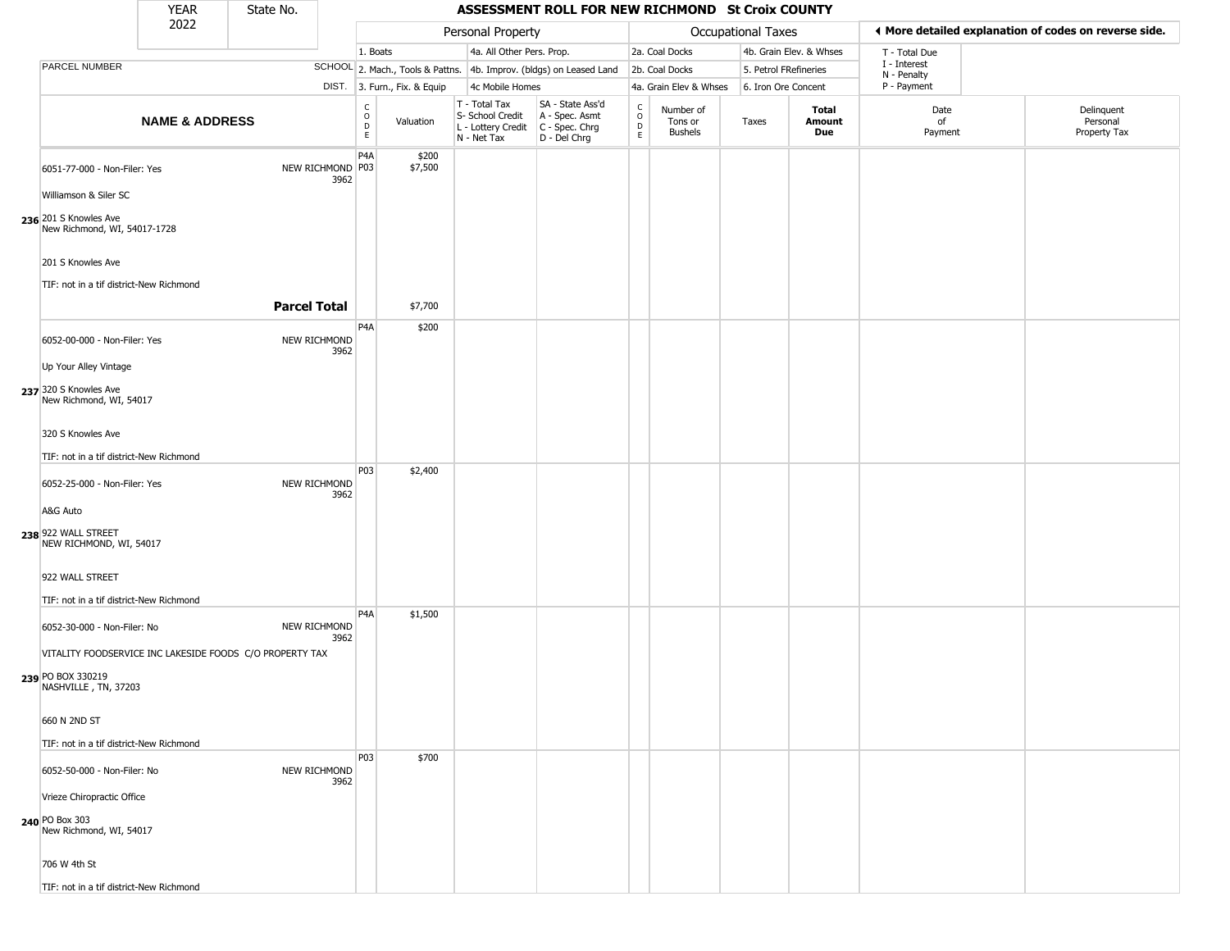|                                                       | <b>YEAR</b>               | State No.                                                |                          |                              |                              |                                                                        | ASSESSMENT ROLL FOR NEW RICHMOND St Croix COUNTY                     |                                                |                                 |                           |                         |                             |                                                       |
|-------------------------------------------------------|---------------------------|----------------------------------------------------------|--------------------------|------------------------------|------------------------------|------------------------------------------------------------------------|----------------------------------------------------------------------|------------------------------------------------|---------------------------------|---------------------------|-------------------------|-----------------------------|-------------------------------------------------------|
|                                                       | 2022                      |                                                          |                          |                              |                              | Personal Property                                                      |                                                                      |                                                |                                 | <b>Occupational Taxes</b> |                         |                             | ◀ More detailed explanation of codes on reverse side. |
|                                                       |                           |                                                          |                          | 1. Boats                     |                              | 4a. All Other Pers. Prop.                                              |                                                                      |                                                | 2a. Coal Docks                  |                           | 4b. Grain Elev. & Whses | T - Total Due               |                                                       |
| PARCEL NUMBER                                         |                           |                                                          |                          |                              |                              |                                                                        | SCHOOL 2. Mach., Tools & Pattns. 4b. Improv. (bldgs) on Leased Land  |                                                | 2b. Coal Docks                  | 5. Petrol FRefineries     |                         | I - Interest<br>N - Penalty |                                                       |
|                                                       |                           |                                                          |                          |                              | DIST. 3. Furn., Fix. & Equip | 4c Mobile Homes                                                        |                                                                      |                                                | 4a. Grain Elev & Whses          | 6. Iron Ore Concent       |                         | P - Payment                 |                                                       |
|                                                       | <b>NAME &amp; ADDRESS</b> |                                                          |                          | $_{\rm o}^{\rm c}$<br>D<br>E | Valuation                    | T - Total Tax<br>S- School Credit<br>L - Lottery Credit<br>N - Net Tax | SA - State Ass'd<br>A - Spec. Asmt<br>C - Spec. Chrg<br>D - Del Chrg | $\frac{C}{O}$<br>$\overline{D}$<br>$\mathsf E$ | Number of<br>Tons or<br>Bushels | Taxes                     | Total<br>Amount<br>Due  | Date<br>of<br>Payment       | Delinquent<br>Personal<br>Property Tax                |
| 6051-77-000 - Non-Filer: Yes                          |                           |                                                          | NEW RICHMOND P03<br>3962 | P <sub>4</sub> A             | \$200<br>\$7,500             |                                                                        |                                                                      |                                                |                                 |                           |                         |                             |                                                       |
| Williamson & Siler SC                                 |                           |                                                          |                          |                              |                              |                                                                        |                                                                      |                                                |                                 |                           |                         |                             |                                                       |
| 236 201 S Knowles Ave<br>New Richmond, WI, 54017-1728 |                           |                                                          |                          |                              |                              |                                                                        |                                                                      |                                                |                                 |                           |                         |                             |                                                       |
| 201 S Knowles Ave                                     |                           |                                                          |                          |                              |                              |                                                                        |                                                                      |                                                |                                 |                           |                         |                             |                                                       |
| TIF: not in a tif district-New Richmond               |                           |                                                          |                          |                              |                              |                                                                        |                                                                      |                                                |                                 |                           |                         |                             |                                                       |
|                                                       |                           | <b>Parcel Total</b>                                      |                          |                              | \$7,700                      |                                                                        |                                                                      |                                                |                                 |                           |                         |                             |                                                       |
| 6052-00-000 - Non-Filer: Yes                          |                           | NEW RICHMOND                                             | 3962                     | P <sub>4</sub> A             | \$200                        |                                                                        |                                                                      |                                                |                                 |                           |                         |                             |                                                       |
| Up Your Alley Vintage                                 |                           |                                                          |                          |                              |                              |                                                                        |                                                                      |                                                |                                 |                           |                         |                             |                                                       |
| 237 320 S Knowles Ave<br>New Richmond, WI, 54017      |                           |                                                          |                          |                              |                              |                                                                        |                                                                      |                                                |                                 |                           |                         |                             |                                                       |
| 320 S Knowles Ave                                     |                           |                                                          |                          |                              |                              |                                                                        |                                                                      |                                                |                                 |                           |                         |                             |                                                       |
| TIF: not in a tif district-New Richmond               |                           |                                                          |                          |                              |                              |                                                                        |                                                                      |                                                |                                 |                           |                         |                             |                                                       |
| 6052-25-000 - Non-Filer: Yes                          |                           | NEW RICHMOND                                             | 3962                     | P03                          | \$2,400                      |                                                                        |                                                                      |                                                |                                 |                           |                         |                             |                                                       |
| A&G Auto                                              |                           |                                                          |                          |                              |                              |                                                                        |                                                                      |                                                |                                 |                           |                         |                             |                                                       |
| 238 922 WALL STREET<br>NEW RICHMOND, WI, 54017        |                           |                                                          |                          |                              |                              |                                                                        |                                                                      |                                                |                                 |                           |                         |                             |                                                       |
| 922 WALL STREET                                       |                           |                                                          |                          |                              |                              |                                                                        |                                                                      |                                                |                                 |                           |                         |                             |                                                       |
| TIF: not in a tif district-New Richmond               |                           |                                                          |                          |                              |                              |                                                                        |                                                                      |                                                |                                 |                           |                         |                             |                                                       |
| 6052-30-000 - Non-Filer: No                           |                           | NEW RICHMOND                                             | 3962                     | P4A                          | \$1,500                      |                                                                        |                                                                      |                                                |                                 |                           |                         |                             |                                                       |
|                                                       |                           | VITALITY FOODSERVICE INC LAKESIDE FOODS C/O PROPERTY TAX |                          |                              |                              |                                                                        |                                                                      |                                                |                                 |                           |                         |                             |                                                       |
| 239 PO BOX 330219<br>NASHVILLE, TN, 37203             |                           |                                                          |                          |                              |                              |                                                                        |                                                                      |                                                |                                 |                           |                         |                             |                                                       |
| 660 N 2ND ST                                          |                           |                                                          |                          |                              |                              |                                                                        |                                                                      |                                                |                                 |                           |                         |                             |                                                       |
| TIF: not in a tif district-New Richmond               |                           |                                                          |                          |                              |                              |                                                                        |                                                                      |                                                |                                 |                           |                         |                             |                                                       |
|                                                       |                           |                                                          |                          | P03                          | \$700                        |                                                                        |                                                                      |                                                |                                 |                           |                         |                             |                                                       |
| 6052-50-000 - Non-Filer: No                           |                           | NEW RICHMOND                                             | 3962                     |                              |                              |                                                                        |                                                                      |                                                |                                 |                           |                         |                             |                                                       |
| Vrieze Chiropractic Office                            |                           |                                                          |                          |                              |                              |                                                                        |                                                                      |                                                |                                 |                           |                         |                             |                                                       |
| 240 PO Box 303<br>New Richmond, WI, 54017             |                           |                                                          |                          |                              |                              |                                                                        |                                                                      |                                                |                                 |                           |                         |                             |                                                       |
| 706 W 4th St                                          |                           |                                                          |                          |                              |                              |                                                                        |                                                                      |                                                |                                 |                           |                         |                             |                                                       |
| TIF: not in a tif district-New Richmond               |                           |                                                          |                          |                              |                              |                                                                        |                                                                      |                                                |                                 |                           |                         |                             |                                                       |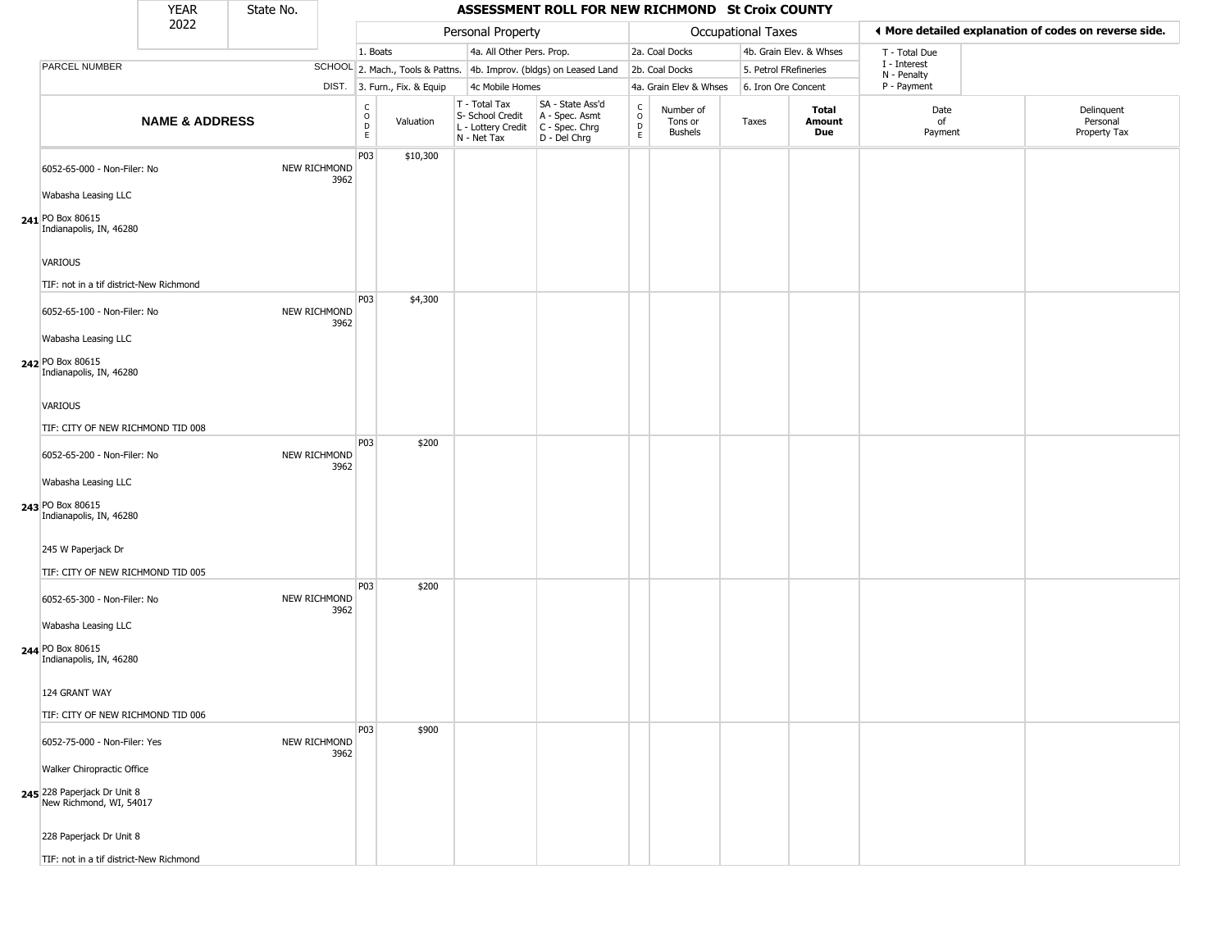|                                                                    | <b>YEAR</b>               | State No. |                      |                                                |                              |                                                                        | ASSESSMENT ROLL FOR NEW RICHMOND St Croix COUNTY                     |                                              |                                        |                       |                         |                             |                                                       |
|--------------------------------------------------------------------|---------------------------|-----------|----------------------|------------------------------------------------|------------------------------|------------------------------------------------------------------------|----------------------------------------------------------------------|----------------------------------------------|----------------------------------------|-----------------------|-------------------------|-----------------------------|-------------------------------------------------------|
|                                                                    | 2022                      |           |                      |                                                |                              | Personal Property                                                      |                                                                      |                                              |                                        | Occupational Taxes    |                         |                             | ◀ More detailed explanation of codes on reverse side. |
|                                                                    |                           |           |                      | 1. Boats                                       |                              | 4a. All Other Pers. Prop.                                              |                                                                      |                                              | 2a. Coal Docks                         |                       | 4b. Grain Elev. & Whses | T - Total Due               |                                                       |
| <b>PARCEL NUMBER</b>                                               |                           |           |                      |                                                |                              |                                                                        | SCHOOL 2. Mach., Tools & Pattns. 4b. Improv. (bldgs) on Leased Land  |                                              | 2b. Coal Docks                         | 5. Petrol FRefineries |                         | I - Interest<br>N - Penalty |                                                       |
|                                                                    |                           |           |                      |                                                | DIST. 3. Furn., Fix. & Equip | 4c Mobile Homes                                                        |                                                                      |                                              | 4a. Grain Elev & Whses                 | 6. Iron Ore Concent   |                         | P - Payment                 |                                                       |
|                                                                    | <b>NAME &amp; ADDRESS</b> |           |                      | c<br>$\mathsf O$<br>$\mathsf D$<br>$\mathsf E$ | Valuation                    | T - Total Tax<br>S- School Credit<br>L - Lottery Credit<br>N - Net Tax | SA - State Ass'd<br>A - Spec. Asmt<br>C - Spec. Chrg<br>D - Del Chrg | $\begin{array}{c}\nC \\ O \\ D\n\end{array}$ | Number of<br>Tons or<br><b>Bushels</b> | Taxes                 | Total<br>Amount<br>Due  | Date<br>of<br>Payment       | Delinquent<br>Personal<br>Property Tax                |
| 6052-65-000 - Non-Filer: No                                        |                           |           | NEW RICHMOND<br>3962 | P03                                            | \$10,300                     |                                                                        |                                                                      |                                              |                                        |                       |                         |                             |                                                       |
| Wabasha Leasing LLC<br>241 PO Box 80615<br>Indianapolis, IN, 46280 |                           |           |                      |                                                |                              |                                                                        |                                                                      |                                              |                                        |                       |                         |                             |                                                       |
| VARIOUS                                                            |                           |           |                      |                                                |                              |                                                                        |                                                                      |                                              |                                        |                       |                         |                             |                                                       |
| TIF: not in a tif district-New Richmond                            |                           |           |                      | P03                                            | \$4,300                      |                                                                        |                                                                      |                                              |                                        |                       |                         |                             |                                                       |
| 6052-65-100 - Non-Filer: No<br>Wabasha Leasing LLC                 |                           |           | NEW RICHMOND<br>3962 |                                                |                              |                                                                        |                                                                      |                                              |                                        |                       |                         |                             |                                                       |
| 242 PO Box 80615<br>Indianapolis, IN, 46280                        |                           |           |                      |                                                |                              |                                                                        |                                                                      |                                              |                                        |                       |                         |                             |                                                       |
| VARIOUS                                                            |                           |           |                      |                                                |                              |                                                                        |                                                                      |                                              |                                        |                       |                         |                             |                                                       |
| TIF: CITY OF NEW RICHMOND TID 008                                  |                           |           |                      |                                                |                              |                                                                        |                                                                      |                                              |                                        |                       |                         |                             |                                                       |
| 6052-65-200 - Non-Filer: No                                        |                           |           | NEW RICHMOND<br>3962 | P03                                            | \$200                        |                                                                        |                                                                      |                                              |                                        |                       |                         |                             |                                                       |
| Wabasha Leasing LLC                                                |                           |           |                      |                                                |                              |                                                                        |                                                                      |                                              |                                        |                       |                         |                             |                                                       |
| 243 PO Box 80615<br>Indianapolis, IN, 46280                        |                           |           |                      |                                                |                              |                                                                        |                                                                      |                                              |                                        |                       |                         |                             |                                                       |
| 245 W Paperjack Dr                                                 |                           |           |                      |                                                |                              |                                                                        |                                                                      |                                              |                                        |                       |                         |                             |                                                       |
| TIF: CITY OF NEW RICHMOND TID 005                                  |                           |           |                      | P03                                            |                              |                                                                        |                                                                      |                                              |                                        |                       |                         |                             |                                                       |
| 6052-65-300 - Non-Filer: No                                        |                           |           | NEW RICHMOND<br>3962 |                                                | \$200                        |                                                                        |                                                                      |                                              |                                        |                       |                         |                             |                                                       |
| Wabasha Leasing LLC<br>244 PO Box 80615<br>Indianapolis, IN, 46280 |                           |           |                      |                                                |                              |                                                                        |                                                                      |                                              |                                        |                       |                         |                             |                                                       |
| 124 GRANT WAY                                                      |                           |           |                      |                                                |                              |                                                                        |                                                                      |                                              |                                        |                       |                         |                             |                                                       |
| TIF: CITY OF NEW RICHMOND TID 006                                  |                           |           |                      |                                                |                              |                                                                        |                                                                      |                                              |                                        |                       |                         |                             |                                                       |
| 6052-75-000 - Non-Filer: Yes                                       |                           |           | NEW RICHMOND<br>3962 | P03                                            | \$900                        |                                                                        |                                                                      |                                              |                                        |                       |                         |                             |                                                       |
| Walker Chiropractic Office                                         |                           |           |                      |                                                |                              |                                                                        |                                                                      |                                              |                                        |                       |                         |                             |                                                       |
| 245 228 Paperjack Dr Unit 8<br>New Richmond, WI, 54017             |                           |           |                      |                                                |                              |                                                                        |                                                                      |                                              |                                        |                       |                         |                             |                                                       |
| 228 Paperjack Dr Unit 8                                            |                           |           |                      |                                                |                              |                                                                        |                                                                      |                                              |                                        |                       |                         |                             |                                                       |
| TIF: not in a tif district-New Richmond                            |                           |           |                      |                                                |                              |                                                                        |                                                                      |                                              |                                        |                       |                         |                             |                                                       |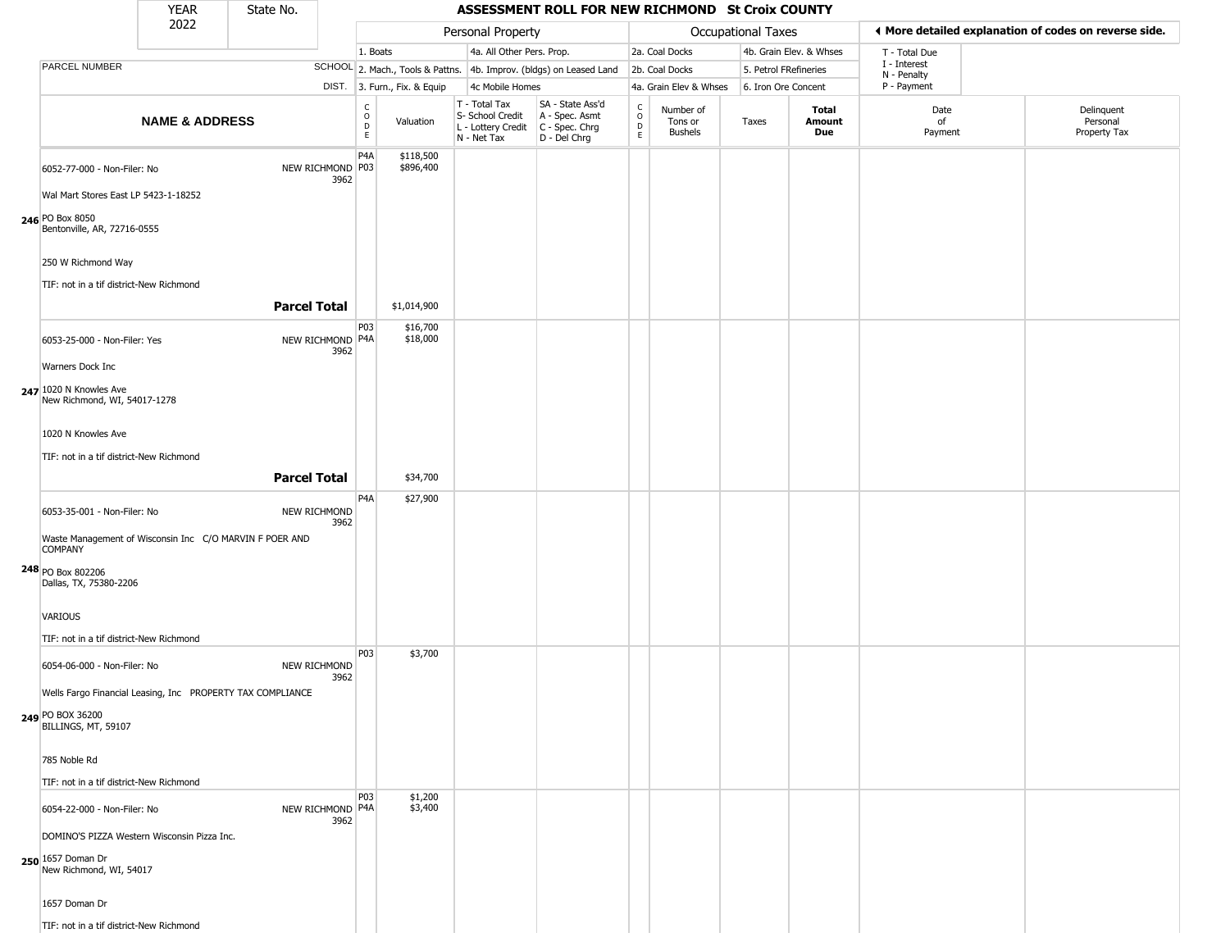|                                                                                                                                                                                 | <b>YEAR</b>               | State No.           |                          |                        |                              |                                                                        | ASSESSMENT ROLL FOR NEW RICHMOND St Croix COUNTY                     |                                                 |                                        |                       |                         |                            |                                                       |
|---------------------------------------------------------------------------------------------------------------------------------------------------------------------------------|---------------------------|---------------------|--------------------------|------------------------|------------------------------|------------------------------------------------------------------------|----------------------------------------------------------------------|-------------------------------------------------|----------------------------------------|-----------------------|-------------------------|----------------------------|-------------------------------------------------------|
|                                                                                                                                                                                 | 2022                      |                     |                          |                        |                              | Personal Property                                                      |                                                                      |                                                 |                                        | Occupational Taxes    |                         |                            | ◀ More detailed explanation of codes on reverse side. |
|                                                                                                                                                                                 |                           |                     |                          | 1. Boats               |                              | 4a. All Other Pers. Prop.                                              |                                                                      |                                                 | 2a. Coal Docks                         |                       | 4b. Grain Elev. & Whses | T - Total Due              |                                                       |
| <b>PARCEL NUMBER</b>                                                                                                                                                            |                           |                     |                          |                        |                              |                                                                        | SCHOOL 2. Mach., Tools & Pattns. 4b. Improv. (bldgs) on Leased Land  |                                                 | 2b. Coal Docks                         | 5. Petrol FRefineries |                         | I - Interest               |                                                       |
|                                                                                                                                                                                 |                           |                     |                          |                        | DIST. 3. Furn., Fix. & Equip | 4c Mobile Homes                                                        |                                                                      |                                                 | 4a. Grain Elev & Whses                 | 6. Iron Ore Concent   |                         | N - Penalty<br>P - Payment |                                                       |
|                                                                                                                                                                                 | <b>NAME &amp; ADDRESS</b> |                     |                          | C<br>$\circ$<br>D<br>E | Valuation                    | T - Total Tax<br>S- School Credit<br>L - Lottery Credit<br>N - Net Tax | SA - State Ass'd<br>A - Spec. Asmt<br>C - Spec. Chrg<br>D - Del Chrg | $_{\rm o}^{\rm c}$<br>$\mathsf{D}_{\mathsf{E}}$ | Number of<br>Tons or<br><b>Bushels</b> | Taxes                 | Total<br>Amount<br>Due  | Date<br>of<br>Payment      | Delinquent<br>Personal<br>Property Tax                |
| 6052-77-000 - Non-Filer: No<br>Wal Mart Stores East LP 5423-1-18252<br>246 PO Box 8050<br>Bentonville, AR, 72716-0555                                                           |                           |                     | NEW RICHMOND P03<br>3962 | P4A                    | \$118,500<br>\$896,400       |                                                                        |                                                                      |                                                 |                                        |                       |                         |                            |                                                       |
| 250 W Richmond Way<br>TIF: not in a tif district-New Richmond                                                                                                                   |                           | <b>Parcel Total</b> |                          |                        | \$1,014,900                  |                                                                        |                                                                      |                                                 |                                        |                       |                         |                            |                                                       |
|                                                                                                                                                                                 |                           |                     |                          |                        |                              |                                                                        |                                                                      |                                                 |                                        |                       |                         |                            |                                                       |
| 6053-25-000 - Non-Filer: Yes<br>Warners Dock Inc<br>247 1020 N Knowles Ave<br>New Richmond, WI, 54017-1278                                                                      |                           |                     | NEW RICHMOND P4A<br>3962 | P03                    | \$16,700<br>\$18,000         |                                                                        |                                                                      |                                                 |                                        |                       |                         |                            |                                                       |
| 1020 N Knowles Ave<br>TIF: not in a tif district-New Richmond                                                                                                                   |                           | <b>Parcel Total</b> |                          |                        | \$34,700                     |                                                                        |                                                                      |                                                 |                                        |                       |                         |                            |                                                       |
|                                                                                                                                                                                 |                           |                     |                          | P4A                    | \$27,900                     |                                                                        |                                                                      |                                                 |                                        |                       |                         |                            |                                                       |
| 6053-35-001 - Non-Filer: No<br>Waste Management of Wisconsin Inc C/O MARVIN F POER AND<br><b>COMPANY</b><br>248 PO Box 802206<br>Dallas, TX, 75380-2206                         |                           |                     | NEW RICHMOND<br>3962     |                        |                              |                                                                        |                                                                      |                                                 |                                        |                       |                         |                            |                                                       |
| <b>VARIOUS</b>                                                                                                                                                                  |                           |                     |                          |                        |                              |                                                                        |                                                                      |                                                 |                                        |                       |                         |                            |                                                       |
| TIF: not in a tif district-New Richmond<br>6054-06-000 - Non-Filer: No<br>Wells Fargo Financial Leasing, Inc PROPERTY TAX COMPLIANCE<br>249 PO BOX 36200<br>BILLINGS, MT, 59107 |                           |                     | NEW RICHMOND<br>3962     | P03                    | \$3,700                      |                                                                        |                                                                      |                                                 |                                        |                       |                         |                            |                                                       |
| 785 Noble Rd<br>TIF: not in a tif district-New Richmond                                                                                                                         |                           |                     |                          |                        |                              |                                                                        |                                                                      |                                                 |                                        |                       |                         |                            |                                                       |
| 6054-22-000 - Non-Filer: No<br>DOMINO'S PIZZA Western Wisconsin Pizza Inc.<br>250 1657 Doman Dr<br>New Richmond, WI, 54017                                                      |                           |                     | NEW RICHMOND P4A<br>3962 | P03                    | \$1,200<br>\$3,400           |                                                                        |                                                                      |                                                 |                                        |                       |                         |                            |                                                       |
| 1657 Doman Dr<br>TIF: not in a tif district-New Richmond                                                                                                                        |                           |                     |                          |                        |                              |                                                                        |                                                                      |                                                 |                                        |                       |                         |                            |                                                       |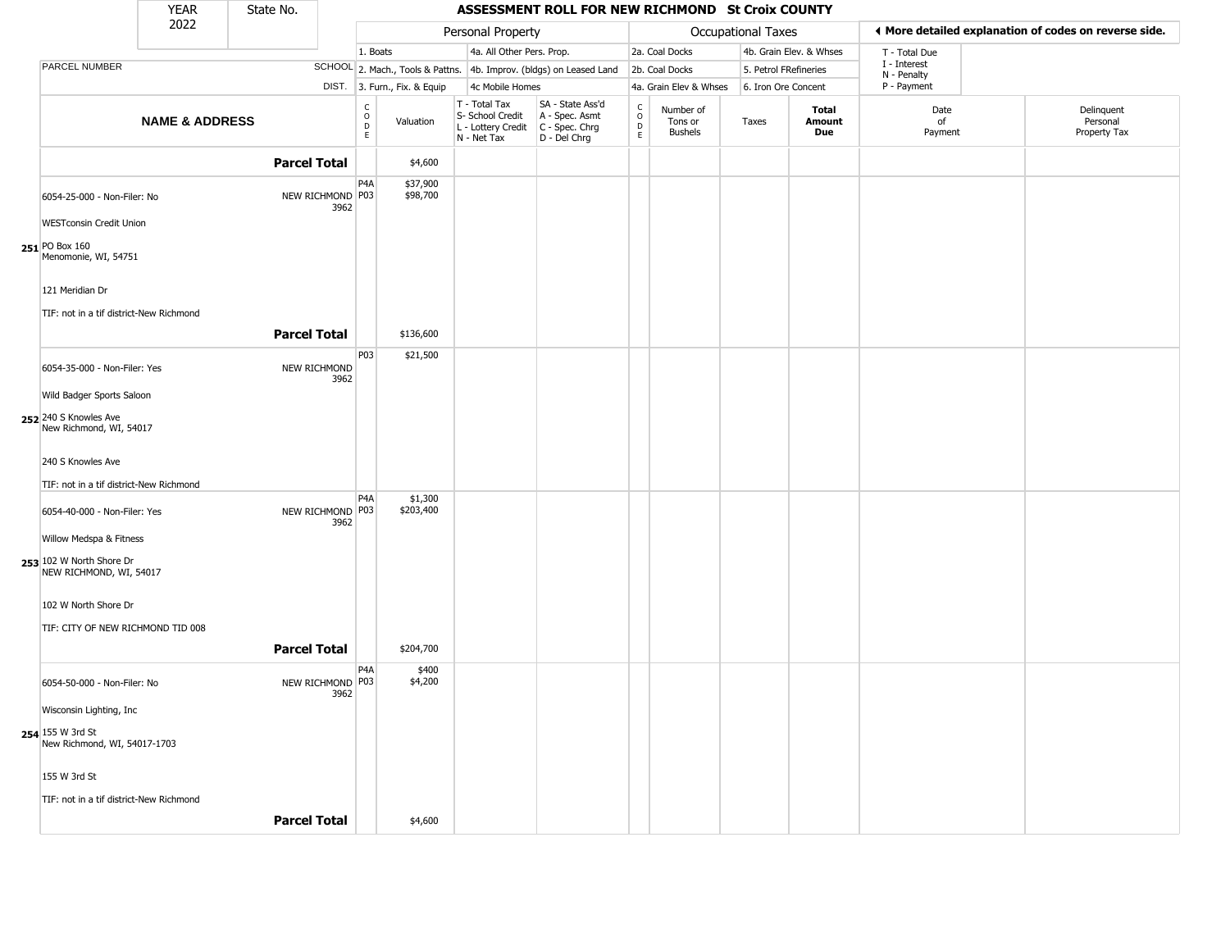|                                                                            | <b>YEAR</b>               | State No.           |                          |                                        |                              |                                                                                         | ASSESSMENT ROLL FOR NEW RICHMOND St Croix COUNTY                    |                        |                                        |                    |                         |                             |                                                       |
|----------------------------------------------------------------------------|---------------------------|---------------------|--------------------------|----------------------------------------|------------------------------|-----------------------------------------------------------------------------------------|---------------------------------------------------------------------|------------------------|----------------------------------------|--------------------|-------------------------|-----------------------------|-------------------------------------------------------|
|                                                                            | 2022                      |                     |                          |                                        |                              | Personal Property                                                                       |                                                                     |                        |                                        | Occupational Taxes |                         |                             | ◀ More detailed explanation of codes on reverse side. |
|                                                                            |                           |                     |                          | 1. Boats                               |                              | 4a. All Other Pers. Prop.                                                               |                                                                     |                        | 2a. Coal Docks                         |                    | 4b. Grain Elev. & Whses | T - Total Due               |                                                       |
| PARCEL NUMBER                                                              |                           |                     |                          |                                        |                              |                                                                                         | SCHOOL 2. Mach., Tools & Pattns. 4b. Improv. (bldgs) on Leased Land |                        | 2b. Coal Docks                         |                    | 5. Petrol FRefineries   | I - Interest<br>N - Penalty |                                                       |
|                                                                            |                           |                     |                          |                                        | DIST. 3. Furn., Fix. & Equip | 4c Mobile Homes                                                                         |                                                                     |                        | 4a. Grain Elev & Whses                 |                    | 6. Iron Ore Concent     | P - Payment                 |                                                       |
|                                                                            | <b>NAME &amp; ADDRESS</b> |                     |                          | $_{\rm o}^{\rm c}$<br>$\mathsf D$<br>E | Valuation                    | T - Total Tax<br>S- School Credit<br>L - Lottery Credit   C - Spec. Chrg<br>N - Net Tax | SA - State Ass'd<br>A - Spec. Asmt<br>D - Del Chrg                  | C<br>$\circ$<br>D<br>E | Number of<br>Tons or<br><b>Bushels</b> | Taxes              | Total<br>Amount<br>Due  | Date<br>of<br>Payment       | Delinquent<br>Personal<br>Property Tax                |
|                                                                            |                           | <b>Parcel Total</b> |                          |                                        | \$4,600                      |                                                                                         |                                                                     |                        |                                        |                    |                         |                             |                                                       |
| 6054-25-000 - Non-Filer: No                                                |                           |                     | NEW RICHMOND P03<br>3962 | P <sub>4</sub> A                       | \$37,900<br>\$98,700         |                                                                                         |                                                                     |                        |                                        |                    |                         |                             |                                                       |
| <b>WESTconsin Credit Union</b><br>$251$ PO Box 160<br>Menomonie, WI, 54751 |                           |                     |                          |                                        |                              |                                                                                         |                                                                     |                        |                                        |                    |                         |                             |                                                       |
| 121 Meridian Dr<br>TIF: not in a tif district-New Richmond                 |                           | <b>Parcel Total</b> |                          |                                        | \$136,600                    |                                                                                         |                                                                     |                        |                                        |                    |                         |                             |                                                       |
| 6054-35-000 - Non-Filer: Yes                                               |                           |                     | NEW RICHMOND             | P03                                    | \$21,500                     |                                                                                         |                                                                     |                        |                                        |                    |                         |                             |                                                       |
| Wild Badger Sports Saloon                                                  |                           |                     | 3962                     |                                        |                              |                                                                                         |                                                                     |                        |                                        |                    |                         |                             |                                                       |
| 252 240 S Knowles Ave<br>New Richmond, WI, 54017                           |                           |                     |                          |                                        |                              |                                                                                         |                                                                     |                        |                                        |                    |                         |                             |                                                       |
| 240 S Knowles Ave<br>TIF: not in a tif district-New Richmond               |                           |                     |                          |                                        |                              |                                                                                         |                                                                     |                        |                                        |                    |                         |                             |                                                       |
| 6054-40-000 - Non-Filer: Yes                                               |                           |                     | NEW RICHMOND P03<br>3962 | P <sub>4</sub> A                       | \$1,300<br>\$203,400         |                                                                                         |                                                                     |                        |                                        |                    |                         |                             |                                                       |
| Willow Medspa & Fitness                                                    |                           |                     |                          |                                        |                              |                                                                                         |                                                                     |                        |                                        |                    |                         |                             |                                                       |
| 253 102 W North Shore Dr<br>NEW RICHMOND, WI, 54017                        |                           |                     |                          |                                        |                              |                                                                                         |                                                                     |                        |                                        |                    |                         |                             |                                                       |
| 102 W North Shore Dr                                                       |                           |                     |                          |                                        |                              |                                                                                         |                                                                     |                        |                                        |                    |                         |                             |                                                       |
| TIF: CITY OF NEW RICHMOND TID 008                                          |                           | <b>Parcel Total</b> |                          |                                        | \$204,700                    |                                                                                         |                                                                     |                        |                                        |                    |                         |                             |                                                       |
| 6054-50-000 - Non-Filer: No                                                |                           |                     | NEW RICHMOND P03         | P <sub>4</sub> A                       | \$400<br>\$4,200             |                                                                                         |                                                                     |                        |                                        |                    |                         |                             |                                                       |
| Wisconsin Lighting, Inc                                                    |                           |                     | 3962                     |                                        |                              |                                                                                         |                                                                     |                        |                                        |                    |                         |                             |                                                       |
| 254 155 W 3rd St<br>New Richmond, WI, 54017-1703                           |                           |                     |                          |                                        |                              |                                                                                         |                                                                     |                        |                                        |                    |                         |                             |                                                       |
| 155 W 3rd St                                                               |                           |                     |                          |                                        |                              |                                                                                         |                                                                     |                        |                                        |                    |                         |                             |                                                       |
| TIF: not in a tif district-New Richmond                                    |                           | <b>Parcel Total</b> |                          |                                        | \$4,600                      |                                                                                         |                                                                     |                        |                                        |                    |                         |                             |                                                       |
|                                                                            |                           |                     |                          |                                        |                              |                                                                                         |                                                                     |                        |                                        |                    |                         |                             |                                                       |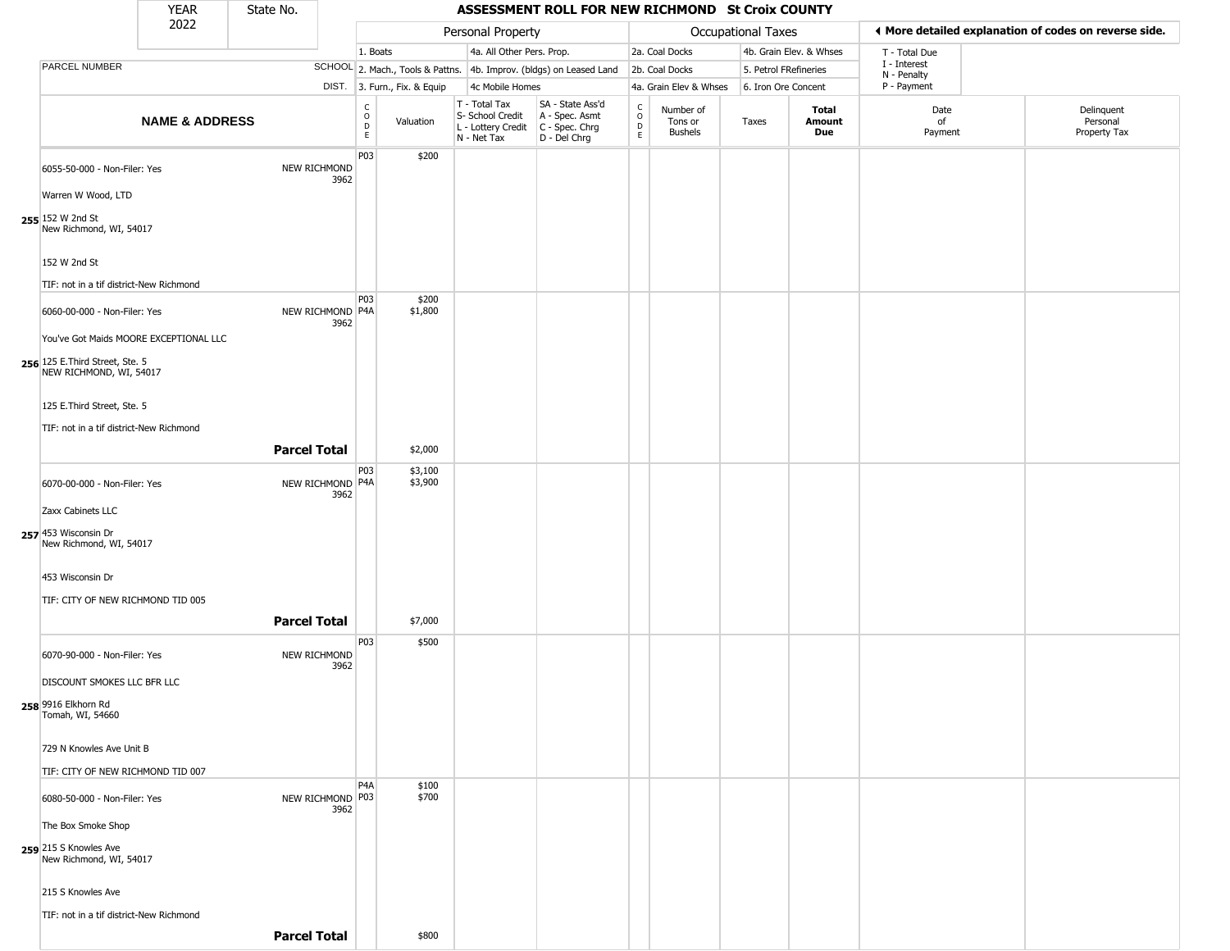YEAR **ASSESSMENT ROLL FOR NEW RICHMOND St Croix COUNTY** 2022 DIST. 3. Furn., Fix. & Equip PARCEL NUMBER **NAME & ADDRESS** State No. C O D E Valuation T - Total Tax S- School Credit A - Spec. Asmt L - Lottery Credit C - Spec. Chrg N - Net Tax SA - State Ass'd D - Del Chrg C O D E Number of Tons or Bushels Taxes **Total Amount Due** Date of Payment Delinquent Personal Property Tax Personal Property **Calculational Taxes** 1. Boats **4a. All Other Pers. Prop.** 2a. Coal Docks 4b. Grain Elev. & Whses SCHOOL 2. Mach., Tools & Pattns. 4b. Improv. (bldgs) on Leased Land 2b. Coal Docks 5. Petrol FRefineries 4c Mobile Homes 4a. Grain Elev & Whses 6. Iron Ore Concent T - Total Due I - Interest N - Penalty P - Payment 3**More detailed explanation of codes on reverse side. 255** 152 W 2nd St 6055-50-000 - Non-Filer: Yes NEW RICHMOND 3962 Warren W Wood, LTD New Richmond, WI, 54017 152 W 2nd St TIF: not in a tif district-New Richmond P03 \$200 **256** 125 E.Third Street, Ste. 5 6060-00-000 - Non-Filer: Yes 3962 You've Got Maids MOORE EXCEPTIONAL LLC NEW RICHMOND, WI, 54017 125 E.Third Street, Ste. 5 TIF: not in a tif district-New Richmond P03 NEW RICHMOND P4A \$200 \$1,800 **Parcel Total** | \$2,000 **257** 453 Wisconsin Dr 6070-00-000 - Non-Filer: Yes 3962 Zaxx Cabinets LLC New Richmond, WI, 54017 453 Wisconsin Dr TIF: CITY OF NEW RICHMOND TID 005 P03 NEW RICHMOND P4A \$3,100 \$3,900 **Parcel Total** 1 \$7,000 **258** 9916 Elkhorn Rd 6070-90-000 - Non-Filer: Yes NEW RICHMOND 3962 DISCOUNT SMOKES LLC BFR LLC Tomah, WI, 54660 729 N Knowles Ave Unit B TIF: CITY OF NEW RICHMOND TID 007 P03 \$500 **259** 215 S Knowles Ave 6080-50-000 - Non-Filer: Yes 3962 The Box Smoke Shop New Richmond, WI, 54017 215 S Knowles Ave TIF: not in a tif district-New Richmond P4A NEW RICHMOND P03 \$100 \$700 **Parcel Total** \$800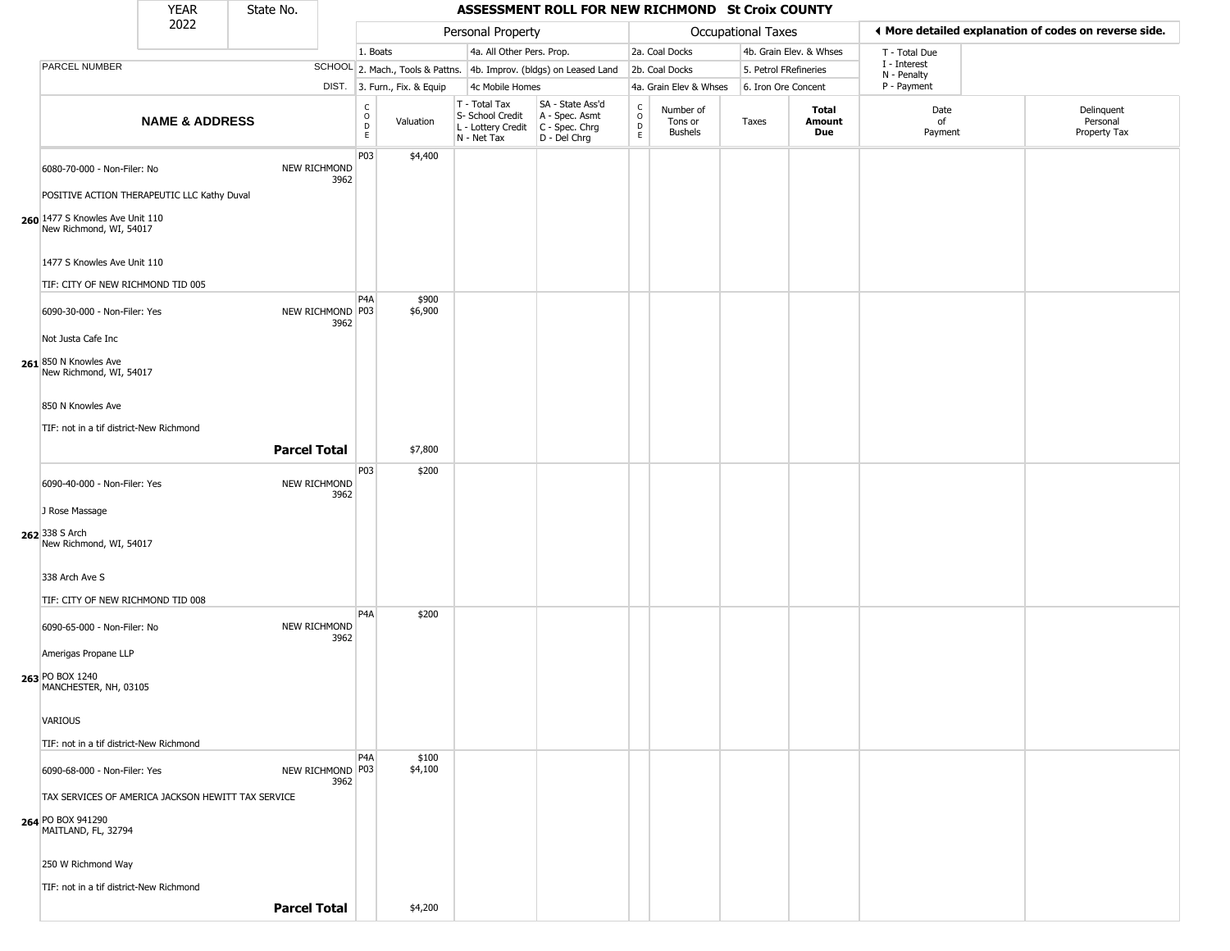|                                                                            | <b>YEAR</b>               | State No.           |                                    |                              |                                                                                         | ASSESSMENT ROLL FOR NEW RICHMOND St Croix COUNTY                    |                         |                                        |                       |                         |                             |                                                        |
|----------------------------------------------------------------------------|---------------------------|---------------------|------------------------------------|------------------------------|-----------------------------------------------------------------------------------------|---------------------------------------------------------------------|-------------------------|----------------------------------------|-----------------------|-------------------------|-----------------------------|--------------------------------------------------------|
|                                                                            | 2022                      |                     |                                    |                              | Personal Property                                                                       |                                                                     |                         |                                        | Occupational Taxes    |                         |                             | If More detailed explanation of codes on reverse side. |
|                                                                            |                           |                     |                                    | 1. Boats                     | 4a. All Other Pers. Prop.                                                               |                                                                     |                         | 2a. Coal Docks                         |                       | 4b. Grain Elev. & Whses | T - Total Due               |                                                        |
| PARCEL NUMBER                                                              |                           |                     |                                    |                              |                                                                                         | SCHOOL 2. Mach., Tools & Pattns. 4b. Improv. (bldgs) on Leased Land |                         | 2b. Coal Docks                         | 5. Petrol FRefineries |                         | I - Interest<br>N - Penalty |                                                        |
|                                                                            |                           |                     |                                    | DIST. 3. Furn., Fix. & Equip | 4c Mobile Homes                                                                         |                                                                     |                         | 4a. Grain Elev & Whses                 | 6. Iron Ore Concent   |                         | P - Payment                 |                                                        |
|                                                                            | <b>NAME &amp; ADDRESS</b> |                     | $\frac{c}{0}$<br>$\mathsf D$<br>E. | Valuation                    | T - Total Tax<br>S- School Credit<br>L - Lottery Credit   C - Spec. Chrg<br>N - Net Tax | SA - State Ass'd<br>A - Spec. Asmt<br>D - Del Chrg                  | C<br>$\circ$<br>D<br>E. | Number of<br>Tons or<br><b>Bushels</b> | Taxes                 | Total<br>Amount<br>Due  | Date<br>of<br>Payment       | Delinquent<br>Personal<br>Property Tax                 |
| 6080-70-000 - Non-Filer: No<br>POSITIVE ACTION THERAPEUTIC LLC Kathy Duval |                           | NEW RICHMOND        | P03<br>3962                        | \$4,400                      |                                                                                         |                                                                     |                         |                                        |                       |                         |                             |                                                        |
| 260 1477 S Knowles Ave Unit 110<br>New Richmond, WI, 54017                 |                           |                     |                                    |                              |                                                                                         |                                                                     |                         |                                        |                       |                         |                             |                                                        |
| 1477 S Knowles Ave Unit 110                                                |                           |                     |                                    |                              |                                                                                         |                                                                     |                         |                                        |                       |                         |                             |                                                        |
| TIF: CITY OF NEW RICHMOND TID 005                                          |                           |                     | P4A                                | \$900                        |                                                                                         |                                                                     |                         |                                        |                       |                         |                             |                                                        |
| 6090-30-000 - Non-Filer: Yes                                               |                           | NEW RICHMOND P03    | 3962                               | \$6,900                      |                                                                                         |                                                                     |                         |                                        |                       |                         |                             |                                                        |
| Not Justa Cafe Inc<br>261 850 N Knowles Ave                                |                           |                     |                                    |                              |                                                                                         |                                                                     |                         |                                        |                       |                         |                             |                                                        |
| New Richmond, WI, 54017                                                    |                           |                     |                                    |                              |                                                                                         |                                                                     |                         |                                        |                       |                         |                             |                                                        |
| 850 N Knowles Ave                                                          |                           |                     |                                    |                              |                                                                                         |                                                                     |                         |                                        |                       |                         |                             |                                                        |
| TIF: not in a tif district-New Richmond                                    |                           | <b>Parcel Total</b> |                                    | \$7,800                      |                                                                                         |                                                                     |                         |                                        |                       |                         |                             |                                                        |
| 6090-40-000 - Non-Filer: Yes                                               |                           | NEW RICHMOND        | P03<br>3962                        | \$200                        |                                                                                         |                                                                     |                         |                                        |                       |                         |                             |                                                        |
| J Rose Massage                                                             |                           |                     |                                    |                              |                                                                                         |                                                                     |                         |                                        |                       |                         |                             |                                                        |
| 262 338 S Arch<br>New Richmond, WI, 54017                                  |                           |                     |                                    |                              |                                                                                         |                                                                     |                         |                                        |                       |                         |                             |                                                        |
| 338 Arch Ave S                                                             |                           |                     |                                    |                              |                                                                                         |                                                                     |                         |                                        |                       |                         |                             |                                                        |
| TIF: CITY OF NEW RICHMOND TID 008                                          |                           |                     | P <sub>4</sub> A                   | \$200                        |                                                                                         |                                                                     |                         |                                        |                       |                         |                             |                                                        |
| 6090-65-000 - Non-Filer: No                                                |                           | NEW RICHMOND        | 3962                               |                              |                                                                                         |                                                                     |                         |                                        |                       |                         |                             |                                                        |
| Amerigas Propane LLP                                                       |                           |                     |                                    |                              |                                                                                         |                                                                     |                         |                                        |                       |                         |                             |                                                        |
| 263 PO BOX 1240<br>MANCHESTER, NH, 03105                                   |                           |                     |                                    |                              |                                                                                         |                                                                     |                         |                                        |                       |                         |                             |                                                        |
| <b>VARIOUS</b>                                                             |                           |                     |                                    |                              |                                                                                         |                                                                     |                         |                                        |                       |                         |                             |                                                        |
| TIF: not in a tif district-New Richmond                                    |                           |                     | P <sub>4</sub> A                   | \$100                        |                                                                                         |                                                                     |                         |                                        |                       |                         |                             |                                                        |
| 6090-68-000 - Non-Filer: Yes                                               |                           | NEW RICHMOND P03    | 3962                               | \$4,100                      |                                                                                         |                                                                     |                         |                                        |                       |                         |                             |                                                        |
| TAX SERVICES OF AMERICA JACKSON HEWITT TAX SERVICE<br>264 PO BOX 941290    |                           |                     |                                    |                              |                                                                                         |                                                                     |                         |                                        |                       |                         |                             |                                                        |
| MAITLAND, FL, 32794                                                        |                           |                     |                                    |                              |                                                                                         |                                                                     |                         |                                        |                       |                         |                             |                                                        |
| 250 W Richmond Way                                                         |                           |                     |                                    |                              |                                                                                         |                                                                     |                         |                                        |                       |                         |                             |                                                        |
| TIF: not in a tif district-New Richmond                                    |                           | <b>Parcel Total</b> |                                    | \$4,200                      |                                                                                         |                                                                     |                         |                                        |                       |                         |                             |                                                        |
|                                                                            |                           |                     |                                    |                              |                                                                                         |                                                                     |                         |                                        |                       |                         |                             |                                                        |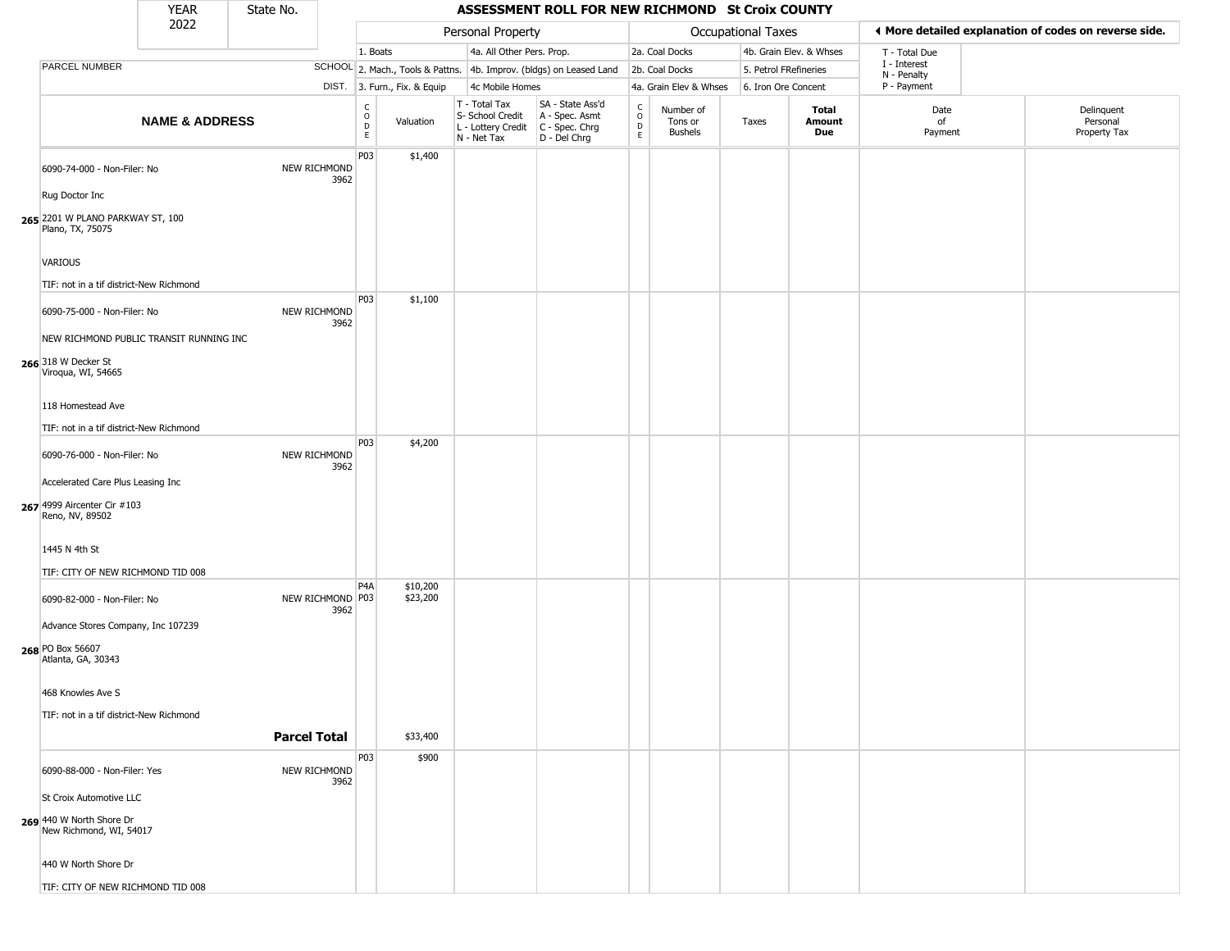|                                                                   | <b>YEAR</b>               | State No.           |                          |                        |                              |                                                                        | ASSESSMENT ROLL FOR NEW RICHMOND St Croix COUNTY                     |                                   |                                        |                           |                         |                             |                                                       |
|-------------------------------------------------------------------|---------------------------|---------------------|--------------------------|------------------------|------------------------------|------------------------------------------------------------------------|----------------------------------------------------------------------|-----------------------------------|----------------------------------------|---------------------------|-------------------------|-----------------------------|-------------------------------------------------------|
|                                                                   | 2022                      |                     |                          |                        |                              | Personal Property                                                      |                                                                      |                                   |                                        | <b>Occupational Taxes</b> |                         |                             | ♦ More detailed explanation of codes on reverse side. |
|                                                                   |                           |                     |                          | 1. Boats               |                              | 4a. All Other Pers. Prop.                                              |                                                                      |                                   | 2a. Coal Docks                         |                           | 4b. Grain Elev. & Whses | T - Total Due               |                                                       |
| <b>PARCEL NUMBER</b>                                              |                           |                     |                          |                        |                              |                                                                        | SCHOOL 2. Mach., Tools & Pattns. 4b. Improv. (bldgs) on Leased Land  |                                   | 2b. Coal Docks                         |                           | 5. Petrol FRefineries   | I - Interest<br>N - Penalty |                                                       |
|                                                                   |                           |                     |                          |                        | DIST. 3. Furn., Fix. & Equip | 4c Mobile Homes                                                        |                                                                      |                                   | 4a. Grain Elev & Whses                 |                           | 6. Iron Ore Concent     | P - Payment                 |                                                       |
|                                                                   | <b>NAME &amp; ADDRESS</b> |                     |                          | C<br>$\circ$<br>D<br>E | Valuation                    | T - Total Tax<br>S- School Credit<br>L - Lottery Credit<br>N - Net Tax | SA - State Ass'd<br>A - Spec. Asmt<br>C - Spec. Chrg<br>D - Del Chrg | $\frac{c}{0}$<br>$\mathsf D$<br>E | Number of<br>Tons or<br><b>Bushels</b> | Taxes                     | Total<br>Amount<br>Due  | Date<br>of<br>Payment       | Delinquent<br>Personal<br>Property Tax                |
| 6090-74-000 - Non-Filer: No                                       |                           |                     | NEW RICHMOND<br>3962     | P03                    | \$1,400                      |                                                                        |                                                                      |                                   |                                        |                           |                         |                             |                                                       |
| Rug Doctor Inc                                                    |                           |                     |                          |                        |                              |                                                                        |                                                                      |                                   |                                        |                           |                         |                             |                                                       |
| 265 2201 W PLANO PARKWAY ST, 100<br>Plano, TX, 75075              |                           |                     |                          |                        |                              |                                                                        |                                                                      |                                   |                                        |                           |                         |                             |                                                       |
| <b>VARIOUS</b>                                                    |                           |                     |                          |                        |                              |                                                                        |                                                                      |                                   |                                        |                           |                         |                             |                                                       |
| TIF: not in a tif district-New Richmond                           |                           |                     |                          | P03                    | \$1,100                      |                                                                        |                                                                      |                                   |                                        |                           |                         |                             |                                                       |
| 6090-75-000 - Non-Filer: No                                       |                           |                     | NEW RICHMOND<br>3962     |                        |                              |                                                                        |                                                                      |                                   |                                        |                           |                         |                             |                                                       |
| NEW RICHMOND PUBLIC TRANSIT RUNNING INC                           |                           |                     |                          |                        |                              |                                                                        |                                                                      |                                   |                                        |                           |                         |                             |                                                       |
| 266 318 W Decker St<br>Viroqua, WI, 54665                         |                           |                     |                          |                        |                              |                                                                        |                                                                      |                                   |                                        |                           |                         |                             |                                                       |
| 118 Homestead Ave                                                 |                           |                     |                          |                        |                              |                                                                        |                                                                      |                                   |                                        |                           |                         |                             |                                                       |
| TIF: not in a tif district-New Richmond                           |                           |                     |                          | P03                    | \$4,200                      |                                                                        |                                                                      |                                   |                                        |                           |                         |                             |                                                       |
| 6090-76-000 - Non-Filer: No                                       |                           |                     | NEW RICHMOND<br>3962     |                        |                              |                                                                        |                                                                      |                                   |                                        |                           |                         |                             |                                                       |
| Accelerated Care Plus Leasing Inc                                 |                           |                     |                          |                        |                              |                                                                        |                                                                      |                                   |                                        |                           |                         |                             |                                                       |
| 267 4999 Aircenter Cir #103<br>Reno, NV, 89502                    |                           |                     |                          |                        |                              |                                                                        |                                                                      |                                   |                                        |                           |                         |                             |                                                       |
| 1445 N 4th St                                                     |                           |                     |                          |                        |                              |                                                                        |                                                                      |                                   |                                        |                           |                         |                             |                                                       |
| TIF: CITY OF NEW RICHMOND TID 008                                 |                           |                     |                          | P <sub>4</sub> A       | \$10,200                     |                                                                        |                                                                      |                                   |                                        |                           |                         |                             |                                                       |
| 6090-82-000 - Non-Filer: No<br>Advance Stores Company, Inc 107239 |                           |                     | NEW RICHMOND P03<br>3962 |                        | \$23,200                     |                                                                        |                                                                      |                                   |                                        |                           |                         |                             |                                                       |
| 268 PO Box 56607<br>Atlanta, GA, 30343                            |                           |                     |                          |                        |                              |                                                                        |                                                                      |                                   |                                        |                           |                         |                             |                                                       |
| 468 Knowles Ave S                                                 |                           |                     |                          |                        |                              |                                                                        |                                                                      |                                   |                                        |                           |                         |                             |                                                       |
| TIF: not in a tif district-New Richmond                           |                           | <b>Parcel Total</b> |                          |                        | \$33,400                     |                                                                        |                                                                      |                                   |                                        |                           |                         |                             |                                                       |
|                                                                   |                           |                     |                          | P03                    | \$900                        |                                                                        |                                                                      |                                   |                                        |                           |                         |                             |                                                       |
| 6090-88-000 - Non-Filer: Yes                                      |                           |                     | NEW RICHMOND<br>3962     |                        |                              |                                                                        |                                                                      |                                   |                                        |                           |                         |                             |                                                       |
| St Croix Automotive LLC                                           |                           |                     |                          |                        |                              |                                                                        |                                                                      |                                   |                                        |                           |                         |                             |                                                       |
| 269 440 W North Shore Dr<br>New Richmond, WI, 54017               |                           |                     |                          |                        |                              |                                                                        |                                                                      |                                   |                                        |                           |                         |                             |                                                       |
| 440 W North Shore Dr<br>TIE: CITY OF NEW DICHMOND TID 000         |                           |                     |                          |                        |                              |                                                                        |                                                                      |                                   |                                        |                           |                         |                             |                                                       |

TIF: CITY OF NEW RICHMOND TID 008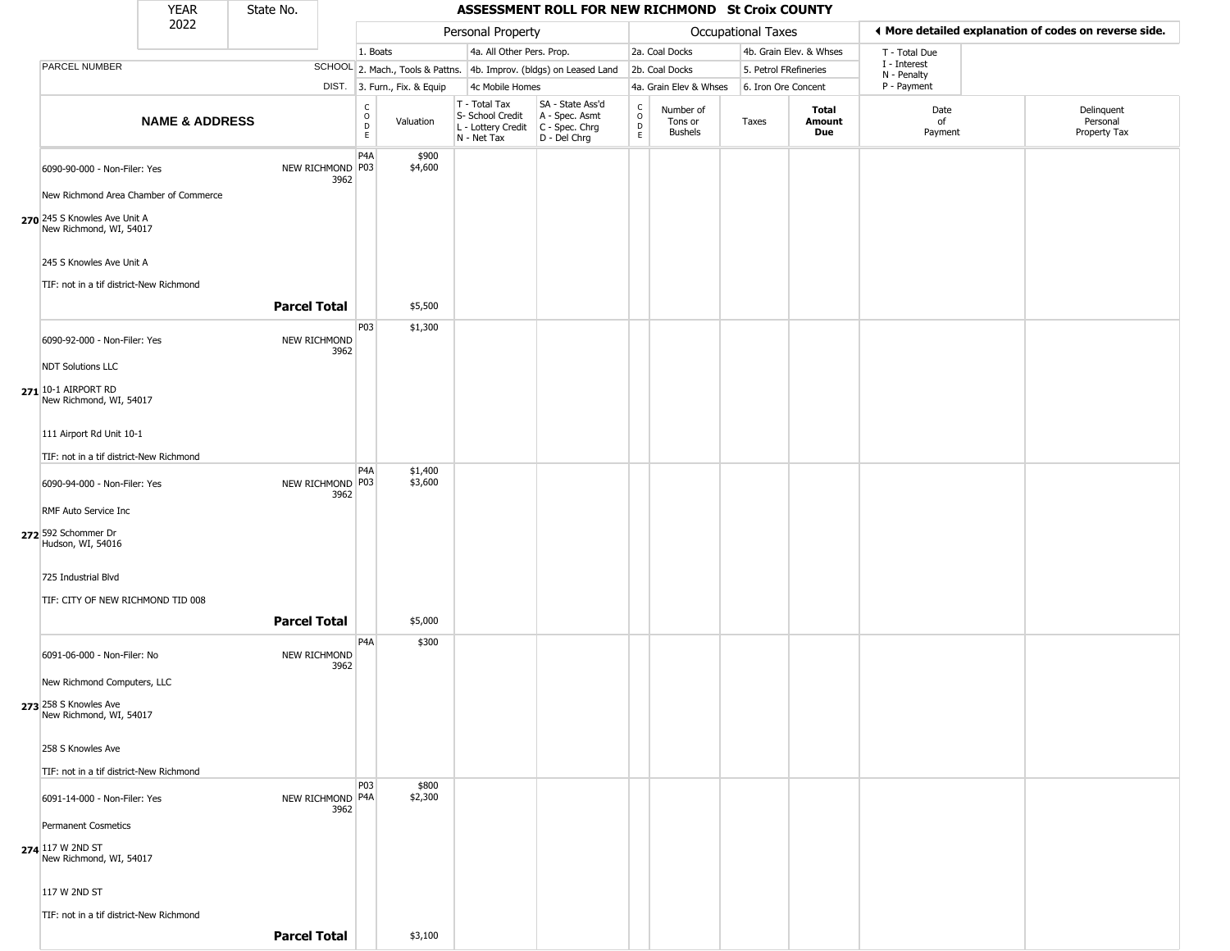|                                                                     | <b>YEAR</b>               | State No.           |      |                      |                              |                                                                        | ASSESSMENT ROLL FOR NEW RICHMOND St Croix COUNTY                       |                                                 |                                 |                       |                         |                             |                                                       |
|---------------------------------------------------------------------|---------------------------|---------------------|------|----------------------|------------------------------|------------------------------------------------------------------------|------------------------------------------------------------------------|-------------------------------------------------|---------------------------------|-----------------------|-------------------------|-----------------------------|-------------------------------------------------------|
|                                                                     | 2022                      |                     |      |                      |                              | Personal Property                                                      |                                                                        |                                                 |                                 | Occupational Taxes    |                         |                             | ♦ More detailed explanation of codes on reverse side. |
|                                                                     |                           |                     |      | 1. Boats             |                              | 4a. All Other Pers. Prop.                                              |                                                                        |                                                 | 2a. Coal Docks                  |                       | 4b. Grain Elev. & Whses | T - Total Due               |                                                       |
| PARCEL NUMBER                                                       |                           |                     |      |                      |                              |                                                                        | SCHOOL 2. Mach., Tools & Pattns. 4b. Improv. (bldgs) on Leased Land    |                                                 | 2b. Coal Docks                  | 5. Petrol FRefineries |                         | I - Interest<br>N - Penalty |                                                       |
|                                                                     |                           |                     |      |                      | DIST. 3. Furn., Fix. & Equip | 4c Mobile Homes                                                        |                                                                        |                                                 | 4a. Grain Elev & Whses          | 6. Iron Ore Concent   |                         | P - Payment                 |                                                       |
|                                                                     | <b>NAME &amp; ADDRESS</b> |                     |      | $\rm _o^c$<br>D<br>E | Valuation                    | T - Total Tax<br>S- School Credit<br>L - Lottery Credit<br>N - Net Tax | SA - State Ass'd<br>A - Spec. Asmt<br>$C - Spec. Chrg$<br>D - Del Chrg | $\begin{array}{c} C \\ O \\ D \\ E \end{array}$ | Number of<br>Tons or<br>Bushels | Taxes                 | Total<br>Amount<br>Due  | Date<br>of<br>Payment       | Delinquent<br>Personal<br>Property Tax                |
| 6090-90-000 - Non-Filer: Yes                                        |                           | NEW RICHMOND P03    | 3962 | P4A                  | \$900<br>\$4,600             |                                                                        |                                                                        |                                                 |                                 |                       |                         |                             |                                                       |
| New Richmond Area Chamber of Commerce                               |                           |                     |      |                      |                              |                                                                        |                                                                        |                                                 |                                 |                       |                         |                             |                                                       |
| 270 245 S Knowles Ave Unit A<br>New Richmond, WI, 54017             |                           |                     |      |                      |                              |                                                                        |                                                                        |                                                 |                                 |                       |                         |                             |                                                       |
| 245 S Knowles Ave Unit A<br>TIF: not in a tif district-New Richmond |                           |                     |      |                      |                              |                                                                        |                                                                        |                                                 |                                 |                       |                         |                             |                                                       |
|                                                                     |                           | <b>Parcel Total</b> |      |                      | \$5,500                      |                                                                        |                                                                        |                                                 |                                 |                       |                         |                             |                                                       |
| 6090-92-000 - Non-Filer: Yes                                        |                           | NEW RICHMOND        | 3962 | P03                  | \$1,300                      |                                                                        |                                                                        |                                                 |                                 |                       |                         |                             |                                                       |
| <b>NDT Solutions LLC</b>                                            |                           |                     |      |                      |                              |                                                                        |                                                                        |                                                 |                                 |                       |                         |                             |                                                       |
| 271 10-1 AIRPORT RD<br>New Richmond, WI, 54017                      |                           |                     |      |                      |                              |                                                                        |                                                                        |                                                 |                                 |                       |                         |                             |                                                       |
| 111 Airport Rd Unit 10-1                                            |                           |                     |      |                      |                              |                                                                        |                                                                        |                                                 |                                 |                       |                         |                             |                                                       |
| TIF: not in a tif district-New Richmond                             |                           |                     |      | P <sub>4</sub> A     | \$1,400                      |                                                                        |                                                                        |                                                 |                                 |                       |                         |                             |                                                       |
| 6090-94-000 - Non-Filer: Yes                                        |                           | NEW RICHMOND P03    | 3962 |                      | \$3,600                      |                                                                        |                                                                        |                                                 |                                 |                       |                         |                             |                                                       |
| RMF Auto Service Inc                                                |                           |                     |      |                      |                              |                                                                        |                                                                        |                                                 |                                 |                       |                         |                             |                                                       |
| 272 592 Schommer Dr<br>Hudson, WI, 54016                            |                           |                     |      |                      |                              |                                                                        |                                                                        |                                                 |                                 |                       |                         |                             |                                                       |
| 725 Industrial Blvd                                                 |                           |                     |      |                      |                              |                                                                        |                                                                        |                                                 |                                 |                       |                         |                             |                                                       |
| TIF: CITY OF NEW RICHMOND TID 008                                   |                           |                     |      |                      |                              |                                                                        |                                                                        |                                                 |                                 |                       |                         |                             |                                                       |
|                                                                     |                           | <b>Parcel Total</b> |      |                      | \$5,000                      |                                                                        |                                                                        |                                                 |                                 |                       |                         |                             |                                                       |
| 6091-06-000 - Non-Filer: No                                         |                           | NEW RICHMOND        | 3962 | P <sub>4</sub> A     | \$300                        |                                                                        |                                                                        |                                                 |                                 |                       |                         |                             |                                                       |
| New Richmond Computers, LLC                                         |                           |                     |      |                      |                              |                                                                        |                                                                        |                                                 |                                 |                       |                         |                             |                                                       |
| 273 258 S Knowles Ave<br>New Richmond, WI, 54017                    |                           |                     |      |                      |                              |                                                                        |                                                                        |                                                 |                                 |                       |                         |                             |                                                       |
| 258 S Knowles Ave                                                   |                           |                     |      |                      |                              |                                                                        |                                                                        |                                                 |                                 |                       |                         |                             |                                                       |
| TIF: not in a tif district-New Richmond                             |                           |                     |      |                      |                              |                                                                        |                                                                        |                                                 |                                 |                       |                         |                             |                                                       |
| 6091-14-000 - Non-Filer: Yes                                        |                           | NEW RICHMOND P4A    | 3962 | P03                  | \$800<br>\$2,300             |                                                                        |                                                                        |                                                 |                                 |                       |                         |                             |                                                       |
| <b>Permanent Cosmetics</b>                                          |                           |                     |      |                      |                              |                                                                        |                                                                        |                                                 |                                 |                       |                         |                             |                                                       |
| 274 117 W 2ND ST<br>New Richmond, WI, 54017                         |                           |                     |      |                      |                              |                                                                        |                                                                        |                                                 |                                 |                       |                         |                             |                                                       |
| 117 W 2ND ST                                                        |                           |                     |      |                      |                              |                                                                        |                                                                        |                                                 |                                 |                       |                         |                             |                                                       |
| TIF: not in a tif district-New Richmond                             |                           | <b>Parcel Total</b> |      |                      | \$3,100                      |                                                                        |                                                                        |                                                 |                                 |                       |                         |                             |                                                       |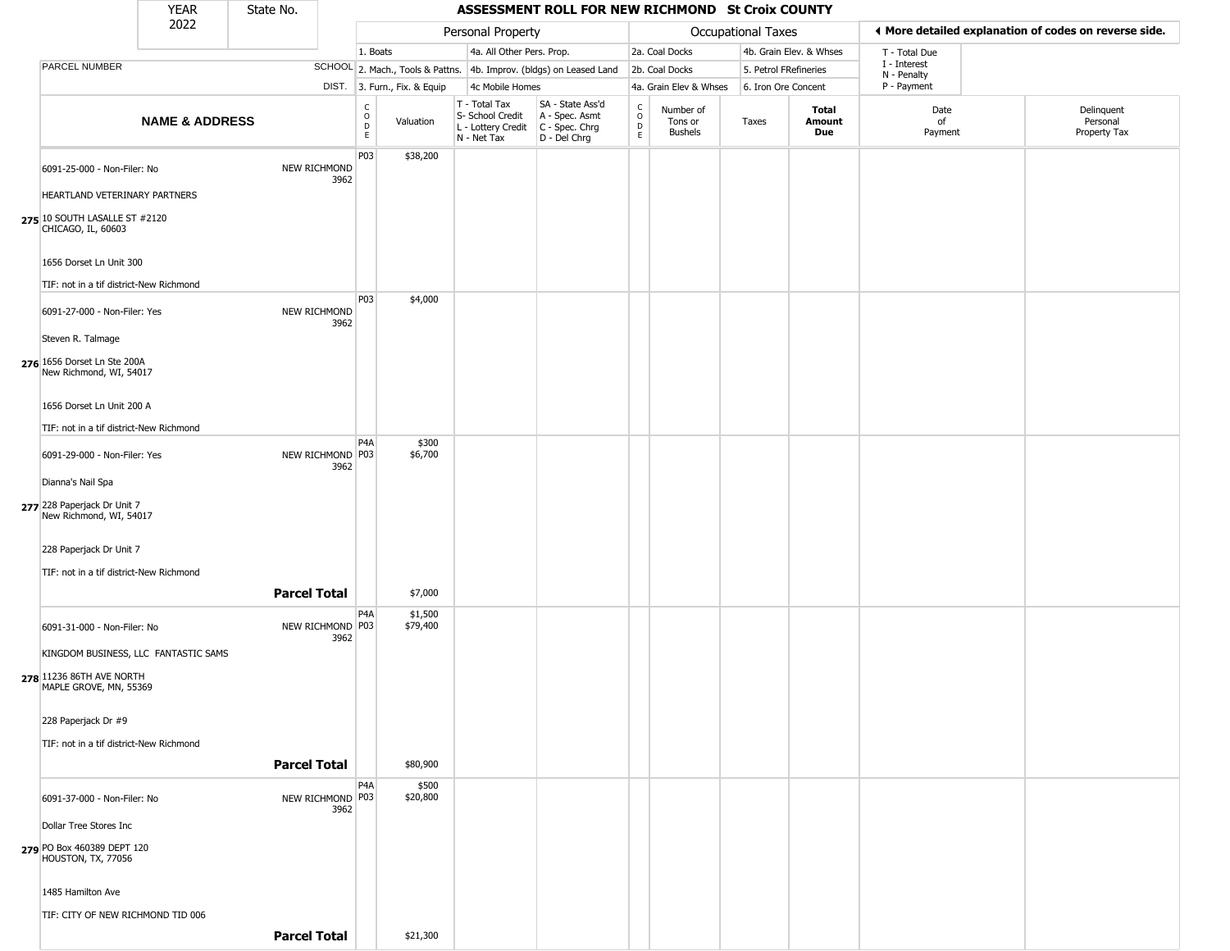|                                                                                                                                                   | <b>YEAR</b>               | State No.           |                          |                              |                              |                                                                        | ASSESSMENT ROLL FOR NEW RICHMOND St Croix COUNTY                     |                  |                                        |                       |                         |                             |                                                       |
|---------------------------------------------------------------------------------------------------------------------------------------------------|---------------------------|---------------------|--------------------------|------------------------------|------------------------------|------------------------------------------------------------------------|----------------------------------------------------------------------|------------------|----------------------------------------|-----------------------|-------------------------|-----------------------------|-------------------------------------------------------|
|                                                                                                                                                   | 2022                      |                     |                          |                              |                              | Personal Property                                                      |                                                                      |                  |                                        | Occupational Taxes    |                         |                             | ◀ More detailed explanation of codes on reverse side. |
|                                                                                                                                                   |                           |                     |                          | 1. Boats                     |                              | 4a. All Other Pers. Prop.                                              |                                                                      |                  | 2a. Coal Docks                         |                       | 4b. Grain Elev. & Whses | T - Total Due               |                                                       |
| PARCEL NUMBER                                                                                                                                     |                           |                     |                          |                              |                              |                                                                        | SCHOOL 2. Mach., Tools & Pattns. 4b. Improv. (bldgs) on Leased Land  |                  | 2b. Coal Docks                         | 5. Petrol FRefineries |                         | I - Interest<br>N - Penalty |                                                       |
|                                                                                                                                                   |                           |                     |                          |                              | DIST. 3. Furn., Fix. & Equip | 4c Mobile Homes                                                        |                                                                      |                  | 4a. Grain Elev & Whses                 | 6. Iron Ore Concent   |                         | P - Payment                 |                                                       |
|                                                                                                                                                   | <b>NAME &amp; ADDRESS</b> |                     |                          | $_{\rm o}^{\rm c}$<br>D<br>E | Valuation                    | T - Total Tax<br>S- School Credit<br>L - Lottery Credit<br>N - Net Tax | SA - State Ass'd<br>A - Spec. Asmt<br>C - Spec. Chrg<br>D - Del Chrg | C<br>D<br>E<br>E | Number of<br>Tons or<br><b>Bushels</b> | Taxes                 | Total<br>Amount<br>Due  | Date<br>of<br>Payment       | Delinquent<br>Personal<br>Property Tax                |
| 6091-25-000 - Non-Filer: No<br>HEARTLAND VETERINARY PARTNERS                                                                                      |                           |                     | NEW RICHMOND<br>3962     | P03                          | \$38,200                     |                                                                        |                                                                      |                  |                                        |                       |                         |                             |                                                       |
| 275 10 SOUTH LASALLE ST #2120<br>CHICAGO, IL, 60603                                                                                               |                           |                     |                          |                              |                              |                                                                        |                                                                      |                  |                                        |                       |                         |                             |                                                       |
| 1656 Dorset Ln Unit 300<br>TIF: not in a tif district-New Richmond                                                                                |                           |                     |                          |                              |                              |                                                                        |                                                                      |                  |                                        |                       |                         |                             |                                                       |
| 6091-27-000 - Non-Filer: Yes<br>Steven R. Talmage                                                                                                 |                           |                     | NEW RICHMOND<br>3962     | P03                          | \$4,000                      |                                                                        |                                                                      |                  |                                        |                       |                         |                             |                                                       |
| 276 1656 Dorset Ln Ste 200A<br>New Richmond, WI, 54017<br>1656 Dorset Ln Unit 200 A                                                               |                           |                     |                          |                              |                              |                                                                        |                                                                      |                  |                                        |                       |                         |                             |                                                       |
| TIF: not in a tif district-New Richmond                                                                                                           |                           |                     |                          |                              |                              |                                                                        |                                                                      |                  |                                        |                       |                         |                             |                                                       |
| 6091-29-000 - Non-Filer: Yes                                                                                                                      |                           |                     | NEW RICHMOND P03<br>3962 | P <sub>4</sub> A             | \$300<br>\$6,700             |                                                                        |                                                                      |                  |                                        |                       |                         |                             |                                                       |
| Dianna's Nail Spa<br>277 228 Paperjack Dr Unit 7<br>New Richmond, WI, 54017<br>228 Paperjack Dr Unit 7<br>TIF: not in a tif district-New Richmond |                           |                     |                          |                              |                              |                                                                        |                                                                      |                  |                                        |                       |                         |                             |                                                       |
|                                                                                                                                                   |                           | <b>Parcel Total</b> |                          |                              | \$7,000                      |                                                                        |                                                                      |                  |                                        |                       |                         |                             |                                                       |
| 6091-31-000 - Non-Filer: No<br>KINGDOM BUSINESS, LLC FANTASTIC SAMS<br>278 11236 86TH AVE NORTH<br>MAPLE GROVE, MN, 55369                         |                           |                     | NEW RICHMOND P03<br>3962 | P4A                          | \$1,500<br>\$79,400          |                                                                        |                                                                      |                  |                                        |                       |                         |                             |                                                       |
| 228 Paperjack Dr #9<br>TIF: not in a tif district-New Richmond                                                                                    |                           |                     |                          |                              |                              |                                                                        |                                                                      |                  |                                        |                       |                         |                             |                                                       |
|                                                                                                                                                   |                           | <b>Parcel Total</b> |                          |                              | \$80,900                     |                                                                        |                                                                      |                  |                                        |                       |                         |                             |                                                       |
| 6091-37-000 - Non-Filer: No                                                                                                                       |                           |                     | NEW RICHMOND P03         | P <sub>4</sub> A             | \$500<br>\$20,800            |                                                                        |                                                                      |                  |                                        |                       |                         |                             |                                                       |
| Dollar Tree Stores Inc                                                                                                                            |                           |                     | 3962                     |                              |                              |                                                                        |                                                                      |                  |                                        |                       |                         |                             |                                                       |
|                                                                                                                                                   |                           |                     |                          |                              |                              |                                                                        |                                                                      |                  |                                        |                       |                         |                             |                                                       |
| 279 PO Box 460389 DEPT 120<br>HOUSTON, TX, 77056                                                                                                  |                           |                     |                          |                              |                              |                                                                        |                                                                      |                  |                                        |                       |                         |                             |                                                       |
| 1485 Hamilton Ave                                                                                                                                 |                           |                     |                          |                              |                              |                                                                        |                                                                      |                  |                                        |                       |                         |                             |                                                       |
| TIF: CITY OF NEW RICHMOND TID 006                                                                                                                 |                           | <b>Parcel Total</b> |                          |                              | \$21,300                     |                                                                        |                                                                      |                  |                                        |                       |                         |                             |                                                       |
|                                                                                                                                                   |                           |                     |                          |                              |                              |                                                                        |                                                                      |                  |                                        |                       |                         |                             |                                                       |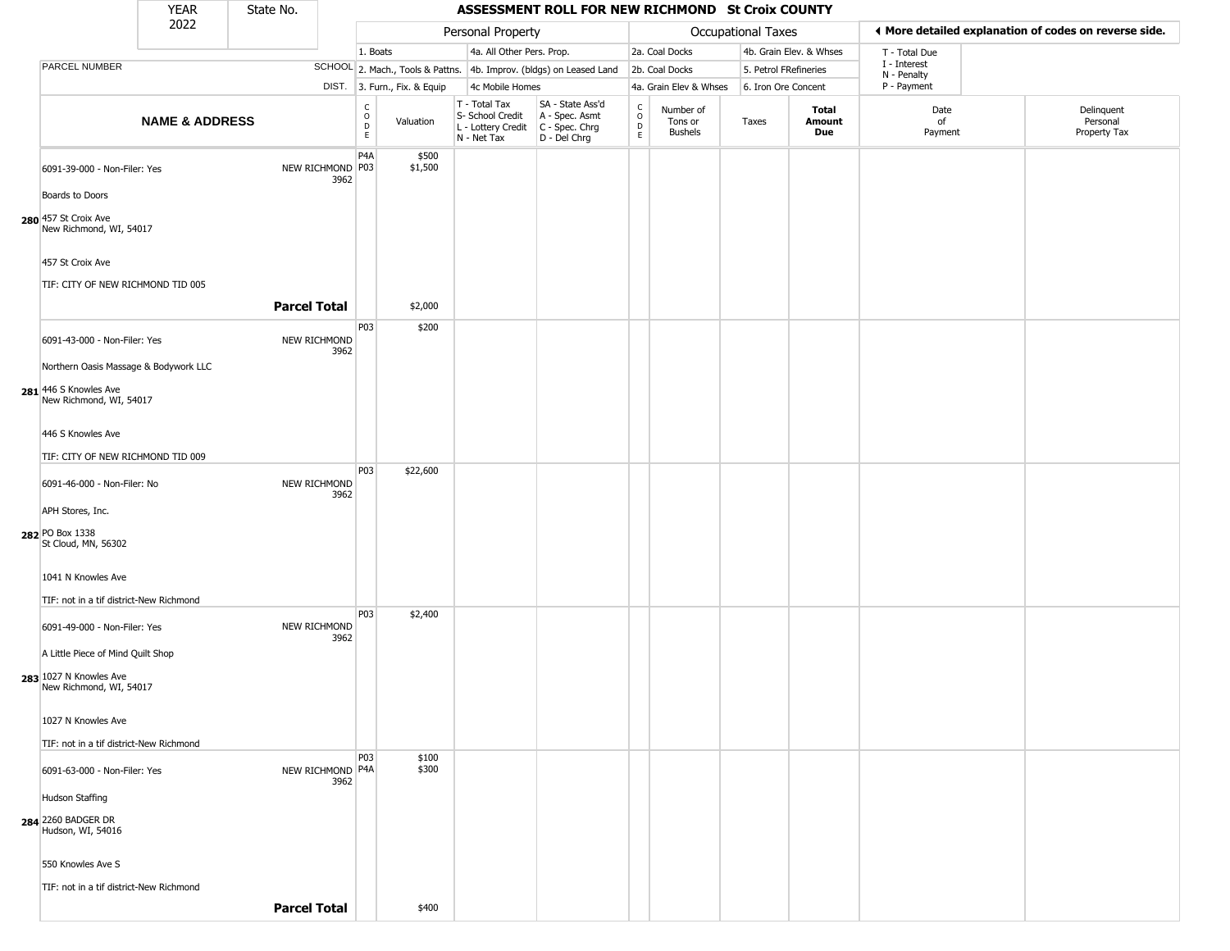|                                                                                           | <b>YEAR</b>               | State No.           |      |                                                 |                              |                                                                                         | ASSESSMENT ROLL FOR NEW RICHMOND St Croix COUNTY                    |                                                                    |                                 |                       |                         |                             |                                                       |
|-------------------------------------------------------------------------------------------|---------------------------|---------------------|------|-------------------------------------------------|------------------------------|-----------------------------------------------------------------------------------------|---------------------------------------------------------------------|--------------------------------------------------------------------|---------------------------------|-----------------------|-------------------------|-----------------------------|-------------------------------------------------------|
|                                                                                           | 2022                      |                     |      |                                                 |                              | Personal Property                                                                       |                                                                     |                                                                    |                                 | Occupational Taxes    |                         |                             | ♦ More detailed explanation of codes on reverse side. |
|                                                                                           |                           |                     |      | 1. Boats                                        |                              | 4a. All Other Pers. Prop.                                                               |                                                                     |                                                                    | 2a. Coal Docks                  |                       | 4b. Grain Elev. & Whses | T - Total Due               |                                                       |
| PARCEL NUMBER                                                                             |                           |                     |      |                                                 |                              |                                                                                         | SCHOOL 2. Mach., Tools & Pattns. 4b. Improv. (bldgs) on Leased Land |                                                                    | 2b. Coal Docks                  | 5. Petrol FRefineries |                         | I - Interest<br>N - Penalty |                                                       |
|                                                                                           |                           |                     |      |                                                 | DIST. 3. Furn., Fix. & Equip | 4c Mobile Homes                                                                         |                                                                     |                                                                    | 4a. Grain Elev & Whses          | 6. Iron Ore Concent   |                         | P - Payment                 |                                                       |
|                                                                                           | <b>NAME &amp; ADDRESS</b> |                     |      | $\begin{matrix} 0 \\ 0 \\ D \end{matrix}$<br>E. | Valuation                    | T - Total Tax<br>S- School Credit<br>L - Lottery Credit   C - Spec. Chrg<br>N - Net Tax | SA - State Ass'd<br>A - Spec. Asmt<br>D - Del Chrg                  | $\begin{smallmatrix} C \\ O \\ D \end{smallmatrix}$<br>$\mathsf E$ | Number of<br>Tons or<br>Bushels | Taxes                 | Total<br>Amount<br>Due  | Date<br>of<br>Payment       | Delinquent<br>Personal<br>Property Tax                |
| 6091-39-000 - Non-Filer: Yes<br>Boards to Doors                                           |                           | NEW RICHMOND P03    | 3962 | P <sub>4</sub> A                                | \$500<br>\$1,500             |                                                                                         |                                                                     |                                                                    |                                 |                       |                         |                             |                                                       |
| 280 457 St Croix Ave<br>New Richmond, WI, 54017                                           |                           |                     |      |                                                 |                              |                                                                                         |                                                                     |                                                                    |                                 |                       |                         |                             |                                                       |
| 457 St Croix Ave<br>TIF: CITY OF NEW RICHMOND TID 005                                     |                           |                     |      |                                                 |                              |                                                                                         |                                                                     |                                                                    |                                 |                       |                         |                             |                                                       |
|                                                                                           |                           | <b>Parcel Total</b> |      |                                                 | \$2,000                      |                                                                                         |                                                                     |                                                                    |                                 |                       |                         |                             |                                                       |
| 6091-43-000 - Non-Filer: Yes                                                              |                           | NEW RICHMOND        | 3962 | P03                                             | \$200                        |                                                                                         |                                                                     |                                                                    |                                 |                       |                         |                             |                                                       |
| Northern Oasis Massage & Bodywork LLC<br>281 446 S Knowles Ave<br>New Richmond, WI, 54017 |                           |                     |      |                                                 |                              |                                                                                         |                                                                     |                                                                    |                                 |                       |                         |                             |                                                       |
| 446 S Knowles Ave                                                                         |                           |                     |      |                                                 |                              |                                                                                         |                                                                     |                                                                    |                                 |                       |                         |                             |                                                       |
| TIF: CITY OF NEW RICHMOND TID 009                                                         |                           |                     |      |                                                 |                              |                                                                                         |                                                                     |                                                                    |                                 |                       |                         |                             |                                                       |
| 6091-46-000 - Non-Filer: No                                                               |                           | NEW RICHMOND        | 3962 | P03                                             | \$22,600                     |                                                                                         |                                                                     |                                                                    |                                 |                       |                         |                             |                                                       |
| APH Stores, Inc.                                                                          |                           |                     |      |                                                 |                              |                                                                                         |                                                                     |                                                                    |                                 |                       |                         |                             |                                                       |
| 282 PO Box 1338<br>St Cloud, MN, 56302                                                    |                           |                     |      |                                                 |                              |                                                                                         |                                                                     |                                                                    |                                 |                       |                         |                             |                                                       |
| 1041 N Knowles Ave                                                                        |                           |                     |      |                                                 |                              |                                                                                         |                                                                     |                                                                    |                                 |                       |                         |                             |                                                       |
| TIF: not in a tif district-New Richmond                                                   |                           |                     |      | P03                                             | \$2,400                      |                                                                                         |                                                                     |                                                                    |                                 |                       |                         |                             |                                                       |
| 6091-49-000 - Non-Filer: Yes<br>A Little Piece of Mind Quilt Shop                         |                           | NEW RICHMOND        | 3962 |                                                 |                              |                                                                                         |                                                                     |                                                                    |                                 |                       |                         |                             |                                                       |
| 283 1027 N Knowles Ave<br>New Richmond, WI, 54017                                         |                           |                     |      |                                                 |                              |                                                                                         |                                                                     |                                                                    |                                 |                       |                         |                             |                                                       |
| 1027 N Knowles Ave                                                                        |                           |                     |      |                                                 |                              |                                                                                         |                                                                     |                                                                    |                                 |                       |                         |                             |                                                       |
| TIF: not in a tif district-New Richmond                                                   |                           |                     |      | P03                                             | \$100                        |                                                                                         |                                                                     |                                                                    |                                 |                       |                         |                             |                                                       |
| 6091-63-000 - Non-Filer: Yes                                                              |                           | NEW RICHMOND P4A    | 3962 |                                                 | \$300                        |                                                                                         |                                                                     |                                                                    |                                 |                       |                         |                             |                                                       |
| Hudson Staffing                                                                           |                           |                     |      |                                                 |                              |                                                                                         |                                                                     |                                                                    |                                 |                       |                         |                             |                                                       |
| 284 2260 BADGER DR<br>Hudson, WI, 54016                                                   |                           |                     |      |                                                 |                              |                                                                                         |                                                                     |                                                                    |                                 |                       |                         |                             |                                                       |
| 550 Knowles Ave S                                                                         |                           |                     |      |                                                 |                              |                                                                                         |                                                                     |                                                                    |                                 |                       |                         |                             |                                                       |
| TIF: not in a tif district-New Richmond                                                   |                           | <b>Parcel Total</b> |      |                                                 | \$400                        |                                                                                         |                                                                     |                                                                    |                                 |                       |                         |                             |                                                       |
|                                                                                           |                           |                     |      |                                                 |                              |                                                                                         |                                                                     |                                                                    |                                 |                       |                         |                             |                                                       |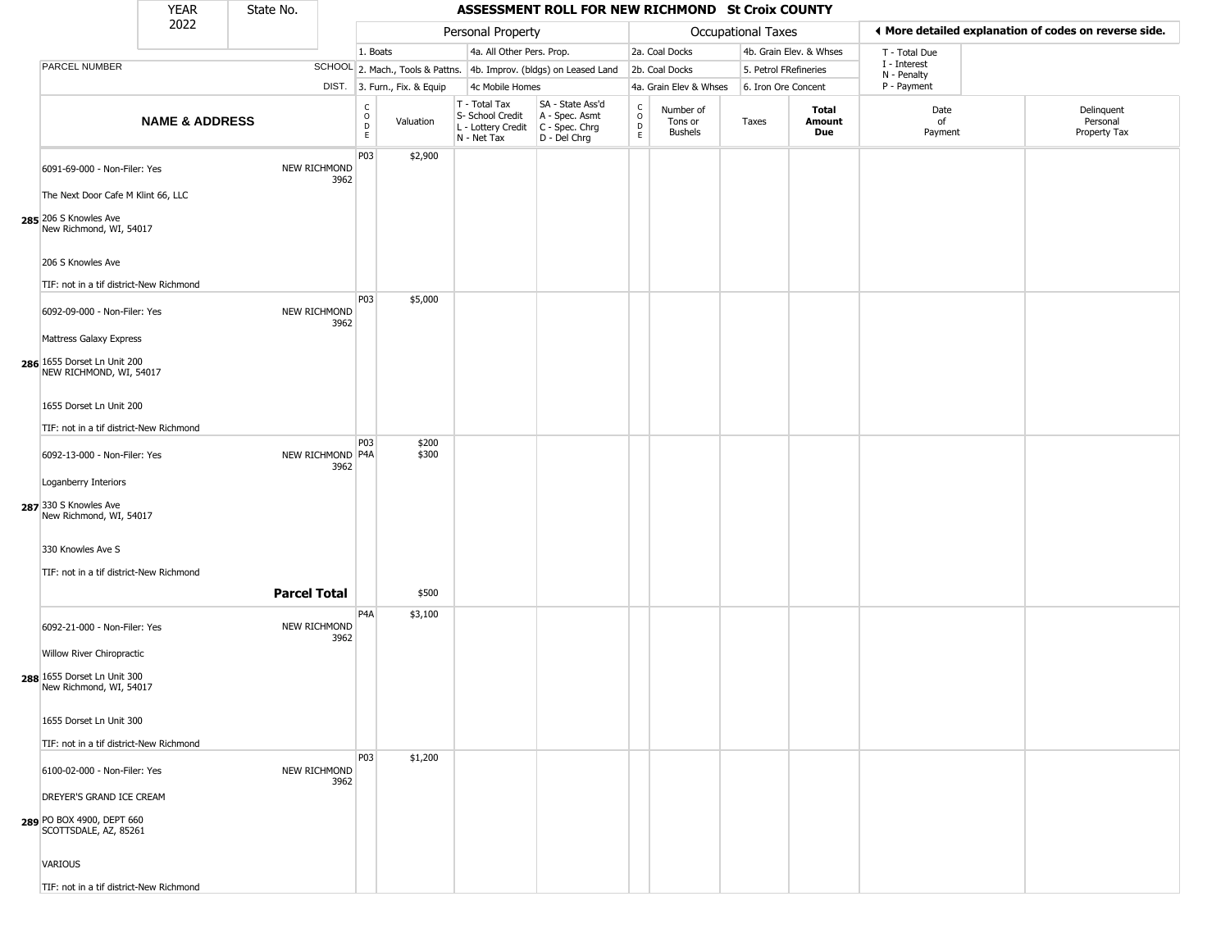|                                                        | <b>YEAR</b>               | State No.           |                          |                                                  |                              |                                                                        | ASSESSMENT ROLL FOR NEW RICHMOND St Croix COUNTY                     |                                   |                                        |                    |                         |                             |                                                       |
|--------------------------------------------------------|---------------------------|---------------------|--------------------------|--------------------------------------------------|------------------------------|------------------------------------------------------------------------|----------------------------------------------------------------------|-----------------------------------|----------------------------------------|--------------------|-------------------------|-----------------------------|-------------------------------------------------------|
|                                                        | 2022                      |                     |                          |                                                  |                              | Personal Property                                                      |                                                                      |                                   |                                        | Occupational Taxes |                         |                             | ◀ More detailed explanation of codes on reverse side. |
|                                                        |                           |                     |                          | 1. Boats                                         |                              | 4a. All Other Pers. Prop.                                              |                                                                      |                                   | 2a. Coal Docks                         |                    | 4b. Grain Elev. & Whses | T - Total Due               |                                                       |
| PARCEL NUMBER                                          |                           |                     |                          |                                                  |                              |                                                                        | SCHOOL 2. Mach., Tools & Pattns. 4b. Improv. (bldgs) on Leased Land  |                                   | 2b. Coal Docks                         |                    | 5. Petrol FRefineries   | I - Interest<br>N - Penalty |                                                       |
|                                                        |                           |                     |                          |                                                  | DIST. 3. Furn., Fix. & Equip | 4c Mobile Homes                                                        |                                                                      |                                   | 4a. Grain Elev & Whses                 |                    | 6. Iron Ore Concent     | P - Payment                 |                                                       |
|                                                        | <b>NAME &amp; ADDRESS</b> |                     |                          | $\mathsf{C}$<br>$\mathsf{o}$<br>$\mathsf D$<br>E | Valuation                    | T - Total Tax<br>S- School Credit<br>L - Lottery Credit<br>N - Net Tax | SA - State Ass'd<br>A - Spec. Asmt<br>C - Spec. Chrg<br>D - Del Chrg | C<br>$\circ$<br>$\mathsf{D}$<br>E | Number of<br>Tons or<br><b>Bushels</b> | Taxes              | Total<br>Amount<br>Due  | Date<br>of<br>Payment       | Delinquent<br>Personal<br>Property Tax                |
| 6091-69-000 - Non-Filer: Yes                           |                           |                     | NEW RICHMOND<br>3962     | P03                                              | \$2,900                      |                                                                        |                                                                      |                                   |                                        |                    |                         |                             |                                                       |
| The Next Door Cafe M Klint 66, LLC                     |                           |                     |                          |                                                  |                              |                                                                        |                                                                      |                                   |                                        |                    |                         |                             |                                                       |
| 285 206 S Knowles Ave<br>New Richmond, WI, 54017       |                           |                     |                          |                                                  |                              |                                                                        |                                                                      |                                   |                                        |                    |                         |                             |                                                       |
| 206 S Knowles Ave                                      |                           |                     |                          |                                                  |                              |                                                                        |                                                                      |                                   |                                        |                    |                         |                             |                                                       |
| TIF: not in a tif district-New Richmond                |                           |                     |                          |                                                  |                              |                                                                        |                                                                      |                                   |                                        |                    |                         |                             |                                                       |
| 6092-09-000 - Non-Filer: Yes                           |                           |                     | NEW RICHMOND<br>3962     | P03                                              | \$5,000                      |                                                                        |                                                                      |                                   |                                        |                    |                         |                             |                                                       |
| Mattress Galaxy Express                                |                           |                     |                          |                                                  |                              |                                                                        |                                                                      |                                   |                                        |                    |                         |                             |                                                       |
| 286 1655 Dorset Ln Unit 200<br>NEW RICHMOND, WI, 54017 |                           |                     |                          |                                                  |                              |                                                                        |                                                                      |                                   |                                        |                    |                         |                             |                                                       |
| 1655 Dorset Ln Unit 200                                |                           |                     |                          |                                                  |                              |                                                                        |                                                                      |                                   |                                        |                    |                         |                             |                                                       |
| TIF: not in a tif district-New Richmond                |                           |                     |                          |                                                  |                              |                                                                        |                                                                      |                                   |                                        |                    |                         |                             |                                                       |
| 6092-13-000 - Non-Filer: Yes                           |                           |                     | NEW RICHMOND P4A<br>3962 | P03                                              | \$200<br>\$300               |                                                                        |                                                                      |                                   |                                        |                    |                         |                             |                                                       |
| Loganberry Interiors                                   |                           |                     |                          |                                                  |                              |                                                                        |                                                                      |                                   |                                        |                    |                         |                             |                                                       |
| 287 330 S Knowles Ave<br>New Richmond, WI, 54017       |                           |                     |                          |                                                  |                              |                                                                        |                                                                      |                                   |                                        |                    |                         |                             |                                                       |
| 330 Knowles Ave S                                      |                           |                     |                          |                                                  |                              |                                                                        |                                                                      |                                   |                                        |                    |                         |                             |                                                       |
| TIF: not in a tif district-New Richmond                |                           |                     |                          |                                                  |                              |                                                                        |                                                                      |                                   |                                        |                    |                         |                             |                                                       |
|                                                        |                           | <b>Parcel Total</b> |                          |                                                  | \$500                        |                                                                        |                                                                      |                                   |                                        |                    |                         |                             |                                                       |
| 6092-21-000 - Non-Filer: Yes                           |                           |                     | NEW RICHMOND<br>3962     | P4A                                              | \$3,100                      |                                                                        |                                                                      |                                   |                                        |                    |                         |                             |                                                       |
| <b>Willow River Chiropractic</b>                       |                           |                     |                          |                                                  |                              |                                                                        |                                                                      |                                   |                                        |                    |                         |                             |                                                       |
| 288 1655 Dorset Ln Unit 300<br>New Richmond, WI, 54017 |                           |                     |                          |                                                  |                              |                                                                        |                                                                      |                                   |                                        |                    |                         |                             |                                                       |
| 1655 Dorset Ln Unit 300                                |                           |                     |                          |                                                  |                              |                                                                        |                                                                      |                                   |                                        |                    |                         |                             |                                                       |
| TIF: not in a tif district-New Richmond                |                           |                     |                          |                                                  |                              |                                                                        |                                                                      |                                   |                                        |                    |                         |                             |                                                       |
| 6100-02-000 - Non-Filer: Yes                           |                           |                     | NEW RICHMOND<br>3962     | P03                                              | \$1,200                      |                                                                        |                                                                      |                                   |                                        |                    |                         |                             |                                                       |
| DREYER'S GRAND ICE CREAM                               |                           |                     |                          |                                                  |                              |                                                                        |                                                                      |                                   |                                        |                    |                         |                             |                                                       |
| 289 PO BOX 4900, DEPT 660<br>SCOTTSDALE, AZ, 85261     |                           |                     |                          |                                                  |                              |                                                                        |                                                                      |                                   |                                        |                    |                         |                             |                                                       |
| VARIOUS                                                |                           |                     |                          |                                                  |                              |                                                                        |                                                                      |                                   |                                        |                    |                         |                             |                                                       |
| TIF: not in a tif district-New Richmond                |                           |                     |                          |                                                  |                              |                                                                        |                                                                      |                                   |                                        |                    |                         |                             |                                                       |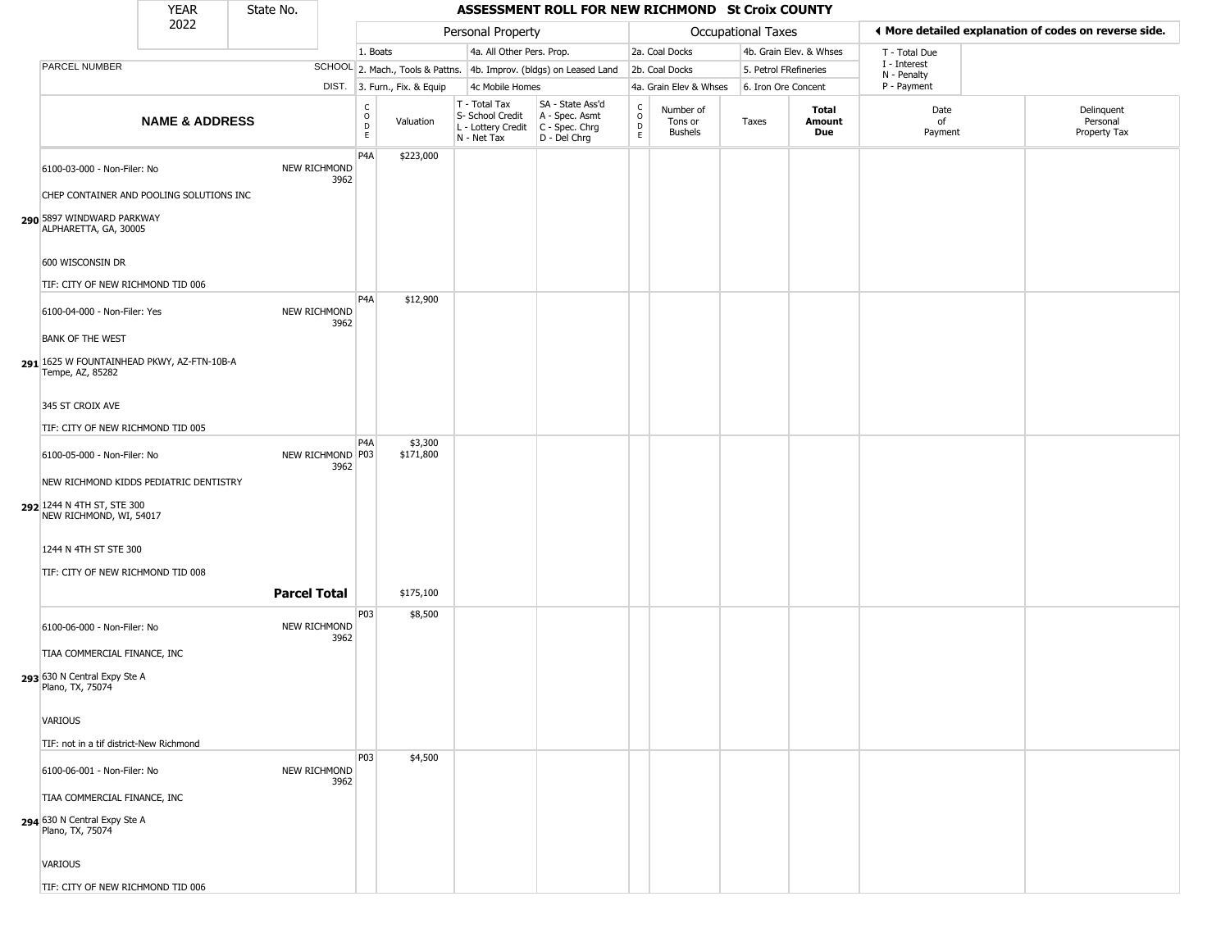|                                                                                                 | <b>YEAR</b>               | State No.           |                          |                        |                              |                                                                        | ASSESSMENT ROLL FOR NEW RICHMOND St Croix COUNTY                     |                                   |                                        |                       |                         |                             |                                                       |
|-------------------------------------------------------------------------------------------------|---------------------------|---------------------|--------------------------|------------------------|------------------------------|------------------------------------------------------------------------|----------------------------------------------------------------------|-----------------------------------|----------------------------------------|-----------------------|-------------------------|-----------------------------|-------------------------------------------------------|
|                                                                                                 | 2022                      |                     |                          |                        |                              | Personal Property                                                      |                                                                      |                                   |                                        | Occupational Taxes    |                         |                             | ♦ More detailed explanation of codes on reverse side. |
|                                                                                                 |                           |                     |                          | 1. Boats               |                              | 4a. All Other Pers. Prop.                                              |                                                                      |                                   | 2a. Coal Docks                         |                       | 4b. Grain Elev. & Whses | T - Total Due               |                                                       |
| PARCEL NUMBER                                                                                   |                           |                     |                          |                        |                              |                                                                        | SCHOOL 2. Mach., Tools & Pattns. 4b. Improv. (bldgs) on Leased Land  |                                   | 2b. Coal Docks                         | 5. Petrol FRefineries |                         | I - Interest<br>N - Penalty |                                                       |
|                                                                                                 |                           |                     |                          |                        | DIST. 3. Furn., Fix. & Equip | 4c Mobile Homes                                                        |                                                                      |                                   | 4a. Grain Elev & Whses                 | 6. Iron Ore Concent   |                         | P - Payment                 |                                                       |
|                                                                                                 | <b>NAME &amp; ADDRESS</b> |                     |                          | C<br>$\circ$<br>D<br>E | Valuation                    | T - Total Tax<br>S- School Credit<br>L - Lottery Credit<br>N - Net Tax | SA - State Ass'd<br>A - Spec. Asmt<br>C - Spec. Chrg<br>D - Del Chrg | C<br>$\circ$<br>$\mathsf{D}$<br>E | Number of<br>Tons or<br><b>Bushels</b> | Taxes                 | Total<br>Amount<br>Due  | Date<br>of<br>Payment       | Delinquent<br>Personal<br>Property Tax                |
| 6100-03-000 - Non-Filer: No                                                                     |                           |                     | NEW RICHMOND<br>3962     | P <sub>4</sub> A       | \$223,000                    |                                                                        |                                                                      |                                   |                                        |                       |                         |                             |                                                       |
| CHEP CONTAINER AND POOLING SOLUTIONS INC                                                        |                           |                     |                          |                        |                              |                                                                        |                                                                      |                                   |                                        |                       |                         |                             |                                                       |
| 290 5897 WINDWARD PARKWAY<br>ALPHARETTA, GA, 30005                                              |                           |                     |                          |                        |                              |                                                                        |                                                                      |                                   |                                        |                       |                         |                             |                                                       |
| 600 WISCONSIN DR                                                                                |                           |                     |                          |                        |                              |                                                                        |                                                                      |                                   |                                        |                       |                         |                             |                                                       |
| TIF: CITY OF NEW RICHMOND TID 006                                                               |                           |                     |                          |                        |                              |                                                                        |                                                                      |                                   |                                        |                       |                         |                             |                                                       |
| 6100-04-000 - Non-Filer: Yes                                                                    |                           |                     | NEW RICHMOND<br>3962     | P <sub>4</sub> A       | \$12,900                     |                                                                        |                                                                      |                                   |                                        |                       |                         |                             |                                                       |
| <b>BANK OF THE WEST</b><br>291 1625 W FOUNTAINHEAD PKWY, AZ-FTN-10B-A<br>Tempe, AZ, 85282       |                           |                     |                          |                        |                              |                                                                        |                                                                      |                                   |                                        |                       |                         |                             |                                                       |
| 345 ST CROIX AVE                                                                                |                           |                     |                          |                        |                              |                                                                        |                                                                      |                                   |                                        |                       |                         |                             |                                                       |
| TIF: CITY OF NEW RICHMOND TID 005                                                               |                           |                     |                          |                        |                              |                                                                        |                                                                      |                                   |                                        |                       |                         |                             |                                                       |
| 6100-05-000 - Non-Filer: No                                                                     |                           |                     | NEW RICHMOND P03<br>3962 | P4A                    | \$3,300<br>\$171,800         |                                                                        |                                                                      |                                   |                                        |                       |                         |                             |                                                       |
| NEW RICHMOND KIDDS PEDIATRIC DENTISTRY<br>292 1244 N 4TH ST, STE 300<br>NEW RICHMOND, WI, 54017 |                           |                     |                          |                        |                              |                                                                        |                                                                      |                                   |                                        |                       |                         |                             |                                                       |
| 1244 N 4TH ST STE 300                                                                           |                           |                     |                          |                        |                              |                                                                        |                                                                      |                                   |                                        |                       |                         |                             |                                                       |
| TIF: CITY OF NEW RICHMOND TID 008                                                               |                           |                     |                          |                        |                              |                                                                        |                                                                      |                                   |                                        |                       |                         |                             |                                                       |
|                                                                                                 |                           | <b>Parcel Total</b> |                          |                        | \$175,100                    |                                                                        |                                                                      |                                   |                                        |                       |                         |                             |                                                       |
| 6100-06-000 - Non-Filer: No                                                                     |                           |                     | NEW RICHMOND<br>3962     | P03                    | \$8,500                      |                                                                        |                                                                      |                                   |                                        |                       |                         |                             |                                                       |
| TIAA COMMERCIAL FINANCE, INC<br>293 630 N Central Expy Ste A<br>Plano, TX, 75074                |                           |                     |                          |                        |                              |                                                                        |                                                                      |                                   |                                        |                       |                         |                             |                                                       |
| <b>VARIOUS</b>                                                                                  |                           |                     |                          |                        |                              |                                                                        |                                                                      |                                   |                                        |                       |                         |                             |                                                       |
| TIF: not in a tif district-New Richmond                                                         |                           |                     |                          | P03                    | \$4,500                      |                                                                        |                                                                      |                                   |                                        |                       |                         |                             |                                                       |
| 6100-06-001 - Non-Filer: No                                                                     |                           |                     | NEW RICHMOND<br>3962     |                        |                              |                                                                        |                                                                      |                                   |                                        |                       |                         |                             |                                                       |
| TIAA COMMERCIAL FINANCE, INC                                                                    |                           |                     |                          |                        |                              |                                                                        |                                                                      |                                   |                                        |                       |                         |                             |                                                       |
| 294 630 N Central Expy Ste A<br>Plano, TX, 75074                                                |                           |                     |                          |                        |                              |                                                                        |                                                                      |                                   |                                        |                       |                         |                             |                                                       |
| <b>VARIOUS</b>                                                                                  |                           |                     |                          |                        |                              |                                                                        |                                                                      |                                   |                                        |                       |                         |                             |                                                       |
| TIF: CITY OF NEW RICHMOND TID 006                                                               |                           |                     |                          |                        |                              |                                                                        |                                                                      |                                   |                                        |                       |                         |                             |                                                       |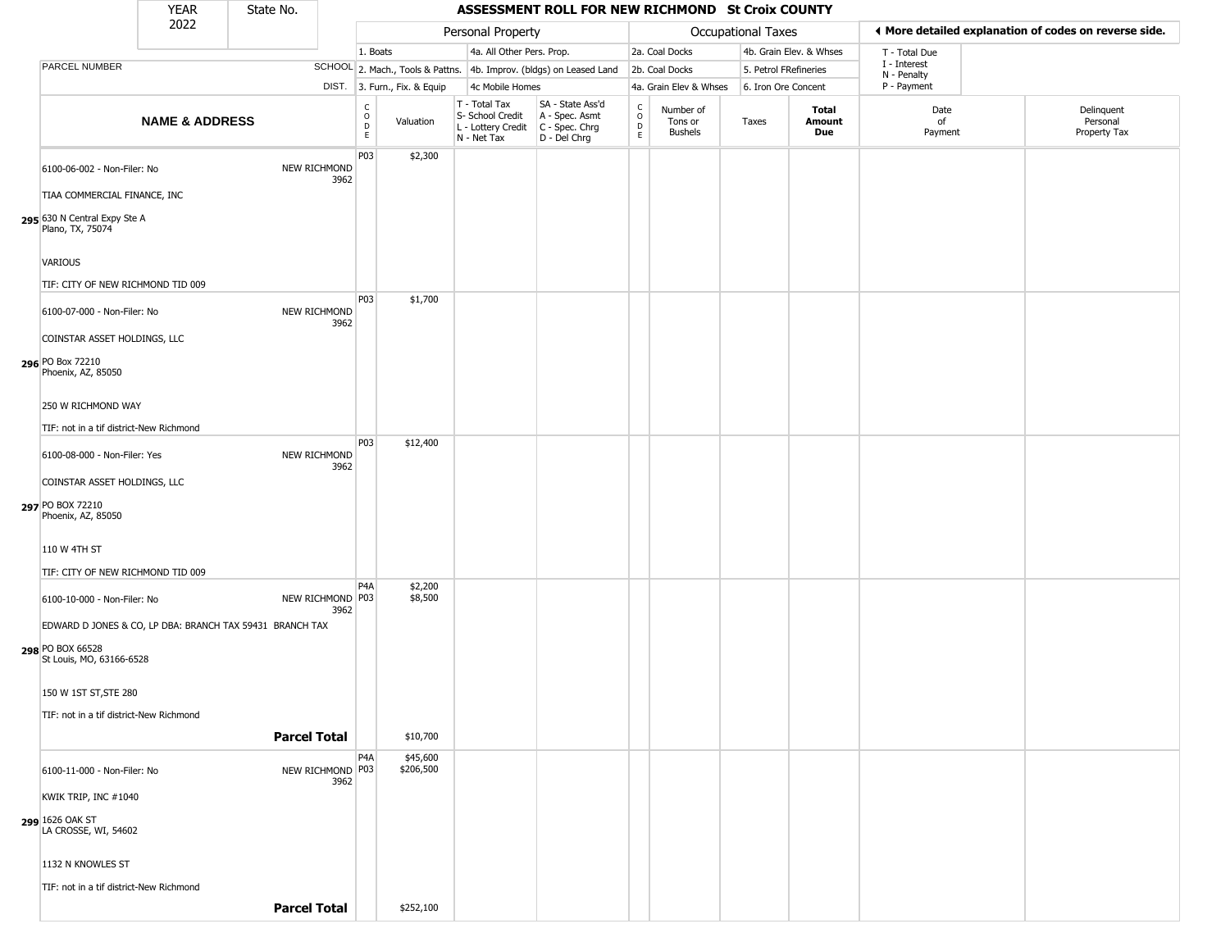|                                                             | <b>YEAR</b>               | State No.           |                             |                                        |                              |                                                                                         | ASSESSMENT ROLL FOR NEW RICHMOND St Croix COUNTY                    |                                                      |                                        |                    |                         |                             |                                                       |
|-------------------------------------------------------------|---------------------------|---------------------|-----------------------------|----------------------------------------|------------------------------|-----------------------------------------------------------------------------------------|---------------------------------------------------------------------|------------------------------------------------------|----------------------------------------|--------------------|-------------------------|-----------------------------|-------------------------------------------------------|
|                                                             | 2022                      |                     |                             |                                        |                              | Personal Property                                                                       |                                                                     |                                                      |                                        | Occupational Taxes |                         |                             | ◀ More detailed explanation of codes on reverse side. |
|                                                             |                           |                     |                             | 1. Boats                               |                              | 4a. All Other Pers. Prop.                                                               |                                                                     |                                                      | 2a. Coal Docks                         |                    | 4b. Grain Elev. & Whses | T - Total Due               |                                                       |
| PARCEL NUMBER                                               |                           |                     |                             |                                        |                              |                                                                                         | SCHOOL 2. Mach., Tools & Pattns. 4b. Improv. (bldgs) on Leased Land |                                                      | 2b. Coal Docks                         |                    | 5. Petrol FRefineries   | I - Interest<br>N - Penalty |                                                       |
|                                                             |                           |                     |                             |                                        | DIST. 3. Furn., Fix. & Equip | 4c Mobile Homes                                                                         |                                                                     |                                                      | 4a. Grain Elev & Whses                 |                    | 6. Iron Ore Concent     | P - Payment                 |                                                       |
|                                                             | <b>NAME &amp; ADDRESS</b> |                     |                             | $_{\rm o}^{\rm c}$<br>$\mathsf D$<br>E | Valuation                    | T - Total Tax<br>S- School Credit<br>L - Lottery Credit   C - Spec. Chrg<br>N - Net Tax | SA - State Ass'd<br>A - Spec. Asmt<br>D - Del Chrg                  | $\mathsf C$<br>$\circ$<br>$\mathsf D$<br>$\mathsf E$ | Number of<br>Tons or<br><b>Bushels</b> | Taxes              | Total<br>Amount<br>Due  | Date<br>of<br>Payment       | Delinquent<br>Personal<br>Property Tax                |
| 6100-06-002 - Non-Filer: No<br>TIAA COMMERCIAL FINANCE, INC |                           |                     | NEW RICHMOND<br>3962        | P03                                    | \$2,300                      |                                                                                         |                                                                     |                                                      |                                        |                    |                         |                             |                                                       |
| 295 630 N Central Expy Ste A<br>Plano, TX, 75074            |                           |                     |                             |                                        |                              |                                                                                         |                                                                     |                                                      |                                        |                    |                         |                             |                                                       |
| VARIOUS                                                     |                           |                     |                             |                                        |                              |                                                                                         |                                                                     |                                                      |                                        |                    |                         |                             |                                                       |
| TIF: CITY OF NEW RICHMOND TID 009                           |                           |                     |                             | P03                                    | \$1,700                      |                                                                                         |                                                                     |                                                      |                                        |                    |                         |                             |                                                       |
| 6100-07-000 - Non-Filer: No                                 |                           |                     | <b>NEW RICHMOND</b><br>3962 |                                        |                              |                                                                                         |                                                                     |                                                      |                                        |                    |                         |                             |                                                       |
| COINSTAR ASSET HOLDINGS, LLC                                |                           |                     |                             |                                        |                              |                                                                                         |                                                                     |                                                      |                                        |                    |                         |                             |                                                       |
| 296 PO Box 72210<br>Phoenix, AZ, 85050                      |                           |                     |                             |                                        |                              |                                                                                         |                                                                     |                                                      |                                        |                    |                         |                             |                                                       |
| 250 W RICHMOND WAY                                          |                           |                     |                             |                                        |                              |                                                                                         |                                                                     |                                                      |                                        |                    |                         |                             |                                                       |
| TIF: not in a tif district-New Richmond                     |                           |                     |                             |                                        |                              |                                                                                         |                                                                     |                                                      |                                        |                    |                         |                             |                                                       |
| 6100-08-000 - Non-Filer: Yes                                |                           |                     | NEW RICHMOND<br>3962        | P03                                    | \$12,400                     |                                                                                         |                                                                     |                                                      |                                        |                    |                         |                             |                                                       |
| COINSTAR ASSET HOLDINGS, LLC                                |                           |                     |                             |                                        |                              |                                                                                         |                                                                     |                                                      |                                        |                    |                         |                             |                                                       |
| 297 PO BOX 72210<br>Phoenix, AZ, 85050                      |                           |                     |                             |                                        |                              |                                                                                         |                                                                     |                                                      |                                        |                    |                         |                             |                                                       |
| 110 W 4TH ST                                                |                           |                     |                             |                                        |                              |                                                                                         |                                                                     |                                                      |                                        |                    |                         |                             |                                                       |
| TIF: CITY OF NEW RICHMOND TID 009                           |                           |                     |                             |                                        |                              |                                                                                         |                                                                     |                                                      |                                        |                    |                         |                             |                                                       |
| 6100-10-000 - Non-Filer: No                                 |                           |                     | NEW RICHMOND P03<br>3962    | P4A                                    | \$2,200<br>\$8,500           |                                                                                         |                                                                     |                                                      |                                        |                    |                         |                             |                                                       |
| EDWARD D JONES & CO, LP DBA: BRANCH TAX 59431 BRANCH TAX    |                           |                     |                             |                                        |                              |                                                                                         |                                                                     |                                                      |                                        |                    |                         |                             |                                                       |
| 298 PO BOX 66528<br>St Louis, MO, 63166-6528                |                           |                     |                             |                                        |                              |                                                                                         |                                                                     |                                                      |                                        |                    |                         |                             |                                                       |
| 150 W 1ST ST, STE 280                                       |                           |                     |                             |                                        |                              |                                                                                         |                                                                     |                                                      |                                        |                    |                         |                             |                                                       |
| TIF: not in a tif district-New Richmond                     |                           |                     |                             |                                        |                              |                                                                                         |                                                                     |                                                      |                                        |                    |                         |                             |                                                       |
|                                                             |                           | <b>Parcel Total</b> |                             |                                        | \$10,700                     |                                                                                         |                                                                     |                                                      |                                        |                    |                         |                             |                                                       |
| 6100-11-000 - Non-Filer: No                                 |                           |                     | NEW RICHMOND P03<br>3962    | P <sub>4</sub> A                       | \$45,600<br>\$206,500        |                                                                                         |                                                                     |                                                      |                                        |                    |                         |                             |                                                       |
| KWIK TRIP, INC #1040                                        |                           |                     |                             |                                        |                              |                                                                                         |                                                                     |                                                      |                                        |                    |                         |                             |                                                       |
| 299 1626 OAK ST<br>LA CROSSE, WI, 54602                     |                           |                     |                             |                                        |                              |                                                                                         |                                                                     |                                                      |                                        |                    |                         |                             |                                                       |
| 1132 N KNOWLES ST                                           |                           |                     |                             |                                        |                              |                                                                                         |                                                                     |                                                      |                                        |                    |                         |                             |                                                       |
| TIF: not in a tif district-New Richmond                     |                           |                     |                             |                                        |                              |                                                                                         |                                                                     |                                                      |                                        |                    |                         |                             |                                                       |
|                                                             |                           | <b>Parcel Total</b> |                             |                                        | \$252,100                    |                                                                                         |                                                                     |                                                      |                                        |                    |                         |                             |                                                       |
|                                                             |                           |                     |                             |                                        |                              |                                                                                         |                                                                     |                                                      |                                        |                    |                         |                             |                                                       |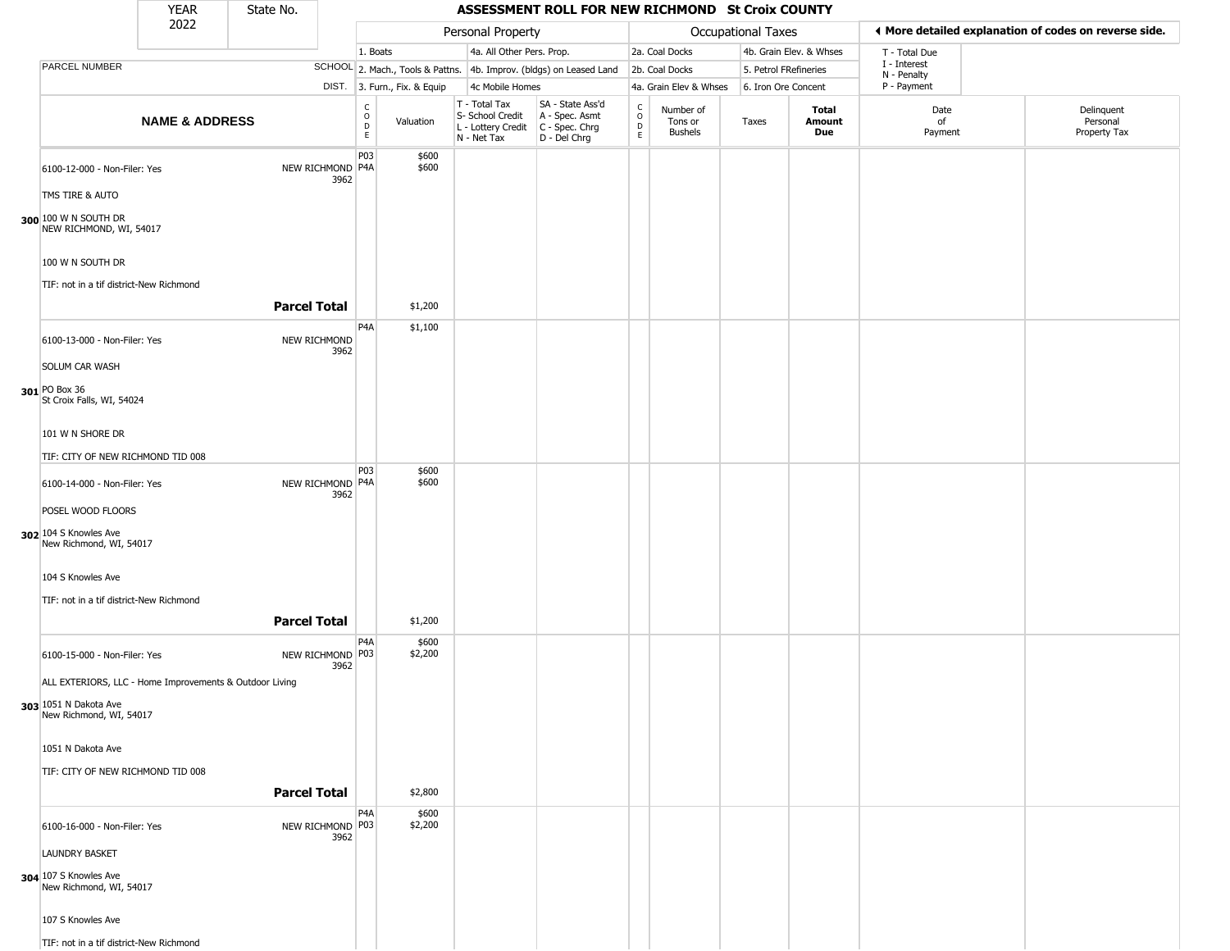|                                                                       | <b>YEAR</b>               | State No.           |                                          |                              |                                                                                         | ASSESSMENT ROLL FOR NEW RICHMOND St Croix COUNTY                    |                         |                                 |                       |                         |                             |                                                       |
|-----------------------------------------------------------------------|---------------------------|---------------------|------------------------------------------|------------------------------|-----------------------------------------------------------------------------------------|---------------------------------------------------------------------|-------------------------|---------------------------------|-----------------------|-------------------------|-----------------------------|-------------------------------------------------------|
|                                                                       | 2022                      |                     |                                          |                              | Personal Property                                                                       |                                                                     |                         |                                 | Occupational Taxes    |                         |                             | ♦ More detailed explanation of codes on reverse side. |
|                                                                       |                           |                     | 1. Boats                                 |                              | 4a. All Other Pers. Prop.                                                               |                                                                     |                         | 2a. Coal Docks                  |                       | 4b. Grain Elev. & Whses | T - Total Due               |                                                       |
| PARCEL NUMBER                                                         |                           |                     |                                          |                              |                                                                                         | SCHOOL 2. Mach., Tools & Pattns. 4b. Improv. (bldgs) on Leased Land |                         | 2b. Coal Docks                  | 5. Petrol FRefineries |                         | I - Interest<br>N - Penalty |                                                       |
|                                                                       |                           |                     |                                          | DIST. 3. Furn., Fix. & Equip | 4c Mobile Homes                                                                         |                                                                     |                         | 4a. Grain Elev & Whses          | 6. Iron Ore Concent   |                         | P - Payment                 |                                                       |
|                                                                       | <b>NAME &amp; ADDRESS</b> |                     | $\frac{c}{0}$<br>$\overline{D}$<br>E     | Valuation                    | T - Total Tax<br>S- School Credit<br>L - Lottery Credit   C - Spec. Chrg<br>N - Net Tax | SA - State Ass'd<br>A - Spec. Asmt<br>D - Del Chrg                  | C<br>$\circ$<br>D<br>E. | Number of<br>Tons or<br>Bushels | Taxes                 | Total<br>Amount<br>Due  | Date<br>of<br>Payment       | Delinquent<br>Personal<br>Property Tax                |
| 6100-12-000 - Non-Filer: Yes<br>TMS TIRE & AUTO                       |                           |                     | P03<br>NEW RICHMOND P4A<br>3962          | \$600<br>\$600               |                                                                                         |                                                                     |                         |                                 |                       |                         |                             |                                                       |
| 300 100 W N SOUTH DR<br>NEW RICHMOND, WI, 54017                       |                           |                     |                                          |                              |                                                                                         |                                                                     |                         |                                 |                       |                         |                             |                                                       |
| 100 W N SOUTH DR                                                      |                           |                     |                                          |                              |                                                                                         |                                                                     |                         |                                 |                       |                         |                             |                                                       |
| TIF: not in a tif district-New Richmond                               |                           | <b>Parcel Total</b> |                                          | \$1,200                      |                                                                                         |                                                                     |                         |                                 |                       |                         |                             |                                                       |
| 6100-13-000 - Non-Filer: Yes                                          |                           |                     | P <sub>4</sub> A<br>NEW RICHMOND<br>3962 | \$1,100                      |                                                                                         |                                                                     |                         |                                 |                       |                         |                             |                                                       |
| SOLUM CAR WASH                                                        |                           |                     |                                          |                              |                                                                                         |                                                                     |                         |                                 |                       |                         |                             |                                                       |
| 301 PO Box 36<br>St Croix Falls, WI, 54024                            |                           |                     |                                          |                              |                                                                                         |                                                                     |                         |                                 |                       |                         |                             |                                                       |
| 101 W N SHORE DR                                                      |                           |                     |                                          |                              |                                                                                         |                                                                     |                         |                                 |                       |                         |                             |                                                       |
| TIF: CITY OF NEW RICHMOND TID 008                                     |                           |                     | P03                                      | \$600                        |                                                                                         |                                                                     |                         |                                 |                       |                         |                             |                                                       |
| 6100-14-000 - Non-Filer: Yes                                          |                           |                     | NEW RICHMOND P4A<br>3962                 | \$600                        |                                                                                         |                                                                     |                         |                                 |                       |                         |                             |                                                       |
| POSEL WOOD FLOORS<br>302 104 S Knowles Ave<br>New Richmond, WI, 54017 |                           |                     |                                          |                              |                                                                                         |                                                                     |                         |                                 |                       |                         |                             |                                                       |
| 104 S Knowles Ave                                                     |                           |                     |                                          |                              |                                                                                         |                                                                     |                         |                                 |                       |                         |                             |                                                       |
| TIF: not in a tif district-New Richmond                               |                           |                     |                                          |                              |                                                                                         |                                                                     |                         |                                 |                       |                         |                             |                                                       |
|                                                                       |                           | <b>Parcel Total</b> | P <sub>4</sub> A                         | \$1,200<br>\$600             |                                                                                         |                                                                     |                         |                                 |                       |                         |                             |                                                       |
| 6100-15-000 - Non-Filer: Yes                                          |                           |                     | NEW RICHMOND P03<br>3962                 | \$2,200                      |                                                                                         |                                                                     |                         |                                 |                       |                         |                             |                                                       |
| ALL EXTERIORS, LLC - Home Improvements & Outdoor Living               |                           |                     |                                          |                              |                                                                                         |                                                                     |                         |                                 |                       |                         |                             |                                                       |
| 303 1051 N Dakota Ave<br>New Richmond, WI, 54017                      |                           |                     |                                          |                              |                                                                                         |                                                                     |                         |                                 |                       |                         |                             |                                                       |
| 1051 N Dakota Ave                                                     |                           |                     |                                          |                              |                                                                                         |                                                                     |                         |                                 |                       |                         |                             |                                                       |
| TIF: CITY OF NEW RICHMOND TID 008                                     |                           | <b>Parcel Total</b> |                                          | \$2,800                      |                                                                                         |                                                                     |                         |                                 |                       |                         |                             |                                                       |
| 6100-16-000 - Non-Filer: Yes                                          |                           |                     | P <sub>4</sub> A<br>NEW RICHMOND P03     | \$600<br>\$2,200             |                                                                                         |                                                                     |                         |                                 |                       |                         |                             |                                                       |
| <b>LAUNDRY BASKET</b>                                                 |                           |                     | 3962                                     |                              |                                                                                         |                                                                     |                         |                                 |                       |                         |                             |                                                       |
| 304 107 S Knowles Ave<br>New Richmond, WI, 54017                      |                           |                     |                                          |                              |                                                                                         |                                                                     |                         |                                 |                       |                         |                             |                                                       |
| 107 S Knowles Ave                                                     |                           |                     |                                          |                              |                                                                                         |                                                                     |                         |                                 |                       |                         |                             |                                                       |
| TIF: not in a tif district-New Richmond                               |                           |                     |                                          |                              |                                                                                         |                                                                     |                         |                                 |                       |                         |                             |                                                       |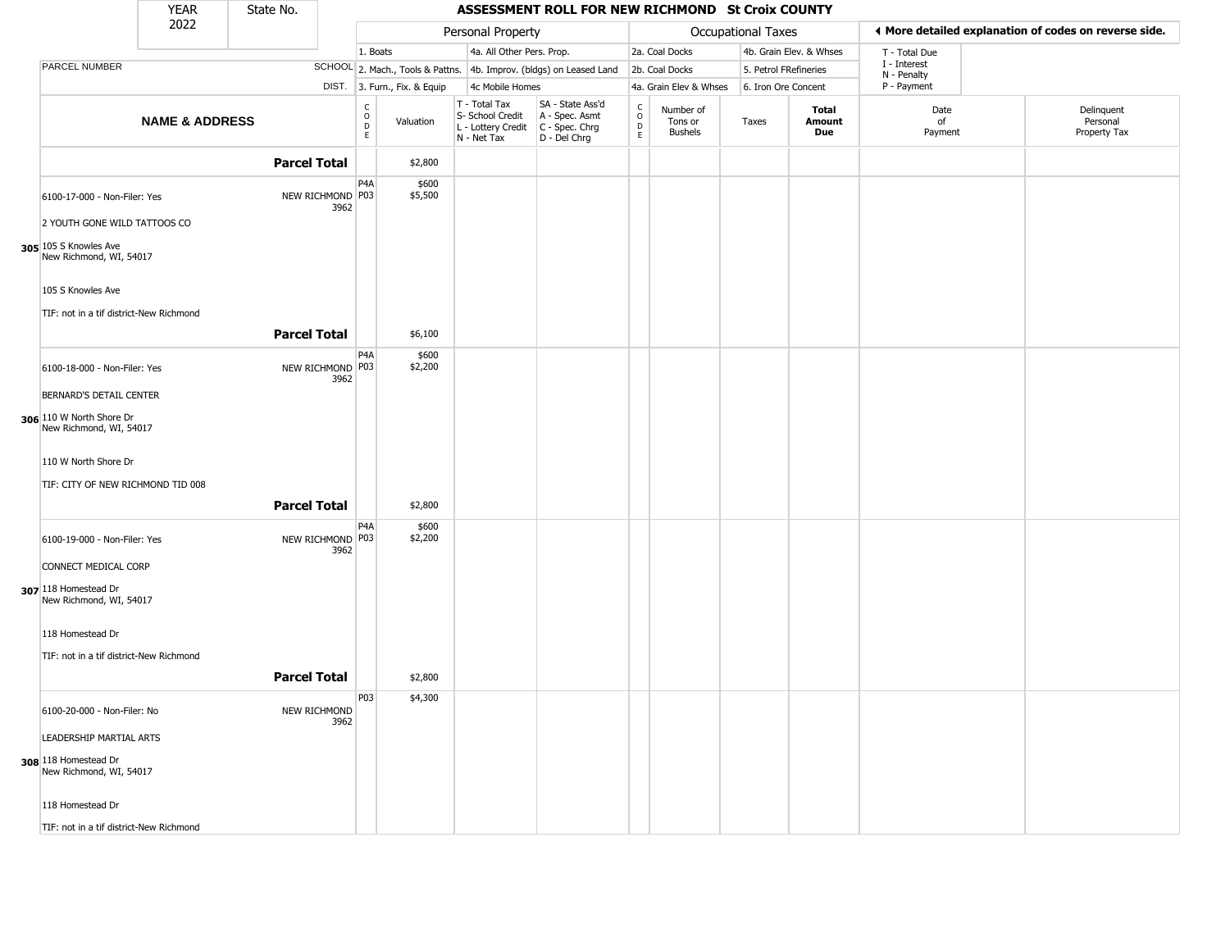|                                                                                  | <b>YEAR</b>               | State No.           |                          |                                                          |                              |                                                                                       | ASSESSMENT ROLL FOR NEW RICHMOND St Croix COUNTY                    |                                              |                                        |                       |                         |                             |                                                       |
|----------------------------------------------------------------------------------|---------------------------|---------------------|--------------------------|----------------------------------------------------------|------------------------------|---------------------------------------------------------------------------------------|---------------------------------------------------------------------|----------------------------------------------|----------------------------------------|-----------------------|-------------------------|-----------------------------|-------------------------------------------------------|
|                                                                                  | 2022                      |                     |                          |                                                          |                              | Personal Property                                                                     |                                                                     |                                              |                                        | Occupational Taxes    |                         |                             | ♦ More detailed explanation of codes on reverse side. |
|                                                                                  |                           |                     |                          | 1. Boats                                                 |                              | 4a. All Other Pers. Prop.                                                             |                                                                     |                                              | 2a. Coal Docks                         |                       | 4b. Grain Elev. & Whses | T - Total Due               |                                                       |
| PARCEL NUMBER                                                                    |                           |                     |                          |                                                          |                              |                                                                                       | SCHOOL 2. Mach., Tools & Pattns. 4b. Improv. (bldgs) on Leased Land |                                              | 2b. Coal Docks                         | 5. Petrol FRefineries |                         | I - Interest<br>N - Penalty |                                                       |
|                                                                                  |                           |                     |                          |                                                          | DIST. 3. Furn., Fix. & Equip | 4c Mobile Homes                                                                       |                                                                     |                                              | 4a. Grain Elev & Whses                 | 6. Iron Ore Concent   |                         | P - Payment                 |                                                       |
|                                                                                  | <b>NAME &amp; ADDRESS</b> |                     |                          | $\begin{matrix} 0 \\ 0 \\ D \end{matrix}$<br>$\mathsf E$ | Valuation                    | T - Total Tax<br>S- School Credit<br>L - Lottery Credit C - Spec. Chrg<br>N - Net Tax | SA - State Ass'd<br>A - Spec. Asmt<br>D - Del Chrg                  | $\rm_{o}^{c}$<br>$\mathsf{D}$<br>$\mathsf E$ | Number of<br>Tons or<br><b>Bushels</b> | Taxes                 | Total<br>Amount<br>Due  | Date<br>of<br>Payment       | Delinquent<br>Personal<br>Property Tax                |
|                                                                                  |                           | <b>Parcel Total</b> |                          |                                                          | \$2,800                      |                                                                                       |                                                                     |                                              |                                        |                       |                         |                             |                                                       |
| 6100-17-000 - Non-Filer: Yes                                                     |                           |                     | NEW RICHMOND P03<br>3962 | P4A                                                      | \$600<br>\$5,500             |                                                                                       |                                                                     |                                              |                                        |                       |                         |                             |                                                       |
| 2 YOUTH GONE WILD TATTOOS CO<br>305 105 S Knowles Ave<br>New Richmond, WI, 54017 |                           |                     |                          |                                                          |                              |                                                                                       |                                                                     |                                              |                                        |                       |                         |                             |                                                       |
| 105 S Knowles Ave<br>TIF: not in a tif district-New Richmond                     |                           |                     |                          |                                                          |                              |                                                                                       |                                                                     |                                              |                                        |                       |                         |                             |                                                       |
|                                                                                  |                           | <b>Parcel Total</b> |                          |                                                          | \$6,100                      |                                                                                       |                                                                     |                                              |                                        |                       |                         |                             |                                                       |
| 6100-18-000 - Non-Filer: Yes                                                     |                           |                     | NEW RICHMOND P03<br>3962 | P <sub>4</sub> A                                         | \$600<br>\$2,200             |                                                                                       |                                                                     |                                              |                                        |                       |                         |                             |                                                       |
| BERNARD'S DETAIL CENTER                                                          |                           |                     |                          |                                                          |                              |                                                                                       |                                                                     |                                              |                                        |                       |                         |                             |                                                       |
| 306 110 W North Shore Dr<br>New Richmond, WI, 54017                              |                           |                     |                          |                                                          |                              |                                                                                       |                                                                     |                                              |                                        |                       |                         |                             |                                                       |
| 110 W North Shore Dr<br>TIF: CITY OF NEW RICHMOND TID 008                        |                           |                     |                          |                                                          |                              |                                                                                       |                                                                     |                                              |                                        |                       |                         |                             |                                                       |
|                                                                                  |                           | <b>Parcel Total</b> |                          |                                                          | \$2,800                      |                                                                                       |                                                                     |                                              |                                        |                       |                         |                             |                                                       |
| 6100-19-000 - Non-Filer: Yes                                                     |                           |                     | NEW RICHMOND P03<br>3962 | P <sub>4</sub> A                                         | \$600<br>\$2,200             |                                                                                       |                                                                     |                                              |                                        |                       |                         |                             |                                                       |
| CONNECT MEDICAL CORP<br>307 118 Homestead Dr<br>New Richmond, WI, 54017          |                           |                     |                          |                                                          |                              |                                                                                       |                                                                     |                                              |                                        |                       |                         |                             |                                                       |
| 118 Homestead Dr                                                                 |                           |                     |                          |                                                          |                              |                                                                                       |                                                                     |                                              |                                        |                       |                         |                             |                                                       |
| TIF: not in a tif district-New Richmond                                          |                           |                     |                          |                                                          |                              |                                                                                       |                                                                     |                                              |                                        |                       |                         |                             |                                                       |
|                                                                                  |                           | <b>Parcel Total</b> |                          |                                                          | \$2,800                      |                                                                                       |                                                                     |                                              |                                        |                       |                         |                             |                                                       |
| 6100-20-000 - Non-Filer: No                                                      |                           |                     | NEW RICHMOND<br>3962     | P <sub>0</sub> 3                                         | \$4,300                      |                                                                                       |                                                                     |                                              |                                        |                       |                         |                             |                                                       |
| LEADERSHIP MARTIAL ARTS                                                          |                           |                     |                          |                                                          |                              |                                                                                       |                                                                     |                                              |                                        |                       |                         |                             |                                                       |
| 308 118 Homestead Dr<br>New Richmond, WI, 54017                                  |                           |                     |                          |                                                          |                              |                                                                                       |                                                                     |                                              |                                        |                       |                         |                             |                                                       |
| 118 Homestead Dr                                                                 |                           |                     |                          |                                                          |                              |                                                                                       |                                                                     |                                              |                                        |                       |                         |                             |                                                       |
| TIF: not in a tif district-New Richmond                                          |                           |                     |                          |                                                          |                              |                                                                                       |                                                                     |                                              |                                        |                       |                         |                             |                                                       |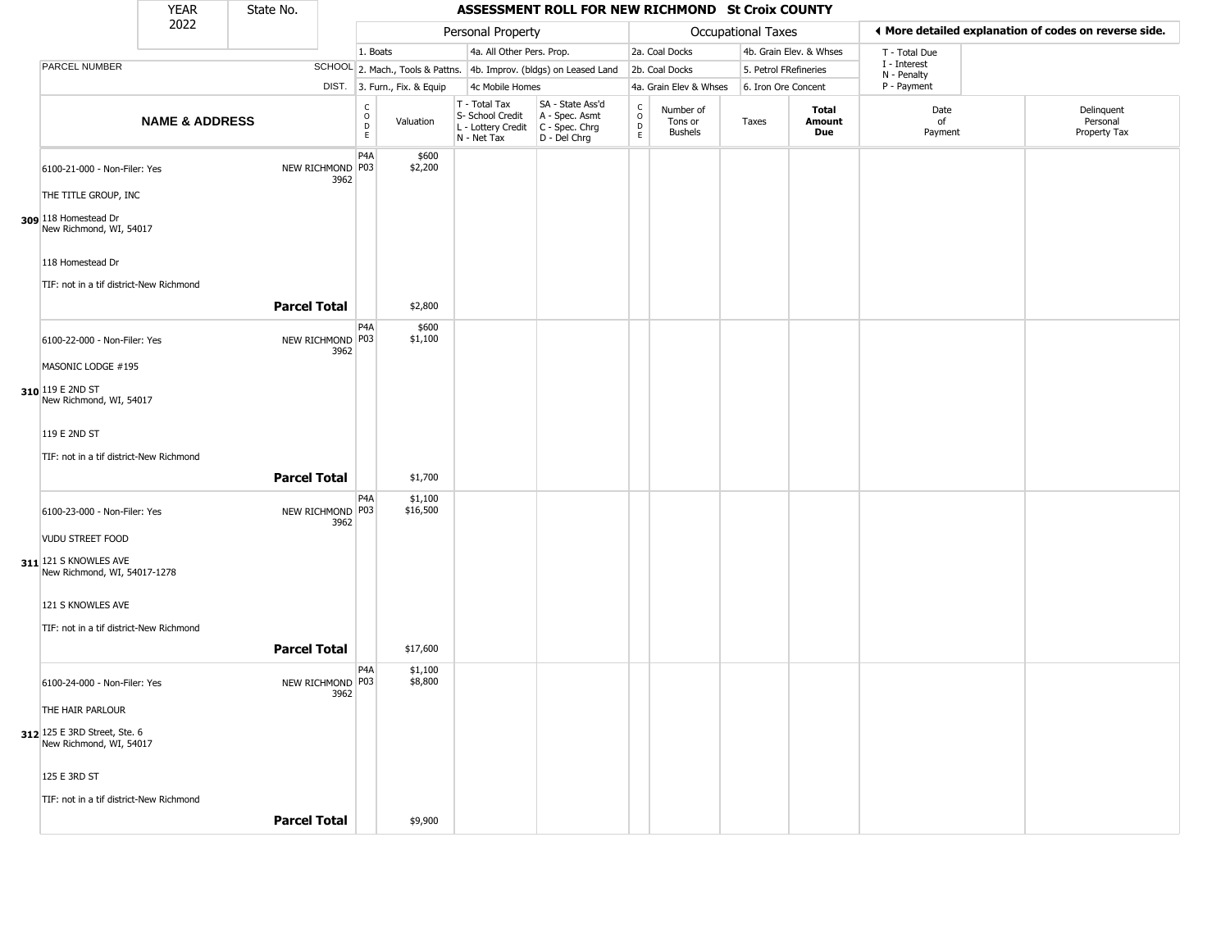|                                                         | <b>YEAR</b>               | State No.           |                          |                                                                     |                                                                        | ASSESSMENT ROLL FOR NEW RICHMOND St Croix COUNTY                     |                                              |                                        |                       |                         |                             |                                                       |
|---------------------------------------------------------|---------------------------|---------------------|--------------------------|---------------------------------------------------------------------|------------------------------------------------------------------------|----------------------------------------------------------------------|----------------------------------------------|----------------------------------------|-----------------------|-------------------------|-----------------------------|-------------------------------------------------------|
|                                                         | 2022                      |                     |                          |                                                                     | Personal Property                                                      |                                                                      |                                              |                                        | Occupational Taxes    |                         |                             | ◀ More detailed explanation of codes on reverse side. |
|                                                         |                           |                     |                          | 1. Boats                                                            | 4a. All Other Pers. Prop.                                              |                                                                      |                                              | 2a. Coal Docks                         |                       | 4b. Grain Elev. & Whses | T - Total Due               |                                                       |
| PARCEL NUMBER                                           |                           |                     |                          | SCHOOL 2. Mach., Tools & Pattns. 4b. Improv. (bldgs) on Leased Land |                                                                        |                                                                      |                                              | 2b. Coal Docks                         | 5. Petrol FRefineries |                         | I - Interest<br>N - Penalty |                                                       |
|                                                         |                           |                     |                          | DIST. 3. Furn., Fix. & Equip                                        | 4c Mobile Homes                                                        |                                                                      |                                              | 4a. Grain Elev & Whses                 | 6. Iron Ore Concent   |                         | P - Payment                 |                                                       |
|                                                         | <b>NAME &amp; ADDRESS</b> |                     |                          | $\rm _o^C$<br>Valuation<br>$\mathsf D$<br>E                         | T - Total Tax<br>S- School Credit<br>L - Lottery Credit<br>N - Net Tax | SA - State Ass'd<br>A - Spec. Asmt<br>C - Spec. Chrg<br>D - Del Chrg | $\begin{array}{c}\nC \\ D \\ E\n\end{array}$ | Number of<br>Tons or<br><b>Bushels</b> | Taxes                 | Total<br>Amount<br>Due  | Date<br>of<br>Payment       | Delinquent<br>Personal<br>Property Tax                |
| 6100-21-000 - Non-Filer: Yes                            |                           |                     | NEW RICHMOND P03<br>3962 | P <sub>4</sub> A<br>\$600<br>\$2,200                                |                                                                        |                                                                      |                                              |                                        |                       |                         |                             |                                                       |
| THE TITLE GROUP, INC                                    |                           |                     |                          |                                                                     |                                                                        |                                                                      |                                              |                                        |                       |                         |                             |                                                       |
| 309 118 Homestead Dr<br>New Richmond, WI, 54017         |                           |                     |                          |                                                                     |                                                                        |                                                                      |                                              |                                        |                       |                         |                             |                                                       |
| 118 Homestead Dr                                        |                           |                     |                          |                                                                     |                                                                        |                                                                      |                                              |                                        |                       |                         |                             |                                                       |
| TIF: not in a tif district-New Richmond                 |                           |                     |                          |                                                                     |                                                                        |                                                                      |                                              |                                        |                       |                         |                             |                                                       |
|                                                         |                           | <b>Parcel Total</b> |                          | \$2,800                                                             |                                                                        |                                                                      |                                              |                                        |                       |                         |                             |                                                       |
| 6100-22-000 - Non-Filer: Yes                            |                           |                     | NEW RICHMOND P03<br>3962 | P <sub>4</sub> A<br>\$600<br>\$1,100                                |                                                                        |                                                                      |                                              |                                        |                       |                         |                             |                                                       |
| MASONIC LODGE #195                                      |                           |                     |                          |                                                                     |                                                                        |                                                                      |                                              |                                        |                       |                         |                             |                                                       |
| 310 119 E 2ND ST<br>New Richmond, WI, 54017             |                           |                     |                          |                                                                     |                                                                        |                                                                      |                                              |                                        |                       |                         |                             |                                                       |
| 119 E 2ND ST                                            |                           |                     |                          |                                                                     |                                                                        |                                                                      |                                              |                                        |                       |                         |                             |                                                       |
| TIF: not in a tif district-New Richmond                 |                           |                     |                          |                                                                     |                                                                        |                                                                      |                                              |                                        |                       |                         |                             |                                                       |
|                                                         |                           | <b>Parcel Total</b> |                          | \$1,700                                                             |                                                                        |                                                                      |                                              |                                        |                       |                         |                             |                                                       |
| 6100-23-000 - Non-Filer: Yes                            |                           |                     | NEW RICHMOND P03<br>3962 | P4A<br>\$1,100<br>\$16,500                                          |                                                                        |                                                                      |                                              |                                        |                       |                         |                             |                                                       |
| <b>VUDU STREET FOOD</b>                                 |                           |                     |                          |                                                                     |                                                                        |                                                                      |                                              |                                        |                       |                         |                             |                                                       |
| 311 121 S KNOWLES AVE<br>New Richmond, WI, 54017-1278   |                           |                     |                          |                                                                     |                                                                        |                                                                      |                                              |                                        |                       |                         |                             |                                                       |
| 121 S KNOWLES AVE                                       |                           |                     |                          |                                                                     |                                                                        |                                                                      |                                              |                                        |                       |                         |                             |                                                       |
| TIF: not in a tif district-New Richmond                 |                           |                     |                          |                                                                     |                                                                        |                                                                      |                                              |                                        |                       |                         |                             |                                                       |
|                                                         |                           | <b>Parcel Total</b> |                          | \$17,600                                                            |                                                                        |                                                                      |                                              |                                        |                       |                         |                             |                                                       |
| 6100-24-000 - Non-Filer: Yes                            |                           |                     | NEW RICHMOND P03<br>3962 | P4A<br>\$1,100<br>\$8,800                                           |                                                                        |                                                                      |                                              |                                        |                       |                         |                             |                                                       |
| THE HAIR PARLOUR                                        |                           |                     |                          |                                                                     |                                                                        |                                                                      |                                              |                                        |                       |                         |                             |                                                       |
| 312 125 E 3RD Street, Ste. 6<br>New Richmond, WI, 54017 |                           |                     |                          |                                                                     |                                                                        |                                                                      |                                              |                                        |                       |                         |                             |                                                       |
| 125 E 3RD ST                                            |                           |                     |                          |                                                                     |                                                                        |                                                                      |                                              |                                        |                       |                         |                             |                                                       |
| TIF: not in a tif district-New Richmond                 |                           |                     |                          |                                                                     |                                                                        |                                                                      |                                              |                                        |                       |                         |                             |                                                       |
|                                                         |                           | <b>Parcel Total</b> |                          | \$9,900                                                             |                                                                        |                                                                      |                                              |                                        |                       |                         |                             |                                                       |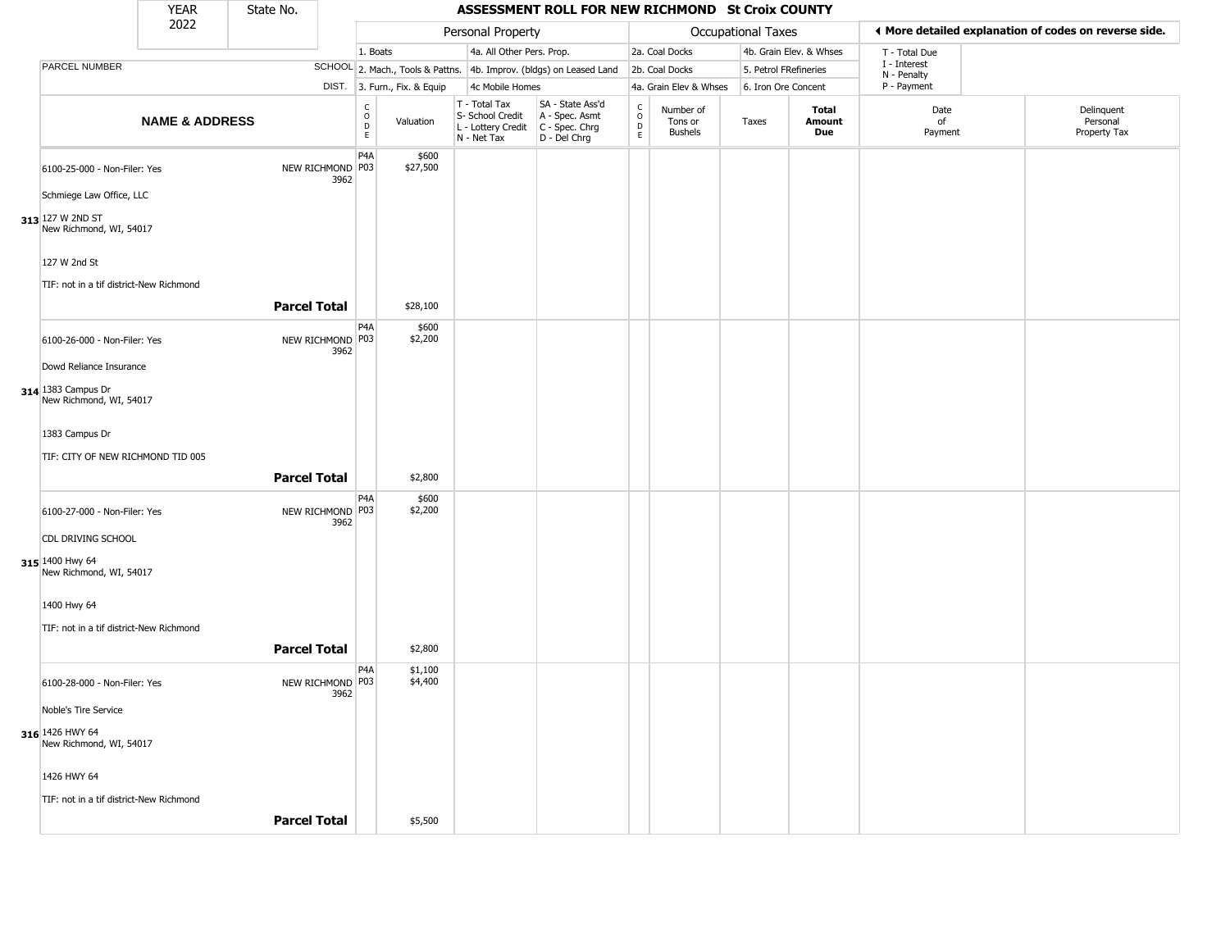|                                               | <b>YEAR</b>               | State No.           |                          |                                                                                 |                                                                        | ASSESSMENT ROLL FOR NEW RICHMOND St Croix COUNTY                     |                                            |                                        |                       |                         |                             |                                                       |
|-----------------------------------------------|---------------------------|---------------------|--------------------------|---------------------------------------------------------------------------------|------------------------------------------------------------------------|----------------------------------------------------------------------|--------------------------------------------|----------------------------------------|-----------------------|-------------------------|-----------------------------|-------------------------------------------------------|
|                                               | 2022                      |                     |                          |                                                                                 | Personal Property                                                      |                                                                      |                                            |                                        | Occupational Taxes    |                         |                             | ♦ More detailed explanation of codes on reverse side. |
|                                               |                           |                     |                          | 1. Boats                                                                        | 4a. All Other Pers. Prop.                                              |                                                                      |                                            | 2a. Coal Docks                         |                       | 4b. Grain Elev. & Whses | T - Total Due               |                                                       |
| PARCEL NUMBER                                 |                           |                     |                          | SCHOOL 2. Mach., Tools & Pattns. 4b. Improv. (bldgs) on Leased Land             |                                                                        |                                                                      |                                            | 2b. Coal Docks                         | 5. Petrol FRefineries |                         | I - Interest<br>N - Penalty |                                                       |
|                                               |                           |                     |                          | DIST. 3. Furn., Fix. & Equip                                                    | 4c Mobile Homes                                                        |                                                                      |                                            | 4a. Grain Elev & Whses                 | 6. Iron Ore Concent   |                         | P - Payment                 |                                                       |
|                                               | <b>NAME &amp; ADDRESS</b> |                     |                          | $\begin{smallmatrix} C \\ 0 \\ D \end{smallmatrix}$<br>Valuation<br>$\mathsf E$ | T - Total Tax<br>S- School Credit<br>L - Lottery Credit<br>N - Net Tax | SA - State Ass'd<br>A - Spec. Asmt<br>C - Spec. Chrg<br>D - Del Chrg | $\begin{array}{c} C \\ O \\ E \end{array}$ | Number of<br>Tons or<br><b>Bushels</b> | Taxes                 | Total<br>Amount<br>Due  | Date<br>of<br>Payment       | Delinquent<br>Personal<br>Property Tax                |
| 6100-25-000 - Non-Filer: Yes                  |                           |                     | NEW RICHMOND P03<br>3962 | P <sub>4</sub> A<br>\$600<br>\$27,500                                           |                                                                        |                                                                      |                                            |                                        |                       |                         |                             |                                                       |
| Schmiege Law Office, LLC                      |                           |                     |                          |                                                                                 |                                                                        |                                                                      |                                            |                                        |                       |                         |                             |                                                       |
| 313 127 W 2ND ST<br>New Richmond, WI, 54017   |                           |                     |                          |                                                                                 |                                                                        |                                                                      |                                            |                                        |                       |                         |                             |                                                       |
| 127 W 2nd St                                  |                           |                     |                          |                                                                                 |                                                                        |                                                                      |                                            |                                        |                       |                         |                             |                                                       |
| TIF: not in a tif district-New Richmond       |                           |                     |                          |                                                                                 |                                                                        |                                                                      |                                            |                                        |                       |                         |                             |                                                       |
|                                               |                           | <b>Parcel Total</b> |                          | \$28,100                                                                        |                                                                        |                                                                      |                                            |                                        |                       |                         |                             |                                                       |
| 6100-26-000 - Non-Filer: Yes                  |                           |                     | NEW RICHMOND P03<br>3962 | P4A<br>\$600<br>\$2,200                                                         |                                                                        |                                                                      |                                            |                                        |                       |                         |                             |                                                       |
| Dowd Reliance Insurance                       |                           |                     |                          |                                                                                 |                                                                        |                                                                      |                                            |                                        |                       |                         |                             |                                                       |
| 314 1383 Campus Dr<br>New Richmond, WI, 54017 |                           |                     |                          |                                                                                 |                                                                        |                                                                      |                                            |                                        |                       |                         |                             |                                                       |
| 1383 Campus Dr                                |                           |                     |                          |                                                                                 |                                                                        |                                                                      |                                            |                                        |                       |                         |                             |                                                       |
| TIF: CITY OF NEW RICHMOND TID 005             |                           |                     |                          |                                                                                 |                                                                        |                                                                      |                                            |                                        |                       |                         |                             |                                                       |
|                                               |                           | <b>Parcel Total</b> |                          | \$2,800                                                                         |                                                                        |                                                                      |                                            |                                        |                       |                         |                             |                                                       |
| 6100-27-000 - Non-Filer: Yes                  |                           |                     | NEW RICHMOND P03<br>3962 | P <sub>4</sub> A<br>\$600<br>\$2,200                                            |                                                                        |                                                                      |                                            |                                        |                       |                         |                             |                                                       |
| CDL DRIVING SCHOOL                            |                           |                     |                          |                                                                                 |                                                                        |                                                                      |                                            |                                        |                       |                         |                             |                                                       |
| 315 1400 Hwy 64<br>New Richmond, WI, 54017    |                           |                     |                          |                                                                                 |                                                                        |                                                                      |                                            |                                        |                       |                         |                             |                                                       |
| 1400 Hwy 64                                   |                           |                     |                          |                                                                                 |                                                                        |                                                                      |                                            |                                        |                       |                         |                             |                                                       |
| TIF: not in a tif district-New Richmond       |                           |                     |                          |                                                                                 |                                                                        |                                                                      |                                            |                                        |                       |                         |                             |                                                       |
|                                               |                           | <b>Parcel Total</b> |                          | \$2,800                                                                         |                                                                        |                                                                      |                                            |                                        |                       |                         |                             |                                                       |
| 6100-28-000 - Non-Filer: Yes                  |                           |                     | NEW RICHMOND P03<br>3962 | P4A<br>\$1,100<br>\$4,400                                                       |                                                                        |                                                                      |                                            |                                        |                       |                         |                             |                                                       |
| Noble's Tire Service                          |                           |                     |                          |                                                                                 |                                                                        |                                                                      |                                            |                                        |                       |                         |                             |                                                       |
| 316 1426 HWY 64<br>New Richmond, WI, 54017    |                           |                     |                          |                                                                                 |                                                                        |                                                                      |                                            |                                        |                       |                         |                             |                                                       |
| 1426 HWY 64                                   |                           |                     |                          |                                                                                 |                                                                        |                                                                      |                                            |                                        |                       |                         |                             |                                                       |
| TIF: not in a tif district-New Richmond       |                           |                     |                          |                                                                                 |                                                                        |                                                                      |                                            |                                        |                       |                         |                             |                                                       |
|                                               |                           | <b>Parcel Total</b> |                          | \$5,500                                                                         |                                                                        |                                                                      |                                            |                                        |                       |                         |                             |                                                       |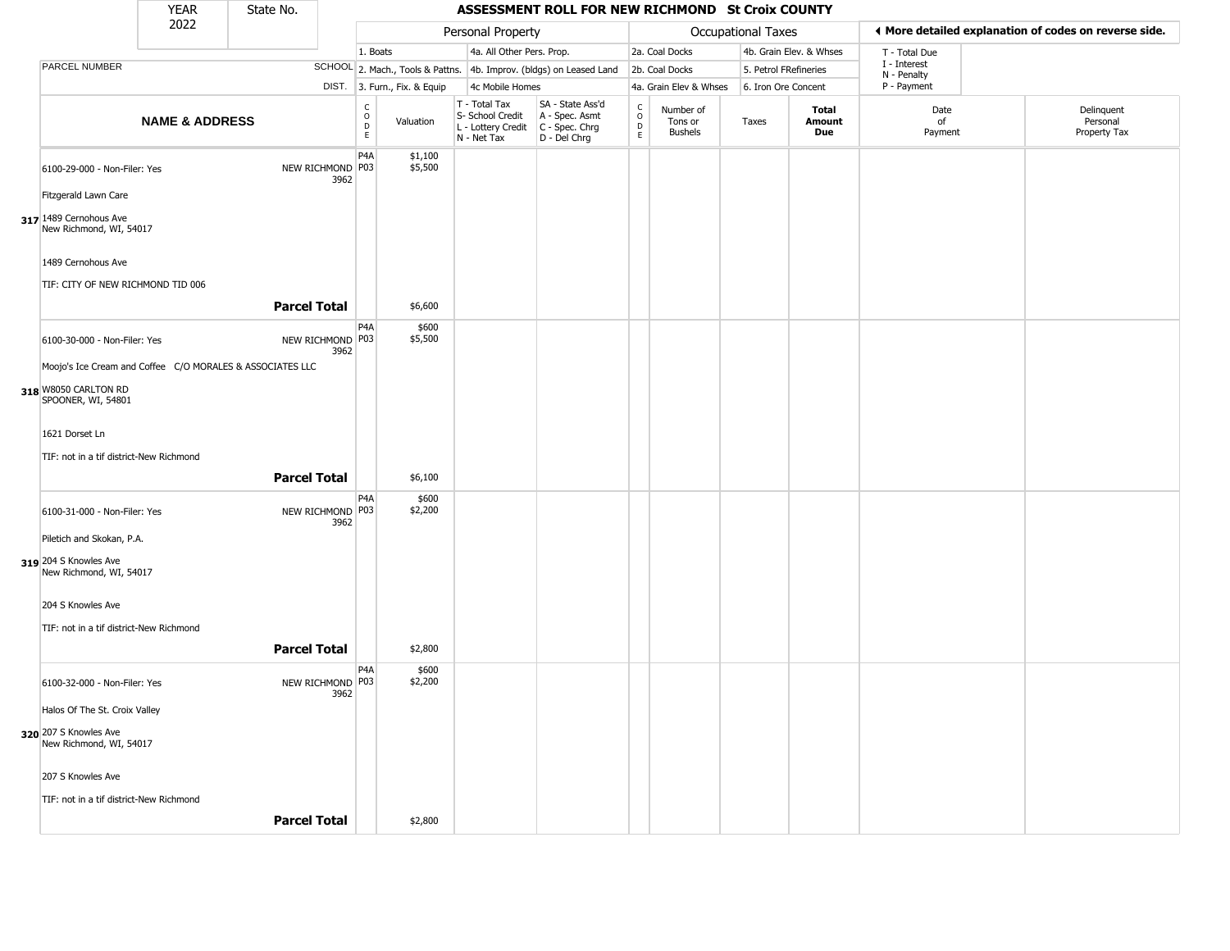|                                                           | <b>YEAR</b>               | State No.           |                          |                                                |                              |                                                                                         | ASSESSMENT ROLL FOR NEW RICHMOND St Croix COUNTY                    |                  |                                        |                       |                         |                             |                                                       |
|-----------------------------------------------------------|---------------------------|---------------------|--------------------------|------------------------------------------------|------------------------------|-----------------------------------------------------------------------------------------|---------------------------------------------------------------------|------------------|----------------------------------------|-----------------------|-------------------------|-----------------------------|-------------------------------------------------------|
|                                                           | 2022                      |                     |                          |                                                |                              | Personal Property                                                                       |                                                                     |                  |                                        | Occupational Taxes    |                         |                             | I More detailed explanation of codes on reverse side. |
|                                                           |                           |                     |                          | 1. Boats                                       |                              | 4a. All Other Pers. Prop.                                                               |                                                                     |                  | 2a. Coal Docks                         |                       | 4b. Grain Elev. & Whses | T - Total Due               |                                                       |
| PARCEL NUMBER                                             |                           |                     |                          |                                                |                              |                                                                                         | SCHOOL 2. Mach., Tools & Pattns. 4b. Improv. (bldgs) on Leased Land |                  | 2b. Coal Docks                         | 5. Petrol FRefineries |                         | I - Interest<br>N - Penalty |                                                       |
|                                                           |                           |                     |                          |                                                | DIST. 3. Furn., Fix. & Equip | 4c Mobile Homes                                                                         |                                                                     |                  | 4a. Grain Elev & Whses                 | 6. Iron Ore Concent   |                         | P - Payment                 |                                                       |
|                                                           | <b>NAME &amp; ADDRESS</b> |                     |                          | $\begin{matrix} 0 \\ 0 \\ 0 \end{matrix}$<br>E | Valuation                    | T - Total Tax<br>S- School Credit<br>L - Lottery Credit   C - Spec. Chrg<br>N - Net Tax | SA - State Ass'd<br>A - Spec. Asmt<br>D - Del Chrg                  | C<br>D<br>D<br>E | Number of<br>Tons or<br><b>Bushels</b> | Taxes                 | Total<br>Amount<br>Due  | Date<br>of<br>Payment       | Delinquent<br>Personal<br>Property Tax                |
| 6100-29-000 - Non-Filer: Yes                              |                           | NEW RICHMOND P03    | 3962                     | P <sub>4</sub> A                               | \$1,100<br>\$5,500           |                                                                                         |                                                                     |                  |                                        |                       |                         |                             |                                                       |
| Fitzgerald Lawn Care                                      |                           |                     |                          |                                                |                              |                                                                                         |                                                                     |                  |                                        |                       |                         |                             |                                                       |
| 317 1489 Cernohous Ave<br>New Richmond, WI, 54017         |                           |                     |                          |                                                |                              |                                                                                         |                                                                     |                  |                                        |                       |                         |                             |                                                       |
| 1489 Cernohous Ave<br>TIF: CITY OF NEW RICHMOND TID 006   |                           |                     |                          |                                                |                              |                                                                                         |                                                                     |                  |                                        |                       |                         |                             |                                                       |
|                                                           |                           | <b>Parcel Total</b> |                          |                                                | \$6,600                      |                                                                                         |                                                                     |                  |                                        |                       |                         |                             |                                                       |
| 6100-30-000 - Non-Filer: Yes                              |                           | NEW RICHMOND P03    | 3962                     | P4A                                            | \$600<br>\$5,500             |                                                                                         |                                                                     |                  |                                        |                       |                         |                             |                                                       |
| Moojo's Ice Cream and Coffee C/O MORALES & ASSOCIATES LLC |                           |                     |                          |                                                |                              |                                                                                         |                                                                     |                  |                                        |                       |                         |                             |                                                       |
| 318 W8050 CARLTON RD<br>SPOONER, WI, 54801                |                           |                     |                          |                                                |                              |                                                                                         |                                                                     |                  |                                        |                       |                         |                             |                                                       |
| 1621 Dorset Ln                                            |                           |                     |                          |                                                |                              |                                                                                         |                                                                     |                  |                                        |                       |                         |                             |                                                       |
| TIF: not in a tif district-New Richmond                   |                           |                     |                          |                                                |                              |                                                                                         |                                                                     |                  |                                        |                       |                         |                             |                                                       |
|                                                           |                           | <b>Parcel Total</b> |                          |                                                | \$6,100                      |                                                                                         |                                                                     |                  |                                        |                       |                         |                             |                                                       |
| 6100-31-000 - Non-Filer: Yes                              |                           |                     | NEW RICHMOND P03<br>3962 | P <sub>4</sub> A                               | \$600<br>\$2,200             |                                                                                         |                                                                     |                  |                                        |                       |                         |                             |                                                       |
| Piletich and Skokan, P.A.                                 |                           |                     |                          |                                                |                              |                                                                                         |                                                                     |                  |                                        |                       |                         |                             |                                                       |
| 319 204 S Knowles Ave<br>New Richmond, WI, 54017          |                           |                     |                          |                                                |                              |                                                                                         |                                                                     |                  |                                        |                       |                         |                             |                                                       |
| 204 S Knowles Ave                                         |                           |                     |                          |                                                |                              |                                                                                         |                                                                     |                  |                                        |                       |                         |                             |                                                       |
| TIF: not in a tif district-New Richmond                   |                           | <b>Parcel Total</b> |                          |                                                | \$2,800                      |                                                                                         |                                                                     |                  |                                        |                       |                         |                             |                                                       |
|                                                           |                           |                     |                          | P4A                                            | \$600                        |                                                                                         |                                                                     |                  |                                        |                       |                         |                             |                                                       |
| 6100-32-000 - Non-Filer: Yes                              |                           | NEW RICHMOND P03    | 3962                     |                                                | \$2,200                      |                                                                                         |                                                                     |                  |                                        |                       |                         |                             |                                                       |
| Halos Of The St. Croix Valley                             |                           |                     |                          |                                                |                              |                                                                                         |                                                                     |                  |                                        |                       |                         |                             |                                                       |
| 320 207 S Knowles Ave<br>New Richmond, WI, 54017          |                           |                     |                          |                                                |                              |                                                                                         |                                                                     |                  |                                        |                       |                         |                             |                                                       |
| 207 S Knowles Ave                                         |                           |                     |                          |                                                |                              |                                                                                         |                                                                     |                  |                                        |                       |                         |                             |                                                       |
| TIF: not in a tif district-New Richmond                   |                           |                     |                          |                                                |                              |                                                                                         |                                                                     |                  |                                        |                       |                         |                             |                                                       |
|                                                           |                           | <b>Parcel Total</b> |                          |                                                | \$2,800                      |                                                                                         |                                                                     |                  |                                        |                       |                         |                             |                                                       |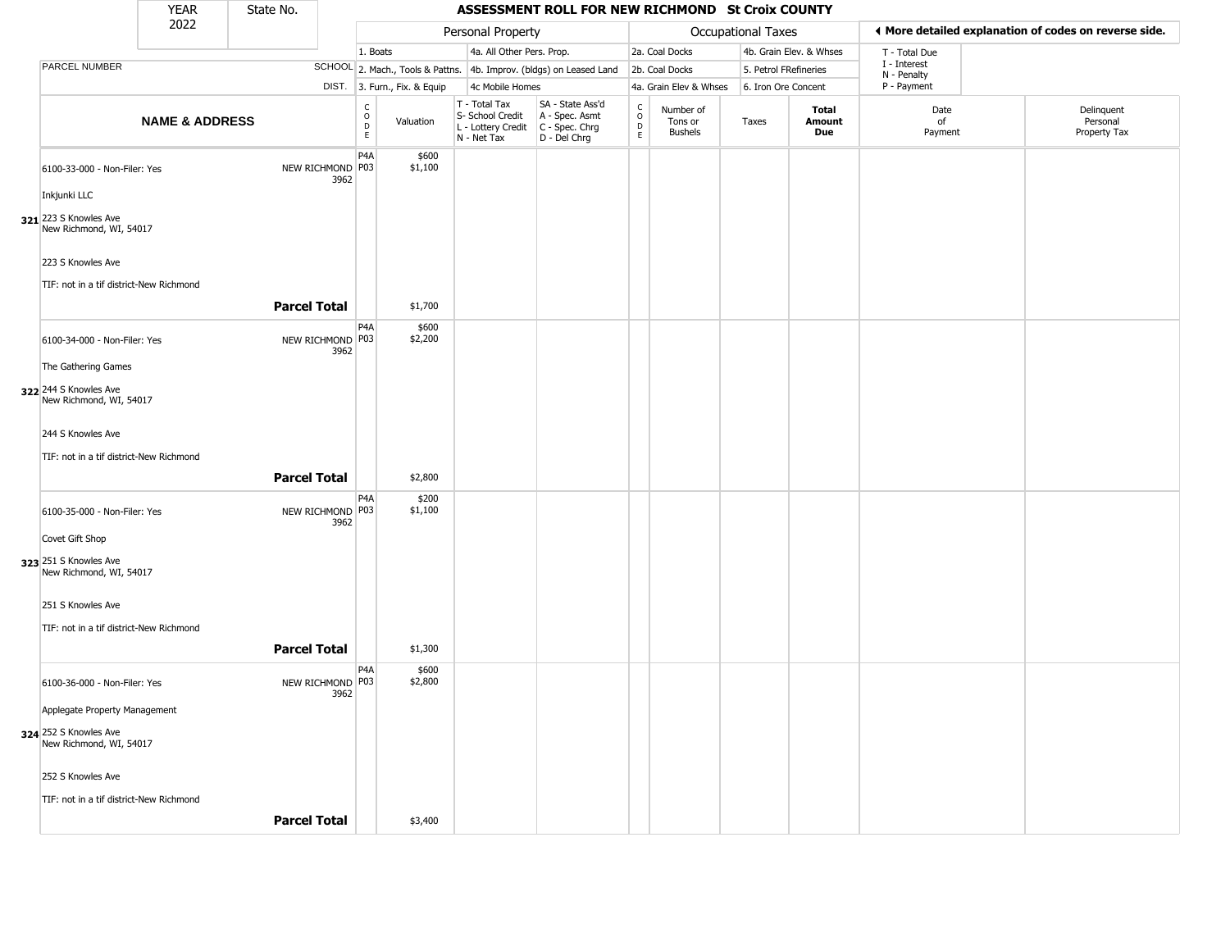|                                                  | <b>YEAR</b>               | State No.           |                          | ASSESSMENT ROLL FOR NEW RICHMOND St Croix COUNTY                      |                                                                        |                                                                      |                                            |                                        |                       |                         |                             |                                                       |
|--------------------------------------------------|---------------------------|---------------------|--------------------------|-----------------------------------------------------------------------|------------------------------------------------------------------------|----------------------------------------------------------------------|--------------------------------------------|----------------------------------------|-----------------------|-------------------------|-----------------------------|-------------------------------------------------------|
|                                                  | 2022                      |                     |                          |                                                                       | Personal Property                                                      |                                                                      |                                            |                                        | Occupational Taxes    |                         |                             | ♦ More detailed explanation of codes on reverse side. |
|                                                  |                           |                     |                          | 1. Boats                                                              | 4a. All Other Pers. Prop.                                              |                                                                      |                                            | 2a. Coal Docks                         |                       | 4b. Grain Elev. & Whses | T - Total Due               |                                                       |
| PARCEL NUMBER                                    |                           |                     |                          | SCHOOL 2. Mach., Tools & Pattns. 4b. Improv. (bldgs) on Leased Land   |                                                                        |                                                                      |                                            | 2b. Coal Docks                         | 5. Petrol FRefineries |                         | I - Interest<br>N - Penalty |                                                       |
|                                                  |                           |                     |                          | DIST. 3. Furn., Fix. & Equip                                          | 4c Mobile Homes                                                        |                                                                      |                                            | 4a. Grain Elev & Whses                 | 6. Iron Ore Concent   |                         | P - Payment                 |                                                       |
|                                                  | <b>NAME &amp; ADDRESS</b> |                     |                          | $\begin{smallmatrix} C \\ 0 \\ D \end{smallmatrix}$<br>Valuation<br>E | T - Total Tax<br>S- School Credit<br>L - Lottery Credit<br>N - Net Tax | SA - State Ass'd<br>A - Spec. Asmt<br>C - Spec. Chrg<br>D - Del Chrg | $\begin{array}{c} C \\ O \\ E \end{array}$ | Number of<br>Tons or<br><b>Bushels</b> | Taxes                 | Total<br>Amount<br>Due  | Date<br>of<br>Payment       | Delinquent<br>Personal<br>Property Tax                |
| 6100-33-000 - Non-Filer: Yes                     |                           |                     | NEW RICHMOND P03<br>3962 | P <sub>4</sub> A<br>\$600<br>\$1,100                                  |                                                                        |                                                                      |                                            |                                        |                       |                         |                             |                                                       |
| Inkjunki LLC                                     |                           |                     |                          |                                                                       |                                                                        |                                                                      |                                            |                                        |                       |                         |                             |                                                       |
| 321 223 S Knowles Ave<br>New Richmond, WI, 54017 |                           |                     |                          |                                                                       |                                                                        |                                                                      |                                            |                                        |                       |                         |                             |                                                       |
| 223 S Knowles Ave                                |                           |                     |                          |                                                                       |                                                                        |                                                                      |                                            |                                        |                       |                         |                             |                                                       |
| TIF: not in a tif district-New Richmond          |                           |                     |                          |                                                                       |                                                                        |                                                                      |                                            |                                        |                       |                         |                             |                                                       |
|                                                  |                           | <b>Parcel Total</b> |                          | \$1,700                                                               |                                                                        |                                                                      |                                            |                                        |                       |                         |                             |                                                       |
| 6100-34-000 - Non-Filer: Yes                     |                           |                     | NEW RICHMOND P03<br>3962 | P4A<br>\$600<br>\$2,200                                               |                                                                        |                                                                      |                                            |                                        |                       |                         |                             |                                                       |
| The Gathering Games                              |                           |                     |                          |                                                                       |                                                                        |                                                                      |                                            |                                        |                       |                         |                             |                                                       |
| 322 244 S Knowles Ave<br>New Richmond, WI, 54017 |                           |                     |                          |                                                                       |                                                                        |                                                                      |                                            |                                        |                       |                         |                             |                                                       |
| 244 S Knowles Ave                                |                           |                     |                          |                                                                       |                                                                        |                                                                      |                                            |                                        |                       |                         |                             |                                                       |
| TIF: not in a tif district-New Richmond          |                           |                     |                          |                                                                       |                                                                        |                                                                      |                                            |                                        |                       |                         |                             |                                                       |
|                                                  |                           | <b>Parcel Total</b> |                          | \$2,800                                                               |                                                                        |                                                                      |                                            |                                        |                       |                         |                             |                                                       |
| 6100-35-000 - Non-Filer: Yes                     |                           |                     | NEW RICHMOND P03<br>3962 | P <sub>4</sub> A<br>\$200<br>\$1,100                                  |                                                                        |                                                                      |                                            |                                        |                       |                         |                             |                                                       |
| Covet Gift Shop                                  |                           |                     |                          |                                                                       |                                                                        |                                                                      |                                            |                                        |                       |                         |                             |                                                       |
| 323 251 S Knowles Ave<br>New Richmond, WI, 54017 |                           |                     |                          |                                                                       |                                                                        |                                                                      |                                            |                                        |                       |                         |                             |                                                       |
| 251 S Knowles Ave                                |                           |                     |                          |                                                                       |                                                                        |                                                                      |                                            |                                        |                       |                         |                             |                                                       |
| TIF: not in a tif district-New Richmond          |                           |                     |                          |                                                                       |                                                                        |                                                                      |                                            |                                        |                       |                         |                             |                                                       |
|                                                  |                           | <b>Parcel Total</b> |                          | \$1,300                                                               |                                                                        |                                                                      |                                            |                                        |                       |                         |                             |                                                       |
| 6100-36-000 - Non-Filer: Yes                     |                           |                     | NEW RICHMOND P03<br>3962 | P4A<br>\$600<br>\$2,800                                               |                                                                        |                                                                      |                                            |                                        |                       |                         |                             |                                                       |
| Applegate Property Management                    |                           |                     |                          |                                                                       |                                                                        |                                                                      |                                            |                                        |                       |                         |                             |                                                       |
| 324 252 S Knowles Ave<br>New Richmond, WI, 54017 |                           |                     |                          |                                                                       |                                                                        |                                                                      |                                            |                                        |                       |                         |                             |                                                       |
| 252 S Knowles Ave                                |                           |                     |                          |                                                                       |                                                                        |                                                                      |                                            |                                        |                       |                         |                             |                                                       |
| TIF: not in a tif district-New Richmond          |                           |                     |                          |                                                                       |                                                                        |                                                                      |                                            |                                        |                       |                         |                             |                                                       |
|                                                  |                           | <b>Parcel Total</b> |                          | \$3,400                                                               |                                                                        |                                                                      |                                            |                                        |                       |                         |                             |                                                       |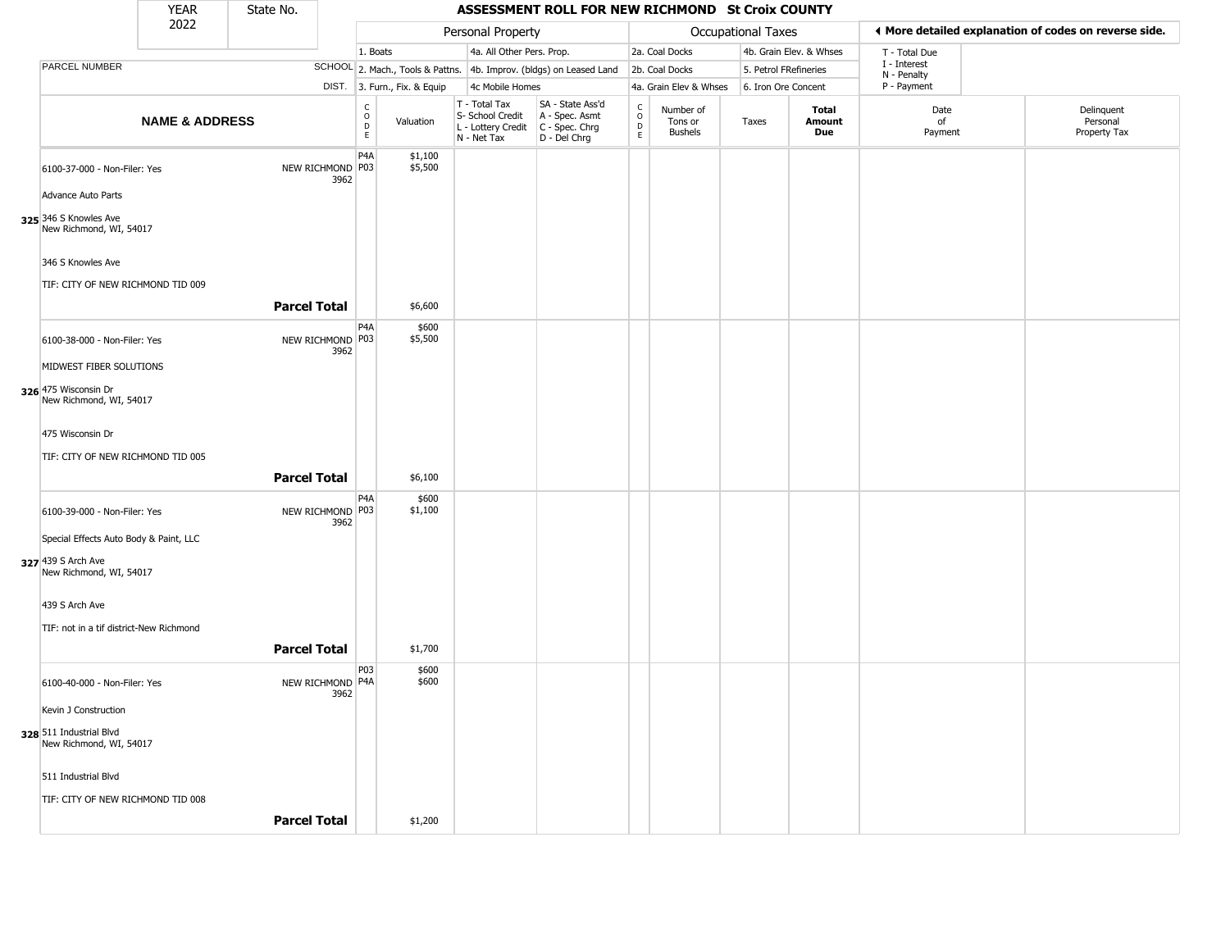|                                                                                         | <b>YEAR</b>               | State No.           |                          |                                   |                              |                                                                        | ASSESSMENT ROLL FOR NEW RICHMOND St Croix COUNTY                     |                                    |                                        |                       |                         |                             |                                                       |
|-----------------------------------------------------------------------------------------|---------------------------|---------------------|--------------------------|-----------------------------------|------------------------------|------------------------------------------------------------------------|----------------------------------------------------------------------|------------------------------------|----------------------------------------|-----------------------|-------------------------|-----------------------------|-------------------------------------------------------|
|                                                                                         | 2022                      |                     |                          |                                   |                              | Personal Property                                                      |                                                                      |                                    |                                        | Occupational Taxes    |                         |                             | ◀ More detailed explanation of codes on reverse side. |
|                                                                                         |                           |                     |                          | 1. Boats                          |                              | 4a. All Other Pers. Prop.                                              |                                                                      |                                    | 2a. Coal Docks                         |                       | 4b. Grain Elev. & Whses | T - Total Due               |                                                       |
| PARCEL NUMBER                                                                           |                           |                     |                          |                                   |                              |                                                                        | SCHOOL 2. Mach., Tools & Pattns. 4b. Improv. (bldgs) on Leased Land  |                                    | 2b. Coal Docks                         | 5. Petrol FRefineries |                         | I - Interest<br>N - Penalty |                                                       |
|                                                                                         |                           |                     |                          |                                   | DIST. 3. Furn., Fix. & Equip | 4c Mobile Homes                                                        |                                                                      |                                    | 4a. Grain Elev & Whses                 | 6. Iron Ore Concent   |                         | P - Payment                 |                                                       |
|                                                                                         | <b>NAME &amp; ADDRESS</b> |                     |                          | $\frac{c}{0}$<br>$\mathsf D$<br>E | Valuation                    | T - Total Tax<br>S- School Credit<br>L - Lottery Credit<br>N - Net Tax | SA - State Ass'd<br>A - Spec. Asmt<br>C - Spec. Chrg<br>D - Del Chrg | $\int_{0}^{c}$<br>$\mathsf D$<br>E | Number of<br>Tons or<br><b>Bushels</b> | Taxes                 | Total<br>Amount<br>Due  | Date<br>of<br>Payment       | Delinquent<br>Personal<br>Property Tax                |
| 6100-37-000 - Non-Filer: Yes                                                            |                           |                     | NEW RICHMOND P03<br>3962 | P4A                               | \$1,100<br>\$5,500           |                                                                        |                                                                      |                                    |                                        |                       |                         |                             |                                                       |
| Advance Auto Parts                                                                      |                           |                     |                          |                                   |                              |                                                                        |                                                                      |                                    |                                        |                       |                         |                             |                                                       |
| 325 346 S Knowles Ave<br>New Richmond, WI, 54017                                        |                           |                     |                          |                                   |                              |                                                                        |                                                                      |                                    |                                        |                       |                         |                             |                                                       |
| 346 S Knowles Ave                                                                       |                           |                     |                          |                                   |                              |                                                                        |                                                                      |                                    |                                        |                       |                         |                             |                                                       |
| TIF: CITY OF NEW RICHMOND TID 009                                                       |                           | <b>Parcel Total</b> |                          |                                   | \$6,600                      |                                                                        |                                                                      |                                    |                                        |                       |                         |                             |                                                       |
| 6100-38-000 - Non-Filer: Yes                                                            |                           |                     | NEW RICHMOND P03         | P <sub>4</sub> A                  | \$600<br>\$5,500             |                                                                        |                                                                      |                                    |                                        |                       |                         |                             |                                                       |
| MIDWEST FIBER SOLUTIONS                                                                 |                           |                     | 3962                     |                                   |                              |                                                                        |                                                                      |                                    |                                        |                       |                         |                             |                                                       |
| 326 475 Wisconsin Dr<br>New Richmond, WI, 54017                                         |                           |                     |                          |                                   |                              |                                                                        |                                                                      |                                    |                                        |                       |                         |                             |                                                       |
| 475 Wisconsin Dr                                                                        |                           |                     |                          |                                   |                              |                                                                        |                                                                      |                                    |                                        |                       |                         |                             |                                                       |
| TIF: CITY OF NEW RICHMOND TID 005                                                       |                           | <b>Parcel Total</b> |                          |                                   | \$6,100                      |                                                                        |                                                                      |                                    |                                        |                       |                         |                             |                                                       |
| 6100-39-000 - Non-Filer: Yes                                                            |                           |                     | NEW RICHMOND P03<br>3962 | P4A                               | \$600<br>\$1,100             |                                                                        |                                                                      |                                    |                                        |                       |                         |                             |                                                       |
| Special Effects Auto Body & Paint, LLC<br>327 439 S Arch Ave<br>New Richmond, WI, 54017 |                           |                     |                          |                                   |                              |                                                                        |                                                                      |                                    |                                        |                       |                         |                             |                                                       |
| 439 S Arch Ave<br>TIF: not in a tif district-New Richmond                               |                           |                     |                          |                                   |                              |                                                                        |                                                                      |                                    |                                        |                       |                         |                             |                                                       |
|                                                                                         |                           | <b>Parcel Total</b> |                          |                                   | \$1,700                      |                                                                        |                                                                      |                                    |                                        |                       |                         |                             |                                                       |
| 6100-40-000 - Non-Filer: Yes                                                            |                           |                     | NEW RICHMOND P4A<br>3962 | P03                               | \$600<br>\$600               |                                                                        |                                                                      |                                    |                                        |                       |                         |                             |                                                       |
| Kevin J Construction                                                                    |                           |                     |                          |                                   |                              |                                                                        |                                                                      |                                    |                                        |                       |                         |                             |                                                       |
| 328 511 Industrial Blvd<br>New Richmond, WI, 54017                                      |                           |                     |                          |                                   |                              |                                                                        |                                                                      |                                    |                                        |                       |                         |                             |                                                       |
| 511 Industrial Blvd                                                                     |                           |                     |                          |                                   |                              |                                                                        |                                                                      |                                    |                                        |                       |                         |                             |                                                       |
| TIF: CITY OF NEW RICHMOND TID 008                                                       |                           | <b>Parcel Total</b> |                          |                                   | \$1,200                      |                                                                        |                                                                      |                                    |                                        |                       |                         |                             |                                                       |
|                                                                                         |                           |                     |                          |                                   |                              |                                                                        |                                                                      |                                    |                                        |                       |                         |                             |                                                       |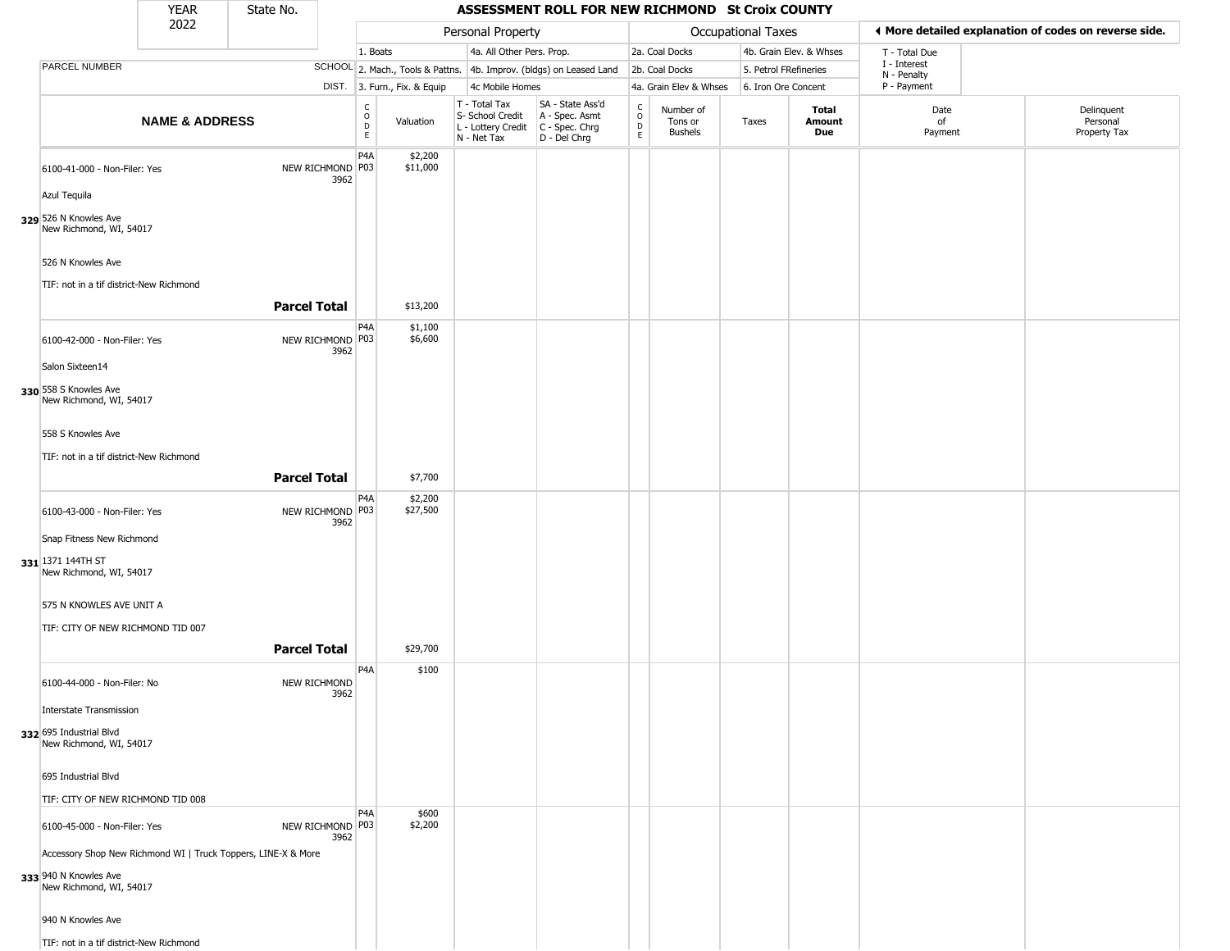|                                                                                                                   | <b>YEAR</b>               | State No.           |                            |                                   |                              |                                                                                         | ASSESSMENT ROLL FOR NEW RICHMOND St Croix COUNTY                    |                                                |                                        |                           |                         |                             |                                                       |
|-------------------------------------------------------------------------------------------------------------------|---------------------------|---------------------|----------------------------|-----------------------------------|------------------------------|-----------------------------------------------------------------------------------------|---------------------------------------------------------------------|------------------------------------------------|----------------------------------------|---------------------------|-------------------------|-----------------------------|-------------------------------------------------------|
|                                                                                                                   | 2022                      |                     |                            |                                   |                              | Personal Property                                                                       |                                                                     |                                                |                                        | <b>Occupational Taxes</b> |                         |                             | ♦ More detailed explanation of codes on reverse side. |
|                                                                                                                   |                           |                     |                            | 1. Boats                          |                              | 4a. All Other Pers. Prop.                                                               |                                                                     |                                                | 2a. Coal Docks                         |                           | 4b. Grain Elev. & Whses | T - Total Due               |                                                       |
| PARCEL NUMBER                                                                                                     |                           |                     |                            |                                   |                              |                                                                                         | SCHOOL 2. Mach., Tools & Pattns. 4b. Improv. (bldgs) on Leased Land |                                                | 2b. Coal Docks                         | 5. Petrol FRefineries     |                         | I - Interest<br>N - Penalty |                                                       |
|                                                                                                                   |                           |                     |                            |                                   | DIST. 3. Furn., Fix. & Equip | 4c Mobile Homes                                                                         |                                                                     |                                                | 4a. Grain Elev & Whses                 | 6. Iron Ore Concent       |                         | P - Payment                 |                                                       |
|                                                                                                                   | <b>NAME &amp; ADDRESS</b> |                     |                            | C<br>$\circ$<br>$\mathsf{D}$<br>E | Valuation                    | T - Total Tax<br>S- School Credit<br>L - Lottery Credit   C - Spec. Chrg<br>N - Net Tax | SA - State Ass'd<br>A - Spec. Asmt<br>D - Del Chrg                  | $\begin{matrix} 0 \\ 0 \\ D \end{matrix}$<br>E | Number of<br>Tons or<br><b>Bushels</b> | Taxes                     | Total<br>Amount<br>Due  | Date<br>of<br>Payment       | Delinquent<br>Personal<br>Property Tax                |
| 6100-41-000 - Non-Filer: Yes                                                                                      |                           |                     | NEW RICHMOND P03<br>3962   | P <sub>4</sub> A                  | \$2,200<br>\$11,000          |                                                                                         |                                                                     |                                                |                                        |                           |                         |                             |                                                       |
| Azul Tequila                                                                                                      |                           |                     |                            |                                   |                              |                                                                                         |                                                                     |                                                |                                        |                           |                         |                             |                                                       |
| 329 526 N Knowles Ave<br>New Richmond, WI, 54017                                                                  |                           |                     |                            |                                   |                              |                                                                                         |                                                                     |                                                |                                        |                           |                         |                             |                                                       |
| 526 N Knowles Ave<br>TIF: not in a tif district-New Richmond                                                      |                           |                     |                            |                                   |                              |                                                                                         |                                                                     |                                                |                                        |                           |                         |                             |                                                       |
|                                                                                                                   |                           | <b>Parcel Total</b> |                            |                                   | \$13,200                     |                                                                                         |                                                                     |                                                |                                        |                           |                         |                             |                                                       |
| 6100-42-000 - Non-Filer: Yes                                                                                      |                           |                     | NEW RICHMOND P03<br>3962   | P4A                               | \$1,100<br>\$6,600           |                                                                                         |                                                                     |                                                |                                        |                           |                         |                             |                                                       |
| Salon Sixteen14                                                                                                   |                           |                     |                            |                                   |                              |                                                                                         |                                                                     |                                                |                                        |                           |                         |                             |                                                       |
| 330 558 S Knowles Ave<br>New Richmond, WI, 54017                                                                  |                           |                     |                            |                                   |                              |                                                                                         |                                                                     |                                                |                                        |                           |                         |                             |                                                       |
| 558 S Knowles Ave                                                                                                 |                           |                     |                            |                                   |                              |                                                                                         |                                                                     |                                                |                                        |                           |                         |                             |                                                       |
| TIF: not in a tif district-New Richmond                                                                           |                           |                     |                            |                                   |                              |                                                                                         |                                                                     |                                                |                                        |                           |                         |                             |                                                       |
|                                                                                                                   |                           | <b>Parcel Total</b> |                            |                                   | \$7,700                      |                                                                                         |                                                                     |                                                |                                        |                           |                         |                             |                                                       |
| 6100-43-000 - Non-Filer: Yes                                                                                      |                           |                     | NEW RICHMOND P03<br>3962   | P4A                               | \$2,200<br>\$27,500          |                                                                                         |                                                                     |                                                |                                        |                           |                         |                             |                                                       |
| Snap Fitness New Richmond                                                                                         |                           |                     |                            |                                   |                              |                                                                                         |                                                                     |                                                |                                        |                           |                         |                             |                                                       |
| 331 1371 144TH ST<br>New Richmond, WI, 54017                                                                      |                           |                     |                            |                                   |                              |                                                                                         |                                                                     |                                                |                                        |                           |                         |                             |                                                       |
| 575 N KNOWLES AVE UNIT A                                                                                          |                           |                     |                            |                                   |                              |                                                                                         |                                                                     |                                                |                                        |                           |                         |                             |                                                       |
| TIF: CITY OF NEW RICHMOND TID 007                                                                                 |                           |                     |                            |                                   |                              |                                                                                         |                                                                     |                                                |                                        |                           |                         |                             |                                                       |
|                                                                                                                   |                           | <b>Parcel Total</b> |                            |                                   | \$29,700                     |                                                                                         |                                                                     |                                                |                                        |                           |                         |                             |                                                       |
| 6100-44-000 - Non-Filer: No                                                                                       |                           |                     | NEW RICHMOND<br>3962       | P <sub>4</sub> A                  | \$100                        |                                                                                         |                                                                     |                                                |                                        |                           |                         |                             |                                                       |
| Interstate Transmission                                                                                           |                           |                     |                            |                                   |                              |                                                                                         |                                                                     |                                                |                                        |                           |                         |                             |                                                       |
| 332 695 Industrial Blvd<br>New Richmond, WI, 54017                                                                |                           |                     |                            |                                   |                              |                                                                                         |                                                                     |                                                |                                        |                           |                         |                             |                                                       |
| 695 Industrial Blvd                                                                                               |                           |                     |                            |                                   |                              |                                                                                         |                                                                     |                                                |                                        |                           |                         |                             |                                                       |
| TIF: CITY OF NEW RICHMOND TID 008                                                                                 |                           |                     |                            |                                   |                              |                                                                                         |                                                                     |                                                |                                        |                           |                         |                             |                                                       |
| 6100-45-000 - Non-Filer: Yes                                                                                      |                           |                     | NEW RICHMOND   P03<br>3962 | P <sub>4</sub> A                  | \$600<br>\$2,200             |                                                                                         |                                                                     |                                                |                                        |                           |                         |                             |                                                       |
| Accessory Shop New Richmond WI   Truck Toppers, LINE-X & More<br>333 940 N Knowles Ave<br>New Richmond, WI, 54017 |                           |                     |                            |                                   |                              |                                                                                         |                                                                     |                                                |                                        |                           |                         |                             |                                                       |
| 940 N Knowles Ave                                                                                                 |                           |                     |                            |                                   |                              |                                                                                         |                                                                     |                                                |                                        |                           |                         |                             |                                                       |
| TIF: not in a tif district-New Richmond                                                                           |                           |                     |                            |                                   |                              |                                                                                         |                                                                     |                                                |                                        |                           |                         |                             |                                                       |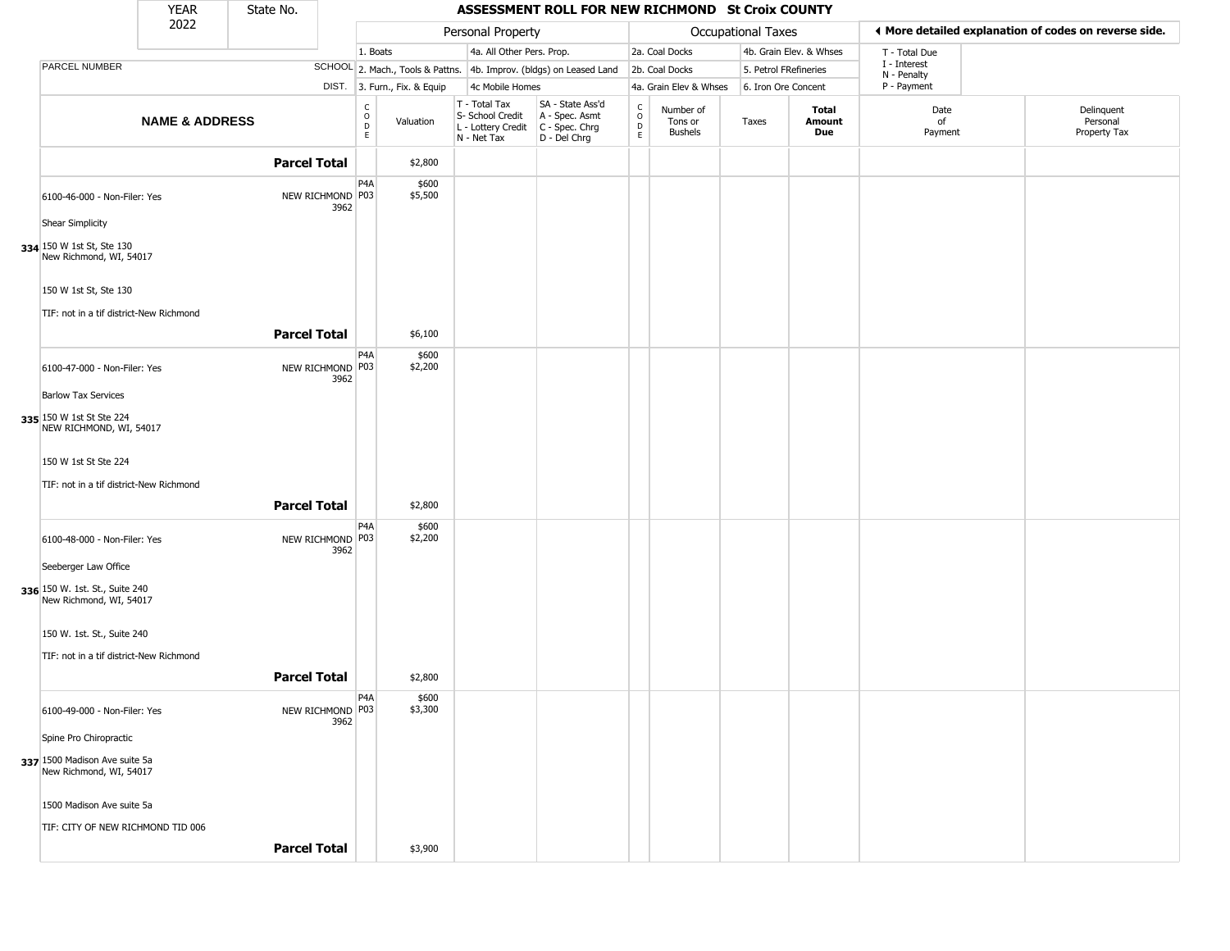|                                                                                   | <b>YEAR</b>               | State No.           |                          |                                                             |                                                                        | ASSESSMENT ROLL FOR NEW RICHMOND St Croix COUNTY                     |                                                         |                                        |                           |                         |                                                       |                                        |
|-----------------------------------------------------------------------------------|---------------------------|---------------------|--------------------------|-------------------------------------------------------------|------------------------------------------------------------------------|----------------------------------------------------------------------|---------------------------------------------------------|----------------------------------------|---------------------------|-------------------------|-------------------------------------------------------|----------------------------------------|
|                                                                                   | 2022                      |                     |                          |                                                             | Personal Property                                                      |                                                                      |                                                         |                                        | <b>Occupational Taxes</b> |                         | ♦ More detailed explanation of codes on reverse side. |                                        |
|                                                                                   |                           |                     |                          | 1. Boats                                                    | 4a. All Other Pers. Prop.                                              |                                                                      |                                                         | 2a. Coal Docks                         |                           | 4b. Grain Elev. & Whses | T - Total Due                                         |                                        |
| PARCEL NUMBER                                                                     |                           |                     |                          |                                                             |                                                                        | SCHOOL 2. Mach., Tools & Pattns. 4b. Improv. (bldgs) on Leased Land  |                                                         | 2b. Coal Docks                         | 5. Petrol FRefineries     |                         | I - Interest<br>N - Penalty                           |                                        |
|                                                                                   |                           |                     |                          | DIST. 3. Furn., Fix. & Equip                                | 4c Mobile Homes                                                        |                                                                      |                                                         | 4a. Grain Elev & Whses                 | 6. Iron Ore Concent       |                         | P - Payment                                           |                                        |
|                                                                                   | <b>NAME &amp; ADDRESS</b> |                     |                          | $\begin{matrix} 0 \\ 0 \\ D \end{matrix}$<br>Valuation<br>E | T - Total Tax<br>S- School Credit<br>L - Lottery Credit<br>N - Net Tax | SA - State Ass'd<br>A - Spec. Asmt<br>C - Spec. Chrg<br>D - Del Chrg | $\begin{smallmatrix}&&C\\0\\0\\D\end{smallmatrix}$<br>E | Number of<br>Tons or<br><b>Bushels</b> | Taxes                     | Total<br>Amount<br>Due  | Date<br>of<br>Payment                                 | Delinquent<br>Personal<br>Property Tax |
|                                                                                   |                           | <b>Parcel Total</b> |                          | \$2,800                                                     |                                                                        |                                                                      |                                                         |                                        |                           |                         |                                                       |                                        |
| 6100-46-000 - Non-Filer: Yes                                                      |                           |                     | NEW RICHMOND P03<br>3962 | P <sub>4</sub> A<br>\$600<br>\$5,500                        |                                                                        |                                                                      |                                                         |                                        |                           |                         |                                                       |                                        |
| <b>Shear Simplicity</b><br>334 150 W 1st St, Ste 130<br>New Richmond, WI, 54017   |                           |                     |                          |                                                             |                                                                        |                                                                      |                                                         |                                        |                           |                         |                                                       |                                        |
| 150 W 1st St, Ste 130<br>TIF: not in a tif district-New Richmond                  |                           |                     |                          |                                                             |                                                                        |                                                                      |                                                         |                                        |                           |                         |                                                       |                                        |
|                                                                                   |                           | <b>Parcel Total</b> |                          | \$6,100                                                     |                                                                        |                                                                      |                                                         |                                        |                           |                         |                                                       |                                        |
| 6100-47-000 - Non-Filer: Yes                                                      |                           |                     | NEW RICHMOND P03<br>3962 | P <sub>4</sub> A<br>\$600<br>\$2,200                        |                                                                        |                                                                      |                                                         |                                        |                           |                         |                                                       |                                        |
| <b>Barlow Tax Services</b><br>335 150 W 1st St Ste 224<br>NEW RICHMOND, WI, 54017 |                           |                     |                          |                                                             |                                                                        |                                                                      |                                                         |                                        |                           |                         |                                                       |                                        |
| 150 W 1st St Ste 224<br>TIF: not in a tif district-New Richmond                   |                           |                     |                          |                                                             |                                                                        |                                                                      |                                                         |                                        |                           |                         |                                                       |                                        |
|                                                                                   |                           | <b>Parcel Total</b> |                          | \$2,800                                                     |                                                                        |                                                                      |                                                         |                                        |                           |                         |                                                       |                                        |
| 6100-48-000 - Non-Filer: Yes                                                      |                           |                     | NEW RICHMOND P03<br>3962 | P4A<br>\$600<br>\$2,200                                     |                                                                        |                                                                      |                                                         |                                        |                           |                         |                                                       |                                        |
| Seeberger Law Office<br>336 150 W. 1st. St., Suite 240<br>New Richmond, WI, 54017 |                           |                     |                          |                                                             |                                                                        |                                                                      |                                                         |                                        |                           |                         |                                                       |                                        |
| 150 W. 1st. St., Suite 240                                                        |                           |                     |                          |                                                             |                                                                        |                                                                      |                                                         |                                        |                           |                         |                                                       |                                        |
| TIF: not in a tif district-New Richmond                                           |                           | <b>Parcel Total</b> |                          | \$2,800                                                     |                                                                        |                                                                      |                                                         |                                        |                           |                         |                                                       |                                        |
| 6100-49-000 - Non-Filer: Yes                                                      |                           |                     | NEW RICHMOND P03<br>3962 | P4A<br>\$600<br>\$3,300                                     |                                                                        |                                                                      |                                                         |                                        |                           |                         |                                                       |                                        |
| Spine Pro Chiropractic                                                            |                           |                     |                          |                                                             |                                                                        |                                                                      |                                                         |                                        |                           |                         |                                                       |                                        |
| 337 1500 Madison Ave suite 5a<br>New Richmond, WI, 54017                          |                           |                     |                          |                                                             |                                                                        |                                                                      |                                                         |                                        |                           |                         |                                                       |                                        |
| 1500 Madison Ave suite 5a                                                         |                           |                     |                          |                                                             |                                                                        |                                                                      |                                                         |                                        |                           |                         |                                                       |                                        |
| TIF: CITY OF NEW RICHMOND TID 006                                                 |                           | <b>Parcel Total</b> |                          | \$3,900                                                     |                                                                        |                                                                      |                                                         |                                        |                           |                         |                                                       |                                        |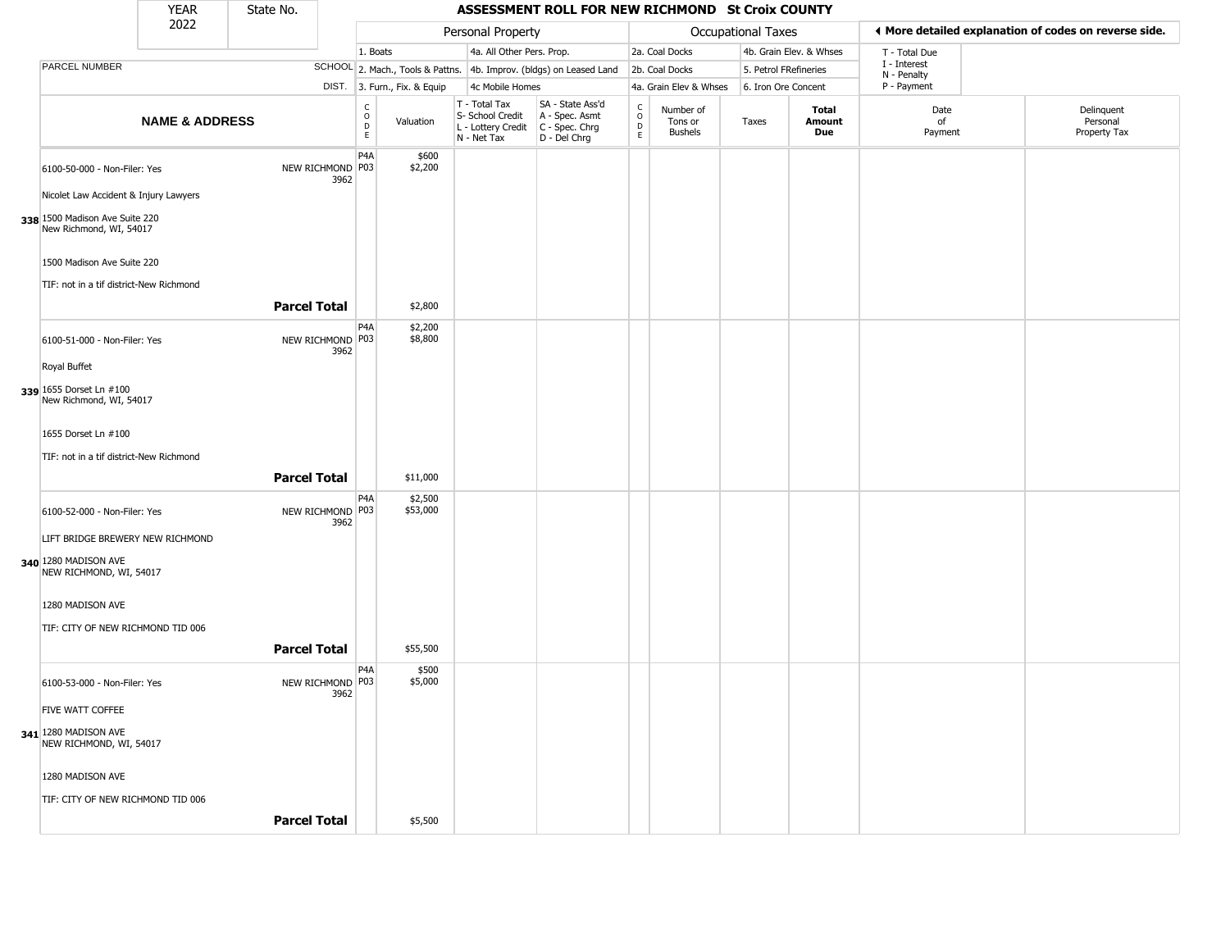|                                                                                     | <b>YEAR</b>               | State No.           |                          |                                             |                              |                                                  | ASSESSMENT ROLL FOR NEW RICHMOND St Croix COUNTY                                          |                                                          |                                        |                           |                         |                             |                                                       |
|-------------------------------------------------------------------------------------|---------------------------|---------------------|--------------------------|---------------------------------------------|------------------------------|--------------------------------------------------|-------------------------------------------------------------------------------------------|----------------------------------------------------------|----------------------------------------|---------------------------|-------------------------|-----------------------------|-------------------------------------------------------|
|                                                                                     | 2022                      |                     |                          |                                             |                              | Personal Property                                |                                                                                           |                                                          |                                        | <b>Occupational Taxes</b> |                         |                             | ◀ More detailed explanation of codes on reverse side. |
|                                                                                     |                           |                     |                          | 1. Boats                                    |                              | 4a. All Other Pers. Prop.                        |                                                                                           |                                                          | 2a. Coal Docks                         |                           | 4b. Grain Elev. & Whses | T - Total Due               |                                                       |
| <b>PARCEL NUMBER</b>                                                                |                           |                     |                          |                                             |                              |                                                  | SCHOOL 2. Mach., Tools & Pattns. 4b. Improv. (bldgs) on Leased Land                       |                                                          | 2b. Coal Docks                         | 5. Petrol FRefineries     |                         | I - Interest<br>N - Penalty |                                                       |
|                                                                                     |                           |                     |                          |                                             | DIST. 3. Furn., Fix. & Equip | 4c Mobile Homes                                  |                                                                                           |                                                          | 4a. Grain Elev & Whses                 | 6. Iron Ore Concent       |                         | P - Payment                 |                                                       |
|                                                                                     | <b>NAME &amp; ADDRESS</b> |                     |                          | $\frac{c}{0}$<br>$\mathsf D$<br>$\mathsf E$ | Valuation                    | T - Total Tax<br>S- School Credit<br>N - Net Tax | SA - State Ass'd<br>A - Spec. Asmt<br>L - Lottery Credit   C - Spec. Chrg<br>D - Del Chrg | $\begin{matrix} 0 \\ 0 \\ D \end{matrix}$<br>$\mathsf E$ | Number of<br>Tons or<br><b>Bushels</b> | Taxes                     | Total<br>Amount<br>Due  | Date<br>of<br>Payment       | Delinquent<br>Personal<br>Property Tax                |
| 6100-50-000 - Non-Filer: Yes                                                        |                           |                     | NEW RICHMOND P03<br>3962 | P4A                                         | \$600<br>\$2,200             |                                                  |                                                                                           |                                                          |                                        |                           |                         |                             |                                                       |
| Nicolet Law Accident & Injury Lawyers                                               |                           |                     |                          |                                             |                              |                                                  |                                                                                           |                                                          |                                        |                           |                         |                             |                                                       |
| 338 1500 Madison Ave Suite 220<br>New Richmond, WI, 54017                           |                           |                     |                          |                                             |                              |                                                  |                                                                                           |                                                          |                                        |                           |                         |                             |                                                       |
| 1500 Madison Ave Suite 220<br>TIF: not in a tif district-New Richmond               |                           |                     |                          |                                             |                              |                                                  |                                                                                           |                                                          |                                        |                           |                         |                             |                                                       |
|                                                                                     |                           | <b>Parcel Total</b> |                          |                                             | \$2,800                      |                                                  |                                                                                           |                                                          |                                        |                           |                         |                             |                                                       |
| 6100-51-000 - Non-Filer: Yes                                                        |                           | NEW RICHMOND P03    | 3962                     | P4A                                         | \$2,200<br>\$8,800           |                                                  |                                                                                           |                                                          |                                        |                           |                         |                             |                                                       |
| Royal Buffet                                                                        |                           |                     |                          |                                             |                              |                                                  |                                                                                           |                                                          |                                        |                           |                         |                             |                                                       |
| 339 1655 Dorset Ln #100<br>New Richmond, WI, 54017                                  |                           |                     |                          |                                             |                              |                                                  |                                                                                           |                                                          |                                        |                           |                         |                             |                                                       |
| 1655 Dorset Ln #100                                                                 |                           |                     |                          |                                             |                              |                                                  |                                                                                           |                                                          |                                        |                           |                         |                             |                                                       |
| TIF: not in a tif district-New Richmond                                             |                           |                     |                          |                                             |                              |                                                  |                                                                                           |                                                          |                                        |                           |                         |                             |                                                       |
|                                                                                     |                           | <b>Parcel Total</b> |                          |                                             | \$11,000                     |                                                  |                                                                                           |                                                          |                                        |                           |                         |                             |                                                       |
| 6100-52-000 - Non-Filer: Yes                                                        |                           |                     | NEW RICHMOND P03<br>3962 | P4A                                         | \$2,500<br>\$53,000          |                                                  |                                                                                           |                                                          |                                        |                           |                         |                             |                                                       |
| LIFT BRIDGE BREWERY NEW RICHMOND<br>340 1280 MADISON AVE<br>NEW RICHMOND, WI, 54017 |                           |                     |                          |                                             |                              |                                                  |                                                                                           |                                                          |                                        |                           |                         |                             |                                                       |
| 1280 MADISON AVE                                                                    |                           |                     |                          |                                             |                              |                                                  |                                                                                           |                                                          |                                        |                           |                         |                             |                                                       |
| TIF: CITY OF NEW RICHMOND TID 006                                                   |                           | <b>Parcel Total</b> |                          |                                             | \$55,500                     |                                                  |                                                                                           |                                                          |                                        |                           |                         |                             |                                                       |
| 6100-53-000 - Non-Filer: Yes                                                        |                           |                     | NEW RICHMOND P03<br>3962 | P <sub>4</sub> A                            | \$500<br>\$5,000             |                                                  |                                                                                           |                                                          |                                        |                           |                         |                             |                                                       |
| <b>FIVE WATT COFFEE</b>                                                             |                           |                     |                          |                                             |                              |                                                  |                                                                                           |                                                          |                                        |                           |                         |                             |                                                       |
| 341 1280 MADISON AVE<br>NEW RICHMOND, WI, 54017                                     |                           |                     |                          |                                             |                              |                                                  |                                                                                           |                                                          |                                        |                           |                         |                             |                                                       |
| 1280 MADISON AVE                                                                    |                           |                     |                          |                                             |                              |                                                  |                                                                                           |                                                          |                                        |                           |                         |                             |                                                       |
| TIF: CITY OF NEW RICHMOND TID 006                                                   |                           |                     |                          |                                             |                              |                                                  |                                                                                           |                                                          |                                        |                           |                         |                             |                                                       |
|                                                                                     |                           | <b>Parcel Total</b> |                          |                                             | \$5,500                      |                                                  |                                                                                           |                                                          |                                        |                           |                         |                             |                                                       |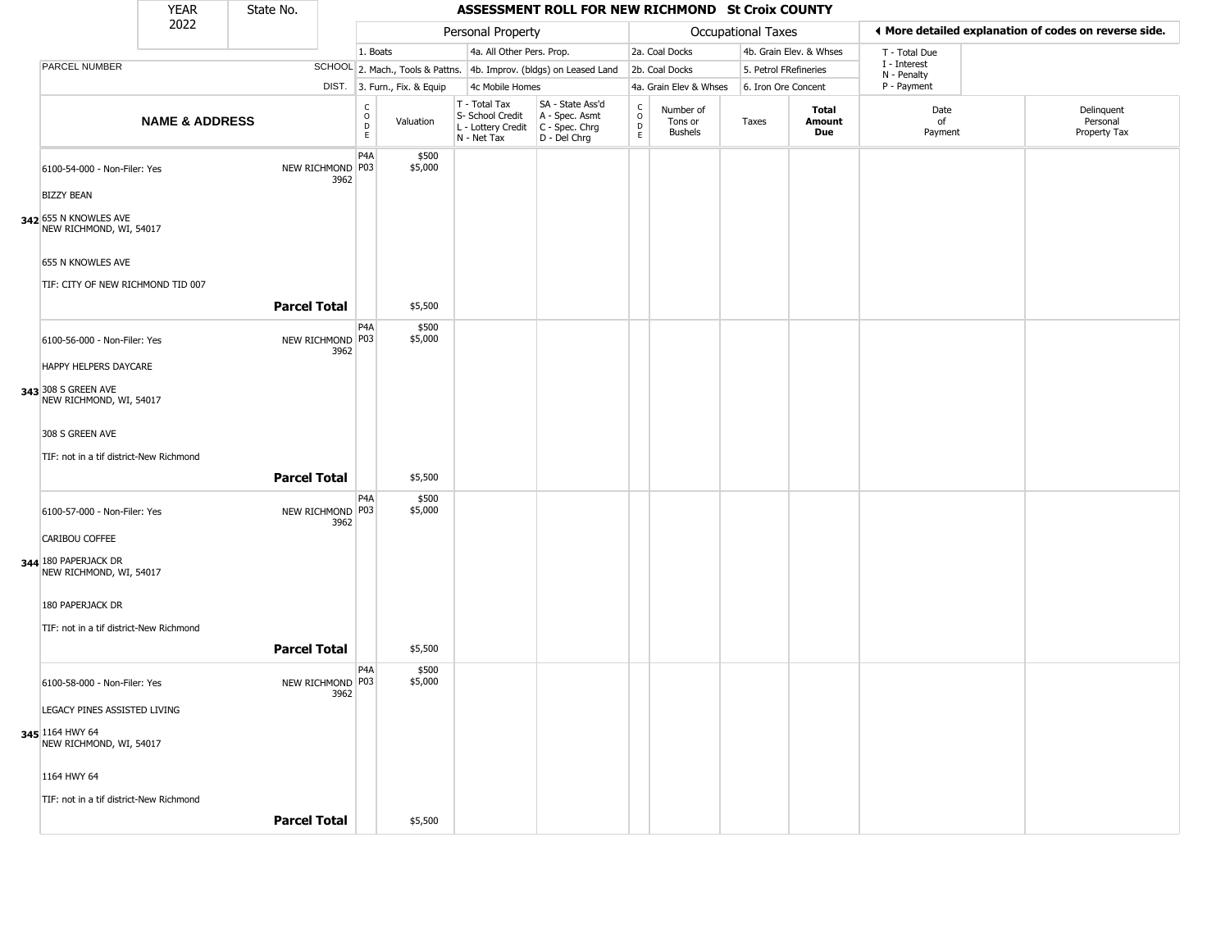| ◀ More detailed explanation of codes on reverse side.<br>Personal Property<br>Occupational Taxes<br>4a. All Other Pers. Prop.<br>2a. Coal Docks<br>4b. Grain Elev. & Whses<br>1. Boats<br>T - Total Due<br>I - Interest<br>PARCEL NUMBER<br>SCHOOL 2. Mach., Tools & Pattns. 4b. Improv. (bldgs) on Leased Land<br>2b. Coal Docks<br>5. Petrol FRefineries<br>N - Penalty<br>P - Payment<br>DIST. 3. Furn., Fix. & Equip<br>4c Mobile Homes<br>4a. Grain Elev & Whses<br>6. Iron Ore Concent<br>T - Total Tax<br>SA - State Ass'd<br>$_{\rm o}^{\rm c}$<br>$\begin{array}{c}\nC \\ D \\ E\n\end{array}$<br>Delinquent<br>Number of<br>Total<br>Date<br>S- School Credit<br>A - Spec. Asmt<br><b>NAME &amp; ADDRESS</b><br>Personal<br>Valuation<br>Tons or<br>Amount<br>of<br>Taxes<br>$\mathsf D$<br>C - Spec. Chrg<br>L - Lottery Credit<br>Property Tax<br><b>Bushels</b><br>Due<br>Payment<br>E<br>N - Net Tax<br>D - Del Chrg<br>P <sub>4</sub> A<br>\$500<br>NEW RICHMOND P03<br>\$5,000<br>6100-54-000 - Non-Filer: Yes<br>3962<br><b>BIZZY BEAN</b><br>342 655 N KNOWLES AVE<br>NEW RICHMOND, WI, 54017<br>655 N KNOWLES AVE<br>TIF: CITY OF NEW RICHMOND TID 007<br><b>Parcel Total</b><br>\$5,500<br>P <sub>4</sub> A<br>\$500<br>\$5,000<br>NEW RICHMOND P03<br>6100-56-000 - Non-Filer: Yes<br>3962<br>HAPPY HELPERS DAYCARE<br>343 308 S GREEN AVE<br>NEW RICHMOND, WI, 54017<br>308 S GREEN AVE<br>TIF: not in a tif district-New Richmond<br><b>Parcel Total</b><br>\$5,500<br>P4A<br>\$500<br>NEW RICHMOND P03<br>\$5,000<br>6100-57-000 - Non-Filer: Yes<br>3962<br>CARIBOU COFFEE<br>344 180 PAPERJACK DR<br>NEW RICHMOND, WI, 54017<br>180 PAPERJACK DR<br>TIF: not in a tif district-New Richmond<br><b>Parcel Total</b><br>\$5,500<br>P4A<br>\$500<br>\$5,000<br>NEW RICHMOND P03<br>6100-58-000 - Non-Filer: Yes<br>3962<br>LEGACY PINES ASSISTED LIVING<br>345 1164 HWY 64<br>NEW RICHMOND, WI, 54017<br>1164 HWY 64<br>TIF: not in a tif district-New Richmond<br><b>Parcel Total</b> |  | <b>YEAR</b> | State No. |         | ASSESSMENT ROLL FOR NEW RICHMOND St Croix COUNTY |  |  |  |  |
|---------------------------------------------------------------------------------------------------------------------------------------------------------------------------------------------------------------------------------------------------------------------------------------------------------------------------------------------------------------------------------------------------------------------------------------------------------------------------------------------------------------------------------------------------------------------------------------------------------------------------------------------------------------------------------------------------------------------------------------------------------------------------------------------------------------------------------------------------------------------------------------------------------------------------------------------------------------------------------------------------------------------------------------------------------------------------------------------------------------------------------------------------------------------------------------------------------------------------------------------------------------------------------------------------------------------------------------------------------------------------------------------------------------------------------------------------------------------------------------------------------------------------------------------------------------------------------------------------------------------------------------------------------------------------------------------------------------------------------------------------------------------------------------------------------------------------------------------------------------------------------------------------------------------------------------------------------------------------------------------------------------|--|-------------|-----------|---------|--------------------------------------------------|--|--|--|--|
|                                                                                                                                                                                                                                                                                                                                                                                                                                                                                                                                                                                                                                                                                                                                                                                                                                                                                                                                                                                                                                                                                                                                                                                                                                                                                                                                                                                                                                                                                                                                                                                                                                                                                                                                                                                                                                                                                                                                                                                                               |  | 2022        |           |         |                                                  |  |  |  |  |
|                                                                                                                                                                                                                                                                                                                                                                                                                                                                                                                                                                                                                                                                                                                                                                                                                                                                                                                                                                                                                                                                                                                                                                                                                                                                                                                                                                                                                                                                                                                                                                                                                                                                                                                                                                                                                                                                                                                                                                                                               |  |             |           |         |                                                  |  |  |  |  |
|                                                                                                                                                                                                                                                                                                                                                                                                                                                                                                                                                                                                                                                                                                                                                                                                                                                                                                                                                                                                                                                                                                                                                                                                                                                                                                                                                                                                                                                                                                                                                                                                                                                                                                                                                                                                                                                                                                                                                                                                               |  |             |           |         |                                                  |  |  |  |  |
|                                                                                                                                                                                                                                                                                                                                                                                                                                                                                                                                                                                                                                                                                                                                                                                                                                                                                                                                                                                                                                                                                                                                                                                                                                                                                                                                                                                                                                                                                                                                                                                                                                                                                                                                                                                                                                                                                                                                                                                                               |  |             |           |         |                                                  |  |  |  |  |
|                                                                                                                                                                                                                                                                                                                                                                                                                                                                                                                                                                                                                                                                                                                                                                                                                                                                                                                                                                                                                                                                                                                                                                                                                                                                                                                                                                                                                                                                                                                                                                                                                                                                                                                                                                                                                                                                                                                                                                                                               |  |             |           |         |                                                  |  |  |  |  |
|                                                                                                                                                                                                                                                                                                                                                                                                                                                                                                                                                                                                                                                                                                                                                                                                                                                                                                                                                                                                                                                                                                                                                                                                                                                                                                                                                                                                                                                                                                                                                                                                                                                                                                                                                                                                                                                                                                                                                                                                               |  |             |           |         |                                                  |  |  |  |  |
|                                                                                                                                                                                                                                                                                                                                                                                                                                                                                                                                                                                                                                                                                                                                                                                                                                                                                                                                                                                                                                                                                                                                                                                                                                                                                                                                                                                                                                                                                                                                                                                                                                                                                                                                                                                                                                                                                                                                                                                                               |  |             |           |         |                                                  |  |  |  |  |
|                                                                                                                                                                                                                                                                                                                                                                                                                                                                                                                                                                                                                                                                                                                                                                                                                                                                                                                                                                                                                                                                                                                                                                                                                                                                                                                                                                                                                                                                                                                                                                                                                                                                                                                                                                                                                                                                                                                                                                                                               |  |             |           |         |                                                  |  |  |  |  |
|                                                                                                                                                                                                                                                                                                                                                                                                                                                                                                                                                                                                                                                                                                                                                                                                                                                                                                                                                                                                                                                                                                                                                                                                                                                                                                                                                                                                                                                                                                                                                                                                                                                                                                                                                                                                                                                                                                                                                                                                               |  |             |           |         |                                                  |  |  |  |  |
|                                                                                                                                                                                                                                                                                                                                                                                                                                                                                                                                                                                                                                                                                                                                                                                                                                                                                                                                                                                                                                                                                                                                                                                                                                                                                                                                                                                                                                                                                                                                                                                                                                                                                                                                                                                                                                                                                                                                                                                                               |  |             |           |         |                                                  |  |  |  |  |
|                                                                                                                                                                                                                                                                                                                                                                                                                                                                                                                                                                                                                                                                                                                                                                                                                                                                                                                                                                                                                                                                                                                                                                                                                                                                                                                                                                                                                                                                                                                                                                                                                                                                                                                                                                                                                                                                                                                                                                                                               |  |             |           |         |                                                  |  |  |  |  |
|                                                                                                                                                                                                                                                                                                                                                                                                                                                                                                                                                                                                                                                                                                                                                                                                                                                                                                                                                                                                                                                                                                                                                                                                                                                                                                                                                                                                                                                                                                                                                                                                                                                                                                                                                                                                                                                                                                                                                                                                               |  |             |           |         |                                                  |  |  |  |  |
|                                                                                                                                                                                                                                                                                                                                                                                                                                                                                                                                                                                                                                                                                                                                                                                                                                                                                                                                                                                                                                                                                                                                                                                                                                                                                                                                                                                                                                                                                                                                                                                                                                                                                                                                                                                                                                                                                                                                                                                                               |  |             |           |         |                                                  |  |  |  |  |
|                                                                                                                                                                                                                                                                                                                                                                                                                                                                                                                                                                                                                                                                                                                                                                                                                                                                                                                                                                                                                                                                                                                                                                                                                                                                                                                                                                                                                                                                                                                                                                                                                                                                                                                                                                                                                                                                                                                                                                                                               |  |             |           |         |                                                  |  |  |  |  |
|                                                                                                                                                                                                                                                                                                                                                                                                                                                                                                                                                                                                                                                                                                                                                                                                                                                                                                                                                                                                                                                                                                                                                                                                                                                                                                                                                                                                                                                                                                                                                                                                                                                                                                                                                                                                                                                                                                                                                                                                               |  |             |           |         |                                                  |  |  |  |  |
|                                                                                                                                                                                                                                                                                                                                                                                                                                                                                                                                                                                                                                                                                                                                                                                                                                                                                                                                                                                                                                                                                                                                                                                                                                                                                                                                                                                                                                                                                                                                                                                                                                                                                                                                                                                                                                                                                                                                                                                                               |  |             |           |         |                                                  |  |  |  |  |
|                                                                                                                                                                                                                                                                                                                                                                                                                                                                                                                                                                                                                                                                                                                                                                                                                                                                                                                                                                                                                                                                                                                                                                                                                                                                                                                                                                                                                                                                                                                                                                                                                                                                                                                                                                                                                                                                                                                                                                                                               |  |             |           |         |                                                  |  |  |  |  |
|                                                                                                                                                                                                                                                                                                                                                                                                                                                                                                                                                                                                                                                                                                                                                                                                                                                                                                                                                                                                                                                                                                                                                                                                                                                                                                                                                                                                                                                                                                                                                                                                                                                                                                                                                                                                                                                                                                                                                                                                               |  |             |           |         |                                                  |  |  |  |  |
|                                                                                                                                                                                                                                                                                                                                                                                                                                                                                                                                                                                                                                                                                                                                                                                                                                                                                                                                                                                                                                                                                                                                                                                                                                                                                                                                                                                                                                                                                                                                                                                                                                                                                                                                                                                                                                                                                                                                                                                                               |  |             |           |         |                                                  |  |  |  |  |
|                                                                                                                                                                                                                                                                                                                                                                                                                                                                                                                                                                                                                                                                                                                                                                                                                                                                                                                                                                                                                                                                                                                                                                                                                                                                                                                                                                                                                                                                                                                                                                                                                                                                                                                                                                                                                                                                                                                                                                                                               |  |             |           |         |                                                  |  |  |  |  |
|                                                                                                                                                                                                                                                                                                                                                                                                                                                                                                                                                                                                                                                                                                                                                                                                                                                                                                                                                                                                                                                                                                                                                                                                                                                                                                                                                                                                                                                                                                                                                                                                                                                                                                                                                                                                                                                                                                                                                                                                               |  |             |           |         |                                                  |  |  |  |  |
|                                                                                                                                                                                                                                                                                                                                                                                                                                                                                                                                                                                                                                                                                                                                                                                                                                                                                                                                                                                                                                                                                                                                                                                                                                                                                                                                                                                                                                                                                                                                                                                                                                                                                                                                                                                                                                                                                                                                                                                                               |  |             |           |         |                                                  |  |  |  |  |
|                                                                                                                                                                                                                                                                                                                                                                                                                                                                                                                                                                                                                                                                                                                                                                                                                                                                                                                                                                                                                                                                                                                                                                                                                                                                                                                                                                                                                                                                                                                                                                                                                                                                                                                                                                                                                                                                                                                                                                                                               |  |             |           |         |                                                  |  |  |  |  |
|                                                                                                                                                                                                                                                                                                                                                                                                                                                                                                                                                                                                                                                                                                                                                                                                                                                                                                                                                                                                                                                                                                                                                                                                                                                                                                                                                                                                                                                                                                                                                                                                                                                                                                                                                                                                                                                                                                                                                                                                               |  |             |           |         |                                                  |  |  |  |  |
|                                                                                                                                                                                                                                                                                                                                                                                                                                                                                                                                                                                                                                                                                                                                                                                                                                                                                                                                                                                                                                                                                                                                                                                                                                                                                                                                                                                                                                                                                                                                                                                                                                                                                                                                                                                                                                                                                                                                                                                                               |  |             |           |         |                                                  |  |  |  |  |
|                                                                                                                                                                                                                                                                                                                                                                                                                                                                                                                                                                                                                                                                                                                                                                                                                                                                                                                                                                                                                                                                                                                                                                                                                                                                                                                                                                                                                                                                                                                                                                                                                                                                                                                                                                                                                                                                                                                                                                                                               |  |             |           |         |                                                  |  |  |  |  |
|                                                                                                                                                                                                                                                                                                                                                                                                                                                                                                                                                                                                                                                                                                                                                                                                                                                                                                                                                                                                                                                                                                                                                                                                                                                                                                                                                                                                                                                                                                                                                                                                                                                                                                                                                                                                                                                                                                                                                                                                               |  |             |           |         |                                                  |  |  |  |  |
|                                                                                                                                                                                                                                                                                                                                                                                                                                                                                                                                                                                                                                                                                                                                                                                                                                                                                                                                                                                                                                                                                                                                                                                                                                                                                                                                                                                                                                                                                                                                                                                                                                                                                                                                                                                                                                                                                                                                                                                                               |  |             |           |         |                                                  |  |  |  |  |
|                                                                                                                                                                                                                                                                                                                                                                                                                                                                                                                                                                                                                                                                                                                                                                                                                                                                                                                                                                                                                                                                                                                                                                                                                                                                                                                                                                                                                                                                                                                                                                                                                                                                                                                                                                                                                                                                                                                                                                                                               |  |             |           | \$5,500 |                                                  |  |  |  |  |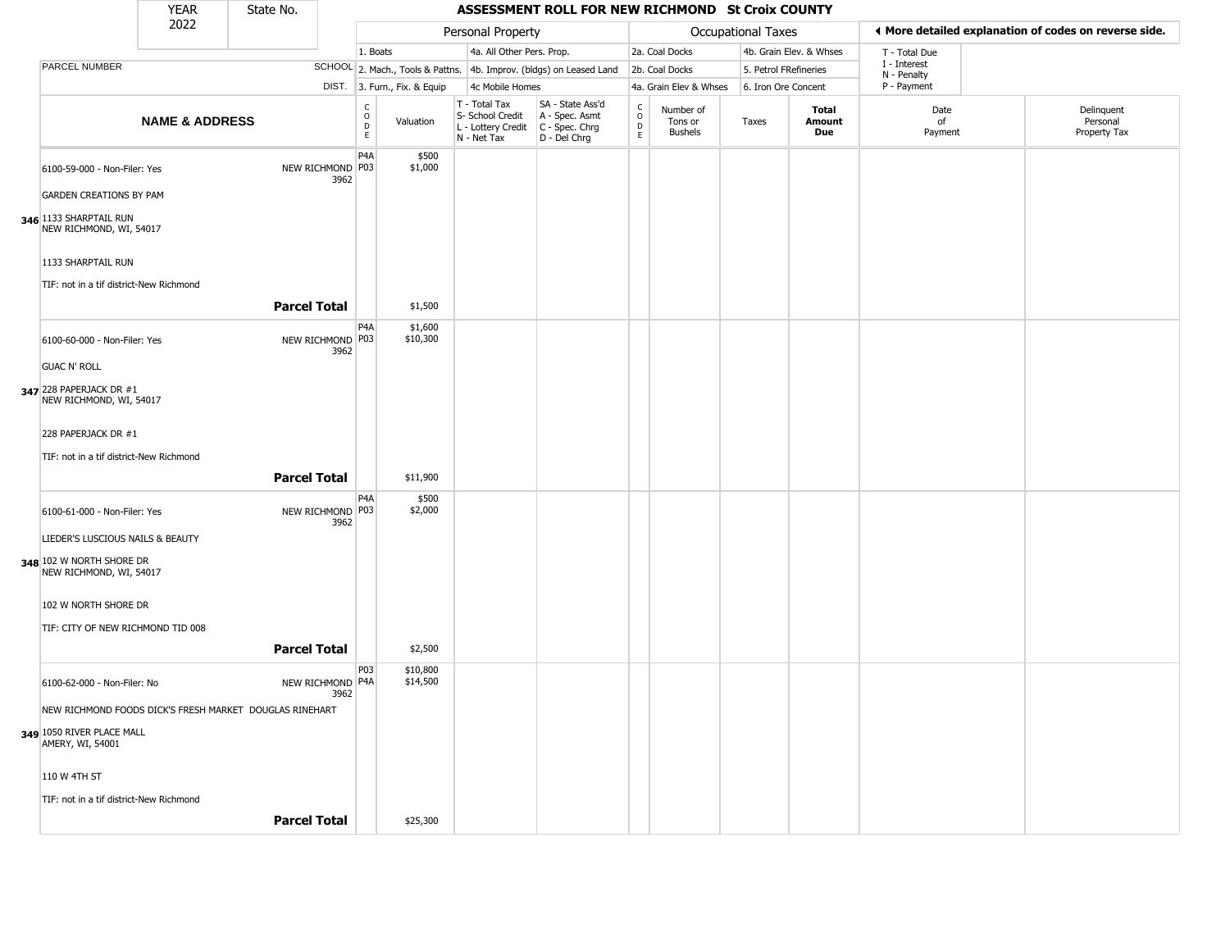|                                                               | <b>YEAR</b>               | State No.           |      |                                            |                              |                                                                                           | ASSESSMENT ROLL FOR NEW RICHMOND St Croix COUNTY                    |                                                 |                                        |                       |                         |                             |                                                       |  |
|---------------------------------------------------------------|---------------------------|---------------------|------|--------------------------------------------|------------------------------|-------------------------------------------------------------------------------------------|---------------------------------------------------------------------|-------------------------------------------------|----------------------------------------|-----------------------|-------------------------|-----------------------------|-------------------------------------------------------|--|
|                                                               | 2022                      |                     |      |                                            |                              | Personal Property                                                                         |                                                                     |                                                 |                                        | Occupational Taxes    |                         |                             | ♦ More detailed explanation of codes on reverse side. |  |
|                                                               |                           |                     |      | 1. Boats                                   |                              | 4a. All Other Pers. Prop.                                                                 |                                                                     |                                                 | 2a. Coal Docks                         |                       | 4b. Grain Elev. & Whses | T - Total Due               |                                                       |  |
| PARCEL NUMBER                                                 |                           |                     |      |                                            |                              |                                                                                           | SCHOOL 2. Mach., Tools & Pattns. 4b. Improv. (bldgs) on Leased Land |                                                 | 2b. Coal Docks                         | 5. Petrol FRefineries |                         | I - Interest<br>N - Penalty |                                                       |  |
|                                                               |                           |                     |      |                                            | DIST. 3. Furn., Fix. & Equip | 4c Mobile Homes                                                                           |                                                                     |                                                 | 4a. Grain Elev & Whses                 | 6. Iron Ore Concent   |                         | P - Payment                 |                                                       |  |
|                                                               | <b>NAME &amp; ADDRESS</b> |                     |      | C<br>$\circ$<br>$\mathsf D$<br>$\mathsf E$ | Valuation                    | T - Total Tax<br>S- School Credit<br>$L$ - Lottery Credit $C$ - Spec. Chrg<br>N - Net Tax | SA - State Ass'd<br>A - Spec. Asmt<br>D - Del Chrg                  | $\begin{array}{c} C \\ O \\ D \\ E \end{array}$ | Number of<br>Tons or<br><b>Bushels</b> | Taxes                 | Total<br>Amount<br>Due  | Date<br>of<br>Payment       | Delinquent<br>Personal<br>Property Tax                |  |
| 6100-59-000 - Non-Filer: Yes                                  |                           | NEW RICHMOND P03    | 3962 | P4A                                        | \$500<br>\$1,000             |                                                                                           |                                                                     |                                                 |                                        |                       |                         |                             |                                                       |  |
| <b>GARDEN CREATIONS BY PAM</b>                                |                           |                     |      |                                            |                              |                                                                                           |                                                                     |                                                 |                                        |                       |                         |                             |                                                       |  |
| 346 1133 SHARPTAIL RUN<br>NEW RICHMOND, WI, 54017             |                           |                     |      |                                            |                              |                                                                                           |                                                                     |                                                 |                                        |                       |                         |                             |                                                       |  |
| 1133 SHARPTAIL RUN<br>TIF: not in a tif district-New Richmond |                           |                     |      |                                            |                              |                                                                                           |                                                                     |                                                 |                                        |                       |                         |                             |                                                       |  |
|                                                               |                           | <b>Parcel Total</b> |      |                                            | \$1,500                      |                                                                                           |                                                                     |                                                 |                                        |                       |                         |                             |                                                       |  |
| 6100-60-000 - Non-Filer: Yes                                  |                           | NEW RICHMOND P03    | 3962 | P4A                                        | \$1,600<br>\$10,300          |                                                                                           |                                                                     |                                                 |                                        |                       |                         |                             |                                                       |  |
| <b>GUAC N' ROLL</b>                                           |                           |                     |      |                                            |                              |                                                                                           |                                                                     |                                                 |                                        |                       |                         |                             |                                                       |  |
| 347 228 PAPERJACK DR #1<br>NEW RICHMOND, WI, 54017            |                           |                     |      |                                            |                              |                                                                                           |                                                                     |                                                 |                                        |                       |                         |                             |                                                       |  |
| 228 PAPERJACK DR #1                                           |                           |                     |      |                                            |                              |                                                                                           |                                                                     |                                                 |                                        |                       |                         |                             |                                                       |  |
| TIF: not in a tif district-New Richmond                       |                           |                     |      |                                            |                              |                                                                                           |                                                                     |                                                 |                                        |                       |                         |                             |                                                       |  |
|                                                               |                           | <b>Parcel Total</b> |      |                                            | \$11,900                     |                                                                                           |                                                                     |                                                 |                                        |                       |                         |                             |                                                       |  |
| 6100-61-000 - Non-Filer: Yes                                  |                           | NEW RICHMOND P03    | 3962 | P4A                                        | \$500<br>\$2,000             |                                                                                           |                                                                     |                                                 |                                        |                       |                         |                             |                                                       |  |
| LIEDER'S LUSCIOUS NAILS & BEAUTY                              |                           |                     |      |                                            |                              |                                                                                           |                                                                     |                                                 |                                        |                       |                         |                             |                                                       |  |
| 348 102 W NORTH SHORE DR<br>NEW RICHMOND, WI, 54017           |                           |                     |      |                                            |                              |                                                                                           |                                                                     |                                                 |                                        |                       |                         |                             |                                                       |  |
| 102 W NORTH SHORE DR                                          |                           |                     |      |                                            |                              |                                                                                           |                                                                     |                                                 |                                        |                       |                         |                             |                                                       |  |
| TIF: CITY OF NEW RICHMOND TID 008                             |                           |                     |      |                                            |                              |                                                                                           |                                                                     |                                                 |                                        |                       |                         |                             |                                                       |  |
|                                                               |                           | <b>Parcel Total</b> |      |                                            | \$2,500                      |                                                                                           |                                                                     |                                                 |                                        |                       |                         |                             |                                                       |  |
| 6100-62-000 - Non-Filer: No                                   |                           | NEW RICHMOND P4A    | 3962 | P03                                        | \$10,800<br>\$14,500         |                                                                                           |                                                                     |                                                 |                                        |                       |                         |                             |                                                       |  |
| NEW RICHMOND FOODS DICK'S FRESH MARKET DOUGLAS RINEHART       |                           |                     |      |                                            |                              |                                                                                           |                                                                     |                                                 |                                        |                       |                         |                             |                                                       |  |
| 349 1050 RIVER PLACE MALL<br>AMERY, WI, 54001                 |                           |                     |      |                                            |                              |                                                                                           |                                                                     |                                                 |                                        |                       |                         |                             |                                                       |  |
| 110 W 4TH ST                                                  |                           |                     |      |                                            |                              |                                                                                           |                                                                     |                                                 |                                        |                       |                         |                             |                                                       |  |
| TIF: not in a tif district-New Richmond                       |                           |                     |      |                                            |                              |                                                                                           |                                                                     |                                                 |                                        |                       |                         |                             |                                                       |  |
|                                                               |                           | <b>Parcel Total</b> |      |                                            | \$25,300                     |                                                                                           |                                                                     |                                                 |                                        |                       |                         |                             |                                                       |  |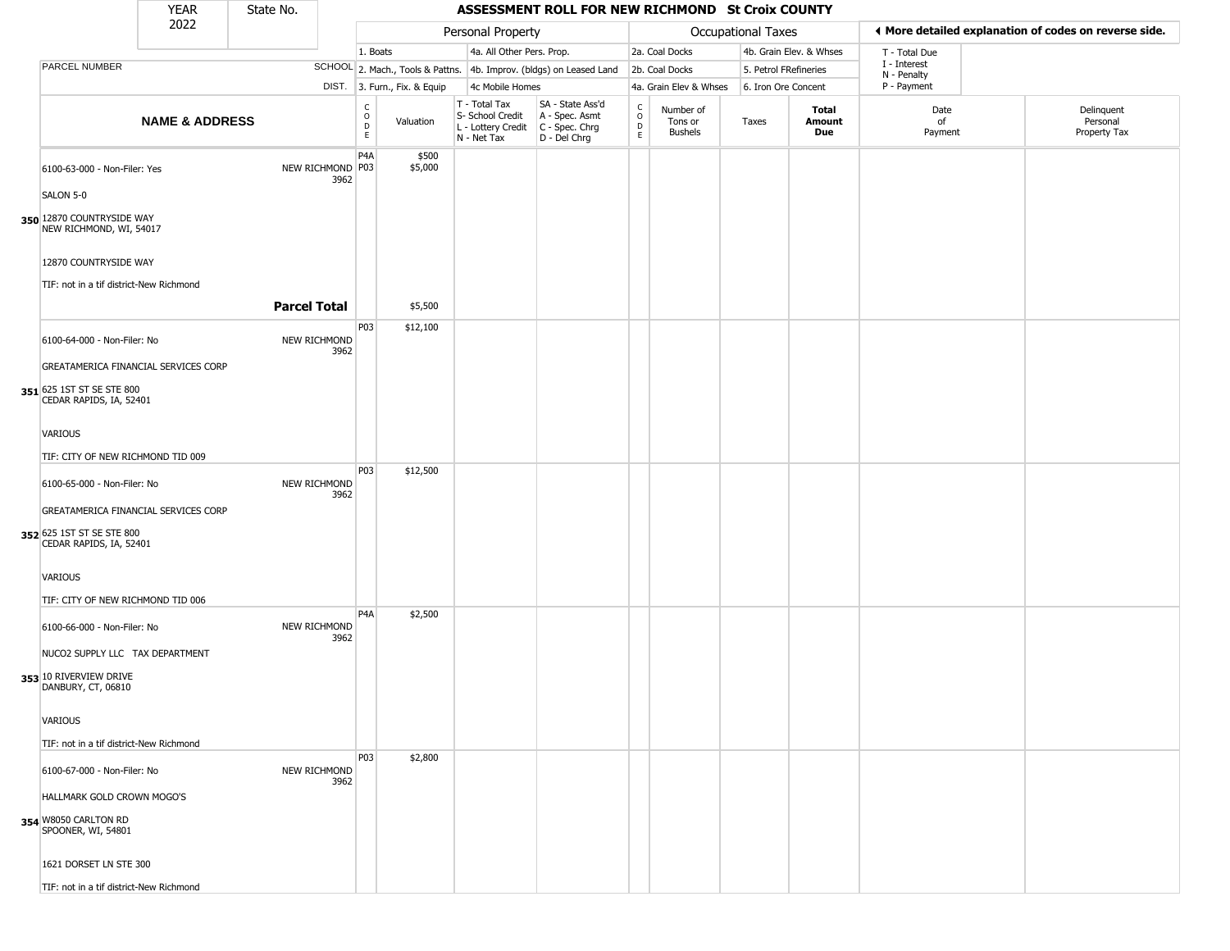|                                                      | <b>YEAR</b>               | State No.           |                          |                                    |                              |                                                                                         | ASSESSMENT ROLL FOR NEW RICHMOND St Croix COUNTY                    |                        |                                        |                       |                         |                             |                                                       |
|------------------------------------------------------|---------------------------|---------------------|--------------------------|------------------------------------|------------------------------|-----------------------------------------------------------------------------------------|---------------------------------------------------------------------|------------------------|----------------------------------------|-----------------------|-------------------------|-----------------------------|-------------------------------------------------------|
|                                                      | 2022                      |                     |                          |                                    |                              | Personal Property                                                                       |                                                                     |                        |                                        | Occupational Taxes    |                         |                             | ◀ More detailed explanation of codes on reverse side. |
|                                                      |                           |                     |                          | 1. Boats                           |                              | 4a. All Other Pers. Prop.                                                               |                                                                     |                        | 2a. Coal Docks                         |                       | 4b. Grain Elev. & Whses | T - Total Due               |                                                       |
| PARCEL NUMBER                                        |                           |                     |                          |                                    |                              |                                                                                         | SCHOOL 2. Mach., Tools & Pattns. 4b. Improv. (bldgs) on Leased Land |                        | 2b. Coal Docks                         | 5. Petrol FRefineries |                         | I - Interest<br>N - Penalty |                                                       |
|                                                      |                           |                     |                          |                                    | DIST. 3. Furn., Fix. & Equip | 4c Mobile Homes                                                                         |                                                                     |                        | 4a. Grain Elev & Whses                 | 6. Iron Ore Concent   |                         | P - Payment                 |                                                       |
|                                                      | <b>NAME &amp; ADDRESS</b> |                     |                          | $\int_{0}^{c}$<br>$\mathsf D$<br>E | Valuation                    | T - Total Tax<br>S- School Credit<br>L - Lottery Credit   C - Spec. Chrg<br>N - Net Tax | SA - State Ass'd<br>A - Spec. Asmt<br>D - Del Chrg                  | C<br>$\circ$<br>D<br>E | Number of<br>Tons or<br><b>Bushels</b> | Taxes                 | Total<br>Amount<br>Due  | Date<br>of<br>Payment       | Delinquent<br>Personal<br>Property Tax                |
| 6100-63-000 - Non-Filer: Yes                         |                           |                     | NEW RICHMOND P03<br>3962 | P4A                                | \$500<br>\$5,000             |                                                                                         |                                                                     |                        |                                        |                       |                         |                             |                                                       |
| SALON 5-0                                            |                           |                     |                          |                                    |                              |                                                                                         |                                                                     |                        |                                        |                       |                         |                             |                                                       |
| 350 12870 COUNTRYSIDE WAY<br>NEW RICHMOND, WI, 54017 |                           |                     |                          |                                    |                              |                                                                                         |                                                                     |                        |                                        |                       |                         |                             |                                                       |
| 12870 COUNTRYSIDE WAY                                |                           |                     |                          |                                    |                              |                                                                                         |                                                                     |                        |                                        |                       |                         |                             |                                                       |
| TIF: not in a tif district-New Richmond              |                           |                     |                          |                                    |                              |                                                                                         |                                                                     |                        |                                        |                       |                         |                             |                                                       |
|                                                      |                           | <b>Parcel Total</b> |                          |                                    | \$5,500                      |                                                                                         |                                                                     |                        |                                        |                       |                         |                             |                                                       |
| 6100-64-000 - Non-Filer: No                          |                           |                     | NEW RICHMOND<br>3962     | P03                                | \$12,100                     |                                                                                         |                                                                     |                        |                                        |                       |                         |                             |                                                       |
| GREATAMERICA FINANCIAL SERVICES CORP                 |                           |                     |                          |                                    |                              |                                                                                         |                                                                     |                        |                                        |                       |                         |                             |                                                       |
| 351 625 1ST ST SE STE 800<br>CEDAR RAPIDS, IA, 52401 |                           |                     |                          |                                    |                              |                                                                                         |                                                                     |                        |                                        |                       |                         |                             |                                                       |
| <b>VARIOUS</b>                                       |                           |                     |                          |                                    |                              |                                                                                         |                                                                     |                        |                                        |                       |                         |                             |                                                       |
| TIF: CITY OF NEW RICHMOND TID 009                    |                           |                     |                          | P03                                | \$12,500                     |                                                                                         |                                                                     |                        |                                        |                       |                         |                             |                                                       |
| 6100-65-000 - Non-Filer: No                          |                           |                     | NEW RICHMOND<br>3962     |                                    |                              |                                                                                         |                                                                     |                        |                                        |                       |                         |                             |                                                       |
| GREATAMERICA FINANCIAL SERVICES CORP                 |                           |                     |                          |                                    |                              |                                                                                         |                                                                     |                        |                                        |                       |                         |                             |                                                       |
| 352 625 1ST ST SE STE 800<br>CEDAR RAPIDS, IA, 52401 |                           |                     |                          |                                    |                              |                                                                                         |                                                                     |                        |                                        |                       |                         |                             |                                                       |
| <b>VARIOUS</b>                                       |                           |                     |                          |                                    |                              |                                                                                         |                                                                     |                        |                                        |                       |                         |                             |                                                       |
| TIF: CITY OF NEW RICHMOND TID 006                    |                           |                     |                          |                                    |                              |                                                                                         |                                                                     |                        |                                        |                       |                         |                             |                                                       |
| 6100-66-000 - Non-Filer: No                          |                           |                     | NEW RICHMOND<br>3962     | P <sub>4</sub> A                   | \$2,500                      |                                                                                         |                                                                     |                        |                                        |                       |                         |                             |                                                       |
| NUCO2 SUPPLY LLC TAX DEPARTMENT                      |                           |                     |                          |                                    |                              |                                                                                         |                                                                     |                        |                                        |                       |                         |                             |                                                       |
| 353 10 RIVERVIEW DRIVE<br>DANBURY, CT, 06810         |                           |                     |                          |                                    |                              |                                                                                         |                                                                     |                        |                                        |                       |                         |                             |                                                       |
| VARIOUS                                              |                           |                     |                          |                                    |                              |                                                                                         |                                                                     |                        |                                        |                       |                         |                             |                                                       |
| TIF: not in a tif district-New Richmond              |                           |                     |                          |                                    |                              |                                                                                         |                                                                     |                        |                                        |                       |                         |                             |                                                       |
| 6100-67-000 - Non-Filer: No                          |                           |                     | NEW RICHMOND<br>3962     | P03                                | \$2,800                      |                                                                                         |                                                                     |                        |                                        |                       |                         |                             |                                                       |
| HALLMARK GOLD CROWN MOGO'S                           |                           |                     |                          |                                    |                              |                                                                                         |                                                                     |                        |                                        |                       |                         |                             |                                                       |
| 354 W8050 CARLTON RD<br>SPOONER, WI, 54801           |                           |                     |                          |                                    |                              |                                                                                         |                                                                     |                        |                                        |                       |                         |                             |                                                       |
| 1621 DORSET LN STE 300                               |                           |                     |                          |                                    |                              |                                                                                         |                                                                     |                        |                                        |                       |                         |                             |                                                       |
| TIF: not in a tif district-New Richmond              |                           |                     |                          |                                    |                              |                                                                                         |                                                                     |                        |                                        |                       |                         |                             |                                                       |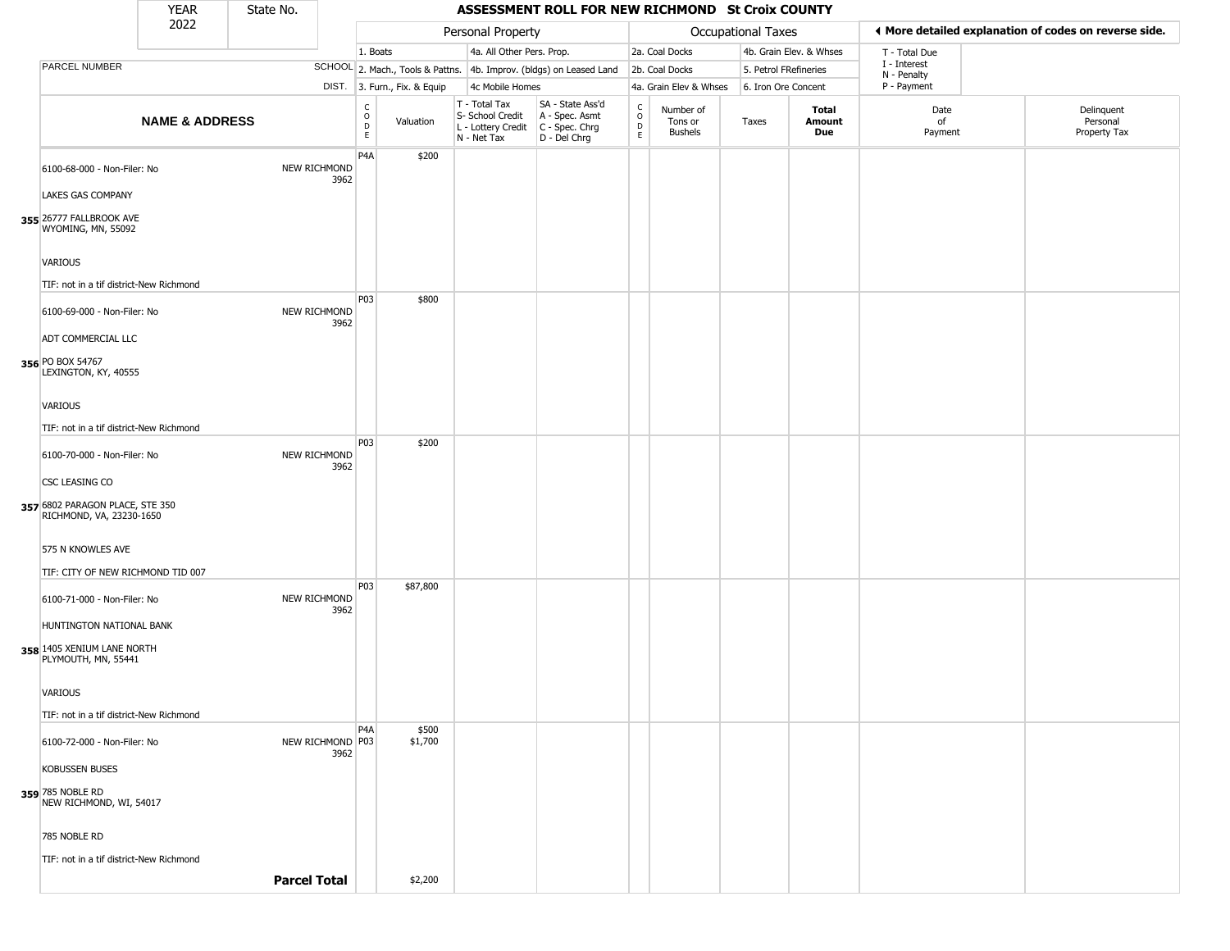|                                                                                                              | <b>YEAR</b>               | State No.           |                          |                                  |                              |                                                                        | ASSESSMENT ROLL FOR NEW RICHMOND St Croix COUNTY                       |                                   |                                        |                       |                         |                             |                                                       |
|--------------------------------------------------------------------------------------------------------------|---------------------------|---------------------|--------------------------|----------------------------------|------------------------------|------------------------------------------------------------------------|------------------------------------------------------------------------|-----------------------------------|----------------------------------------|-----------------------|-------------------------|-----------------------------|-------------------------------------------------------|
|                                                                                                              | 2022                      |                     |                          |                                  |                              | Personal Property                                                      |                                                                        |                                   |                                        | Occupational Taxes    |                         |                             | ◀ More detailed explanation of codes on reverse side. |
|                                                                                                              |                           |                     |                          | 1. Boats                         |                              | 4a. All Other Pers. Prop.                                              |                                                                        |                                   | 2a. Coal Docks                         |                       | 4b. Grain Elev. & Whses | T - Total Due               |                                                       |
| PARCEL NUMBER                                                                                                |                           |                     |                          |                                  |                              |                                                                        | SCHOOL 2. Mach., Tools & Pattns. 4b. Improv. (bldgs) on Leased Land    |                                   | 2b. Coal Docks                         | 5. Petrol FRefineries |                         | I - Interest<br>N - Penalty |                                                       |
|                                                                                                              |                           |                     |                          |                                  | DIST. 3. Furn., Fix. & Equip | 4c Mobile Homes                                                        |                                                                        |                                   | 4a. Grain Elev & Whses                 | 6. Iron Ore Concent   |                         | P - Payment                 |                                                       |
|                                                                                                              | <b>NAME &amp; ADDRESS</b> |                     |                          | $\mathsf C$<br>$\circ$<br>D<br>E | Valuation                    | T - Total Tax<br>S- School Credit<br>L - Lottery Credit<br>N - Net Tax | SA - State Ass'd<br>A - Spec. Asmt<br>$C - Spec. Chrg$<br>D - Del Chrg | $\mathsf{C}$<br>$\circ$<br>D<br>E | Number of<br>Tons or<br><b>Bushels</b> | Taxes                 | Total<br>Amount<br>Due  | Date<br>of<br>Payment       | Delinquent<br>Personal<br>Property Tax                |
| 6100-68-000 - Non-Filer: No<br>LAKES GAS COMPANY                                                             |                           | NEW RICHMOND        | 3962                     | P4A                              | \$200                        |                                                                        |                                                                        |                                   |                                        |                       |                         |                             |                                                       |
| 355 26777 FALLBROOK AVE<br>WYOMING, MN, 55092<br>VARIOUS                                                     |                           |                     |                          |                                  |                              |                                                                        |                                                                        |                                   |                                        |                       |                         |                             |                                                       |
| TIF: not in a tif district-New Richmond                                                                      |                           |                     |                          |                                  |                              |                                                                        |                                                                        |                                   |                                        |                       |                         |                             |                                                       |
| 6100-69-000 - Non-Filer: No<br>ADT COMMERCIAL LLC<br>356 PO BOX 54767                                        |                           | NEW RICHMOND        | 3962                     | P03                              | \$800                        |                                                                        |                                                                        |                                   |                                        |                       |                         |                             |                                                       |
| LEXINGTON, KY, 40555<br>VARIOUS<br>TIF: not in a tif district-New Richmond                                   |                           |                     |                          |                                  |                              |                                                                        |                                                                        |                                   |                                        |                       |                         |                             |                                                       |
| 6100-70-000 - Non-Filer: No<br>CSC LEASING CO<br>357 6802 PARAGON PLACE, STE 350<br>RICHMOND, VA, 23230-1650 |                           |                     | NEW RICHMOND<br>3962     | P03                              | \$200                        |                                                                        |                                                                        |                                   |                                        |                       |                         |                             |                                                       |
| 575 N KNOWLES AVE                                                                                            |                           |                     |                          |                                  |                              |                                                                        |                                                                        |                                   |                                        |                       |                         |                             |                                                       |
| TIF: CITY OF NEW RICHMOND TID 007                                                                            |                           |                     |                          |                                  |                              |                                                                        |                                                                        |                                   |                                        |                       |                         |                             |                                                       |
| 6100-71-000 - Non-Filer: No<br>HUNTINGTON NATIONAL BANK<br>358 1405 XENIUM LANE NORTH<br>PLYMOUTH, MN, 55441 |                           | <b>NEW RICHMOND</b> | 3962                     | P03                              | \$87,800                     |                                                                        |                                                                        |                                   |                                        |                       |                         |                             |                                                       |
| <b>VARIOUS</b><br>TIF: not in a tif district-New Richmond                                                    |                           |                     |                          |                                  |                              |                                                                        |                                                                        |                                   |                                        |                       |                         |                             |                                                       |
| 6100-72-000 - Non-Filer: No<br><b>KOBUSSEN BUSES</b><br>359 785 NOBLE RD<br>NEW RICHMOND, WI, 54017          |                           |                     | NEW RICHMOND P03<br>3962 | P4A                              | \$500<br>\$1,700             |                                                                        |                                                                        |                                   |                                        |                       |                         |                             |                                                       |
| 785 NOBLE RD<br>TIF: not in a tif district-New Richmond                                                      |                           | <b>Parcel Total</b> |                          |                                  | \$2,200                      |                                                                        |                                                                        |                                   |                                        |                       |                         |                             |                                                       |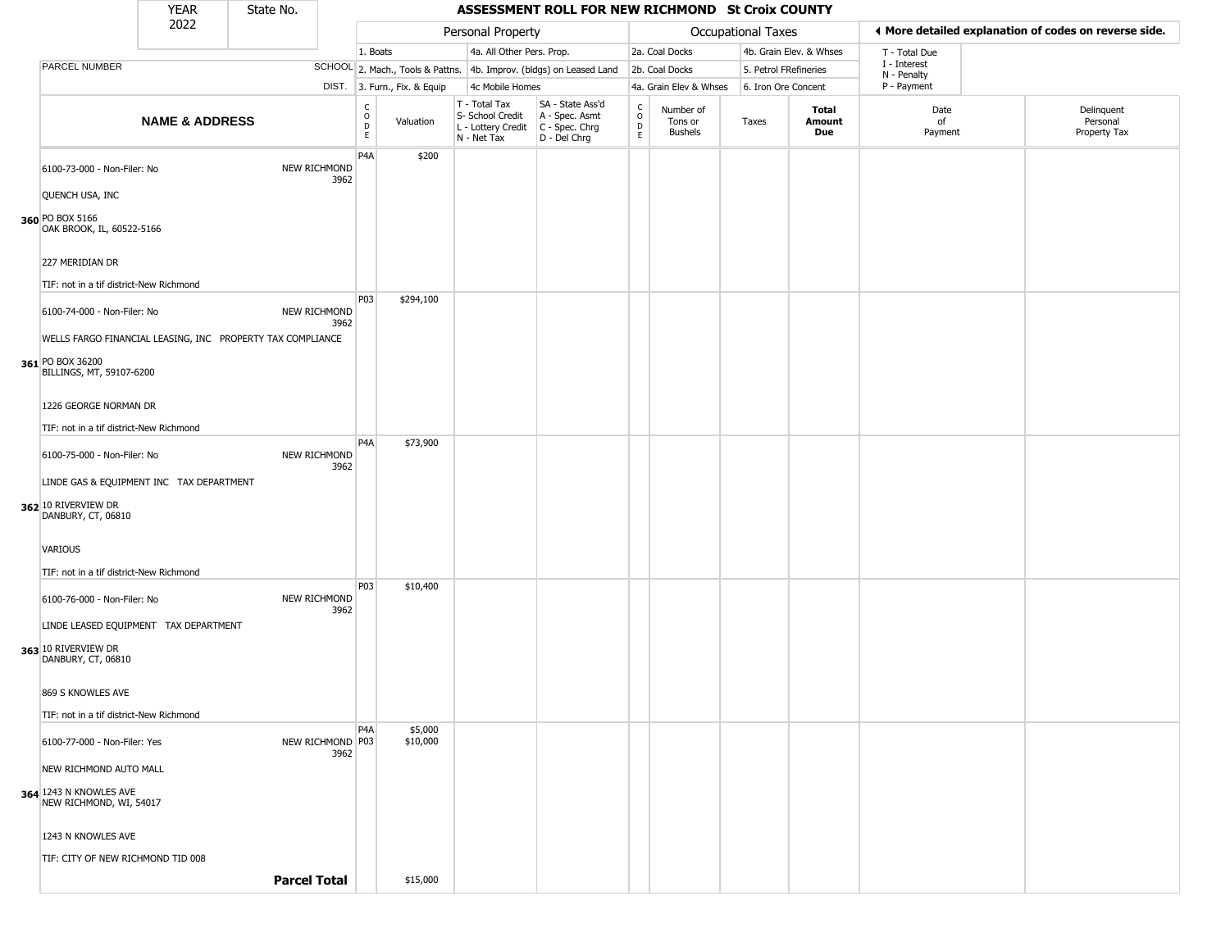|                                                                                                            | <b>YEAR</b>               | State No. |                          |                                                |                              |                                                                        | ASSESSMENT ROLL FOR NEW RICHMOND St Croix COUNTY                       |                                |                                        |                    |                         |                             |                                                       |
|------------------------------------------------------------------------------------------------------------|---------------------------|-----------|--------------------------|------------------------------------------------|------------------------------|------------------------------------------------------------------------|------------------------------------------------------------------------|--------------------------------|----------------------------------------|--------------------|-------------------------|-----------------------------|-------------------------------------------------------|
|                                                                                                            | 2022                      |           |                          |                                                |                              | Personal Property                                                      |                                                                        |                                |                                        | Occupational Taxes |                         |                             | ◀ More detailed explanation of codes on reverse side. |
|                                                                                                            |                           |           |                          | 1. Boats                                       |                              | 4a. All Other Pers. Prop.                                              |                                                                        |                                | 2a. Coal Docks                         |                    | 4b. Grain Elev. & Whses | T - Total Due               |                                                       |
| PARCEL NUMBER                                                                                              |                           |           |                          |                                                |                              |                                                                        | SCHOOL 2. Mach., Tools & Pattns. 4b. Improv. (bldgs) on Leased Land    |                                | 2b. Coal Docks                         |                    | 5. Petrol FRefineries   | I - Interest<br>N - Penalty |                                                       |
|                                                                                                            |                           |           |                          |                                                | DIST. 3. Furn., Fix. & Equip | 4c Mobile Homes                                                        |                                                                        |                                | 4a. Grain Elev & Whses                 |                    | 6. Iron Ore Concent     | P - Payment                 |                                                       |
|                                                                                                            | <b>NAME &amp; ADDRESS</b> |           |                          | C<br>$\mathsf O$<br>$\mathsf D$<br>$\mathsf E$ | Valuation                    | T - Total Tax<br>S- School Credit<br>L - Lottery Credit<br>N - Net Tax | SA - State Ass'd<br>A - Spec. Asmt<br>$C - Spec. Chrg$<br>D - Del Chrg | $\rm ^c_o$<br>$\mathsf D$<br>E | Number of<br>Tons or<br><b>Bushels</b> | Taxes              | Total<br>Amount<br>Due  | Date<br>of<br>Payment       | Delinquent<br>Personal<br>Property Tax                |
| 6100-73-000 - Non-Filer: No                                                                                |                           |           | NEW RICHMOND<br>3962     | P <sub>4</sub> A                               | \$200                        |                                                                        |                                                                        |                                |                                        |                    |                         |                             |                                                       |
| QUENCH USA, INC<br>360 PO BOX 5166<br>OAK BROOK, IL, 60522-5166                                            |                           |           |                          |                                                |                              |                                                                        |                                                                        |                                |                                        |                    |                         |                             |                                                       |
| 227 MERIDIAN DR                                                                                            |                           |           |                          |                                                |                              |                                                                        |                                                                        |                                |                                        |                    |                         |                             |                                                       |
| TIF: not in a tif district-New Richmond<br>6100-74-000 - Non-Filer: No                                     |                           |           | NEW RICHMOND<br>3962     | <b>P03</b>                                     | \$294,100                    |                                                                        |                                                                        |                                |                                        |                    |                         |                             |                                                       |
| WELLS FARGO FINANCIAL LEASING, INC PROPERTY TAX COMPLIANCE<br>361 PO BOX 36200<br>BILLINGS, MT, 59107-6200 |                           |           |                          |                                                |                              |                                                                        |                                                                        |                                |                                        |                    |                         |                             |                                                       |
| 1226 GEORGE NORMAN DR<br>TIF: not in a tif district-New Richmond                                           |                           |           |                          |                                                |                              |                                                                        |                                                                        |                                |                                        |                    |                         |                             |                                                       |
| 6100-75-000 - Non-Filer: No                                                                                |                           |           | NEW RICHMOND<br>3962     | P4A                                            | \$73,900                     |                                                                        |                                                                        |                                |                                        |                    |                         |                             |                                                       |
| LINDE GAS & EQUIPMENT INC TAX DEPARTMENT<br>362 10 RIVERVIEW DR<br>DANBURY, CT, 06810                      |                           |           |                          |                                                |                              |                                                                        |                                                                        |                                |                                        |                    |                         |                             |                                                       |
| VARIOUS<br>TIF: not in a tif district-New Richmond                                                         |                           |           |                          |                                                |                              |                                                                        |                                                                        |                                |                                        |                    |                         |                             |                                                       |
| 6100-76-000 - Non-Filer: No                                                                                |                           |           | NEW RICHMOND<br>3962     | P03                                            | \$10,400                     |                                                                        |                                                                        |                                |                                        |                    |                         |                             |                                                       |
| LINDE LEASED EQUIPMENT TAX DEPARTMENT<br>363 10 RIVERVIEW DR<br>DANBURY, CT, 06810                         |                           |           |                          |                                                |                              |                                                                        |                                                                        |                                |                                        |                    |                         |                             |                                                       |
| 869 S KNOWLES AVE<br>TIF: not in a tif district-New Richmond                                               |                           |           |                          |                                                |                              |                                                                        |                                                                        |                                |                                        |                    |                         |                             |                                                       |
| 6100-77-000 - Non-Filer: Yes                                                                               |                           |           | NEW RICHMOND P03<br>3962 | P <sub>4</sub> A                               | \$5,000<br>\$10,000          |                                                                        |                                                                        |                                |                                        |                    |                         |                             |                                                       |
| NEW RICHMOND AUTO MALL                                                                                     |                           |           |                          |                                                |                              |                                                                        |                                                                        |                                |                                        |                    |                         |                             |                                                       |
| 364 1243 N KNOWLES AVE<br>NEW RICHMOND, WI, 54017                                                          |                           |           |                          |                                                |                              |                                                                        |                                                                        |                                |                                        |                    |                         |                             |                                                       |
| 1243 N KNOWLES AVE                                                                                         |                           |           |                          |                                                |                              |                                                                        |                                                                        |                                |                                        |                    |                         |                             |                                                       |
| TIF: CITY OF NEW RICHMOND TID 008                                                                          |                           |           | <b>Parcel Total</b>      |                                                | \$15,000                     |                                                                        |                                                                        |                                |                                        |                    |                         |                             |                                                       |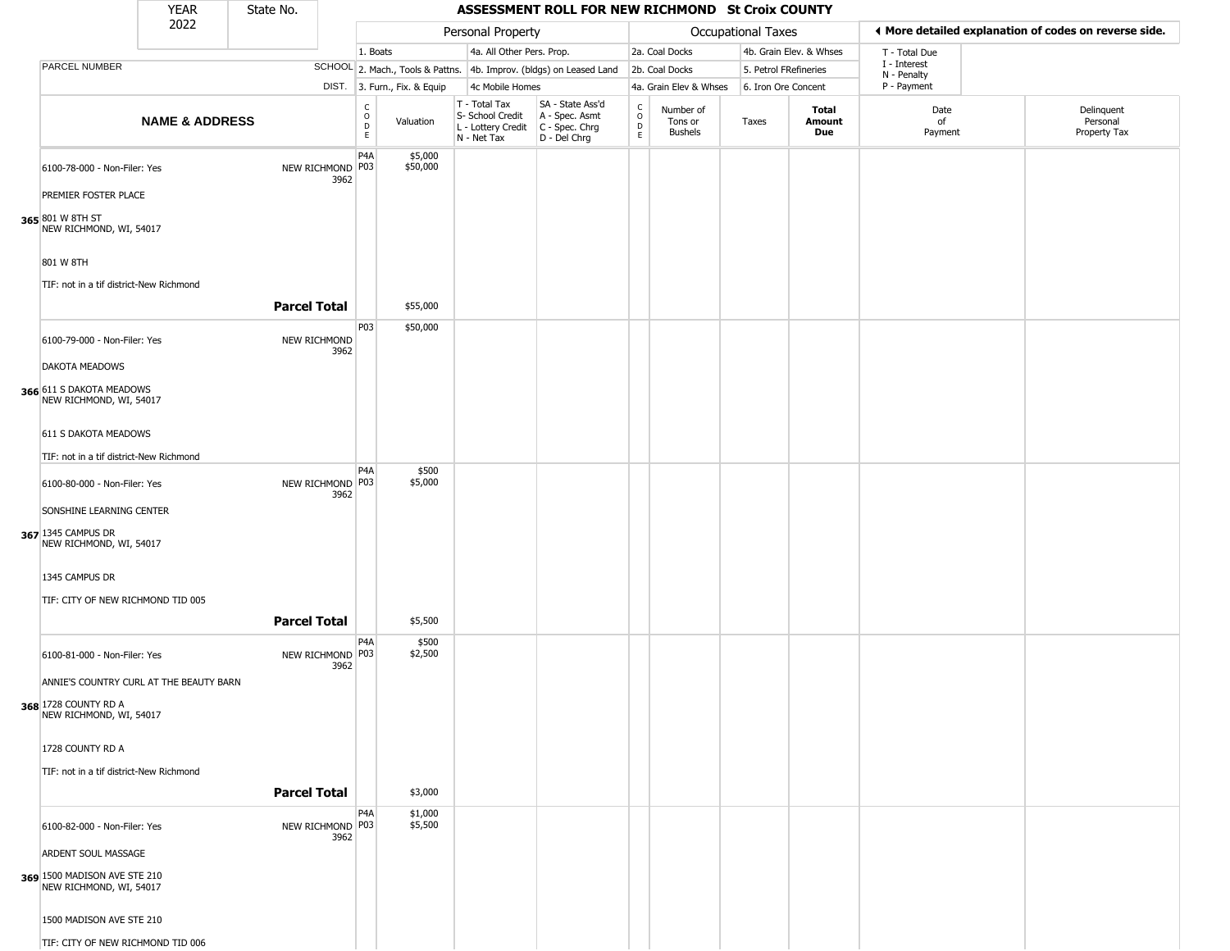|                                                                                                                                                 | <b>YEAR</b>               | State No.           |                          |                                              |                              |                                                                        | ASSESSMENT ROLL FOR NEW RICHMOND St Croix COUNTY                       |                                          |                                        |                           |                         |                             |                                                       |
|-------------------------------------------------------------------------------------------------------------------------------------------------|---------------------------|---------------------|--------------------------|----------------------------------------------|------------------------------|------------------------------------------------------------------------|------------------------------------------------------------------------|------------------------------------------|----------------------------------------|---------------------------|-------------------------|-----------------------------|-------------------------------------------------------|
|                                                                                                                                                 | 2022                      |                     |                          |                                              |                              | Personal Property                                                      |                                                                        |                                          |                                        | <b>Occupational Taxes</b> |                         |                             | ♦ More detailed explanation of codes on reverse side. |
|                                                                                                                                                 |                           |                     |                          | 1. Boats                                     |                              | 4a. All Other Pers. Prop.                                              |                                                                        |                                          | 2a. Coal Docks                         |                           | 4b. Grain Elev. & Whses | T - Total Due               |                                                       |
| PARCEL NUMBER                                                                                                                                   |                           |                     |                          |                                              |                              |                                                                        | SCHOOL 2. Mach., Tools & Pattns. 4b. Improv. (bldgs) on Leased Land    |                                          | 2b. Coal Docks                         | 5. Petrol FRefineries     |                         | I - Interest<br>N - Penalty |                                                       |
|                                                                                                                                                 |                           |                     |                          |                                              | DIST. 3. Furn., Fix. & Equip | 4c Mobile Homes                                                        |                                                                        |                                          | 4a. Grain Elev & Whses                 | 6. Iron Ore Concent       |                         | P - Payment                 |                                                       |
|                                                                                                                                                 | <b>NAME &amp; ADDRESS</b> |                     |                          | $\begin{array}{c}\nC \\ O \\ D\n\end{array}$ | Valuation                    | T - Total Tax<br>S- School Credit<br>L - Lottery Credit<br>N - Net Tax | SA - State Ass'd<br>A - Spec. Asmt<br>$C - Spec. Chrg$<br>D - Del Chrg | $\mathsf{C}$<br>$\circ$<br>$\frac{D}{E}$ | Number of<br>Tons or<br><b>Bushels</b> | Taxes                     | Total<br>Amount<br>Due  | Date<br>of<br>Payment       | Delinquent<br>Personal<br>Property Tax                |
| 6100-78-000 - Non-Filer: Yes<br>PREMIER FOSTER PLACE<br>365 801 W 8TH ST<br>NEW RICHMOND, WI, 54017                                             |                           |                     | NEW RICHMOND P03<br>3962 | P <sub>4</sub> A                             | \$5,000<br>\$50,000          |                                                                        |                                                                        |                                          |                                        |                           |                         |                             |                                                       |
| 801 W 8TH<br>TIF: not in a tif district-New Richmond                                                                                            |                           | <b>Parcel Total</b> |                          |                                              | \$55,000                     |                                                                        |                                                                        |                                          |                                        |                           |                         |                             |                                                       |
| 6100-79-000 - Non-Filer: Yes                                                                                                                    |                           |                     | NEW RICHMOND<br>3962     | P03                                          | \$50,000                     |                                                                        |                                                                        |                                          |                                        |                           |                         |                             |                                                       |
| <b>DAKOTA MEADOWS</b><br>366 611 S DAKOTA MEADOWS<br>NEW RICHMOND, WI, 54017<br>611 S DAKOTA MEADOWS<br>TIF: not in a tif district-New Richmond |                           |                     |                          |                                              |                              |                                                                        |                                                                        |                                          |                                        |                           |                         |                             |                                                       |
|                                                                                                                                                 |                           |                     |                          | P4A                                          | \$500                        |                                                                        |                                                                        |                                          |                                        |                           |                         |                             |                                                       |
| 6100-80-000 - Non-Filer: Yes<br>SONSHINE LEARNING CENTER<br>367 1345 CAMPUS DR<br>NEW RICHMOND, WI, 54017                                       |                           |                     | NEW RICHMOND P03<br>3962 |                                              | \$5,000                      |                                                                        |                                                                        |                                          |                                        |                           |                         |                             |                                                       |
| 1345 CAMPUS DR                                                                                                                                  |                           |                     |                          |                                              |                              |                                                                        |                                                                        |                                          |                                        |                           |                         |                             |                                                       |
| TIF: CITY OF NEW RICHMOND TID 005                                                                                                               |                           | <b>Parcel Total</b> |                          |                                              | \$5,500                      |                                                                        |                                                                        |                                          |                                        |                           |                         |                             |                                                       |
| 6100-81-000 - Non-Filer: Yes<br>ANNIE'S COUNTRY CURL AT THE BEAUTY BARN<br>368 1728 COUNTY RD A<br>NEW RICHMOND, WI, 54017                      |                           |                     | NEW RICHMOND P03<br>3962 | P4A                                          | \$500<br>\$2,500             |                                                                        |                                                                        |                                          |                                        |                           |                         |                             |                                                       |
| 1728 COUNTY RD A<br>TIF: not in a tif district-New Richmond                                                                                     |                           |                     |                          |                                              |                              |                                                                        |                                                                        |                                          |                                        |                           |                         |                             |                                                       |
|                                                                                                                                                 |                           | <b>Parcel Total</b> |                          |                                              | \$3,000                      |                                                                        |                                                                        |                                          |                                        |                           |                         |                             |                                                       |
| 6100-82-000 - Non-Filer: Yes<br>ARDENT SOUL MASSAGE                                                                                             |                           |                     | NEW RICHMOND P03<br>3962 | P4A                                          | \$1,000<br>\$5,500           |                                                                        |                                                                        |                                          |                                        |                           |                         |                             |                                                       |
| 369 1500 MADISON AVE STE 210<br>NEW RICHMOND, WI, 54017                                                                                         |                           |                     |                          |                                              |                              |                                                                        |                                                                        |                                          |                                        |                           |                         |                             |                                                       |
| 1500 MADISON AVE STE 210                                                                                                                        |                           |                     |                          |                                              |                              |                                                                        |                                                                        |                                          |                                        |                           |                         |                             |                                                       |
| TIF: CITY OF NEW RICHMOND TID 006                                                                                                               |                           |                     |                          |                                              |                              |                                                                        |                                                                        |                                          |                                        |                           |                         |                             |                                                       |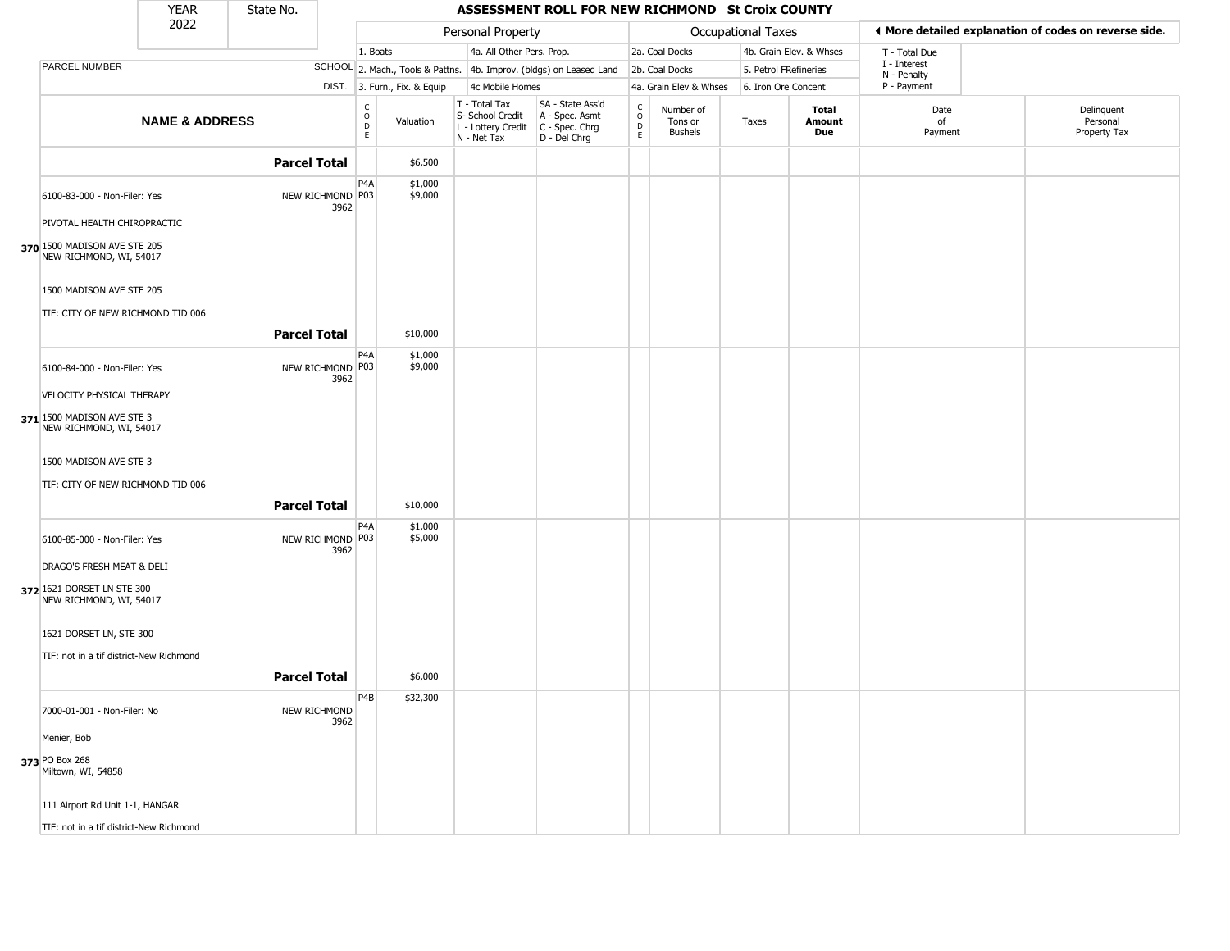|                                                                                        | <b>YEAR</b>               | State No.           |                          |                                              |                              |                                                                                         | ASSESSMENT ROLL FOR NEW RICHMOND St Croix COUNTY                    |                                                 |                                        |                    |                         |                             |                                                       |
|----------------------------------------------------------------------------------------|---------------------------|---------------------|--------------------------|----------------------------------------------|------------------------------|-----------------------------------------------------------------------------------------|---------------------------------------------------------------------|-------------------------------------------------|----------------------------------------|--------------------|-------------------------|-----------------------------|-------------------------------------------------------|
|                                                                                        | 2022                      |                     |                          |                                              |                              | Personal Property                                                                       |                                                                     |                                                 |                                        | Occupational Taxes |                         |                             | ♦ More detailed explanation of codes on reverse side. |
|                                                                                        |                           |                     |                          | 1. Boats                                     |                              | 4a. All Other Pers. Prop.                                                               |                                                                     |                                                 | 2a. Coal Docks                         |                    | 4b. Grain Elev. & Whses | T - Total Due               |                                                       |
| PARCEL NUMBER                                                                          |                           |                     |                          |                                              |                              |                                                                                         | SCHOOL 2. Mach., Tools & Pattns. 4b. Improv. (bldgs) on Leased Land |                                                 | 2b. Coal Docks                         |                    | 5. Petrol FRefineries   | I - Interest<br>N - Penalty |                                                       |
|                                                                                        |                           |                     |                          |                                              | DIST. 3. Furn., Fix. & Equip | 4c Mobile Homes                                                                         |                                                                     |                                                 | 4a. Grain Elev & Whses                 |                    | 6. Iron Ore Concent     | P - Payment                 |                                                       |
|                                                                                        | <b>NAME &amp; ADDRESS</b> |                     |                          | $\begin{array}{c}\nC \\ O \\ D\n\end{array}$ | Valuation                    | T - Total Tax<br>S- School Credit<br>L - Lottery Credit   C - Spec. Chrg<br>N - Net Tax | SA - State Ass'd<br>A - Spec. Asmt<br>D - Del Chrg                  | $\begin{matrix} 0 \\ 0 \\ D \end{matrix}$<br>E. | Number of<br>Tons or<br><b>Bushels</b> | Taxes              | Total<br>Amount<br>Due  | Date<br>of<br>Payment       | Delinquent<br>Personal<br>Property Tax                |
|                                                                                        |                           | <b>Parcel Total</b> |                          |                                              | \$6,500                      |                                                                                         |                                                                     |                                                 |                                        |                    |                         |                             |                                                       |
| 6100-83-000 - Non-Filer: Yes                                                           |                           |                     | NEW RICHMOND P03<br>3962 | P4A                                          | \$1,000<br>\$9,000           |                                                                                         |                                                                     |                                                 |                                        |                    |                         |                             |                                                       |
| PIVOTAL HEALTH CHIROPRACTIC<br>370 1500 MADISON AVE STE 205<br>NEW RICHMOND, WI, 54017 |                           |                     |                          |                                              |                              |                                                                                         |                                                                     |                                                 |                                        |                    |                         |                             |                                                       |
| 1500 MADISON AVE STE 205<br>TIF: CITY OF NEW RICHMOND TID 006                          |                           |                     |                          |                                              |                              |                                                                                         |                                                                     |                                                 |                                        |                    |                         |                             |                                                       |
|                                                                                        |                           | <b>Parcel Total</b> |                          |                                              | \$10,000                     |                                                                                         |                                                                     |                                                 |                                        |                    |                         |                             |                                                       |
| 6100-84-000 - Non-Filer: Yes                                                           |                           |                     | NEW RICHMOND P03<br>3962 | P <sub>4</sub> A                             | \$1,000<br>\$9,000           |                                                                                         |                                                                     |                                                 |                                        |                    |                         |                             |                                                       |
| VELOCITY PHYSICAL THERAPY                                                              |                           |                     |                          |                                              |                              |                                                                                         |                                                                     |                                                 |                                        |                    |                         |                             |                                                       |
| $371$ 1500 MADISON AVE STE 3<br>NEW RICHMOND, WI, 54017                                |                           |                     |                          |                                              |                              |                                                                                         |                                                                     |                                                 |                                        |                    |                         |                             |                                                       |
| 1500 MADISON AVE STE 3<br>TIF: CITY OF NEW RICHMOND TID 006                            |                           |                     |                          |                                              |                              |                                                                                         |                                                                     |                                                 |                                        |                    |                         |                             |                                                       |
|                                                                                        |                           | <b>Parcel Total</b> |                          |                                              | \$10,000                     |                                                                                         |                                                                     |                                                 |                                        |                    |                         |                             |                                                       |
| 6100-85-000 - Non-Filer: Yes                                                           |                           |                     | NEW RICHMOND P03<br>3962 | P <sub>4</sub> A                             | \$1,000<br>\$5,000           |                                                                                         |                                                                     |                                                 |                                        |                    |                         |                             |                                                       |
| DRAGO'S FRESH MEAT & DELI<br>372 1621 DORSET LN STE 300<br>NEW RICHMOND, WI, 54017     |                           |                     |                          |                                              |                              |                                                                                         |                                                                     |                                                 |                                        |                    |                         |                             |                                                       |
| 1621 DORSET LN, STE 300                                                                |                           |                     |                          |                                              |                              |                                                                                         |                                                                     |                                                 |                                        |                    |                         |                             |                                                       |
| TIF: not in a tif district-New Richmond                                                |                           | <b>Parcel Total</b> |                          |                                              |                              |                                                                                         |                                                                     |                                                 |                                        |                    |                         |                             |                                                       |
|                                                                                        |                           |                     |                          |                                              | \$6,000                      |                                                                                         |                                                                     |                                                 |                                        |                    |                         |                             |                                                       |
| 7000-01-001 - Non-Filer: No                                                            |                           |                     | NEW RICHMOND<br>3962     | P4B                                          | \$32,300                     |                                                                                         |                                                                     |                                                 |                                        |                    |                         |                             |                                                       |
| Menier, Bob                                                                            |                           |                     |                          |                                              |                              |                                                                                         |                                                                     |                                                 |                                        |                    |                         |                             |                                                       |
| 373 PO Box 268<br>Miltown, WI, 54858                                                   |                           |                     |                          |                                              |                              |                                                                                         |                                                                     |                                                 |                                        |                    |                         |                             |                                                       |
| 111 Airport Rd Unit 1-1, HANGAR                                                        |                           |                     |                          |                                              |                              |                                                                                         |                                                                     |                                                 |                                        |                    |                         |                             |                                                       |
| TIF: not in a tif district-New Richmond                                                |                           |                     |                          |                                              |                              |                                                                                         |                                                                     |                                                 |                                        |                    |                         |                             |                                                       |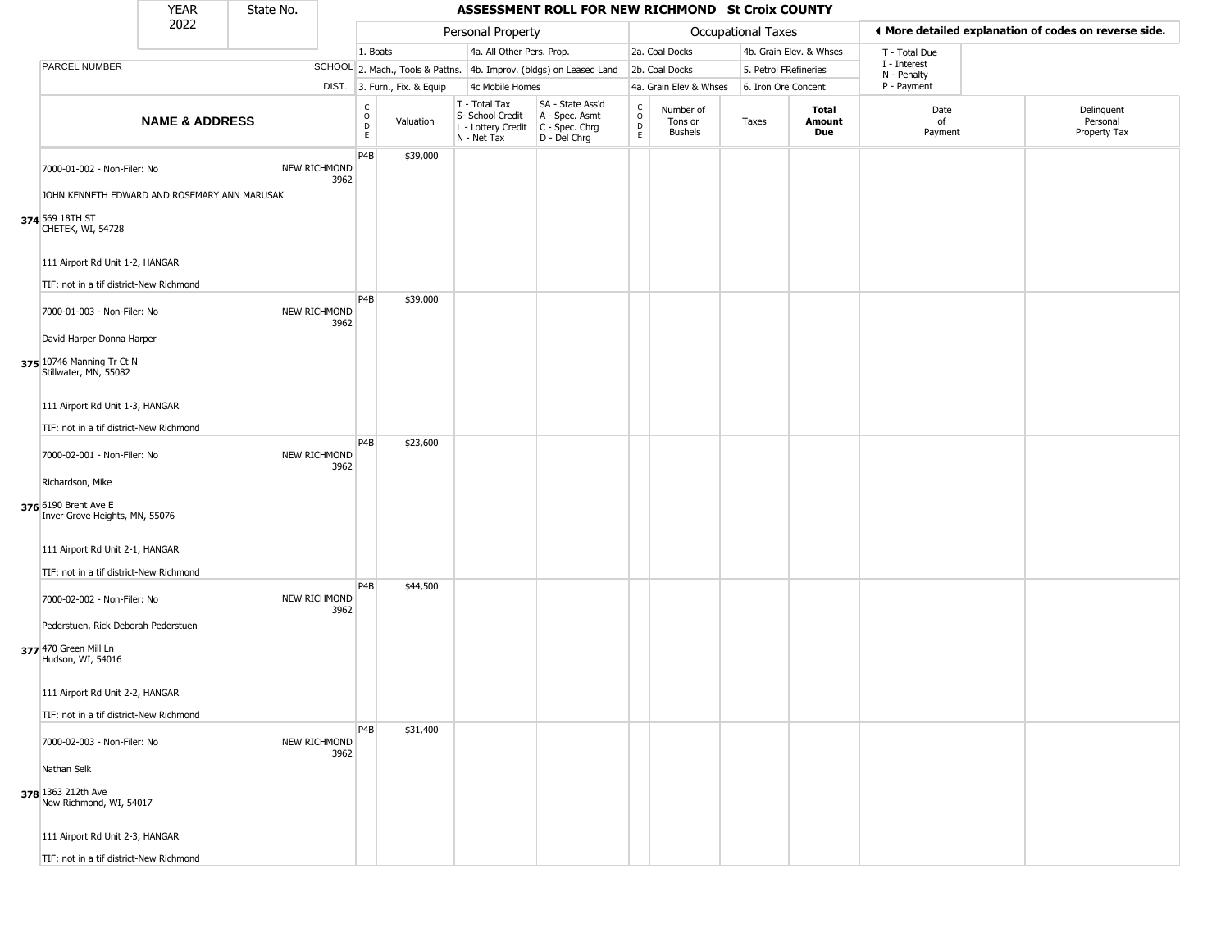|                                                                                   | <b>YEAR</b>               | State No. |                      |                                           |                              |                                                                        | ASSESSMENT ROLL FOR NEW RICHMOND St Croix COUNTY                     |                                                          |                                        |                       |                         |                             |                                                       |
|-----------------------------------------------------------------------------------|---------------------------|-----------|----------------------|-------------------------------------------|------------------------------|------------------------------------------------------------------------|----------------------------------------------------------------------|----------------------------------------------------------|----------------------------------------|-----------------------|-------------------------|-----------------------------|-------------------------------------------------------|
|                                                                                   | 2022                      |           |                      |                                           |                              | Personal Property                                                      |                                                                      |                                                          |                                        | Occupational Taxes    |                         |                             | ◀ More detailed explanation of codes on reverse side. |
|                                                                                   |                           |           |                      | 1. Boats                                  |                              | 4a. All Other Pers. Prop.                                              |                                                                      |                                                          | 2a. Coal Docks                         |                       | 4b. Grain Elev. & Whses | T - Total Due               |                                                       |
| PARCEL NUMBER                                                                     |                           |           |                      |                                           |                              |                                                                        | SCHOOL 2. Mach., Tools & Pattns. 4b. Improv. (bldgs) on Leased Land  |                                                          | 2b. Coal Docks                         | 5. Petrol FRefineries |                         | I - Interest<br>N - Penalty |                                                       |
|                                                                                   |                           |           |                      |                                           | DIST. 3. Furn., Fix. & Equip | 4c Mobile Homes                                                        |                                                                      |                                                          | 4a. Grain Elev & Whses                 | 6. Iron Ore Concent   |                         | P - Payment                 |                                                       |
|                                                                                   | <b>NAME &amp; ADDRESS</b> |           |                      | $_{\rm o}^{\rm c}$<br>$\overline{D}$<br>E | Valuation                    | T - Total Tax<br>S- School Credit<br>L - Lottery Credit<br>N - Net Tax | SA - State Ass'd<br>A - Spec. Asmt<br>C - Spec. Chrg<br>D - Del Chrg | $\begin{matrix} C \\ O \\ D \end{matrix}$<br>$\mathsf E$ | Number of<br>Tons or<br><b>Bushels</b> | Taxes                 | Total<br>Amount<br>Due  | Date<br>of<br>Payment       | Delinquent<br>Personal<br>Property Tax                |
| 7000-01-002 - Non-Filer: No<br>JOHN KENNETH EDWARD AND ROSEMARY ANN MARUSAK       |                           |           | NEW RICHMOND<br>3962 | P4B                                       | \$39,000                     |                                                                        |                                                                      |                                                          |                                        |                       |                         |                             |                                                       |
| 374 569 18TH ST<br>CHETEK, WI, 54728                                              |                           |           |                      |                                           |                              |                                                                        |                                                                      |                                                          |                                        |                       |                         |                             |                                                       |
| 111 Airport Rd Unit 1-2, HANGAR<br>TIF: not in a tif district-New Richmond        |                           |           |                      |                                           |                              |                                                                        |                                                                      |                                                          |                                        |                       |                         |                             |                                                       |
| 7000-01-003 - Non-Filer: No                                                       |                           |           | NEW RICHMOND<br>3962 | P4B                                       | \$39,000                     |                                                                        |                                                                      |                                                          |                                        |                       |                         |                             |                                                       |
| David Harper Donna Harper<br>375 10746 Manning Tr Ct N<br>Stillwater, MN, 55082   |                           |           |                      |                                           |                              |                                                                        |                                                                      |                                                          |                                        |                       |                         |                             |                                                       |
| 111 Airport Rd Unit 1-3, HANGAR                                                   |                           |           |                      |                                           |                              |                                                                        |                                                                      |                                                          |                                        |                       |                         |                             |                                                       |
| TIF: not in a tif district-New Richmond<br>7000-02-001 - Non-Filer: No            |                           |           | NEW RICHMOND<br>3962 | P4B                                       | \$23,600                     |                                                                        |                                                                      |                                                          |                                        |                       |                         |                             |                                                       |
| Richardson, Mike<br>376 6190 Brent Ave E<br>Inver Grove Heights, MN, 55076        |                           |           |                      |                                           |                              |                                                                        |                                                                      |                                                          |                                        |                       |                         |                             |                                                       |
| 111 Airport Rd Unit 2-1, HANGAR                                                   |                           |           |                      |                                           |                              |                                                                        |                                                                      |                                                          |                                        |                       |                         |                             |                                                       |
| TIF: not in a tif district-New Richmond<br>7000-02-002 - Non-Filer: No            |                           |           | NEW RICHMOND<br>3962 | P4B                                       | \$44,500                     |                                                                        |                                                                      |                                                          |                                        |                       |                         |                             |                                                       |
| Pederstuen, Rick Deborah Pederstuen<br>377 470 Green Mill Ln<br>Hudson, WI, 54016 |                           |           |                      |                                           |                              |                                                                        |                                                                      |                                                          |                                        |                       |                         |                             |                                                       |
| 111 Airport Rd Unit 2-2, HANGAR                                                   |                           |           |                      |                                           |                              |                                                                        |                                                                      |                                                          |                                        |                       |                         |                             |                                                       |
| TIF: not in a tif district-New Richmond                                           |                           |           |                      | P <sub>4</sub> B                          | \$31,400                     |                                                                        |                                                                      |                                                          |                                        |                       |                         |                             |                                                       |
| 7000-02-003 - Non-Filer: No                                                       |                           |           | NEW RICHMOND<br>3962 |                                           |                              |                                                                        |                                                                      |                                                          |                                        |                       |                         |                             |                                                       |
| Nathan Selk<br>378 1363 212th Ave<br>New Richmond, WI, 54017                      |                           |           |                      |                                           |                              |                                                                        |                                                                      |                                                          |                                        |                       |                         |                             |                                                       |
| 111 Airport Rd Unit 2-3, HANGAR                                                   |                           |           |                      |                                           |                              |                                                                        |                                                                      |                                                          |                                        |                       |                         |                             |                                                       |
| TIF: not in a tif district-New Richmond                                           |                           |           |                      |                                           |                              |                                                                        |                                                                      |                                                          |                                        |                       |                         |                             |                                                       |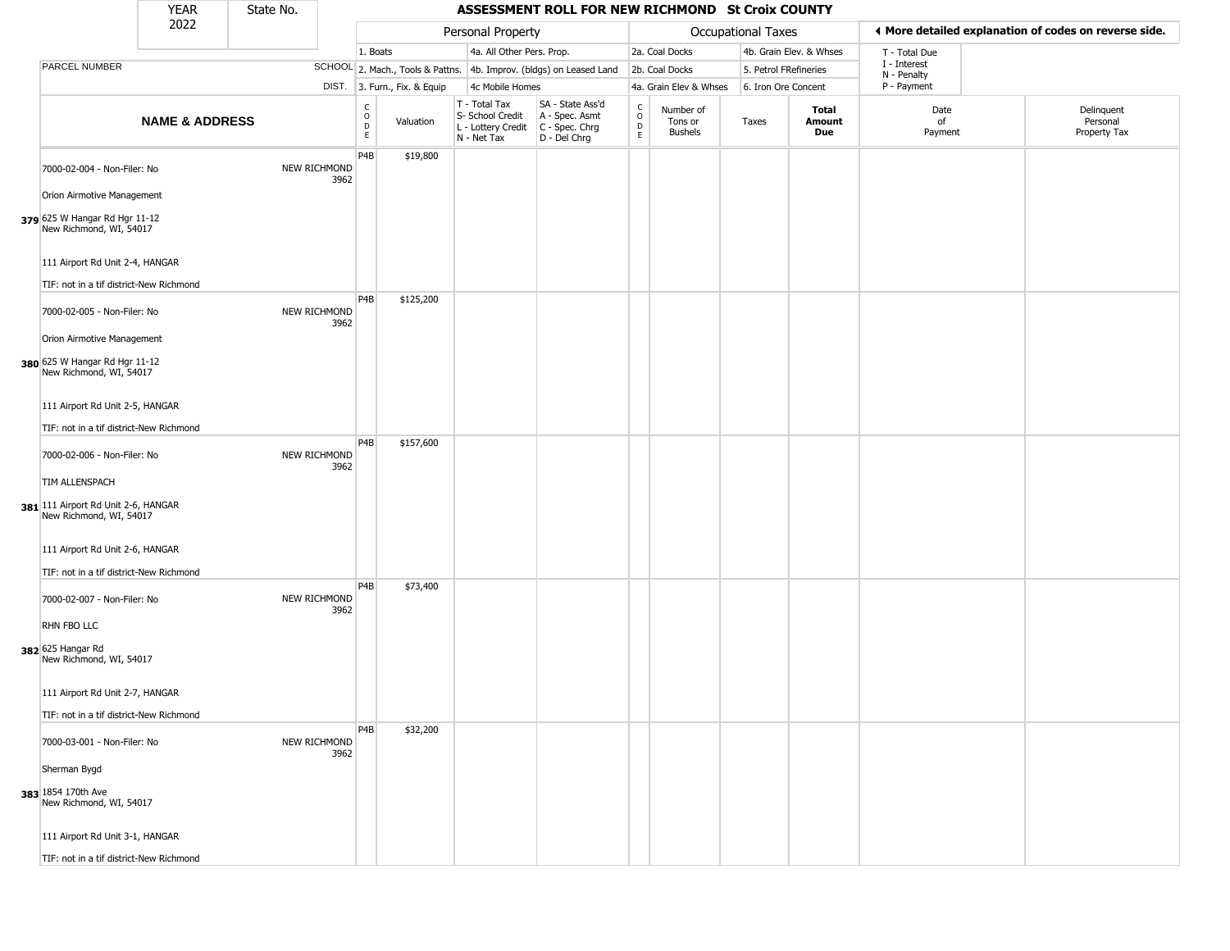| Personal Property<br><b>Occupational Taxes</b><br>◀ More detailed explanation of codes on reverse side.<br>1. Boats<br>4a. All Other Pers. Prop.<br>2a. Coal Docks<br>4b. Grain Elev. & Whses<br>T - Total Due<br>I - Interest<br>PARCEL NUMBER<br>SCHOOL 2. Mach., Tools & Pattns. 4b. Improv. (bldgs) on Leased Land<br>5. Petrol FRefineries<br>2b. Coal Docks<br>N - Penalty<br>P - Payment<br>DIST. 3. Furn., Fix. & Equip<br>4c Mobile Homes<br>4a. Grain Elev & Whses<br>6. Iron Ore Concent<br>SA - State Ass'd<br>T - Total Tax<br>$\begin{matrix} C \\ O \\ D \end{matrix}$<br>$\begin{matrix} 0 \\ 0 \\ 0 \end{matrix}$<br>Number of<br>Total<br>Date<br>Delinquent<br>S- School Credit<br>A - Spec. Asmt<br><b>NAME &amp; ADDRESS</b><br>Amount<br>of<br>Personal<br>Valuation<br>Tons or<br>Taxes<br>L - Lottery Credit   C - Spec. Chrg<br>Due<br>Property Tax<br><b>Bushels</b><br>Payment<br>E<br>E<br>N - Net Tax<br>D - Del Chrg<br>P4B<br>\$19,800<br>NEW RICHMOND<br>7000-02-004 - Non-Filer: No<br>3962<br>Orion Airmotive Management<br>379 625 W Hangar Rd Hgr 11-12<br>New Richmond, WI, 54017<br>111 Airport Rd Unit 2-4, HANGAR<br>TIF: not in a tif district-New Richmond<br>P4B<br>\$125,200<br>NEW RICHMOND<br>7000-02-005 - Non-Filer: No<br>3962<br>Orion Airmotive Management<br>380 625 W Hangar Rd Hgr 11-12<br>New Richmond, WI, 54017<br>111 Airport Rd Unit 2-5, HANGAR<br>TIF: not in a tif district-New Richmond<br>P4B<br>\$157,600<br><b>NEW RICHMOND</b><br>7000-02-006 - Non-Filer: No<br>3962<br>TIM ALLENSPACH<br>381 111 Airport Rd Unit 2-6, HANGAR<br>New Richmond, WI, 54017<br>111 Airport Rd Unit 2-6, HANGAR<br>TIF: not in a tif district-New Richmond<br>P <sub>4</sub> B<br>\$73,400<br><b>NEW RICHMOND</b><br>7000-02-007 - Non-Filer: No<br>3962<br>RHN FBO LLC<br>382 625 Hangar Rd<br>New Richmond, WI, 54017<br>111 Airport Rd Unit 2-7, HANGAR<br>TIF: not in a tif district-New Richmond<br>P <sub>4</sub> B<br>\$32,200<br>7000-03-001 - Non-Filer: No<br><b>NEW RICHMOND</b><br>3962<br>Sherman Bygd<br>383 1854 170th Ave<br>New Richmond, WI, 54017<br>111 Airport Rd Unit 3-1, HANGAR | <b>YEAR</b> | State No. |  | ASSESSMENT ROLL FOR NEW RICHMOND St Croix COUNTY |  |  |  |
|----------------------------------------------------------------------------------------------------------------------------------------------------------------------------------------------------------------------------------------------------------------------------------------------------------------------------------------------------------------------------------------------------------------------------------------------------------------------------------------------------------------------------------------------------------------------------------------------------------------------------------------------------------------------------------------------------------------------------------------------------------------------------------------------------------------------------------------------------------------------------------------------------------------------------------------------------------------------------------------------------------------------------------------------------------------------------------------------------------------------------------------------------------------------------------------------------------------------------------------------------------------------------------------------------------------------------------------------------------------------------------------------------------------------------------------------------------------------------------------------------------------------------------------------------------------------------------------------------------------------------------------------------------------------------------------------------------------------------------------------------------------------------------------------------------------------------------------------------------------------------------------------------------------------------------------------------------------------------------------------------------------------------------------------------------------------------------------------------------------------------------------------------------|-------------|-----------|--|--------------------------------------------------|--|--|--|
|                                                                                                                                                                                                                                                                                                                                                                                                                                                                                                                                                                                                                                                                                                                                                                                                                                                                                                                                                                                                                                                                                                                                                                                                                                                                                                                                                                                                                                                                                                                                                                                                                                                                                                                                                                                                                                                                                                                                                                                                                                                                                                                                                          | 2022        |           |  |                                                  |  |  |  |
|                                                                                                                                                                                                                                                                                                                                                                                                                                                                                                                                                                                                                                                                                                                                                                                                                                                                                                                                                                                                                                                                                                                                                                                                                                                                                                                                                                                                                                                                                                                                                                                                                                                                                                                                                                                                                                                                                                                                                                                                                                                                                                                                                          |             |           |  |                                                  |  |  |  |
|                                                                                                                                                                                                                                                                                                                                                                                                                                                                                                                                                                                                                                                                                                                                                                                                                                                                                                                                                                                                                                                                                                                                                                                                                                                                                                                                                                                                                                                                                                                                                                                                                                                                                                                                                                                                                                                                                                                                                                                                                                                                                                                                                          |             |           |  |                                                  |  |  |  |
|                                                                                                                                                                                                                                                                                                                                                                                                                                                                                                                                                                                                                                                                                                                                                                                                                                                                                                                                                                                                                                                                                                                                                                                                                                                                                                                                                                                                                                                                                                                                                                                                                                                                                                                                                                                                                                                                                                                                                                                                                                                                                                                                                          |             |           |  |                                                  |  |  |  |
|                                                                                                                                                                                                                                                                                                                                                                                                                                                                                                                                                                                                                                                                                                                                                                                                                                                                                                                                                                                                                                                                                                                                                                                                                                                                                                                                                                                                                                                                                                                                                                                                                                                                                                                                                                                                                                                                                                                                                                                                                                                                                                                                                          |             |           |  |                                                  |  |  |  |
|                                                                                                                                                                                                                                                                                                                                                                                                                                                                                                                                                                                                                                                                                                                                                                                                                                                                                                                                                                                                                                                                                                                                                                                                                                                                                                                                                                                                                                                                                                                                                                                                                                                                                                                                                                                                                                                                                                                                                                                                                                                                                                                                                          |             |           |  |                                                  |  |  |  |
|                                                                                                                                                                                                                                                                                                                                                                                                                                                                                                                                                                                                                                                                                                                                                                                                                                                                                                                                                                                                                                                                                                                                                                                                                                                                                                                                                                                                                                                                                                                                                                                                                                                                                                                                                                                                                                                                                                                                                                                                                                                                                                                                                          |             |           |  |                                                  |  |  |  |
|                                                                                                                                                                                                                                                                                                                                                                                                                                                                                                                                                                                                                                                                                                                                                                                                                                                                                                                                                                                                                                                                                                                                                                                                                                                                                                                                                                                                                                                                                                                                                                                                                                                                                                                                                                                                                                                                                                                                                                                                                                                                                                                                                          |             |           |  |                                                  |  |  |  |
|                                                                                                                                                                                                                                                                                                                                                                                                                                                                                                                                                                                                                                                                                                                                                                                                                                                                                                                                                                                                                                                                                                                                                                                                                                                                                                                                                                                                                                                                                                                                                                                                                                                                                                                                                                                                                                                                                                                                                                                                                                                                                                                                                          |             |           |  |                                                  |  |  |  |
|                                                                                                                                                                                                                                                                                                                                                                                                                                                                                                                                                                                                                                                                                                                                                                                                                                                                                                                                                                                                                                                                                                                                                                                                                                                                                                                                                                                                                                                                                                                                                                                                                                                                                                                                                                                                                                                                                                                                                                                                                                                                                                                                                          |             |           |  |                                                  |  |  |  |
|                                                                                                                                                                                                                                                                                                                                                                                                                                                                                                                                                                                                                                                                                                                                                                                                                                                                                                                                                                                                                                                                                                                                                                                                                                                                                                                                                                                                                                                                                                                                                                                                                                                                                                                                                                                                                                                                                                                                                                                                                                                                                                                                                          |             |           |  |                                                  |  |  |  |
|                                                                                                                                                                                                                                                                                                                                                                                                                                                                                                                                                                                                                                                                                                                                                                                                                                                                                                                                                                                                                                                                                                                                                                                                                                                                                                                                                                                                                                                                                                                                                                                                                                                                                                                                                                                                                                                                                                                                                                                                                                                                                                                                                          |             |           |  |                                                  |  |  |  |
|                                                                                                                                                                                                                                                                                                                                                                                                                                                                                                                                                                                                                                                                                                                                                                                                                                                                                                                                                                                                                                                                                                                                                                                                                                                                                                                                                                                                                                                                                                                                                                                                                                                                                                                                                                                                                                                                                                                                                                                                                                                                                                                                                          |             |           |  |                                                  |  |  |  |
|                                                                                                                                                                                                                                                                                                                                                                                                                                                                                                                                                                                                                                                                                                                                                                                                                                                                                                                                                                                                                                                                                                                                                                                                                                                                                                                                                                                                                                                                                                                                                                                                                                                                                                                                                                                                                                                                                                                                                                                                                                                                                                                                                          |             |           |  |                                                  |  |  |  |
|                                                                                                                                                                                                                                                                                                                                                                                                                                                                                                                                                                                                                                                                                                                                                                                                                                                                                                                                                                                                                                                                                                                                                                                                                                                                                                                                                                                                                                                                                                                                                                                                                                                                                                                                                                                                                                                                                                                                                                                                                                                                                                                                                          |             |           |  |                                                  |  |  |  |
|                                                                                                                                                                                                                                                                                                                                                                                                                                                                                                                                                                                                                                                                                                                                                                                                                                                                                                                                                                                                                                                                                                                                                                                                                                                                                                                                                                                                                                                                                                                                                                                                                                                                                                                                                                                                                                                                                                                                                                                                                                                                                                                                                          |             |           |  |                                                  |  |  |  |
|                                                                                                                                                                                                                                                                                                                                                                                                                                                                                                                                                                                                                                                                                                                                                                                                                                                                                                                                                                                                                                                                                                                                                                                                                                                                                                                                                                                                                                                                                                                                                                                                                                                                                                                                                                                                                                                                                                                                                                                                                                                                                                                                                          |             |           |  |                                                  |  |  |  |
| TIF: not in a tif district-New Richmond                                                                                                                                                                                                                                                                                                                                                                                                                                                                                                                                                                                                                                                                                                                                                                                                                                                                                                                                                                                                                                                                                                                                                                                                                                                                                                                                                                                                                                                                                                                                                                                                                                                                                                                                                                                                                                                                                                                                                                                                                                                                                                                  |             |           |  |                                                  |  |  |  |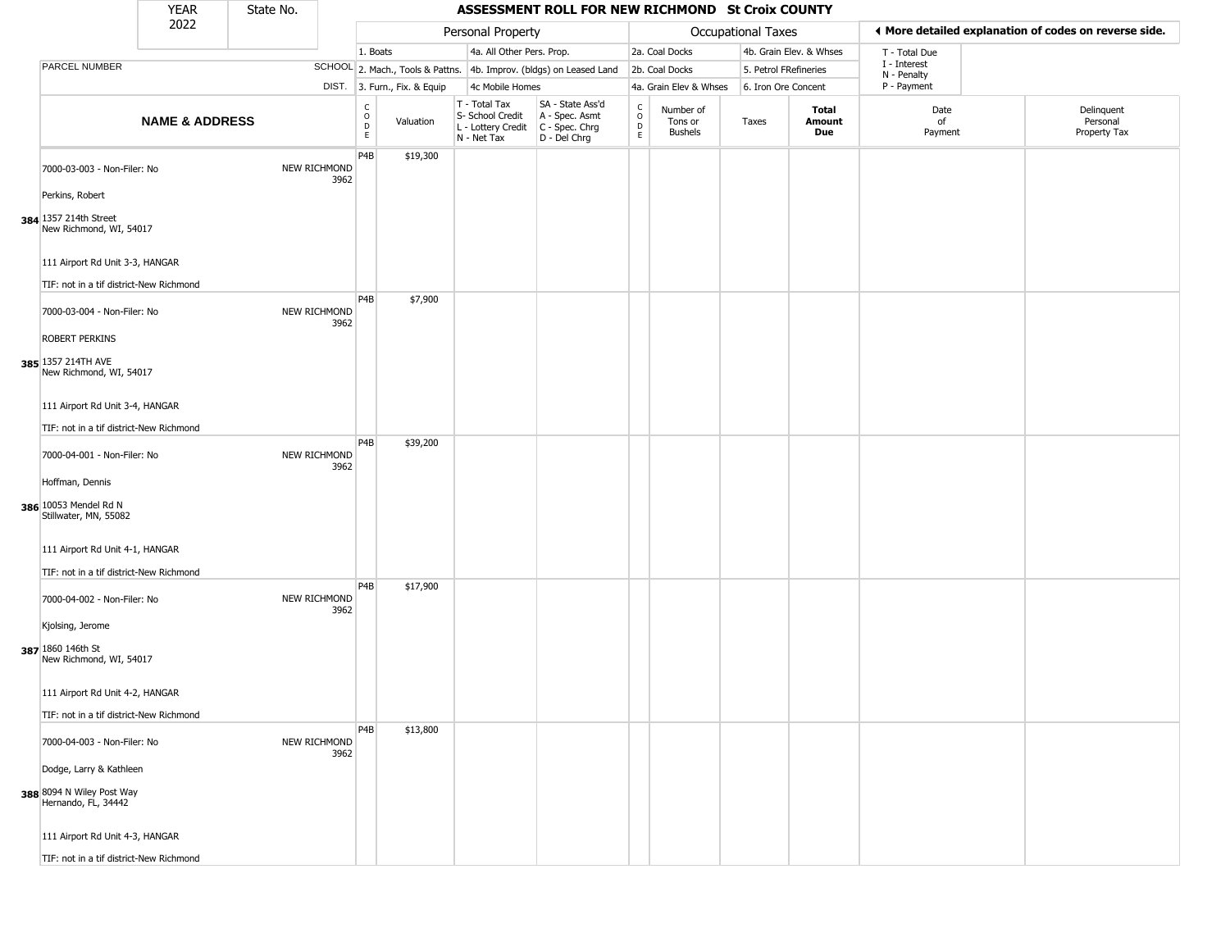|                                                                             | <b>YEAR</b>               | State No. |                             |                         |                              |                                                                        | ASSESSMENT ROLL FOR NEW RICHMOND St Croix COUNTY                     |                                                |                                        |                           |                         |                             |                                                       |
|-----------------------------------------------------------------------------|---------------------------|-----------|-----------------------------|-------------------------|------------------------------|------------------------------------------------------------------------|----------------------------------------------------------------------|------------------------------------------------|----------------------------------------|---------------------------|-------------------------|-----------------------------|-------------------------------------------------------|
|                                                                             | 2022                      |           |                             |                         |                              | Personal Property                                                      |                                                                      |                                                |                                        | <b>Occupational Taxes</b> |                         |                             | ◀ More detailed explanation of codes on reverse side. |
|                                                                             |                           |           |                             | 1. Boats                |                              | 4a. All Other Pers. Prop.                                              |                                                                      |                                                | 2a. Coal Docks                         |                           | 4b. Grain Elev. & Whses | T - Total Due               |                                                       |
| PARCEL NUMBER                                                               |                           |           |                             |                         |                              |                                                                        | SCHOOL 2. Mach., Tools & Pattns. 4b. Improv. (bldgs) on Leased Land  |                                                | 2b. Coal Docks                         | 5. Petrol FRefineries     |                         | I - Interest<br>N - Penalty |                                                       |
|                                                                             |                           |           |                             |                         | DIST. 3. Furn., Fix. & Equip | 4c Mobile Homes                                                        |                                                                      |                                                | 4a. Grain Elev & Whses                 | 6. Iron Ore Concent       |                         | P - Payment                 |                                                       |
|                                                                             | <b>NAME &amp; ADDRESS</b> |           |                             | C<br>$\circ$<br>D<br>E. | Valuation                    | T - Total Tax<br>S- School Credit<br>L - Lottery Credit<br>N - Net Tax | SA - State Ass'd<br>A - Spec. Asmt<br>C - Spec. Chrg<br>D - Del Chrg | $\begin{matrix} 0 \\ 0 \\ D \end{matrix}$<br>E | Number of<br>Tons or<br><b>Bushels</b> | Taxes                     | Total<br>Amount<br>Due  | Date<br>of<br>Payment       | Delinquent<br>Personal<br>Property Tax                |
| 7000-03-003 - Non-Filer: No                                                 |                           |           | <b>NEW RICHMOND</b><br>3962 | P <sub>4</sub> B        | \$19,300                     |                                                                        |                                                                      |                                                |                                        |                           |                         |                             |                                                       |
| Perkins, Robert<br>384 1357 214th Street<br>New Richmond, WI, 54017         |                           |           |                             |                         |                              |                                                                        |                                                                      |                                                |                                        |                           |                         |                             |                                                       |
| 111 Airport Rd Unit 3-3, HANGAR<br>TIF: not in a tif district-New Richmond  |                           |           |                             |                         |                              |                                                                        |                                                                      |                                                |                                        |                           |                         |                             |                                                       |
| 7000-03-004 - Non-Filer: No                                                 |                           |           | NEW RICHMOND<br>3962        | P <sub>4</sub> B        | \$7,900                      |                                                                        |                                                                      |                                                |                                        |                           |                         |                             |                                                       |
| <b>ROBERT PERKINS</b><br>385 1357 214TH AVE<br>New Richmond, WI, 54017      |                           |           |                             |                         |                              |                                                                        |                                                                      |                                                |                                        |                           |                         |                             |                                                       |
| 111 Airport Rd Unit 3-4, HANGAR<br>TIF: not in a tif district-New Richmond  |                           |           |                             |                         |                              |                                                                        |                                                                      |                                                |                                        |                           |                         |                             |                                                       |
| 7000-04-001 - Non-Filer: No                                                 |                           |           | <b>NEW RICHMOND</b><br>3962 | P4B                     | \$39,200                     |                                                                        |                                                                      |                                                |                                        |                           |                         |                             |                                                       |
| Hoffman, Dennis<br>386 10053 Mendel Rd N<br>Stillwater, MN, 55082           |                           |           |                             |                         |                              |                                                                        |                                                                      |                                                |                                        |                           |                         |                             |                                                       |
| 111 Airport Rd Unit 4-1, HANGAR<br>TIF: not in a tif district-New Richmond  |                           |           |                             |                         |                              |                                                                        |                                                                      |                                                |                                        |                           |                         |                             |                                                       |
| 7000-04-002 - Non-Filer: No                                                 |                           |           | NEW RICHMOND<br>3962        | P4B                     | \$17,900                     |                                                                        |                                                                      |                                                |                                        |                           |                         |                             |                                                       |
| Kjolsing, Jerome<br>387 1860 146th St<br>New Richmond, WI, 54017            |                           |           |                             |                         |                              |                                                                        |                                                                      |                                                |                                        |                           |                         |                             |                                                       |
| 111 Airport Rd Unit 4-2, HANGAR<br>TIF: not in a tif district-New Richmond  |                           |           |                             |                         |                              |                                                                        |                                                                      |                                                |                                        |                           |                         |                             |                                                       |
| 7000-04-003 - Non-Filer: No                                                 |                           |           | NEW RICHMOND<br>3962        | P <sub>4</sub> B        | \$13,800                     |                                                                        |                                                                      |                                                |                                        |                           |                         |                             |                                                       |
| Dodge, Larry & Kathleen<br>388 8094 N Wiley Post Way<br>Hernando, FL, 34442 |                           |           |                             |                         |                              |                                                                        |                                                                      |                                                |                                        |                           |                         |                             |                                                       |
| 111 Airport Rd Unit 4-3, HANGAR<br>TIF: not in a tif district-New Richmond  |                           |           |                             |                         |                              |                                                                        |                                                                      |                                                |                                        |                           |                         |                             |                                                       |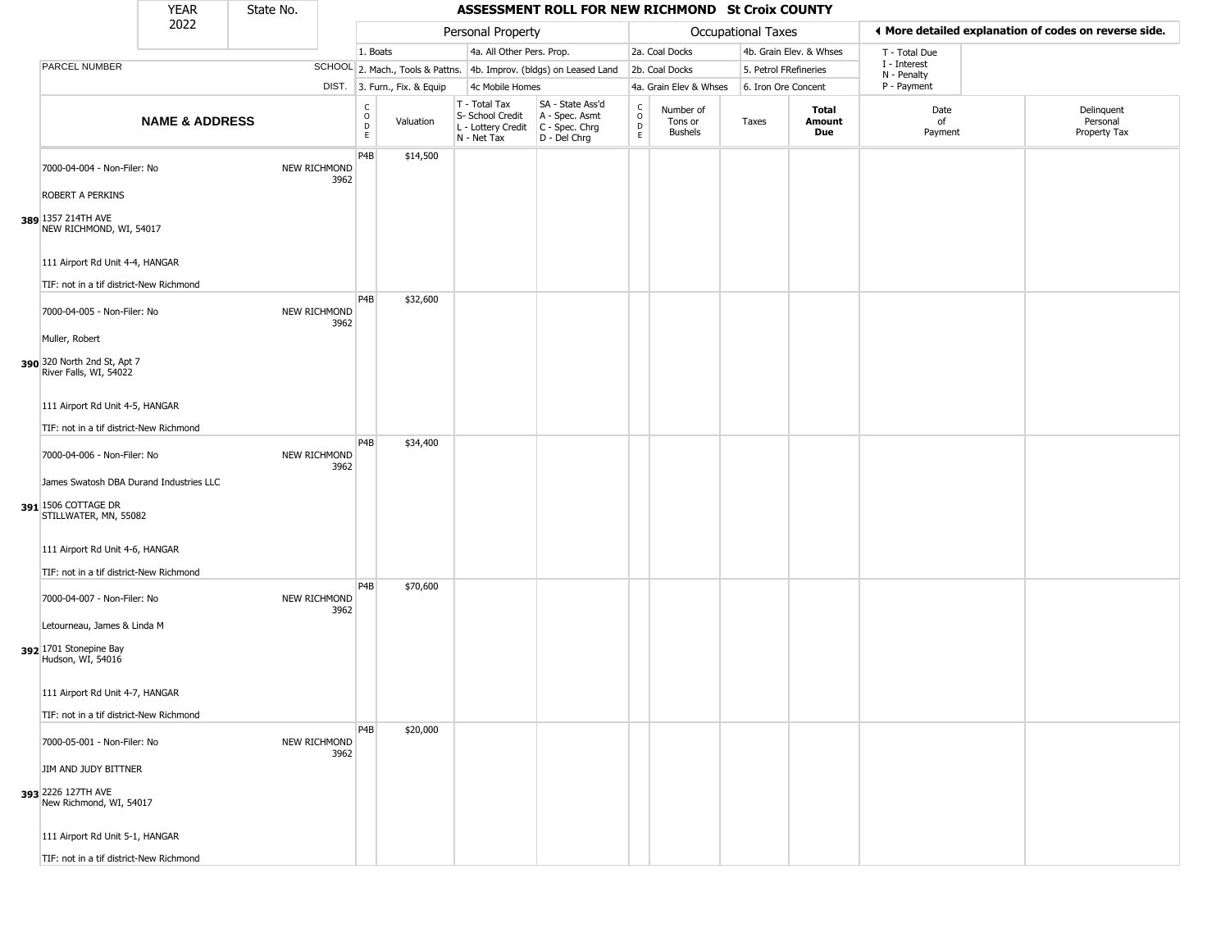|                                                                                         | <b>YEAR</b>               | State No. |                      |                              |                              |                                                                        | ASSESSMENT ROLL FOR NEW RICHMOND St Croix COUNTY                       |                                                 |                                 |                       |                         |                             |                                                       |
|-----------------------------------------------------------------------------------------|---------------------------|-----------|----------------------|------------------------------|------------------------------|------------------------------------------------------------------------|------------------------------------------------------------------------|-------------------------------------------------|---------------------------------|-----------------------|-------------------------|-----------------------------|-------------------------------------------------------|
|                                                                                         | 2022                      |           |                      |                              |                              | Personal Property                                                      |                                                                        |                                                 |                                 | Occupational Taxes    |                         |                             | ◀ More detailed explanation of codes on reverse side. |
|                                                                                         |                           |           |                      | 1. Boats                     |                              | 4a. All Other Pers. Prop.                                              |                                                                        |                                                 | 2a. Coal Docks                  |                       | 4b. Grain Elev. & Whses | T - Total Due               |                                                       |
| PARCEL NUMBER                                                                           |                           |           |                      |                              |                              |                                                                        | SCHOOL 2. Mach., Tools & Pattns. 4b. Improv. (bldgs) on Leased Land    |                                                 | 2b. Coal Docks                  | 5. Petrol FRefineries |                         | I - Interest<br>N - Penalty |                                                       |
|                                                                                         |                           |           |                      |                              | DIST. 3. Furn., Fix. & Equip | 4c Mobile Homes                                                        |                                                                        |                                                 | 4a. Grain Elev & Whses          | 6. Iron Ore Concent   |                         | P - Payment                 |                                                       |
|                                                                                         | <b>NAME &amp; ADDRESS</b> |           |                      | $_{\rm o}^{\rm c}$<br>D<br>E | Valuation                    | T - Total Tax<br>S- School Credit<br>L - Lottery Credit<br>N - Net Tax | SA - State Ass'd<br>A - Spec. Asmt<br>$C - Spec. Chrg$<br>D - Del Chrg | $\begin{array}{c} C \\ O \\ D \\ E \end{array}$ | Number of<br>Tons or<br>Bushels | Taxes                 | Total<br>Amount<br>Due  | Date<br>of<br>Payment       | Delinquent<br>Personal<br>Property Tax                |
| 7000-04-004 - Non-Filer: No                                                             |                           |           | NEW RICHMOND<br>3962 | P4B                          | \$14,500                     |                                                                        |                                                                        |                                                 |                                 |                       |                         |                             |                                                       |
| <b>ROBERT A PERKINS</b><br>389 1357 214TH AVE<br>NEW RICHMOND, WI, 54017                |                           |           |                      |                              |                              |                                                                        |                                                                        |                                                 |                                 |                       |                         |                             |                                                       |
| 111 Airport Rd Unit 4-4, HANGAR                                                         |                           |           |                      |                              |                              |                                                                        |                                                                        |                                                 |                                 |                       |                         |                             |                                                       |
| TIF: not in a tif district-New Richmond<br>7000-04-005 - Non-Filer: No                  |                           |           | NEW RICHMOND         | P4B                          | \$32,600                     |                                                                        |                                                                        |                                                 |                                 |                       |                         |                             |                                                       |
| Muller, Robert                                                                          |                           |           | 3962                 |                              |                              |                                                                        |                                                                        |                                                 |                                 |                       |                         |                             |                                                       |
| 390 320 North 2nd St, Apt 7<br>River Falls, WI, 54022                                   |                           |           |                      |                              |                              |                                                                        |                                                                        |                                                 |                                 |                       |                         |                             |                                                       |
| 111 Airport Rd Unit 4-5, HANGAR                                                         |                           |           |                      |                              |                              |                                                                        |                                                                        |                                                 |                                 |                       |                         |                             |                                                       |
| TIF: not in a tif district-New Richmond                                                 |                           |           |                      |                              |                              |                                                                        |                                                                        |                                                 |                                 |                       |                         |                             |                                                       |
| 7000-04-006 - Non-Filer: No                                                             |                           |           | NEW RICHMOND<br>3962 | P4B                          | \$34,400                     |                                                                        |                                                                        |                                                 |                                 |                       |                         |                             |                                                       |
| James Swatosh DBA Durand Industries LLC<br>391 1506 COTTAGE DR<br>STILLWATER, MN, 55082 |                           |           |                      |                              |                              |                                                                        |                                                                        |                                                 |                                 |                       |                         |                             |                                                       |
| 111 Airport Rd Unit 4-6, HANGAR                                                         |                           |           |                      |                              |                              |                                                                        |                                                                        |                                                 |                                 |                       |                         |                             |                                                       |
| TIF: not in a tif district-New Richmond                                                 |                           |           |                      |                              |                              |                                                                        |                                                                        |                                                 |                                 |                       |                         |                             |                                                       |
| 7000-04-007 - Non-Filer: No                                                             |                           |           | NEW RICHMOND<br>3962 | P4B                          | \$70,600                     |                                                                        |                                                                        |                                                 |                                 |                       |                         |                             |                                                       |
| Letourneau, James & Linda M<br>392 1701 Stonepine Bay<br>Hudson, WI, 54016              |                           |           |                      |                              |                              |                                                                        |                                                                        |                                                 |                                 |                       |                         |                             |                                                       |
| 111 Airport Rd Unit 4-7, HANGAR                                                         |                           |           |                      |                              |                              |                                                                        |                                                                        |                                                 |                                 |                       |                         |                             |                                                       |
| TIF: not in a tif district-New Richmond                                                 |                           |           |                      |                              |                              |                                                                        |                                                                        |                                                 |                                 |                       |                         |                             |                                                       |
| 7000-05-001 - Non-Filer: No                                                             |                           |           | NEW RICHMOND<br>3962 | P <sub>4</sub> B             | \$20,000                     |                                                                        |                                                                        |                                                 |                                 |                       |                         |                             |                                                       |
| JIM AND JUDY BITTNER                                                                    |                           |           |                      |                              |                              |                                                                        |                                                                        |                                                 |                                 |                       |                         |                             |                                                       |
| 393 2226 127TH AVE<br>New Richmond, WI, 54017                                           |                           |           |                      |                              |                              |                                                                        |                                                                        |                                                 |                                 |                       |                         |                             |                                                       |
| 111 Airport Rd Unit 5-1, HANGAR                                                         |                           |           |                      |                              |                              |                                                                        |                                                                        |                                                 |                                 |                       |                         |                             |                                                       |
| TIF: not in a tif district-New Richmond                                                 |                           |           |                      |                              |                              |                                                                        |                                                                        |                                                 |                                 |                       |                         |                             |                                                       |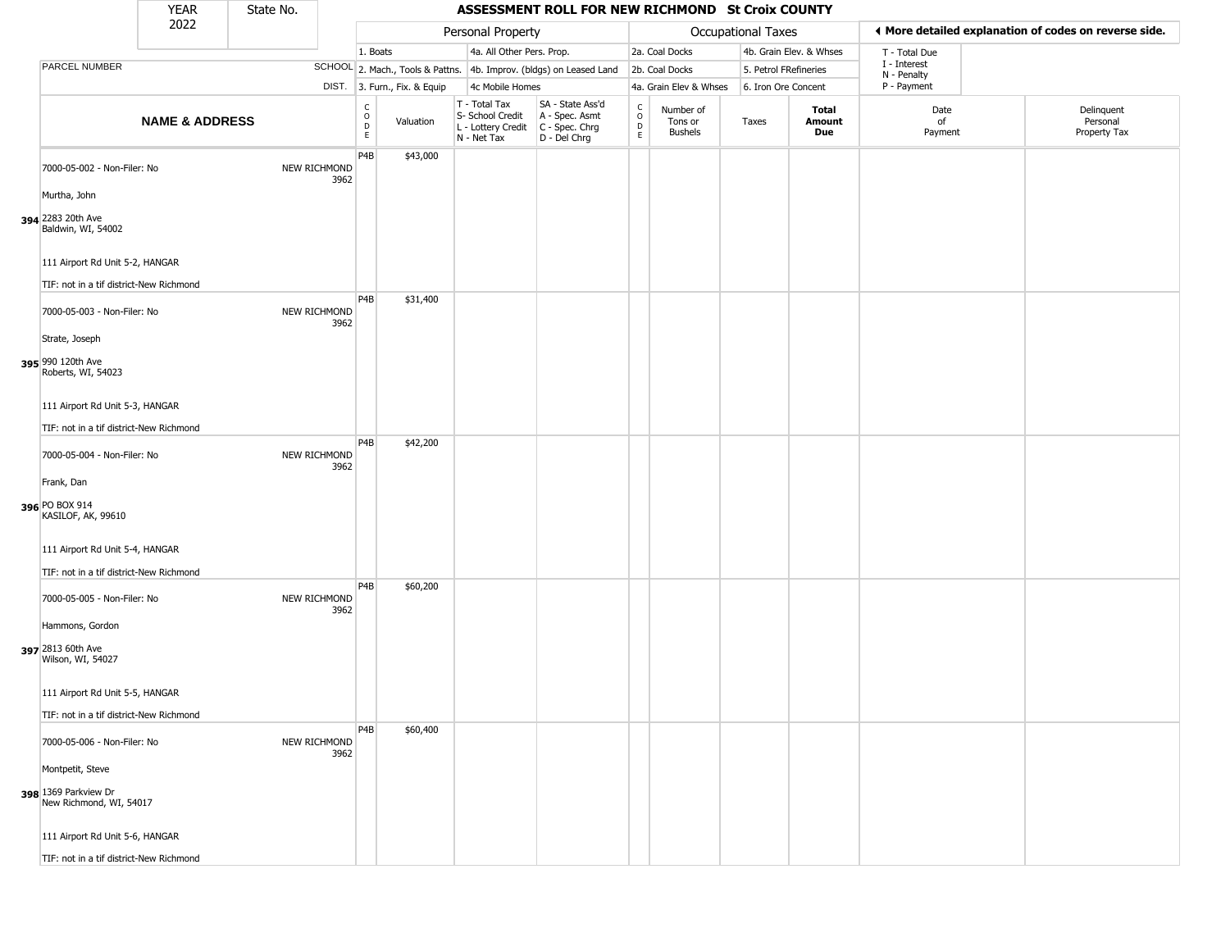|                                                                            | <b>YEAR</b>               | State No. |                             |                            |                              |                                                                        | ASSESSMENT ROLL FOR NEW RICHMOND St Croix COUNTY                     |                        |                                        |                           |                         |                             |                                                       |
|----------------------------------------------------------------------------|---------------------------|-----------|-----------------------------|----------------------------|------------------------------|------------------------------------------------------------------------|----------------------------------------------------------------------|------------------------|----------------------------------------|---------------------------|-------------------------|-----------------------------|-------------------------------------------------------|
|                                                                            | 2022                      |           |                             |                            |                              | Personal Property                                                      |                                                                      |                        |                                        | <b>Occupational Taxes</b> |                         |                             | ◀ More detailed explanation of codes on reverse side. |
|                                                                            |                           |           |                             | 1. Boats                   |                              | 4a. All Other Pers. Prop.                                              |                                                                      |                        | 2a. Coal Docks                         |                           | 4b. Grain Elev. & Whses | T - Total Due               |                                                       |
| PARCEL NUMBER                                                              |                           |           |                             |                            |                              |                                                                        | SCHOOL 2. Mach., Tools & Pattns. 4b. Improv. (bldgs) on Leased Land  |                        | 2b. Coal Docks                         | 5. Petrol FRefineries     |                         | I - Interest<br>N - Penalty |                                                       |
|                                                                            |                           |           |                             |                            | DIST. 3. Furn., Fix. & Equip | 4c Mobile Homes                                                        |                                                                      |                        | 4a. Grain Elev & Whses                 | 6. Iron Ore Concent       |                         | P - Payment                 |                                                       |
|                                                                            | <b>NAME &amp; ADDRESS</b> |           |                             | c<br>$\mathsf O$<br>D<br>E | Valuation                    | T - Total Tax<br>S- School Credit<br>L - Lottery Credit<br>N - Net Tax | SA - State Ass'd<br>A - Spec. Asmt<br>C - Spec. Chrg<br>D - Del Chrg | C<br>$\circ$<br>D<br>E | Number of<br>Tons or<br><b>Bushels</b> | Taxes                     | Total<br>Amount<br>Due  | Date<br>of<br>Payment       | Delinquent<br>Personal<br>Property Tax                |
| 7000-05-002 - Non-Filer: No                                                |                           |           | NEW RICHMOND<br>3962        | P4B                        | \$43,000                     |                                                                        |                                                                      |                        |                                        |                           |                         |                             |                                                       |
| Murtha, John<br>394 2283 20th Ave<br>Baldwin, WI, 54002                    |                           |           |                             |                            |                              |                                                                        |                                                                      |                        |                                        |                           |                         |                             |                                                       |
| 111 Airport Rd Unit 5-2, HANGAR                                            |                           |           |                             |                            |                              |                                                                        |                                                                      |                        |                                        |                           |                         |                             |                                                       |
| TIF: not in a tif district-New Richmond<br>7000-05-003 - Non-Filer: No     |                           |           | NEW RICHMOND<br>3962        | P <sub>4</sub> B           | \$31,400                     |                                                                        |                                                                      |                        |                                        |                           |                         |                             |                                                       |
| Strate, Joseph<br>395 990 120th Ave<br>Roberts, WI, 54023                  |                           |           |                             |                            |                              |                                                                        |                                                                      |                        |                                        |                           |                         |                             |                                                       |
| 111 Airport Rd Unit 5-3, HANGAR<br>TIF: not in a tif district-New Richmond |                           |           |                             |                            |                              |                                                                        |                                                                      |                        |                                        |                           |                         |                             |                                                       |
| 7000-05-004 - Non-Filer: No                                                |                           |           | NEW RICHMOND<br>3962        | P4B                        | \$42,200                     |                                                                        |                                                                      |                        |                                        |                           |                         |                             |                                                       |
| Frank, Dan<br>396 PO BOX 914<br>KASILOF, AK, 99610                         |                           |           |                             |                            |                              |                                                                        |                                                                      |                        |                                        |                           |                         |                             |                                                       |
| 111 Airport Rd Unit 5-4, HANGAR<br>TIF: not in a tif district-New Richmond |                           |           |                             |                            |                              |                                                                        |                                                                      |                        |                                        |                           |                         |                             |                                                       |
| 7000-05-005 - Non-Filer: No                                                |                           |           | NEW RICHMOND<br>3962        | P <sub>4</sub> B           | \$60,200                     |                                                                        |                                                                      |                        |                                        |                           |                         |                             |                                                       |
| Hammons, Gordon<br>397 2813 60th Ave<br>Wilson, WI, 54027                  |                           |           |                             |                            |                              |                                                                        |                                                                      |                        |                                        |                           |                         |                             |                                                       |
| 111 Airport Rd Unit 5-5, HANGAR<br>TIF: not in a tif district-New Richmond |                           |           |                             |                            |                              |                                                                        |                                                                      |                        |                                        |                           |                         |                             |                                                       |
| 7000-05-006 - Non-Filer: No                                                |                           |           | <b>NEW RICHMOND</b><br>3962 | P <sub>4</sub> B           | \$60,400                     |                                                                        |                                                                      |                        |                                        |                           |                         |                             |                                                       |
| Montpetit, Steve<br>398 1369 Parkview Dr                                   |                           |           |                             |                            |                              |                                                                        |                                                                      |                        |                                        |                           |                         |                             |                                                       |
| New Richmond, WI, 54017                                                    |                           |           |                             |                            |                              |                                                                        |                                                                      |                        |                                        |                           |                         |                             |                                                       |
| 111 Airport Rd Unit 5-6, HANGAR                                            |                           |           |                             |                            |                              |                                                                        |                                                                      |                        |                                        |                           |                         |                             |                                                       |
| TIF: not in a tif district-New Richmond                                    |                           |           |                             |                            |                              |                                                                        |                                                                      |                        |                                        |                           |                         |                             |                                                       |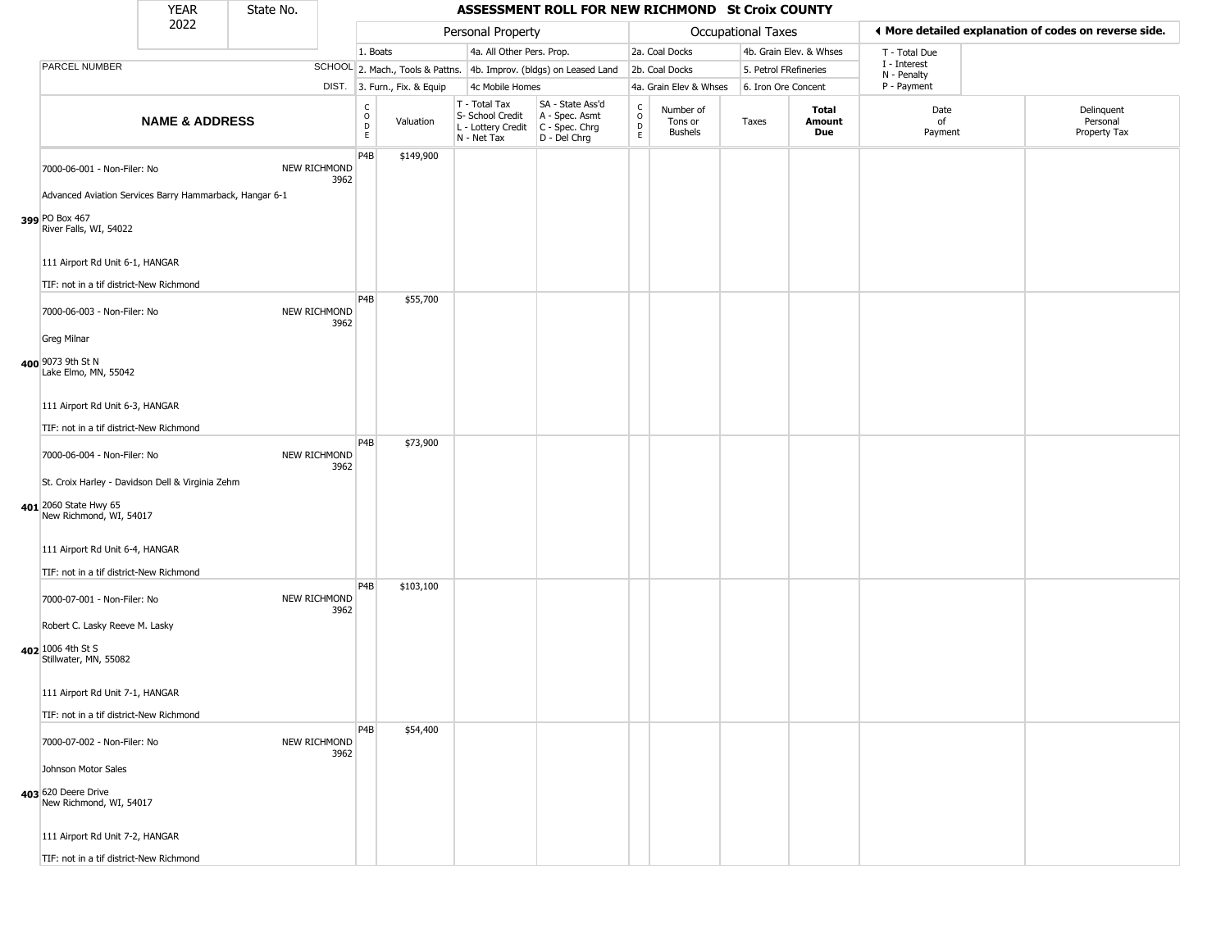|                                                                                                                                     | <b>YEAR</b>               | State No. |                      |                                        |                              |                                                                        | ASSESSMENT ROLL FOR NEW RICHMOND St Croix COUNTY                     |                                                  |                                        |                       |                         |                             |                                                       |
|-------------------------------------------------------------------------------------------------------------------------------------|---------------------------|-----------|----------------------|----------------------------------------|------------------------------|------------------------------------------------------------------------|----------------------------------------------------------------------|--------------------------------------------------|----------------------------------------|-----------------------|-------------------------|-----------------------------|-------------------------------------------------------|
|                                                                                                                                     | 2022                      |           |                      |                                        |                              | Personal Property                                                      |                                                                      |                                                  |                                        | Occupational Taxes    |                         |                             | ♦ More detailed explanation of codes on reverse side. |
|                                                                                                                                     |                           |           |                      | 1. Boats                               |                              | 4a. All Other Pers. Prop.                                              |                                                                      |                                                  | 2a. Coal Docks                         |                       | 4b. Grain Elev. & Whses | T - Total Due               |                                                       |
| PARCEL NUMBER                                                                                                                       |                           |           |                      |                                        |                              |                                                                        | SCHOOL 2. Mach., Tools & Pattns. 4b. Improv. (bldgs) on Leased Land  |                                                  | 2b. Coal Docks                         | 5. Petrol FRefineries |                         | I - Interest<br>N - Penalty |                                                       |
|                                                                                                                                     |                           |           |                      |                                        | DIST. 3. Furn., Fix. & Equip | 4c Mobile Homes                                                        |                                                                      |                                                  | 4a. Grain Elev & Whses                 | 6. Iron Ore Concent   |                         | P - Payment                 |                                                       |
|                                                                                                                                     | <b>NAME &amp; ADDRESS</b> |           |                      | $_{\rm o}^{\rm c}$<br>$\mathsf D$<br>E | Valuation                    | T - Total Tax<br>S- School Credit<br>L - Lottery Credit<br>N - Net Tax | SA - State Ass'd<br>A - Spec. Asmt<br>C - Spec. Chrg<br>D - Del Chrg | $_{\rm o}^{\rm c}$<br>$\mathsf D$<br>$\mathsf E$ | Number of<br>Tons or<br><b>Bushels</b> | Taxes                 | Total<br>Amount<br>Due  | Date<br>of<br>Payment       | Delinquent<br>Personal<br>Property Tax                |
| 7000-06-001 - Non-Filer: No<br>Advanced Aviation Services Barry Hammarback, Hangar 6-1<br>399 PO Box 467<br>River Falls, WI, 54022  |                           |           | NEW RICHMOND<br>3962 | P <sub>4</sub> B                       | \$149,900                    |                                                                        |                                                                      |                                                  |                                        |                       |                         |                             |                                                       |
| 111 Airport Rd Unit 6-1, HANGAR<br>TIF: not in a tif district-New Richmond                                                          |                           |           |                      | P <sub>4</sub> B                       | \$55,700                     |                                                                        |                                                                      |                                                  |                                        |                       |                         |                             |                                                       |
| 7000-06-003 - Non-Filer: No<br><b>Greg Milnar</b><br>400 9073 9th St N<br>Lake Elmo, MN, 55042                                      |                           |           | NEW RICHMOND<br>3962 |                                        |                              |                                                                        |                                                                      |                                                  |                                        |                       |                         |                             |                                                       |
| 111 Airport Rd Unit 6-3, HANGAR<br>TIF: not in a tif district-New Richmond                                                          |                           |           |                      |                                        |                              |                                                                        |                                                                      |                                                  |                                        |                       |                         |                             |                                                       |
| 7000-06-004 - Non-Filer: No<br>St. Croix Harley - Davidson Dell & Virginia Zehm<br>401 2060 State Hwy 65<br>New Richmond, WI, 54017 |                           |           | NEW RICHMOND<br>3962 | P <sub>4</sub> B                       | \$73,900                     |                                                                        |                                                                      |                                                  |                                        |                       |                         |                             |                                                       |
| 111 Airport Rd Unit 6-4, HANGAR<br>TIF: not in a tif district-New Richmond                                                          |                           |           |                      |                                        |                              |                                                                        |                                                                      |                                                  |                                        |                       |                         |                             |                                                       |
| 7000-07-001 - Non-Filer: No<br>Robert C. Lasky Reeve M. Lasky                                                                       |                           |           | NEW RICHMOND<br>3962 | P <sub>4</sub> B                       | \$103,100                    |                                                                        |                                                                      |                                                  |                                        |                       |                         |                             |                                                       |
| 402 1006 4th St S<br>Stillwater, MN, 55082<br>111 Airport Rd Unit 7-1, HANGAR                                                       |                           |           |                      |                                        |                              |                                                                        |                                                                      |                                                  |                                        |                       |                         |                             |                                                       |
| TIF: not in a tif district-New Richmond                                                                                             |                           |           |                      |                                        |                              |                                                                        |                                                                      |                                                  |                                        |                       |                         |                             |                                                       |
| 7000-07-002 - Non-Filer: No<br>Johnson Motor Sales                                                                                  |                           |           | NEW RICHMOND<br>3962 | P <sub>4</sub> B                       | \$54,400                     |                                                                        |                                                                      |                                                  |                                        |                       |                         |                             |                                                       |
| 403 620 Deere Drive<br>New Richmond, WI, 54017                                                                                      |                           |           |                      |                                        |                              |                                                                        |                                                                      |                                                  |                                        |                       |                         |                             |                                                       |
| 111 Airport Rd Unit 7-2, HANGAR                                                                                                     |                           |           |                      |                                        |                              |                                                                        |                                                                      |                                                  |                                        |                       |                         |                             |                                                       |
| TIF: not in a tif district-New Richmond                                                                                             |                           |           |                      |                                        |                              |                                                                        |                                                                      |                                                  |                                        |                       |                         |                             |                                                       |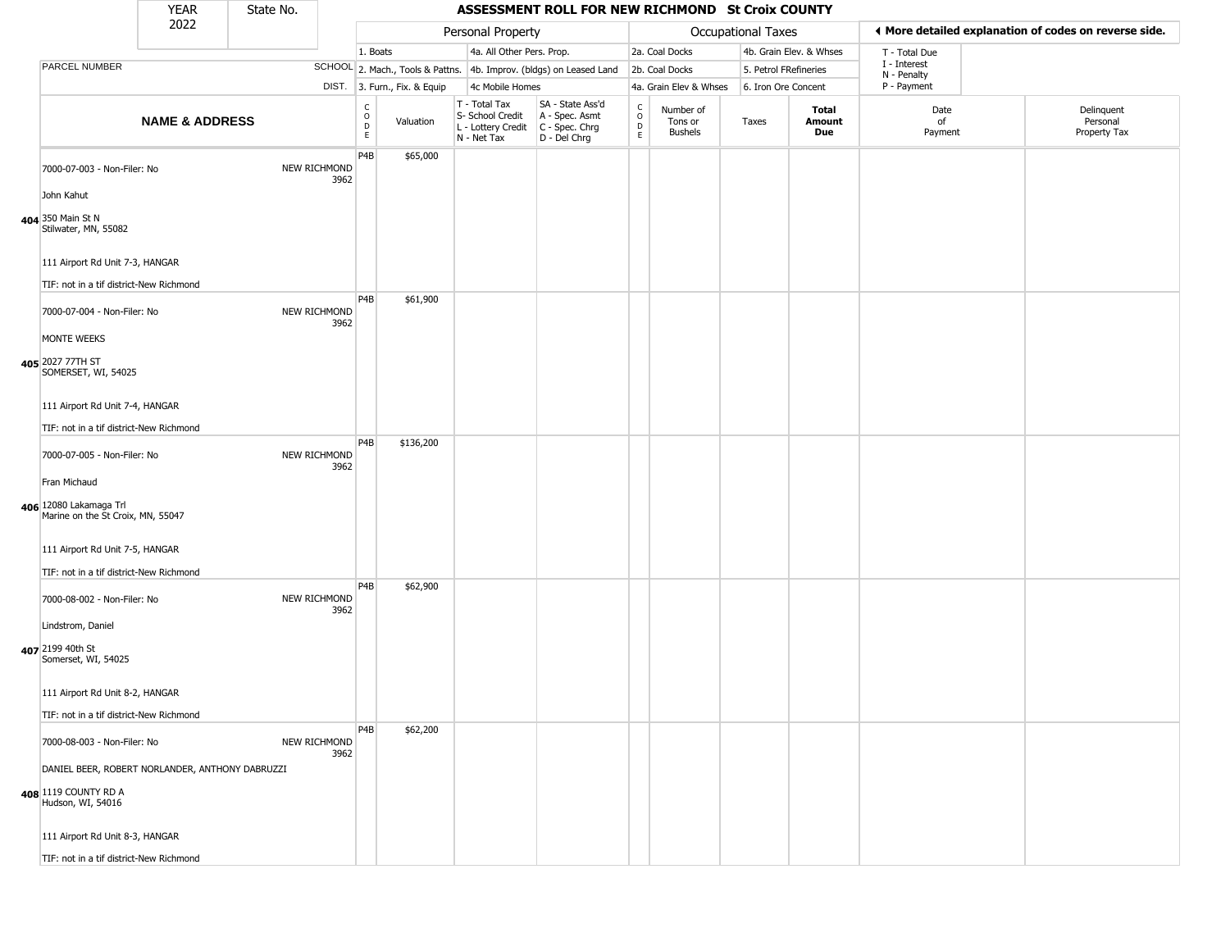|                                                                                              | <b>YEAR</b>               | State No. |                      |                                             |                              |                                                                        | ASSESSMENT ROLL FOR NEW RICHMOND St Croix COUNTY                       |                                            |                                        |                       |                         |                             |                                                       |
|----------------------------------------------------------------------------------------------|---------------------------|-----------|----------------------|---------------------------------------------|------------------------------|------------------------------------------------------------------------|------------------------------------------------------------------------|--------------------------------------------|----------------------------------------|-----------------------|-------------------------|-----------------------------|-------------------------------------------------------|
|                                                                                              | 2022                      |           |                      |                                             |                              | Personal Property                                                      |                                                                        |                                            |                                        | Occupational Taxes    |                         |                             | ♦ More detailed explanation of codes on reverse side. |
|                                                                                              |                           |           |                      | 1. Boats                                    |                              | 4a. All Other Pers. Prop.                                              |                                                                        |                                            | 2a. Coal Docks                         |                       | 4b. Grain Elev. & Whses | T - Total Due               |                                                       |
| PARCEL NUMBER                                                                                |                           |           |                      |                                             |                              |                                                                        | SCHOOL 2. Mach., Tools & Pattns. 4b. Improv. (bldgs) on Leased Land    |                                            | 2b. Coal Docks                         | 5. Petrol FRefineries |                         | I - Interest<br>N - Penalty |                                                       |
|                                                                                              |                           |           |                      |                                             | DIST. 3. Furn., Fix. & Equip | 4c Mobile Homes                                                        |                                                                        |                                            | 4a. Grain Elev & Whses                 | 6. Iron Ore Concent   |                         | P - Payment                 |                                                       |
|                                                                                              | <b>NAME &amp; ADDRESS</b> |           |                      | $\frac{c}{0}$<br>$\mathsf D$<br>$\mathsf E$ | Valuation                    | T - Total Tax<br>S- School Credit<br>L - Lottery Credit<br>N - Net Tax | SA - State Ass'd<br>A - Spec. Asmt<br>$C - Spec. Chrg$<br>D - Del Chrg | $\begin{array}{c} C \\ 0 \\ E \end{array}$ | Number of<br>Tons or<br><b>Bushels</b> | Taxes                 | Total<br>Amount<br>Due  | Date<br>of<br>Payment       | Delinquent<br>Personal<br>Property Tax                |
| 7000-07-003 - Non-Filer: No                                                                  |                           |           | NEW RICHMOND<br>3962 | P <sub>4</sub> B                            | \$65,000                     |                                                                        |                                                                        |                                            |                                        |                       |                         |                             |                                                       |
| John Kahut<br>404 350 Main St N<br>Stilwater, MN, 55082                                      |                           |           |                      |                                             |                              |                                                                        |                                                                        |                                            |                                        |                       |                         |                             |                                                       |
| 111 Airport Rd Unit 7-3, HANGAR                                                              |                           |           |                      |                                             |                              |                                                                        |                                                                        |                                            |                                        |                       |                         |                             |                                                       |
| TIF: not in a tif district-New Richmond<br>7000-07-004 - Non-Filer: No                       |                           |           | NEW RICHMOND         | P <sub>4</sub> B                            | \$61,900                     |                                                                        |                                                                        |                                            |                                        |                       |                         |                             |                                                       |
| MONTE WEEKS<br>405 2027 77TH ST                                                              |                           |           | 3962                 |                                             |                              |                                                                        |                                                                        |                                            |                                        |                       |                         |                             |                                                       |
| SOMERSET, WI, 54025<br>111 Airport Rd Unit 7-4, HANGAR                                       |                           |           |                      |                                             |                              |                                                                        |                                                                        |                                            |                                        |                       |                         |                             |                                                       |
| TIF: not in a tif district-New Richmond                                                      |                           |           |                      |                                             |                              |                                                                        |                                                                        |                                            |                                        |                       |                         |                             |                                                       |
| 7000-07-005 - Non-Filer: No                                                                  |                           |           | NEW RICHMOND<br>3962 | P <sub>4</sub> B                            | \$136,200                    |                                                                        |                                                                        |                                            |                                        |                       |                         |                             |                                                       |
| Fran Michaud<br>406 12080 Lakamaga Trl<br>Marine on the St Croix, MN, 55047                  |                           |           |                      |                                             |                              |                                                                        |                                                                        |                                            |                                        |                       |                         |                             |                                                       |
| 111 Airport Rd Unit 7-5, HANGAR<br>TIF: not in a tif district-New Richmond                   |                           |           |                      |                                             |                              |                                                                        |                                                                        |                                            |                                        |                       |                         |                             |                                                       |
| 7000-08-002 - Non-Filer: No                                                                  |                           |           | NEW RICHMOND<br>3962 | P4B                                         | \$62,900                     |                                                                        |                                                                        |                                            |                                        |                       |                         |                             |                                                       |
| Lindstrom, Daniel<br>407 2199 40th St<br>Somerset, WI, 54025                                 |                           |           |                      |                                             |                              |                                                                        |                                                                        |                                            |                                        |                       |                         |                             |                                                       |
| 111 Airport Rd Unit 8-2, HANGAR                                                              |                           |           |                      |                                             |                              |                                                                        |                                                                        |                                            |                                        |                       |                         |                             |                                                       |
| TIF: not in a tif district-New Richmond                                                      |                           |           |                      | P4B                                         | \$62,200                     |                                                                        |                                                                        |                                            |                                        |                       |                         |                             |                                                       |
| 7000-08-003 - Non-Filer: No                                                                  |                           |           | NEW RICHMOND<br>3962 |                                             |                              |                                                                        |                                                                        |                                            |                                        |                       |                         |                             |                                                       |
| DANIEL BEER, ROBERT NORLANDER, ANTHONY DABRUZZI<br>408 1119 COUNTY RD A<br>Hudson, WI, 54016 |                           |           |                      |                                             |                              |                                                                        |                                                                        |                                            |                                        |                       |                         |                             |                                                       |
| 111 Airport Rd Unit 8-3, HANGAR                                                              |                           |           |                      |                                             |                              |                                                                        |                                                                        |                                            |                                        |                       |                         |                             |                                                       |
| TIF: not in a tif district-New Richmond                                                      |                           |           |                      |                                             |                              |                                                                        |                                                                        |                                            |                                        |                       |                         |                             |                                                       |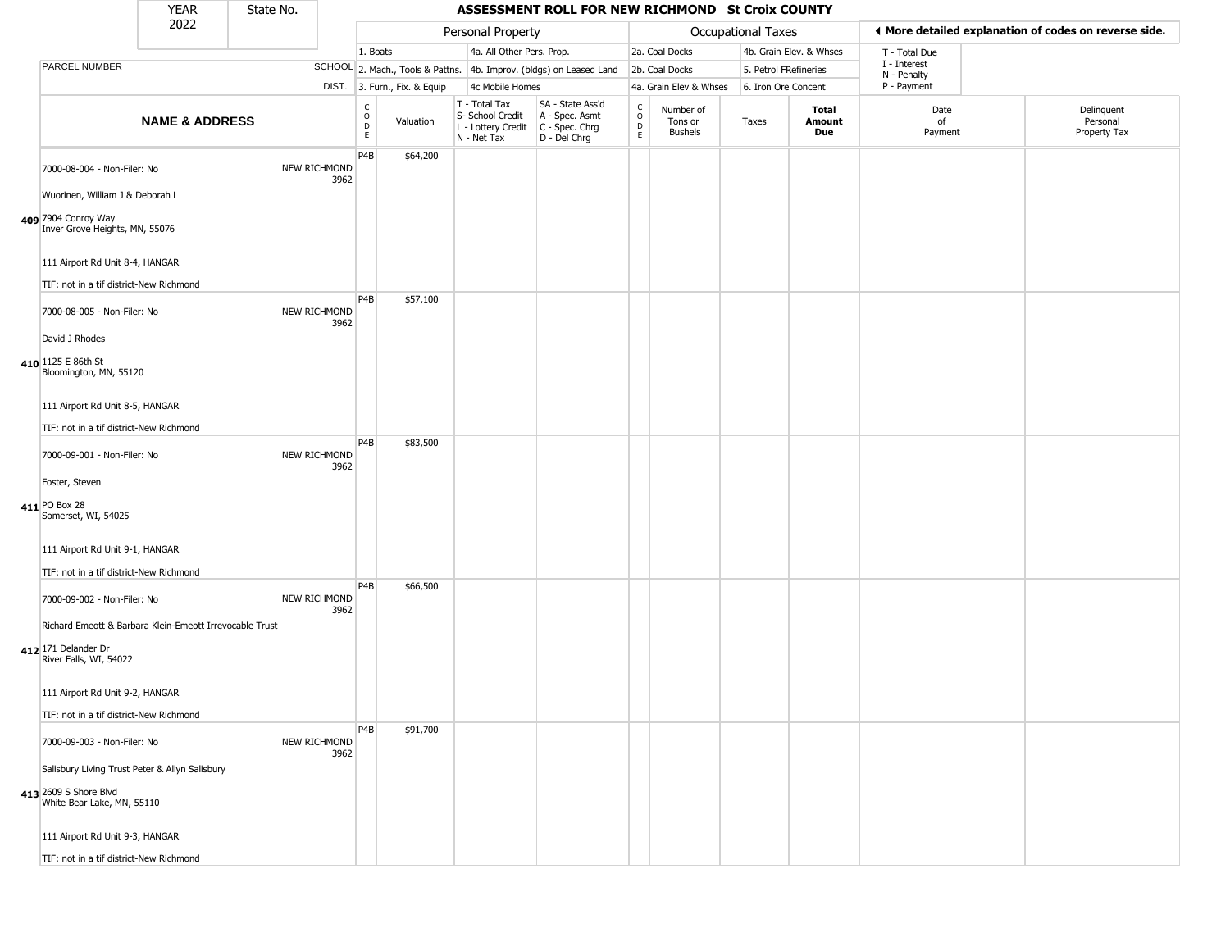|                                                                                                          | <b>YEAR</b>               | State No. |                      |                                                |                              |                                                                        | ASSESSMENT ROLL FOR NEW RICHMOND St Croix COUNTY                       |                                                           |                                        |                           |                         |                             |                                                       |
|----------------------------------------------------------------------------------------------------------|---------------------------|-----------|----------------------|------------------------------------------------|------------------------------|------------------------------------------------------------------------|------------------------------------------------------------------------|-----------------------------------------------------------|----------------------------------------|---------------------------|-------------------------|-----------------------------|-------------------------------------------------------|
|                                                                                                          | 2022                      |           |                      |                                                |                              | Personal Property                                                      |                                                                        |                                                           |                                        | <b>Occupational Taxes</b> |                         |                             | ◀ More detailed explanation of codes on reverse side. |
|                                                                                                          |                           |           |                      | 1. Boats                                       |                              | 4a. All Other Pers. Prop.                                              |                                                                        |                                                           | 2a. Coal Docks                         |                           | 4b. Grain Elev. & Whses | T - Total Due               |                                                       |
| PARCEL NUMBER                                                                                            |                           |           |                      |                                                |                              |                                                                        | SCHOOL 2. Mach., Tools & Pattns. 4b. Improv. (bldgs) on Leased Land    |                                                           | 2b. Coal Docks                         | 5. Petrol FRefineries     |                         | I - Interest<br>N - Penalty |                                                       |
|                                                                                                          |                           |           |                      |                                                | DIST. 3. Furn., Fix. & Equip | 4c Mobile Homes                                                        |                                                                        |                                                           | 4a. Grain Elev & Whses                 | 6. Iron Ore Concent       |                         | P - Payment                 |                                                       |
|                                                                                                          | <b>NAME &amp; ADDRESS</b> |           |                      | $\begin{matrix} 0 \\ 0 \\ D \end{matrix}$<br>E | Valuation                    | T - Total Tax<br>S- School Credit<br>L - Lottery Credit<br>N - Net Tax | SA - State Ass'd<br>A - Spec. Asmt<br>$C - Spec. Chrg$<br>D - Del Chrg | $\int_{0}^{c}$<br>$\begin{array}{c}\nD \\ E\n\end{array}$ | Number of<br>Tons or<br><b>Bushels</b> | Taxes                     | Total<br>Amount<br>Due  | Date<br>of<br>Payment       | Delinquent<br>Personal<br>Property Tax                |
| 7000-08-004 - Non-Filer: No                                                                              |                           |           | NEW RICHMOND<br>3962 | P4B                                            | \$64,200                     |                                                                        |                                                                        |                                                           |                                        |                           |                         |                             |                                                       |
| Wuorinen, William J & Deborah L<br>409 7904 Conroy Way<br>Inver Grove Heights, MN, 55076                 |                           |           |                      |                                                |                              |                                                                        |                                                                        |                                                           |                                        |                           |                         |                             |                                                       |
| 111 Airport Rd Unit 8-4, HANGAR                                                                          |                           |           |                      |                                                |                              |                                                                        |                                                                        |                                                           |                                        |                           |                         |                             |                                                       |
| TIF: not in a tif district-New Richmond<br>7000-08-005 - Non-Filer: No                                   |                           |           | NEW RICHMOND<br>3962 | P <sub>4</sub> B                               | \$57,100                     |                                                                        |                                                                        |                                                           |                                        |                           |                         |                             |                                                       |
| David J Rhodes<br>410 1125 E 86th St<br>Bloomington, MN, 55120                                           |                           |           |                      |                                                |                              |                                                                        |                                                                        |                                                           |                                        |                           |                         |                             |                                                       |
| 111 Airport Rd Unit 8-5, HANGAR                                                                          |                           |           |                      |                                                |                              |                                                                        |                                                                        |                                                           |                                        |                           |                         |                             |                                                       |
| TIF: not in a tif district-New Richmond<br>7000-09-001 - Non-Filer: No                                   |                           |           | NEW RICHMOND<br>3962 | P <sub>4</sub> B                               | \$83,500                     |                                                                        |                                                                        |                                                           |                                        |                           |                         |                             |                                                       |
| Foster, Steven                                                                                           |                           |           |                      |                                                |                              |                                                                        |                                                                        |                                                           |                                        |                           |                         |                             |                                                       |
| 411 PO Box 28<br>Somerset, WI, 54025                                                                     |                           |           |                      |                                                |                              |                                                                        |                                                                        |                                                           |                                        |                           |                         |                             |                                                       |
| 111 Airport Rd Unit 9-1, HANGAR<br>TIF: not in a tif district-New Richmond                               |                           |           |                      |                                                |                              |                                                                        |                                                                        |                                                           |                                        |                           |                         |                             |                                                       |
| 7000-09-002 - Non-Filer: No                                                                              |                           |           | NEW RICHMOND<br>3962 | P <sub>4</sub> B                               | \$66,500                     |                                                                        |                                                                        |                                                           |                                        |                           |                         |                             |                                                       |
| Richard Emeott & Barbara Klein-Emeott Irrevocable Trust<br>412 171 Delander Dr<br>River Falls, WI, 54022 |                           |           |                      |                                                |                              |                                                                        |                                                                        |                                                           |                                        |                           |                         |                             |                                                       |
| 111 Airport Rd Unit 9-2, HANGAR                                                                          |                           |           |                      |                                                |                              |                                                                        |                                                                        |                                                           |                                        |                           |                         |                             |                                                       |
| TIF: not in a tif district-New Richmond                                                                  |                           |           |                      |                                                |                              |                                                                        |                                                                        |                                                           |                                        |                           |                         |                             |                                                       |
| 7000-09-003 - Non-Filer: No                                                                              |                           |           | NEW RICHMOND<br>3962 | P <sub>4</sub> B                               | \$91,700                     |                                                                        |                                                                        |                                                           |                                        |                           |                         |                             |                                                       |
| Salisbury Living Trust Peter & Allyn Salisbury<br>413 2609 S Shore Blvd<br>White Bear Lake, MN, 55110    |                           |           |                      |                                                |                              |                                                                        |                                                                        |                                                           |                                        |                           |                         |                             |                                                       |
| 111 Airport Rd Unit 9-3, HANGAR                                                                          |                           |           |                      |                                                |                              |                                                                        |                                                                        |                                                           |                                        |                           |                         |                             |                                                       |
| TIF: not in a tif district-New Richmond                                                                  |                           |           |                      |                                                |                              |                                                                        |                                                                        |                                                           |                                        |                           |                         |                             |                                                       |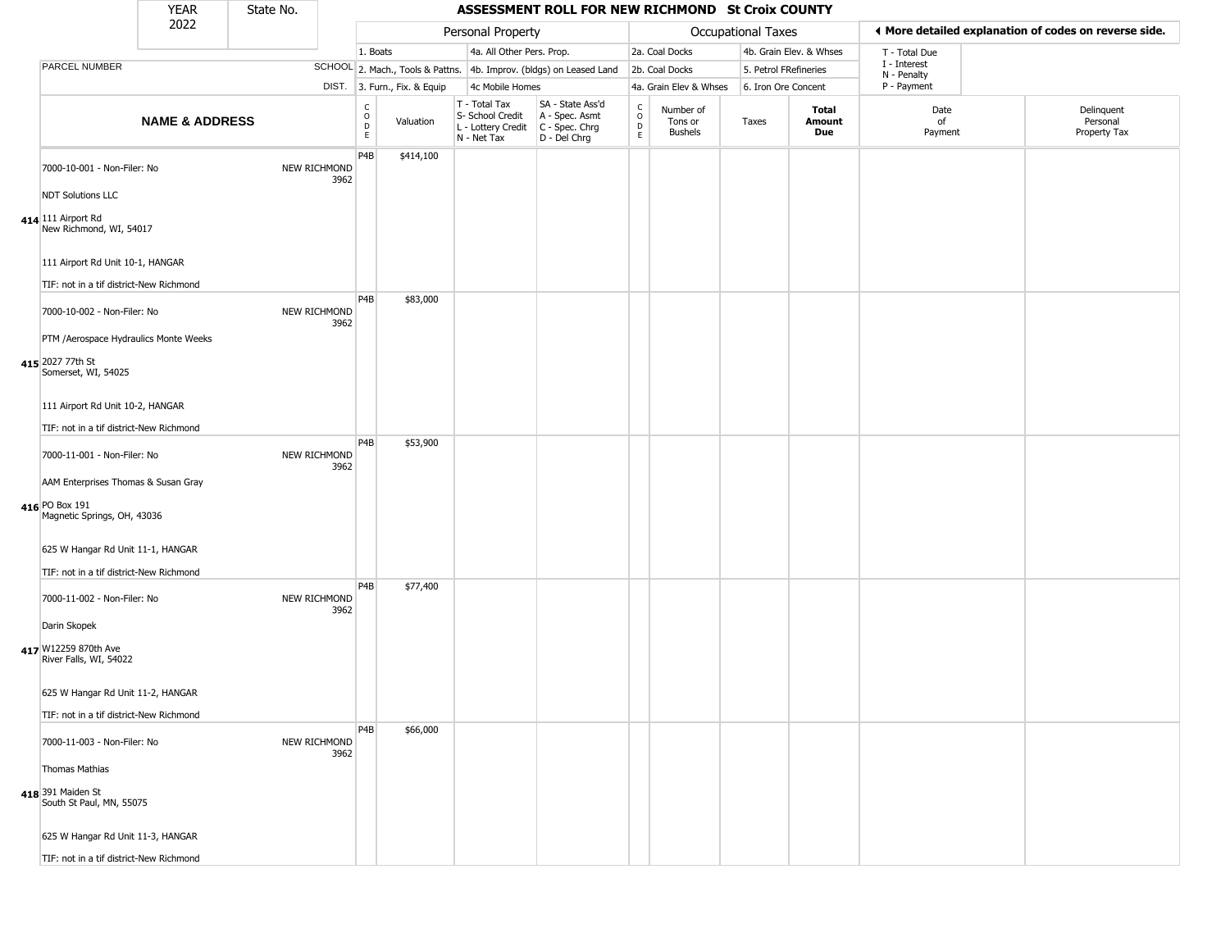|                                                                           | YEAR                      | State No. |                      |                                             |                              |                                                                        | ASSESSMENT ROLL FOR NEW RICHMOND St Croix COUNTY                     |                                                          |                                        |                       |                         |                             |                                                       |
|---------------------------------------------------------------------------|---------------------------|-----------|----------------------|---------------------------------------------|------------------------------|------------------------------------------------------------------------|----------------------------------------------------------------------|----------------------------------------------------------|----------------------------------------|-----------------------|-------------------------|-----------------------------|-------------------------------------------------------|
|                                                                           | 2022                      |           |                      |                                             |                              | Personal Property                                                      |                                                                      |                                                          |                                        | Occupational Taxes    |                         |                             | ♦ More detailed explanation of codes on reverse side. |
|                                                                           |                           |           |                      | 1. Boats                                    |                              | 4a. All Other Pers. Prop.                                              |                                                                      |                                                          | 2a. Coal Docks                         |                       | 4b. Grain Elev. & Whses | T - Total Due               |                                                       |
| PARCEL NUMBER                                                             |                           |           |                      |                                             |                              |                                                                        | SCHOOL 2. Mach., Tools & Pattns. 4b. Improv. (bldgs) on Leased Land  |                                                          | 2b. Coal Docks                         | 5. Petrol FRefineries |                         | I - Interest<br>N - Penalty |                                                       |
|                                                                           |                           |           |                      |                                             | DIST. 3. Furn., Fix. & Equip | 4c Mobile Homes                                                        |                                                                      |                                                          | 4a. Grain Elev & Whses                 | 6. Iron Ore Concent   |                         | P - Payment                 |                                                       |
|                                                                           | <b>NAME &amp; ADDRESS</b> |           |                      | $\frac{C}{O}$<br>$\mathsf D$<br>$\mathsf E$ | Valuation                    | T - Total Tax<br>S- School Credit<br>L - Lottery Credit<br>N - Net Tax | SA - State Ass'd<br>A - Spec. Asmt<br>C - Spec. Chrg<br>D - Del Chrg | $\begin{matrix} 0 \\ 0 \\ 0 \end{matrix}$<br>$\mathsf E$ | Number of<br>Tons or<br><b>Bushels</b> | Taxes                 | Total<br>Amount<br>Due  | Date<br>of<br>Payment       | Delinquent<br>Personal<br>Property Tax                |
| 7000-10-001 - Non-Filer: No                                               |                           |           | NEW RICHMOND<br>3962 | P4B                                         | \$414,100                    |                                                                        |                                                                      |                                                          |                                        |                       |                         |                             |                                                       |
| <b>NDT Solutions LLC</b><br>414 111 Airport Rd<br>New Richmond, WI, 54017 |                           |           |                      |                                             |                              |                                                                        |                                                                      |                                                          |                                        |                       |                         |                             |                                                       |
| 111 Airport Rd Unit 10-1, HANGAR                                          |                           |           |                      |                                             |                              |                                                                        |                                                                      |                                                          |                                        |                       |                         |                             |                                                       |
| TIF: not in a tif district-New Richmond                                   |                           |           |                      | P <sub>4</sub> B                            |                              |                                                                        |                                                                      |                                                          |                                        |                       |                         |                             |                                                       |
| 7000-10-002 - Non-Filer: No                                               |                           |           | NEW RICHMOND<br>3962 |                                             | \$83,000                     |                                                                        |                                                                      |                                                          |                                        |                       |                         |                             |                                                       |
| PTM /Aerospace Hydraulics Monte Weeks                                     |                           |           |                      |                                             |                              |                                                                        |                                                                      |                                                          |                                        |                       |                         |                             |                                                       |
| 415 2027 77th St<br>Somerset, WI, 54025                                   |                           |           |                      |                                             |                              |                                                                        |                                                                      |                                                          |                                        |                       |                         |                             |                                                       |
| 111 Airport Rd Unit 10-2, HANGAR                                          |                           |           |                      |                                             |                              |                                                                        |                                                                      |                                                          |                                        |                       |                         |                             |                                                       |
| TIF: not in a tif district-New Richmond                                   |                           |           |                      |                                             |                              |                                                                        |                                                                      |                                                          |                                        |                       |                         |                             |                                                       |
| 7000-11-001 - Non-Filer: No                                               |                           |           | NEW RICHMOND<br>3962 | P4B                                         | \$53,900                     |                                                                        |                                                                      |                                                          |                                        |                       |                         |                             |                                                       |
| AAM Enterprises Thomas & Susan Gray                                       |                           |           |                      |                                             |                              |                                                                        |                                                                      |                                                          |                                        |                       |                         |                             |                                                       |
| 416 PO Box 191<br>Magnetic Springs, OH, 43036                             |                           |           |                      |                                             |                              |                                                                        |                                                                      |                                                          |                                        |                       |                         |                             |                                                       |
| 625 W Hangar Rd Unit 11-1, HANGAR                                         |                           |           |                      |                                             |                              |                                                                        |                                                                      |                                                          |                                        |                       |                         |                             |                                                       |
| TIF: not in a tif district-New Richmond                                   |                           |           |                      |                                             |                              |                                                                        |                                                                      |                                                          |                                        |                       |                         |                             |                                                       |
| 7000-11-002 - Non-Filer: No                                               |                           |           | NEW RICHMOND<br>3962 | P4B                                         | \$77,400                     |                                                                        |                                                                      |                                                          |                                        |                       |                         |                             |                                                       |
| Darin Skopek                                                              |                           |           |                      |                                             |                              |                                                                        |                                                                      |                                                          |                                        |                       |                         |                             |                                                       |
| 417 W12259 870th Ave<br>River Falls, WI, 54022                            |                           |           |                      |                                             |                              |                                                                        |                                                                      |                                                          |                                        |                       |                         |                             |                                                       |
| 625 W Hangar Rd Unit 11-2, HANGAR                                         |                           |           |                      |                                             |                              |                                                                        |                                                                      |                                                          |                                        |                       |                         |                             |                                                       |
| TIF: not in a tif district-New Richmond                                   |                           |           |                      |                                             |                              |                                                                        |                                                                      |                                                          |                                        |                       |                         |                             |                                                       |
| 7000-11-003 - Non-Filer: No                                               |                           |           | NEW RICHMOND<br>3962 | P4B                                         | \$66,000                     |                                                                        |                                                                      |                                                          |                                        |                       |                         |                             |                                                       |
| Thomas Mathias                                                            |                           |           |                      |                                             |                              |                                                                        |                                                                      |                                                          |                                        |                       |                         |                             |                                                       |
| 418 391 Maiden St<br>South St Paul, MN, 55075                             |                           |           |                      |                                             |                              |                                                                        |                                                                      |                                                          |                                        |                       |                         |                             |                                                       |
| 625 W Hangar Rd Unit 11-3, HANGAR                                         |                           |           |                      |                                             |                              |                                                                        |                                                                      |                                                          |                                        |                       |                         |                             |                                                       |
| TIF: not in a tif district-New Richmond                                   |                           |           |                      |                                             |                              |                                                                        |                                                                      |                                                          |                                        |                       |                         |                             |                                                       |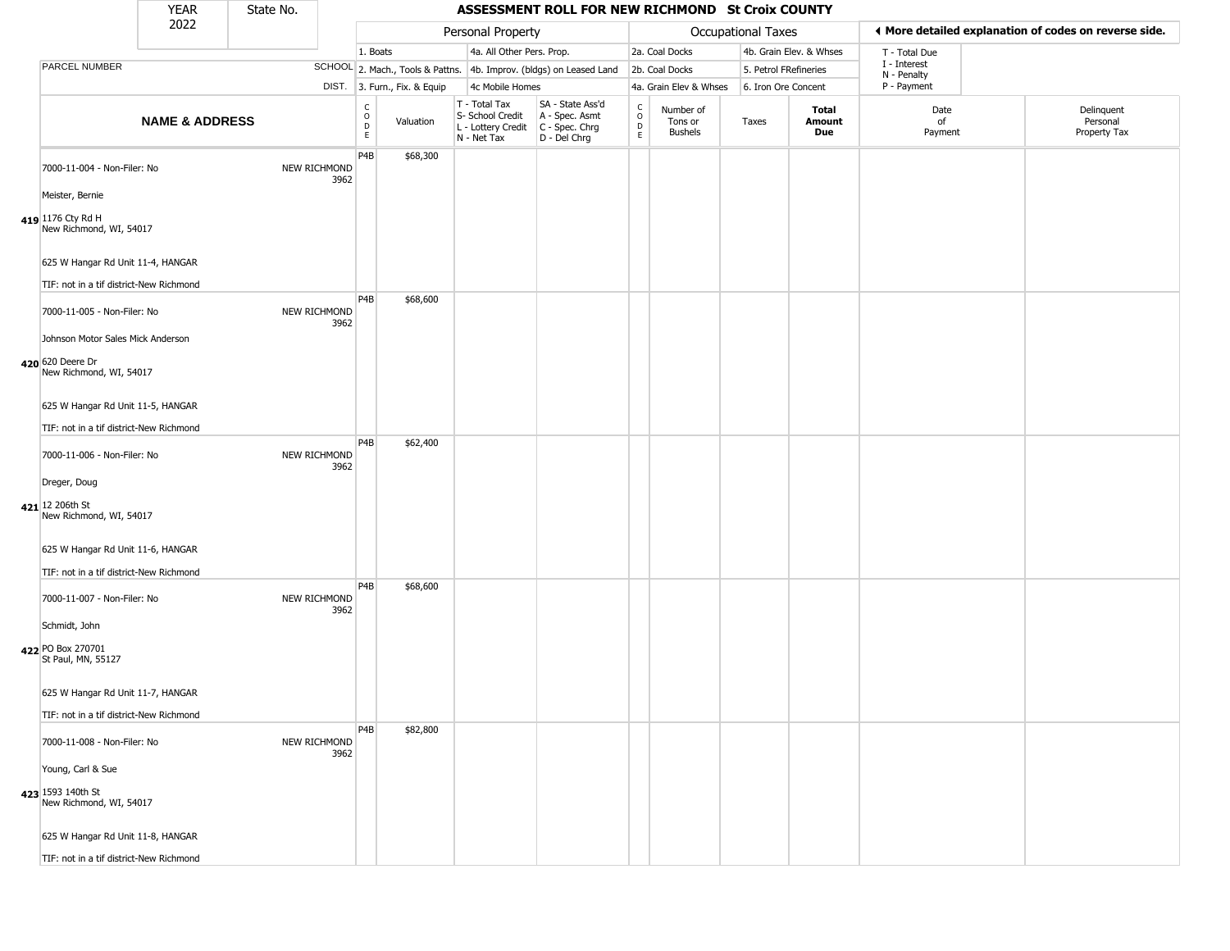|                                                                 | <b>YEAR</b>               | State No. |                             |                                                                    |                              |                                                                        | ASSESSMENT ROLL FOR NEW RICHMOND St Croix COUNTY                       |                                                          |                                        |                           |                         |                             |                                                       |
|-----------------------------------------------------------------|---------------------------|-----------|-----------------------------|--------------------------------------------------------------------|------------------------------|------------------------------------------------------------------------|------------------------------------------------------------------------|----------------------------------------------------------|----------------------------------------|---------------------------|-------------------------|-----------------------------|-------------------------------------------------------|
|                                                                 | 2022                      |           |                             |                                                                    |                              | Personal Property                                                      |                                                                        |                                                          |                                        | <b>Occupational Taxes</b> |                         |                             | ◀ More detailed explanation of codes on reverse side. |
|                                                                 |                           |           |                             | 1. Boats                                                           |                              | 4a. All Other Pers. Prop.                                              |                                                                        |                                                          | 2a. Coal Docks                         |                           | 4b. Grain Elev. & Whses | T - Total Due               |                                                       |
| PARCEL NUMBER                                                   |                           |           |                             |                                                                    |                              |                                                                        | SCHOOL 2. Mach., Tools & Pattns. 4b. Improv. (bldgs) on Leased Land    |                                                          | 2b. Coal Docks                         | 5. Petrol FRefineries     |                         | I - Interest<br>N - Penalty |                                                       |
|                                                                 |                           |           |                             |                                                                    | DIST. 3. Furn., Fix. & Equip | 4c Mobile Homes                                                        |                                                                        |                                                          | 4a. Grain Elev & Whses                 | 6. Iron Ore Concent       |                         | P - Payment                 |                                                       |
|                                                                 | <b>NAME &amp; ADDRESS</b> |           |                             | $\begin{smallmatrix} C \\ O \\ D \end{smallmatrix}$<br>$\mathsf E$ | Valuation                    | T - Total Tax<br>S- School Credit<br>L - Lottery Credit<br>N - Net Tax | SA - State Ass'd<br>A - Spec. Asmt<br>$C - Spec. Chrg$<br>D - Del Chrg | $\begin{matrix} 0 \\ 0 \\ 0 \end{matrix}$<br>$\mathsf E$ | Number of<br>Tons or<br><b>Bushels</b> | Taxes                     | Total<br>Amount<br>Due  | Date<br>of<br>Payment       | Delinquent<br>Personal<br>Property Tax                |
| 7000-11-004 - Non-Filer: No                                     |                           |           | <b>NEW RICHMOND</b><br>3962 | P4B                                                                | \$68,300                     |                                                                        |                                                                        |                                                          |                                        |                           |                         |                             |                                                       |
| Meister, Bernie<br>419 1176 Cty Rd H<br>New Richmond, WI, 54017 |                           |           |                             |                                                                    |                              |                                                                        |                                                                        |                                                          |                                        |                           |                         |                             |                                                       |
| 625 W Hangar Rd Unit 11-4, HANGAR                               |                           |           |                             |                                                                    |                              |                                                                        |                                                                        |                                                          |                                        |                           |                         |                             |                                                       |
| TIF: not in a tif district-New Richmond                         |                           |           |                             | P <sub>4</sub> B                                                   |                              |                                                                        |                                                                        |                                                          |                                        |                           |                         |                             |                                                       |
| 7000-11-005 - Non-Filer: No                                     |                           |           | NEW RICHMOND<br>3962        |                                                                    | \$68,600                     |                                                                        |                                                                        |                                                          |                                        |                           |                         |                             |                                                       |
| Johnson Motor Sales Mick Anderson                               |                           |           |                             |                                                                    |                              |                                                                        |                                                                        |                                                          |                                        |                           |                         |                             |                                                       |
| 420 620 Deere Dr<br>New Richmond, WI, 54017                     |                           |           |                             |                                                                    |                              |                                                                        |                                                                        |                                                          |                                        |                           |                         |                             |                                                       |
| 625 W Hangar Rd Unit 11-5, HANGAR                               |                           |           |                             |                                                                    |                              |                                                                        |                                                                        |                                                          |                                        |                           |                         |                             |                                                       |
| TIF: not in a tif district-New Richmond                         |                           |           |                             |                                                                    |                              |                                                                        |                                                                        |                                                          |                                        |                           |                         |                             |                                                       |
| 7000-11-006 - Non-Filer: No                                     |                           |           | NEW RICHMOND<br>3962        | P <sub>4</sub> B                                                   | \$62,400                     |                                                                        |                                                                        |                                                          |                                        |                           |                         |                             |                                                       |
| Dreger, Doug                                                    |                           |           |                             |                                                                    |                              |                                                                        |                                                                        |                                                          |                                        |                           |                         |                             |                                                       |
| 421 12 206th St<br>New Richmond, WI, 54017                      |                           |           |                             |                                                                    |                              |                                                                        |                                                                        |                                                          |                                        |                           |                         |                             |                                                       |
| 625 W Hangar Rd Unit 11-6, HANGAR                               |                           |           |                             |                                                                    |                              |                                                                        |                                                                        |                                                          |                                        |                           |                         |                             |                                                       |
| TIF: not in a tif district-New Richmond                         |                           |           |                             | P <sub>4</sub> B                                                   |                              |                                                                        |                                                                        |                                                          |                                        |                           |                         |                             |                                                       |
| 7000-11-007 - Non-Filer: No                                     |                           |           | NEW RICHMOND<br>3962        |                                                                    | \$68,600                     |                                                                        |                                                                        |                                                          |                                        |                           |                         |                             |                                                       |
| Schmidt, John                                                   |                           |           |                             |                                                                    |                              |                                                                        |                                                                        |                                                          |                                        |                           |                         |                             |                                                       |
| 422 PO Box 270701<br>St Paul, MN, 55127                         |                           |           |                             |                                                                    |                              |                                                                        |                                                                        |                                                          |                                        |                           |                         |                             |                                                       |
| 625 W Hangar Rd Unit 11-7, HANGAR                               |                           |           |                             |                                                                    |                              |                                                                        |                                                                        |                                                          |                                        |                           |                         |                             |                                                       |
| TIF: not in a tif district-New Richmond                         |                           |           |                             |                                                                    |                              |                                                                        |                                                                        |                                                          |                                        |                           |                         |                             |                                                       |
| 7000-11-008 - Non-Filer: No                                     |                           |           | NEW RICHMOND<br>3962        | P <sub>4</sub> B                                                   | \$82,800                     |                                                                        |                                                                        |                                                          |                                        |                           |                         |                             |                                                       |
| Young, Carl & Sue                                               |                           |           |                             |                                                                    |                              |                                                                        |                                                                        |                                                          |                                        |                           |                         |                             |                                                       |
| 423 1593 140th St<br>New Richmond, WI, 54017                    |                           |           |                             |                                                                    |                              |                                                                        |                                                                        |                                                          |                                        |                           |                         |                             |                                                       |
| 625 W Hangar Rd Unit 11-8, HANGAR                               |                           |           |                             |                                                                    |                              |                                                                        |                                                                        |                                                          |                                        |                           |                         |                             |                                                       |
| TIF: not in a tif district-New Richmond                         |                           |           |                             |                                                                    |                              |                                                                        |                                                                        |                                                          |                                        |                           |                         |                             |                                                       |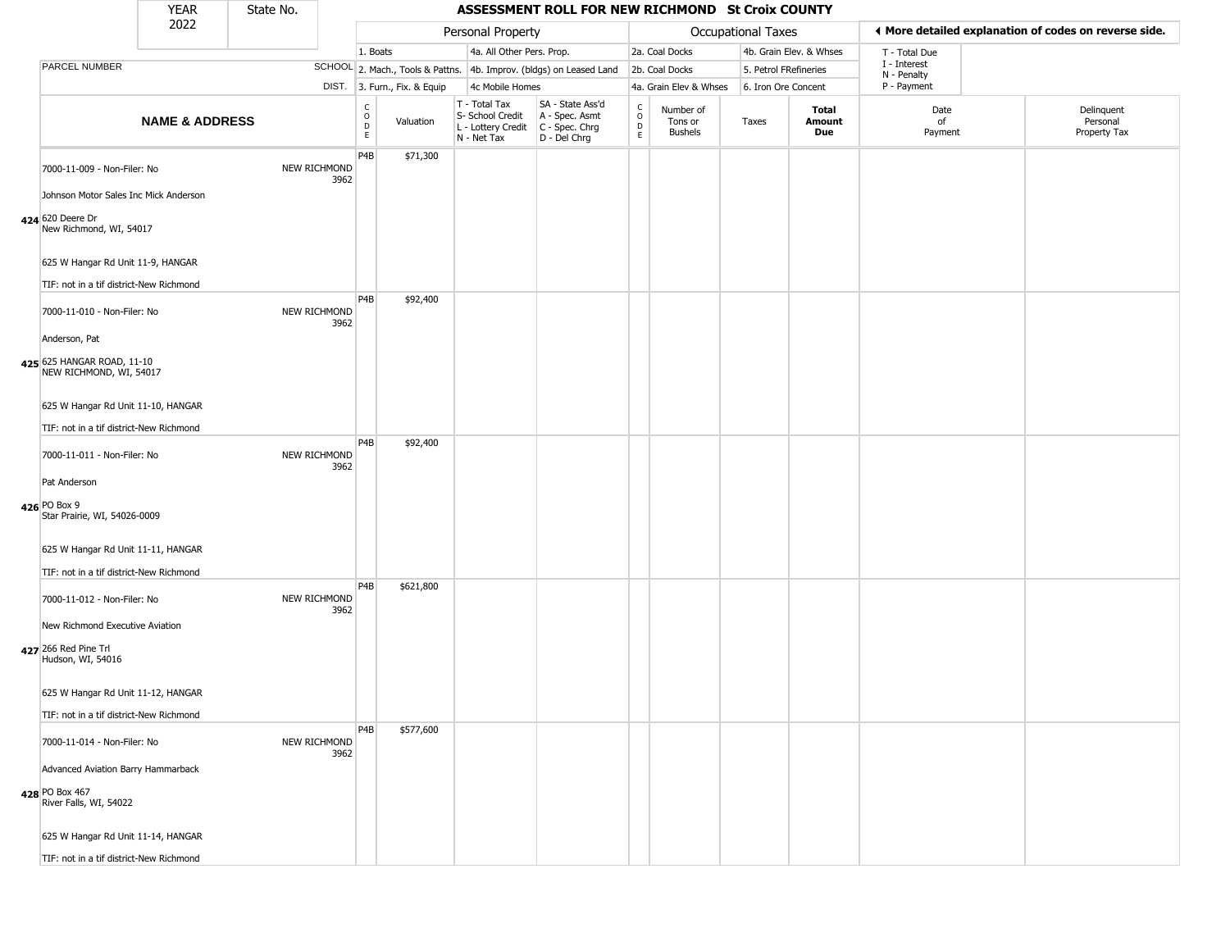|                                                                                      | <b>YEAR</b>               | State No. |                      |                         |                              |                                                                        | ASSESSMENT ROLL FOR NEW RICHMOND St Croix COUNTY                     |                                              |                                        |                       |                         |                             |                                                       |
|--------------------------------------------------------------------------------------|---------------------------|-----------|----------------------|-------------------------|------------------------------|------------------------------------------------------------------------|----------------------------------------------------------------------|----------------------------------------------|----------------------------------------|-----------------------|-------------------------|-----------------------------|-------------------------------------------------------|
|                                                                                      | 2022                      |           |                      |                         |                              | Personal Property                                                      |                                                                      |                                              |                                        | Occupational Taxes    |                         |                             | ♦ More detailed explanation of codes on reverse side. |
|                                                                                      |                           |           |                      | 1. Boats                |                              | 4a. All Other Pers. Prop.                                              |                                                                      |                                              | 2a. Coal Docks                         |                       | 4b. Grain Elev. & Whses | T - Total Due               |                                                       |
| PARCEL NUMBER                                                                        |                           |           |                      |                         |                              |                                                                        | SCHOOL 2. Mach., Tools & Pattns. 4b. Improv. (bldgs) on Leased Land  |                                              | 2b. Coal Docks                         | 5. Petrol FRefineries |                         | I - Interest<br>N - Penalty |                                                       |
|                                                                                      |                           |           |                      |                         | DIST. 3. Furn., Fix. & Equip | 4c Mobile Homes                                                        |                                                                      |                                              | 4a. Grain Elev & Whses                 | 6. Iron Ore Concent   |                         | P - Payment                 |                                                       |
|                                                                                      | <b>NAME &amp; ADDRESS</b> |           |                      | $\frac{c}{0}$<br>D<br>E | Valuation                    | T - Total Tax<br>S- School Credit<br>L - Lottery Credit<br>N - Net Tax | SA - State Ass'd<br>A - Spec. Asmt<br>C - Spec. Chrg<br>D - Del Chrg | $\begin{array}{c}\nC \\ O \\ D\n\end{array}$ | Number of<br>Tons or<br><b>Bushels</b> | Taxes                 | Total<br>Amount<br>Due  | Date<br>of<br>Payment       | Delinquent<br>Personal<br>Property Tax                |
| 7000-11-009 - Non-Filer: No                                                          |                           |           | NEW RICHMOND<br>3962 | P4B                     | \$71,300                     |                                                                        |                                                                      |                                              |                                        |                       |                         |                             |                                                       |
| Johnson Motor Sales Inc Mick Anderson<br>424 620 Deere Dr<br>New Richmond, WI, 54017 |                           |           |                      |                         |                              |                                                                        |                                                                      |                                              |                                        |                       |                         |                             |                                                       |
| 625 W Hangar Rd Unit 11-9, HANGAR                                                    |                           |           |                      |                         |                              |                                                                        |                                                                      |                                              |                                        |                       |                         |                             |                                                       |
| TIF: not in a tif district-New Richmond                                              |                           |           |                      |                         |                              |                                                                        |                                                                      |                                              |                                        |                       |                         |                             |                                                       |
| 7000-11-010 - Non-Filer: No                                                          |                           |           | NEW RICHMOND<br>3962 | P <sub>4</sub> B        | \$92,400                     |                                                                        |                                                                      |                                              |                                        |                       |                         |                             |                                                       |
| Anderson, Pat                                                                        |                           |           |                      |                         |                              |                                                                        |                                                                      |                                              |                                        |                       |                         |                             |                                                       |
| 425 625 HANGAR ROAD, 11-10<br>NEW RICHMOND, WI, 54017                                |                           |           |                      |                         |                              |                                                                        |                                                                      |                                              |                                        |                       |                         |                             |                                                       |
| 625 W Hangar Rd Unit 11-10, HANGAR                                                   |                           |           |                      |                         |                              |                                                                        |                                                                      |                                              |                                        |                       |                         |                             |                                                       |
| TIF: not in a tif district-New Richmond                                              |                           |           |                      |                         |                              |                                                                        |                                                                      |                                              |                                        |                       |                         |                             |                                                       |
| 7000-11-011 - Non-Filer: No                                                          |                           |           | NEW RICHMOND<br>3962 | P4B                     | \$92,400                     |                                                                        |                                                                      |                                              |                                        |                       |                         |                             |                                                       |
| Pat Anderson                                                                         |                           |           |                      |                         |                              |                                                                        |                                                                      |                                              |                                        |                       |                         |                             |                                                       |
| 426 PO Box 9<br>Star Prairie, WI, 54026-0009                                         |                           |           |                      |                         |                              |                                                                        |                                                                      |                                              |                                        |                       |                         |                             |                                                       |
| 625 W Hangar Rd Unit 11-11, HANGAR                                                   |                           |           |                      |                         |                              |                                                                        |                                                                      |                                              |                                        |                       |                         |                             |                                                       |
| TIF: not in a tif district-New Richmond                                              |                           |           |                      |                         |                              |                                                                        |                                                                      |                                              |                                        |                       |                         |                             |                                                       |
| 7000-11-012 - Non-Filer: No                                                          |                           |           | NEW RICHMOND<br>3962 | P4B                     | \$621,800                    |                                                                        |                                                                      |                                              |                                        |                       |                         |                             |                                                       |
| New Richmond Executive Aviation                                                      |                           |           |                      |                         |                              |                                                                        |                                                                      |                                              |                                        |                       |                         |                             |                                                       |
| 427 266 Red Pine Trl<br>Hudson, WI, 54016                                            |                           |           |                      |                         |                              |                                                                        |                                                                      |                                              |                                        |                       |                         |                             |                                                       |
| 625 W Hangar Rd Unit 11-12, HANGAR                                                   |                           |           |                      |                         |                              |                                                                        |                                                                      |                                              |                                        |                       |                         |                             |                                                       |
| TIF: not in a tif district-New Richmond                                              |                           |           |                      |                         |                              |                                                                        |                                                                      |                                              |                                        |                       |                         |                             |                                                       |
| 7000-11-014 - Non-Filer: No                                                          |                           |           | NEW RICHMOND<br>3962 | P4B                     | \$577,600                    |                                                                        |                                                                      |                                              |                                        |                       |                         |                             |                                                       |
| Advanced Aviation Barry Hammarback                                                   |                           |           |                      |                         |                              |                                                                        |                                                                      |                                              |                                        |                       |                         |                             |                                                       |
| 428 PO Box 467<br>River Falls, WI, 54022                                             |                           |           |                      |                         |                              |                                                                        |                                                                      |                                              |                                        |                       |                         |                             |                                                       |
| 625 W Hangar Rd Unit 11-14, HANGAR                                                   |                           |           |                      |                         |                              |                                                                        |                                                                      |                                              |                                        |                       |                         |                             |                                                       |
| TIF: not in a tif district-New Richmond                                              |                           |           |                      |                         |                              |                                                                        |                                                                      |                                              |                                        |                       |                         |                             |                                                       |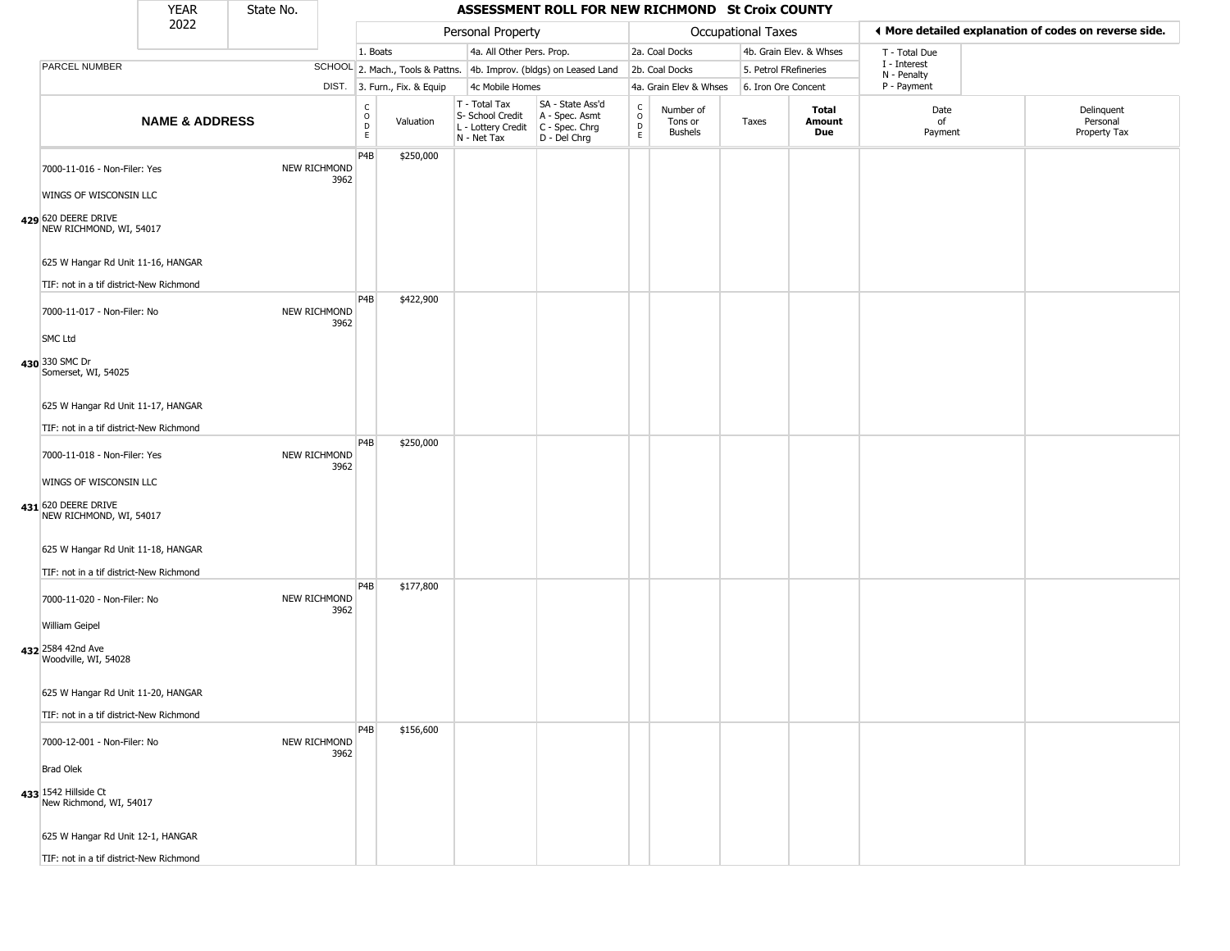|                                                                                                          | <b>YEAR</b>               | State No. |                      |                                        |                              |                                                                        | ASSESSMENT ROLL FOR NEW RICHMOND St Croix COUNTY                     |                  |                                 |                           |                         |                             |                                                       |
|----------------------------------------------------------------------------------------------------------|---------------------------|-----------|----------------------|----------------------------------------|------------------------------|------------------------------------------------------------------------|----------------------------------------------------------------------|------------------|---------------------------------|---------------------------|-------------------------|-----------------------------|-------------------------------------------------------|
|                                                                                                          | 2022                      |           |                      |                                        |                              | Personal Property                                                      |                                                                      |                  |                                 | <b>Occupational Taxes</b> |                         |                             | ◀ More detailed explanation of codes on reverse side. |
|                                                                                                          |                           |           |                      | 1. Boats                               |                              | 4a. All Other Pers. Prop.                                              |                                                                      |                  | 2a. Coal Docks                  |                           | 4b. Grain Elev. & Whses | T - Total Due               |                                                       |
| PARCEL NUMBER                                                                                            |                           |           |                      |                                        |                              |                                                                        | SCHOOL 2. Mach., Tools & Pattns. 4b. Improv. (bldgs) on Leased Land  |                  | 2b. Coal Docks                  | 5. Petrol FRefineries     |                         | I - Interest<br>N - Penalty |                                                       |
|                                                                                                          |                           |           |                      |                                        | DIST. 3. Furn., Fix. & Equip | 4c Mobile Homes                                                        |                                                                      |                  | 4a. Grain Elev & Whses          | 6. Iron Ore Concent       |                         | P - Payment                 |                                                       |
|                                                                                                          | <b>NAME &amp; ADDRESS</b> |           |                      | $_{\rm o}^{\rm c}$<br>$\mathsf D$<br>E | Valuation                    | T - Total Tax<br>S- School Credit<br>L - Lottery Credit<br>N - Net Tax | SA - State Ass'd<br>A - Spec. Asmt<br>C - Spec. Chrg<br>D - Del Chrg | C<br>D<br>D<br>E | Number of<br>Tons or<br>Bushels | Taxes                     | Total<br>Amount<br>Due  | Date<br>of<br>Payment       | Delinquent<br>Personal<br>Property Tax                |
| 7000-11-016 - Non-Filer: Yes<br>WINGS OF WISCONSIN LLC<br>429 620 DEERE DRIVE<br>NEW RICHMOND, WI, 54017 |                           |           | NEW RICHMOND<br>3962 | P4B                                    | \$250,000                    |                                                                        |                                                                      |                  |                                 |                           |                         |                             |                                                       |
| 625 W Hangar Rd Unit 11-16, HANGAR<br>TIF: not in a tif district-New Richmond                            |                           |           |                      | P4B                                    | \$422,900                    |                                                                        |                                                                      |                  |                                 |                           |                         |                             |                                                       |
| 7000-11-017 - Non-Filer: No<br><b>SMC Ltd</b><br>430 330 SMC Dr                                          |                           |           | NEW RICHMOND<br>3962 |                                        |                              |                                                                        |                                                                      |                  |                                 |                           |                         |                             |                                                       |
| Somerset, WI, 54025<br>625 W Hangar Rd Unit 11-17, HANGAR<br>TIF: not in a tif district-New Richmond     |                           |           |                      | P4B                                    | \$250,000                    |                                                                        |                                                                      |                  |                                 |                           |                         |                             |                                                       |
| 7000-11-018 - Non-Filer: Yes<br>WINGS OF WISCONSIN LLC<br>431 620 DEERE DRIVE<br>NEW RICHMOND, WI, 54017 |                           |           | NEW RICHMOND<br>3962 |                                        |                              |                                                                        |                                                                      |                  |                                 |                           |                         |                             |                                                       |
| 625 W Hangar Rd Unit 11-18, HANGAR<br>TIF: not in a tif district-New Richmond                            |                           |           |                      | P4B                                    | \$177,800                    |                                                                        |                                                                      |                  |                                 |                           |                         |                             |                                                       |
| 7000-11-020 - Non-Filer: No<br>William Geipel<br>432 2584 42nd Ave                                       |                           |           | NEW RICHMOND<br>3962 |                                        |                              |                                                                        |                                                                      |                  |                                 |                           |                         |                             |                                                       |
| Woodville, WI, 54028<br>625 W Hangar Rd Unit 11-20, HANGAR<br>TIF: not in a tif district-New Richmond    |                           |           |                      |                                        |                              |                                                                        |                                                                      |                  |                                 |                           |                         |                             |                                                       |
| 7000-12-001 - Non-Filer: No<br><b>Brad Olek</b>                                                          |                           |           | NEW RICHMOND<br>3962 | P4B                                    | \$156,600                    |                                                                        |                                                                      |                  |                                 |                           |                         |                             |                                                       |
| 433 1542 Hillside Ct<br>New Richmond, WI, 54017                                                          |                           |           |                      |                                        |                              |                                                                        |                                                                      |                  |                                 |                           |                         |                             |                                                       |
| 625 W Hangar Rd Unit 12-1, HANGAR                                                                        |                           |           |                      |                                        |                              |                                                                        |                                                                      |                  |                                 |                           |                         |                             |                                                       |
| TIF: not in a tif district-New Richmond                                                                  |                           |           |                      |                                        |                              |                                                                        |                                                                      |                  |                                 |                           |                         |                             |                                                       |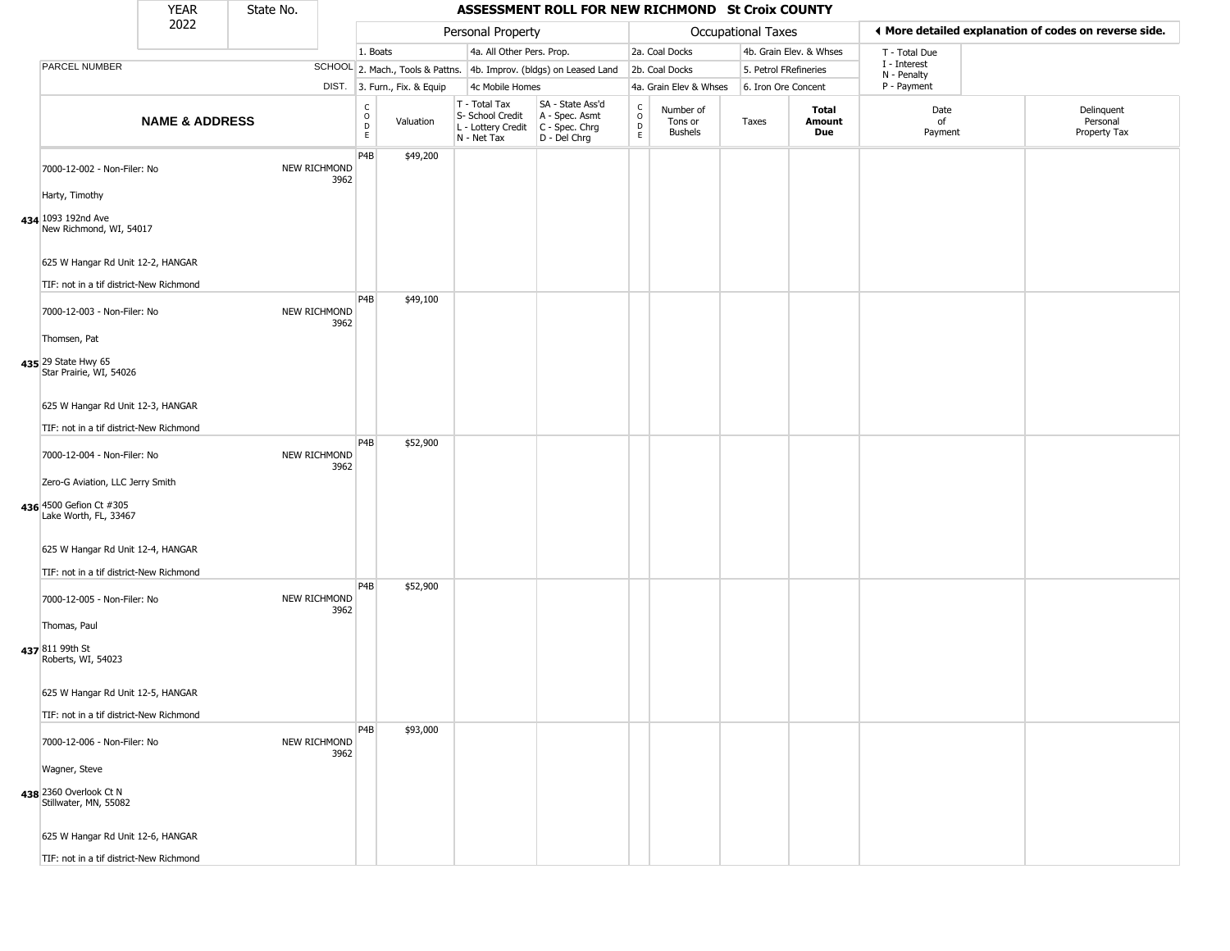|                                                                                      | <b>YEAR</b>               | State No. |                      |                                             |                              |                                                                        | ASSESSMENT ROLL FOR NEW RICHMOND St Croix COUNTY                     |                                                          |                                 |                       |                         |                             |                                                       |
|--------------------------------------------------------------------------------------|---------------------------|-----------|----------------------|---------------------------------------------|------------------------------|------------------------------------------------------------------------|----------------------------------------------------------------------|----------------------------------------------------------|---------------------------------|-----------------------|-------------------------|-----------------------------|-------------------------------------------------------|
|                                                                                      | 2022                      |           |                      |                                             |                              | Personal Property                                                      |                                                                      |                                                          |                                 | Occupational Taxes    |                         |                             | ♦ More detailed explanation of codes on reverse side. |
|                                                                                      |                           |           |                      | 1. Boats                                    |                              | 4a. All Other Pers. Prop.                                              |                                                                      |                                                          | 2a. Coal Docks                  |                       | 4b. Grain Elev. & Whses | T - Total Due               |                                                       |
| PARCEL NUMBER                                                                        |                           |           |                      |                                             |                              |                                                                        | SCHOOL 2. Mach., Tools & Pattns. 4b. Improv. (bldgs) on Leased Land  |                                                          | 2b. Coal Docks                  | 5. Petrol FRefineries |                         | I - Interest<br>N - Penalty |                                                       |
|                                                                                      |                           |           |                      |                                             | DIST. 3. Furn., Fix. & Equip | 4c Mobile Homes                                                        |                                                                      |                                                          | 4a. Grain Elev & Whses          | 6. Iron Ore Concent   |                         | P - Payment                 |                                                       |
|                                                                                      | <b>NAME &amp; ADDRESS</b> |           |                      | $\frac{C}{O}$<br>$\mathsf D$<br>$\mathsf E$ | Valuation                    | T - Total Tax<br>S- School Credit<br>L - Lottery Credit<br>N - Net Tax | SA - State Ass'd<br>A - Spec. Asmt<br>C - Spec. Chrg<br>D - Del Chrg | $\begin{matrix} 0 \\ 0 \\ 0 \end{matrix}$<br>$\mathsf E$ | Number of<br>Tons or<br>Bushels | Taxes                 | Total<br>Amount<br>Due  | Date<br>of<br>Payment       | Delinquent<br>Personal<br>Property Tax                |
| 7000-12-002 - Non-Filer: No                                                          |                           |           | NEW RICHMOND<br>3962 | P4B                                         | \$49,200                     |                                                                        |                                                                      |                                                          |                                 |                       |                         |                             |                                                       |
| Harty, Timothy<br>434 1093 192nd Ave<br>New Richmond, WI, 54017                      |                           |           |                      |                                             |                              |                                                                        |                                                                      |                                                          |                                 |                       |                         |                             |                                                       |
| 625 W Hangar Rd Unit 12-2, HANGAR                                                    |                           |           |                      |                                             |                              |                                                                        |                                                                      |                                                          |                                 |                       |                         |                             |                                                       |
| TIF: not in a tif district-New Richmond<br>7000-12-003 - Non-Filer: No               |                           |           | NEW RICHMOND<br>3962 | P <sub>4</sub> B                            | \$49,100                     |                                                                        |                                                                      |                                                          |                                 |                       |                         |                             |                                                       |
| Thomsen, Pat<br>435 29 State Hwy 65<br>Star Prairie, WI, 54026                       |                           |           |                      |                                             |                              |                                                                        |                                                                      |                                                          |                                 |                       |                         |                             |                                                       |
| 625 W Hangar Rd Unit 12-3, HANGAR<br>TIF: not in a tif district-New Richmond         |                           |           |                      |                                             |                              |                                                                        |                                                                      |                                                          |                                 |                       |                         |                             |                                                       |
| 7000-12-004 - Non-Filer: No                                                          |                           |           | NEW RICHMOND<br>3962 | P4B                                         | \$52,900                     |                                                                        |                                                                      |                                                          |                                 |                       |                         |                             |                                                       |
| Zero-G Aviation, LLC Jerry Smith<br>436 4500 Gefion Ct #305<br>Lake Worth, FL, 33467 |                           |           |                      |                                             |                              |                                                                        |                                                                      |                                                          |                                 |                       |                         |                             |                                                       |
| 625 W Hangar Rd Unit 12-4, HANGAR<br>TIF: not in a tif district-New Richmond         |                           |           |                      |                                             |                              |                                                                        |                                                                      |                                                          |                                 |                       |                         |                             |                                                       |
| 7000-12-005 - Non-Filer: No                                                          |                           |           | NEW RICHMOND<br>3962 | P4B                                         | \$52,900                     |                                                                        |                                                                      |                                                          |                                 |                       |                         |                             |                                                       |
| Thomas, Paul<br>437 811 99th St<br>Roberts, WI, 54023                                |                           |           |                      |                                             |                              |                                                                        |                                                                      |                                                          |                                 |                       |                         |                             |                                                       |
| 625 W Hangar Rd Unit 12-5, HANGAR                                                    |                           |           |                      |                                             |                              |                                                                        |                                                                      |                                                          |                                 |                       |                         |                             |                                                       |
| TIF: not in a tif district-New Richmond                                              |                           |           |                      |                                             |                              |                                                                        |                                                                      |                                                          |                                 |                       |                         |                             |                                                       |
| 7000-12-006 - Non-Filer: No                                                          |                           |           | NEW RICHMOND<br>3962 | P4B                                         | \$93,000                     |                                                                        |                                                                      |                                                          |                                 |                       |                         |                             |                                                       |
| Wagner, Steve<br>438 2360 Overlook Ct N<br>Stillwater, MN, 55082                     |                           |           |                      |                                             |                              |                                                                        |                                                                      |                                                          |                                 |                       |                         |                             |                                                       |
| 625 W Hangar Rd Unit 12-6, HANGAR                                                    |                           |           |                      |                                             |                              |                                                                        |                                                                      |                                                          |                                 |                       |                         |                             |                                                       |
| TIF: not in a tif district-New Richmond                                              |                           |           |                      |                                             |                              |                                                                        |                                                                      |                                                          |                                 |                       |                         |                             |                                                       |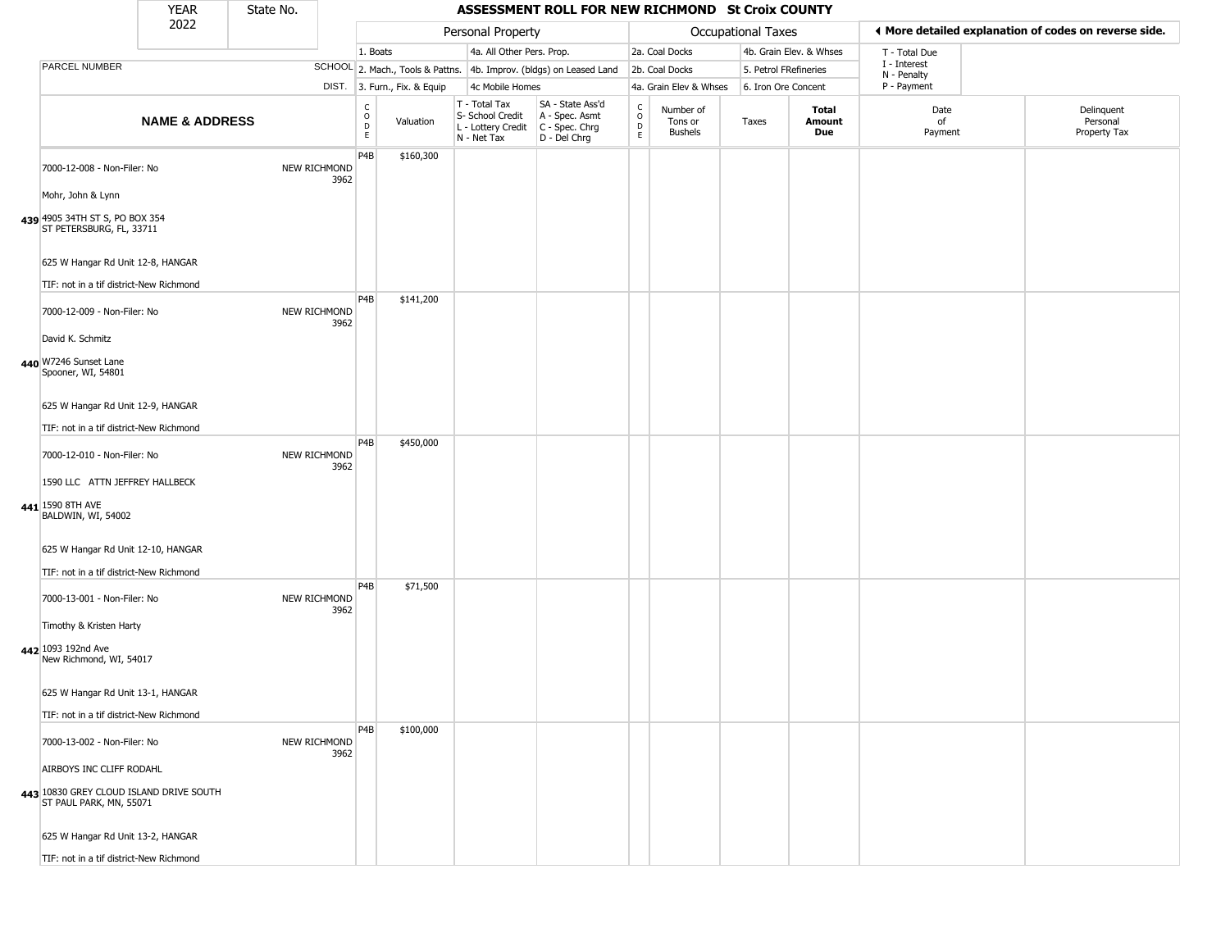|                                                                                 | <b>YEAR</b>               | State No. |                      |                              |                              |                                                                        | <b>ASSESSMENT ROLL FOR NEW RICHMOND St Croix COUNTY</b>              |                                              |                                        |                       |                         |                             |                                                       |
|---------------------------------------------------------------------------------|---------------------------|-----------|----------------------|------------------------------|------------------------------|------------------------------------------------------------------------|----------------------------------------------------------------------|----------------------------------------------|----------------------------------------|-----------------------|-------------------------|-----------------------------|-------------------------------------------------------|
|                                                                                 | 2022                      |           |                      |                              |                              | Personal Property                                                      |                                                                      |                                              |                                        | Occupational Taxes    |                         |                             | ◀ More detailed explanation of codes on reverse side. |
|                                                                                 |                           |           |                      | 1. Boats                     |                              | 4a. All Other Pers. Prop.                                              |                                                                      |                                              | 2a. Coal Docks                         |                       | 4b. Grain Elev. & Whses | T - Total Due               |                                                       |
| <b>PARCEL NUMBER</b>                                                            |                           |           |                      |                              |                              |                                                                        | SCHOOL 2. Mach., Tools & Pattns. 4b. Improv. (bldgs) on Leased Land  |                                              | 2b. Coal Docks                         | 5. Petrol FRefineries |                         | I - Interest<br>N - Penalty |                                                       |
|                                                                                 |                           |           |                      |                              | DIST. 3. Furn., Fix. & Equip | 4c Mobile Homes                                                        |                                                                      |                                              | 4a. Grain Elev & Whses                 | 6. Iron Ore Concent   |                         | P - Payment                 |                                                       |
|                                                                                 | <b>NAME &amp; ADDRESS</b> |           |                      | $_{\rm o}^{\rm c}$<br>D<br>E | Valuation                    | T - Total Tax<br>S- School Credit<br>L - Lottery Credit<br>N - Net Tax | SA - State Ass'd<br>A - Spec. Asmt<br>C - Spec. Chrg<br>D - Del Chrg | $\begin{array}{c}\nC \\ D \\ E\n\end{array}$ | Number of<br>Tons or<br><b>Bushels</b> | Taxes                 | Total<br>Amount<br>Due  | Date<br>of<br>Payment       | Delinquent<br>Personal<br>Property Tax                |
| 7000-12-008 - Non-Filer: No                                                     |                           |           | NEW RICHMOND<br>3962 | P4B                          | \$160,300                    |                                                                        |                                                                      |                                              |                                        |                       |                         |                             |                                                       |
| Mohr, John & Lynn<br>439 4905 34TH ST S, PO BOX 354<br>ST PETERSBURG, FL, 33711 |                           |           |                      |                              |                              |                                                                        |                                                                      |                                              |                                        |                       |                         |                             |                                                       |
| 625 W Hangar Rd Unit 12-8, HANGAR                                               |                           |           |                      |                              |                              |                                                                        |                                                                      |                                              |                                        |                       |                         |                             |                                                       |
| TIF: not in a tif district-New Richmond                                         |                           |           |                      |                              |                              |                                                                        |                                                                      |                                              |                                        |                       |                         |                             |                                                       |
| 7000-12-009 - Non-Filer: No                                                     |                           |           | NEW RICHMOND<br>3962 | P <sub>4</sub> B             | \$141,200                    |                                                                        |                                                                      |                                              |                                        |                       |                         |                             |                                                       |
| David K. Schmitz<br>440 W7246 Sunset Lane<br>Spooner, WI, 54801                 |                           |           |                      |                              |                              |                                                                        |                                                                      |                                              |                                        |                       |                         |                             |                                                       |
| 625 W Hangar Rd Unit 12-9, HANGAR                                               |                           |           |                      |                              |                              |                                                                        |                                                                      |                                              |                                        |                       |                         |                             |                                                       |
| TIF: not in a tif district-New Richmond                                         |                           |           |                      |                              |                              |                                                                        |                                                                      |                                              |                                        |                       |                         |                             |                                                       |
| 7000-12-010 - Non-Filer: No                                                     |                           |           | NEW RICHMOND<br>3962 | P4B                          | \$450,000                    |                                                                        |                                                                      |                                              |                                        |                       |                         |                             |                                                       |
| 1590 LLC ATTN JEFFREY HALLBECK                                                  |                           |           |                      |                              |                              |                                                                        |                                                                      |                                              |                                        |                       |                         |                             |                                                       |
| 441 1590 8TH AVE<br>BALDWIN, WI, 54002                                          |                           |           |                      |                              |                              |                                                                        |                                                                      |                                              |                                        |                       |                         |                             |                                                       |
| 625 W Hangar Rd Unit 12-10, HANGAR                                              |                           |           |                      |                              |                              |                                                                        |                                                                      |                                              |                                        |                       |                         |                             |                                                       |
| TIF: not in a tif district-New Richmond                                         |                           |           |                      | P4B                          |                              |                                                                        |                                                                      |                                              |                                        |                       |                         |                             |                                                       |
| 7000-13-001 - Non-Filer: No                                                     |                           |           | NEW RICHMOND<br>3962 |                              | \$71,500                     |                                                                        |                                                                      |                                              |                                        |                       |                         |                             |                                                       |
| Timothy & Kristen Harty<br>442 1093 192nd Ave                                   |                           |           |                      |                              |                              |                                                                        |                                                                      |                                              |                                        |                       |                         |                             |                                                       |
| New Richmond, WI, 54017<br>625 W Hangar Rd Unit 13-1, HANGAR                    |                           |           |                      |                              |                              |                                                                        |                                                                      |                                              |                                        |                       |                         |                             |                                                       |
|                                                                                 |                           |           |                      |                              |                              |                                                                        |                                                                      |                                              |                                        |                       |                         |                             |                                                       |
| TIF: not in a tif district-New Richmond                                         |                           |           |                      | P <sub>4</sub> B             | \$100,000                    |                                                                        |                                                                      |                                              |                                        |                       |                         |                             |                                                       |
| 7000-13-002 - Non-Filer: No                                                     |                           |           | NEW RICHMOND<br>3962 |                              |                              |                                                                        |                                                                      |                                              |                                        |                       |                         |                             |                                                       |
| AIRBOYS INC CLIFF RODAHL                                                        |                           |           |                      |                              |                              |                                                                        |                                                                      |                                              |                                        |                       |                         |                             |                                                       |
| 443 10830 GREY CLOUD ISLAND DRIVE SOUTH<br>ST PAUL PARK, MN, 55071              |                           |           |                      |                              |                              |                                                                        |                                                                      |                                              |                                        |                       |                         |                             |                                                       |
| 625 W Hangar Rd Unit 13-2, HANGAR                                               |                           |           |                      |                              |                              |                                                                        |                                                                      |                                              |                                        |                       |                         |                             |                                                       |
| TIF: not in a tif district-New Richmond                                         |                           |           |                      |                              |                              |                                                                        |                                                                      |                                              |                                        |                       |                         |                             |                                                       |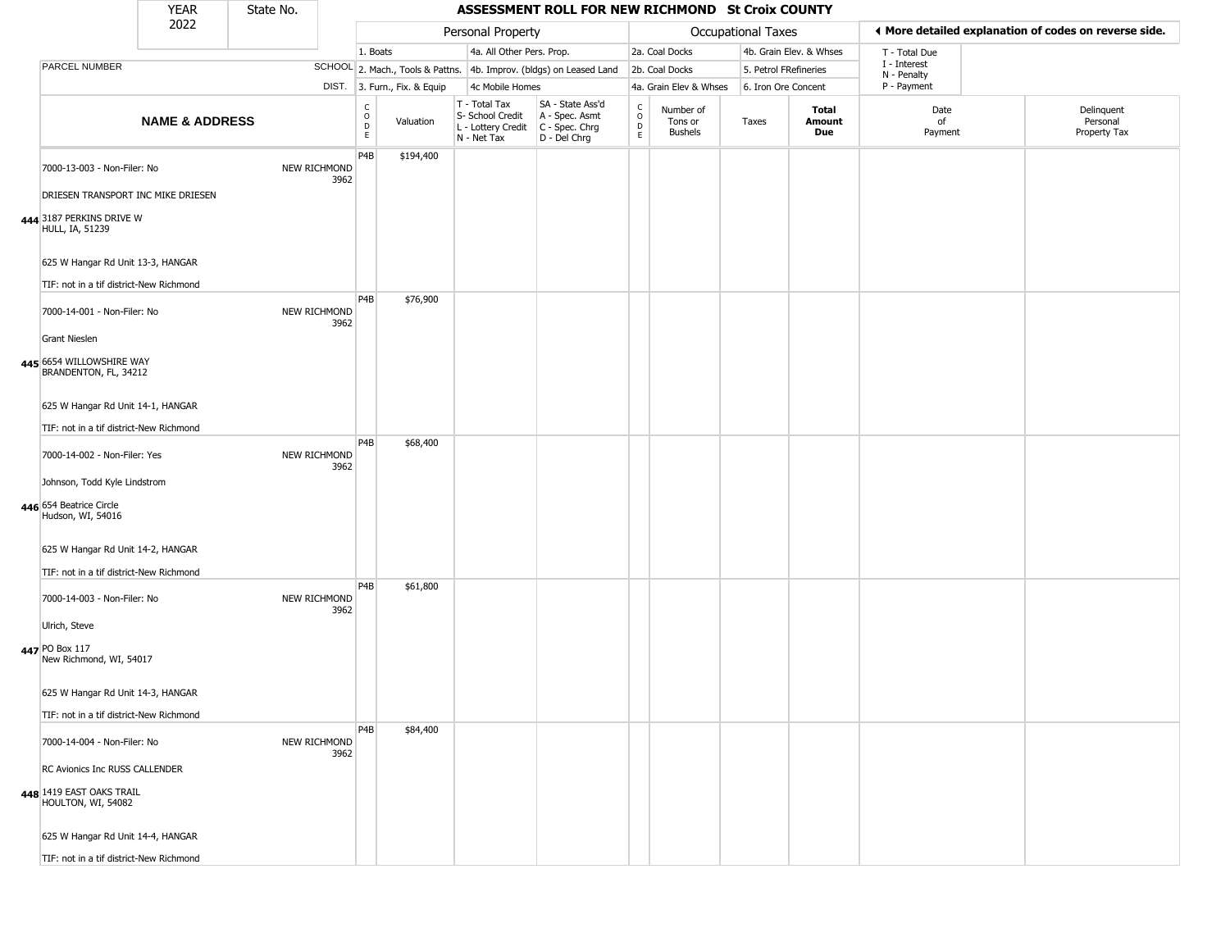|                                                                                  | <b>YEAR</b>               | State No. |                      |                              |                              |                                                                        | ASSESSMENT ROLL FOR NEW RICHMOND St Croix COUNTY                     |                        |                                 |                       |                         |                             |                                                       |  |
|----------------------------------------------------------------------------------|---------------------------|-----------|----------------------|------------------------------|------------------------------|------------------------------------------------------------------------|----------------------------------------------------------------------|------------------------|---------------------------------|-----------------------|-------------------------|-----------------------------|-------------------------------------------------------|--|
|                                                                                  | 2022                      |           |                      |                              |                              | Personal Property                                                      |                                                                      |                        |                                 | Occupational Taxes    |                         |                             | ♦ More detailed explanation of codes on reverse side. |  |
|                                                                                  |                           |           |                      | 1. Boats                     |                              | 4a. All Other Pers. Prop.                                              |                                                                      |                        | 2a. Coal Docks                  |                       | 4b. Grain Elev. & Whses | T - Total Due               |                                                       |  |
| <b>PARCEL NUMBER</b>                                                             |                           |           |                      |                              |                              |                                                                        | SCHOOL 2. Mach., Tools & Pattns. 4b. Improv. (bldgs) on Leased Land  |                        | 2b. Coal Docks                  | 5. Petrol FRefineries |                         | I - Interest<br>N - Penalty |                                                       |  |
|                                                                                  |                           |           |                      |                              | DIST. 3. Furn., Fix. & Equip | 4c Mobile Homes                                                        |                                                                      |                        | 4a. Grain Elev & Whses          | 6. Iron Ore Concent   |                         | P - Payment                 |                                                       |  |
|                                                                                  | <b>NAME &amp; ADDRESS</b> |           |                      | $_{\rm o}^{\rm c}$<br>D<br>E | Valuation                    | T - Total Tax<br>S- School Credit<br>L - Lottery Credit<br>N - Net Tax | SA - State Ass'd<br>A - Spec. Asmt<br>C - Spec. Chrg<br>D - Del Chrg | C<br>$\circ$<br>D<br>E | Number of<br>Tons or<br>Bushels | Taxes                 | Total<br>Amount<br>Due  | Date<br>of<br>Payment       | Delinquent<br>Personal<br>Property Tax                |  |
| 7000-13-003 - Non-Filer: No<br>DRIESEN TRANSPORT INC MIKE DRIESEN                |                           |           | NEW RICHMOND<br>3962 | P <sub>4</sub> B             | \$194,400                    |                                                                        |                                                                      |                        |                                 |                       |                         |                             |                                                       |  |
| 444 3187 PERKINS DRIVE W<br><b>HULL, IA, 51239</b>                               |                           |           |                      |                              |                              |                                                                        |                                                                      |                        |                                 |                       |                         |                             |                                                       |  |
| 625 W Hangar Rd Unit 13-3, HANGAR<br>TIF: not in a tif district-New Richmond     |                           |           |                      |                              |                              |                                                                        |                                                                      |                        |                                 |                       |                         |                             |                                                       |  |
| 7000-14-001 - Non-Filer: No                                                      |                           |           | NEW RICHMOND<br>3962 | P <sub>4</sub> B             | \$76,900                     |                                                                        |                                                                      |                        |                                 |                       |                         |                             |                                                       |  |
| <b>Grant Nieslen</b><br>445 6654 WILLOWSHIRE WAY<br>BRANDENTON, FL, 34212        |                           |           |                      |                              |                              |                                                                        |                                                                      |                        |                                 |                       |                         |                             |                                                       |  |
| 625 W Hangar Rd Unit 14-1, HANGAR<br>TIF: not in a tif district-New Richmond     |                           |           |                      |                              |                              |                                                                        |                                                                      |                        |                                 |                       |                         |                             |                                                       |  |
| 7000-14-002 - Non-Filer: Yes                                                     |                           |           | NEW RICHMOND<br>3962 | P <sub>4</sub> B             | \$68,400                     |                                                                        |                                                                      |                        |                                 |                       |                         |                             |                                                       |  |
| Johnson, Todd Kyle Lindstrom<br>446 654 Beatrice Circle<br>Hudson, WI, 54016     |                           |           |                      |                              |                              |                                                                        |                                                                      |                        |                                 |                       |                         |                             |                                                       |  |
| 625 W Hangar Rd Unit 14-2, HANGAR<br>TIF: not in a tif district-New Richmond     |                           |           |                      |                              |                              |                                                                        |                                                                      |                        |                                 |                       |                         |                             |                                                       |  |
| 7000-14-003 - Non-Filer: No                                                      |                           |           | NEW RICHMOND<br>3962 | P <sub>4</sub> B             | \$61,800                     |                                                                        |                                                                      |                        |                                 |                       |                         |                             |                                                       |  |
| Ulrich, Steve<br>447 PO Box 117<br>New Richmond, WI, 54017                       |                           |           |                      |                              |                              |                                                                        |                                                                      |                        |                                 |                       |                         |                             |                                                       |  |
| 625 W Hangar Rd Unit 14-3, HANGAR                                                |                           |           |                      |                              |                              |                                                                        |                                                                      |                        |                                 |                       |                         |                             |                                                       |  |
| TIF: not in a tif district-New Richmond                                          |                           |           |                      | P <sub>4</sub> B             |                              |                                                                        |                                                                      |                        |                                 |                       |                         |                             |                                                       |  |
| 7000-14-004 - Non-Filer: No                                                      |                           |           | NEW RICHMOND<br>3962 |                              | \$84,400                     |                                                                        |                                                                      |                        |                                 |                       |                         |                             |                                                       |  |
| RC Avionics Inc RUSS CALLENDER<br>448 1419 EAST OAKS TRAIL<br>HOULTON, WI, 54082 |                           |           |                      |                              |                              |                                                                        |                                                                      |                        |                                 |                       |                         |                             |                                                       |  |
| 625 W Hangar Rd Unit 14-4, HANGAR                                                |                           |           |                      |                              |                              |                                                                        |                                                                      |                        |                                 |                       |                         |                             |                                                       |  |
| TIF: not in a tif district-New Richmond                                          |                           |           |                      |                              |                              |                                                                        |                                                                      |                        |                                 |                       |                         |                             |                                                       |  |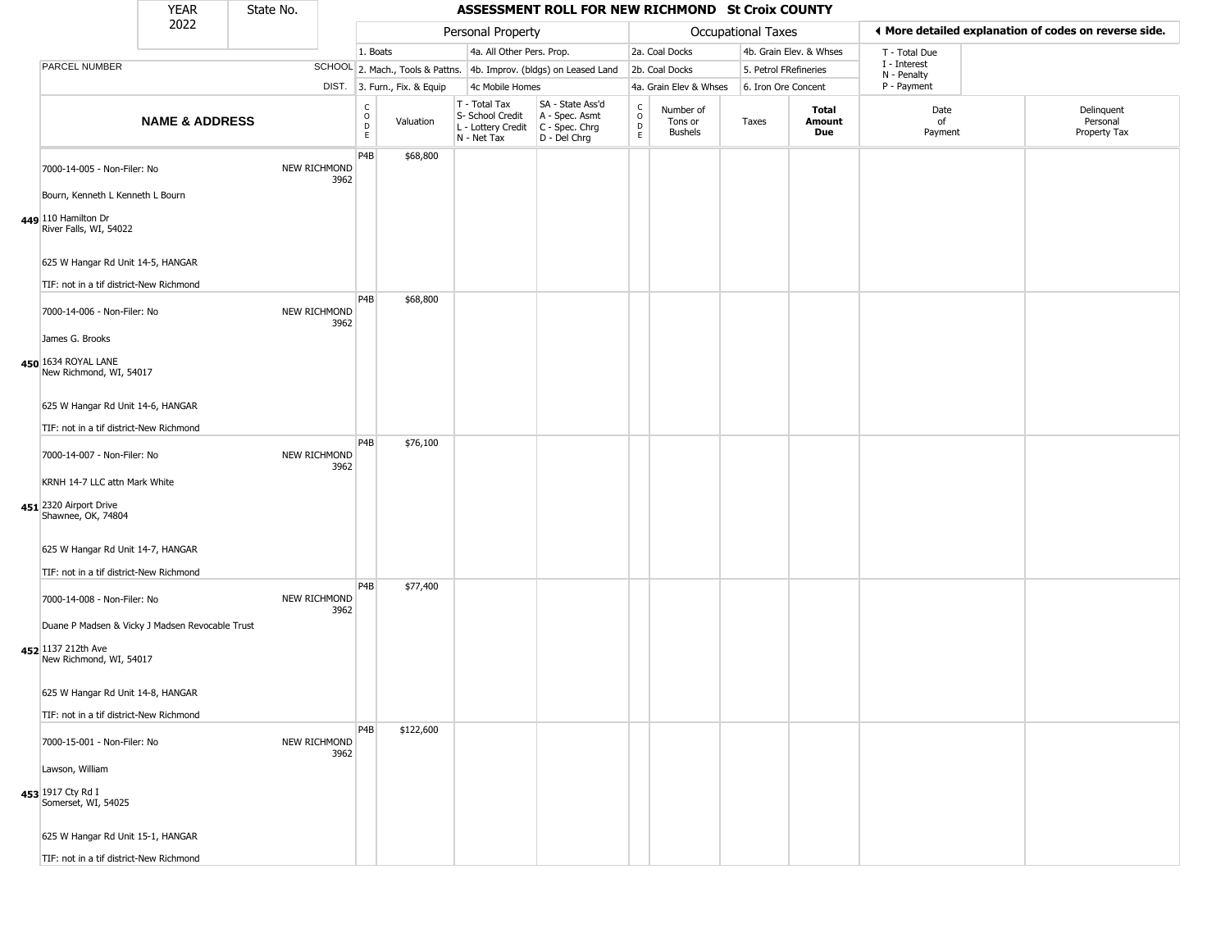|                                                                                   | <b>YEAR</b>               | State No. |                      |                                        |                              |                                                                        | <b>ASSESSMENT ROLL FOR NEW RICHMOND St Croix COUNTY</b>              |                  |                                        |                       |                         |                             |                                                       |
|-----------------------------------------------------------------------------------|---------------------------|-----------|----------------------|----------------------------------------|------------------------------|------------------------------------------------------------------------|----------------------------------------------------------------------|------------------|----------------------------------------|-----------------------|-------------------------|-----------------------------|-------------------------------------------------------|
|                                                                                   | 2022                      |           |                      |                                        |                              | Personal Property                                                      |                                                                      |                  |                                        | Occupational Taxes    |                         |                             | ◀ More detailed explanation of codes on reverse side. |
|                                                                                   |                           |           |                      | 1. Boats                               |                              | 4a. All Other Pers. Prop.                                              |                                                                      |                  | 2a. Coal Docks                         |                       | 4b. Grain Elev. & Whses | T - Total Due               |                                                       |
| <b>PARCEL NUMBER</b>                                                              |                           |           |                      |                                        |                              |                                                                        | SCHOOL 2. Mach., Tools & Pattns. 4b. Improv. (bldgs) on Leased Land  |                  | 2b. Coal Docks                         | 5. Petrol FRefineries |                         | I - Interest<br>N - Penalty |                                                       |
|                                                                                   |                           |           |                      |                                        | DIST. 3. Furn., Fix. & Equip | 4c Mobile Homes                                                        |                                                                      |                  | 4a. Grain Elev & Whses                 | 6. Iron Ore Concent   |                         | P - Payment                 |                                                       |
|                                                                                   | <b>NAME &amp; ADDRESS</b> |           |                      | $_{\rm o}^{\rm c}$<br>$\mathsf D$<br>E | Valuation                    | T - Total Tax<br>S- School Credit<br>L - Lottery Credit<br>N - Net Tax | SA - State Ass'd<br>A - Spec. Asmt<br>C - Spec. Chrg<br>D - Del Chrg | C<br>D<br>D<br>E | Number of<br>Tons or<br><b>Bushels</b> | Taxes                 | Total<br>Amount<br>Due  | Date<br>of<br>Payment       | Delinquent<br>Personal<br>Property Tax                |
| 7000-14-005 - Non-Filer: No                                                       |                           |           | NEW RICHMOND<br>3962 | P4B                                    | \$68,800                     |                                                                        |                                                                      |                  |                                        |                       |                         |                             |                                                       |
| Bourn, Kenneth L Kenneth L Bourn<br>449 110 Hamilton Dr<br>River Falls, WI, 54022 |                           |           |                      |                                        |                              |                                                                        |                                                                      |                  |                                        |                       |                         |                             |                                                       |
| 625 W Hangar Rd Unit 14-5, HANGAR                                                 |                           |           |                      |                                        |                              |                                                                        |                                                                      |                  |                                        |                       |                         |                             |                                                       |
| TIF: not in a tif district-New Richmond                                           |                           |           |                      | P <sub>4</sub> B                       | \$68,800                     |                                                                        |                                                                      |                  |                                        |                       |                         |                             |                                                       |
| 7000-14-006 - Non-Filer: No                                                       |                           |           | NEW RICHMOND<br>3962 |                                        |                              |                                                                        |                                                                      |                  |                                        |                       |                         |                             |                                                       |
| James G. Brooks                                                                   |                           |           |                      |                                        |                              |                                                                        |                                                                      |                  |                                        |                       |                         |                             |                                                       |
| 450 1634 ROYAL LANE<br>New Richmond, WI, 54017                                    |                           |           |                      |                                        |                              |                                                                        |                                                                      |                  |                                        |                       |                         |                             |                                                       |
| 625 W Hangar Rd Unit 14-6, HANGAR                                                 |                           |           |                      |                                        |                              |                                                                        |                                                                      |                  |                                        |                       |                         |                             |                                                       |
| TIF: not in a tif district-New Richmond                                           |                           |           |                      |                                        |                              |                                                                        |                                                                      |                  |                                        |                       |                         |                             |                                                       |
| 7000-14-007 - Non-Filer: No                                                       |                           |           | NEW RICHMOND<br>3962 | P4B                                    | \$76,100                     |                                                                        |                                                                      |                  |                                        |                       |                         |                             |                                                       |
| KRNH 14-7 LLC attn Mark White                                                     |                           |           |                      |                                        |                              |                                                                        |                                                                      |                  |                                        |                       |                         |                             |                                                       |
| 451 2320 Airport Drive<br>Shawnee, OK, 74804                                      |                           |           |                      |                                        |                              |                                                                        |                                                                      |                  |                                        |                       |                         |                             |                                                       |
| 625 W Hangar Rd Unit 14-7, HANGAR                                                 |                           |           |                      |                                        |                              |                                                                        |                                                                      |                  |                                        |                       |                         |                             |                                                       |
| TIF: not in a tif district-New Richmond                                           |                           |           |                      | P4B                                    |                              |                                                                        |                                                                      |                  |                                        |                       |                         |                             |                                                       |
| 7000-14-008 - Non-Filer: No                                                       |                           |           | NEW RICHMOND<br>3962 |                                        | \$77,400                     |                                                                        |                                                                      |                  |                                        |                       |                         |                             |                                                       |
| Duane P Madsen & Vicky J Madsen Revocable Trust                                   |                           |           |                      |                                        |                              |                                                                        |                                                                      |                  |                                        |                       |                         |                             |                                                       |
| 452 1137 212th Ave<br>New Richmond, WI, 54017                                     |                           |           |                      |                                        |                              |                                                                        |                                                                      |                  |                                        |                       |                         |                             |                                                       |
| 625 W Hangar Rd Unit 14-8, HANGAR                                                 |                           |           |                      |                                        |                              |                                                                        |                                                                      |                  |                                        |                       |                         |                             |                                                       |
| TIF: not in a tif district-New Richmond                                           |                           |           |                      |                                        |                              |                                                                        |                                                                      |                  |                                        |                       |                         |                             |                                                       |
| 7000-15-001 - Non-Filer: No                                                       |                           |           | NEW RICHMOND<br>3962 | P <sub>4</sub> B                       | \$122,600                    |                                                                        |                                                                      |                  |                                        |                       |                         |                             |                                                       |
| Lawson, William                                                                   |                           |           |                      |                                        |                              |                                                                        |                                                                      |                  |                                        |                       |                         |                             |                                                       |
| 453 1917 Cty Rd I<br>Somerset, WI, 54025                                          |                           |           |                      |                                        |                              |                                                                        |                                                                      |                  |                                        |                       |                         |                             |                                                       |
| 625 W Hangar Rd Unit 15-1, HANGAR                                                 |                           |           |                      |                                        |                              |                                                                        |                                                                      |                  |                                        |                       |                         |                             |                                                       |
| TIF: not in a tif district-New Richmond                                           |                           |           |                      |                                        |                              |                                                                        |                                                                      |                  |                                        |                       |                         |                             |                                                       |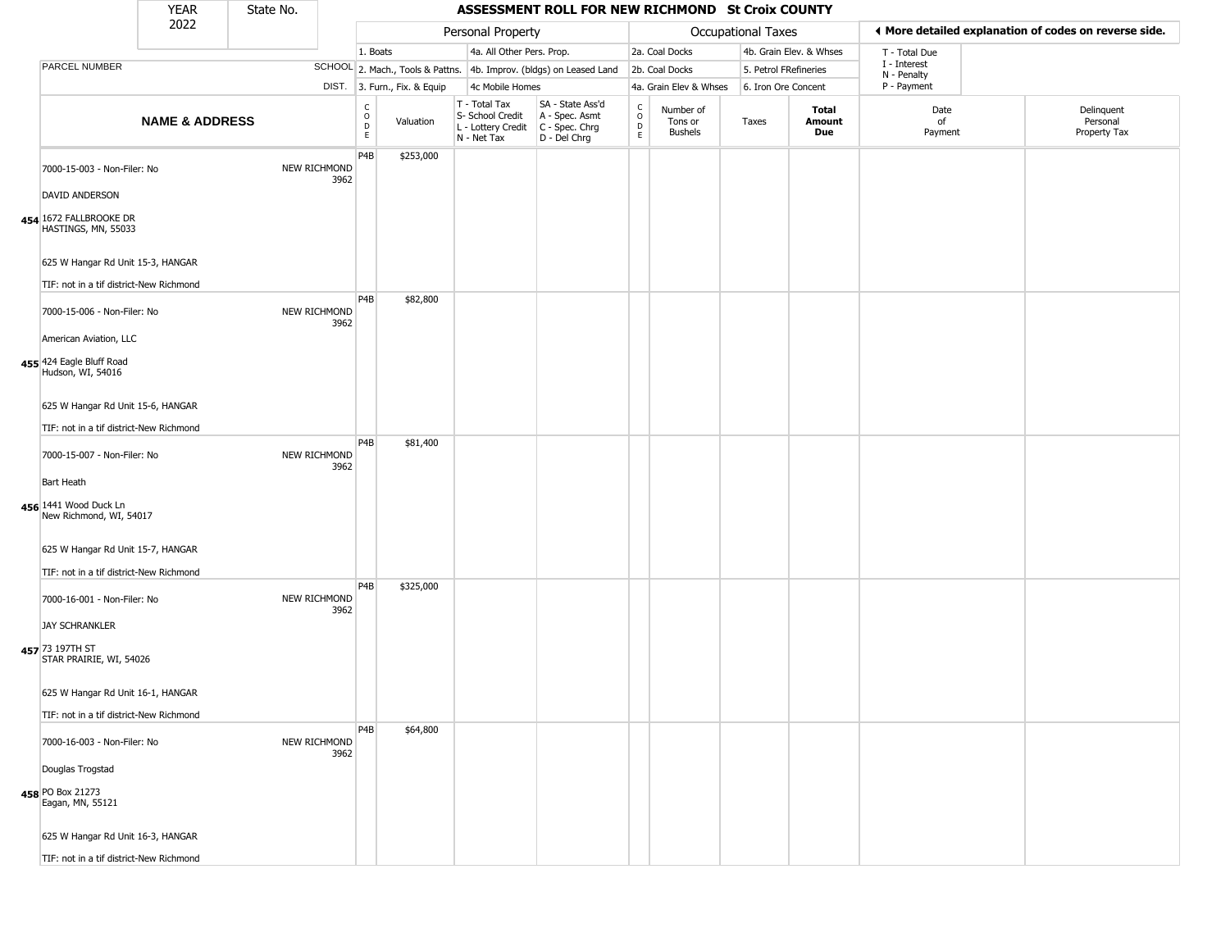|                                                                              | <b>YEAR</b>               | State No. |                                          |                              |                              |                                        | ASSESSMENT ROLL FOR NEW RICHMOND St Croix COUNTY                       |                                      |                                 |                           |                         |                             |                                                       |
|------------------------------------------------------------------------------|---------------------------|-----------|------------------------------------------|------------------------------|------------------------------|----------------------------------------|------------------------------------------------------------------------|--------------------------------------|---------------------------------|---------------------------|-------------------------|-----------------------------|-------------------------------------------------------|
|                                                                              | 2022                      |           |                                          |                              | Personal Property            |                                        |                                                                        |                                      |                                 | <b>Occupational Taxes</b> |                         |                             | ◀ More detailed explanation of codes on reverse side. |
|                                                                              |                           |           |                                          | 1. Boats                     |                              |                                        | 4a. All Other Pers. Prop.                                              |                                      | 2a. Coal Docks                  |                           | 4b. Grain Elev. & Whses | T - Total Due               |                                                       |
| PARCEL NUMBER                                                                |                           |           |                                          |                              |                              |                                        | SCHOOL 2. Mach., Tools & Pattns. 4b. Improv. (bldgs) on Leased Land    |                                      | 2b. Coal Docks                  | 5. Petrol FRefineries     |                         | I - Interest<br>N - Penalty |                                                       |
|                                                                              |                           |           |                                          | DIST. 3. Furn., Fix. & Equip |                              | 4c Mobile Homes                        |                                                                        |                                      | 4a. Grain Elev & Whses          | 6. Iron Ore Concent       |                         | P - Payment                 |                                                       |
|                                                                              | <b>NAME &amp; ADDRESS</b> |           | $\rm _o^C$<br>$\mathsf{D}$<br>E.         | Valuation                    | T - Total Tax<br>N - Net Tax | S- School Credit<br>L - Lottery Credit | SA - State Ass'd<br>A - Spec. Asmt<br>$C - Spec. Chrg$<br>D - Del Chrg | $_{\rm o}^{\rm c}$<br>$\overline{D}$ | Number of<br>Tons or<br>Bushels | Taxes                     | Total<br>Amount<br>Due  | Date<br>of<br>Payment       | Delinquent<br>Personal<br>Property Tax                |
| 7000-15-003 - Non-Filer: No                                                  |                           |           | P4B<br>NEW RICHMOND<br>3962              | \$253,000                    |                              |                                        |                                                                        |                                      |                                 |                           |                         |                             |                                                       |
| <b>DAVID ANDERSON</b><br>454 1672 FALLBROOKE DR<br>HASTINGS, MN, 55033       |                           |           |                                          |                              |                              |                                        |                                                                        |                                      |                                 |                           |                         |                             |                                                       |
| 625 W Hangar Rd Unit 15-3, HANGAR<br>TIF: not in a tif district-New Richmond |                           |           |                                          |                              |                              |                                        |                                                                        |                                      |                                 |                           |                         |                             |                                                       |
| 7000-15-006 - Non-Filer: No                                                  |                           |           | P <sub>4</sub> B<br>NEW RICHMOND<br>3962 | \$82,800                     |                              |                                        |                                                                        |                                      |                                 |                           |                         |                             |                                                       |
| American Aviation, LLC<br>455 424 Eagle Bluff Road<br>Hudson, WI, 54016      |                           |           |                                          |                              |                              |                                        |                                                                        |                                      |                                 |                           |                         |                             |                                                       |
| 625 W Hangar Rd Unit 15-6, HANGAR<br>TIF: not in a tif district-New Richmond |                           |           |                                          |                              |                              |                                        |                                                                        |                                      |                                 |                           |                         |                             |                                                       |
| 7000-15-007 - Non-Filer: No                                                  |                           |           | P <sub>4</sub> B<br>NEW RICHMOND<br>3962 | \$81,400                     |                              |                                        |                                                                        |                                      |                                 |                           |                         |                             |                                                       |
| <b>Bart Heath</b><br>456 1441 Wood Duck Ln<br>New Richmond, WI, 54017        |                           |           |                                          |                              |                              |                                        |                                                                        |                                      |                                 |                           |                         |                             |                                                       |
| 625 W Hangar Rd Unit 15-7, HANGAR<br>TIF: not in a tif district-New Richmond |                           |           |                                          |                              |                              |                                        |                                                                        |                                      |                                 |                           |                         |                             |                                                       |
| 7000-16-001 - Non-Filer: No                                                  |                           |           | P <sub>4</sub> B<br>NEW RICHMOND<br>3962 | \$325,000                    |                              |                                        |                                                                        |                                      |                                 |                           |                         |                             |                                                       |
| <b>JAY SCHRANKLER</b><br>457 73 197TH ST<br>STAR PRAIRIE, WI, 54026          |                           |           |                                          |                              |                              |                                        |                                                                        |                                      |                                 |                           |                         |                             |                                                       |
| 625 W Hangar Rd Unit 16-1, HANGAR                                            |                           |           |                                          |                              |                              |                                        |                                                                        |                                      |                                 |                           |                         |                             |                                                       |
| TIF: not in a tif district-New Richmond                                      |                           |           |                                          |                              |                              |                                        |                                                                        |                                      |                                 |                           |                         |                             |                                                       |
| 7000-16-003 - Non-Filer: No                                                  |                           |           | P4B<br>NEW RICHMOND<br>3962              | \$64,800                     |                              |                                        |                                                                        |                                      |                                 |                           |                         |                             |                                                       |
| Douglas Trogstad<br>458 PO Box 21273<br>Eagan, MN, 55121                     |                           |           |                                          |                              |                              |                                        |                                                                        |                                      |                                 |                           |                         |                             |                                                       |
| 625 W Hangar Rd Unit 16-3, HANGAR                                            |                           |           |                                          |                              |                              |                                        |                                                                        |                                      |                                 |                           |                         |                             |                                                       |
| TIF: not in a tif district-New Richmond                                      |                           |           |                                          |                              |                              |                                        |                                                                        |                                      |                                 |                           |                         |                             |                                                       |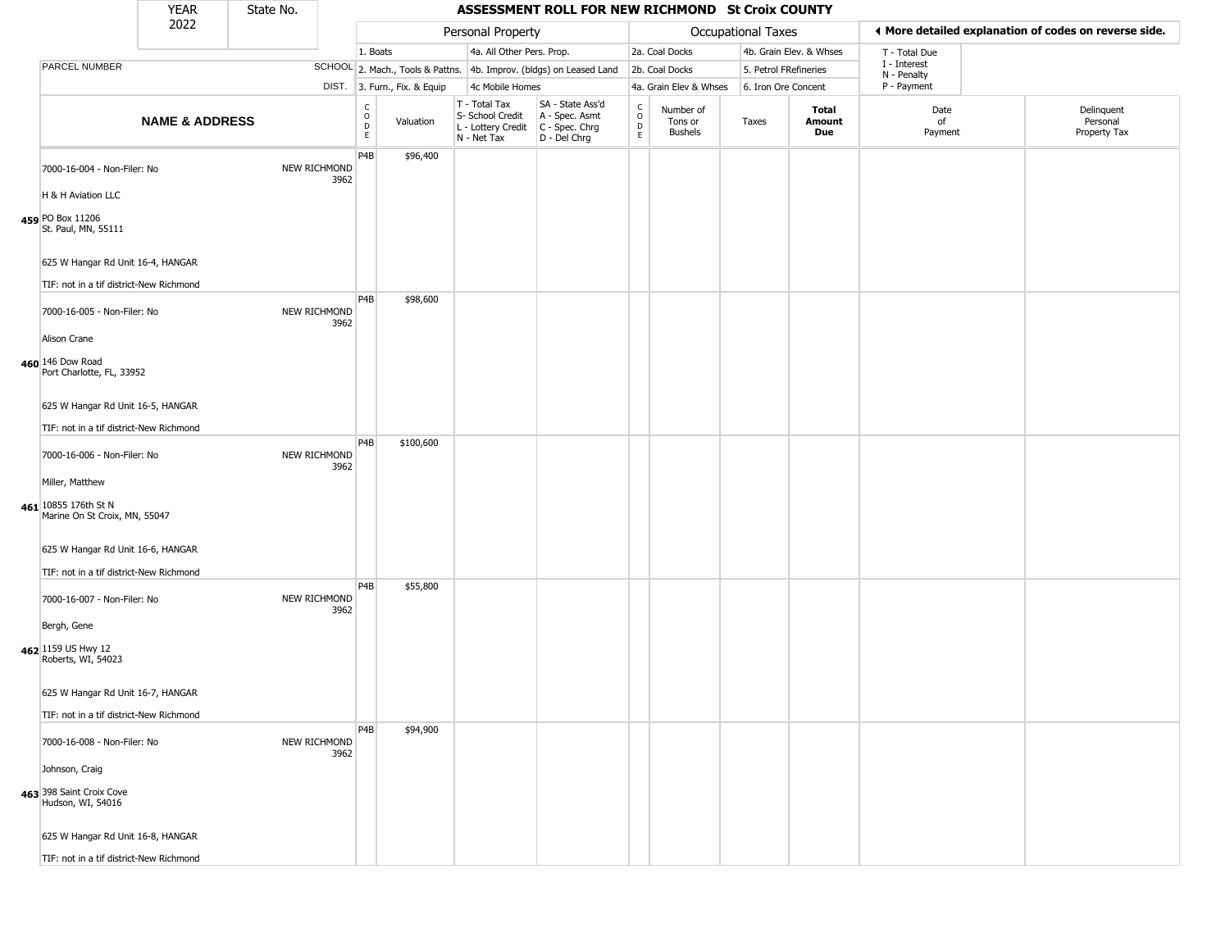| ◀ More detailed explanation of codes on reverse side.<br>Personal Property<br>Occupational Taxes<br>4a. All Other Pers. Prop.<br>2a. Coal Docks<br>4b. Grain Elev. & Whses<br>1. Boats<br>T - Total Due<br>I - Interest<br>PARCEL NUMBER<br>SCHOOL 2. Mach., Tools & Pattns. 4b. Improv. (bldgs) on Leased Land<br>2b. Coal Docks<br>5. Petrol FRefineries<br>N - Penalty<br>DIST. 3. Furn., Fix. & Equip<br>P - Payment<br>4c Mobile Homes<br>4a. Grain Elev & Whses<br>6. Iron Ore Concent<br>T - Total Tax<br>SA - State Ass'd<br>$\rm _o^C$<br>$_{\rm o}^{\rm c}$<br>Number of<br>Total<br>Date<br>S- School Credit<br>A - Spec. Asmt<br><b>NAME &amp; ADDRESS</b><br>Valuation<br>of<br>Personal<br>Tons or<br>Taxes<br>Amount<br>$\overline{D}$<br>D<br>C - Spec. Chrg<br>L - Lottery Credit<br>Due<br>Bushels<br>Payment<br>E.<br>N - Net Tax<br>D - Del Chrg<br>P4B<br>\$96,400<br>NEW RICHMOND<br>7000-16-004 - Non-Filer: No<br>3962<br>H & H Aviation LLC<br>459 PO Box 11206<br>St. Paul, MN, 55111<br>625 W Hangar Rd Unit 16-4, HANGAR<br>TIF: not in a tif district-New Richmond<br>P <sub>4</sub> B<br>\$98,600<br>NEW RICHMOND<br>7000-16-005 - Non-Filer: No<br>3962<br>Alison Crane<br>460 146 Dow Road<br>Port Charlotte, FL, 33952<br>625 W Hangar Rd Unit 16-5, HANGAR<br>TIF: not in a tif district-New Richmond<br>P <sub>4</sub> B<br>\$100,600<br>NEW RICHMOND<br>7000-16-006 - Non-Filer: No<br>3962<br>Miller, Matthew<br>461 10855 176th St N<br>Marine On St Croix, MN, 55047<br>625 W Hangar Rd Unit 16-6, HANGAR<br>TIF: not in a tif district-New Richmond<br>P4B<br>\$55,800<br>NEW RICHMOND<br>7000-16-007 - Non-Filer: No<br>3962<br>Bergh, Gene<br>462 1159 US Hwy 12<br>Roberts, WI, 54023<br>625 W Hangar Rd Unit 16-7, HANGAR<br>TIF: not in a tif district-New Richmond<br>P <sub>4</sub> B<br>\$94,900<br>NEW RICHMOND<br>7000-16-008 - Non-Filer: No<br>3962<br>Johnson, Craig<br>463 398 Saint Croix Cove<br>Hudson, WI, 54016<br>625 W Hangar Rd Unit 16-8, HANGAR<br>TIF: not in a tif district-New Richmond |  | <b>YEAR</b> | State No. |  |  | ASSESSMENT ROLL FOR NEW RICHMOND St Croix COUNTY |  |  |  |                            |
|------------------------------------------------------------------------------------------------------------------------------------------------------------------------------------------------------------------------------------------------------------------------------------------------------------------------------------------------------------------------------------------------------------------------------------------------------------------------------------------------------------------------------------------------------------------------------------------------------------------------------------------------------------------------------------------------------------------------------------------------------------------------------------------------------------------------------------------------------------------------------------------------------------------------------------------------------------------------------------------------------------------------------------------------------------------------------------------------------------------------------------------------------------------------------------------------------------------------------------------------------------------------------------------------------------------------------------------------------------------------------------------------------------------------------------------------------------------------------------------------------------------------------------------------------------------------------------------------------------------------------------------------------------------------------------------------------------------------------------------------------------------------------------------------------------------------------------------------------------------------------------------------------------------------------------------------------------------------------------------------------------------------------------------------------------|--|-------------|-----------|--|--|--------------------------------------------------|--|--|--|----------------------------|
|                                                                                                                                                                                                                                                                                                                                                                                                                                                                                                                                                                                                                                                                                                                                                                                                                                                                                                                                                                                                                                                                                                                                                                                                                                                                                                                                                                                                                                                                                                                                                                                                                                                                                                                                                                                                                                                                                                                                                                                                                                                            |  | 2022        |           |  |  |                                                  |  |  |  |                            |
|                                                                                                                                                                                                                                                                                                                                                                                                                                                                                                                                                                                                                                                                                                                                                                                                                                                                                                                                                                                                                                                                                                                                                                                                                                                                                                                                                                                                                                                                                                                                                                                                                                                                                                                                                                                                                                                                                                                                                                                                                                                            |  |             |           |  |  |                                                  |  |  |  |                            |
|                                                                                                                                                                                                                                                                                                                                                                                                                                                                                                                                                                                                                                                                                                                                                                                                                                                                                                                                                                                                                                                                                                                                                                                                                                                                                                                                                                                                                                                                                                                                                                                                                                                                                                                                                                                                                                                                                                                                                                                                                                                            |  |             |           |  |  |                                                  |  |  |  |                            |
|                                                                                                                                                                                                                                                                                                                                                                                                                                                                                                                                                                                                                                                                                                                                                                                                                                                                                                                                                                                                                                                                                                                                                                                                                                                                                                                                                                                                                                                                                                                                                                                                                                                                                                                                                                                                                                                                                                                                                                                                                                                            |  |             |           |  |  |                                                  |  |  |  |                            |
|                                                                                                                                                                                                                                                                                                                                                                                                                                                                                                                                                                                                                                                                                                                                                                                                                                                                                                                                                                                                                                                                                                                                                                                                                                                                                                                                                                                                                                                                                                                                                                                                                                                                                                                                                                                                                                                                                                                                                                                                                                                            |  |             |           |  |  |                                                  |  |  |  | Delinquent<br>Property Tax |
|                                                                                                                                                                                                                                                                                                                                                                                                                                                                                                                                                                                                                                                                                                                                                                                                                                                                                                                                                                                                                                                                                                                                                                                                                                                                                                                                                                                                                                                                                                                                                                                                                                                                                                                                                                                                                                                                                                                                                                                                                                                            |  |             |           |  |  |                                                  |  |  |  |                            |
|                                                                                                                                                                                                                                                                                                                                                                                                                                                                                                                                                                                                                                                                                                                                                                                                                                                                                                                                                                                                                                                                                                                                                                                                                                                                                                                                                                                                                                                                                                                                                                                                                                                                                                                                                                                                                                                                                                                                                                                                                                                            |  |             |           |  |  |                                                  |  |  |  |                            |
|                                                                                                                                                                                                                                                                                                                                                                                                                                                                                                                                                                                                                                                                                                                                                                                                                                                                                                                                                                                                                                                                                                                                                                                                                                                                                                                                                                                                                                                                                                                                                                                                                                                                                                                                                                                                                                                                                                                                                                                                                                                            |  |             |           |  |  |                                                  |  |  |  |                            |
|                                                                                                                                                                                                                                                                                                                                                                                                                                                                                                                                                                                                                                                                                                                                                                                                                                                                                                                                                                                                                                                                                                                                                                                                                                                                                                                                                                                                                                                                                                                                                                                                                                                                                                                                                                                                                                                                                                                                                                                                                                                            |  |             |           |  |  |                                                  |  |  |  |                            |
|                                                                                                                                                                                                                                                                                                                                                                                                                                                                                                                                                                                                                                                                                                                                                                                                                                                                                                                                                                                                                                                                                                                                                                                                                                                                                                                                                                                                                                                                                                                                                                                                                                                                                                                                                                                                                                                                                                                                                                                                                                                            |  |             |           |  |  |                                                  |  |  |  |                            |
|                                                                                                                                                                                                                                                                                                                                                                                                                                                                                                                                                                                                                                                                                                                                                                                                                                                                                                                                                                                                                                                                                                                                                                                                                                                                                                                                                                                                                                                                                                                                                                                                                                                                                                                                                                                                                                                                                                                                                                                                                                                            |  |             |           |  |  |                                                  |  |  |  |                            |
|                                                                                                                                                                                                                                                                                                                                                                                                                                                                                                                                                                                                                                                                                                                                                                                                                                                                                                                                                                                                                                                                                                                                                                                                                                                                                                                                                                                                                                                                                                                                                                                                                                                                                                                                                                                                                                                                                                                                                                                                                                                            |  |             |           |  |  |                                                  |  |  |  |                            |
|                                                                                                                                                                                                                                                                                                                                                                                                                                                                                                                                                                                                                                                                                                                                                                                                                                                                                                                                                                                                                                                                                                                                                                                                                                                                                                                                                                                                                                                                                                                                                                                                                                                                                                                                                                                                                                                                                                                                                                                                                                                            |  |             |           |  |  |                                                  |  |  |  |                            |
|                                                                                                                                                                                                                                                                                                                                                                                                                                                                                                                                                                                                                                                                                                                                                                                                                                                                                                                                                                                                                                                                                                                                                                                                                                                                                                                                                                                                                                                                                                                                                                                                                                                                                                                                                                                                                                                                                                                                                                                                                                                            |  |             |           |  |  |                                                  |  |  |  |                            |
|                                                                                                                                                                                                                                                                                                                                                                                                                                                                                                                                                                                                                                                                                                                                                                                                                                                                                                                                                                                                                                                                                                                                                                                                                                                                                                                                                                                                                                                                                                                                                                                                                                                                                                                                                                                                                                                                                                                                                                                                                                                            |  |             |           |  |  |                                                  |  |  |  |                            |
|                                                                                                                                                                                                                                                                                                                                                                                                                                                                                                                                                                                                                                                                                                                                                                                                                                                                                                                                                                                                                                                                                                                                                                                                                                                                                                                                                                                                                                                                                                                                                                                                                                                                                                                                                                                                                                                                                                                                                                                                                                                            |  |             |           |  |  |                                                  |  |  |  |                            |
|                                                                                                                                                                                                                                                                                                                                                                                                                                                                                                                                                                                                                                                                                                                                                                                                                                                                                                                                                                                                                                                                                                                                                                                                                                                                                                                                                                                                                                                                                                                                                                                                                                                                                                                                                                                                                                                                                                                                                                                                                                                            |  |             |           |  |  |                                                  |  |  |  |                            |
|                                                                                                                                                                                                                                                                                                                                                                                                                                                                                                                                                                                                                                                                                                                                                                                                                                                                                                                                                                                                                                                                                                                                                                                                                                                                                                                                                                                                                                                                                                                                                                                                                                                                                                                                                                                                                                                                                                                                                                                                                                                            |  |             |           |  |  |                                                  |  |  |  |                            |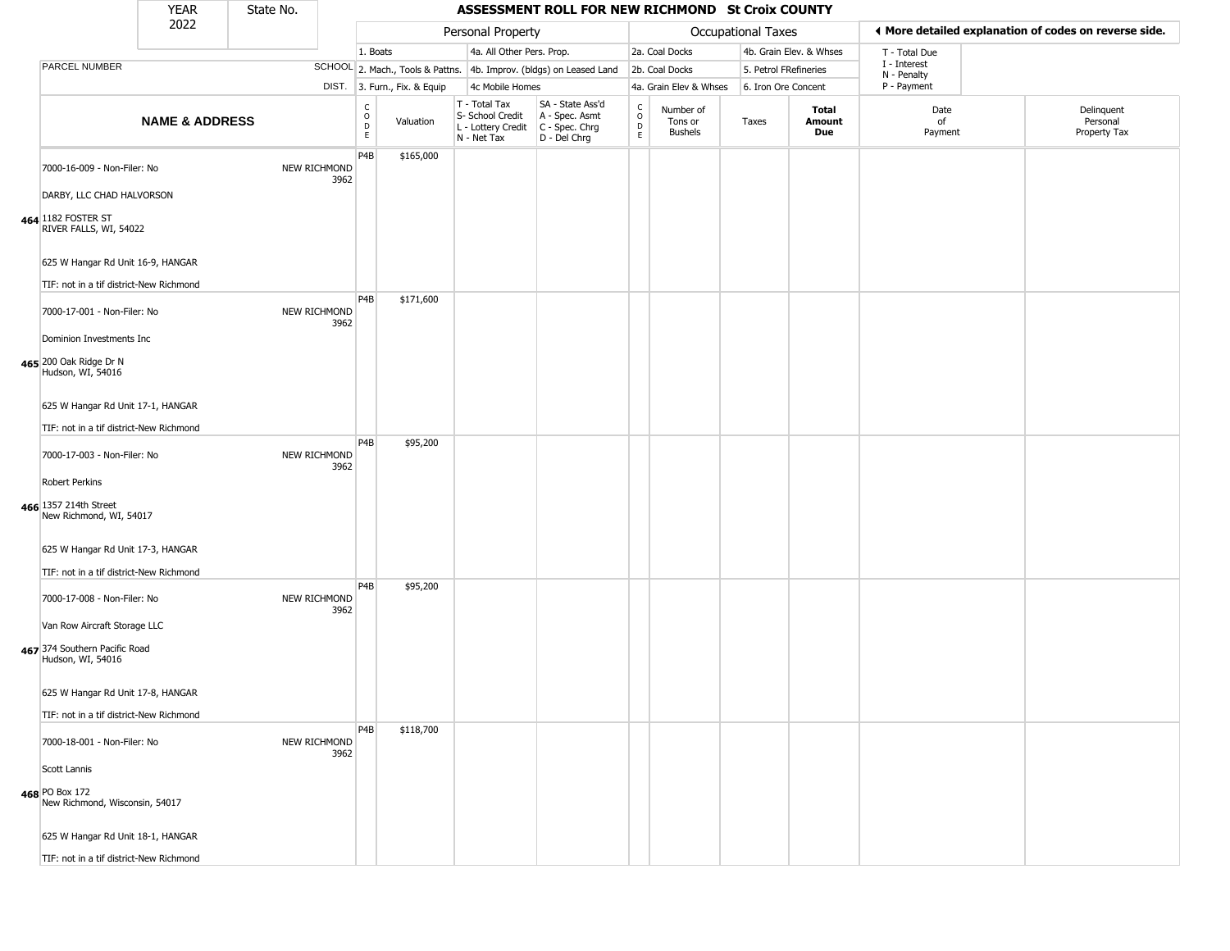|                                                                                    | <b>YEAR</b>               | State No. |                                          |          |           |                                                                        | ASSESSMENT ROLL FOR NEW RICHMOND St Croix COUNTY                       |                                                 |                                 |                           |                         |                             |                                                       |
|------------------------------------------------------------------------------------|---------------------------|-----------|------------------------------------------|----------|-----------|------------------------------------------------------------------------|------------------------------------------------------------------------|-------------------------------------------------|---------------------------------|---------------------------|-------------------------|-----------------------------|-------------------------------------------------------|
|                                                                                    | 2022                      |           |                                          |          |           | Personal Property                                                      |                                                                        |                                                 |                                 | <b>Occupational Taxes</b> |                         |                             | ◀ More detailed explanation of codes on reverse side. |
|                                                                                    |                           |           |                                          | 1. Boats |           | 4a. All Other Pers. Prop.                                              |                                                                        |                                                 | 2a. Coal Docks                  |                           | 4b. Grain Elev. & Whses | T - Total Due               |                                                       |
| PARCEL NUMBER                                                                      |                           |           |                                          |          |           |                                                                        | SCHOOL 2. Mach., Tools & Pattns. 4b. Improv. (bldgs) on Leased Land    |                                                 | 2b. Coal Docks                  | 5. Petrol FRefineries     |                         | I - Interest<br>N - Penalty |                                                       |
|                                                                                    |                           |           | DIST. 3. Furn., Fix. & Equip             |          |           | 4c Mobile Homes                                                        |                                                                        |                                                 | 4a. Grain Elev & Whses          | 6. Iron Ore Concent       |                         | P - Payment                 |                                                       |
|                                                                                    | <b>NAME &amp; ADDRESS</b> |           | $\rm _o^C$<br>$\mathsf{D}$<br>E.         |          | Valuation | T - Total Tax<br>S- School Credit<br>L - Lottery Credit<br>N - Net Tax | SA - State Ass'd<br>A - Spec. Asmt<br>$C - Spec. Chrg$<br>D - Del Chrg | $_{\rm o}^{\rm c}$<br>$\mathsf{D}_{\mathsf{E}}$ | Number of<br>Tons or<br>Bushels | Taxes                     | Total<br>Amount<br>Due  | Date<br>of<br>Payment       | Delinquent<br>Personal<br>Property Tax                |
| 7000-16-009 - Non-Filer: No<br>DARBY, LLC CHAD HALVORSON                           |                           |           | P4B<br>NEW RICHMOND<br>3962              |          | \$165,000 |                                                                        |                                                                        |                                                 |                                 |                           |                         |                             |                                                       |
| 464 182 FOSTER ST<br>RIVER FALLS, WI, 54022<br>625 W Hangar Rd Unit 16-9, HANGAR   |                           |           |                                          |          |           |                                                                        |                                                                        |                                                 |                                 |                           |                         |                             |                                                       |
| TIF: not in a tif district-New Richmond                                            |                           |           |                                          |          |           |                                                                        |                                                                        |                                                 |                                 |                           |                         |                             |                                                       |
| 7000-17-001 - Non-Filer: No                                                        |                           |           | P <sub>4</sub> B<br>NEW RICHMOND<br>3962 |          | \$171,600 |                                                                        |                                                                        |                                                 |                                 |                           |                         |                             |                                                       |
| Dominion Investments Inc<br>465 200 Oak Ridge Dr N<br>Hudson, WI, 54016            |                           |           |                                          |          |           |                                                                        |                                                                        |                                                 |                                 |                           |                         |                             |                                                       |
| 625 W Hangar Rd Unit 17-1, HANGAR<br>TIF: not in a tif district-New Richmond       |                           |           |                                          |          |           |                                                                        |                                                                        |                                                 |                                 |                           |                         |                             |                                                       |
| 7000-17-003 - Non-Filer: No                                                        |                           |           | P <sub>4</sub> B<br>NEW RICHMOND<br>3962 |          | \$95,200  |                                                                        |                                                                        |                                                 |                                 |                           |                         |                             |                                                       |
| Robert Perkins<br>466 1357 214th Street<br>New Richmond, WI, 54017                 |                           |           |                                          |          |           |                                                                        |                                                                        |                                                 |                                 |                           |                         |                             |                                                       |
| 625 W Hangar Rd Unit 17-3, HANGAR<br>TIF: not in a tif district-New Richmond       |                           |           |                                          |          |           |                                                                        |                                                                        |                                                 |                                 |                           |                         |                             |                                                       |
| 7000-17-008 - Non-Filer: No                                                        |                           |           | P4B<br>NEW RICHMOND<br>3962              |          | \$95,200  |                                                                        |                                                                        |                                                 |                                 |                           |                         |                             |                                                       |
| Van Row Aircraft Storage LLC<br>467 374 Southern Pacific Road<br>Hudson, WI, 54016 |                           |           |                                          |          |           |                                                                        |                                                                        |                                                 |                                 |                           |                         |                             |                                                       |
| 625 W Hangar Rd Unit 17-8, HANGAR                                                  |                           |           |                                          |          |           |                                                                        |                                                                        |                                                 |                                 |                           |                         |                             |                                                       |
| TIF: not in a tif district-New Richmond<br>7000-18-001 - Non-Filer: No             |                           |           | P <sub>4</sub> B<br>NEW RICHMOND<br>3962 |          | \$118,700 |                                                                        |                                                                        |                                                 |                                 |                           |                         |                             |                                                       |
| Scott Lannis<br>468 PO Box 172                                                     |                           |           |                                          |          |           |                                                                        |                                                                        |                                                 |                                 |                           |                         |                             |                                                       |
| New Richmond, Wisconsin, 54017                                                     |                           |           |                                          |          |           |                                                                        |                                                                        |                                                 |                                 |                           |                         |                             |                                                       |
| 625 W Hangar Rd Unit 18-1, HANGAR<br>TIF: not in a tif district-New Richmond       |                           |           |                                          |          |           |                                                                        |                                                                        |                                                 |                                 |                           |                         |                             |                                                       |
|                                                                                    |                           |           |                                          |          |           |                                                                        |                                                                        |                                                 |                                 |                           |                         |                             |                                                       |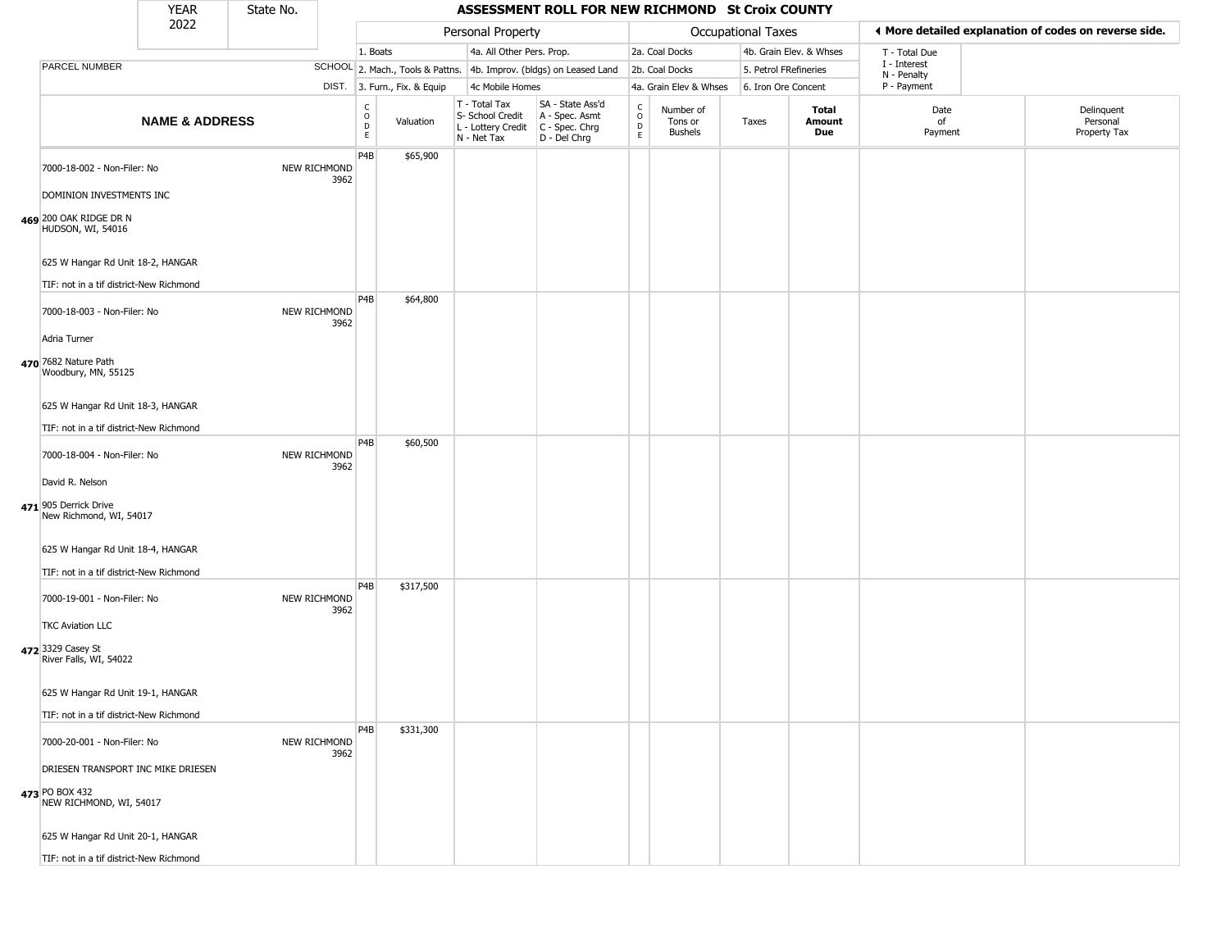|                                                                                 | <b>YEAR</b>               | State No. |                      |                                         |                              |                                                                                         | ASSESSMENT ROLL FOR NEW RICHMOND St Croix COUNTY                    |                                   |                                 |                       |                         |                             |                                                        |
|---------------------------------------------------------------------------------|---------------------------|-----------|----------------------|-----------------------------------------|------------------------------|-----------------------------------------------------------------------------------------|---------------------------------------------------------------------|-----------------------------------|---------------------------------|-----------------------|-------------------------|-----------------------------|--------------------------------------------------------|
|                                                                                 | 2022                      |           |                      |                                         |                              | Personal Property                                                                       |                                                                     |                                   |                                 | Occupational Taxes    |                         |                             | If More detailed explanation of codes on reverse side. |
|                                                                                 |                           |           |                      | 1. Boats                                |                              | 4a. All Other Pers. Prop.                                                               |                                                                     |                                   | 2a. Coal Docks                  |                       | 4b. Grain Elev. & Whses | T - Total Due               |                                                        |
| PARCEL NUMBER                                                                   |                           |           |                      |                                         |                              |                                                                                         | SCHOOL 2. Mach., Tools & Pattns. 4b. Improv. (bldgs) on Leased Land |                                   | 2b. Coal Docks                  | 5. Petrol FRefineries |                         | I - Interest<br>N - Penalty |                                                        |
|                                                                                 |                           |           |                      |                                         | DIST. 3. Furn., Fix. & Equip | 4c Mobile Homes                                                                         |                                                                     |                                   | 4a. Grain Elev & Whses          | 6. Iron Ore Concent   |                         | P - Payment                 |                                                        |
|                                                                                 | <b>NAME &amp; ADDRESS</b> |           |                      | $_{\rm o}^{\rm c}$<br>$\mathsf{D}$<br>E | Valuation                    | T - Total Tax<br>S- School Credit<br>L - Lottery Credit   C - Spec. Chrg<br>N - Net Tax | SA - State Ass'd<br>A - Spec. Asmt<br>D - Del Chrg                  | $\frac{c}{0}$<br>D<br>$\mathsf E$ | Number of<br>Tons or<br>Bushels | Taxes                 | Total<br>Amount<br>Due  | Date<br>of<br>Payment       | Delinquent<br>Personal<br>Property Tax                 |
| 7000-18-002 - Non-Filer: No<br>DOMINION INVESTMENTS INC                         |                           |           | NEW RICHMOND<br>3962 | P4B                                     | \$65,900                     |                                                                                         |                                                                     |                                   |                                 |                       |                         |                             |                                                        |
| 469 200 OAK RIDGE DR N<br>HUDSON, WI, 54016                                     |                           |           |                      |                                         |                              |                                                                                         |                                                                     |                                   |                                 |                       |                         |                             |                                                        |
| 625 W Hangar Rd Unit 18-2, HANGAR<br>TIF: not in a tif district-New Richmond    |                           |           |                      |                                         |                              |                                                                                         |                                                                     |                                   |                                 |                       |                         |                             |                                                        |
| 7000-18-003 - Non-Filer: No                                                     |                           |           | NEW RICHMOND<br>3962 | P <sub>4</sub> B                        | \$64,800                     |                                                                                         |                                                                     |                                   |                                 |                       |                         |                             |                                                        |
| Adria Turner<br>470 7682 Nature Path<br>Woodbury, MN, 55125                     |                           |           |                      |                                         |                              |                                                                                         |                                                                     |                                   |                                 |                       |                         |                             |                                                        |
| 625 W Hangar Rd Unit 18-3, HANGAR<br>TIF: not in a tif district-New Richmond    |                           |           |                      |                                         |                              |                                                                                         |                                                                     |                                   |                                 |                       |                         |                             |                                                        |
| 7000-18-004 - Non-Filer: No                                                     |                           |           | NEW RICHMOND<br>3962 | P <sub>4</sub> B                        | \$60,500                     |                                                                                         |                                                                     |                                   |                                 |                       |                         |                             |                                                        |
| David R. Nelson<br>471 905 Derrick Drive<br>New Richmond, WI, 54017             |                           |           |                      |                                         |                              |                                                                                         |                                                                     |                                   |                                 |                       |                         |                             |                                                        |
| 625 W Hangar Rd Unit 18-4, HANGAR<br>TIF: not in a tif district-New Richmond    |                           |           |                      |                                         |                              |                                                                                         |                                                                     |                                   |                                 |                       |                         |                             |                                                        |
| 7000-19-001 - Non-Filer: No                                                     |                           |           | NEW RICHMOND<br>3962 | P <sub>4</sub> B                        | \$317,500                    |                                                                                         |                                                                     |                                   |                                 |                       |                         |                             |                                                        |
| <b>TKC Aviation LLC</b><br>472 3329 Casey St<br>River Falls, WI, 54022          |                           |           |                      |                                         |                              |                                                                                         |                                                                     |                                   |                                 |                       |                         |                             |                                                        |
| 625 W Hangar Rd Unit 19-1, HANGAR                                               |                           |           |                      |                                         |                              |                                                                                         |                                                                     |                                   |                                 |                       |                         |                             |                                                        |
| TIF: not in a tif district-New Richmond                                         |                           |           |                      |                                         |                              |                                                                                         |                                                                     |                                   |                                 |                       |                         |                             |                                                        |
| 7000-20-001 - Non-Filer: No                                                     |                           |           | NEW RICHMOND<br>3962 | P <sub>4</sub> B                        | \$331,300                    |                                                                                         |                                                                     |                                   |                                 |                       |                         |                             |                                                        |
| DRIESEN TRANSPORT INC MIKE DRIESEN<br>473 PO BOX 432<br>NEW RICHMOND, WI, 54017 |                           |           |                      |                                         |                              |                                                                                         |                                                                     |                                   |                                 |                       |                         |                             |                                                        |
| 625 W Hangar Rd Unit 20-1, HANGAR                                               |                           |           |                      |                                         |                              |                                                                                         |                                                                     |                                   |                                 |                       |                         |                             |                                                        |
| TIF: not in a tif district-New Richmond                                         |                           |           |                      |                                         |                              |                                                                                         |                                                                     |                                   |                                 |                       |                         |                             |                                                        |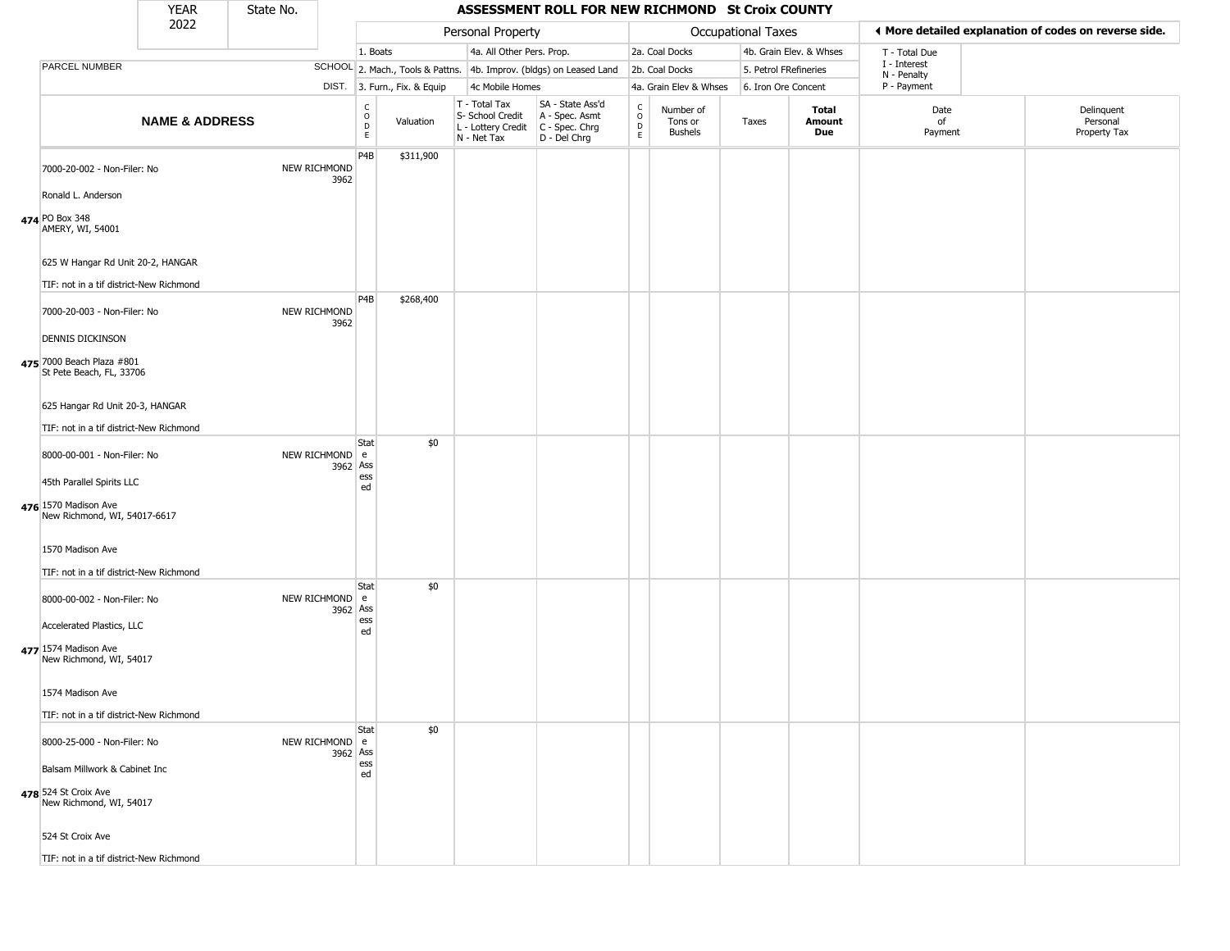|                                                          | <b>YEAR</b>               | State No. |                            |                                        |                              |                                                                        | ASSESSMENT ROLL FOR NEW RICHMOND St Croix COUNTY                     |                  |                                        |                       |                         |                             |                                                       |
|----------------------------------------------------------|---------------------------|-----------|----------------------------|----------------------------------------|------------------------------|------------------------------------------------------------------------|----------------------------------------------------------------------|------------------|----------------------------------------|-----------------------|-------------------------|-----------------------------|-------------------------------------------------------|
|                                                          | 2022                      |           |                            |                                        |                              | Personal Property                                                      |                                                                      |                  |                                        | Occupational Taxes    |                         |                             | ◀ More detailed explanation of codes on reverse side. |
|                                                          |                           |           |                            | 1. Boats                               |                              | 4a. All Other Pers. Prop.                                              |                                                                      |                  | 2a. Coal Docks                         |                       | 4b. Grain Elev. & Whses | T - Total Due               |                                                       |
| PARCEL NUMBER                                            |                           |           |                            |                                        |                              |                                                                        | SCHOOL 2. Mach., Tools & Pattns. 4b. Improv. (bldgs) on Leased Land  |                  | 2b. Coal Docks                         | 5. Petrol FRefineries |                         | I - Interest<br>N - Penalty |                                                       |
|                                                          |                           |           |                            |                                        | DIST. 3. Furn., Fix. & Equip | 4c Mobile Homes                                                        |                                                                      |                  | 4a. Grain Elev & Whses                 | 6. Iron Ore Concent   |                         | P - Payment                 |                                                       |
|                                                          | <b>NAME &amp; ADDRESS</b> |           |                            | $_{\rm o}^{\rm c}$<br>$\mathsf D$<br>E | Valuation                    | T - Total Tax<br>S- School Credit<br>L - Lottery Credit<br>N - Net Tax | SA - State Ass'd<br>A - Spec. Asmt<br>C - Spec. Chrg<br>D - Del Chrg | C<br>D<br>D<br>E | Number of<br>Tons or<br><b>Bushels</b> | Taxes                 | Total<br>Amount<br>Due  | Date<br>of<br>Payment       | Delinquent<br>Personal<br>Property Tax                |
| 7000-20-002 - Non-Filer: No                              |                           |           | NEW RICHMOND<br>3962       | P4B                                    | \$311,900                    |                                                                        |                                                                      |                  |                                        |                       |                         |                             |                                                       |
| Ronald L. Anderson<br>474 PO Box 348<br>AMERY, WI, 54001 |                           |           |                            |                                        |                              |                                                                        |                                                                      |                  |                                        |                       |                         |                             |                                                       |
| 625 W Hangar Rd Unit 20-2, HANGAR                        |                           |           |                            |                                        |                              |                                                                        |                                                                      |                  |                                        |                       |                         |                             |                                                       |
| TIF: not in a tif district-New Richmond                  |                           |           |                            | P <sub>4</sub> B                       |                              |                                                                        |                                                                      |                  |                                        |                       |                         |                             |                                                       |
| 7000-20-003 - Non-Filer: No                              |                           |           | NEW RICHMOND<br>3962       |                                        | \$268,400                    |                                                                        |                                                                      |                  |                                        |                       |                         |                             |                                                       |
| <b>DENNIS DICKINSON</b>                                  |                           |           |                            |                                        |                              |                                                                        |                                                                      |                  |                                        |                       |                         |                             |                                                       |
| 475 7000 Beach Plaza #801<br>St Pete Beach, FL, 33706    |                           |           |                            |                                        |                              |                                                                        |                                                                      |                  |                                        |                       |                         |                             |                                                       |
| 625 Hangar Rd Unit 20-3, HANGAR                          |                           |           |                            |                                        |                              |                                                                        |                                                                      |                  |                                        |                       |                         |                             |                                                       |
|                                                          |                           |           |                            |                                        |                              |                                                                        |                                                                      |                  |                                        |                       |                         |                             |                                                       |
| TIF: not in a tif district-New Richmond                  |                           |           |                            | Stat                                   | \$0                          |                                                                        |                                                                      |                  |                                        |                       |                         |                             |                                                       |
| 8000-00-001 - Non-Filer: No                              |                           |           | NEW RICHMOND e<br>3962 Ass | ess                                    |                              |                                                                        |                                                                      |                  |                                        |                       |                         |                             |                                                       |
| 45th Parallel Spirits LLC                                |                           |           |                            | ed                                     |                              |                                                                        |                                                                      |                  |                                        |                       |                         |                             |                                                       |
| 476 1570 Madison Ave<br>New Richmond, WI, 54017-6617     |                           |           |                            |                                        |                              |                                                                        |                                                                      |                  |                                        |                       |                         |                             |                                                       |
| 1570 Madison Ave                                         |                           |           |                            |                                        |                              |                                                                        |                                                                      |                  |                                        |                       |                         |                             |                                                       |
| TIF: not in a tif district-New Richmond                  |                           |           |                            |                                        |                              |                                                                        |                                                                      |                  |                                        |                       |                         |                             |                                                       |
| 8000-00-002 - Non-Filer: No                              |                           |           | NEW RICHMOND e<br>3962 Ass | Stat                                   | \$0                          |                                                                        |                                                                      |                  |                                        |                       |                         |                             |                                                       |
| Accelerated Plastics, LLC                                |                           |           |                            | ess<br>ed                              |                              |                                                                        |                                                                      |                  |                                        |                       |                         |                             |                                                       |
| 477 1574 Madison Ave<br>New Richmond, WI, 54017          |                           |           |                            |                                        |                              |                                                                        |                                                                      |                  |                                        |                       |                         |                             |                                                       |
| 1574 Madison Ave                                         |                           |           |                            |                                        |                              |                                                                        |                                                                      |                  |                                        |                       |                         |                             |                                                       |
| TIF: not in a tif district-New Richmond                  |                           |           |                            |                                        |                              |                                                                        |                                                                      |                  |                                        |                       |                         |                             |                                                       |
| 8000-25-000 - Non-Filer: No                              |                           |           | NEW RICHMOND e<br>3962 Ass | Stat                                   | \$0                          |                                                                        |                                                                      |                  |                                        |                       |                         |                             |                                                       |
| Balsam Millwork & Cabinet Inc                            |                           |           |                            | ess<br>ed                              |                              |                                                                        |                                                                      |                  |                                        |                       |                         |                             |                                                       |
| 478 524 St Croix Ave<br>New Richmond, WI, 54017          |                           |           |                            |                                        |                              |                                                                        |                                                                      |                  |                                        |                       |                         |                             |                                                       |
| 524 St Croix Ave                                         |                           |           |                            |                                        |                              |                                                                        |                                                                      |                  |                                        |                       |                         |                             |                                                       |
| TIF: not in a tif district-New Richmond                  |                           |           |                            |                                        |                              |                                                                        |                                                                      |                  |                                        |                       |                         |                             |                                                       |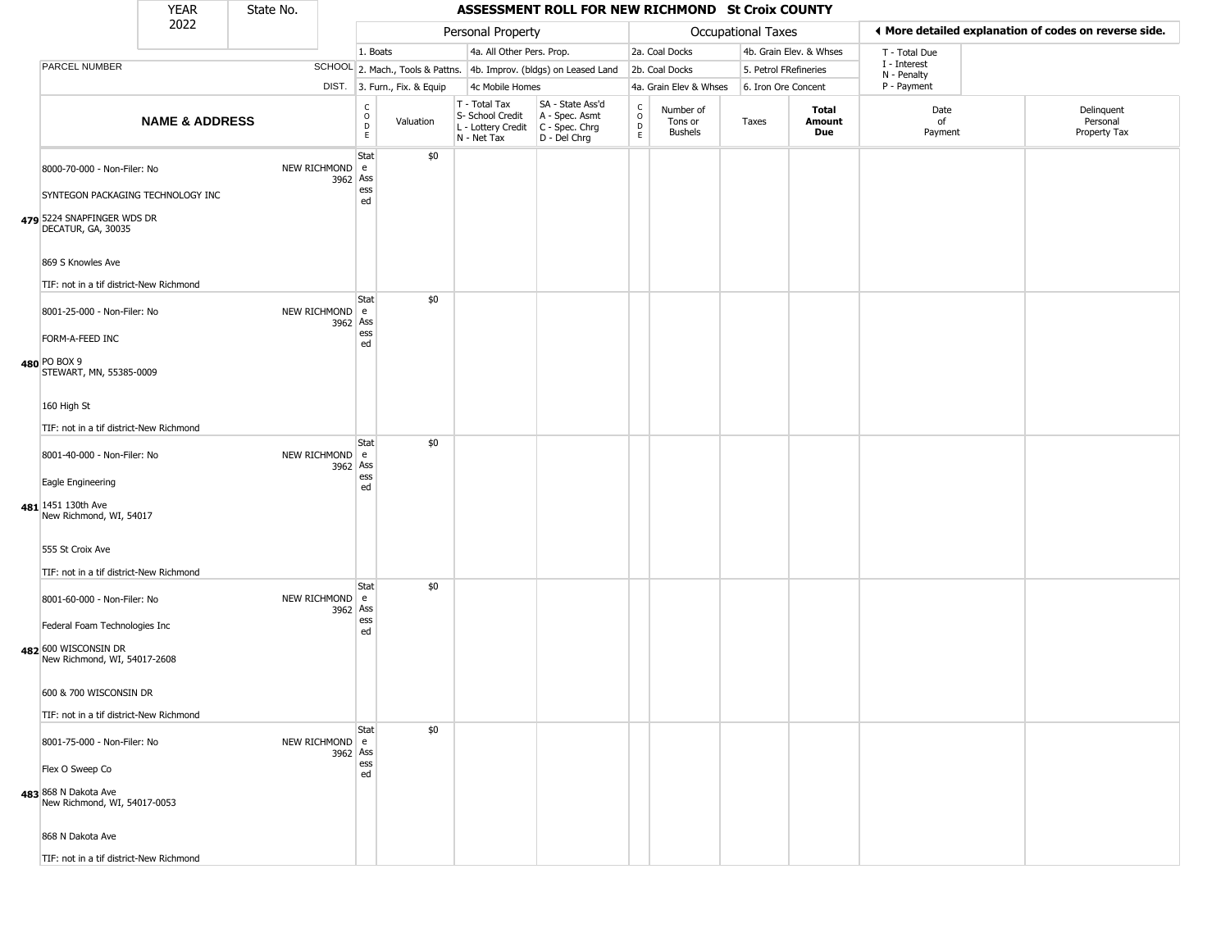|                                                                                       | <b>YEAR</b>               | State No. |                            |                                        |                              |                                                                        | ASSESSMENT ROLL FOR NEW RICHMOND St Croix COUNTY                       |                                  |                                 |                     |                         |                             |                                                       |
|---------------------------------------------------------------------------------------|---------------------------|-----------|----------------------------|----------------------------------------|------------------------------|------------------------------------------------------------------------|------------------------------------------------------------------------|----------------------------------|---------------------------------|---------------------|-------------------------|-----------------------------|-------------------------------------------------------|
|                                                                                       | 2022                      |           |                            |                                        |                              | Personal Property                                                      |                                                                        |                                  |                                 | Occupational Taxes  |                         |                             | ◀ More detailed explanation of codes on reverse side. |
|                                                                                       |                           |           |                            | 1. Boats                               |                              | 4a. All Other Pers. Prop.                                              |                                                                        |                                  | 2a. Coal Docks                  |                     | 4b. Grain Elev. & Whses | T - Total Due               |                                                       |
| PARCEL NUMBER                                                                         |                           |           |                            |                                        |                              |                                                                        | SCHOOL 2. Mach., Tools & Pattns. 4b. Improv. (bldgs) on Leased Land    |                                  | 2b. Coal Docks                  |                     | 5. Petrol FRefineries   | I - Interest<br>N - Penalty |                                                       |
|                                                                                       |                           |           |                            |                                        | DIST. 3. Furn., Fix. & Equip | 4c Mobile Homes                                                        |                                                                        |                                  | 4a. Grain Elev & Whses          | 6. Iron Ore Concent |                         | P - Payment                 |                                                       |
|                                                                                       | <b>NAME &amp; ADDRESS</b> |           |                            | $_{\rm o}^{\rm c}$<br>$\mathsf D$<br>E | Valuation                    | T - Total Tax<br>S- School Credit<br>L - Lottery Credit<br>N - Net Tax | SA - State Ass'd<br>A - Spec. Asmt<br>$C - Spec. Chrg$<br>D - Del Chrg | C<br>$\circ$<br>D<br>$\mathsf E$ | Number of<br>Tons or<br>Bushels | Taxes               | Total<br>Amount<br>Due  | Date<br>of<br>Payment       | Delinquent<br>Personal<br>Property Tax                |
| 8000-70-000 - Non-Filer: No                                                           |                           |           | NEW RICHMOND e<br>3962 Ass | Stat<br>ess                            | \$0                          |                                                                        |                                                                        |                                  |                                 |                     |                         |                             |                                                       |
| SYNTEGON PACKAGING TECHNOLOGY INC<br>479 5224 SNAPFINGER WDS DR<br>DECATUR, GA, 30035 |                           |           |                            | ed                                     |                              |                                                                        |                                                                        |                                  |                                 |                     |                         |                             |                                                       |
| 869 S Knowles Ave                                                                     |                           |           |                            |                                        |                              |                                                                        |                                                                        |                                  |                                 |                     |                         |                             |                                                       |
| TIF: not in a tif district-New Richmond                                               |                           |           |                            |                                        |                              |                                                                        |                                                                        |                                  |                                 |                     |                         |                             |                                                       |
| 8001-25-000 - Non-Filer: No                                                           |                           |           | NEW RICHMOND e<br>3962 Ass | Stat                                   | \$0                          |                                                                        |                                                                        |                                  |                                 |                     |                         |                             |                                                       |
| FORM-A-FEED INC<br>480 PO BOX 9                                                       |                           |           |                            | ess<br>ed                              |                              |                                                                        |                                                                        |                                  |                                 |                     |                         |                             |                                                       |
| STEWART, MN, 55385-0009                                                               |                           |           |                            |                                        |                              |                                                                        |                                                                        |                                  |                                 |                     |                         |                             |                                                       |
| 160 High St                                                                           |                           |           |                            |                                        |                              |                                                                        |                                                                        |                                  |                                 |                     |                         |                             |                                                       |
| TIF: not in a tif district-New Richmond                                               |                           |           |                            |                                        |                              |                                                                        |                                                                        |                                  |                                 |                     |                         |                             |                                                       |
| 8001-40-000 - Non-Filer: No                                                           |                           |           | NEW RICHMOND e<br>3962 Ass | Stat                                   | \$0                          |                                                                        |                                                                        |                                  |                                 |                     |                         |                             |                                                       |
| Eagle Engineering                                                                     |                           |           |                            | ess<br>ed                              |                              |                                                                        |                                                                        |                                  |                                 |                     |                         |                             |                                                       |
| 481 1451 130th Ave<br>New Richmond, WI, 54017                                         |                           |           |                            |                                        |                              |                                                                        |                                                                        |                                  |                                 |                     |                         |                             |                                                       |
| 555 St Croix Ave                                                                      |                           |           |                            |                                        |                              |                                                                        |                                                                        |                                  |                                 |                     |                         |                             |                                                       |
| TIF: not in a tif district-New Richmond                                               |                           |           |                            |                                        |                              |                                                                        |                                                                        |                                  |                                 |                     |                         |                             |                                                       |
| 8001-60-000 - Non-Filer: No                                                           |                           |           | NEW RICHMOND e<br>3962 Ass | Stat<br>ess                            | \$0                          |                                                                        |                                                                        |                                  |                                 |                     |                         |                             |                                                       |
| Federal Foam Technologies Inc                                                         |                           |           |                            | ed                                     |                              |                                                                        |                                                                        |                                  |                                 |                     |                         |                             |                                                       |
| 482 600 WISCONSIN DR<br>New Richmond, WI, 54017-2608                                  |                           |           |                            |                                        |                              |                                                                        |                                                                        |                                  |                                 |                     |                         |                             |                                                       |
| 600 & 700 WISCONSIN DR                                                                |                           |           |                            |                                        |                              |                                                                        |                                                                        |                                  |                                 |                     |                         |                             |                                                       |
| TIF: not in a tif district-New Richmond                                               |                           |           |                            |                                        |                              |                                                                        |                                                                        |                                  |                                 |                     |                         |                             |                                                       |
| 8001-75-000 - Non-Filer: No                                                           |                           |           | NEW RICHMOND e<br>3962 Ass | Stat                                   | \$0                          |                                                                        |                                                                        |                                  |                                 |                     |                         |                             |                                                       |
| Flex O Sweep Co                                                                       |                           |           |                            | ess<br>ed                              |                              |                                                                        |                                                                        |                                  |                                 |                     |                         |                             |                                                       |
| 483 868 N Dakota Ave<br>New Richmond, WI, 54017-0053                                  |                           |           |                            |                                        |                              |                                                                        |                                                                        |                                  |                                 |                     |                         |                             |                                                       |
| 868 N Dakota Ave                                                                      |                           |           |                            |                                        |                              |                                                                        |                                                                        |                                  |                                 |                     |                         |                             |                                                       |
| TIF: not in a tif district-New Richmond                                               |                           |           |                            |                                        |                              |                                                                        |                                                                        |                                  |                                 |                     |                         |                             |                                                       |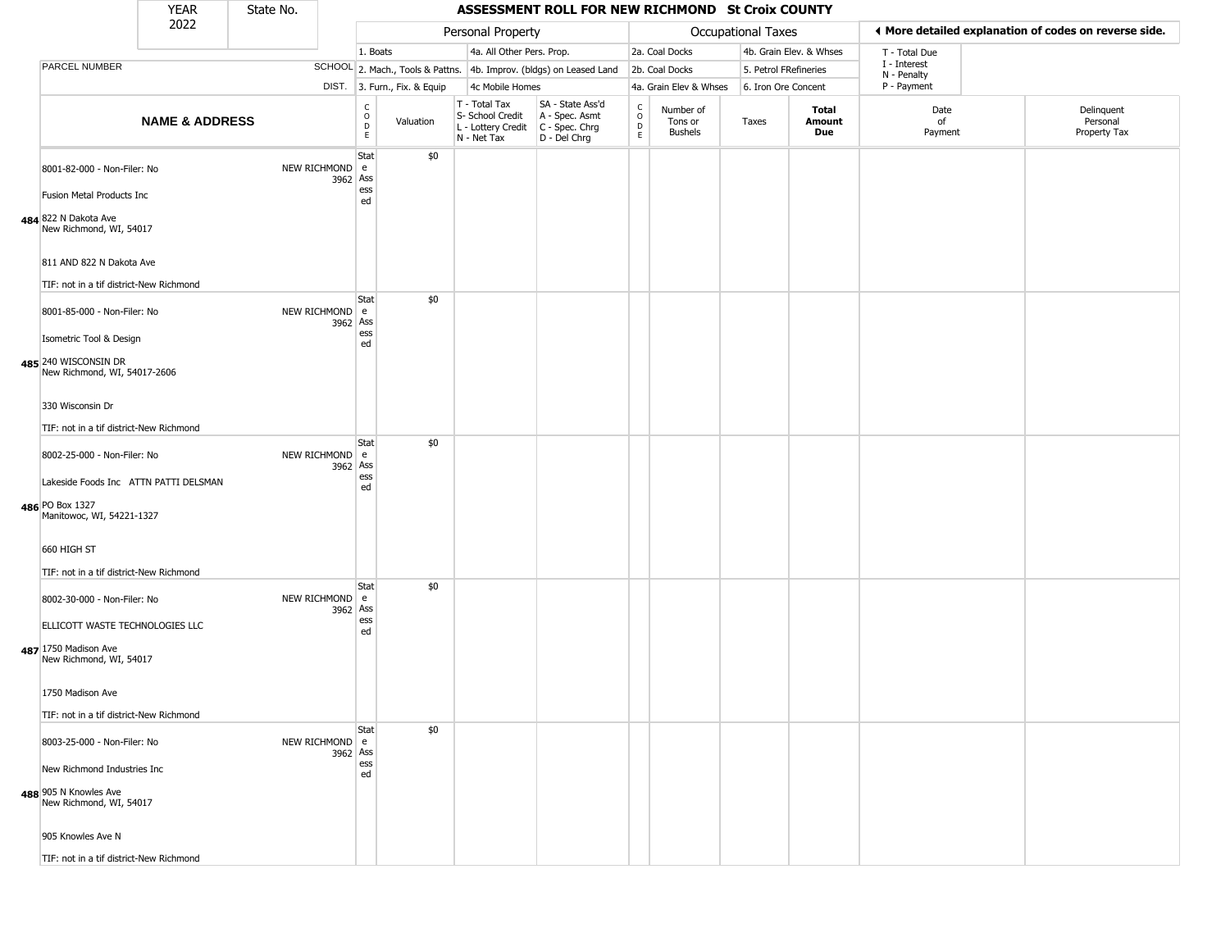|                                                                                                                                     | <b>YEAR</b>               | State No. |                            |                                      |                              |                                                                        | ASSESSMENT ROLL FOR NEW RICHMOND St Croix COUNTY                       |                                   |                                        |                           |                         |                             |                                                       |
|-------------------------------------------------------------------------------------------------------------------------------------|---------------------------|-----------|----------------------------|--------------------------------------|------------------------------|------------------------------------------------------------------------|------------------------------------------------------------------------|-----------------------------------|----------------------------------------|---------------------------|-------------------------|-----------------------------|-------------------------------------------------------|
|                                                                                                                                     | 2022                      |           |                            |                                      |                              | Personal Property                                                      |                                                                        |                                   |                                        | <b>Occupational Taxes</b> |                         |                             | ◀ More detailed explanation of codes on reverse side. |
|                                                                                                                                     |                           |           |                            | 1. Boats                             |                              | 4a. All Other Pers. Prop.                                              |                                                                        |                                   | 2a. Coal Docks                         |                           | 4b. Grain Elev. & Whses | T - Total Due               |                                                       |
| PARCEL NUMBER                                                                                                                       |                           |           |                            |                                      |                              |                                                                        | SCHOOL 2. Mach., Tools & Pattns. 4b. Improv. (bldgs) on Leased Land    |                                   | 2b. Coal Docks                         | 5. Petrol FRefineries     |                         | I - Interest<br>N - Penalty |                                                       |
|                                                                                                                                     |                           |           |                            |                                      | DIST. 3. Furn., Fix. & Equip | 4c Mobile Homes                                                        |                                                                        |                                   | 4a. Grain Elev & Whses                 | 6. Iron Ore Concent       |                         | P - Payment                 |                                                       |
|                                                                                                                                     | <b>NAME &amp; ADDRESS</b> |           |                            | C<br>$\mathsf O$<br>$\mathsf D$<br>E | Valuation                    | T - Total Tax<br>S- School Credit<br>L - Lottery Credit<br>N - Net Tax | SA - State Ass'd<br>A - Spec. Asmt<br>$C - Spec. Chrg$<br>D - Del Chrg | C<br>$\circ$<br>$\mathsf{D}$<br>E | Number of<br>Tons or<br><b>Bushels</b> | Taxes                     | Total<br>Amount<br>Due  | Date<br>of<br>Payment       | Delinquent<br>Personal<br>Property Tax                |
| 8001-82-000 - Non-Filer: No<br>Fusion Metal Products Inc<br>484 822 N Dakota Ave<br>New Richmond, WI, 54017                         |                           |           | NEW RICHMOND e<br>3962 Ass | Stat<br>ess<br>ed                    | \$0                          |                                                                        |                                                                        |                                   |                                        |                           |                         |                             |                                                       |
| 811 AND 822 N Dakota Ave<br>TIF: not in a tif district-New Richmond                                                                 |                           |           |                            |                                      |                              |                                                                        |                                                                        |                                   |                                        |                           |                         |                             |                                                       |
| 8001-85-000 - Non-Filer: No<br>Isometric Tool & Design<br>485 240 WISCONSIN DR<br>New Richmond, WI, 54017-2606                      |                           |           | NEW RICHMOND e<br>3962 Ass | Stat<br>ess<br>ed                    | \$0                          |                                                                        |                                                                        |                                   |                                        |                           |                         |                             |                                                       |
| 330 Wisconsin Dr<br>TIF: not in a tif district-New Richmond                                                                         |                           |           |                            |                                      |                              |                                                                        |                                                                        |                                   |                                        |                           |                         |                             |                                                       |
| 8002-25-000 - Non-Filer: No<br>Lakeside Foods Inc ATTN PATTI DELSMAN<br>486 PO Box 1327<br>Manitowoc, WI, 54221-1327                |                           |           | NEW RICHMOND e<br>3962 Ass | Stat<br>ess<br>ed                    | \$0                          |                                                                        |                                                                        |                                   |                                        |                           |                         |                             |                                                       |
| 660 HIGH ST<br>TIF: not in a tif district-New Richmond                                                                              |                           |           |                            |                                      |                              |                                                                        |                                                                        |                                   |                                        |                           |                         |                             |                                                       |
| 8002-30-000 - Non-Filer: No<br>ELLICOTT WASTE TECHNOLOGIES LLC<br>487 1750 Madison Ave<br>New Richmond, WI, 54017                   |                           |           | NEW RICHMOND e<br>3962 Ass | Stat<br>ess<br>ed                    | \$0                          |                                                                        |                                                                        |                                   |                                        |                           |                         |                             |                                                       |
| 1750 Madison Ave<br>TIF: not in a tif district-New Richmond                                                                         |                           |           |                            |                                      |                              |                                                                        |                                                                        |                                   |                                        |                           |                         |                             |                                                       |
| 8003-25-000 - Non-Filer: No<br>New Richmond Industries Inc<br>488 905 N Knowles Ave<br>New Richmond, WI, 54017<br>905 Knowles Ave N |                           |           | NEW RICHMOND e<br>3962 Ass | Stat<br>ess<br>ed                    | \$0                          |                                                                        |                                                                        |                                   |                                        |                           |                         |                             |                                                       |
| TIE: not in a tif dictrict-Now Dichmond                                                                                             |                           |           |                            |                                      |                              |                                                                        |                                                                        |                                   |                                        |                           |                         |                             |                                                       |

TIF: not in a tif district-New Richmond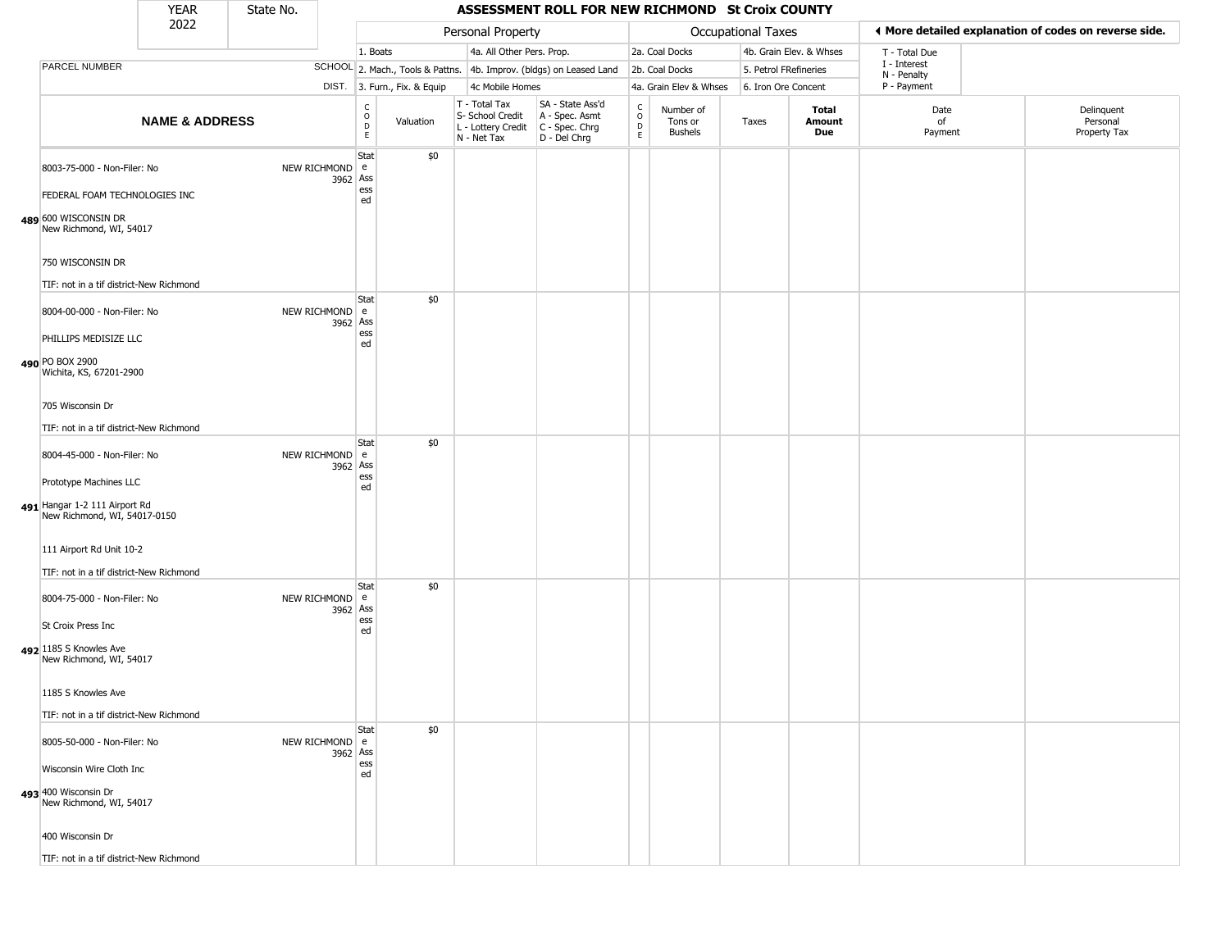|                                                                                  | <b>YEAR</b>               | State No. |                            |                              |                              |                                                                        | ASSESSMENT ROLL FOR NEW RICHMOND St Croix COUNTY                     |                        |                                        |                           |                         |                             |                                                       |
|----------------------------------------------------------------------------------|---------------------------|-----------|----------------------------|------------------------------|------------------------------|------------------------------------------------------------------------|----------------------------------------------------------------------|------------------------|----------------------------------------|---------------------------|-------------------------|-----------------------------|-------------------------------------------------------|
|                                                                                  | 2022                      |           |                            |                              |                              | Personal Property                                                      |                                                                      |                        |                                        | <b>Occupational Taxes</b> |                         |                             | I More detailed explanation of codes on reverse side. |
|                                                                                  |                           |           |                            | 1. Boats                     |                              | 4a. All Other Pers. Prop.                                              |                                                                      |                        | 2a. Coal Docks                         |                           | 4b. Grain Elev. & Whses | T - Total Due               |                                                       |
| PARCEL NUMBER                                                                    |                           |           |                            |                              |                              |                                                                        | SCHOOL 2. Mach., Tools & Pattns. 4b. Improv. (bldgs) on Leased Land  |                        | 2b. Coal Docks                         | 5. Petrol FRefineries     |                         | I - Interest<br>N - Penalty |                                                       |
|                                                                                  |                           |           |                            |                              | DIST. 3. Furn., Fix. & Equip | 4c Mobile Homes                                                        |                                                                      |                        | 4a. Grain Elev & Whses                 | 6. Iron Ore Concent       |                         | P - Payment                 |                                                       |
|                                                                                  | <b>NAME &amp; ADDRESS</b> |           |                            | $_{\rm o}^{\rm c}$<br>D<br>E | Valuation                    | T - Total Tax<br>S- School Credit<br>L - Lottery Credit<br>N - Net Tax | SA - State Ass'd<br>A - Spec. Asmt<br>C - Spec. Chrg<br>D - Del Chrg | C<br>$\circ$<br>D<br>E | Number of<br>Tons or<br><b>Bushels</b> | Taxes                     | Total<br>Amount<br>Due  | Date<br>of<br>Payment       | Delinquent<br>Personal<br>Property Tax                |
| 8003-75-000 - Non-Filer: No                                                      |                           |           | NEW RICHMOND e<br>3962 Ass | Stat                         | \$0                          |                                                                        |                                                                      |                        |                                        |                           |                         |                             |                                                       |
| FEDERAL FOAM TECHNOLOGIES INC<br>489 600 WISCONSIN DR<br>New Richmond, WI, 54017 |                           |           |                            | ess<br>ed                    |                              |                                                                        |                                                                      |                        |                                        |                           |                         |                             |                                                       |
| 750 WISCONSIN DR                                                                 |                           |           |                            |                              |                              |                                                                        |                                                                      |                        |                                        |                           |                         |                             |                                                       |
| TIF: not in a tif district-New Richmond                                          |                           |           |                            |                              |                              |                                                                        |                                                                      |                        |                                        |                           |                         |                             |                                                       |
| 8004-00-000 - Non-Filer: No                                                      |                           |           | NEW RICHMOND e<br>3962 Ass | Stat                         | \$0                          |                                                                        |                                                                      |                        |                                        |                           |                         |                             |                                                       |
| PHILLIPS MEDISIZE LLC<br>490 PO BOX 2900                                         |                           |           |                            | ess<br>ed                    |                              |                                                                        |                                                                      |                        |                                        |                           |                         |                             |                                                       |
| Wichita, KS, 67201-2900                                                          |                           |           |                            |                              |                              |                                                                        |                                                                      |                        |                                        |                           |                         |                             |                                                       |
| 705 Wisconsin Dr                                                                 |                           |           |                            |                              |                              |                                                                        |                                                                      |                        |                                        |                           |                         |                             |                                                       |
| TIF: not in a tif district-New Richmond                                          |                           |           |                            |                              |                              |                                                                        |                                                                      |                        |                                        |                           |                         |                             |                                                       |
| 8004-45-000 - Non-Filer: No                                                      |                           |           | NEW RICHMOND e<br>3962 Ass | Stat                         | \$0                          |                                                                        |                                                                      |                        |                                        |                           |                         |                             |                                                       |
| Prototype Machines LLC                                                           |                           |           |                            | ess<br>ed                    |                              |                                                                        |                                                                      |                        |                                        |                           |                         |                             |                                                       |
| 491 Hangar 1-2 111 Airport Rd<br>New Richmond, WI, 54017-0150                    |                           |           |                            |                              |                              |                                                                        |                                                                      |                        |                                        |                           |                         |                             |                                                       |
| 111 Airport Rd Unit 10-2                                                         |                           |           |                            |                              |                              |                                                                        |                                                                      |                        |                                        |                           |                         |                             |                                                       |
| TIF: not in a tif district-New Richmond                                          |                           |           |                            |                              |                              |                                                                        |                                                                      |                        |                                        |                           |                         |                             |                                                       |
| 8004-75-000 - Non-Filer: No                                                      |                           |           | NEW RICHMOND e<br>3962 Ass | Stat<br>ess                  | \$0                          |                                                                        |                                                                      |                        |                                        |                           |                         |                             |                                                       |
| St Croix Press Inc                                                               |                           |           |                            | ed                           |                              |                                                                        |                                                                      |                        |                                        |                           |                         |                             |                                                       |
| 492 1185 S Knowles Ave<br>New Richmond, WI, 54017                                |                           |           |                            |                              |                              |                                                                        |                                                                      |                        |                                        |                           |                         |                             |                                                       |
| 1185 S Knowles Ave                                                               |                           |           |                            |                              |                              |                                                                        |                                                                      |                        |                                        |                           |                         |                             |                                                       |
| TIF: not in a tif district-New Richmond                                          |                           |           |                            | Stat                         | \$0                          |                                                                        |                                                                      |                        |                                        |                           |                         |                             |                                                       |
| 8005-50-000 - Non-Filer: No                                                      |                           |           | NEW RICHMOND e<br>3962 Ass |                              |                              |                                                                        |                                                                      |                        |                                        |                           |                         |                             |                                                       |
| Wisconsin Wire Cloth Inc                                                         |                           |           |                            | ess<br>ed                    |                              |                                                                        |                                                                      |                        |                                        |                           |                         |                             |                                                       |
| 493 400 Wisconsin Dr<br>New Richmond, WI, 54017                                  |                           |           |                            |                              |                              |                                                                        |                                                                      |                        |                                        |                           |                         |                             |                                                       |
| 400 Wisconsin Dr                                                                 |                           |           |                            |                              |                              |                                                                        |                                                                      |                        |                                        |                           |                         |                             |                                                       |
| TIF: not in a tif district-New Richmond                                          |                           |           |                            |                              |                              |                                                                        |                                                                      |                        |                                        |                           |                         |                             |                                                       |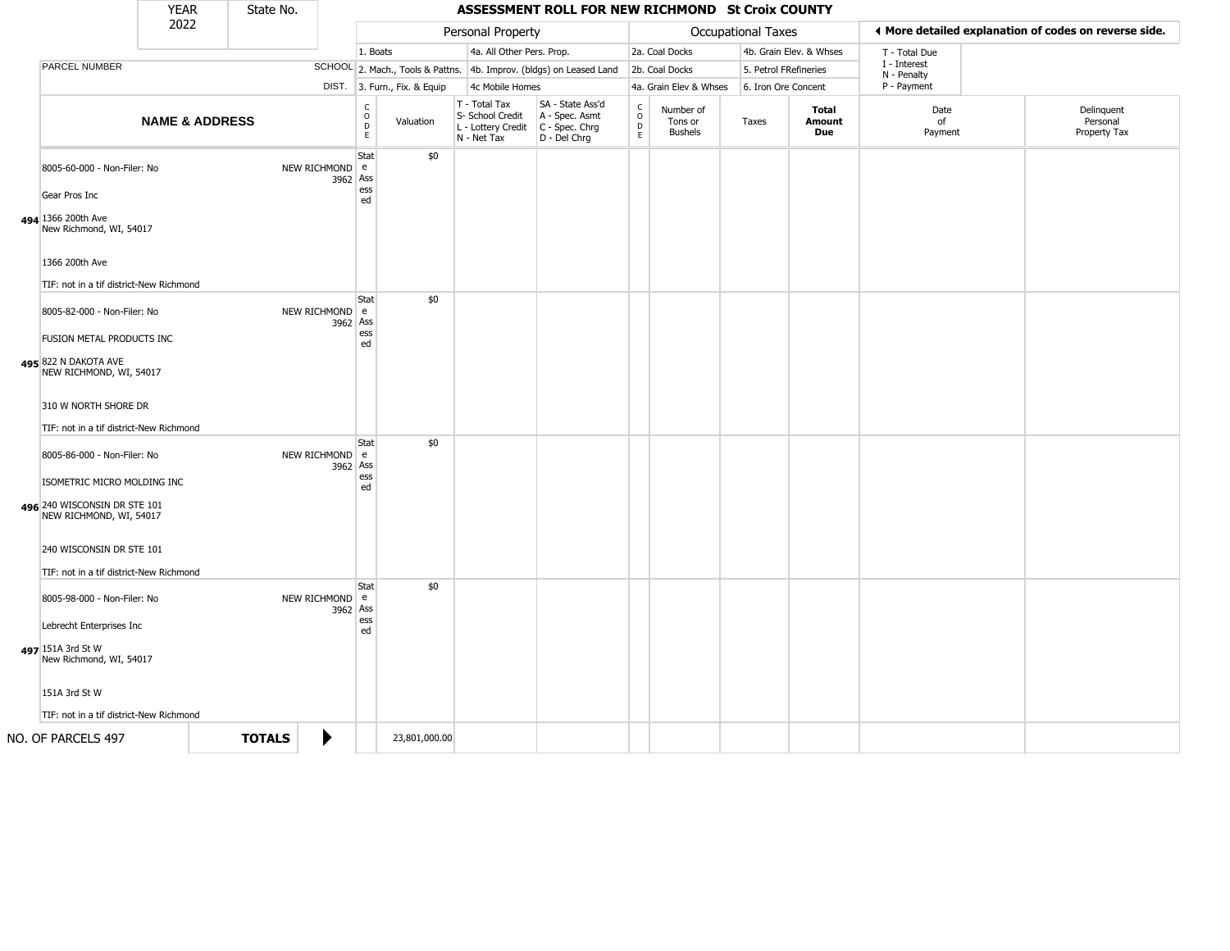|                                                                                                                       | <b>YEAR</b>               | State No.     |                            |                         |                              |                                                                                         | ASSESSMENT ROLL FOR NEW RICHMOND St Croix COUNTY                    |                                   |                                        |                           |                               |                             |                                                       |
|-----------------------------------------------------------------------------------------------------------------------|---------------------------|---------------|----------------------------|-------------------------|------------------------------|-----------------------------------------------------------------------------------------|---------------------------------------------------------------------|-----------------------------------|----------------------------------------|---------------------------|-------------------------------|-----------------------------|-------------------------------------------------------|
|                                                                                                                       | 2022                      |               |                            |                         |                              | Personal Property                                                                       |                                                                     |                                   |                                        | <b>Occupational Taxes</b> |                               |                             | I More detailed explanation of codes on reverse side. |
|                                                                                                                       |                           |               |                            | 1. Boats                |                              | 4a. All Other Pers. Prop.                                                               |                                                                     |                                   | 2a. Coal Docks                         |                           | 4b. Grain Elev. & Whses       | T - Total Due               |                                                       |
| PARCEL NUMBER                                                                                                         |                           |               |                            |                         |                              |                                                                                         | SCHOOL 2. Mach., Tools & Pattns. 4b. Improv. (bldgs) on Leased Land |                                   | 2b. Coal Docks                         |                           | 5. Petrol FRefineries         | I - Interest<br>N - Penalty |                                                       |
|                                                                                                                       |                           |               |                            |                         | DIST. 3. Furn., Fix. & Equip | 4c Mobile Homes                                                                         |                                                                     |                                   | 4a. Grain Elev & Whses                 |                           | 6. Iron Ore Concent           | P - Payment                 |                                                       |
|                                                                                                                       | <b>NAME &amp; ADDRESS</b> |               |                            | C<br>$\circ$<br>D<br>E. | Valuation                    | T - Total Tax<br>S- School Credit<br>L - Lottery Credit   C - Spec. Chrg<br>N - Net Tax | SA - State Ass'd<br>A - Spec. Asmt<br>D - Del Chrg                  | $\mathsf{C}$<br>$\circ$<br>D<br>E | Number of<br>Tons or<br><b>Bushels</b> | Taxes                     | <b>Total</b><br>Amount<br>Due | Date<br>of<br>Payment       | Delinquent<br>Personal<br>Property Tax                |
| 8005-60-000 - Non-Filer: No<br>Gear Pros Inc<br>494 1366 200th Ave<br>New Richmond, WI, 54017                         |                           |               | NEW RICHMOND e<br>3962 Ass | Stat<br>ess<br>ed       | \$0                          |                                                                                         |                                                                     |                                   |                                        |                           |                               |                             |                                                       |
| 1366 200th Ave<br>TIF: not in a tif district-New Richmond                                                             |                           |               |                            | Stat                    | \$0                          |                                                                                         |                                                                     |                                   |                                        |                           |                               |                             |                                                       |
| 8005-82-000 - Non-Filer: No<br>FUSION METAL PRODUCTS INC<br>495 822 N DAKOTA AVE<br>NEW RICHMOND, WI, 54017           |                           |               | NEW RICHMOND e<br>3962 Ass | ess<br>ed               |                              |                                                                                         |                                                                     |                                   |                                        |                           |                               |                             |                                                       |
| 310 W NORTH SHORE DR<br>TIF: not in a tif district-New Richmond                                                       |                           |               |                            | Stat                    | \$0                          |                                                                                         |                                                                     |                                   |                                        |                           |                               |                             |                                                       |
| 8005-86-000 - Non-Filer: No<br>ISOMETRIC MICRO MOLDING INC<br>496 240 WISCONSIN DR STE 101<br>NEW RICHMOND, WI, 54017 |                           |               | NEW RICHMOND e<br>3962 Ass | ess<br>ed               |                              |                                                                                         |                                                                     |                                   |                                        |                           |                               |                             |                                                       |
| 240 WISCONSIN DR STE 101<br>TIF: not in a tif district-New Richmond                                                   |                           |               |                            |                         |                              |                                                                                         |                                                                     |                                   |                                        |                           |                               |                             |                                                       |
| 8005-98-000 - Non-Filer: No<br>Lebrecht Enterprises Inc                                                               |                           |               | NEW RICHMOND e<br>3962 Ass | Stat<br>ess<br>ed       | \$0                          |                                                                                         |                                                                     |                                   |                                        |                           |                               |                             |                                                       |
| 497 151A 3rd St W<br>New Richmond, WI, 54017<br>151A 3rd St W                                                         |                           |               |                            |                         |                              |                                                                                         |                                                                     |                                   |                                        |                           |                               |                             |                                                       |
| TIF: not in a tif district-New Richmond                                                                               |                           |               |                            |                         |                              |                                                                                         |                                                                     |                                   |                                        |                           |                               |                             |                                                       |
| NO. OF PARCELS 497                                                                                                    |                           | <b>TOTALS</b> |                            |                         | 23,801,000.00                |                                                                                         |                                                                     |                                   |                                        |                           |                               |                             |                                                       |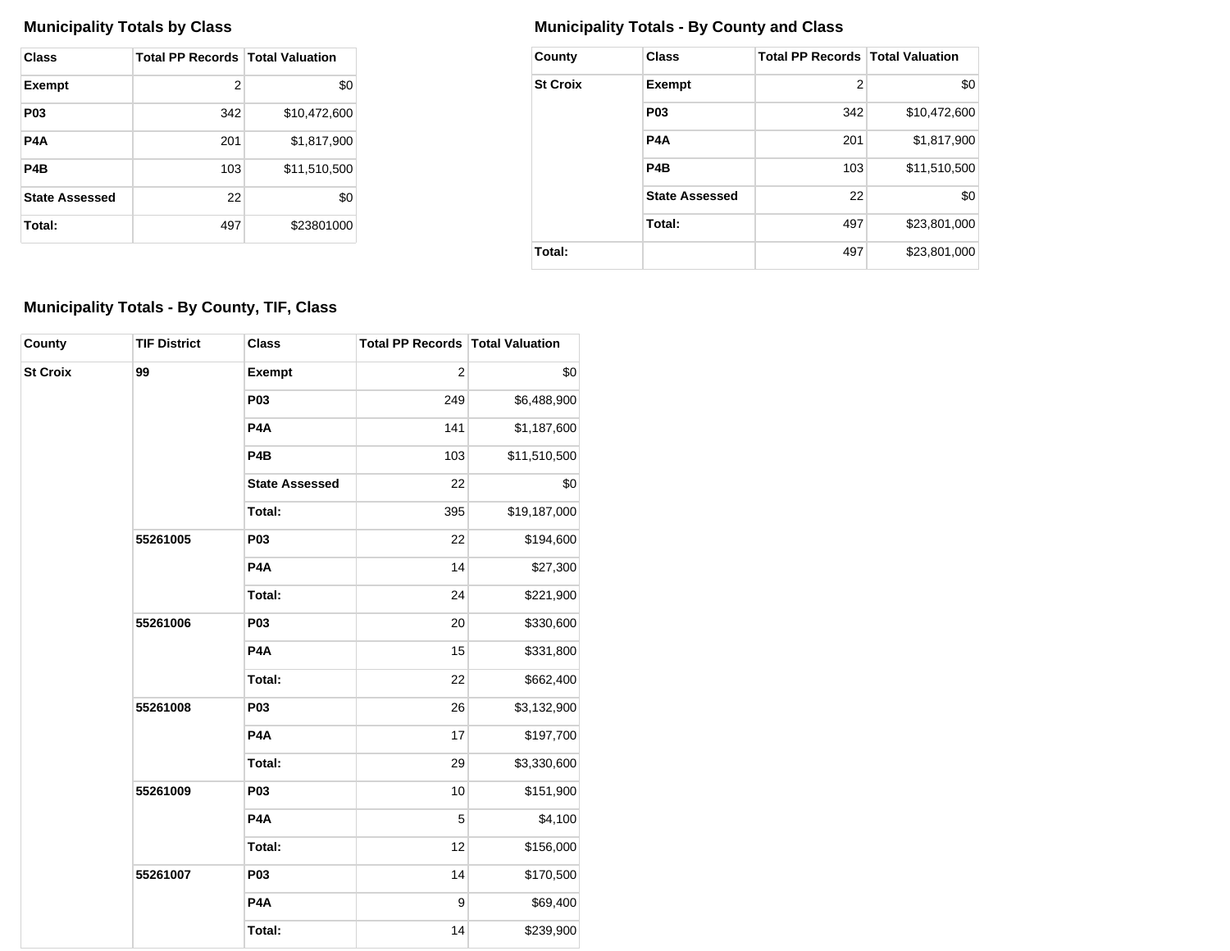| Class                 | <b>Total PP Records Total Valuation</b> |              |
|-----------------------|-----------------------------------------|--------------|
| <b>Exempt</b>         | 2                                       | \$0          |
| <b>P03</b>            | 342                                     | \$10,472,600 |
| P4A                   | 201                                     | \$1,817,900  |
| P4B                   | 103                                     | \$11,510,500 |
| <b>State Assessed</b> | 22                                      | \$0          |
| Total:                | 497                                     | \$23801000   |

## **Municipality Totals by Class Municipality Totals - By County and Class**

| County          | Class                 | <b>Total PP Records   Total Valuation</b> |              |
|-----------------|-----------------------|-------------------------------------------|--------------|
| <b>St Croix</b> | <b>Exempt</b>         | 2                                         | \$0          |
|                 | P <sub>0</sub> 3      | 342                                       | \$10,472,600 |
|                 | P4A                   | 201                                       | \$1,817,900  |
|                 | P <sub>4</sub> B      | 103                                       | \$11,510,500 |
|                 | <b>State Assessed</b> | 22                                        | \$0          |
|                 | Total:                | 497                                       | \$23,801,000 |
| Total:          |                       | 497                                       | \$23,801,000 |

## **Municipality Totals - By County, TIF, Class**

| County          | <b>TIF District</b> | <b>Class</b>          | Total PP Records Total Valuation |              |
|-----------------|---------------------|-----------------------|----------------------------------|--------------|
| <b>St Croix</b> | 99                  | Exempt                | $\overline{c}$                   | \$0          |
|                 |                     | <b>P03</b>            | 249                              | \$6,488,900  |
|                 |                     | P <sub>4</sub> A      | 141                              | \$1,187,600  |
|                 |                     | P <sub>4</sub> B      | 103                              | \$11,510,500 |
|                 |                     | <b>State Assessed</b> | 22                               | \$0          |
|                 |                     | Total:                | 395                              | \$19,187,000 |
|                 | 55261005            | <b>P03</b>            | 22                               | \$194,600    |
|                 |                     | P <sub>4</sub> A      | 14                               | \$27,300     |
|                 |                     | Total:                | 24                               | \$221,900    |
|                 | 55261006            | <b>P03</b>            | 20                               | \$330,600    |
|                 |                     | P <sub>4</sub> A      | 15                               | \$331,800    |
|                 |                     | Total:                | 22                               | \$662,400    |
|                 | 55261008            | <b>P03</b>            | 26                               | \$3,132,900  |
|                 |                     | P <sub>4</sub> A      | 17                               | \$197,700    |
|                 |                     | Total:                | 29                               | \$3,330,600  |
|                 | 55261009            | P03                   | 10                               | \$151,900    |
|                 |                     | P <sub>4</sub> A      | 5                                | \$4,100      |
|                 |                     | Total:                | 12                               | \$156,000    |
|                 | 55261007            | <b>P03</b>            | 14                               | \$170,500    |
|                 |                     | P4A                   | $\boldsymbol{9}$                 | \$69,400     |
|                 |                     | Total:                | 14                               | \$239,900    |